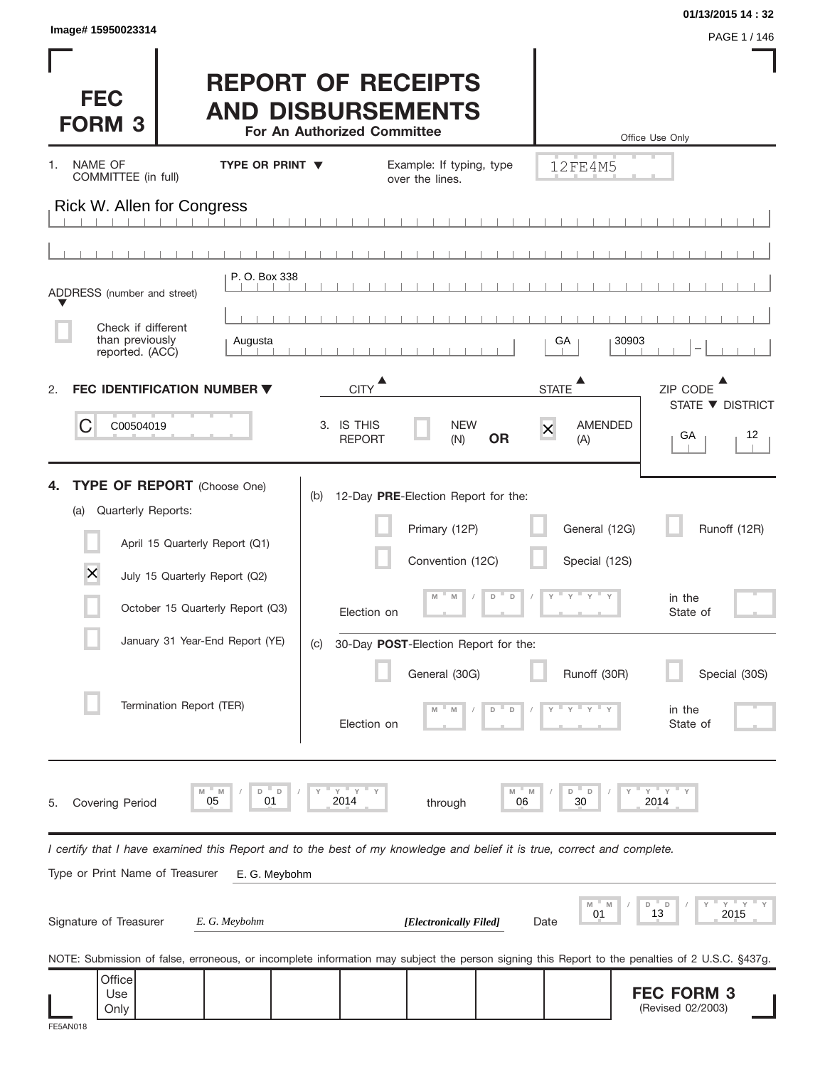| Image# 15950023314                                                                                                                                                                                                                                      |                        |                                          |                                                                                                                                   |                                 |                                                                                                         | 01/13/2015 14:32<br>PAGE 1 / 146                                          |
|---------------------------------------------------------------------------------------------------------------------------------------------------------------------------------------------------------------------------------------------------------|------------------------|------------------------------------------|-----------------------------------------------------------------------------------------------------------------------------------|---------------------------------|---------------------------------------------------------------------------------------------------------|---------------------------------------------------------------------------|
| <b>FEC</b><br><b>FORM 3</b>                                                                                                                                                                                                                             |                        | For An Authorized Committee              | <b>REPORT OF RECEIPTS</b><br><b>AND DISBURSEMENTS</b>                                                                             |                                 |                                                                                                         | Office Use Only                                                           |
| NAME OF<br>1.<br>COMMITTEE (in full)                                                                                                                                                                                                                    | <b>TYPE OR PRINT ▼</b> |                                          | Example: If typing, type<br>over the lines.                                                                                       |                                 | 12FE4M5                                                                                                 |                                                                           |
| Rick W. Allen for Congress                                                                                                                                                                                                                              |                        |                                          |                                                                                                                                   |                                 |                                                                                                         |                                                                           |
|                                                                                                                                                                                                                                                         |                        |                                          |                                                                                                                                   |                                 |                                                                                                         |                                                                           |
| ADDRESS (number and street)                                                                                                                                                                                                                             | P. O. Box 338          |                                          |                                                                                                                                   |                                 |                                                                                                         |                                                                           |
| Check if different                                                                                                                                                                                                                                      |                        |                                          |                                                                                                                                   |                                 |                                                                                                         |                                                                           |
| than previously<br>reported. (ACC)                                                                                                                                                                                                                      | Augusta                |                                          |                                                                                                                                   |                                 | GA                                                                                                      | 30903                                                                     |
| <b>FEC IDENTIFICATION NUMBER ▼</b><br>2.                                                                                                                                                                                                                |                        | <b>CITY</b>                              |                                                                                                                                   |                                 | <b>STATE</b>                                                                                            | ZIP CODE                                                                  |
| С<br>C00504019                                                                                                                                                                                                                                          |                        | 3. IS THIS<br><b>REPORT</b>              | <b>NEW</b><br>(N)                                                                                                                 | <b>OR</b>                       | <b>AMENDED</b><br>$\overline{\mathsf{x}}$<br>(A)                                                        | STATE ▼ DISTRICT<br>12<br>GA                                              |
| <b>TYPE OF REPORT</b> (Choose One)<br>4.<br>Quarterly Reports:<br>(a)<br>April 15 Quarterly Report (Q1)<br>$\times$<br>July 15 Quarterly Report (Q2)<br>October 15 Quarterly Report (Q3)<br>January 31 Year-End Report (YE)<br>Termination Report (TER) |                        | (b)<br>Election on<br>(C)<br>Election on | 12-Day PRE-Election Report for the:<br>Primary (12P)<br>Convention (12C)<br>30-Day POST-Election Report for the:<br>General (30G) | D<br>$\Box$<br>$\mathsf D$<br>D | General (12G)<br>Special (12S)<br>$\cdots$ $\gamma$ $\cdots$ $\gamma$ $\cdots$ $\gamma$<br>Runoff (30R) | Runoff (12R)<br>in the<br>State of<br>Special (30S)<br>in the<br>State of |
| M<br>05<br><b>Covering Period</b><br>5.                                                                                                                                                                                                                 | M<br>D<br>D<br>01      | — у<br>Υ<br>2014                         | through                                                                                                                           | M<br>M<br>06                    | $\overline{D}$<br>D<br>30                                                                               | ΞY.<br>Y<br>2014                                                          |
| I certify that I have examined this Report and to the best of my knowledge and belief it is true, correct and complete.<br>Type or Print Name of Treasurer                                                                                              | E. G. Meybohm          |                                          |                                                                                                                                   |                                 |                                                                                                         |                                                                           |
| Signature of Treasurer                                                                                                                                                                                                                                  | E. G. Meybohm          |                                          | [Electronically Filed]                                                                                                            |                                 | $- M$<br>M<br>01<br>Date                                                                                | $Y$ $Y$<br>D<br>D<br>13<br>2015                                           |
| NOTE: Submission of false, erroneous, or incomplete information may subject the person signing this Report to the penalties of 2 U.S.C. §437g.                                                                                                          |                        |                                          |                                                                                                                                   |                                 |                                                                                                         |                                                                           |
| Office<br>Use<br>Only<br><b>FE5AN018</b>                                                                                                                                                                                                                |                        |                                          |                                                                                                                                   |                                 |                                                                                                         | <b>FEC FORM 3</b><br>(Revised 02/2003)                                    |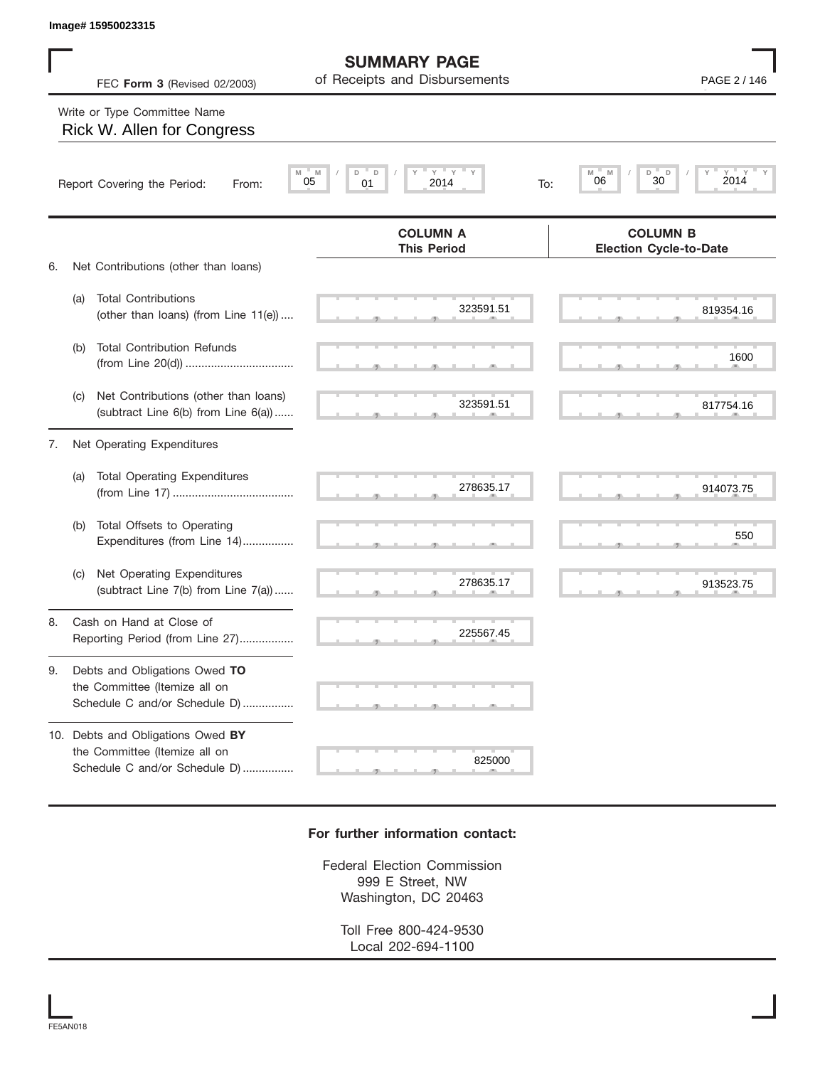|    |     | Image# 15950023315                                                                                  |                                                      |                                                  |
|----|-----|-----------------------------------------------------------------------------------------------------|------------------------------------------------------|--------------------------------------------------|
|    |     | FEC Form 3 (Revised 02/2003)                                                                        | <b>SUMMARY PAGE</b><br>of Receipts and Disbursements | PAGE 2 / 146                                     |
|    |     | Write or Type Committee Name<br>Rick W. Allen for Congress                                          |                                                      |                                                  |
|    |     | Report Covering the Period:<br>From:                                                                | Y<br>ΞY.<br>D<br>D<br>M<br>05<br>2014<br>01<br>To:   | D<br>D<br>Υ<br>M<br>M<br>2014<br>30<br>06        |
| 6. |     | Net Contributions (other than loans)                                                                | <b>COLUMN A</b><br><b>This Period</b>                | <b>COLUMN B</b><br><b>Election Cycle-to-Date</b> |
|    | (a) | <b>Total Contributions</b><br>(other than loans) (from Line 11(e))                                  | 323591.51                                            | 819354.16                                        |
|    | (b) | <b>Total Contribution Refunds</b>                                                                   |                                                      | 1600                                             |
|    | (C) | Net Contributions (other than loans)<br>(subtract Line 6(b) from Line 6(a))                         | 323591.51                                            | 817754.16                                        |
| 7. |     | Net Operating Expenditures                                                                          |                                                      |                                                  |
|    | (a) | <b>Total Operating Expenditures</b>                                                                 | 278635.17                                            | 914073.75                                        |
|    | (b) | Total Offsets to Operating<br>Expenditures (from Line 14)                                           |                                                      | 550                                              |
|    | (C) | Net Operating Expenditures<br>(subtract Line 7(b) from Line 7(a))                                   | 278635.17                                            | 913523.75                                        |
| 8  |     | Cash on Hand at Close of<br>Reporting Period (from Line 27)                                         | 225567.45                                            |                                                  |
| 9. |     | Debts and Obligations Owed TO<br>the Committee (Itemize all on<br>Schedule C and/or Schedule D)     |                                                      |                                                  |
|    |     | 10. Debts and Obligations Owed BY<br>the Committee (Itemize all on<br>Schedule C and/or Schedule D) | 825000                                               |                                                  |

## **For further information contact:**

Federal Election Commission 999 E Street, NW Washington, DC 20463

> Toll Free 800-424-9530 Local 202-694-1100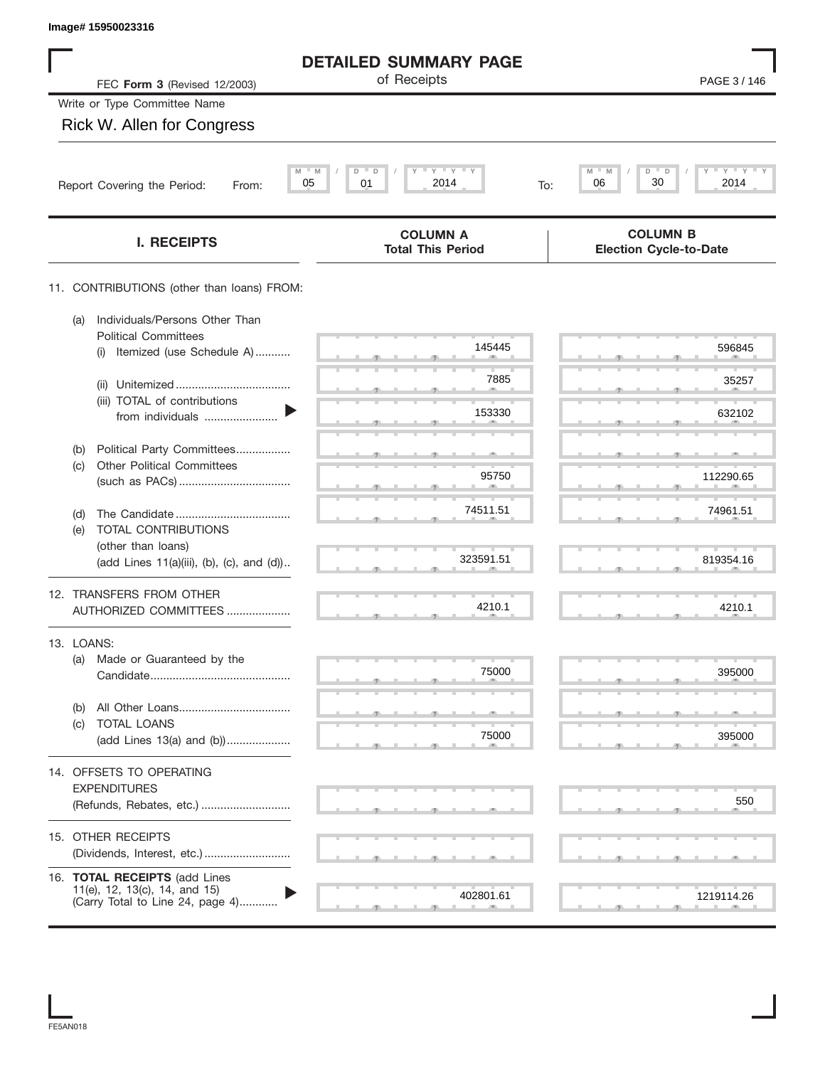| Image# 15950023316                                                                                 |                                                             |                                                              |
|----------------------------------------------------------------------------------------------------|-------------------------------------------------------------|--------------------------------------------------------------|
|                                                                                                    | <b>DETAILED SUMMARY PAGE</b>                                |                                                              |
| FEC Form 3 (Revised 12/2003)                                                                       | of Receipts                                                 | PAGE 3/146                                                   |
| Write or Type Committee Name                                                                       |                                                             |                                                              |
| Rick W. Allen for Congress                                                                         |                                                             |                                                              |
| Report Covering the Period:<br>From:                                                               | $Y$ $Y$ $Y$<br>$M = M$<br>D<br>D<br>05<br>2014<br>01<br>To: | M<br>$\gamma$ = $\gamma$ = $\gamma$<br>D<br>30<br>06<br>2014 |
| <b>I. RECEIPTS</b>                                                                                 | <b>COLUMN A</b><br><b>Total This Period</b>                 | <b>COLUMN B</b><br><b>Election Cycle-to-Date</b>             |
| 11. CONTRIBUTIONS (other than loans) FROM:                                                         |                                                             |                                                              |
| Individuals/Persons Other Than<br>(a)<br><b>Political Committees</b>                               |                                                             |                                                              |
| Itemized (use Schedule A)<br>(i)                                                                   | 145445                                                      | 596845                                                       |
| (ii)                                                                                               | 7885                                                        | 35257                                                        |
| (iii) TOTAL of contributions<br>from individuals                                                   | 153330                                                      | 632102                                                       |
| Political Party Committees<br>(b)                                                                  |                                                             |                                                              |
| <b>Other Political Committees</b><br>(c)                                                           | 95750                                                       | 112290.65                                                    |
| (d)                                                                                                | 74511.51                                                    | 74961.51                                                     |
| TOTAL CONTRIBUTIONS<br>(e)<br>(other than loans)                                                   |                                                             |                                                              |
| (add Lines 11(a)(iii), (b), (c), and (d))                                                          | 323591.51                                                   | 819354.16                                                    |
| 12. TRANSFERS FROM OTHER<br>AUTHORIZED COMMITTEES                                                  | 4210.1                                                      | 4210.1                                                       |
| 13. LOANS:                                                                                         |                                                             |                                                              |
| Made or Guaranteed by the<br>(a)                                                                   | 75000                                                       | 395000                                                       |
| (b)                                                                                                |                                                             |                                                              |
| <b>TOTAL LOANS</b><br>(c)<br>(add Lines 13(a) and (b))                                             | 75000                                                       | 395000                                                       |
| 14. OFFSETS TO OPERATING                                                                           |                                                             |                                                              |
| <b>EXPENDITURES</b>                                                                                |                                                             |                                                              |
| (Refunds, Rebates, etc.)                                                                           |                                                             | 550                                                          |
| 15. OTHER RECEIPTS                                                                                 |                                                             |                                                              |
|                                                                                                    |                                                             |                                                              |
| 16. TOTAL RECEIPTS (add Lines<br>11(e), 12, 13(c), 14, and 15)<br>(Carry Total to Line 24, page 4) | 402801.61                                                   | 1219114.26                                                   |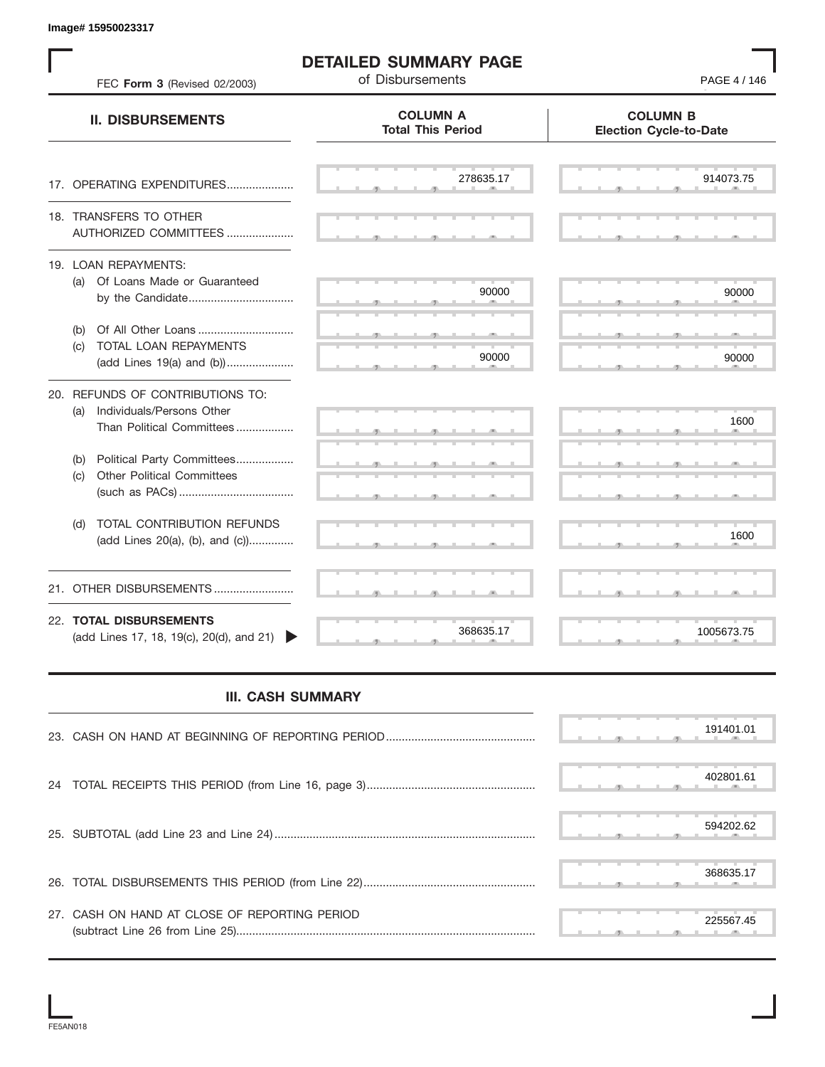S S S , , . S S S , , . S S S , , . S S S , , . S S S , , . S S S , , . S S S , , . S S S , , . S S S , , . S S S , , . S S S , , . S S S , , . S S S , , . S S S , , . S S S , , . S S S , , . S S S , , . S S S , , . S S S , , . S S S , , . S S S S S S **COLUMN B Election Cycle-to-Date COLUMN A Total This Period** 17. OPERATING EXPENDITURES.................... 18. TRANSFERS TO OTHER AUTHORIZED COMMITTEES ..................... 19. LOAN REPAYMENTS: (a) Of Loans Made or Guaranteed by the Candidate ................................. (b) Of All Other Loans .............................. (c) TOTAL LOAN REPAYMENTS (add Lines 19(a) and (b)) ..................... 20. REFUNDS OF CONTRIBUTIONS TO: (a) Individuals/Persons Other Than Political Committees ................. (b) Political Party Committees.................. (c) Other Political Committees (such as PACs) .................................... (d) TOTAL CONTRIBUTION REFUNDS (add Lines 20(a), (b), and (c)).............. 21. OTHER DISBURSEMENTS ......................... 22. **TOTAL DISBURSEMENTS**   $(\text{add Lines 17}, 18, 19(c), 20(d), \text{and } 21)$ **II. DISBURSEMENTS DETAILED SUMMARY PAGE** FEC **Form 3** (Revised 02/2003) **COMPOSE 19 (1991) PAGE 4** / 146 **III. CASH SUMMARY** , , . , , . Example 198867.4517 36863.17 1600 90000 90000 90000 90000 90000 90000 90000 90000 90000 90000 90000 90000 90000 90000 90000 90000 90000 90000 90000 90000 90000 90000 90000 90000 90000 90000 90000 90000 90000 90000 90000 9

|                                               |  |  |  | 191401.01 |
|-----------------------------------------------|--|--|--|-----------|
|                                               |  |  |  | 402801.61 |
|                                               |  |  |  | 594202.62 |
|                                               |  |  |  | 368635.17 |
| 27. CASH ON HAND AT CLOSE OF REPORTING PERIOD |  |  |  | 225567.45 |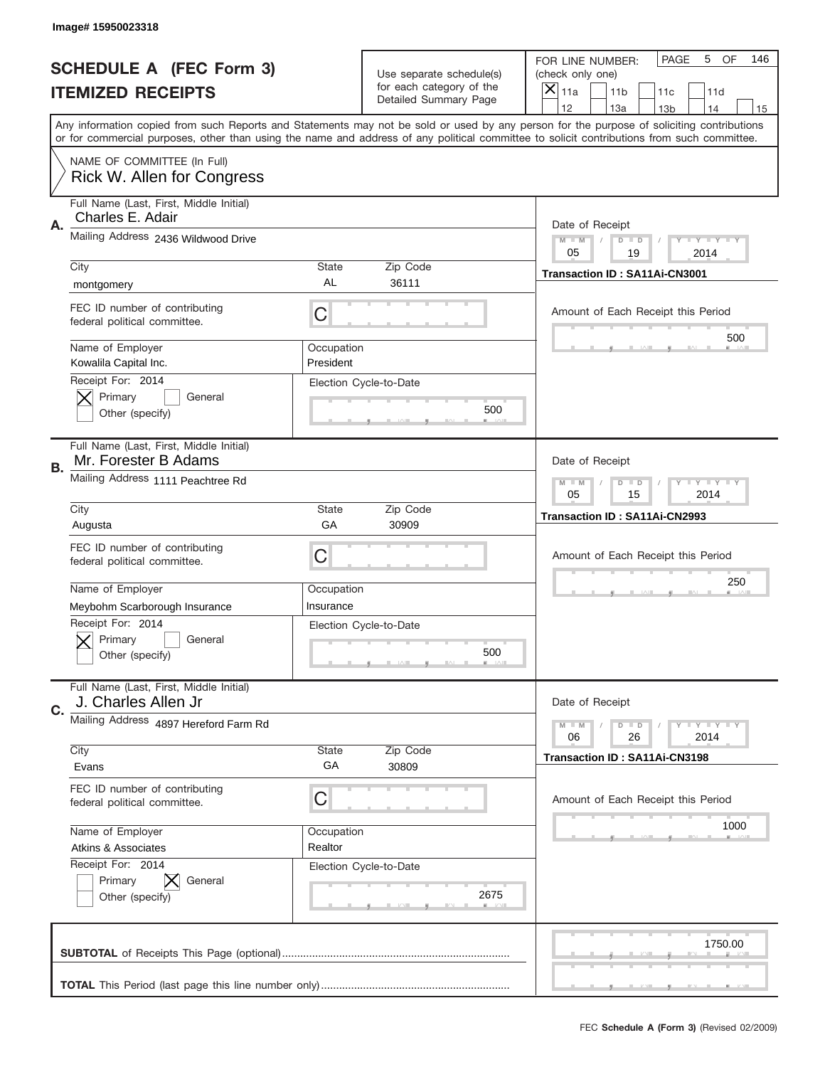|    | Image# 15950023318                                              |                         |                                                   |                                                                                                                                                                                                                                                                                                                                     |
|----|-----------------------------------------------------------------|-------------------------|---------------------------------------------------|-------------------------------------------------------------------------------------------------------------------------------------------------------------------------------------------------------------------------------------------------------------------------------------------------------------------------------------|
|    | <b>SCHEDULE A (FEC Form 3)</b>                                  |                         | Use separate schedule(s)                          | PAGE<br>OF<br>5<br>146<br>FOR LINE NUMBER:<br>(check only one)                                                                                                                                                                                                                                                                      |
|    | <b>ITEMIZED RECEIPTS</b>                                        |                         | for each category of the<br>Detailed Summary Page | ×<br>11a<br>11 <sub>b</sub><br>11c<br>11d                                                                                                                                                                                                                                                                                           |
|    |                                                                 |                         |                                                   | 12<br>13a<br>14<br>13 <sub>b</sub><br>15<br>Any information copied from such Reports and Statements may not be sold or used by any person for the purpose of soliciting contributions<br>or for commercial purposes, other than using the name and address of any political committee to solicit contributions from such committee. |
|    | NAME OF COMMITTEE (In Full)<br>Rick W. Allen for Congress       |                         |                                                   |                                                                                                                                                                                                                                                                                                                                     |
| Α. | Full Name (Last, First, Middle Initial)<br>Charles E. Adair     |                         |                                                   | Date of Receipt                                                                                                                                                                                                                                                                                                                     |
|    | Mailing Address 2436 Wildwood Drive                             |                         |                                                   | $M - M$<br><b>LEY LEY LEY</b><br>$D$ $D$<br>05<br>19<br>2014                                                                                                                                                                                                                                                                        |
|    | City<br>montgomery                                              | State<br>AL             | Zip Code<br>36111                                 | Transaction ID: SA11Ai-CN3001                                                                                                                                                                                                                                                                                                       |
|    | FEC ID number of contributing<br>federal political committee.   | C                       |                                                   | Amount of Each Receipt this Period<br>500                                                                                                                                                                                                                                                                                           |
|    | Name of Employer<br>Kowalila Capital Inc.<br>Receipt For: 2014  | Occupation<br>President |                                                   |                                                                                                                                                                                                                                                                                                                                     |
|    | Primary<br>General<br>Other (specify)                           |                         | Election Cycle-to-Date<br>500                     |                                                                                                                                                                                                                                                                                                                                     |
| В. | Full Name (Last, First, Middle Initial)<br>Mr. Forester B Adams |                         |                                                   | Date of Receipt                                                                                                                                                                                                                                                                                                                     |
|    | Mailing Address 1111 Peachtree Rd                               |                         |                                                   | $M$ M<br><b>LEYTEY LEY</b><br>$D$ $D$<br>05<br>15<br>2014                                                                                                                                                                                                                                                                           |
|    | City<br>Augusta                                                 | State<br>GA             | Zip Code<br>30909                                 | Transaction ID: SA11Ai-CN2993                                                                                                                                                                                                                                                                                                       |
|    | FEC ID number of contributing<br>federal political committee.   | C                       |                                                   | Amount of Each Receipt this Period                                                                                                                                                                                                                                                                                                  |
|    | Name of Employer<br>Meybohm Scarborough Insurance               | Occupation<br>Insurance |                                                   | 250                                                                                                                                                                                                                                                                                                                                 |
|    | Receipt For: 2014<br>General<br>Primary<br>Other (specify)      |                         | Election Cycle-to-Date<br>500                     |                                                                                                                                                                                                                                                                                                                                     |
| C. | Full Name (Last, First, Middle Initial)<br>J. Charles Allen Jr  |                         |                                                   | Date of Receipt                                                                                                                                                                                                                                                                                                                     |
|    | Mailing Address 4897 Hereford Farm Rd                           |                         |                                                   | <b>LEY LEY LEY</b><br>$M - M$<br>$D$ $D$<br>06<br>2014<br>26                                                                                                                                                                                                                                                                        |
|    | City<br>Evans                                                   | <b>State</b><br>GA      | Zip Code<br>30809                                 | <b>Transaction ID: SA11Ai-CN3198</b>                                                                                                                                                                                                                                                                                                |
|    | FEC ID number of contributing<br>federal political committee.   | C                       |                                                   | Amount of Each Receipt this Period                                                                                                                                                                                                                                                                                                  |
|    | Name of Employer                                                | Occupation<br>Realtor   |                                                   | 1000                                                                                                                                                                                                                                                                                                                                |
|    | Atkins & Associates                                             |                         |                                                   |                                                                                                                                                                                                                                                                                                                                     |
|    | Receipt For: 2014<br>Primary<br>General<br>Other (specify)      |                         | Election Cycle-to-Date<br>2675                    |                                                                                                                                                                                                                                                                                                                                     |
|    |                                                                 |                         |                                                   | 1750.00                                                                                                                                                                                                                                                                                                                             |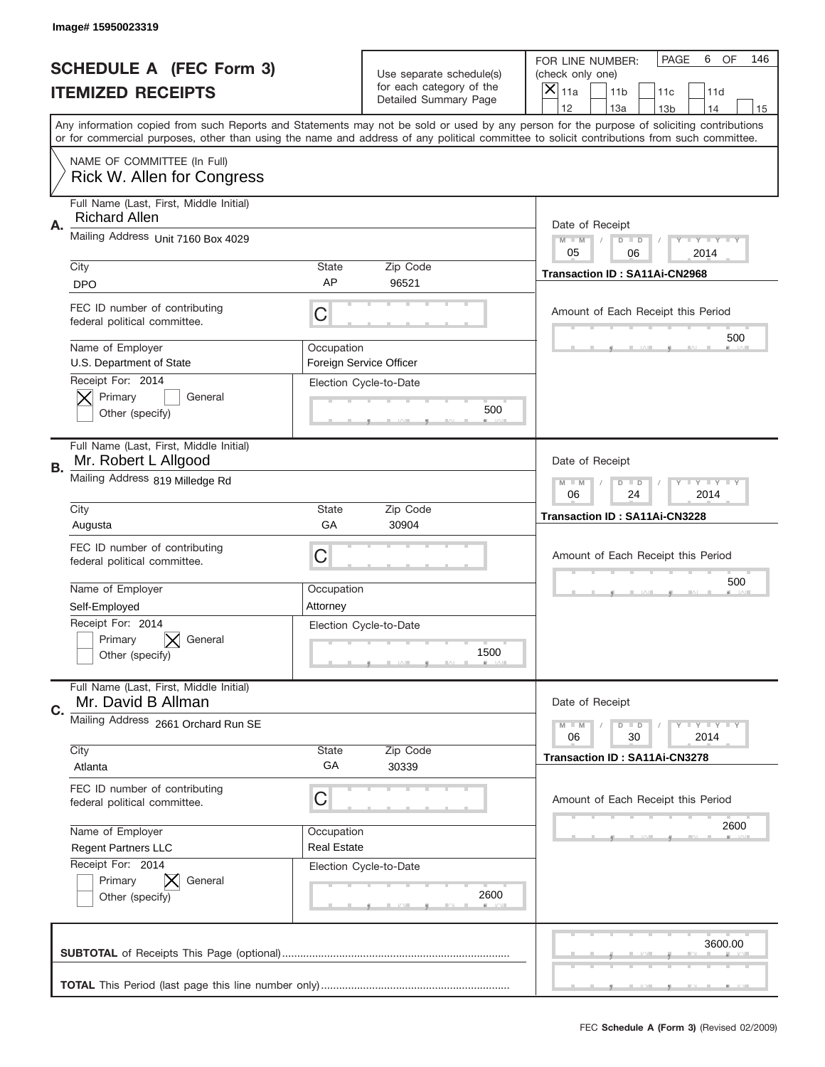|    | Image#15950023319                                                 |                                  |                                                      |                                                                                                                                                                                                                                                                                                                                     |
|----|-------------------------------------------------------------------|----------------------------------|------------------------------------------------------|-------------------------------------------------------------------------------------------------------------------------------------------------------------------------------------------------------------------------------------------------------------------------------------------------------------------------------------|
|    | <b>SCHEDULE A (FEC Form 3)</b>                                    |                                  | Use separate schedule(s)<br>for each category of the | PAGE<br>OF<br>6<br>146<br>FOR LINE NUMBER:<br>(check only one)                                                                                                                                                                                                                                                                      |
|    | <b>ITEMIZED RECEIPTS</b>                                          |                                  | Detailed Summary Page                                | ×<br>11a<br>11 <sub>b</sub><br>11c<br>11d                                                                                                                                                                                                                                                                                           |
|    |                                                                   |                                  |                                                      | 12<br>13a<br>14<br>13 <sub>b</sub><br>15<br>Any information copied from such Reports and Statements may not be sold or used by any person for the purpose of soliciting contributions<br>or for commercial purposes, other than using the name and address of any political committee to solicit contributions from such committee. |
|    | NAME OF COMMITTEE (In Full)<br>Rick W. Allen for Congress         |                                  |                                                      |                                                                                                                                                                                                                                                                                                                                     |
| Α. | Full Name (Last, First, Middle Initial)<br><b>Richard Allen</b>   |                                  |                                                      | Date of Receipt                                                                                                                                                                                                                                                                                                                     |
|    | Mailing Address Unit 7160 Box 4029                                |                                  |                                                      | $M - M$<br><b>LEY LEY LEY</b><br>$D$ $D$<br>05<br>06<br>2014                                                                                                                                                                                                                                                                        |
|    | City<br><b>DPO</b>                                                | State<br>AP                      | Zip Code<br>96521                                    | Transaction ID: SA11Ai-CN2968                                                                                                                                                                                                                                                                                                       |
|    | FEC ID number of contributing<br>federal political committee.     | C                                |                                                      | Amount of Each Receipt this Period<br>500                                                                                                                                                                                                                                                                                           |
|    | Name of Employer<br>U.S. Department of State<br>Receipt For: 2014 | Occupation                       | Foreign Service Officer                              |                                                                                                                                                                                                                                                                                                                                     |
|    | Primary<br>General<br>Other (specify)                             |                                  | Election Cycle-to-Date<br>500                        |                                                                                                                                                                                                                                                                                                                                     |
| В. | Full Name (Last, First, Middle Initial)<br>Mr. Robert L Allgood   |                                  |                                                      | Date of Receipt                                                                                                                                                                                                                                                                                                                     |
|    | Mailing Address 819 Milledge Rd                                   |                                  |                                                      | $M - M$<br><b>LEYTEY LEY</b><br>$D$ $D$<br>06<br>24<br>2014                                                                                                                                                                                                                                                                         |
|    | City<br>Augusta                                                   | State<br>GA                      | Zip Code<br>30904                                    | Transaction ID: SA11Ai-CN3228                                                                                                                                                                                                                                                                                                       |
|    | FEC ID number of contributing<br>federal political committee.     | C                                |                                                      | Amount of Each Receipt this Period                                                                                                                                                                                                                                                                                                  |
|    |                                                                   |                                  |                                                      | 500                                                                                                                                                                                                                                                                                                                                 |
|    | Name of Employer<br>Self-Employed                                 | Occupation<br>Attorney           |                                                      |                                                                                                                                                                                                                                                                                                                                     |
|    | Receipt For: 2014<br>General<br>Primary<br>Other (specify)        |                                  | Election Cycle-to-Date<br>1500                       |                                                                                                                                                                                                                                                                                                                                     |
| C. | Full Name (Last, First, Middle Initial)<br>Mr. David B Allman     |                                  |                                                      | Date of Receipt                                                                                                                                                                                                                                                                                                                     |
|    | Mailing Address 2661 Orchard Run SE                               |                                  |                                                      | <b>LEY LEY LEY</b><br>$M - M$<br>$D$ $D$<br>06<br>2014<br>30                                                                                                                                                                                                                                                                        |
|    | City<br>Atlanta                                                   | State<br>GA                      | Zip Code<br>30339                                    | Transaction ID: SA11Ai-CN3278                                                                                                                                                                                                                                                                                                       |
|    | FEC ID number of contributing<br>federal political committee.     | C                                |                                                      | Amount of Each Receipt this Period                                                                                                                                                                                                                                                                                                  |
|    | Name of Employer<br>Regent Partners LLC                           | Occupation<br><b>Real Estate</b> |                                                      | 2600                                                                                                                                                                                                                                                                                                                                |
|    | Receipt For: 2014<br>Primary<br>ΙX<br>General<br>Other (specify)  |                                  | Election Cycle-to-Date<br>2600                       |                                                                                                                                                                                                                                                                                                                                     |
|    |                                                                   |                                  |                                                      | 3600.00                                                                                                                                                                                                                                                                                                                             |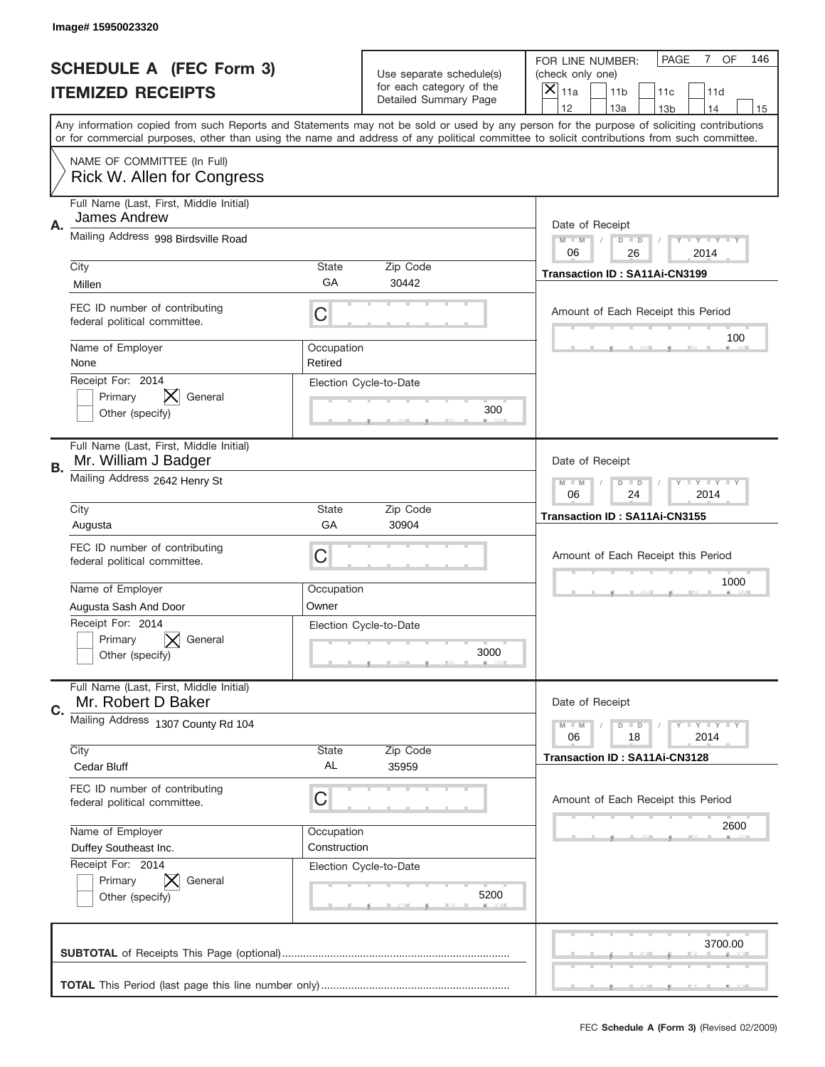|    | Image# 15950023320                                              |                       |                                                   |                                                                                                                                                                                                                                                                                                                                     |
|----|-----------------------------------------------------------------|-----------------------|---------------------------------------------------|-------------------------------------------------------------------------------------------------------------------------------------------------------------------------------------------------------------------------------------------------------------------------------------------------------------------------------------|
|    | <b>SCHEDULE A (FEC Form 3)</b>                                  |                       | Use separate schedule(s)                          | OF<br><b>PAGE</b><br>$\mathbf{7}$<br>146<br>FOR LINE NUMBER:<br>(check only one)                                                                                                                                                                                                                                                    |
|    | <b>ITEMIZED RECEIPTS</b>                                        |                       | for each category of the<br>Detailed Summary Page | ×<br>11a<br>11 <sub>b</sub><br>11c<br>11d                                                                                                                                                                                                                                                                                           |
|    |                                                                 |                       |                                                   | 12<br>13a<br>14<br>13 <sub>b</sub><br>15<br>Any information copied from such Reports and Statements may not be sold or used by any person for the purpose of soliciting contributions<br>or for commercial purposes, other than using the name and address of any political committee to solicit contributions from such committee. |
|    | NAME OF COMMITTEE (In Full)                                     |                       |                                                   |                                                                                                                                                                                                                                                                                                                                     |
|    | Rick W. Allen for Congress                                      |                       |                                                   |                                                                                                                                                                                                                                                                                                                                     |
| Α. | Full Name (Last, First, Middle Initial)<br>James Andrew         |                       |                                                   | Date of Receipt                                                                                                                                                                                                                                                                                                                     |
|    | Mailing Address 998 Birdsville Road                             |                       |                                                   | $M - M$<br><b>LEY LEY LEY</b><br>$D$ $D$<br>06<br>26<br>2014                                                                                                                                                                                                                                                                        |
|    | City                                                            | State<br>GА           | Zip Code                                          | Transaction ID: SA11Ai-CN3199                                                                                                                                                                                                                                                                                                       |
|    | Millen                                                          |                       | 30442                                             |                                                                                                                                                                                                                                                                                                                                     |
|    | FEC ID number of contributing<br>federal political committee.   | C                     |                                                   | Amount of Each Receipt this Period                                                                                                                                                                                                                                                                                                  |
|    | Name of Employer<br>None                                        | Occupation<br>Retired |                                                   | 100                                                                                                                                                                                                                                                                                                                                 |
|    | Receipt For: 2014                                               |                       | Election Cycle-to-Date                            |                                                                                                                                                                                                                                                                                                                                     |
|    | Primary<br>General                                              |                       | 300                                               |                                                                                                                                                                                                                                                                                                                                     |
|    | Other (specify)                                                 |                       |                                                   |                                                                                                                                                                                                                                                                                                                                     |
| В. | Full Name (Last, First, Middle Initial)<br>Mr. William J Badger |                       |                                                   | Date of Receipt                                                                                                                                                                                                                                                                                                                     |
|    | Mailing Address 2642 Henry St                                   |                       |                                                   | $M$ M<br><b>LEYTEY LEY</b><br>$D$ $D$                                                                                                                                                                                                                                                                                               |
|    |                                                                 |                       |                                                   | 06<br>24<br>2014                                                                                                                                                                                                                                                                                                                    |
|    | City<br>Augusta                                                 | State<br>GA           | Zip Code<br>30904                                 | Transaction ID: SA11Ai-CN3155                                                                                                                                                                                                                                                                                                       |
|    | FEC ID number of contributing                                   |                       |                                                   |                                                                                                                                                                                                                                                                                                                                     |
|    | federal political committee.                                    | C                     |                                                   | Amount of Each Receipt this Period                                                                                                                                                                                                                                                                                                  |
|    | Name of Employer                                                | Occupation            |                                                   | 1000                                                                                                                                                                                                                                                                                                                                |
|    | Augusta Sash And Door                                           | Owner                 |                                                   |                                                                                                                                                                                                                                                                                                                                     |
|    | Receipt For: 2014                                               |                       | Election Cycle-to-Date                            |                                                                                                                                                                                                                                                                                                                                     |
|    | General<br>Primary                                              |                       |                                                   |                                                                                                                                                                                                                                                                                                                                     |
|    | Other (specify)                                                 |                       | 3000                                              |                                                                                                                                                                                                                                                                                                                                     |
|    | Full Name (Last, First, Middle Initial)<br>Mr. Robert D Baker   |                       |                                                   | Date of Receipt                                                                                                                                                                                                                                                                                                                     |
| C. | Mailing Address 1307 County Rd 104                              |                       |                                                   | <b>LEY LEY LEY</b><br>$M - M$<br>$D$ $D$                                                                                                                                                                                                                                                                                            |
|    |                                                                 |                       |                                                   | 06<br>2014<br>18                                                                                                                                                                                                                                                                                                                    |
|    | City<br><b>Cedar Bluff</b>                                      | <b>State</b><br>AL    | Zip Code<br>35959                                 | Transaction ID: SA11Ai-CN3128                                                                                                                                                                                                                                                                                                       |
|    |                                                                 |                       |                                                   |                                                                                                                                                                                                                                                                                                                                     |
|    | FEC ID number of contributing<br>federal political committee.   | C                     |                                                   | Amount of Each Receipt this Period                                                                                                                                                                                                                                                                                                  |
|    | Name of Employer                                                | Occupation            |                                                   | 2600                                                                                                                                                                                                                                                                                                                                |
|    | Duffey Southeast Inc.                                           | Construction          |                                                   |                                                                                                                                                                                                                                                                                                                                     |
|    | Receipt For: 2014<br>Primary<br>General                         |                       | Election Cycle-to-Date                            |                                                                                                                                                                                                                                                                                                                                     |
|    | Other (specify)                                                 |                       | 5200                                              |                                                                                                                                                                                                                                                                                                                                     |
|    |                                                                 |                       |                                                   |                                                                                                                                                                                                                                                                                                                                     |
|    |                                                                 |                       |                                                   | 3700.00                                                                                                                                                                                                                                                                                                                             |
|    |                                                                 |                       |                                                   |                                                                                                                                                                                                                                                                                                                                     |
|    |                                                                 |                       |                                                   |                                                                                                                                                                                                                                                                                                                                     |
|    |                                                                 |                       |                                                   |                                                                                                                                                                                                                                                                                                                                     |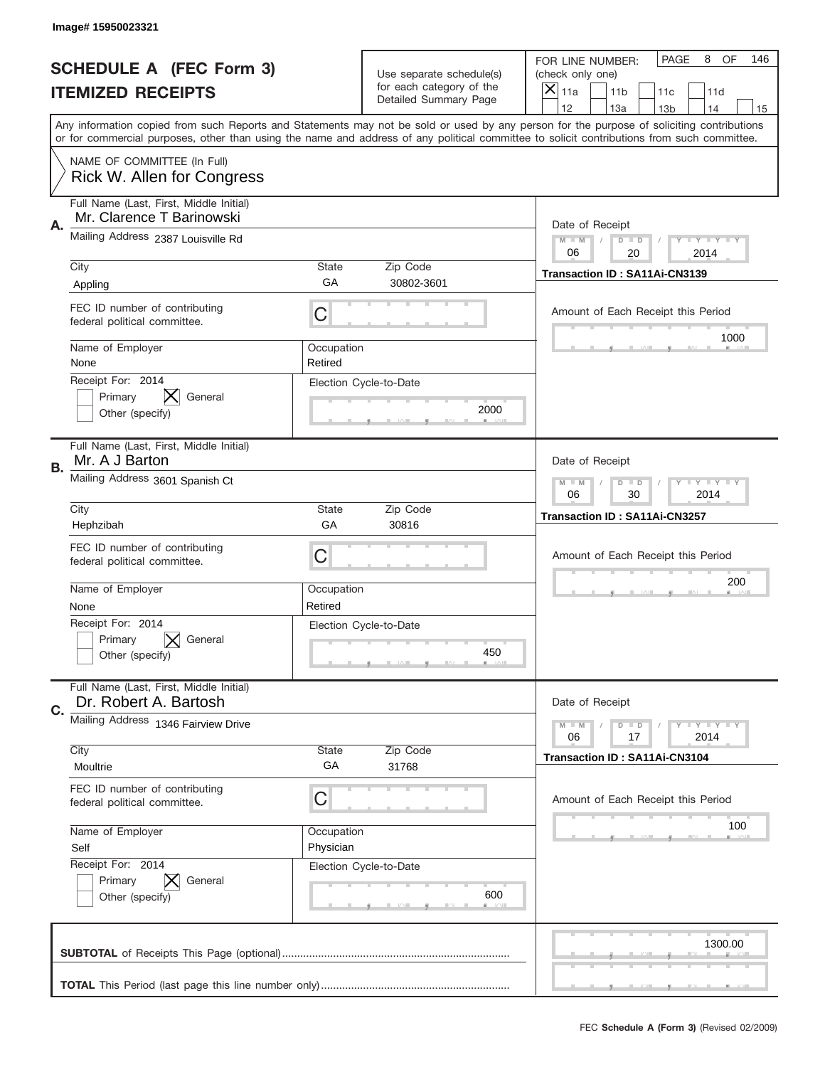|    | Image# 15950023321                                                   |                         |                                                      |                                                                                                                                                                                                                                                                                         |
|----|----------------------------------------------------------------------|-------------------------|------------------------------------------------------|-----------------------------------------------------------------------------------------------------------------------------------------------------------------------------------------------------------------------------------------------------------------------------------------|
|    | <b>SCHEDULE A (FEC Form 3)</b>                                       |                         | Use separate schedule(s)<br>for each category of the | OF<br>PAGE<br>8<br>146<br>FOR LINE NUMBER:<br>(check only one)                                                                                                                                                                                                                          |
|    | <b>ITEMIZED RECEIPTS</b>                                             |                         | Detailed Summary Page                                | $\overline{X} _{11a}$<br>11 <sub>b</sub><br>11c<br>11d<br>12<br>13a<br>13 <sub>b</sub><br>14<br>15                                                                                                                                                                                      |
|    |                                                                      |                         |                                                      | Any information copied from such Reports and Statements may not be sold or used by any person for the purpose of soliciting contributions<br>or for commercial purposes, other than using the name and address of any political committee to solicit contributions from such committee. |
|    | NAME OF COMMITTEE (In Full)<br>Rick W. Allen for Congress            |                         |                                                      |                                                                                                                                                                                                                                                                                         |
| Α. | Full Name (Last, First, Middle Initial)<br>Mr. Clarence T Barinowski |                         |                                                      | Date of Receipt                                                                                                                                                                                                                                                                         |
|    | Mailing Address 2387 Louisville Rd                                   |                         |                                                      | $M$ M<br><b>LEY LEY LEY</b><br>$D$ $D$<br>06<br>20<br>2014                                                                                                                                                                                                                              |
|    | City<br>Appling                                                      | State<br>GA             | Zip Code<br>30802-3601                               | Transaction ID: SA11Ai-CN3139                                                                                                                                                                                                                                                           |
|    | FEC ID number of contributing<br>federal political committee.        | C                       |                                                      | Amount of Each Receipt this Period                                                                                                                                                                                                                                                      |
|    | Name of Employer<br>None                                             | Occupation<br>Retired   |                                                      | 1000                                                                                                                                                                                                                                                                                    |
|    | Receipt For: 2014<br>Primary<br>General<br>Other (specify)           |                         | Election Cycle-to-Date<br>2000                       |                                                                                                                                                                                                                                                                                         |
| В. | Full Name (Last, First, Middle Initial)<br>Mr. A J Barton            |                         |                                                      | Date of Receipt                                                                                                                                                                                                                                                                         |
|    | Mailing Address 3601 Spanish Ct                                      |                         |                                                      | <b>LEY LEY LEY</b><br>$M - M$<br>$D$ $D$<br>30<br>2014<br>06                                                                                                                                                                                                                            |
|    | City<br>Hephzibah                                                    | State<br>GA             | Zip Code<br>30816                                    | Transaction ID: SA11Ai-CN3257                                                                                                                                                                                                                                                           |
|    | FEC ID number of contributing<br>federal political committee.        | C                       |                                                      | Amount of Each Receipt this Period                                                                                                                                                                                                                                                      |
|    | Name of Employer<br>None                                             | Occupation<br>Retired   |                                                      | 200                                                                                                                                                                                                                                                                                     |
|    | Receipt For: 2014<br>General<br>Primary<br>Other (specify)           |                         | Election Cycle-to-Date<br>450                        |                                                                                                                                                                                                                                                                                         |
| C. | Full Name (Last, First, Middle Initial)<br>Dr. Robert A. Bartosh     |                         |                                                      | Date of Receipt                                                                                                                                                                                                                                                                         |
|    | Mailing Address 1346 Fairview Drive                                  |                         |                                                      | $D$ $D$<br><b>LYLYLY</b><br>$M - M$<br>06<br>2014<br>17                                                                                                                                                                                                                                 |
|    | City<br>Moultrie                                                     | <b>State</b><br>GА      | Zip Code<br>31768                                    | Transaction ID: SA11Ai-CN3104                                                                                                                                                                                                                                                           |
|    | FEC ID number of contributing<br>federal political committee.        | C                       |                                                      | Amount of Each Receipt this Period                                                                                                                                                                                                                                                      |
|    | Name of Employer<br>Self                                             | Occupation<br>Physician |                                                      | 100                                                                                                                                                                                                                                                                                     |
|    | Receipt For: 2014<br>Primary<br>General<br>Other (specify)           |                         | Election Cycle-to-Date<br>600                        |                                                                                                                                                                                                                                                                                         |
|    |                                                                      |                         |                                                      | 1300.00                                                                                                                                                                                                                                                                                 |
|    |                                                                      |                         |                                                      |                                                                                                                                                                                                                                                                                         |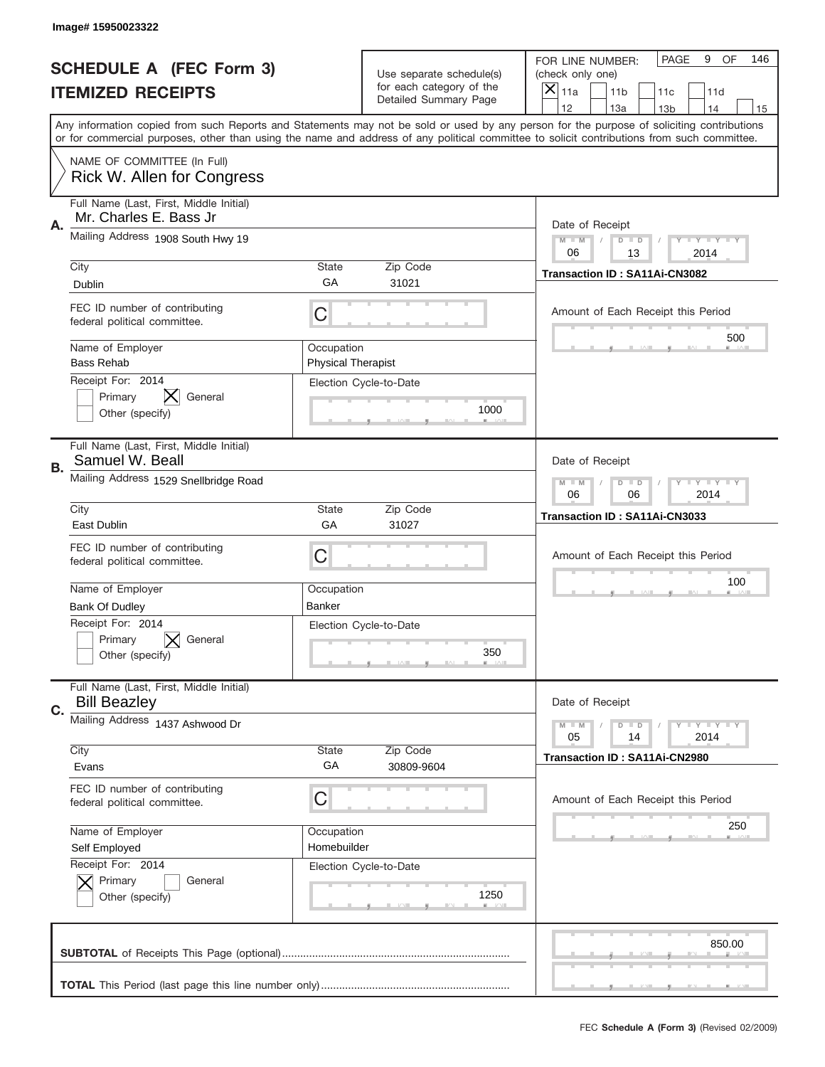|    | Image#15950023322                                                                                                                                                                                                                                                                       |                                         |                                                   |                                      |                                      |                 |                            |     |
|----|-----------------------------------------------------------------------------------------------------------------------------------------------------------------------------------------------------------------------------------------------------------------------------------------|-----------------------------------------|---------------------------------------------------|--------------------------------------|--------------------------------------|-----------------|----------------------------|-----|
|    | <b>SCHEDULE A (FEC Form 3)</b>                                                                                                                                                                                                                                                          |                                         | Use separate schedule(s)                          | FOR LINE NUMBER:<br>(check only one) |                                      | PAGE            | 9<br><b>OF</b>             | 146 |
|    | <b>ITEMIZED RECEIPTS</b>                                                                                                                                                                                                                                                                |                                         | for each category of the<br>Detailed Summary Page | $\boldsymbol{\times}$<br>11a         | 11 <sub>b</sub>                      | 11c             | 11d                        |     |
|    | Any information copied from such Reports and Statements may not be sold or used by any person for the purpose of soliciting contributions<br>or for commercial purposes, other than using the name and address of any political committee to solicit contributions from such committee. |                                         |                                                   | 12                                   | 13a                                  | 13 <sub>b</sub> | 14                         | 15  |
|    | NAME OF COMMITTEE (In Full)<br><b>Rick W. Allen for Congress</b>                                                                                                                                                                                                                        |                                         |                                                   |                                      |                                      |                 |                            |     |
| Α. | Full Name (Last, First, Middle Initial)<br>Mr. Charles E. Bass Jr.                                                                                                                                                                                                                      |                                         |                                                   |                                      | Date of Receipt                      |                 |                            |     |
|    | Mailing Address 1908 South Hwy 19                                                                                                                                                                                                                                                       |                                         |                                                   | $M - M$<br>06                        | $D$ $D$<br>13                        |                 | <b>LEY LEY LEY</b><br>2014 |     |
|    | City<br><b>Dublin</b>                                                                                                                                                                                                                                                                   | <b>State</b><br>GA                      | Zip Code<br>31021                                 |                                      | Transaction ID: SA11Ai-CN3082        |                 |                            |     |
|    | FEC ID number of contributing<br>federal political committee.                                                                                                                                                                                                                           | С                                       |                                                   |                                      | Amount of Each Receipt this Period   |                 | 500                        |     |
|    | Name of Employer<br><b>Bass Rehab</b><br>Receipt For: 2014                                                                                                                                                                                                                              | Occupation<br><b>Physical Therapist</b> |                                                   |                                      |                                      |                 |                            |     |
|    | Primary<br>General<br>Other (specify)                                                                                                                                                                                                                                                   |                                         | Election Cycle-to-Date<br>1000                    |                                      |                                      |                 |                            |     |
| В. | Full Name (Last, First, Middle Initial)<br>Samuel W. Beall                                                                                                                                                                                                                              |                                         |                                                   |                                      | Date of Receipt                      |                 |                            |     |
|    | Mailing Address 1529 Snellbridge Road                                                                                                                                                                                                                                                   |                                         |                                                   | $M - M$<br>06                        | $D$ $D$<br>06                        |                 | <b>LEY LEY LEY</b><br>2014 |     |
|    | City<br>East Dublin                                                                                                                                                                                                                                                                     | <b>State</b><br>GA                      | Zip Code<br>31027                                 |                                      | Transaction ID: SA11Ai-CN3033        |                 |                            |     |
|    | FEC ID number of contributing<br>federal political committee.                                                                                                                                                                                                                           | С                                       |                                                   |                                      | Amount of Each Receipt this Period   |                 |                            |     |
|    | Name of Employer<br>Bank Of Dudley                                                                                                                                                                                                                                                      | Occupation<br>Banker                    |                                                   |                                      |                                      |                 | 100                        |     |
|    | Receipt For: 2014<br>Primary<br>General<br>Other (specify)                                                                                                                                                                                                                              |                                         | Election Cycle-to-Date<br>350                     |                                      |                                      |                 |                            |     |
| C. | Full Name (Last, First, Middle Initial)<br><b>Bill Beazley</b>                                                                                                                                                                                                                          |                                         |                                                   |                                      | Date of Receipt                      |                 |                            |     |
|    | Mailing Address 1437 Ashwood Dr                                                                                                                                                                                                                                                         |                                         |                                                   | $M - M$<br>05                        | $D$ $D$<br>14                        |                 | <b>LY LY LY</b><br>2014    |     |
|    | City<br>Evans                                                                                                                                                                                                                                                                           | State<br>GA                             | Zip Code<br>30809-9604                            |                                      | <b>Transaction ID: SA11Ai-CN2980</b> |                 |                            |     |
|    | FEC ID number of contributing<br>federal political committee.                                                                                                                                                                                                                           | С                                       |                                                   |                                      | Amount of Each Receipt this Period   |                 |                            |     |
|    | Name of Employer<br>Self Employed                                                                                                                                                                                                                                                       | Occupation<br>Homebuilder               |                                                   |                                      |                                      |                 | 250                        |     |
|    | Receipt For: 2014<br>Primary<br>General<br>Other (specify)                                                                                                                                                                                                                              |                                         | Election Cycle-to-Date<br>1250                    |                                      |                                      |                 |                            |     |
|    |                                                                                                                                                                                                                                                                                         |                                         |                                                   |                                      |                                      |                 | 850.00                     |     |
|    |                                                                                                                                                                                                                                                                                         |                                         |                                                   |                                      |                                      |                 |                            |     |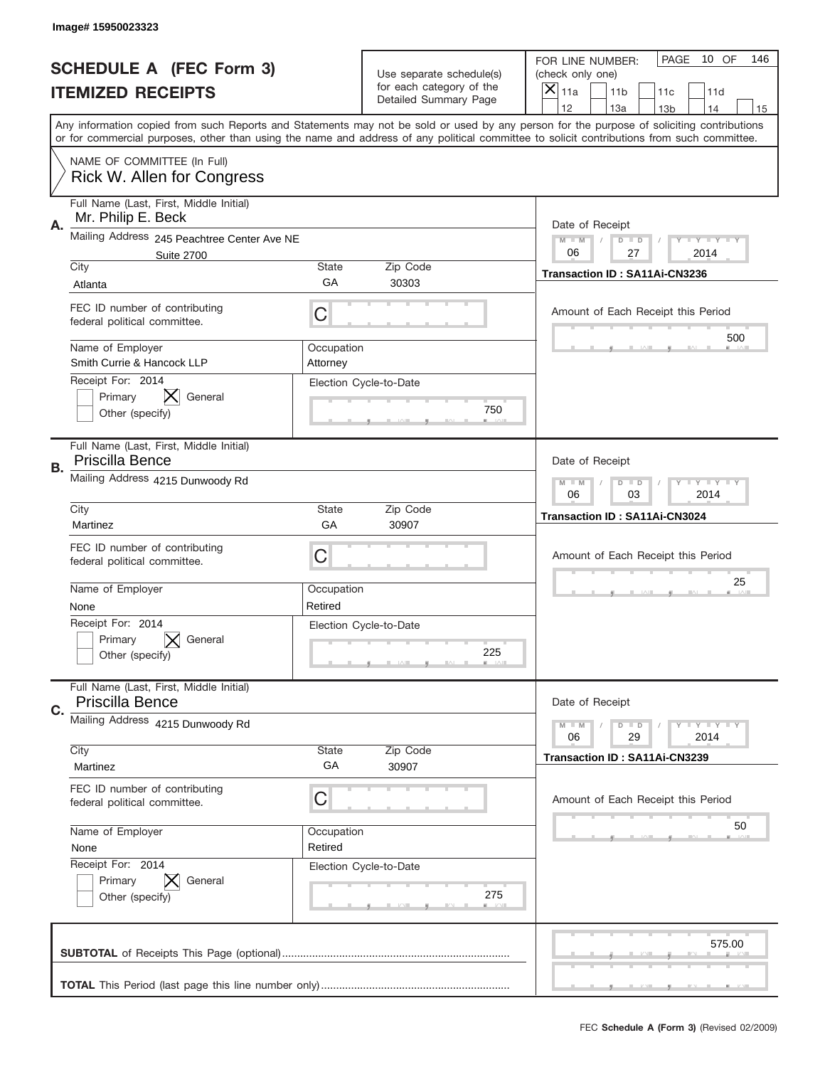|    | Image# 15950023323                                                       |                        |                                                   |                                                                                                                                                                                                                                                                                                                               |
|----|--------------------------------------------------------------------------|------------------------|---------------------------------------------------|-------------------------------------------------------------------------------------------------------------------------------------------------------------------------------------------------------------------------------------------------------------------------------------------------------------------------------|
|    | <b>SCHEDULE A (FEC Form 3)</b>                                           |                        | Use separate schedule(s)                          | PAGE<br>10 OF<br>146<br>FOR LINE NUMBER:<br>(check only one)                                                                                                                                                                                                                                                                  |
|    | <b>ITEMIZED RECEIPTS</b>                                                 |                        | for each category of the<br>Detailed Summary Page | ×<br>11a<br>11 <sub>b</sub><br>11c<br>11d<br>12                                                                                                                                                                                                                                                                               |
|    |                                                                          |                        |                                                   | 13a<br>14<br>13 <sub>b</sub><br>15<br>Any information copied from such Reports and Statements may not be sold or used by any person for the purpose of soliciting contributions<br>or for commercial purposes, other than using the name and address of any political committee to solicit contributions from such committee. |
|    | NAME OF COMMITTEE (In Full)<br><b>Rick W. Allen for Congress</b>         |                        |                                                   |                                                                                                                                                                                                                                                                                                                               |
| А. | Full Name (Last, First, Middle Initial)<br>Mr. Philip E. Beck            |                        |                                                   | Date of Receipt                                                                                                                                                                                                                                                                                                               |
|    | Mailing Address 245 Peachtree Center Ave NE<br><b>Suite 2700</b><br>City | State                  | Zip Code                                          | $M - M$<br><b>LYLYLY</b><br>$D$ $D$<br>06<br>27<br>2014                                                                                                                                                                                                                                                                       |
|    | Atlanta                                                                  | GА                     | 30303                                             | Transaction ID: SA11Ai-CN3236                                                                                                                                                                                                                                                                                                 |
|    | FEC ID number of contributing<br>federal political committee.            | C                      |                                                   | Amount of Each Receipt this Period                                                                                                                                                                                                                                                                                            |
|    | Name of Employer<br>Smith Currie & Hancock LLP                           | Occupation<br>Attorney |                                                   | 500                                                                                                                                                                                                                                                                                                                           |
|    | Receipt For: 2014<br>Primary<br>General<br>Other (specify)               |                        | Election Cycle-to-Date<br>750                     |                                                                                                                                                                                                                                                                                                                               |
| В. | Full Name (Last, First, Middle Initial)<br>Priscilla Bence               |                        |                                                   | Date of Receipt                                                                                                                                                                                                                                                                                                               |
|    | Mailing Address 4215 Dunwoody Rd                                         |                        |                                                   | $M - M$<br>$D$ $D$<br><b>LYLYLY</b><br>06<br>03<br>2014                                                                                                                                                                                                                                                                       |
|    | City<br>Martinez                                                         | State<br>GA            | Zip Code<br>30907                                 | <b>Transaction ID: SA11Ai-CN3024</b>                                                                                                                                                                                                                                                                                          |
|    | FEC ID number of contributing<br>federal political committee.            | C                      |                                                   | Amount of Each Receipt this Period                                                                                                                                                                                                                                                                                            |
|    |                                                                          |                        |                                                   | 25                                                                                                                                                                                                                                                                                                                            |
|    | Name of Employer<br>None                                                 | Occupation<br>Retired  |                                                   |                                                                                                                                                                                                                                                                                                                               |
|    | Receipt For: 2014<br>Primary<br>General<br>Other (specify)               |                        | Election Cycle-to-Date<br>225                     |                                                                                                                                                                                                                                                                                                                               |
| C. | Full Name (Last, First, Middle Initial)<br>Priscilla Bence               |                        |                                                   | Date of Receipt                                                                                                                                                                                                                                                                                                               |
|    | Mailing Address 4215 Dunwoody Rd                                         |                        |                                                   | <b>LEY LEY LEY</b><br>$M - M$<br>$D$ $D$<br>06<br>2014<br>29                                                                                                                                                                                                                                                                  |
|    | City<br>Martinez                                                         | State<br>GA            | Zip Code<br>30907                                 | Transaction ID: SA11Ai-CN3239                                                                                                                                                                                                                                                                                                 |
|    | FEC ID number of contributing<br>federal political committee.            | С                      |                                                   | Amount of Each Receipt this Period                                                                                                                                                                                                                                                                                            |
|    | Name of Employer<br>None                                                 | Occupation<br>Retired  |                                                   | 50                                                                                                                                                                                                                                                                                                                            |
|    | Receipt For: 2014<br>Primary<br>General<br>Other (specify)               |                        | Election Cycle-to-Date<br>275                     |                                                                                                                                                                                                                                                                                                                               |
|    |                                                                          |                        |                                                   | 575.00                                                                                                                                                                                                                                                                                                                        |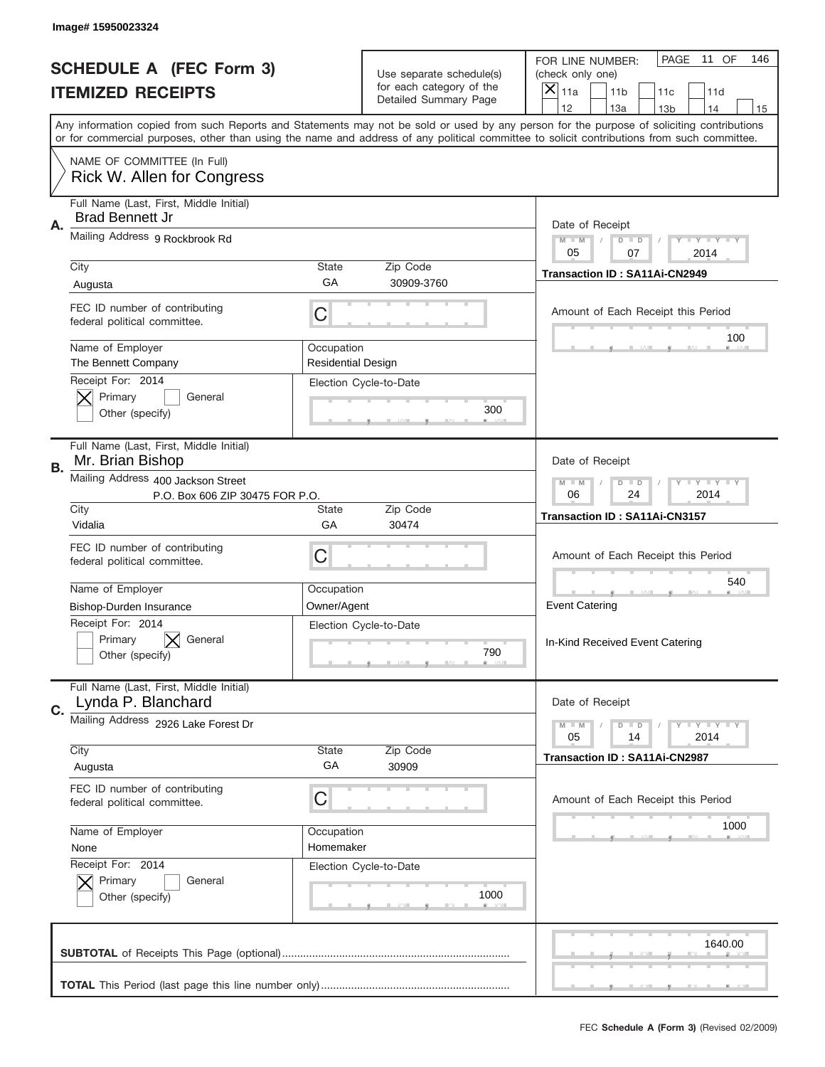|           | Image# 15950023324                                                    |                                  |                                                   |                                                                                                                                                                                                                                                                                                                                     |
|-----------|-----------------------------------------------------------------------|----------------------------------|---------------------------------------------------|-------------------------------------------------------------------------------------------------------------------------------------------------------------------------------------------------------------------------------------------------------------------------------------------------------------------------------------|
|           | <b>SCHEDULE A (FEC Form 3)</b>                                        |                                  | Use separate schedule(s)                          | PAGE<br>11 OF<br>146<br>FOR LINE NUMBER:<br>(check only one)                                                                                                                                                                                                                                                                        |
|           | <b>ITEMIZED RECEIPTS</b>                                              |                                  | for each category of the<br>Detailed Summary Page | $\times$<br>11a<br>11 <sub>b</sub><br>11c<br>11d                                                                                                                                                                                                                                                                                    |
|           |                                                                       |                                  |                                                   | 12<br>13a<br>14<br>13 <sub>b</sub><br>15<br>Any information copied from such Reports and Statements may not be sold or used by any person for the purpose of soliciting contributions<br>or for commercial purposes, other than using the name and address of any political committee to solicit contributions from such committee. |
|           | NAME OF COMMITTEE (In Full)<br>Rick W. Allen for Congress             |                                  |                                                   |                                                                                                                                                                                                                                                                                                                                     |
| Α.        | Full Name (Last, First, Middle Initial)<br><b>Brad Bennett Jr</b>     |                                  |                                                   | Date of Receipt                                                                                                                                                                                                                                                                                                                     |
|           | Mailing Address 9 Rockbrook Rd                                        |                                  |                                                   | <b>LEY LEY LEY</b><br>$M - M$<br>$D$ $D$<br>05<br>07<br>2014                                                                                                                                                                                                                                                                        |
|           | City<br>Augusta                                                       | <b>State</b><br>GA               | Zip Code<br>30909-3760                            | <b>Transaction ID: SA11Ai-CN2949</b>                                                                                                                                                                                                                                                                                                |
|           | FEC ID number of contributing<br>federal political committee.         | C                                |                                                   | Amount of Each Receipt this Period<br>100                                                                                                                                                                                                                                                                                           |
|           | Name of Employer<br>The Bennett Company                               | Occupation<br>Residential Design |                                                   |                                                                                                                                                                                                                                                                                                                                     |
|           | Receipt For: 2014<br>Primary<br>General<br>Other (specify)            |                                  | Election Cycle-to-Date<br>300                     |                                                                                                                                                                                                                                                                                                                                     |
| <b>B.</b> | Full Name (Last, First, Middle Initial)<br>Mr. Brian Bishop           |                                  |                                                   | Date of Receipt                                                                                                                                                                                                                                                                                                                     |
|           | Mailing Address 400 Jackson Street<br>P.O. Box 606 ZIP 30475 FOR P.O. |                                  |                                                   | $M - M$<br><b>LEY LEY LEY</b><br>$D$ $D$<br>06<br>24<br>2014                                                                                                                                                                                                                                                                        |
|           | City<br>Vidalia                                                       | State<br>GA                      | Zip Code<br>30474                                 | Transaction ID: SA11Ai-CN3157                                                                                                                                                                                                                                                                                                       |
|           | FEC ID number of contributing<br>federal political committee.         | С                                |                                                   | Amount of Each Receipt this Period                                                                                                                                                                                                                                                                                                  |
|           | Name of Employer                                                      | Occupation                       |                                                   | 540                                                                                                                                                                                                                                                                                                                                 |
|           | Bishop-Durden Insurance<br>Receipt For: 2014                          | Owner/Agent                      |                                                   | <b>Event Catering</b>                                                                                                                                                                                                                                                                                                               |
|           | Primary<br>General<br>Other (specify)                                 |                                  | Election Cycle-to-Date<br>790                     | In-Kind Received Event Catering                                                                                                                                                                                                                                                                                                     |
| C.        | Full Name (Last, First, Middle Initial)<br>Lynda P. Blanchard         |                                  |                                                   | Date of Receipt                                                                                                                                                                                                                                                                                                                     |
|           | Mailing Address 2926 Lake Forest Dr                                   |                                  |                                                   | <b>LY LY LY</b><br>$M - M$<br>$D$ $D$<br>05<br>2014<br>14                                                                                                                                                                                                                                                                           |
|           | City<br>Augusta                                                       | State<br>GA                      | Zip Code<br>30909                                 | <b>Transaction ID: SA11Ai-CN2987</b>                                                                                                                                                                                                                                                                                                |
|           | FEC ID number of contributing<br>federal political committee.         | С                                |                                                   | Amount of Each Receipt this Period                                                                                                                                                                                                                                                                                                  |
|           | Name of Employer                                                      | Occupation                       |                                                   | 1000                                                                                                                                                                                                                                                                                                                                |
|           | None<br>Receipt For: 2014                                             | Homemaker                        | Election Cycle-to-Date                            |                                                                                                                                                                                                                                                                                                                                     |
|           | Primary<br>General<br>Other (specify)                                 |                                  | 1000                                              |                                                                                                                                                                                                                                                                                                                                     |
|           |                                                                       |                                  |                                                   | 1640.00                                                                                                                                                                                                                                                                                                                             |
|           |                                                                       |                                  |                                                   |                                                                                                                                                                                                                                                                                                                                     |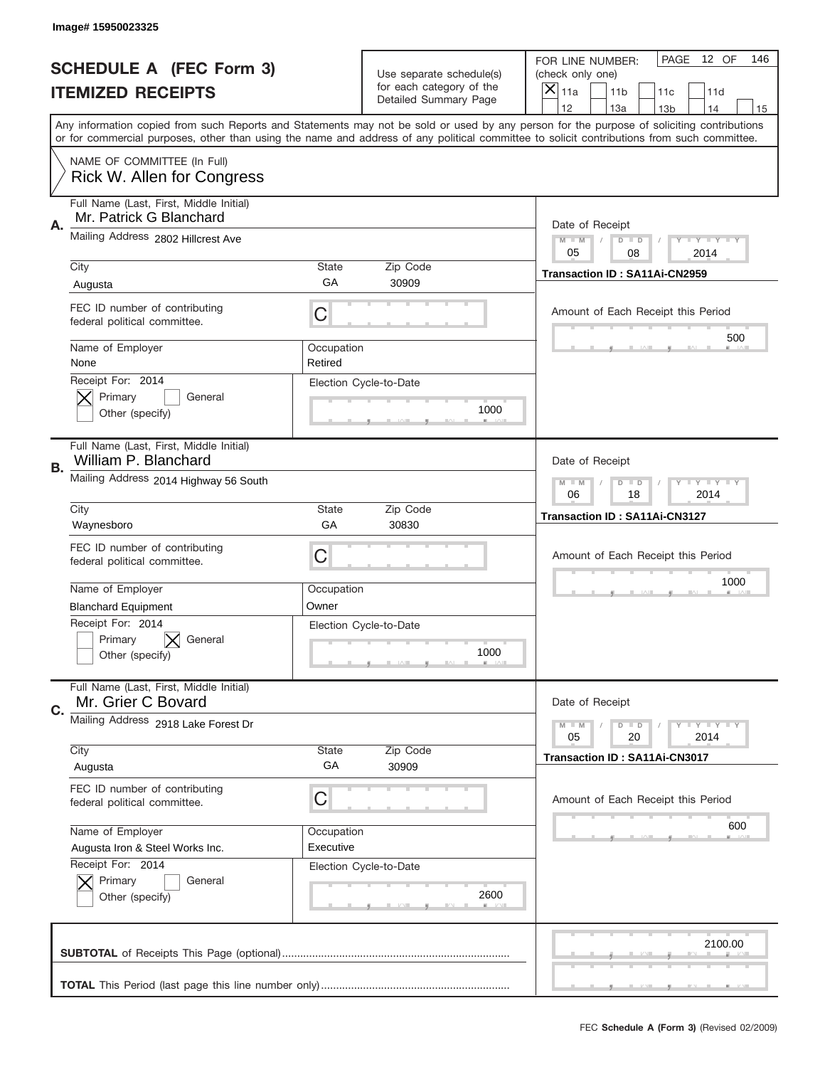|    | Image# 15950023325                                                 |                       |                                                   |                                                                                                                                                                                                                                                                                                                                     |
|----|--------------------------------------------------------------------|-----------------------|---------------------------------------------------|-------------------------------------------------------------------------------------------------------------------------------------------------------------------------------------------------------------------------------------------------------------------------------------------------------------------------------------|
|    | <b>SCHEDULE A (FEC Form 3)</b>                                     |                       | Use separate schedule(s)                          | PAGE<br>12 OF<br>146<br>FOR LINE NUMBER:<br>(check only one)                                                                                                                                                                                                                                                                        |
|    | <b>ITEMIZED RECEIPTS</b>                                           |                       | for each category of the<br>Detailed Summary Page | ×<br>11a<br>11 <sub>b</sub><br>11c<br>11d                                                                                                                                                                                                                                                                                           |
|    |                                                                    |                       |                                                   | 12<br>13a<br>14<br>13 <sub>b</sub><br>15<br>Any information copied from such Reports and Statements may not be sold or used by any person for the purpose of soliciting contributions<br>or for commercial purposes, other than using the name and address of any political committee to solicit contributions from such committee. |
|    | NAME OF COMMITTEE (In Full)<br>Rick W. Allen for Congress          |                       |                                                   |                                                                                                                                                                                                                                                                                                                                     |
| Α. | Full Name (Last, First, Middle Initial)<br>Mr. Patrick G Blanchard |                       |                                                   | Date of Receipt                                                                                                                                                                                                                                                                                                                     |
|    | Mailing Address 2802 Hillcrest Ave                                 |                       |                                                   | $M - M$<br><b>LY LY LY</b><br>$D$ $D$<br>05<br>08<br>2014                                                                                                                                                                                                                                                                           |
|    | City<br>Augusta                                                    | State<br>GA           | Zip Code<br>30909                                 | Transaction ID: SA11Ai-CN2959                                                                                                                                                                                                                                                                                                       |
|    | FEC ID number of contributing<br>federal political committee.      | C                     |                                                   | Amount of Each Receipt this Period<br>500                                                                                                                                                                                                                                                                                           |
|    | Name of Employer<br>None                                           | Occupation<br>Retired |                                                   |                                                                                                                                                                                                                                                                                                                                     |
|    | Receipt For: 2014<br>Primary<br>General<br>Other (specify)         |                       | Election Cycle-to-Date<br>1000                    |                                                                                                                                                                                                                                                                                                                                     |
| В. | Full Name (Last, First, Middle Initial)<br>William P. Blanchard    |                       |                                                   | Date of Receipt                                                                                                                                                                                                                                                                                                                     |
|    | Mailing Address 2014 Highway 56 South                              |                       |                                                   | $M - M$<br>$D$ $D$<br><b>LY LY LY</b><br>06<br>18<br>2014                                                                                                                                                                                                                                                                           |
|    | City<br>Waynesboro                                                 | State<br>GA           | Zip Code<br>30830                                 | Transaction ID: SA11Ai-CN3127                                                                                                                                                                                                                                                                                                       |
|    | FEC ID number of contributing                                      |                       |                                                   |                                                                                                                                                                                                                                                                                                                                     |
|    | federal political committee.                                       | C                     |                                                   | Amount of Each Receipt this Period                                                                                                                                                                                                                                                                                                  |
|    | Name of Employer                                                   | Occupation            |                                                   | 1000                                                                                                                                                                                                                                                                                                                                |
|    | <b>Blanchard Equipment</b>                                         | Owner                 |                                                   |                                                                                                                                                                                                                                                                                                                                     |
|    | Receipt For: 2014<br>General<br>Primary<br>Other (specify)         |                       | Election Cycle-to-Date<br>1000                    |                                                                                                                                                                                                                                                                                                                                     |
| C. | Full Name (Last, First, Middle Initial)<br>Mr. Grier C Bovard      |                       |                                                   | Date of Receipt                                                                                                                                                                                                                                                                                                                     |
|    | Mailing Address 2918 Lake Forest Dr                                |                       |                                                   | $D$ $D$<br><b>LY LY LY</b><br>$M - M$<br>05<br>2014<br>20                                                                                                                                                                                                                                                                           |
|    | City<br>Augusta                                                    | <b>State</b><br>GA    | Zip Code<br>30909                                 | <b>Transaction ID: SA11Ai-CN3017</b>                                                                                                                                                                                                                                                                                                |
|    | FEC ID number of contributing<br>federal political committee.      | C                     |                                                   | Amount of Each Receipt this Period                                                                                                                                                                                                                                                                                                  |
|    | Name of Employer                                                   | Occupation            |                                                   | 600                                                                                                                                                                                                                                                                                                                                 |
|    | Augusta Iron & Steel Works Inc.                                    | Executive             |                                                   |                                                                                                                                                                                                                                                                                                                                     |
|    | Receipt For: 2014<br>Primary<br>General<br>Other (specify)         |                       | Election Cycle-to-Date<br>2600                    |                                                                                                                                                                                                                                                                                                                                     |
|    |                                                                    |                       |                                                   | 2100.00                                                                                                                                                                                                                                                                                                                             |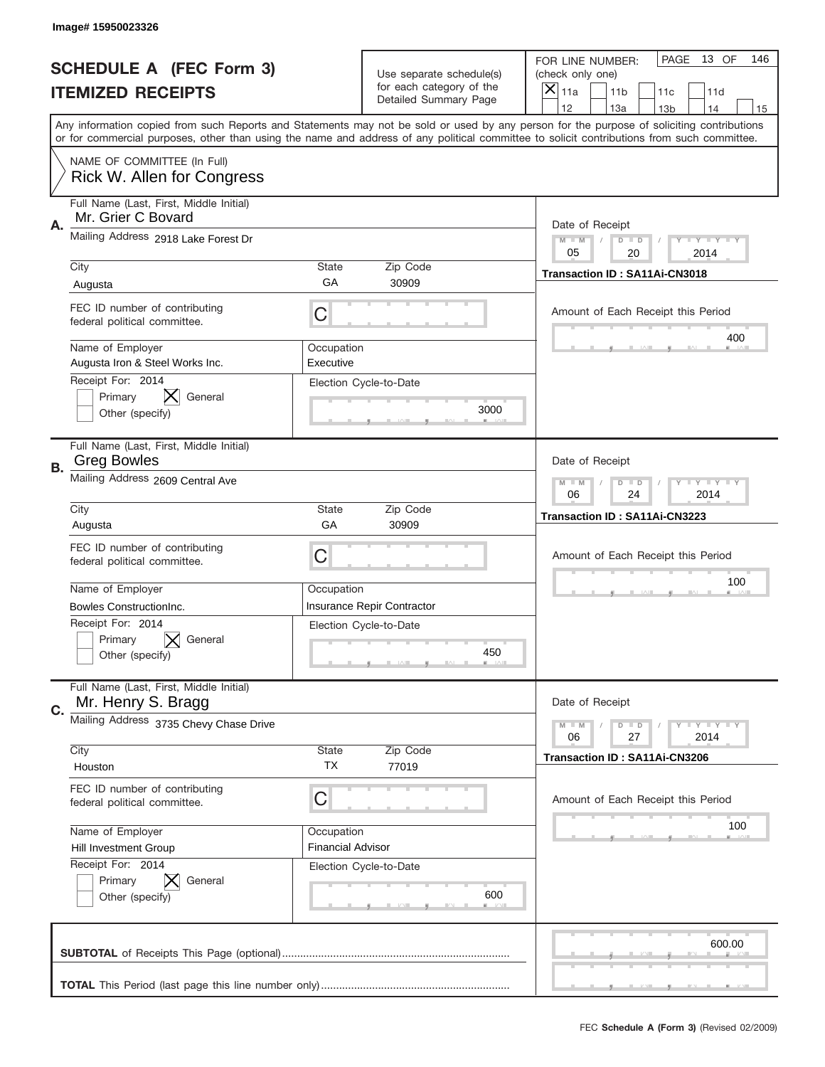|           | Image# 15950023326                                               |                          |                                                   |                                                                                                                                                                                                                                                                                                                                     |
|-----------|------------------------------------------------------------------|--------------------------|---------------------------------------------------|-------------------------------------------------------------------------------------------------------------------------------------------------------------------------------------------------------------------------------------------------------------------------------------------------------------------------------------|
|           | <b>SCHEDULE A (FEC Form 3)</b>                                   |                          | Use separate schedule(s)                          | PAGE<br>13 OF<br>146<br>FOR LINE NUMBER:<br>(check only one)                                                                                                                                                                                                                                                                        |
|           | <b>ITEMIZED RECEIPTS</b>                                         |                          | for each category of the<br>Detailed Summary Page | ×<br>11a<br>11 <sub>b</sub><br>11c<br>11d                                                                                                                                                                                                                                                                                           |
|           |                                                                  |                          |                                                   | 12<br>13a<br>14<br>13 <sub>b</sub><br>15<br>Any information copied from such Reports and Statements may not be sold or used by any person for the purpose of soliciting contributions<br>or for commercial purposes, other than using the name and address of any political committee to solicit contributions from such committee. |
|           | NAME OF COMMITTEE (In Full)<br><b>Rick W. Allen for Congress</b> |                          |                                                   |                                                                                                                                                                                                                                                                                                                                     |
| Α.        | Full Name (Last, First, Middle Initial)<br>Mr. Grier C Bovard    |                          |                                                   | Date of Receipt                                                                                                                                                                                                                                                                                                                     |
|           | Mailing Address 2918 Lake Forest Dr                              |                          |                                                   | $M - M$<br><b>LEY LEY LEY</b><br>$D$ $D$<br>05<br>20<br>2014                                                                                                                                                                                                                                                                        |
|           | City<br>Augusta                                                  | State<br>GА              | Zip Code<br>30909                                 | Transaction ID: SA11Ai-CN3018                                                                                                                                                                                                                                                                                                       |
|           | FEC ID number of contributing<br>federal political committee.    | C                        |                                                   | Amount of Each Receipt this Period                                                                                                                                                                                                                                                                                                  |
|           | Name of Employer<br>Augusta Iron & Steel Works Inc.              | Occupation<br>Executive  |                                                   | 400                                                                                                                                                                                                                                                                                                                                 |
|           | Receipt For: 2014<br>General<br>Primary<br>Other (specify)       |                          | Election Cycle-to-Date<br>3000                    |                                                                                                                                                                                                                                                                                                                                     |
| <b>B.</b> | Full Name (Last, First, Middle Initial)<br><b>Greg Bowles</b>    |                          |                                                   | Date of Receipt                                                                                                                                                                                                                                                                                                                     |
|           | Mailing Address 2609 Central Ave                                 |                          |                                                   | $M - M$<br><b>LEY LEY LEY</b><br>$D$ $D$<br>06<br>24<br>2014                                                                                                                                                                                                                                                                        |
|           | City<br>Augusta                                                  | State<br>GA              | Zip Code<br>30909                                 | Transaction ID: SA11Ai-CN3223                                                                                                                                                                                                                                                                                                       |
|           | FEC ID number of contributing<br>federal political committee.    | C                        |                                                   | Amount of Each Receipt this Period                                                                                                                                                                                                                                                                                                  |
|           |                                                                  |                          |                                                   |                                                                                                                                                                                                                                                                                                                                     |
|           | Name of Employer                                                 | Occupation               |                                                   | 100                                                                                                                                                                                                                                                                                                                                 |
|           | Bowles ConstructionInc.                                          |                          | Insurance Repir Contractor                        |                                                                                                                                                                                                                                                                                                                                     |
|           | Receipt For: 2014<br>Primary<br>General<br>Other (specify)       |                          | Election Cycle-to-Date<br>450                     |                                                                                                                                                                                                                                                                                                                                     |
| C.        | Full Name (Last, First, Middle Initial)<br>Mr. Henry S. Bragg    |                          |                                                   | Date of Receipt                                                                                                                                                                                                                                                                                                                     |
|           | Mailing Address 3735 Chevy Chase Drive                           |                          |                                                   | <b>LEY LEY LEY</b><br>$M - M$<br>$D$ $D$<br>06<br>2014<br>27                                                                                                                                                                                                                                                                        |
|           | City<br>Houston                                                  | State<br><b>TX</b>       | Zip Code<br>77019                                 | <b>Transaction ID: SA11Ai-CN3206</b>                                                                                                                                                                                                                                                                                                |
|           | FEC ID number of contributing<br>federal political committee.    | С                        |                                                   | Amount of Each Receipt this Period                                                                                                                                                                                                                                                                                                  |
|           | Name of Employer                                                 | Occupation               |                                                   | 100                                                                                                                                                                                                                                                                                                                                 |
|           | Hill Investment Group                                            | <b>Financial Advisor</b> |                                                   |                                                                                                                                                                                                                                                                                                                                     |
|           | Receipt For: 2014<br>Primary<br>General<br>Other (specify)       |                          | Election Cycle-to-Date<br>600                     |                                                                                                                                                                                                                                                                                                                                     |
|           |                                                                  |                          |                                                   | 600.00                                                                                                                                                                                                                                                                                                                              |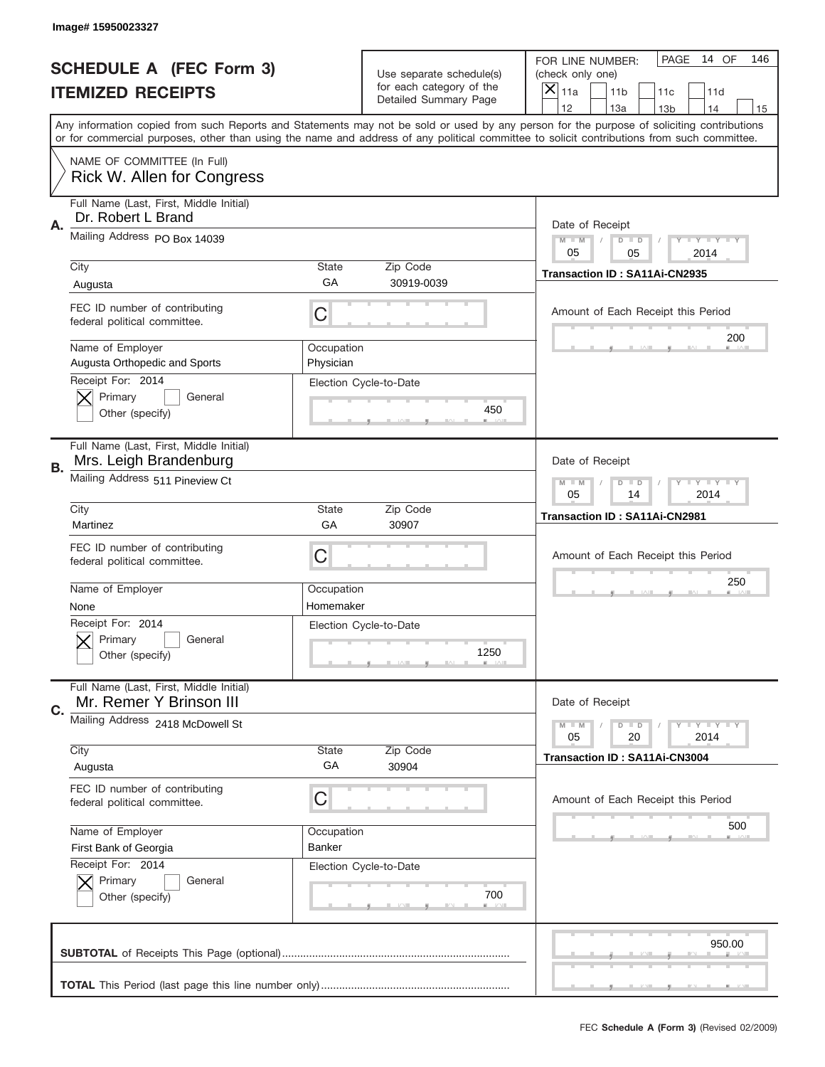|    | Image# 15950023327                                                 |                         |                                                      |                                                                                                                                                                                                                                                                                         |
|----|--------------------------------------------------------------------|-------------------------|------------------------------------------------------|-----------------------------------------------------------------------------------------------------------------------------------------------------------------------------------------------------------------------------------------------------------------------------------------|
|    | <b>SCHEDULE A (FEC Form 3)</b>                                     |                         | Use separate schedule(s)<br>for each category of the | PAGE<br>14 OF<br>146<br>FOR LINE NUMBER:<br>(check only one)                                                                                                                                                                                                                            |
|    | <b>ITEMIZED RECEIPTS</b>                                           |                         | <b>Detailed Summary Page</b>                         | ×<br>11a<br>11 <sub>b</sub><br>11c<br>11d<br>12<br>13a<br>14<br>13 <sub>b</sub><br>15                                                                                                                                                                                                   |
|    |                                                                    |                         |                                                      | Any information copied from such Reports and Statements may not be sold or used by any person for the purpose of soliciting contributions<br>or for commercial purposes, other than using the name and address of any political committee to solicit contributions from such committee. |
|    | NAME OF COMMITTEE (In Full)<br>Rick W. Allen for Congress          |                         |                                                      |                                                                                                                                                                                                                                                                                         |
| A. | Full Name (Last, First, Middle Initial)<br>Dr. Robert L Brand      |                         |                                                      | Date of Receipt                                                                                                                                                                                                                                                                         |
|    | Mailing Address PO Box 14039                                       |                         |                                                      | $M$ M<br><b>LEY LEY LEY</b><br>$D$ $D$<br>05<br>05<br>2014                                                                                                                                                                                                                              |
|    | City<br>Augusta                                                    | State<br>GA             | Zip Code<br>30919-0039                               | Transaction ID: SA11Ai-CN2935                                                                                                                                                                                                                                                           |
|    | FEC ID number of contributing<br>federal political committee.      | C                       |                                                      | Amount of Each Receipt this Period                                                                                                                                                                                                                                                      |
|    | Name of Employer<br>Augusta Orthopedic and Sports                  | Occupation<br>Physician |                                                      | 200                                                                                                                                                                                                                                                                                     |
|    | Receipt For: 2014<br>Primary<br>General<br>Other (specify)         |                         | Election Cycle-to-Date<br>450                        |                                                                                                                                                                                                                                                                                         |
| В. | Full Name (Last, First, Middle Initial)<br>Mrs. Leigh Brandenburg  |                         |                                                      | Date of Receipt                                                                                                                                                                                                                                                                         |
|    | Mailing Address 511 Pineview Ct                                    |                         |                                                      | $M - M$<br><b>LEY LEY LEY</b><br>$D$ $D$<br>05<br>14<br>2014                                                                                                                                                                                                                            |
|    | City<br>Martinez                                                   | State<br>GA             | Zip Code<br>30907                                    | Transaction ID: SA11Ai-CN2981                                                                                                                                                                                                                                                           |
|    | FEC ID number of contributing<br>federal political committee.      | C                       |                                                      | Amount of Each Receipt this Period                                                                                                                                                                                                                                                      |
|    | Name of Employer<br>None                                           | Occupation<br>Homemaker |                                                      | 250                                                                                                                                                                                                                                                                                     |
|    | Receipt For: 2014<br>General<br>Primary<br>Other (specify)         |                         | Election Cycle-to-Date<br>1250                       |                                                                                                                                                                                                                                                                                         |
| C. | Full Name (Last, First, Middle Initial)<br>Mr. Remer Y Brinson III |                         |                                                      | Date of Receipt                                                                                                                                                                                                                                                                         |
|    | Mailing Address 2418 McDowell St                                   |                         |                                                      | $M - M$<br>$D$ $D$<br><b>LEY LEY LEY</b><br>05<br>2014<br>20                                                                                                                                                                                                                            |
|    | City<br>Augusta                                                    | <b>State</b><br>GA      | Zip Code<br>30904                                    | <b>Transaction ID: SA11Ai-CN3004</b>                                                                                                                                                                                                                                                    |
|    | FEC ID number of contributing<br>federal political committee.      | C                       |                                                      | Amount of Each Receipt this Period                                                                                                                                                                                                                                                      |
|    | Name of Employer<br>First Bank of Georgia                          | Occupation<br>Banker    |                                                      | 500                                                                                                                                                                                                                                                                                     |
|    | Receipt For: 2014<br>Primary<br>General<br>Other (specify)         |                         | Election Cycle-to-Date<br>700                        |                                                                                                                                                                                                                                                                                         |
|    |                                                                    |                         |                                                      | 950.00                                                                                                                                                                                                                                                                                  |
|    |                                                                    |                         |                                                      |                                                                                                                                                                                                                                                                                         |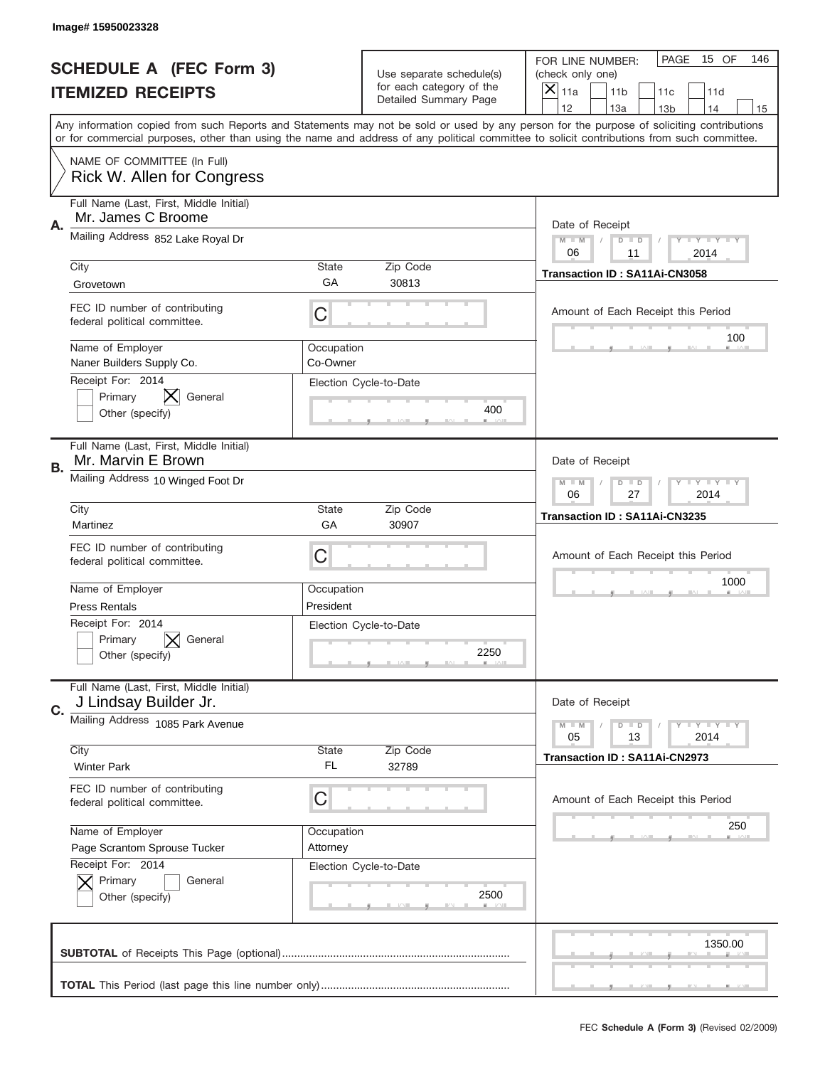|    | Image# 15950023328                                                                                                                                                                                                                                                                      |                         |                                                   |                                      |                                    |                 |                            |     |
|----|-----------------------------------------------------------------------------------------------------------------------------------------------------------------------------------------------------------------------------------------------------------------------------------------|-------------------------|---------------------------------------------------|--------------------------------------|------------------------------------|-----------------|----------------------------|-----|
|    | <b>SCHEDULE A (FEC Form 3)</b>                                                                                                                                                                                                                                                          |                         | Use separate schedule(s)                          | FOR LINE NUMBER:<br>(check only one) |                                    | PAGE            | 15 OF                      | 146 |
|    | <b>ITEMIZED RECEIPTS</b>                                                                                                                                                                                                                                                                |                         | for each category of the<br>Detailed Summary Page | $\boldsymbol{\times}$<br>11a         | 11 <sub>b</sub>                    | 11c             | 11d                        |     |
|    | Any information copied from such Reports and Statements may not be sold or used by any person for the purpose of soliciting contributions<br>or for commercial purposes, other than using the name and address of any political committee to solicit contributions from such committee. |                         |                                                   | 12                                   | 13a                                | 13 <sub>b</sub> | 14                         | 15  |
|    | NAME OF COMMITTEE (In Full)<br><b>Rick W. Allen for Congress</b>                                                                                                                                                                                                                        |                         |                                                   |                                      |                                    |                 |                            |     |
| Α. | Full Name (Last, First, Middle Initial)<br>Mr. James C Broome                                                                                                                                                                                                                           |                         |                                                   |                                      | Date of Receipt                    |                 |                            |     |
|    | Mailing Address 852 Lake Royal Dr                                                                                                                                                                                                                                                       |                         |                                                   | $M - M$<br>06                        | $D$ $D$<br>11                      |                 | <b>LEY LEY LEY</b><br>2014 |     |
|    | City<br>Grovetown                                                                                                                                                                                                                                                                       | <b>State</b><br>GA      | Zip Code<br>30813                                 |                                      | Transaction ID: SA11Ai-CN3058      |                 |                            |     |
|    | FEC ID number of contributing<br>federal political committee.                                                                                                                                                                                                                           | С                       |                                                   |                                      | Amount of Each Receipt this Period |                 | 100                        |     |
|    | Name of Employer<br>Naner Builders Supply Co.                                                                                                                                                                                                                                           | Occupation<br>Co-Owner  |                                                   |                                      |                                    |                 |                            |     |
|    | Receipt For: 2014<br>Primary<br>General<br>Other (specify)                                                                                                                                                                                                                              |                         | Election Cycle-to-Date<br>400                     |                                      |                                    |                 |                            |     |
| В. | Full Name (Last, First, Middle Initial)<br>Mr. Marvin E Brown                                                                                                                                                                                                                           |                         |                                                   |                                      | Date of Receipt                    |                 |                            |     |
|    | Mailing Address 10 Winged Foot Dr                                                                                                                                                                                                                                                       |                         |                                                   |                                      | $D$ $D$<br>27                      |                 | <b>LEY LEY LEY</b><br>2014 |     |
|    | City<br>Martinez                                                                                                                                                                                                                                                                        | <b>State</b><br>GA      | Zip Code<br>30907                                 |                                      | Transaction ID: SA11Ai-CN3235      |                 |                            |     |
|    | FEC ID number of contributing<br>federal political committee.                                                                                                                                                                                                                           | С                       |                                                   |                                      | Amount of Each Receipt this Period |                 |                            |     |
|    | Name of Employer<br><b>Press Rentals</b>                                                                                                                                                                                                                                                | Occupation<br>President |                                                   |                                      |                                    |                 | 1000                       |     |
|    | Receipt For: 2014<br>Primary<br>General<br>Other (specify)                                                                                                                                                                                                                              |                         | Election Cycle-to-Date<br>2250                    |                                      |                                    |                 |                            |     |
| C. | Full Name (Last, First, Middle Initial)<br>J Lindsay Builder Jr.                                                                                                                                                                                                                        |                         |                                                   |                                      | Date of Receipt                    |                 |                            |     |
|    | Mailing Address 1085 Park Avenue                                                                                                                                                                                                                                                        |                         |                                                   | $M - M$<br>05                        | $D$ $D$<br>13                      |                 | <b>LEY LEY LEY</b><br>2014 |     |
|    | City<br><b>Winter Park</b>                                                                                                                                                                                                                                                              | <b>State</b><br>FL.     | Zip Code<br>32789                                 |                                      | Transaction ID: SA11Ai-CN2973      |                 |                            |     |
|    | FEC ID number of contributing<br>federal political committee.                                                                                                                                                                                                                           | С                       |                                                   |                                      | Amount of Each Receipt this Period |                 |                            |     |
|    | Name of Employer<br>Page Scrantom Sprouse Tucker                                                                                                                                                                                                                                        | Occupation<br>Attorney  |                                                   |                                      |                                    |                 | 250                        |     |
|    | Receipt For: 2014<br>Primary<br>General<br>Other (specify)                                                                                                                                                                                                                              |                         | Election Cycle-to-Date<br>2500                    |                                      |                                    |                 |                            |     |
|    |                                                                                                                                                                                                                                                                                         |                         |                                                   |                                      |                                    |                 | 1350.00                    |     |
|    |                                                                                                                                                                                                                                                                                         |                         |                                                   |                                      |                                    |                 |                            |     |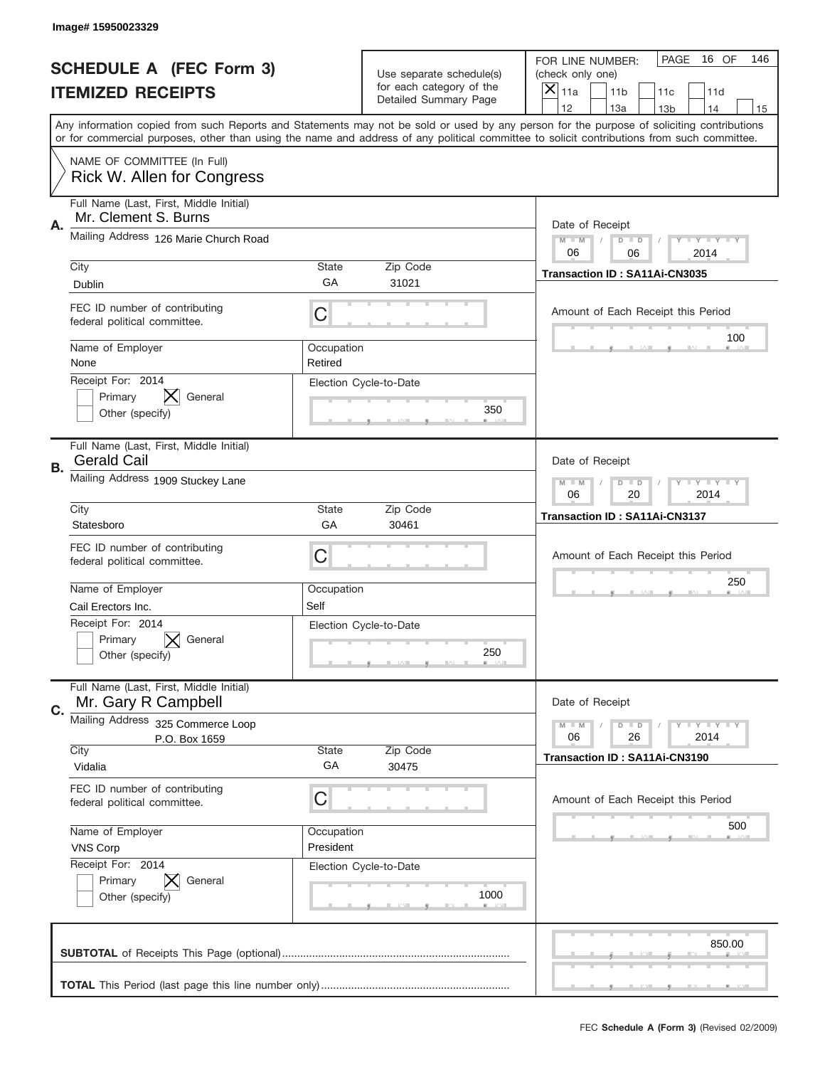|           | Image# 15950023329                                               |                         |                                                   |                                                                                                                                                                                                                                                                                                                                     |
|-----------|------------------------------------------------------------------|-------------------------|---------------------------------------------------|-------------------------------------------------------------------------------------------------------------------------------------------------------------------------------------------------------------------------------------------------------------------------------------------------------------------------------------|
|           | <b>SCHEDULE A (FEC Form 3)</b>                                   |                         | Use separate schedule(s)                          | PAGE<br>16 OF<br>146<br>FOR LINE NUMBER:<br>(check only one)                                                                                                                                                                                                                                                                        |
|           | <b>ITEMIZED RECEIPTS</b>                                         |                         | for each category of the<br>Detailed Summary Page | ×<br>11a<br>11 <sub>b</sub><br>11c<br>11d                                                                                                                                                                                                                                                                                           |
|           |                                                                  |                         |                                                   | 12<br>13a<br>14<br>13 <sub>b</sub><br>15<br>Any information copied from such Reports and Statements may not be sold or used by any person for the purpose of soliciting contributions<br>or for commercial purposes, other than using the name and address of any political committee to solicit contributions from such committee. |
|           | NAME OF COMMITTEE (In Full)<br><b>Rick W. Allen for Congress</b> |                         |                                                   |                                                                                                                                                                                                                                                                                                                                     |
| Α.        | Full Name (Last, First, Middle Initial)<br>Mr. Clement S. Burns  |                         |                                                   | Date of Receipt                                                                                                                                                                                                                                                                                                                     |
|           | Mailing Address 126 Marie Church Road                            |                         |                                                   | $M - M$<br><b>LYLYLY</b><br>$D$ $D$<br>06<br>06<br>2014                                                                                                                                                                                                                                                                             |
|           | City<br><b>Dublin</b>                                            | State<br>GА             | Zip Code<br>31021                                 | Transaction ID: SA11Ai-CN3035                                                                                                                                                                                                                                                                                                       |
|           | FEC ID number of contributing<br>federal political committee.    | C                       |                                                   | Amount of Each Receipt this Period<br>100                                                                                                                                                                                                                                                                                           |
|           | Name of Employer<br>None                                         | Occupation<br>Retired   |                                                   |                                                                                                                                                                                                                                                                                                                                     |
|           | Receipt For: 2014<br>Primary<br>General<br>Other (specify)       |                         | Election Cycle-to-Date<br>350                     |                                                                                                                                                                                                                                                                                                                                     |
| <b>B.</b> | Full Name (Last, First, Middle Initial)<br><b>Gerald Cail</b>    |                         |                                                   | Date of Receipt                                                                                                                                                                                                                                                                                                                     |
|           | Mailing Address 1909 Stuckey Lane                                |                         |                                                   | $M - M$<br>$D$ $D$<br><b>LYLYLY</b><br>06<br>20<br>2014                                                                                                                                                                                                                                                                             |
|           | City<br>Statesboro                                               | State<br>GA             | Zip Code<br>30461                                 | Transaction ID: SA11Ai-CN3137                                                                                                                                                                                                                                                                                                       |
|           | FEC ID number of contributing<br>federal political committee.    | C                       |                                                   | Amount of Each Receipt this Period                                                                                                                                                                                                                                                                                                  |
|           | Name of Employer<br>Cail Erectors Inc.                           | Occupation<br>Self      |                                                   | 250                                                                                                                                                                                                                                                                                                                                 |
|           | Receipt For: 2014<br>Primary<br>General<br>Other (specify)       |                         | Election Cycle-to-Date<br>250                     |                                                                                                                                                                                                                                                                                                                                     |
|           |                                                                  |                         |                                                   |                                                                                                                                                                                                                                                                                                                                     |
|           | Full Name (Last, First, Middle Initial)<br>Mr. Gary R Campbell   |                         |                                                   | Date of Receipt                                                                                                                                                                                                                                                                                                                     |
| C.        | Mailing Address<br>325 Commerce Loop<br>P.O. Box 1659            |                         |                                                   | <b>LEY LEY LEY</b><br>$M - M$<br>$D$ $D$<br>06<br>2014<br>26                                                                                                                                                                                                                                                                        |
|           | City<br>Vidalia                                                  | State<br>GA             | Zip Code<br>30475                                 | <b>Transaction ID: SA11Ai-CN3190</b>                                                                                                                                                                                                                                                                                                |
|           | FEC ID number of contributing<br>federal political committee.    | С                       |                                                   | Amount of Each Receipt this Period                                                                                                                                                                                                                                                                                                  |
|           | Name of Employer<br><b>VNS Corp</b>                              | Occupation<br>President |                                                   | 500                                                                                                                                                                                                                                                                                                                                 |
|           | Receipt For: 2014<br>Primary<br>General<br>Other (specify)       |                         | Election Cycle-to-Date<br>1000                    |                                                                                                                                                                                                                                                                                                                                     |
|           |                                                                  |                         |                                                   | 850.00                                                                                                                                                                                                                                                                                                                              |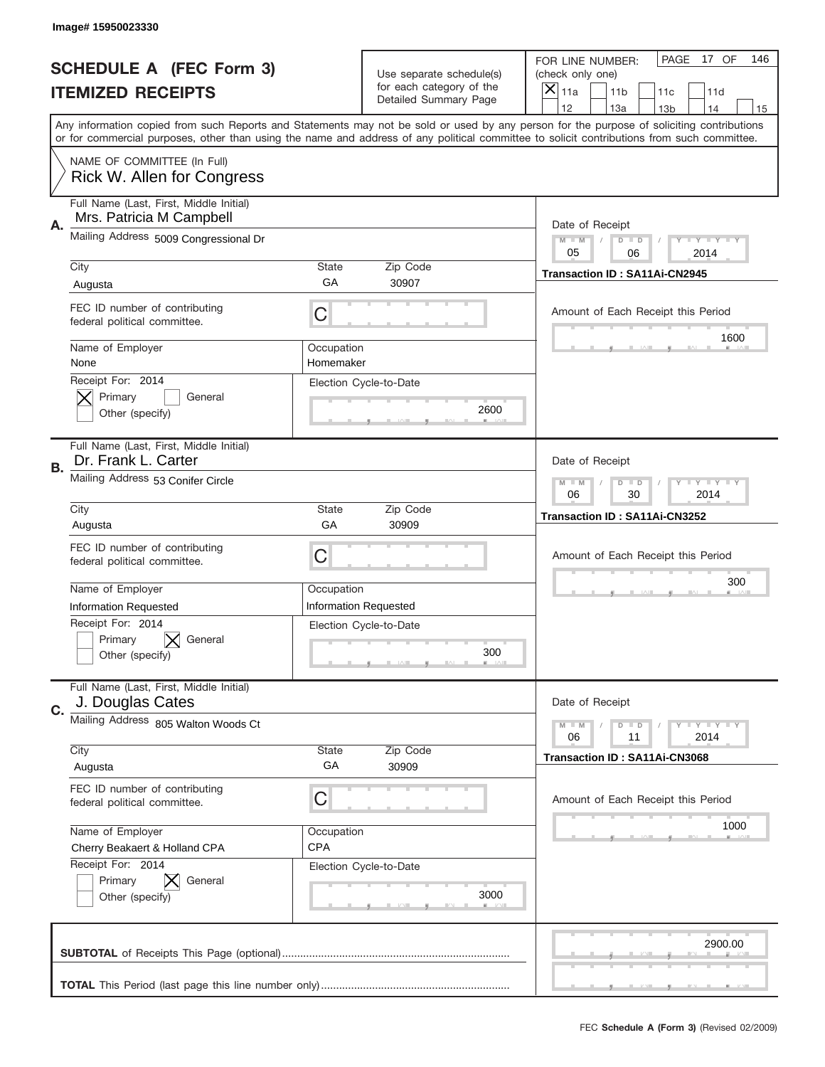|    | Image#15950023330                                                                                                                          |                         |                                                   |                                      |                 |                 |                            |     |
|----|--------------------------------------------------------------------------------------------------------------------------------------------|-------------------------|---------------------------------------------------|--------------------------------------|-----------------|-----------------|----------------------------|-----|
|    | <b>SCHEDULE A (FEC Form 3)</b>                                                                                                             |                         | Use separate schedule(s)                          | FOR LINE NUMBER:<br>(check only one) |                 | PAGE            | 17 OF                      | 146 |
|    | <b>ITEMIZED RECEIPTS</b>                                                                                                                   |                         | for each category of the<br>Detailed Summary Page | $\overline{X} _{11a}$                | 11 <sub>b</sub> | 11c             | 11d                        |     |
|    | Any information copied from such Reports and Statements may not be sold or used by any person for the purpose of soliciting contributions  |                         |                                                   | 12                                   | 13a             | 13 <sub>b</sub> | 14                         | 15  |
|    | or for commercial purposes, other than using the name and address of any political committee to solicit contributions from such committee. |                         |                                                   |                                      |                 |                 |                            |     |
|    | NAME OF COMMITTEE (In Full)<br>Rick W. Allen for Congress                                                                                  |                         |                                                   |                                      |                 |                 |                            |     |
| Α. | Full Name (Last, First, Middle Initial)<br>Mrs. Patricia M Campbell                                                                        |                         |                                                   | Date of Receipt                      |                 |                 |                            |     |
|    | Mailing Address 5009 Congressional Dr                                                                                                      |                         |                                                   | $M - M$<br>05                        | $D$ $D$<br>06   |                 | <b>LEY LEY LEY</b><br>2014 |     |
|    | City                                                                                                                                       | <b>State</b><br>GA      | Zip Code<br>30907                                 | Transaction ID: SA11Ai-CN2945        |                 |                 |                            |     |
|    | Augusta                                                                                                                                    |                         |                                                   |                                      |                 |                 |                            |     |
|    | FEC ID number of contributing<br>federal political committee.                                                                              | C                       |                                                   | Amount of Each Receipt this Period   |                 |                 | 1600                       |     |
|    | Name of Employer<br>None                                                                                                                   | Occupation<br>Homemaker |                                                   |                                      |                 |                 |                            |     |
|    | Receipt For: 2014<br>Primary<br>General                                                                                                    |                         | Election Cycle-to-Date                            |                                      |                 |                 |                            |     |
|    | Other (specify)                                                                                                                            |                         | 2600                                              |                                      |                 |                 |                            |     |
| В. | Full Name (Last, First, Middle Initial)<br>Dr. Frank L. Carter                                                                             |                         |                                                   | Date of Receipt                      |                 |                 |                            |     |
|    | Mailing Address 53 Conifer Circle                                                                                                          |                         |                                                   | $M - M$<br>06                        | $D$ $D$<br>30   |                 | <b>LEY LEY LEY</b><br>2014 |     |
|    | City                                                                                                                                       | <b>State</b>            | Zip Code                                          | Transaction ID: SA11Ai-CN3252        |                 |                 |                            |     |
|    | Augusta                                                                                                                                    | GA                      | 30909                                             |                                      |                 |                 |                            |     |
|    | FEC ID number of contributing<br>federal political committee.                                                                              | С                       |                                                   | Amount of Each Receipt this Period   |                 |                 |                            |     |
|    | Name of Employer                                                                                                                           | Occupation              |                                                   |                                      |                 |                 | 300                        |     |
|    | <b>Information Requested</b>                                                                                                               |                         | <b>Information Requested</b>                      |                                      |                 |                 |                            |     |
|    | Receipt For: 2014                                                                                                                          |                         | Election Cycle-to-Date                            |                                      |                 |                 |                            |     |
|    | Primary<br>General                                                                                                                         |                         |                                                   |                                      |                 |                 |                            |     |
|    | Other (specify)                                                                                                                            |                         | 300                                               |                                      |                 |                 |                            |     |
| C. | Full Name (Last, First, Middle Initial)<br>J. Douglas Cates                                                                                |                         |                                                   | Date of Receipt                      |                 |                 |                            |     |
|    | Mailing Address 805 Walton Woods Ct                                                                                                        |                         |                                                   | $M - M$<br>06                        | $D$ $D$<br>11   |                 | <b>LY LY LY</b><br>2014    |     |
|    | City                                                                                                                                       | State                   | Zip Code                                          | Transaction ID: SA11Ai-CN3068        |                 |                 |                            |     |
|    | Augusta                                                                                                                                    | GA                      | 30909                                             |                                      |                 |                 |                            |     |
|    | FEC ID number of contributing<br>federal political committee.                                                                              | С                       |                                                   | Amount of Each Receipt this Period   |                 |                 |                            |     |
|    | Name of Employer                                                                                                                           | Occupation              |                                                   |                                      |                 |                 | 1000                       |     |
|    | Cherry Beakaert & Holland CPA                                                                                                              | <b>CPA</b>              |                                                   |                                      |                 |                 |                            |     |
|    | Receipt For: 2014                                                                                                                          |                         | Election Cycle-to-Date                            |                                      |                 |                 |                            |     |
|    | Primary<br>General                                                                                                                         |                         |                                                   |                                      |                 |                 |                            |     |
|    | Other (specify)                                                                                                                            |                         | 3000                                              |                                      |                 |                 |                            |     |
|    |                                                                                                                                            |                         |                                                   |                                      |                 |                 | 2900.00                    |     |
|    |                                                                                                                                            |                         |                                                   |                                      |                 |                 |                            |     |
|    |                                                                                                                                            |                         |                                                   |                                      |                 |                 |                            |     |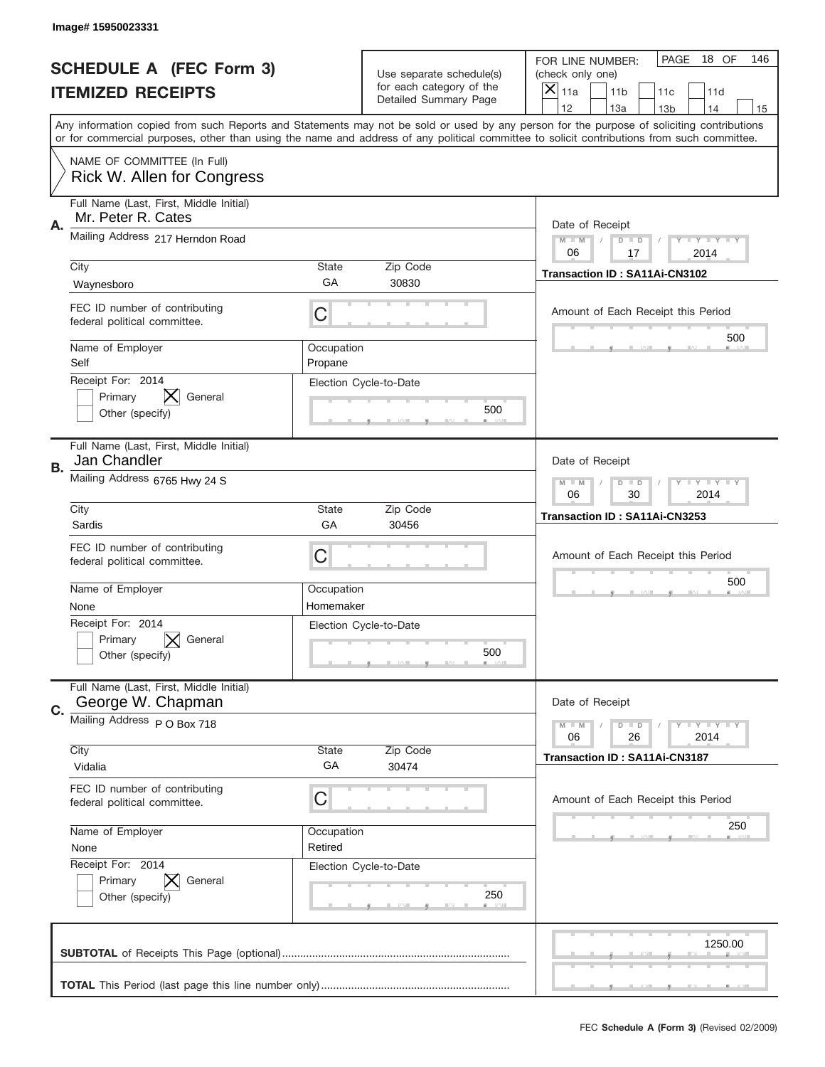|    | Image# 15950023331                                               |                         |                                                   |                                                                                                                                                                                                                                                                                                                                     |
|----|------------------------------------------------------------------|-------------------------|---------------------------------------------------|-------------------------------------------------------------------------------------------------------------------------------------------------------------------------------------------------------------------------------------------------------------------------------------------------------------------------------------|
|    | <b>SCHEDULE A (FEC Form 3)</b>                                   |                         | Use separate schedule(s)                          | PAGE<br>18 OF<br>146<br>FOR LINE NUMBER:<br>(check only one)                                                                                                                                                                                                                                                                        |
|    | <b>ITEMIZED RECEIPTS</b>                                         |                         | for each category of the<br>Detailed Summary Page | ×<br>11a<br>11 <sub>b</sub><br>11c<br>11d                                                                                                                                                                                                                                                                                           |
|    |                                                                  |                         |                                                   | 12<br>13a<br>14<br>13 <sub>b</sub><br>15<br>Any information copied from such Reports and Statements may not be sold or used by any person for the purpose of soliciting contributions<br>or for commercial purposes, other than using the name and address of any political committee to solicit contributions from such committee. |
|    | NAME OF COMMITTEE (In Full)<br><b>Rick W. Allen for Congress</b> |                         |                                                   |                                                                                                                                                                                                                                                                                                                                     |
| Α. | Full Name (Last, First, Middle Initial)<br>Mr. Peter R. Cates    |                         |                                                   | Date of Receipt                                                                                                                                                                                                                                                                                                                     |
|    | Mailing Address 217 Herndon Road                                 |                         |                                                   | $M - M$<br><b>LYLYLY</b><br>$D$ $D$<br>06<br>17<br>2014                                                                                                                                                                                                                                                                             |
|    | City<br>Waynesboro                                               | State<br>GА             | Zip Code<br>30830                                 | Transaction ID: SA11Ai-CN3102                                                                                                                                                                                                                                                                                                       |
|    | FEC ID number of contributing<br>federal political committee.    | C                       |                                                   | Amount of Each Receipt this Period<br>500                                                                                                                                                                                                                                                                                           |
|    | Name of Employer<br>Self                                         | Occupation<br>Propane   |                                                   |                                                                                                                                                                                                                                                                                                                                     |
|    | Receipt For: 2014<br>Primary<br>General<br>Other (specify)       |                         | Election Cycle-to-Date<br>500                     |                                                                                                                                                                                                                                                                                                                                     |
| В. | Full Name (Last, First, Middle Initial)<br>Jan Chandler          |                         |                                                   | Date of Receipt                                                                                                                                                                                                                                                                                                                     |
|    | Mailing Address 6765 Hwy 24 S                                    |                         |                                                   | $M - M$<br><b>LEYTEY LEY</b><br>$D$ $D$<br>06<br>30<br>2014                                                                                                                                                                                                                                                                         |
|    | City<br>Sardis                                                   | State<br>GA             | Zip Code<br>30456                                 | Transaction ID: SA11Ai-CN3253                                                                                                                                                                                                                                                                                                       |
|    | FEC ID number of contributing<br>federal political committee.    | C                       |                                                   | Amount of Each Receipt this Period                                                                                                                                                                                                                                                                                                  |
|    |                                                                  |                         |                                                   | 500                                                                                                                                                                                                                                                                                                                                 |
|    | Name of Employer<br>None                                         | Occupation<br>Homemaker |                                                   |                                                                                                                                                                                                                                                                                                                                     |
|    | Receipt For: 2014<br>Primary<br>General<br>Other (specify)       |                         | Election Cycle-to-Date<br>500                     |                                                                                                                                                                                                                                                                                                                                     |
| C. | Full Name (Last, First, Middle Initial)<br>George W. Chapman     |                         |                                                   | Date of Receipt                                                                                                                                                                                                                                                                                                                     |
|    | Mailing Address P O Box 718                                      |                         |                                                   | <b>LY LY LY</b><br>$M - M$<br>$D$ $D$<br>06<br>2014<br>26                                                                                                                                                                                                                                                                           |
|    | City<br>Vidalia                                                  | State<br>GA             | Zip Code<br>30474                                 | <b>Transaction ID: SA11Ai-CN3187</b>                                                                                                                                                                                                                                                                                                |
|    | FEC ID number of contributing<br>federal political committee.    | С                       |                                                   | Amount of Each Receipt this Period                                                                                                                                                                                                                                                                                                  |
|    | Name of Employer<br>None                                         | Occupation<br>Retired   |                                                   | 250                                                                                                                                                                                                                                                                                                                                 |
|    | Receipt For: 2014<br>Primary<br>General<br>Other (specify)       |                         | Election Cycle-to-Date<br>250                     |                                                                                                                                                                                                                                                                                                                                     |
|    |                                                                  |                         |                                                   | 1250.00                                                                                                                                                                                                                                                                                                                             |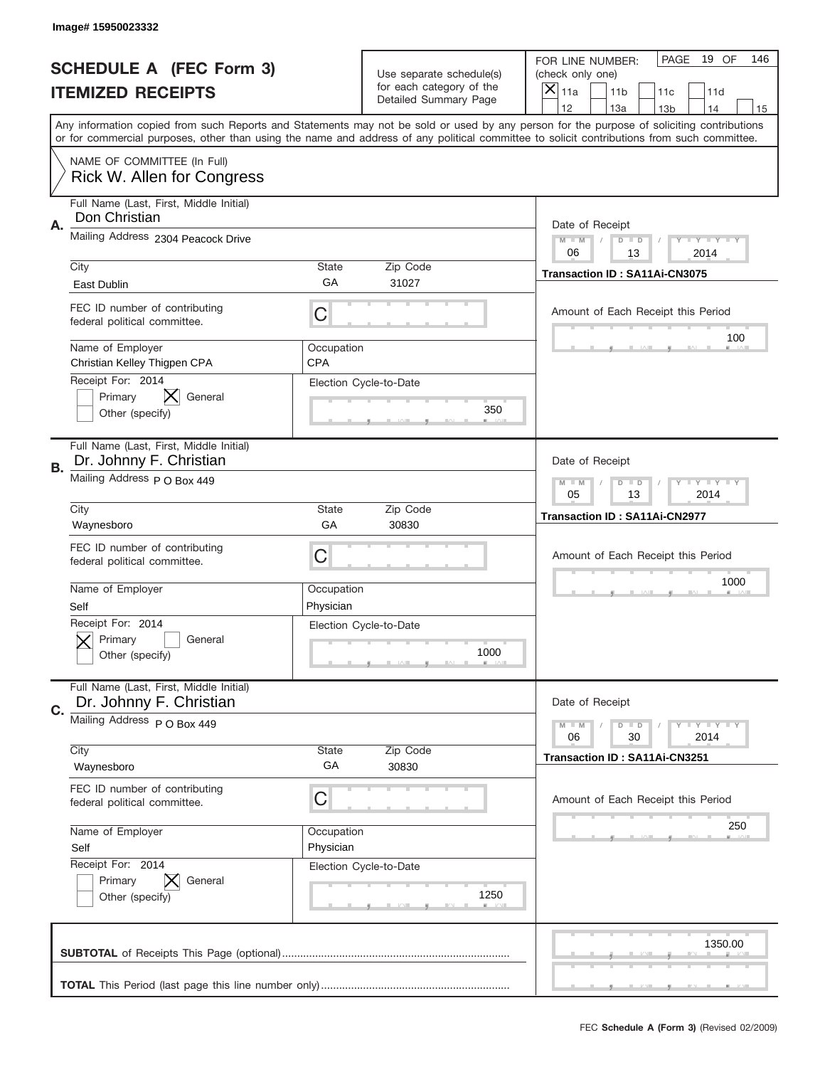|    | Image# 15950023332                                                 |                                                         |                                                   |                                                                                                                                                                                                                                                                                                                               |     |
|----|--------------------------------------------------------------------|---------------------------------------------------------|---------------------------------------------------|-------------------------------------------------------------------------------------------------------------------------------------------------------------------------------------------------------------------------------------------------------------------------------------------------------------------------------|-----|
|    | <b>SCHEDULE A (FEC Form 3)</b>                                     |                                                         | Use separate schedule(s)                          | PAGE<br>19 OF<br>FOR LINE NUMBER:<br>(check only one)                                                                                                                                                                                                                                                                         | 146 |
|    | <b>ITEMIZED RECEIPTS</b>                                           |                                                         | for each category of the<br>Detailed Summary Page | $\overline{X} _{11a}$<br>11 <sub>b</sub><br>11c<br>11d                                                                                                                                                                                                                                                                        |     |
|    |                                                                    |                                                         |                                                   | 12<br>13a<br>14<br>13 <sub>b</sub><br>Any information copied from such Reports and Statements may not be sold or used by any person for the purpose of soliciting contributions<br>or for commercial purposes, other than using the name and address of any political committee to solicit contributions from such committee. | 15  |
|    | NAME OF COMMITTEE (In Full)<br>Rick W. Allen for Congress          |                                                         |                                                   |                                                                                                                                                                                                                                                                                                                               |     |
| Α. | Full Name (Last, First, Middle Initial)<br>Don Christian           |                                                         |                                                   | Date of Receipt                                                                                                                                                                                                                                                                                                               |     |
|    | Mailing Address 2304 Peacock Drive                                 |                                                         |                                                   | <b>LYLYLY</b><br>$M - M$<br>$D$ $D$<br>06<br>13<br>2014                                                                                                                                                                                                                                                                       |     |
|    | City<br>East Dublin                                                | <b>State</b><br>GA                                      | Zip Code<br>31027                                 | Transaction ID: SA11Ai-CN3075                                                                                                                                                                                                                                                                                                 |     |
|    | FEC ID number of contributing<br>federal political committee.      | С                                                       |                                                   | Amount of Each Receipt this Period                                                                                                                                                                                                                                                                                            |     |
|    | Name of Employer<br>Christian Kelley Thigpen CPA                   | Occupation<br><b>CPA</b>                                |                                                   | 100                                                                                                                                                                                                                                                                                                                           |     |
|    | Receipt For: 2014<br>Primary<br>General<br>Other (specify)         |                                                         | Election Cycle-to-Date<br>350                     |                                                                                                                                                                                                                                                                                                                               |     |
| В. | Full Name (Last, First, Middle Initial)<br>Dr. Johnny F. Christian |                                                         |                                                   | Date of Receipt                                                                                                                                                                                                                                                                                                               |     |
|    | Mailing Address P O Box 449                                        | $M - M$<br>$D$ $D$<br><b>LYLYLY</b><br>05<br>13<br>2014 |                                                   |                                                                                                                                                                                                                                                                                                                               |     |
|    | City<br>Waynesboro                                                 | <b>State</b><br>GA                                      | Zip Code<br>30830                                 | Transaction ID: SA11Ai-CN2977                                                                                                                                                                                                                                                                                                 |     |
|    | FEC ID number of contributing<br>federal political committee.      | С                                                       |                                                   | Amount of Each Receipt this Period                                                                                                                                                                                                                                                                                            |     |
|    | Name of Employer<br>Self                                           | Occupation<br>Physician                                 |                                                   | 1000                                                                                                                                                                                                                                                                                                                          |     |
|    | Receipt For: 2014<br>General<br>Primary<br>Other (specify)         |                                                         | Election Cycle-to-Date<br>1000                    |                                                                                                                                                                                                                                                                                                                               |     |
| C. | Full Name (Last, First, Middle Initial)<br>Dr. Johnny F. Christian |                                                         |                                                   | Date of Receipt                                                                                                                                                                                                                                                                                                               |     |
|    | Mailing Address P O Box 449<br>City                                | State                                                   | Zip Code                                          | <b>LEY LEY LEY</b><br>$M - M$<br>$D$ $D$<br>30<br>2014<br>06                                                                                                                                                                                                                                                                  |     |
|    | Waynesboro                                                         | GA                                                      | 30830                                             | Transaction ID: SA11Ai-CN3251                                                                                                                                                                                                                                                                                                 |     |
|    | FEC ID number of contributing<br>federal political committee.      | С                                                       |                                                   | Amount of Each Receipt this Period                                                                                                                                                                                                                                                                                            |     |
|    | Name of Employer<br>Self                                           | Occupation<br>Physician                                 |                                                   | 250                                                                                                                                                                                                                                                                                                                           |     |
|    | Receipt For: 2014<br>Primary<br>General<br>Other (specify)         |                                                         | Election Cycle-to-Date<br>1250                    |                                                                                                                                                                                                                                                                                                                               |     |
|    |                                                                    |                                                         |                                                   | 1350.00                                                                                                                                                                                                                                                                                                                       |     |
|    |                                                                    |                                                         |                                                   |                                                                                                                                                                                                                                                                                                                               |     |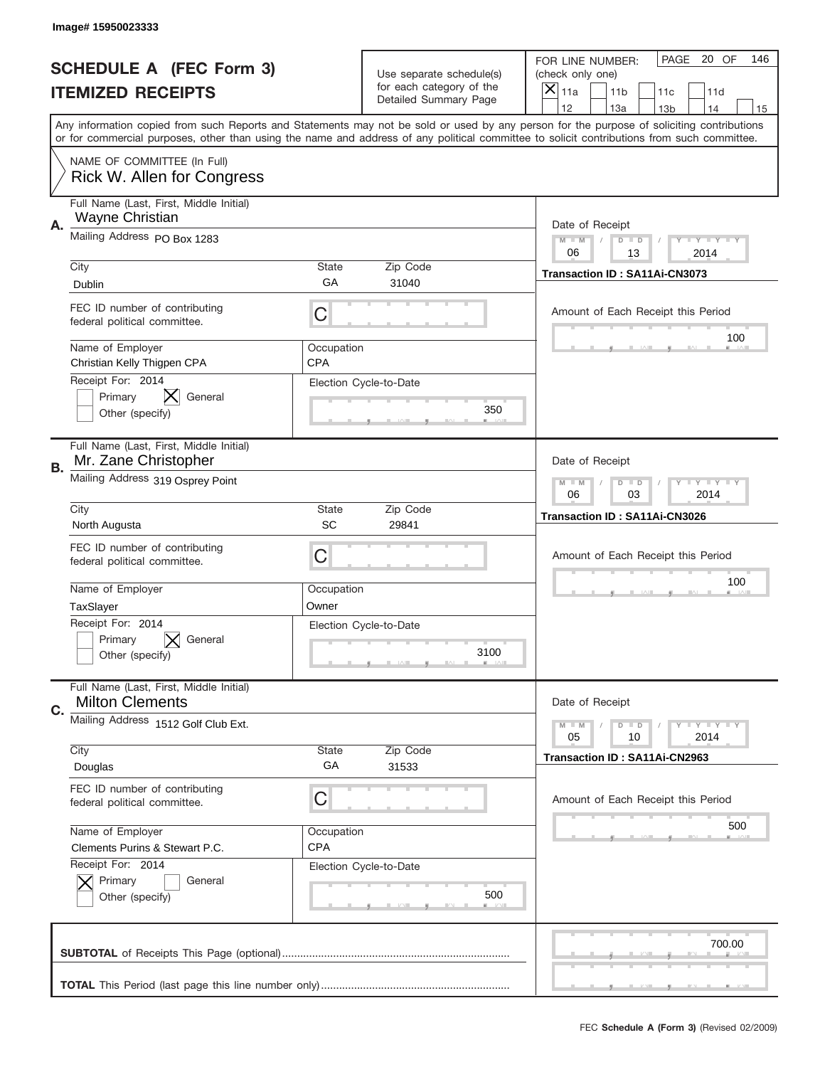|    | Image#15950023333                                                    |                          |                                                      |                                                                                                                                                                                                                                                                                                                                     |
|----|----------------------------------------------------------------------|--------------------------|------------------------------------------------------|-------------------------------------------------------------------------------------------------------------------------------------------------------------------------------------------------------------------------------------------------------------------------------------------------------------------------------------|
|    | <b>SCHEDULE A (FEC Form 3)</b>                                       |                          | Use separate schedule(s)<br>for each category of the | PAGE<br>20 OF<br>146<br>FOR LINE NUMBER:<br>(check only one)                                                                                                                                                                                                                                                                        |
|    | <b>ITEMIZED RECEIPTS</b>                                             |                          | Detailed Summary Page                                | ×<br>11a<br>11 <sub>b</sub><br>11c<br>11d                                                                                                                                                                                                                                                                                           |
|    |                                                                      |                          |                                                      | 12<br>13a<br>14<br>13 <sub>b</sub><br>15<br>Any information copied from such Reports and Statements may not be sold or used by any person for the purpose of soliciting contributions<br>or for commercial purposes, other than using the name and address of any political committee to solicit contributions from such committee. |
|    | NAME OF COMMITTEE (In Full)<br>Rick W. Allen for Congress            |                          |                                                      |                                                                                                                                                                                                                                                                                                                                     |
| Α. | Full Name (Last, First, Middle Initial)<br>Wayne Christian           |                          |                                                      | Date of Receipt                                                                                                                                                                                                                                                                                                                     |
|    | Mailing Address PO Box 1283                                          |                          |                                                      | $M - M$<br><b>LEY LEY LEY</b><br>$D$ $D$<br>06<br>13<br>2014                                                                                                                                                                                                                                                                        |
|    | City<br>Dublin                                                       | State<br>GА              | Zip Code<br>31040                                    | Transaction ID: SA11Ai-CN3073                                                                                                                                                                                                                                                                                                       |
|    | FEC ID number of contributing<br>federal political committee.        | C                        |                                                      | Amount of Each Receipt this Period<br>100                                                                                                                                                                                                                                                                                           |
|    | Name of Employer<br>Christian Kelly Thigpen CPA<br>Receipt For: 2014 | Occupation<br><b>CPA</b> |                                                      |                                                                                                                                                                                                                                                                                                                                     |
|    | Primary<br>General<br>Other (specify)                                |                          | Election Cycle-to-Date<br>350                        |                                                                                                                                                                                                                                                                                                                                     |
| В. | Full Name (Last, First, Middle Initial)<br>Mr. Zane Christopher      |                          |                                                      | Date of Receipt                                                                                                                                                                                                                                                                                                                     |
|    | Mailing Address 319 Osprey Point                                     |                          |                                                      | $M - M$<br><b>LEYTEY LEY</b><br>$D$ $D$<br>06<br>03<br>2014                                                                                                                                                                                                                                                                         |
|    | City<br>North Augusta                                                | State<br>SC              | Zip Code<br>29841                                    | Transaction ID: SA11Ai-CN3026                                                                                                                                                                                                                                                                                                       |
|    | FEC ID number of contributing<br>federal political committee.        | C                        |                                                      | Amount of Each Receipt this Period                                                                                                                                                                                                                                                                                                  |
|    | Name of Employer                                                     |                          |                                                      | 100                                                                                                                                                                                                                                                                                                                                 |
|    | TaxSlayer                                                            | Occupation<br>Owner      |                                                      |                                                                                                                                                                                                                                                                                                                                     |
|    | Receipt For: 2014<br>General<br>Primary<br>Other (specify)           |                          | Election Cycle-to-Date<br>3100                       |                                                                                                                                                                                                                                                                                                                                     |
| C. | Full Name (Last, First, Middle Initial)<br><b>Milton Clements</b>    |                          |                                                      | Date of Receipt                                                                                                                                                                                                                                                                                                                     |
|    | Mailing Address 1512 Golf Club Ext.                                  |                          |                                                      | <b>LEY LEY LEY</b><br>$M - M$<br>$D$ $D$<br>05<br>2014<br>10                                                                                                                                                                                                                                                                        |
|    | City<br>Douglas                                                      | State<br>GA              | Zip Code<br>31533                                    | Transaction ID: SA11Ai-CN2963                                                                                                                                                                                                                                                                                                       |
|    | FEC ID number of contributing<br>federal political committee.        | C                        |                                                      | Amount of Each Receipt this Period                                                                                                                                                                                                                                                                                                  |
|    | Name of Employer<br>Clements Purins & Stewart P.C.                   | Occupation<br><b>CPA</b> |                                                      | 500                                                                                                                                                                                                                                                                                                                                 |
|    | Receipt For: 2014<br>Primary<br>General<br>Other (specify)           |                          | Election Cycle-to-Date<br>500                        |                                                                                                                                                                                                                                                                                                                                     |
|    |                                                                      |                          |                                                      | 700.00                                                                                                                                                                                                                                                                                                                              |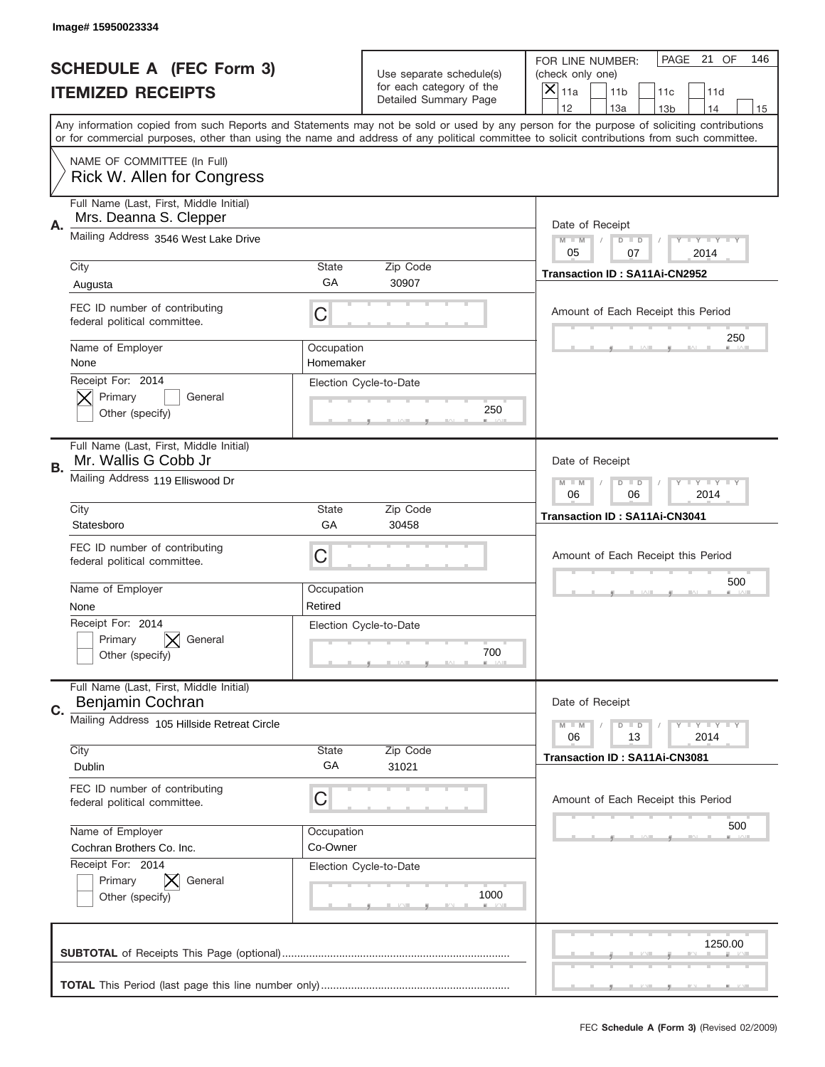|    | Image# 15950023334                                                |                         |                                                          |                                                                                                                                                                                                                                                                                                                                     |
|----|-------------------------------------------------------------------|-------------------------|----------------------------------------------------------|-------------------------------------------------------------------------------------------------------------------------------------------------------------------------------------------------------------------------------------------------------------------------------------------------------------------------------------|
|    | <b>SCHEDULE A (FEC Form 3)</b>                                    |                         | Use separate schedule(s)                                 | PAGE 21 OF<br>146<br>FOR LINE NUMBER:<br>(check only one)                                                                                                                                                                                                                                                                           |
|    | <b>ITEMIZED RECEIPTS</b>                                          |                         | for each category of the<br><b>Detailed Summary Page</b> | ×<br>11a<br>11 <sub>b</sub><br>11c<br>11d                                                                                                                                                                                                                                                                                           |
|    |                                                                   |                         |                                                          | 12<br>13a<br>14<br>13 <sub>b</sub><br>15<br>Any information copied from such Reports and Statements may not be sold or used by any person for the purpose of soliciting contributions<br>or for commercial purposes, other than using the name and address of any political committee to solicit contributions from such committee. |
|    | NAME OF COMMITTEE (In Full)<br>Rick W. Allen for Congress         |                         |                                                          |                                                                                                                                                                                                                                                                                                                                     |
| Α. | Full Name (Last, First, Middle Initial)<br>Mrs. Deanna S. Clepper |                         |                                                          | Date of Receipt                                                                                                                                                                                                                                                                                                                     |
|    | Mailing Address 3546 West Lake Drive                              |                         |                                                          | $M$ M<br><b>LEY LEY LEY</b><br>$D$ $D$<br>05<br>07<br>2014                                                                                                                                                                                                                                                                          |
|    | City<br>Augusta                                                   | State<br>GA             | Zip Code<br>30907                                        | Transaction ID: SA11Ai-CN2952                                                                                                                                                                                                                                                                                                       |
|    | FEC ID number of contributing<br>federal political committee.     | C                       |                                                          | Amount of Each Receipt this Period                                                                                                                                                                                                                                                                                                  |
|    | Name of Employer<br>None                                          | Occupation<br>Homemaker |                                                          | 250                                                                                                                                                                                                                                                                                                                                 |
|    | Receipt For: 2014<br>Primary<br>General<br>Other (specify)        |                         | Election Cycle-to-Date<br>250                            |                                                                                                                                                                                                                                                                                                                                     |
| В. | Full Name (Last, First, Middle Initial)<br>Mr. Wallis G Cobb Jr   |                         |                                                          | Date of Receipt                                                                                                                                                                                                                                                                                                                     |
|    | Mailing Address 119 Elliswood Dr                                  |                         |                                                          | $M - M$<br>$D$ $D$<br><b>LEY LEY LEY</b><br>06<br>06<br>2014                                                                                                                                                                                                                                                                        |
|    | City<br>Statesboro                                                | State<br>GA             | Zip Code<br>30458                                        | Transaction ID: SA11Ai-CN3041                                                                                                                                                                                                                                                                                                       |
|    | FEC ID number of contributing<br>federal political committee.     | C                       |                                                          | Amount of Each Receipt this Period                                                                                                                                                                                                                                                                                                  |
|    | Name of Employer                                                  | Occupation              |                                                          | 500                                                                                                                                                                                                                                                                                                                                 |
|    | None                                                              | Retired                 |                                                          |                                                                                                                                                                                                                                                                                                                                     |
|    | Receipt For: 2014<br>General<br>Primary<br>Other (specify)        |                         | Election Cycle-to-Date<br>700                            |                                                                                                                                                                                                                                                                                                                                     |
| C. | Full Name (Last, First, Middle Initial)<br>Benjamin Cochran       |                         |                                                          | Date of Receipt                                                                                                                                                                                                                                                                                                                     |
|    | Mailing Address 105 Hillside Retreat Circle                       |                         |                                                          | $M - M$<br>$D$ $D$<br><b>LEY LEY LEY</b><br>06<br>13<br>2014                                                                                                                                                                                                                                                                        |
|    | City<br>Dublin                                                    | <b>State</b><br>GA      | Zip Code<br>31021                                        | Transaction ID: SA11Ai-CN3081                                                                                                                                                                                                                                                                                                       |
|    | FEC ID number of contributing<br>federal political committee.     | C                       |                                                          | Amount of Each Receipt this Period                                                                                                                                                                                                                                                                                                  |
|    | Name of Employer<br>Cochran Brothers Co. Inc.                     | Occupation<br>Co-Owner  |                                                          | 500                                                                                                                                                                                                                                                                                                                                 |
|    | Receipt For: 2014<br>Primary<br>General<br>Other (specify)        |                         | Election Cycle-to-Date<br>1000                           |                                                                                                                                                                                                                                                                                                                                     |
|    |                                                                   |                         |                                                          | 1250.00                                                                                                                                                                                                                                                                                                                             |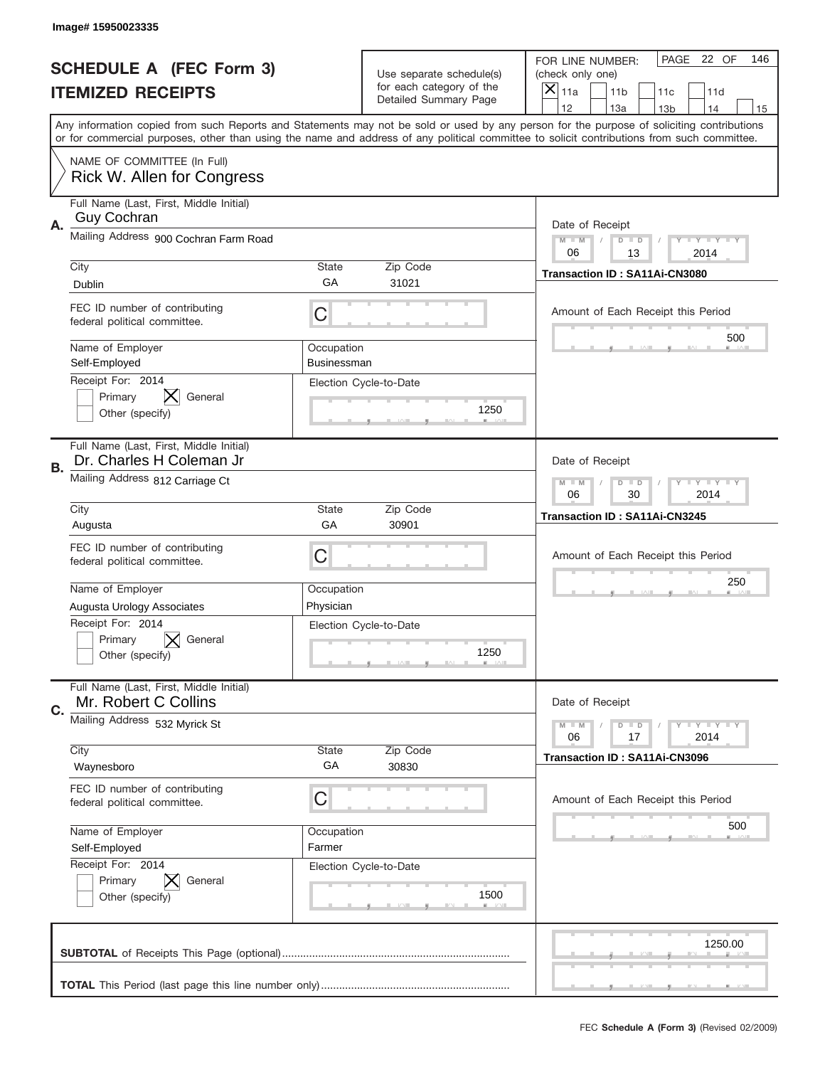|    | Image#15950023335                                                   |                           |                                                      |                                                                                                                                                                                                                                                                                                                                     |
|----|---------------------------------------------------------------------|---------------------------|------------------------------------------------------|-------------------------------------------------------------------------------------------------------------------------------------------------------------------------------------------------------------------------------------------------------------------------------------------------------------------------------------|
|    | <b>SCHEDULE A (FEC Form 3)</b>                                      |                           | Use separate schedule(s)<br>for each category of the | PAGE 22 OF<br>146<br>FOR LINE NUMBER:<br>(check only one)                                                                                                                                                                                                                                                                           |
|    | <b>ITEMIZED RECEIPTS</b>                                            |                           | Detailed Summary Page                                | ×<br>11a<br>11 <sub>b</sub><br>11c<br>11d                                                                                                                                                                                                                                                                                           |
|    |                                                                     |                           |                                                      | 12<br>13a<br>14<br>13 <sub>b</sub><br>15<br>Any information copied from such Reports and Statements may not be sold or used by any person for the purpose of soliciting contributions<br>or for commercial purposes, other than using the name and address of any political committee to solicit contributions from such committee. |
|    | NAME OF COMMITTEE (In Full)<br>Rick W. Allen for Congress           |                           |                                                      |                                                                                                                                                                                                                                                                                                                                     |
| Α. | Full Name (Last, First, Middle Initial)<br><b>Guy Cochran</b>       |                           |                                                      | Date of Receipt                                                                                                                                                                                                                                                                                                                     |
|    | Mailing Address 900 Cochran Farm Road                               |                           |                                                      | $M - M$<br><b>LEY LEY LEY</b><br>$D$ $D$<br>06<br>13<br>2014                                                                                                                                                                                                                                                                        |
|    | City<br>Dublin                                                      | State<br>GА               | Zip Code<br>31021                                    | Transaction ID: SA11Ai-CN3080                                                                                                                                                                                                                                                                                                       |
|    | FEC ID number of contributing<br>federal political committee.       | C                         |                                                      | Amount of Each Receipt this Period<br>500                                                                                                                                                                                                                                                                                           |
|    | Name of Employer<br>Self-Employed                                   | Occupation<br>Businessman |                                                      |                                                                                                                                                                                                                                                                                                                                     |
|    | Receipt For: 2014<br>Primary<br>General<br>Other (specify)          |                           | Election Cycle-to-Date<br>1250                       |                                                                                                                                                                                                                                                                                                                                     |
| В. | Full Name (Last, First, Middle Initial)<br>Dr. Charles H Coleman Jr |                           |                                                      | Date of Receipt                                                                                                                                                                                                                                                                                                                     |
|    | Mailing Address 812 Carriage Ct                                     |                           |                                                      | $M - M$<br><b>LEY LEY LEY</b><br>$D$ $D$<br>06<br>30<br>2014                                                                                                                                                                                                                                                                        |
|    | City<br>Augusta                                                     | State<br>GA               | Zip Code<br>30901                                    | Transaction ID: SA11Ai-CN3245                                                                                                                                                                                                                                                                                                       |
|    | FEC ID number of contributing<br>federal political committee.       | C                         |                                                      | Amount of Each Receipt this Period                                                                                                                                                                                                                                                                                                  |
|    | Name of Employer<br>Augusta Urology Associates                      | Occupation<br>Physician   |                                                      | 250                                                                                                                                                                                                                                                                                                                                 |
|    | Receipt For: 2014<br>General<br>Primary<br>Other (specify)          |                           | Election Cycle-to-Date<br>1250                       |                                                                                                                                                                                                                                                                                                                                     |
| C. | Full Name (Last, First, Middle Initial)<br>Mr. Robert C Collins     |                           |                                                      | Date of Receipt                                                                                                                                                                                                                                                                                                                     |
|    | Mailing Address 532 Myrick St                                       |                           |                                                      | $D$ $D$<br><b>LY LY LY</b><br>$M - M$<br>06<br>2014<br>17                                                                                                                                                                                                                                                                           |
|    | City<br>Waynesboro                                                  | State<br>GA               | Zip Code<br>30830                                    | <b>Transaction ID: SA11Ai-CN3096</b>                                                                                                                                                                                                                                                                                                |
|    | FEC ID number of contributing<br>federal political committee.       | C                         |                                                      | Amount of Each Receipt this Period                                                                                                                                                                                                                                                                                                  |
|    | Name of Employer<br>Self-Employed                                   | Occupation<br>Farmer      |                                                      | 500                                                                                                                                                                                                                                                                                                                                 |
|    | Receipt For: 2014<br>Primary<br>General<br>Other (specify)          |                           | Election Cycle-to-Date<br>1500                       |                                                                                                                                                                                                                                                                                                                                     |
|    |                                                                     |                           |                                                      | 1250.00                                                                                                                                                                                                                                                                                                                             |
|    |                                                                     |                           |                                                      |                                                                                                                                                                                                                                                                                                                                     |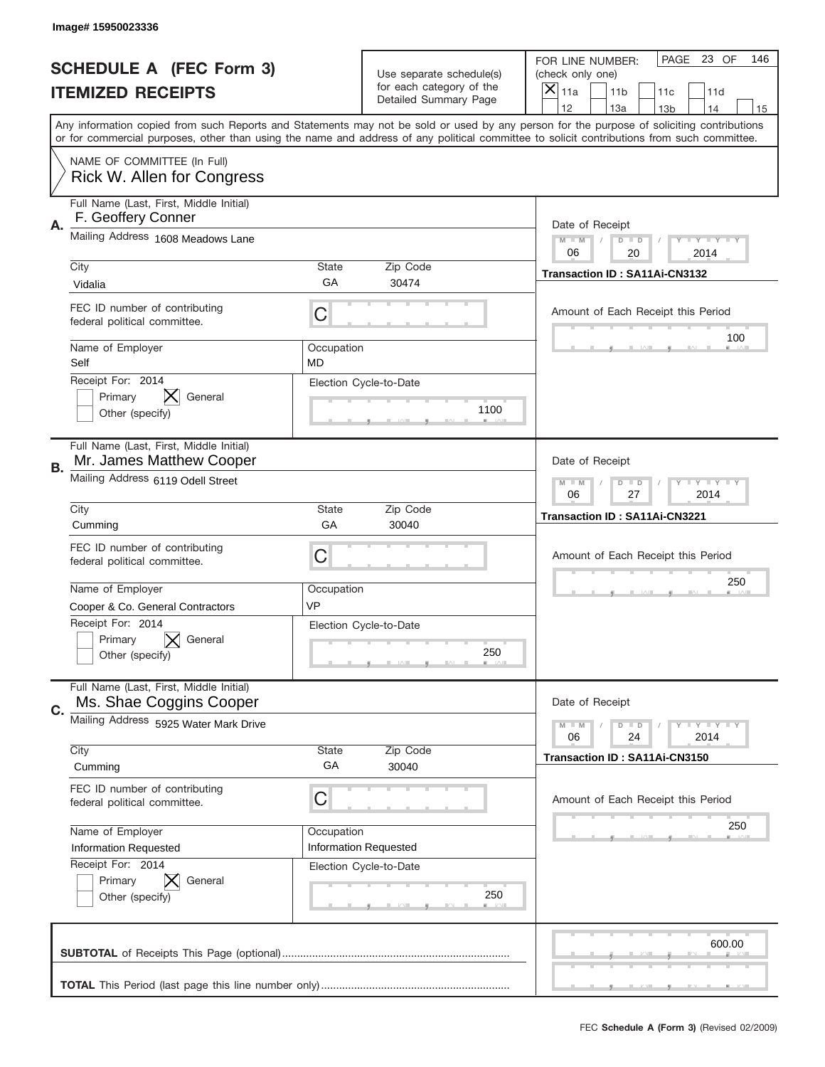|    | Image#15950023336                                                   |                         |                                                   |                                                                                                                                                                                                                                                                                                                                     |
|----|---------------------------------------------------------------------|-------------------------|---------------------------------------------------|-------------------------------------------------------------------------------------------------------------------------------------------------------------------------------------------------------------------------------------------------------------------------------------------------------------------------------------|
|    | <b>SCHEDULE A (FEC Form 3)</b>                                      |                         | Use separate schedule(s)                          | PAGE 23 OF<br>146<br>FOR LINE NUMBER:<br>(check only one)                                                                                                                                                                                                                                                                           |
|    | <b>ITEMIZED RECEIPTS</b>                                            |                         | for each category of the<br>Detailed Summary Page | ×<br>11a<br>11 <sub>b</sub><br>11c<br>11d                                                                                                                                                                                                                                                                                           |
|    |                                                                     |                         |                                                   | 12<br>13a<br>14<br>13 <sub>b</sub><br>15<br>Any information copied from such Reports and Statements may not be sold or used by any person for the purpose of soliciting contributions<br>or for commercial purposes, other than using the name and address of any political committee to solicit contributions from such committee. |
|    | NAME OF COMMITTEE (In Full)<br>Rick W. Allen for Congress           |                         |                                                   |                                                                                                                                                                                                                                                                                                                                     |
| Α. | Full Name (Last, First, Middle Initial)<br>F. Geoffery Conner       |                         |                                                   | Date of Receipt                                                                                                                                                                                                                                                                                                                     |
|    | Mailing Address 1608 Meadows Lane                                   |                         |                                                   | $M - M$<br><b>LEY LEY LEY</b><br>$D$ $D$<br>06<br>20<br>2014                                                                                                                                                                                                                                                                        |
|    | City<br>Vidalia                                                     | State<br>GА             | Zip Code<br>30474                                 | Transaction ID: SA11Ai-CN3132                                                                                                                                                                                                                                                                                                       |
|    | FEC ID number of contributing<br>federal political committee.       | C                       |                                                   | Amount of Each Receipt this Period                                                                                                                                                                                                                                                                                                  |
|    | Name of Employer<br>Self                                            | Occupation<br><b>MD</b> |                                                   | 100                                                                                                                                                                                                                                                                                                                                 |
|    | Receipt For: 2014<br>Primary<br>General<br>Other (specify)          |                         | Election Cycle-to-Date<br>1100                    |                                                                                                                                                                                                                                                                                                                                     |
| В. | Full Name (Last, First, Middle Initial)<br>Mr. James Matthew Cooper |                         |                                                   | Date of Receipt                                                                                                                                                                                                                                                                                                                     |
|    | Mailing Address 6119 Odell Street                                   |                         |                                                   | <b>LEYTEY LEY</b><br>$M$ $M$<br>$D$ $D$<br>06<br>27<br>2014                                                                                                                                                                                                                                                                         |
|    | City<br>Cumming                                                     | State<br>GA             | Zip Code<br>30040                                 | Transaction ID: SA11Ai-CN3221                                                                                                                                                                                                                                                                                                       |
|    | FEC ID number of contributing<br>federal political committee.       | C                       |                                                   | Amount of Each Receipt this Period                                                                                                                                                                                                                                                                                                  |
|    | Name of Employer<br>Cooper & Co. General Contractors                | Occupation<br><b>VP</b> |                                                   | 250                                                                                                                                                                                                                                                                                                                                 |
|    | Receipt For: 2014<br>Primary<br>General<br>Other (specify)          |                         | Election Cycle-to-Date<br>250                     |                                                                                                                                                                                                                                                                                                                                     |
| C. | Full Name (Last, First, Middle Initial)<br>Ms. Shae Coggins Cooper  |                         |                                                   | Date of Receipt                                                                                                                                                                                                                                                                                                                     |
|    | Mailing Address 5925 Water Mark Drive                               |                         |                                                   | <b>LEY LEY LEY</b><br>$M - M$<br>$D$ $D$<br>06<br>2014<br>24                                                                                                                                                                                                                                                                        |
|    | City<br>Cumming                                                     | State<br>GA             | Zip Code<br>30040                                 | Transaction ID: SA11Ai-CN3150                                                                                                                                                                                                                                                                                                       |
|    | FEC ID number of contributing<br>federal political committee.       | C                       |                                                   | Amount of Each Receipt this Period                                                                                                                                                                                                                                                                                                  |
|    | Name of Employer<br>Information Requested                           | Occupation              | Information Requested                             | 250                                                                                                                                                                                                                                                                                                                                 |
|    | Receipt For: 2014<br>Primary<br>General                             |                         | Election Cycle-to-Date<br>250                     |                                                                                                                                                                                                                                                                                                                                     |
|    | Other (specify)                                                     |                         |                                                   |                                                                                                                                                                                                                                                                                                                                     |
|    |                                                                     |                         |                                                   | 600.00                                                                                                                                                                                                                                                                                                                              |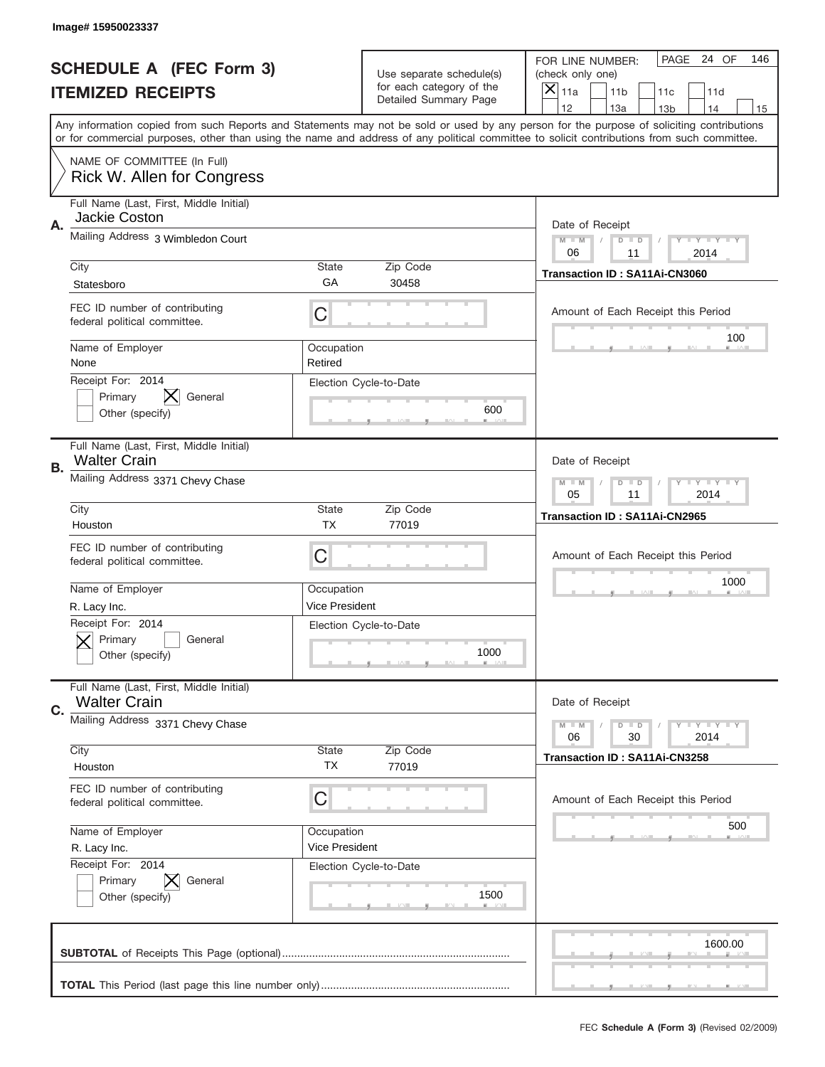|    | Image# 15950023337                                             |                              |                                                      |                                                                                                                                                                                                                                                                                                                  |
|----|----------------------------------------------------------------|------------------------------|------------------------------------------------------|------------------------------------------------------------------------------------------------------------------------------------------------------------------------------------------------------------------------------------------------------------------------------------------------------------------|
|    | <b>SCHEDULE A (FEC Form 3)</b>                                 |                              | Use separate schedule(s)<br>for each category of the | PAGE<br>24 OF<br>146<br>FOR LINE NUMBER:<br>(check only one)                                                                                                                                                                                                                                                     |
|    | <b>ITEMIZED RECEIPTS</b>                                       |                              | Detailed Summary Page                                | $\times$<br>11a<br>11 <sub>b</sub><br>11c<br>11d<br>12<br>13a<br>14                                                                                                                                                                                                                                              |
|    |                                                                |                              |                                                      | 13 <sub>b</sub><br>15<br>Any information copied from such Reports and Statements may not be sold or used by any person for the purpose of soliciting contributions<br>or for commercial purposes, other than using the name and address of any political committee to solicit contributions from such committee. |
|    | NAME OF COMMITTEE (In Full)<br>Rick W. Allen for Congress      |                              |                                                      |                                                                                                                                                                                                                                                                                                                  |
| Α. | Full Name (Last, First, Middle Initial)<br>Jackie Coston       |                              |                                                      | Date of Receipt                                                                                                                                                                                                                                                                                                  |
|    | Mailing Address 3 Wimbledon Court                              |                              |                                                      | $M$ $M$<br>Y I Y I Y I Y<br>$D$ $D$<br>06<br>2014<br>11                                                                                                                                                                                                                                                          |
|    | City<br>Statesboro                                             | State<br>GA                  | Zip Code<br>30458                                    | Transaction ID: SA11Ai-CN3060                                                                                                                                                                                                                                                                                    |
|    | FEC ID number of contributing<br>federal political committee.  | C                            |                                                      | Amount of Each Receipt this Period<br>100                                                                                                                                                                                                                                                                        |
|    | Name of Employer<br>None                                       | Occupation<br>Retired        |                                                      |                                                                                                                                                                                                                                                                                                                  |
|    | Receipt For: 2014<br>Primary<br>General<br>Other (specify)     |                              | Election Cycle-to-Date<br>600                        |                                                                                                                                                                                                                                                                                                                  |
| В. | Full Name (Last, First, Middle Initial)<br><b>Walter Crain</b> |                              |                                                      | Date of Receipt                                                                                                                                                                                                                                                                                                  |
|    | Mailing Address 3371 Chevy Chase                               |                              |                                                      | $T$ $Y$ $Y$ $Y$ $Y$<br>$M$ M<br>$D$ $D$<br>05<br>11<br>2014                                                                                                                                                                                                                                                      |
|    | City<br>Houston                                                | State<br><b>TX</b>           | Zip Code<br>77019                                    | Transaction ID: SA11Ai-CN2965                                                                                                                                                                                                                                                                                    |
|    | FEC ID number of contributing<br>federal political committee.  | C                            |                                                      | Amount of Each Receipt this Period                                                                                                                                                                                                                                                                               |
|    | Name of Employer<br>R. Lacy Inc.                               | Occupation<br>Vice President |                                                      | 1000                                                                                                                                                                                                                                                                                                             |
|    | Receipt For: 2014<br>General<br>Primary<br>Other (specify)     |                              | Election Cycle-to-Date<br>1000                       |                                                                                                                                                                                                                                                                                                                  |
| C. | Full Name (Last, First, Middle Initial)<br><b>Walter Crain</b> |                              |                                                      | Date of Receipt                                                                                                                                                                                                                                                                                                  |
|    | Mailing Address 3371 Chevy Chase                               |                              |                                                      | $T$ $Y$ $T$ $Y$ $T$ $Y$<br>$M - M$<br>$D$ $D$<br>06<br>30<br>2014                                                                                                                                                                                                                                                |
|    | City<br>Houston                                                | State<br><b>TX</b>           | Zip Code<br>77019                                    | Transaction ID: SA11Ai-CN3258                                                                                                                                                                                                                                                                                    |
|    | FEC ID number of contributing<br>federal political committee.  | C                            |                                                      | Amount of Each Receipt this Period                                                                                                                                                                                                                                                                               |
|    | Name of Employer<br>R. Lacy Inc.                               | Occupation<br>Vice President |                                                      | 500                                                                                                                                                                                                                                                                                                              |
|    | Receipt For: 2014<br>Primary<br>General<br>Other (specify)     |                              | Election Cycle-to-Date<br>1500                       |                                                                                                                                                                                                                                                                                                                  |
|    |                                                                |                              |                                                      | 1600.00                                                                                                                                                                                                                                                                                                          |
|    |                                                                |                              |                                                      |                                                                                                                                                                                                                                                                                                                  |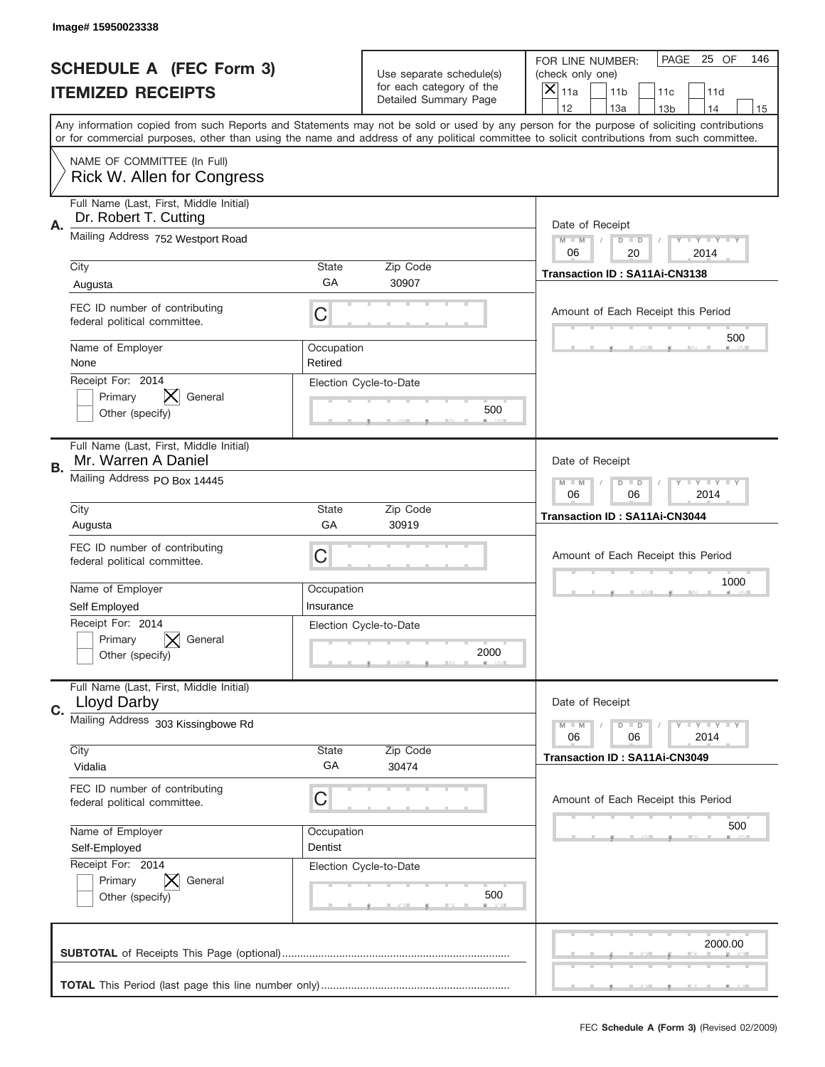|    | Image# 15950023338                                                                                                                                                                                                                                                                      |                         |                                                   |                                      |                                    |                 |                            |     |
|----|-----------------------------------------------------------------------------------------------------------------------------------------------------------------------------------------------------------------------------------------------------------------------------------------|-------------------------|---------------------------------------------------|--------------------------------------|------------------------------------|-----------------|----------------------------|-----|
|    | <b>SCHEDULE A (FEC Form 3)</b>                                                                                                                                                                                                                                                          |                         | Use separate schedule(s)                          | FOR LINE NUMBER:<br>(check only one) |                                    | PAGE            | 25 OF                      | 146 |
|    | <b>ITEMIZED RECEIPTS</b>                                                                                                                                                                                                                                                                |                         | for each category of the<br>Detailed Summary Page | $\overline{X} _{11a}$                | 11 <sub>b</sub>                    | 11c             | 11d                        |     |
|    | Any information copied from such Reports and Statements may not be sold or used by any person for the purpose of soliciting contributions<br>or for commercial purposes, other than using the name and address of any political committee to solicit contributions from such committee. |                         |                                                   | 12                                   | 13a                                | 13 <sub>b</sub> | 14                         | 15  |
|    | NAME OF COMMITTEE (In Full)<br>Rick W. Allen for Congress                                                                                                                                                                                                                               |                         |                                                   |                                      |                                    |                 |                            |     |
| Α. | Full Name (Last, First, Middle Initial)<br>Dr. Robert T. Cutting                                                                                                                                                                                                                        |                         |                                                   | Date of Receipt                      |                                    |                 |                            |     |
|    | Mailing Address 752 Westport Road                                                                                                                                                                                                                                                       |                         |                                                   | $M - M$<br>06                        | $D$ $D$<br>20                      |                 | <b>LYLYLY</b><br>2014      |     |
|    | City<br>Augusta                                                                                                                                                                                                                                                                         | <b>State</b><br>GA      | Zip Code<br>30907                                 |                                      | Transaction ID: SA11Ai-CN3138      |                 |                            |     |
|    | FEC ID number of contributing<br>federal political committee.                                                                                                                                                                                                                           | С                       |                                                   |                                      | Amount of Each Receipt this Period |                 |                            |     |
|    | Name of Employer<br>None                                                                                                                                                                                                                                                                | Occupation<br>Retired   |                                                   |                                      |                                    |                 | 500                        |     |
|    | Receipt For: 2014<br>Primary<br>General<br>Other (specify)                                                                                                                                                                                                                              |                         | Election Cycle-to-Date<br>500                     |                                      |                                    |                 |                            |     |
| В. | Full Name (Last, First, Middle Initial)<br>Mr. Warren A Daniel                                                                                                                                                                                                                          |                         |                                                   | Date of Receipt                      |                                    |                 |                            |     |
|    | Mailing Address PO Box 14445                                                                                                                                                                                                                                                            |                         |                                                   | $M - M$<br>06                        | $D$ $D$<br>06                      |                 | <b>LEY LEY LEY</b><br>2014 |     |
|    | City<br>Augusta                                                                                                                                                                                                                                                                         | <b>State</b><br>GA      | Zip Code<br>30919                                 | Transaction ID: SA11Ai-CN3044        |                                    |                 |                            |     |
|    | FEC ID number of contributing<br>federal political committee.                                                                                                                                                                                                                           | С                       |                                                   |                                      | Amount of Each Receipt this Period |                 |                            |     |
|    | Name of Employer<br>Self Employed                                                                                                                                                                                                                                                       | Occupation<br>Insurance |                                                   |                                      |                                    |                 | 1000                       |     |
|    | Receipt For: 2014<br>Primary<br>General<br>Other (specify)                                                                                                                                                                                                                              |                         | Election Cycle-to-Date<br>2000                    |                                      |                                    |                 |                            |     |
| C. | Full Name (Last, First, Middle Initial)<br><b>Lloyd Darby</b>                                                                                                                                                                                                                           |                         |                                                   | Date of Receipt                      |                                    |                 |                            |     |
|    | Mailing Address 303 Kissingbowe Rd                                                                                                                                                                                                                                                      |                         |                                                   | $M - M$<br>06                        | $D$ $D$<br>06                      |                 | <b>LY LY LY</b><br>2014    |     |
|    | City<br>Vidalia                                                                                                                                                                                                                                                                         | State<br>GA             | Zip Code<br>30474                                 |                                      | Transaction ID: SA11Ai-CN3049      |                 |                            |     |
|    | FEC ID number of contributing<br>federal political committee.                                                                                                                                                                                                                           | С                       |                                                   |                                      | Amount of Each Receipt this Period |                 |                            |     |
|    | Name of Employer<br>Self-Employed                                                                                                                                                                                                                                                       | Occupation<br>Dentist   |                                                   |                                      |                                    |                 | 500                        |     |
|    | Receipt For: 2014<br>Primary<br>General<br>Other (specify)                                                                                                                                                                                                                              |                         | Election Cycle-to-Date<br>500                     |                                      |                                    |                 |                            |     |
|    |                                                                                                                                                                                                                                                                                         |                         |                                                   |                                      |                                    |                 | 2000.00                    |     |
|    |                                                                                                                                                                                                                                                                                         |                         |                                                   |                                      |                                    |                 |                            |     |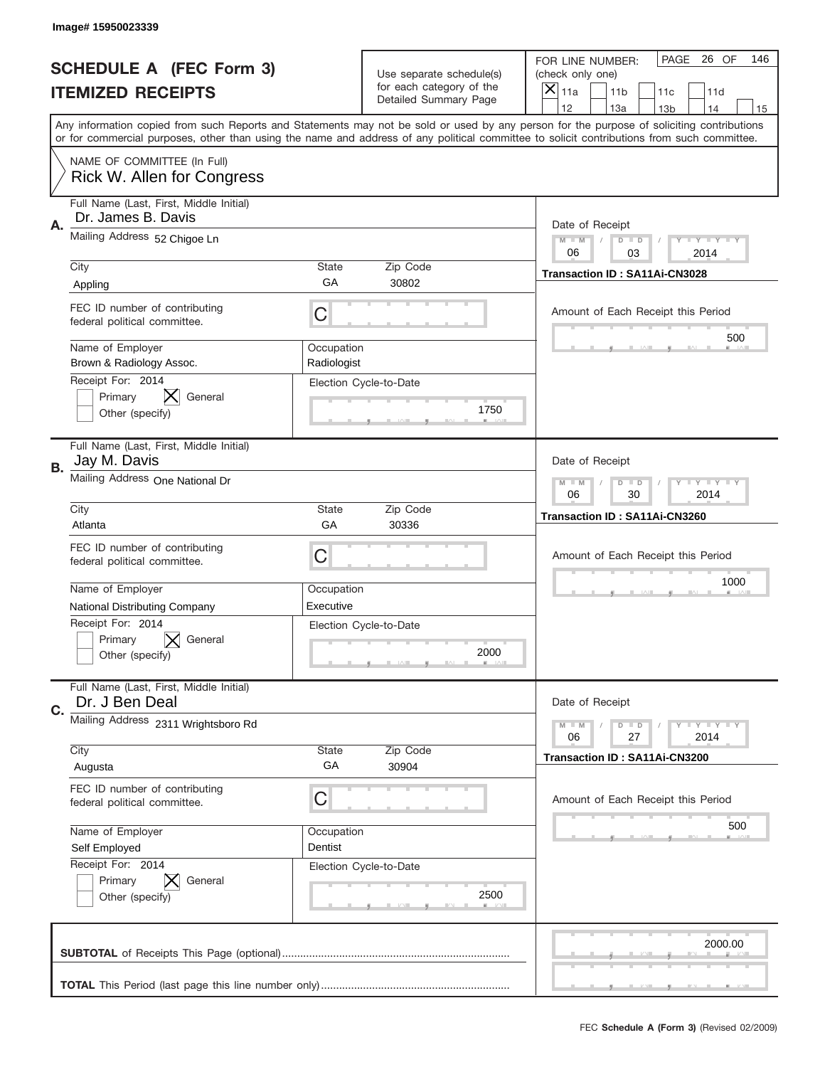|    | Image#15950023339                                             |                           |                                                      |                                                                                                                                                                                                                                                                                                                               |
|----|---------------------------------------------------------------|---------------------------|------------------------------------------------------|-------------------------------------------------------------------------------------------------------------------------------------------------------------------------------------------------------------------------------------------------------------------------------------------------------------------------------|
|    | <b>SCHEDULE A (FEC Form 3)</b>                                |                           | Use separate schedule(s)<br>for each category of the | PAGE<br>26 OF<br>146<br>FOR LINE NUMBER:<br>(check only one)                                                                                                                                                                                                                                                                  |
|    | <b>ITEMIZED RECEIPTS</b>                                      |                           | Detailed Summary Page                                | ×<br>11a<br>11 <sub>b</sub><br>11c<br>11d<br>12                                                                                                                                                                                                                                                                               |
|    |                                                               |                           |                                                      | 13a<br>14<br>13 <sub>b</sub><br>15<br>Any information copied from such Reports and Statements may not be sold or used by any person for the purpose of soliciting contributions<br>or for commercial purposes, other than using the name and address of any political committee to solicit contributions from such committee. |
|    | NAME OF COMMITTEE (In Full)<br>Rick W. Allen for Congress     |                           |                                                      |                                                                                                                                                                                                                                                                                                                               |
| Α. | Full Name (Last, First, Middle Initial)<br>Dr. James B. Davis |                           |                                                      | Date of Receipt                                                                                                                                                                                                                                                                                                               |
|    | Mailing Address 52 Chigoe Ln                                  |                           |                                                      | $M - M$<br>Y I Y I Y I Y<br>$D$ $D$<br>06<br>03<br>2014                                                                                                                                                                                                                                                                       |
|    | City<br>Appling                                               | State<br>GA               | Zip Code<br>30802                                    | Transaction ID: SA11Ai-CN3028                                                                                                                                                                                                                                                                                                 |
|    | FEC ID number of contributing<br>federal political committee. | C                         |                                                      | Amount of Each Receipt this Period<br>500                                                                                                                                                                                                                                                                                     |
|    | Name of Employer<br>Brown & Radiology Assoc.                  | Occupation<br>Radiologist |                                                      |                                                                                                                                                                                                                                                                                                                               |
|    | Receipt For: 2014<br>Primary<br>General<br>Other (specify)    |                           | Election Cycle-to-Date<br>1750                       |                                                                                                                                                                                                                                                                                                                               |
| В. | Full Name (Last, First, Middle Initial)<br>Jay M. Davis       |                           |                                                      | Date of Receipt                                                                                                                                                                                                                                                                                                               |
|    | Mailing Address One National Dr                               |                           |                                                      | <b>LYLYLY</b><br>$M - M$<br>$D$ $D$<br>06<br>30<br>2014                                                                                                                                                                                                                                                                       |
|    | City<br>Atlanta                                               | State<br>GA               | Zip Code<br>30336                                    | Transaction ID: SA11Ai-CN3260                                                                                                                                                                                                                                                                                                 |
|    | FEC ID number of contributing<br>federal political committee. | C                         |                                                      | Amount of Each Receipt this Period                                                                                                                                                                                                                                                                                            |
|    | Name of Employer<br><b>National Distributing Company</b>      | Occupation<br>Executive   |                                                      | 1000                                                                                                                                                                                                                                                                                                                          |
|    | Receipt For: 2014<br>General<br>Primary<br>Other (specify)    |                           | Election Cycle-to-Date<br>2000                       |                                                                                                                                                                                                                                                                                                                               |
| C. | Full Name (Last, First, Middle Initial)<br>Dr. J Ben Deal     |                           |                                                      | Date of Receipt                                                                                                                                                                                                                                                                                                               |
|    | Mailing Address 2311 Wrightsboro Rd                           |                           |                                                      | Y I Y I Y I Y<br>$M - M$<br>$D$ $D$<br>27<br>2014<br>06                                                                                                                                                                                                                                                                       |
|    | City<br>Augusta                                               | State<br>GA               | Zip Code<br>30904                                    | <b>Transaction ID: SA11Ai-CN3200</b>                                                                                                                                                                                                                                                                                          |
|    | FEC ID number of contributing<br>federal political committee. | C                         |                                                      | Amount of Each Receipt this Period                                                                                                                                                                                                                                                                                            |
|    | Name of Employer<br>Self Employed                             | Occupation<br>Dentist     |                                                      | 500                                                                                                                                                                                                                                                                                                                           |
|    | Receipt For: 2014<br>Primary<br>General<br>Other (specify)    |                           | Election Cycle-to-Date<br>2500                       |                                                                                                                                                                                                                                                                                                                               |
|    |                                                               |                           |                                                      | 2000.00                                                                                                                                                                                                                                                                                                                       |
|    |                                                               |                           |                                                      |                                                                                                                                                                                                                                                                                                                               |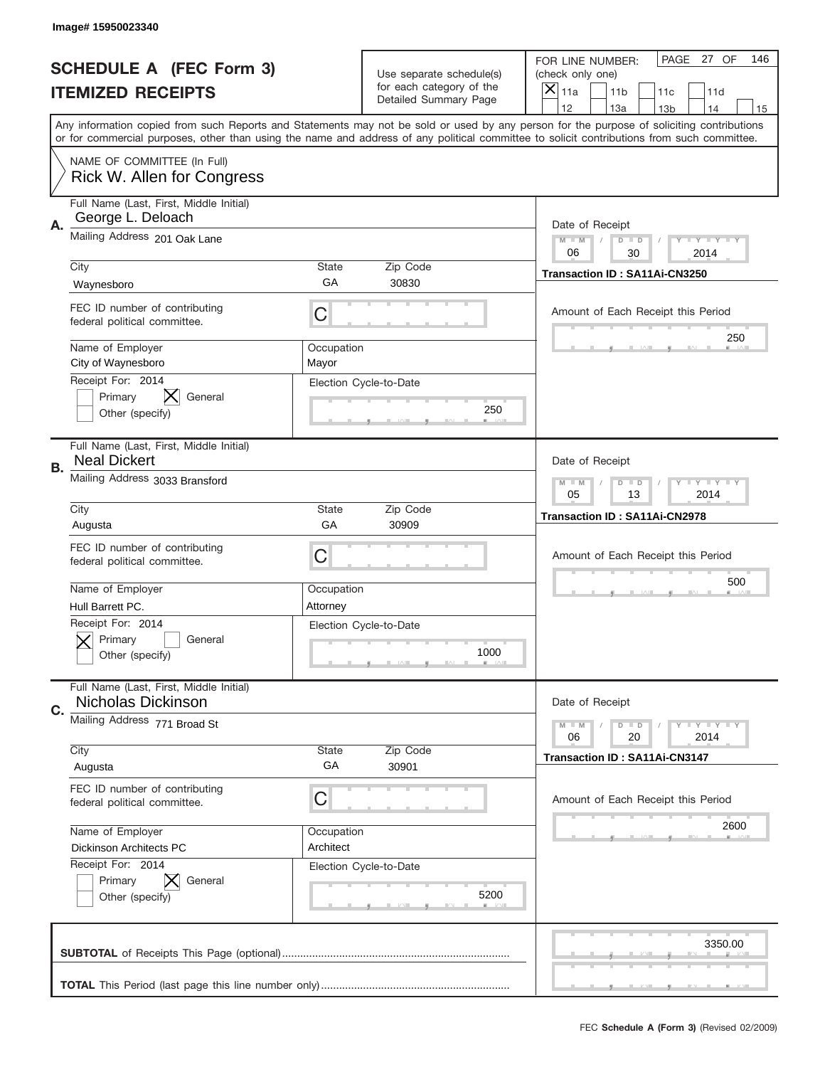|    | Image# 15950023340                                             |                         |                                                      |                                                                                                                                                                                                                                                                                                                                     |
|----|----------------------------------------------------------------|-------------------------|------------------------------------------------------|-------------------------------------------------------------------------------------------------------------------------------------------------------------------------------------------------------------------------------------------------------------------------------------------------------------------------------------|
|    | <b>SCHEDULE A (FEC Form 3)</b>                                 |                         | Use separate schedule(s)<br>for each category of the | PAGE 27 OF<br>146<br>FOR LINE NUMBER:<br>(check only one)                                                                                                                                                                                                                                                                           |
|    | <b>ITEMIZED RECEIPTS</b>                                       |                         | Detailed Summary Page                                | ×<br>11a<br>11 <sub>b</sub><br>11c<br>11d                                                                                                                                                                                                                                                                                           |
|    |                                                                |                         |                                                      | 12<br>13a<br>14<br>13 <sub>b</sub><br>15<br>Any information copied from such Reports and Statements may not be sold or used by any person for the purpose of soliciting contributions<br>or for commercial purposes, other than using the name and address of any political committee to solicit contributions from such committee. |
|    | NAME OF COMMITTEE (In Full)<br>Rick W. Allen for Congress      |                         |                                                      |                                                                                                                                                                                                                                                                                                                                     |
| Α. | Full Name (Last, First, Middle Initial)<br>George L. Deloach   |                         |                                                      | Date of Receipt                                                                                                                                                                                                                                                                                                                     |
|    | Mailing Address 201 Oak Lane                                   |                         |                                                      | $M - M$<br><b>LEY LEY LEY</b><br>$D$ $D$<br>06<br>30<br>2014                                                                                                                                                                                                                                                                        |
|    | City<br>Waynesboro                                             | State<br>GА             | Zip Code<br>30830                                    | Transaction ID: SA11Ai-CN3250                                                                                                                                                                                                                                                                                                       |
|    | FEC ID number of contributing<br>federal political committee.  | C                       |                                                      | Amount of Each Receipt this Period<br>250                                                                                                                                                                                                                                                                                           |
|    | Name of Employer<br>City of Waynesboro                         | Occupation<br>Mayor     |                                                      |                                                                                                                                                                                                                                                                                                                                     |
|    | Receipt For: 2014<br>Primary<br>General<br>Other (specify)     |                         | Election Cycle-to-Date<br>250                        |                                                                                                                                                                                                                                                                                                                                     |
| В. | Full Name (Last, First, Middle Initial)<br><b>Neal Dickert</b> |                         |                                                      | Date of Receipt                                                                                                                                                                                                                                                                                                                     |
|    | Mailing Address 3033 Bransford                                 |                         |                                                      | $M$ M<br><b>LEYTEY LEY</b><br>$D$ $D$<br>05<br>13<br>2014                                                                                                                                                                                                                                                                           |
|    | City<br>Augusta                                                | State<br>GA             | Zip Code<br>30909                                    | Transaction ID: SA11Ai-CN2978                                                                                                                                                                                                                                                                                                       |
|    | FEC ID number of contributing<br>federal political committee.  | C                       |                                                      | Amount of Each Receipt this Period                                                                                                                                                                                                                                                                                                  |
|    | Name of Employer<br>Hull Barrett PC.                           | Occupation<br>Attorney  |                                                      | 500                                                                                                                                                                                                                                                                                                                                 |
|    | Receipt For: 2014<br>General<br>Primary<br>Other (specify)     |                         | Election Cycle-to-Date<br>1000                       |                                                                                                                                                                                                                                                                                                                                     |
|    |                                                                |                         |                                                      |                                                                                                                                                                                                                                                                                                                                     |
| C. | Full Name (Last, First, Middle Initial)<br>Nicholas Dickinson  |                         |                                                      | Date of Receipt                                                                                                                                                                                                                                                                                                                     |
|    | Mailing Address 771 Broad St                                   |                         |                                                      | <b>LEY LEY LEY</b><br>$M - M$<br>$D$ $D$<br>06<br>2014<br>20                                                                                                                                                                                                                                                                        |
|    | City<br>Augusta                                                | State<br>GA             | Zip Code<br>30901                                    | <b>Transaction ID: SA11Ai-CN3147</b>                                                                                                                                                                                                                                                                                                |
|    | FEC ID number of contributing<br>federal political committee.  | C                       |                                                      | Amount of Each Receipt this Period                                                                                                                                                                                                                                                                                                  |
|    | Name of Employer<br>Dickinson Architects PC                    | Occupation<br>Architect |                                                      | 2600                                                                                                                                                                                                                                                                                                                                |
|    | Receipt For: 2014<br>Primary<br>General<br>Other (specify)     |                         | Election Cycle-to-Date<br>5200                       |                                                                                                                                                                                                                                                                                                                                     |
|    |                                                                |                         |                                                      | 3350.00                                                                                                                                                                                                                                                                                                                             |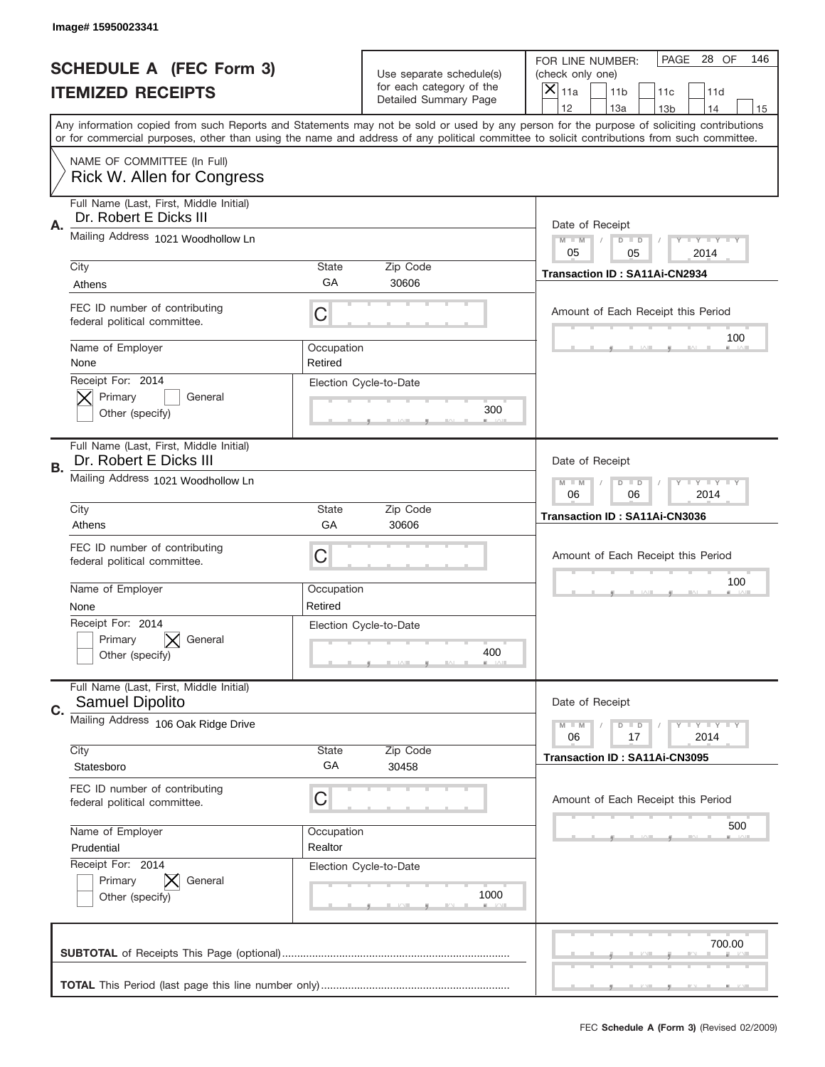|    | Image# 15950023341                                                |                       |                                                      |                                                                                                                                                                                                                                                                                         |
|----|-------------------------------------------------------------------|-----------------------|------------------------------------------------------|-----------------------------------------------------------------------------------------------------------------------------------------------------------------------------------------------------------------------------------------------------------------------------------------|
|    | <b>SCHEDULE A (FEC Form 3)</b>                                    |                       | Use separate schedule(s)<br>for each category of the | PAGE 28 OF<br>146<br>FOR LINE NUMBER:<br>(check only one)                                                                                                                                                                                                                               |
|    | <b>ITEMIZED RECEIPTS</b>                                          |                       | Detailed Summary Page                                | $\overline{X} _{11a}$<br>11 <sub>b</sub><br>11c<br>11d<br>12<br>13a<br>13 <sub>b</sub><br>14<br>15                                                                                                                                                                                      |
|    |                                                                   |                       |                                                      | Any information copied from such Reports and Statements may not be sold or used by any person for the purpose of soliciting contributions<br>or for commercial purposes, other than using the name and address of any political committee to solicit contributions from such committee. |
|    | NAME OF COMMITTEE (In Full)<br>Rick W. Allen for Congress         |                       |                                                      |                                                                                                                                                                                                                                                                                         |
| Α. | Full Name (Last, First, Middle Initial)<br>Dr. Robert E Dicks III |                       |                                                      | Date of Receipt                                                                                                                                                                                                                                                                         |
|    | Mailing Address 1021 Woodhollow Ln                                |                       |                                                      | $M$ M<br><b>LEY LEY LEY</b><br>$D$ $D$<br>05<br>05<br>2014                                                                                                                                                                                                                              |
|    | City<br>Athens                                                    | State<br>GA           | Zip Code<br>30606                                    | Transaction ID: SA11Ai-CN2934                                                                                                                                                                                                                                                           |
|    | FEC ID number of contributing<br>federal political committee.     | C                     |                                                      | Amount of Each Receipt this Period<br>100                                                                                                                                                                                                                                               |
|    | Name of Employer<br>None                                          | Occupation<br>Retired |                                                      |                                                                                                                                                                                                                                                                                         |
|    | Receipt For: 2014<br>Primary<br>General<br>Other (specify)        |                       | Election Cycle-to-Date<br>300                        |                                                                                                                                                                                                                                                                                         |
| В. | Full Name (Last, First, Middle Initial)<br>Dr. Robert E Dicks III |                       |                                                      | Date of Receipt                                                                                                                                                                                                                                                                         |
|    | Mailing Address 1021 Woodhollow Ln                                |                       |                                                      | <b>LEY LEY LEY</b><br>$M - M$<br>$D$ $D$<br>06<br>2014<br>06                                                                                                                                                                                                                            |
|    | City<br>Athens                                                    | State<br>GA           | Zip Code<br>30606                                    | Transaction ID: SA11Ai-CN3036                                                                                                                                                                                                                                                           |
|    | FEC ID number of contributing<br>federal political committee.     | C                     |                                                      | Amount of Each Receipt this Period                                                                                                                                                                                                                                                      |
|    | Name of Employer<br>None                                          | Occupation<br>Retired |                                                      | 100                                                                                                                                                                                                                                                                                     |
|    | Receipt For: 2014<br>General<br>Primary<br>Other (specify)        |                       | Election Cycle-to-Date<br>400                        |                                                                                                                                                                                                                                                                                         |
| C. | Full Name (Last, First, Middle Initial)<br><b>Samuel Dipolito</b> |                       |                                                      | Date of Receipt                                                                                                                                                                                                                                                                         |
|    | Mailing Address 106 Oak Ridge Drive                               |                       |                                                      | $D$ $D$<br><b>LY LY LY</b><br>$M - M$<br>06<br>2014<br>17                                                                                                                                                                                                                               |
|    | City<br>Statesboro                                                | <b>State</b><br>GА    | Zip Code<br>30458                                    | <b>Transaction ID: SA11Ai-CN3095</b>                                                                                                                                                                                                                                                    |
|    | FEC ID number of contributing<br>federal political committee.     | C                     |                                                      | Amount of Each Receipt this Period                                                                                                                                                                                                                                                      |
|    | Name of Employer<br>Prudential                                    | Occupation<br>Realtor |                                                      | 500                                                                                                                                                                                                                                                                                     |
|    | Receipt For: 2014<br>Primary<br>General<br>Other (specify)        |                       | Election Cycle-to-Date<br>1000                       |                                                                                                                                                                                                                                                                                         |
|    |                                                                   |                       |                                                      | 700.00                                                                                                                                                                                                                                                                                  |
|    |                                                                   |                       |                                                      |                                                                                                                                                                                                                                                                                         |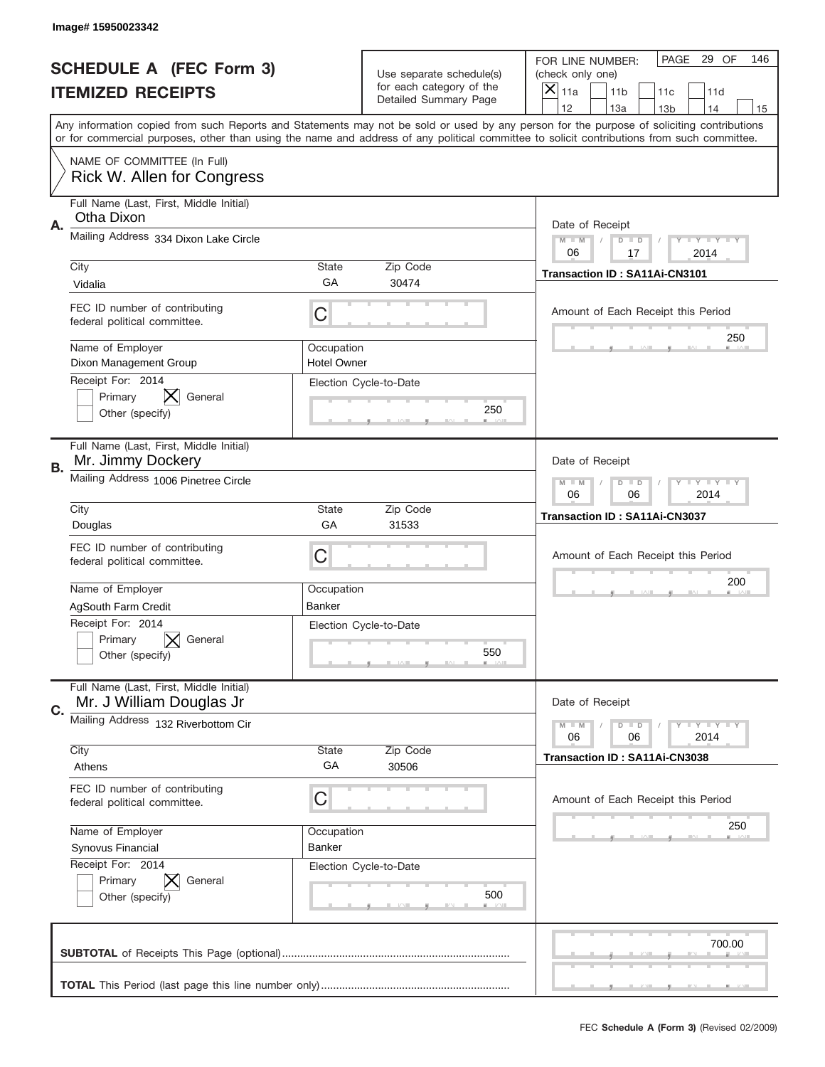|    | Image#15950023342                                                                 |                                  |                                                      |                                                                                                                                                                                                                                                                                                                                     |
|----|-----------------------------------------------------------------------------------|----------------------------------|------------------------------------------------------|-------------------------------------------------------------------------------------------------------------------------------------------------------------------------------------------------------------------------------------------------------------------------------------------------------------------------------------|
|    | <b>SCHEDULE A (FEC Form 3)</b>                                                    |                                  | Use separate schedule(s)<br>for each category of the | PAGE 29 OF<br>146<br>FOR LINE NUMBER:<br>(check only one)                                                                                                                                                                                                                                                                           |
|    | <b>ITEMIZED RECEIPTS</b>                                                          |                                  | Detailed Summary Page                                | ×<br>11a<br>11 <sub>b</sub><br>11c<br>11d                                                                                                                                                                                                                                                                                           |
|    |                                                                                   |                                  |                                                      | 12<br>13a<br>14<br>13 <sub>b</sub><br>15<br>Any information copied from such Reports and Statements may not be sold or used by any person for the purpose of soliciting contributions<br>or for commercial purposes, other than using the name and address of any political committee to solicit contributions from such committee. |
|    | NAME OF COMMITTEE (In Full)<br>Rick W. Allen for Congress                         |                                  |                                                      |                                                                                                                                                                                                                                                                                                                                     |
| Α. | Full Name (Last, First, Middle Initial)<br>Otha Dixon                             |                                  |                                                      | Date of Receipt                                                                                                                                                                                                                                                                                                                     |
|    | Mailing Address 334 Dixon Lake Circle                                             |                                  |                                                      | $M - M$<br><b>LEY LEY LEY</b><br>$D$ $D$<br>06<br>17<br>2014                                                                                                                                                                                                                                                                        |
|    | City<br>Vidalia                                                                   | State<br>GА                      | Zip Code<br>30474                                    | Transaction ID: SA11Ai-CN3101                                                                                                                                                                                                                                                                                                       |
|    | FEC ID number of contributing<br>federal political committee.                     | C                                |                                                      | Amount of Each Receipt this Period<br>250                                                                                                                                                                                                                                                                                           |
|    | Name of Employer<br>Dixon Management Group<br>Receipt For: 2014                   | Occupation<br><b>Hotel Owner</b> |                                                      |                                                                                                                                                                                                                                                                                                                                     |
|    | Primary<br>General<br>Other (specify)                                             |                                  | Election Cycle-to-Date<br>250                        |                                                                                                                                                                                                                                                                                                                                     |
| В. | Full Name (Last, First, Middle Initial)<br>Mr. Jimmy Dockery                      |                                  |                                                      | Date of Receipt                                                                                                                                                                                                                                                                                                                     |
|    | Mailing Address 1006 Pinetree Circle                                              |                                  |                                                      | $M - M$<br><b>LEYTEY LEY</b><br>$D$ $D$<br>06<br>06<br>2014                                                                                                                                                                                                                                                                         |
|    | City<br>Douglas                                                                   | State<br>GA                      | Zip Code<br>31533                                    | Transaction ID: SA11Ai-CN3037                                                                                                                                                                                                                                                                                                       |
|    | FEC ID number of contributing<br>federal political committee.                     | C                                |                                                      | Amount of Each Receipt this Period                                                                                                                                                                                                                                                                                                  |
|    |                                                                                   |                                  |                                                      | 200                                                                                                                                                                                                                                                                                                                                 |
|    | Name of Employer                                                                  | Occupation<br>Banker             |                                                      |                                                                                                                                                                                                                                                                                                                                     |
|    | AgSouth Farm Credit<br>Receipt For: 2014<br>General<br>Primary<br>Other (specify) |                                  | Election Cycle-to-Date<br>550                        |                                                                                                                                                                                                                                                                                                                                     |
| C. | Full Name (Last, First, Middle Initial)<br>Mr. J William Douglas Jr               |                                  |                                                      | Date of Receipt                                                                                                                                                                                                                                                                                                                     |
|    | Mailing Address 132 Riverbottom Cir                                               |                                  |                                                      | <b>LEY LEY LEY</b><br>$M - M$<br>$D$ $D$<br>06<br>2014<br>06                                                                                                                                                                                                                                                                        |
|    | City<br>Athens                                                                    | State<br>GA                      | Zip Code<br>30506                                    | Transaction ID: SA11Ai-CN3038                                                                                                                                                                                                                                                                                                       |
|    | FEC ID number of contributing<br>federal political committee.                     | C                                |                                                      | Amount of Each Receipt this Period                                                                                                                                                                                                                                                                                                  |
|    | Name of Employer<br>Synovus Financial                                             | Occupation<br>Banker             |                                                      | 250                                                                                                                                                                                                                                                                                                                                 |
|    | Receipt For: 2014<br>Primary<br>General<br>Other (specify)                        |                                  | Election Cycle-to-Date<br>500                        |                                                                                                                                                                                                                                                                                                                                     |
|    |                                                                                   |                                  |                                                      | 700.00                                                                                                                                                                                                                                                                                                                              |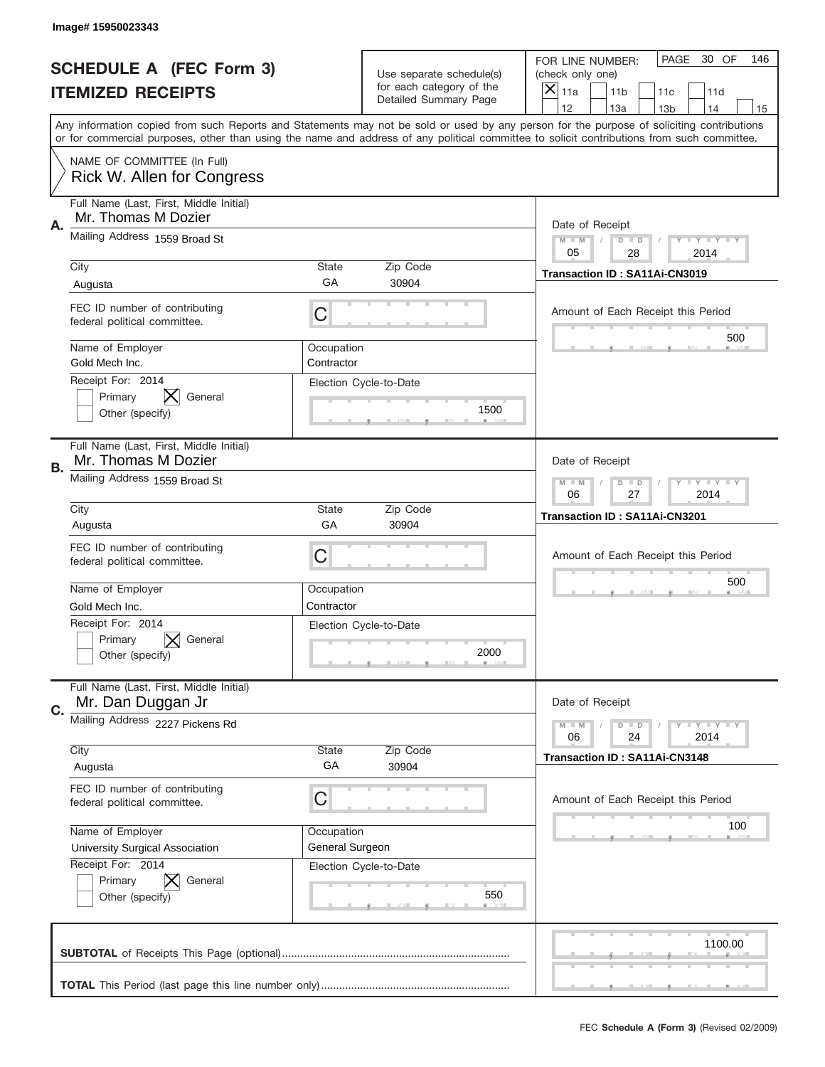|           | Image# 15950023343                                             |                               |                                                   |                                                                                                                                                                                                                                                                                                                                     |
|-----------|----------------------------------------------------------------|-------------------------------|---------------------------------------------------|-------------------------------------------------------------------------------------------------------------------------------------------------------------------------------------------------------------------------------------------------------------------------------------------------------------------------------------|
|           | <b>SCHEDULE A (FEC Form 3)</b>                                 |                               | Use separate schedule(s)                          | PAGE<br>30 OF<br>146<br>FOR LINE NUMBER:<br>(check only one)                                                                                                                                                                                                                                                                        |
|           | <b>ITEMIZED RECEIPTS</b>                                       |                               | for each category of the<br>Detailed Summary Page | ×<br>11a<br>11 <sub>b</sub><br>11c<br>11d                                                                                                                                                                                                                                                                                           |
|           |                                                                |                               |                                                   | 12<br>13a<br>14<br>13 <sub>b</sub><br>15<br>Any information copied from such Reports and Statements may not be sold or used by any person for the purpose of soliciting contributions<br>or for commercial purposes, other than using the name and address of any political committee to solicit contributions from such committee. |
|           | NAME OF COMMITTEE (In Full)<br>Rick W. Allen for Congress      |                               |                                                   |                                                                                                                                                                                                                                                                                                                                     |
| Α.        | Full Name (Last, First, Middle Initial)<br>Mr. Thomas M Dozier |                               |                                                   | Date of Receipt                                                                                                                                                                                                                                                                                                                     |
|           | Mailing Address 1559 Broad St                                  |                               |                                                   | $M - M$<br><b>LEY LEY LEY</b><br>$D$ $D$<br>05<br>28<br>2014                                                                                                                                                                                                                                                                        |
|           | City<br>Augusta                                                | State<br>GА                   | Zip Code<br>30904                                 | Transaction ID: SA11Ai-CN3019                                                                                                                                                                                                                                                                                                       |
|           | FEC ID number of contributing<br>federal political committee.  | C                             |                                                   | Amount of Each Receipt this Period                                                                                                                                                                                                                                                                                                  |
|           | Name of Employer<br>Gold Mech Inc.                             | Occupation<br>Contractor      |                                                   | 500                                                                                                                                                                                                                                                                                                                                 |
|           | Receipt For: 2014<br>Primary<br>General<br>Other (specify)     |                               | Election Cycle-to-Date<br>1500                    |                                                                                                                                                                                                                                                                                                                                     |
| <b>B.</b> | Full Name (Last, First, Middle Initial)<br>Mr. Thomas M Dozier |                               |                                                   | Date of Receipt                                                                                                                                                                                                                                                                                                                     |
|           | Mailing Address 1559 Broad St                                  |                               |                                                   | $M - M$<br>$D$ $D$<br><b>LEYTEY LEY</b><br>06<br>27<br>2014                                                                                                                                                                                                                                                                         |
|           | City<br>Augusta                                                | State<br>GA                   | Zip Code<br>30904                                 | Transaction ID: SA11Ai-CN3201                                                                                                                                                                                                                                                                                                       |
|           | FEC ID number of contributing<br>federal political committee.  | C                             |                                                   | Amount of Each Receipt this Period                                                                                                                                                                                                                                                                                                  |
|           | Name of Employer                                               | Occupation                    |                                                   | 500                                                                                                                                                                                                                                                                                                                                 |
|           | Gold Mech Inc.<br>Receipt For: 2014                            | Contractor                    |                                                   |                                                                                                                                                                                                                                                                                                                                     |
|           | Primary<br>General<br>Other (specify)                          |                               | Election Cycle-to-Date<br>2000                    |                                                                                                                                                                                                                                                                                                                                     |
| C.        | Full Name (Last, First, Middle Initial)<br>Mr. Dan Duggan Jr   |                               |                                                   | Date of Receipt                                                                                                                                                                                                                                                                                                                     |
|           | Mailing Address 2227 Pickens Rd                                |                               |                                                   | <b>LEY LEY LEY</b><br>$M - M$<br>$D$ $D$<br>06<br>2014<br>24                                                                                                                                                                                                                                                                        |
|           | City                                                           | State<br>GA                   | Zip Code<br>30904                                 | <b>Transaction ID: SA11Ai-CN3148</b>                                                                                                                                                                                                                                                                                                |
|           | Augusta                                                        |                               |                                                   |                                                                                                                                                                                                                                                                                                                                     |
|           | FEC ID number of contributing<br>federal political committee.  | C                             |                                                   | Amount of Each Receipt this Period                                                                                                                                                                                                                                                                                                  |
|           | Name of Employer<br>University Surgical Association            | Occupation<br>General Surgeon |                                                   | 100                                                                                                                                                                                                                                                                                                                                 |
|           | Receipt For: 2014<br>Primary<br>General<br>Other (specify)     |                               | Election Cycle-to-Date<br>550                     |                                                                                                                                                                                                                                                                                                                                     |
|           |                                                                |                               |                                                   | 1100.00                                                                                                                                                                                                                                                                                                                             |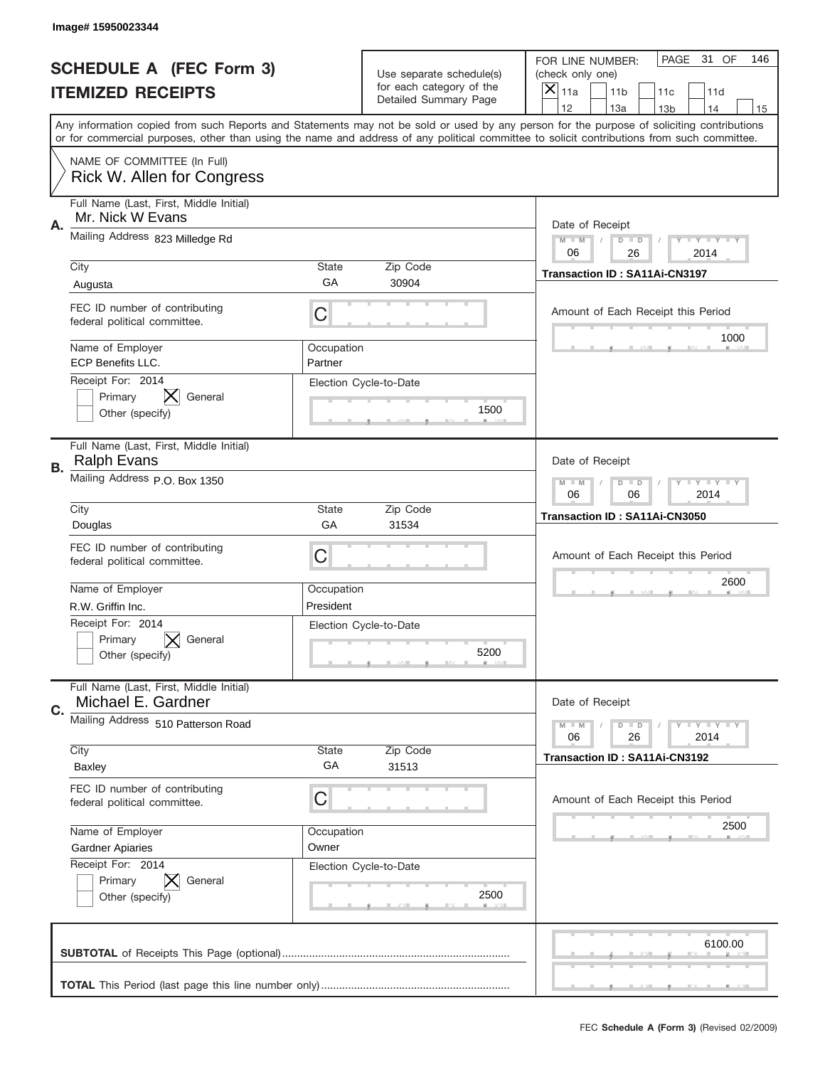|    | Image# 15950023344                                                                                                                                                                                                                                                                      |                       |                                                   |                                      |                                      |                 |                            |     |
|----|-----------------------------------------------------------------------------------------------------------------------------------------------------------------------------------------------------------------------------------------------------------------------------------------|-----------------------|---------------------------------------------------|--------------------------------------|--------------------------------------|-----------------|----------------------------|-----|
|    | <b>SCHEDULE A (FEC Form 3)</b>                                                                                                                                                                                                                                                          |                       | Use separate schedule(s)                          | FOR LINE NUMBER:<br>(check only one) |                                      | PAGE            | 31 OF                      | 146 |
|    | <b>ITEMIZED RECEIPTS</b>                                                                                                                                                                                                                                                                |                       | for each category of the<br>Detailed Summary Page | $\overline{X} _{11a}$                | 11 <sub>b</sub>                      | 11c             | 11d                        |     |
|    | Any information copied from such Reports and Statements may not be sold or used by any person for the purpose of soliciting contributions<br>or for commercial purposes, other than using the name and address of any political committee to solicit contributions from such committee. |                       |                                                   | 12                                   | 13a                                  | 13 <sub>b</sub> | 14                         | 15  |
|    |                                                                                                                                                                                                                                                                                         |                       |                                                   |                                      |                                      |                 |                            |     |
|    | NAME OF COMMITTEE (In Full)<br>Rick W. Allen for Congress                                                                                                                                                                                                                               |                       |                                                   |                                      |                                      |                 |                            |     |
| Α. | Full Name (Last, First, Middle Initial)<br>Mr. Nick W Evans                                                                                                                                                                                                                             |                       |                                                   |                                      | Date of Receipt                      |                 |                            |     |
|    | Mailing Address 823 Milledge Rd                                                                                                                                                                                                                                                         |                       |                                                   | $M - M$<br>06                        | $D$ $D$<br>26                        |                 | <b>LYLYLY</b><br>2014      |     |
|    | City                                                                                                                                                                                                                                                                                    | <b>State</b><br>GA    | Zip Code<br>30904                                 |                                      | <b>Transaction ID: SA11Ai-CN3197</b> |                 |                            |     |
|    | Augusta                                                                                                                                                                                                                                                                                 |                       |                                                   |                                      |                                      |                 |                            |     |
|    | FEC ID number of contributing<br>federal political committee.                                                                                                                                                                                                                           | С                     |                                                   |                                      | Amount of Each Receipt this Period   |                 |                            |     |
|    | Name of Employer<br><b>ECP Benefits LLC.</b>                                                                                                                                                                                                                                            | Occupation<br>Partner |                                                   |                                      |                                      |                 | 1000                       |     |
|    | Receipt For: 2014<br>Primary<br>General<br>Other (specify)                                                                                                                                                                                                                              |                       | Election Cycle-to-Date<br>1500                    |                                      |                                      |                 |                            |     |
|    | Full Name (Last, First, Middle Initial)<br><b>Ralph Evans</b>                                                                                                                                                                                                                           |                       |                                                   |                                      | Date of Receipt                      |                 |                            |     |
| В. | Mailing Address P.O. Box 1350                                                                                                                                                                                                                                                           |                       |                                                   | $M - M$<br>06                        | $D$ $D$<br>06                        |                 | <b>LEY LEY LEY</b><br>2014 |     |
|    | City                                                                                                                                                                                                                                                                                    | <b>State</b><br>GA    | Zip Code                                          |                                      | Transaction ID: SA11Ai-CN3050        |                 |                            |     |
|    | Douglas                                                                                                                                                                                                                                                                                 |                       | 31534                                             |                                      |                                      |                 |                            |     |
|    | FEC ID number of contributing<br>federal political committee.                                                                                                                                                                                                                           | С                     |                                                   |                                      | Amount of Each Receipt this Period   |                 |                            |     |
|    | Name of Employer                                                                                                                                                                                                                                                                        | Occupation            |                                                   |                                      |                                      |                 | 2600                       |     |
|    | R.W. Griffin Inc.                                                                                                                                                                                                                                                                       | President             |                                                   |                                      |                                      |                 |                            |     |
|    | Receipt For: 2014<br>Primary<br>General<br>Other (specify)                                                                                                                                                                                                                              |                       | Election Cycle-to-Date<br>5200                    |                                      |                                      |                 |                            |     |
| C. | Full Name (Last, First, Middle Initial)<br>Michael E. Gardner                                                                                                                                                                                                                           |                       |                                                   |                                      | Date of Receipt                      |                 |                            |     |
|    | Mailing Address 510 Patterson Road                                                                                                                                                                                                                                                      |                       |                                                   | $M - M$<br>06                        | $D$ $D$<br>26                        |                 | <b>LY LY LY</b><br>2014    |     |
|    | City<br><b>Baxley</b>                                                                                                                                                                                                                                                                   | State<br>GA           | Zip Code<br>31513                                 |                                      | Transaction ID: SA11Ai-CN3192        |                 |                            |     |
|    | FEC ID number of contributing<br>federal political committee.                                                                                                                                                                                                                           | С                     |                                                   |                                      | Amount of Each Receipt this Period   |                 |                            |     |
|    | Name of Employer                                                                                                                                                                                                                                                                        | Occupation            |                                                   |                                      |                                      |                 | 2500                       |     |
|    | <b>Gardner Apiaries</b>                                                                                                                                                                                                                                                                 | Owner                 |                                                   |                                      |                                      |                 |                            |     |
|    | Receipt For: 2014<br>Primary<br>General<br>Other (specify)                                                                                                                                                                                                                              |                       | Election Cycle-to-Date<br>2500                    |                                      |                                      |                 |                            |     |
|    |                                                                                                                                                                                                                                                                                         |                       |                                                   |                                      |                                      |                 | 6100.00                    |     |
|    |                                                                                                                                                                                                                                                                                         |                       |                                                   |                                      |                                      |                 |                            |     |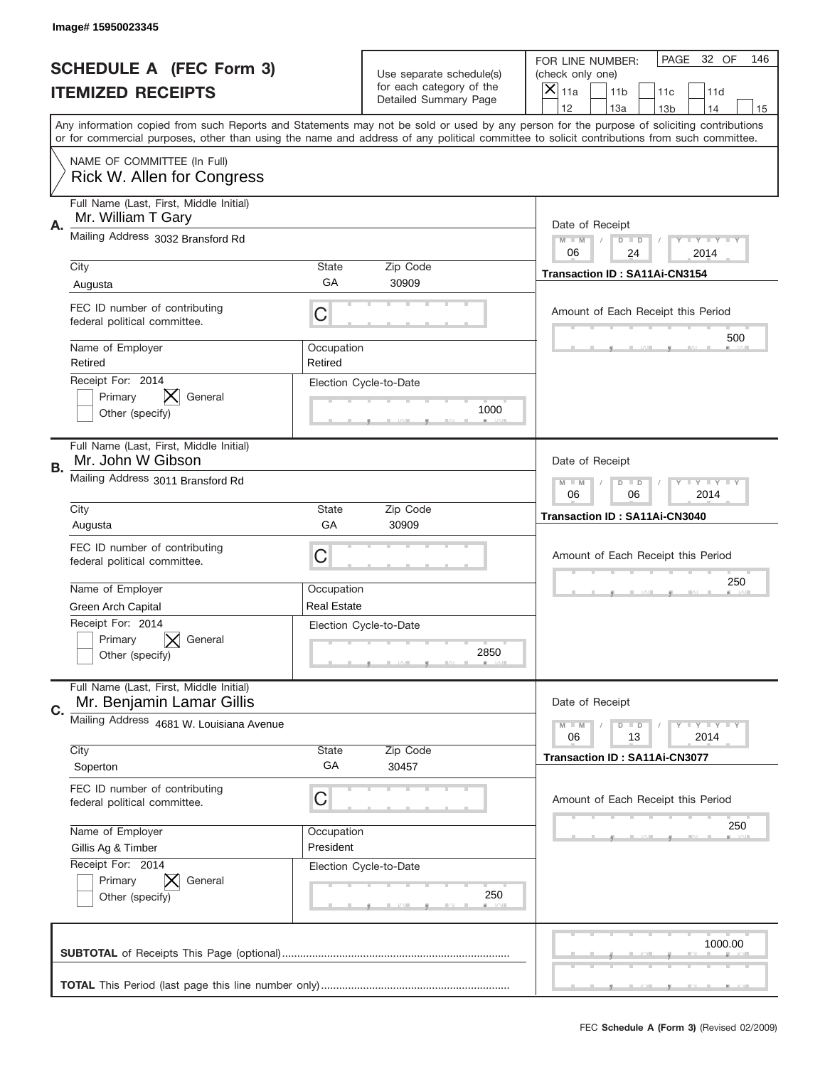|           | Image# 15950023345                                                   |                         |                                                   |                                                                                                                                                                                                                                                                                                                                     |
|-----------|----------------------------------------------------------------------|-------------------------|---------------------------------------------------|-------------------------------------------------------------------------------------------------------------------------------------------------------------------------------------------------------------------------------------------------------------------------------------------------------------------------------------|
|           | <b>SCHEDULE A (FEC Form 3)</b>                                       |                         | Use separate schedule(s)                          | PAGE<br>32 OF<br>146<br>FOR LINE NUMBER:<br>(check only one)                                                                                                                                                                                                                                                                        |
|           | <b>ITEMIZED RECEIPTS</b>                                             |                         | for each category of the<br>Detailed Summary Page | ×<br>11a<br>11 <sub>b</sub><br>11c<br>11d                                                                                                                                                                                                                                                                                           |
|           |                                                                      |                         |                                                   | 12<br>13a<br>14<br>13 <sub>b</sub><br>15<br>Any information copied from such Reports and Statements may not be sold or used by any person for the purpose of soliciting contributions<br>or for commercial purposes, other than using the name and address of any political committee to solicit contributions from such committee. |
|           | NAME OF COMMITTEE (In Full)<br>Rick W. Allen for Congress            |                         |                                                   |                                                                                                                                                                                                                                                                                                                                     |
| А.        | Full Name (Last, First, Middle Initial)<br>Mr. William T Gary        |                         |                                                   | Date of Receipt                                                                                                                                                                                                                                                                                                                     |
|           | Mailing Address 3032 Bransford Rd                                    |                         |                                                   | $M - M$<br><b>LEY LEY LEY</b><br>$D$ $D$<br>06<br>24<br>2014                                                                                                                                                                                                                                                                        |
|           | City<br>Augusta                                                      | State<br>GА             | Zip Code<br>30909                                 | Transaction ID: SA11Ai-CN3154                                                                                                                                                                                                                                                                                                       |
|           | FEC ID number of contributing<br>federal political committee.        | C                       |                                                   | Amount of Each Receipt this Period                                                                                                                                                                                                                                                                                                  |
|           | Name of Employer<br>Retired                                          | Occupation<br>Retired   |                                                   | 500                                                                                                                                                                                                                                                                                                                                 |
|           | Receipt For: 2014<br>Primary<br>General<br>Other (specify)           |                         | Election Cycle-to-Date<br>1000                    |                                                                                                                                                                                                                                                                                                                                     |
| <b>B.</b> | Full Name (Last, First, Middle Initial)<br>Mr. John W Gibson         |                         |                                                   | Date of Receipt                                                                                                                                                                                                                                                                                                                     |
|           | Mailing Address 3011 Bransford Rd                                    |                         |                                                   | $M - M$<br><b>LEY LEY LEY</b><br>$D$ $D$<br>06<br>06<br>2014                                                                                                                                                                                                                                                                        |
|           | City<br>Augusta                                                      | State<br>GA             | Zip Code<br>30909                                 | Transaction ID: SA11Ai-CN3040                                                                                                                                                                                                                                                                                                       |
|           | FEC ID number of contributing<br>federal political committee.        | C                       |                                                   | Amount of Each Receipt this Period                                                                                                                                                                                                                                                                                                  |
|           | Name of Employer                                                     | Occupation              |                                                   | 250                                                                                                                                                                                                                                                                                                                                 |
|           | <b>Green Arch Capital</b><br>Receipt For: 2014                       | <b>Real Estate</b>      |                                                   |                                                                                                                                                                                                                                                                                                                                     |
|           |                                                                      |                         |                                                   |                                                                                                                                                                                                                                                                                                                                     |
|           | Primary<br>General<br>Other (specify)                                | Election Cycle-to-Date  | 2850                                              |                                                                                                                                                                                                                                                                                                                                     |
| C.        | Full Name (Last, First, Middle Initial)<br>Mr. Benjamin Lamar Gillis |                         |                                                   | Date of Receipt                                                                                                                                                                                                                                                                                                                     |
|           | Mailing Address 4681 W. Louisiana Avenue                             |                         |                                                   | <b>LYLYLY</b><br>$M - M$<br>$D$ $D$<br>06<br>13<br>2014                                                                                                                                                                                                                                                                             |
|           | City<br>Soperton                                                     | State<br>GA             | Zip Code<br>30457                                 | Transaction ID: SA11Ai-CN3077                                                                                                                                                                                                                                                                                                       |
|           | FEC ID number of contributing<br>federal political committee.        | С                       |                                                   | Amount of Each Receipt this Period                                                                                                                                                                                                                                                                                                  |
|           | Name of Employer<br>Gillis Ag & Timber                               | Occupation<br>President |                                                   | 250                                                                                                                                                                                                                                                                                                                                 |
|           | Receipt For: 2014<br>Primary<br>General<br>Other (specify)           |                         | Election Cycle-to-Date<br>250                     |                                                                                                                                                                                                                                                                                                                                     |
|           |                                                                      |                         |                                                   | 1000.00                                                                                                                                                                                                                                                                                                                             |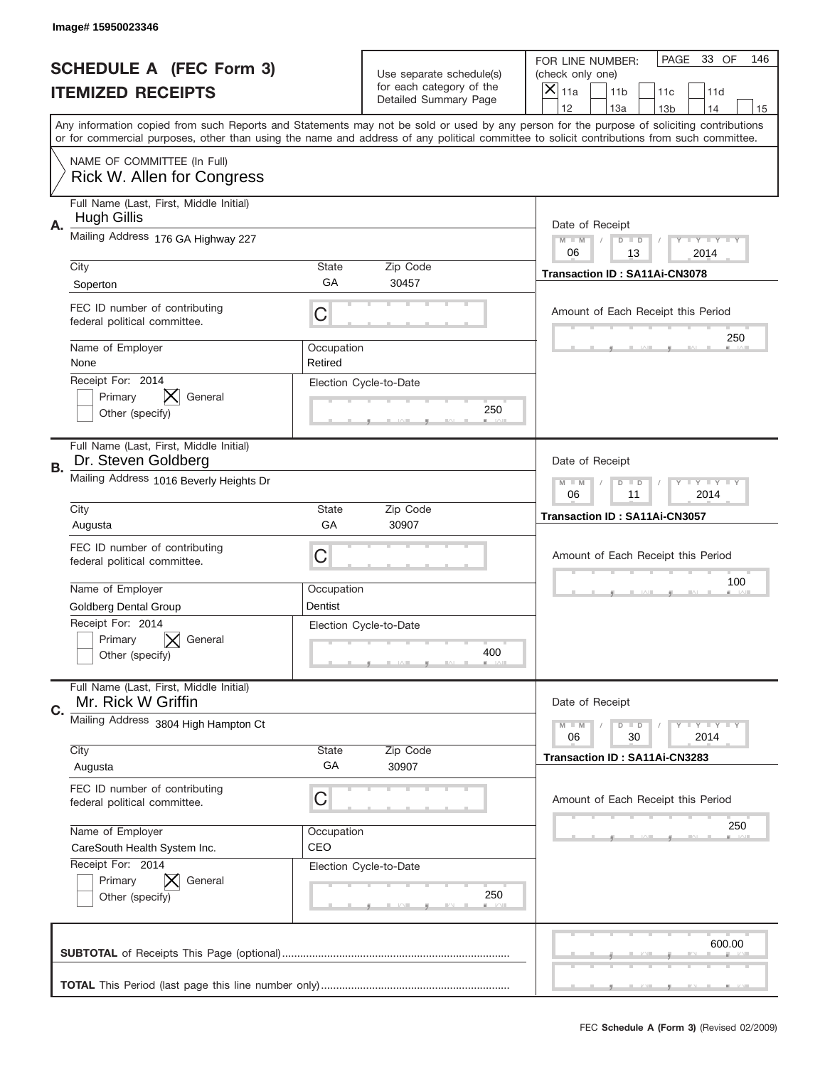|    | Image# 15950023346                                             |                       |                                                   |                                                                                                                                                                                                                                                                                                                                     |
|----|----------------------------------------------------------------|-----------------------|---------------------------------------------------|-------------------------------------------------------------------------------------------------------------------------------------------------------------------------------------------------------------------------------------------------------------------------------------------------------------------------------------|
|    | <b>SCHEDULE A (FEC Form 3)</b>                                 |                       | Use separate schedule(s)                          | PAGE<br>33 OF<br>146<br>FOR LINE NUMBER:<br>(check only one)                                                                                                                                                                                                                                                                        |
|    | <b>ITEMIZED RECEIPTS</b>                                       |                       | for each category of the<br>Detailed Summary Page | ×<br>11a<br>11 <sub>b</sub><br>11c<br>11d                                                                                                                                                                                                                                                                                           |
|    |                                                                |                       |                                                   | 12<br>13a<br>14<br>13 <sub>b</sub><br>15<br>Any information copied from such Reports and Statements may not be sold or used by any person for the purpose of soliciting contributions<br>or for commercial purposes, other than using the name and address of any political committee to solicit contributions from such committee. |
|    | NAME OF COMMITTEE (In Full)<br>Rick W. Allen for Congress      |                       |                                                   |                                                                                                                                                                                                                                                                                                                                     |
| Α. | Full Name (Last, First, Middle Initial)<br><b>Hugh Gillis</b>  |                       |                                                   | Date of Receipt                                                                                                                                                                                                                                                                                                                     |
|    | Mailing Address 176 GA Highway 227                             |                       |                                                   | $M - M$<br><b>LEY LEY LEY</b><br>$D$ $D$<br>06<br>13<br>2014                                                                                                                                                                                                                                                                        |
|    | City<br>Soperton                                               | State<br>GА           | Zip Code<br>30457                                 | Transaction ID: SA11Ai-CN3078                                                                                                                                                                                                                                                                                                       |
|    | FEC ID number of contributing<br>federal political committee.  | C                     |                                                   | Amount of Each Receipt this Period<br>250                                                                                                                                                                                                                                                                                           |
|    | Name of Employer<br>None                                       | Occupation<br>Retired |                                                   |                                                                                                                                                                                                                                                                                                                                     |
|    | Receipt For: 2014<br>Primary<br>General<br>Other (specify)     |                       | Election Cycle-to-Date<br>250                     |                                                                                                                                                                                                                                                                                                                                     |
| В. | Full Name (Last, First, Middle Initial)<br>Dr. Steven Goldberg |                       |                                                   | Date of Receipt                                                                                                                                                                                                                                                                                                                     |
|    | Mailing Address 1016 Beverly Heights Dr                        |                       |                                                   | $M$ M<br><b>LEYTEY LEY</b><br>$D$ $D$<br>06<br>11<br>2014                                                                                                                                                                                                                                                                           |
|    | City<br>Augusta                                                | State<br>GA           | Zip Code<br>30907                                 | Transaction ID: SA11Ai-CN3057                                                                                                                                                                                                                                                                                                       |
|    | FEC ID number of contributing<br>federal political committee.  | C                     |                                                   | Amount of Each Receipt this Period                                                                                                                                                                                                                                                                                                  |
|    | Name of Employer<br>Goldberg Dental Group                      | Occupation<br>Dentist |                                                   | 100                                                                                                                                                                                                                                                                                                                                 |
|    | Receipt For: 2014<br>General<br>Primary<br>Other (specify)     |                       | Election Cycle-to-Date<br>400                     |                                                                                                                                                                                                                                                                                                                                     |
| C. | Full Name (Last, First, Middle Initial)<br>Mr. Rick W Griffin  |                       |                                                   | Date of Receipt                                                                                                                                                                                                                                                                                                                     |
|    | Mailing Address 3804 High Hampton Ct                           |                       |                                                   | <b>LY LY LY</b><br>$M - M$<br>$D$ $D$<br>06<br>2014<br>30                                                                                                                                                                                                                                                                           |
|    | City<br>Augusta                                                | State<br>GA           | Zip Code<br>30907                                 | Transaction ID: SA11Ai-CN3283                                                                                                                                                                                                                                                                                                       |
|    | FEC ID number of contributing<br>federal political committee.  | C                     |                                                   | Amount of Each Receipt this Period                                                                                                                                                                                                                                                                                                  |
|    | Name of Employer<br>CareSouth Health System Inc.               | Occupation<br>CEO     |                                                   | 250                                                                                                                                                                                                                                                                                                                                 |
|    | Receipt For: 2014<br>Primary<br>General<br>Other (specify)     |                       | Election Cycle-to-Date<br>250                     |                                                                                                                                                                                                                                                                                                                                     |
|    |                                                                |                       |                                                   |                                                                                                                                                                                                                                                                                                                                     |
|    |                                                                |                       |                                                   | 600.00                                                                                                                                                                                                                                                                                                                              |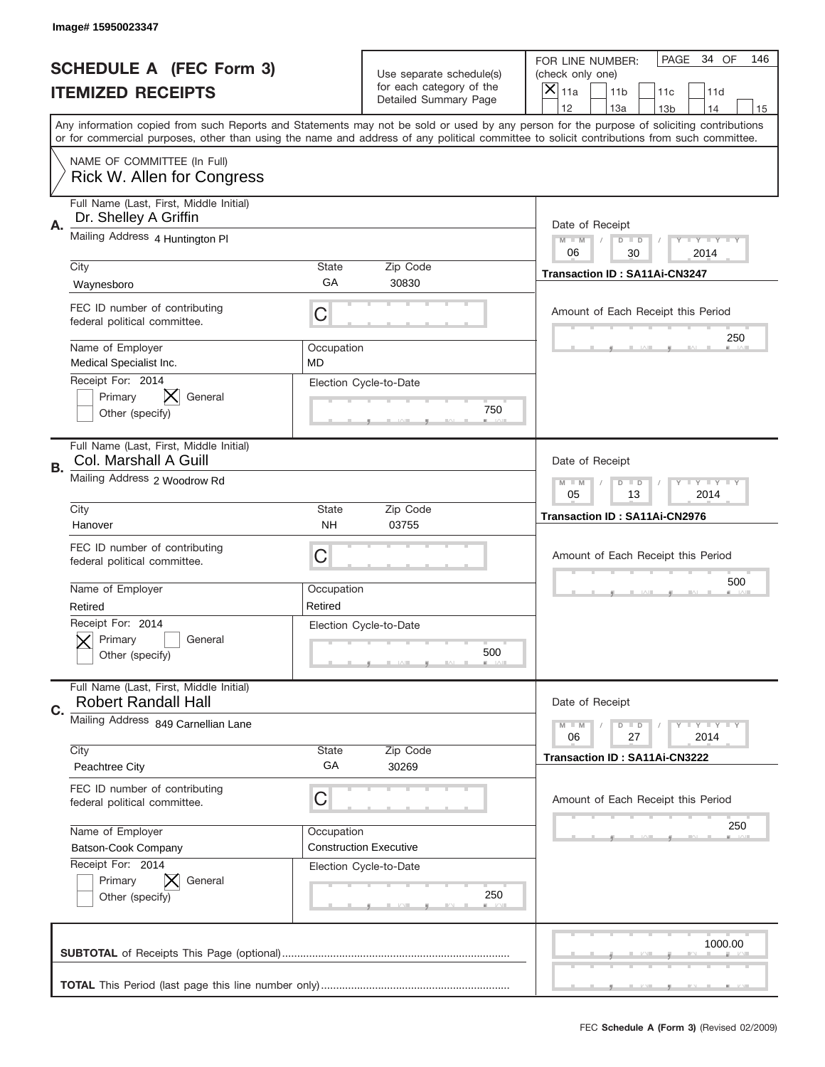|    | Image# 15950023347                                                    |                           |                                                      |                                                                                                                                                                                                                                                                                                                                     |
|----|-----------------------------------------------------------------------|---------------------------|------------------------------------------------------|-------------------------------------------------------------------------------------------------------------------------------------------------------------------------------------------------------------------------------------------------------------------------------------------------------------------------------------|
|    | <b>SCHEDULE A (FEC Form 3)</b>                                        |                           | Use separate schedule(s)<br>for each category of the | PAGE<br>34 OF<br>146<br>FOR LINE NUMBER:<br>(check only one)                                                                                                                                                                                                                                                                        |
|    | <b>ITEMIZED RECEIPTS</b>                                              |                           | Detailed Summary Page                                | ×<br>11a<br>11 <sub>b</sub><br>11c<br>11d                                                                                                                                                                                                                                                                                           |
|    |                                                                       |                           |                                                      | 12<br>13a<br>14<br>13 <sub>b</sub><br>15<br>Any information copied from such Reports and Statements may not be sold or used by any person for the purpose of soliciting contributions<br>or for commercial purposes, other than using the name and address of any political committee to solicit contributions from such committee. |
|    | NAME OF COMMITTEE (In Full)<br>Rick W. Allen for Congress             |                           |                                                      |                                                                                                                                                                                                                                                                                                                                     |
| Α. | Full Name (Last, First, Middle Initial)<br>Dr. Shelley A Griffin      |                           |                                                      | Date of Receipt                                                                                                                                                                                                                                                                                                                     |
|    | Mailing Address 4 Huntington Pl                                       |                           |                                                      | $M - M$<br><b>LEY LEY LEY</b><br>$D$ $D$<br>06<br>30<br>2014                                                                                                                                                                                                                                                                        |
|    | City<br>Waynesboro                                                    | State<br>GА               | Zip Code<br>30830                                    | Transaction ID: SA11Ai-CN3247                                                                                                                                                                                                                                                                                                       |
|    | FEC ID number of contributing<br>federal political committee.         | C                         |                                                      | Amount of Each Receipt this Period<br>250                                                                                                                                                                                                                                                                                           |
|    | Name of Employer<br>Medical Specialist Inc.                           | Occupation<br><b>MD</b>   |                                                      |                                                                                                                                                                                                                                                                                                                                     |
|    | Receipt For: 2014<br>IX.<br>Primary<br>General<br>Other (specify)     |                           | Election Cycle-to-Date<br>750                        |                                                                                                                                                                                                                                                                                                                                     |
| В. | Full Name (Last, First, Middle Initial)<br>Col. Marshall A Guill      |                           |                                                      | Date of Receipt                                                                                                                                                                                                                                                                                                                     |
|    | Mailing Address 2 Woodrow Rd                                          |                           |                                                      | $M - M$<br>$D$ $D$<br><b>LEYTEY LEY</b><br>05<br>13<br>2014                                                                                                                                                                                                                                                                         |
|    | City<br>Hanover                                                       | <b>State</b><br><b>NH</b> | Zip Code<br>03755                                    | Transaction ID: SA11Ai-CN2976                                                                                                                                                                                                                                                                                                       |
|    | FEC ID number of contributing<br>federal political committee.         | C                         |                                                      | Amount of Each Receipt this Period                                                                                                                                                                                                                                                                                                  |
|    |                                                                       |                           |                                                      | 500                                                                                                                                                                                                                                                                                                                                 |
|    | Name of Employer<br>Retired                                           | Occupation<br>Retired     |                                                      |                                                                                                                                                                                                                                                                                                                                     |
|    | Receipt For: 2014<br>General<br>Primary<br>Other (specify)            |                           | Election Cycle-to-Date<br>500                        |                                                                                                                                                                                                                                                                                                                                     |
| C. | Full Name (Last, First, Middle Initial)<br><b>Robert Randall Hall</b> |                           |                                                      | Date of Receipt                                                                                                                                                                                                                                                                                                                     |
|    | Mailing Address 849 Carnellian Lane                                   |                           |                                                      | <b>LEY LEY LEY</b><br>$M - M$<br>$D$ $D$<br>06<br>2014<br>27                                                                                                                                                                                                                                                                        |
|    | City<br>Peachtree City                                                | State<br>GA               | Zip Code<br>30269                                    | Transaction ID: SA11Ai-CN3222                                                                                                                                                                                                                                                                                                       |
|    | FEC ID number of contributing<br>federal political committee.         | С                         |                                                      | Amount of Each Receipt this Period                                                                                                                                                                                                                                                                                                  |
|    | Name of Employer<br>Batson-Cook Company                               | Occupation                | <b>Construction Executive</b>                        | 250                                                                                                                                                                                                                                                                                                                                 |
|    | Receipt For: 2014<br>Primary<br>General<br>Other (specify)            |                           | Election Cycle-to-Date<br>250                        |                                                                                                                                                                                                                                                                                                                                     |
|    |                                                                       |                           |                                                      | 1000.00                                                                                                                                                                                                                                                                                                                             |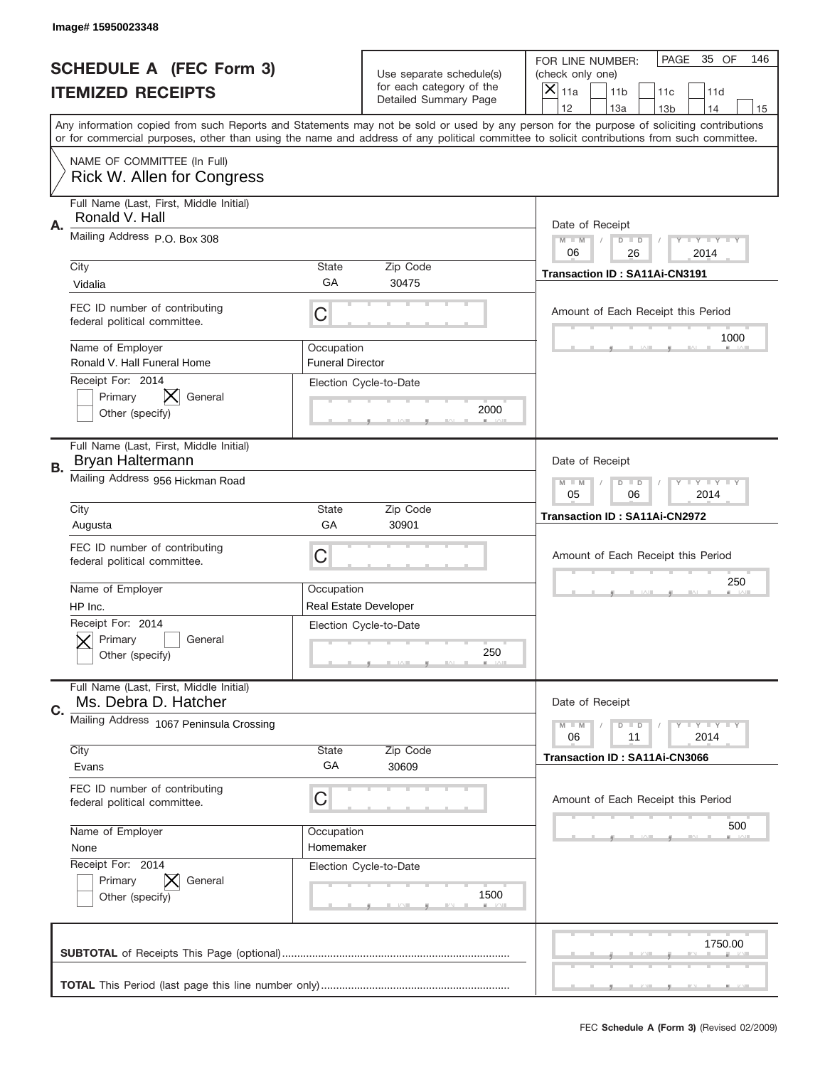|    | Image#15950023348                                                |                                       |                                                      |                                                                                                                                                                                                                                                                                                                                     |
|----|------------------------------------------------------------------|---------------------------------------|------------------------------------------------------|-------------------------------------------------------------------------------------------------------------------------------------------------------------------------------------------------------------------------------------------------------------------------------------------------------------------------------------|
|    | <b>SCHEDULE A (FEC Form 3)</b>                                   |                                       | Use separate schedule(s)<br>for each category of the | PAGE<br>35 OF<br>146<br>FOR LINE NUMBER:<br>(check only one)                                                                                                                                                                                                                                                                        |
|    | <b>ITEMIZED RECEIPTS</b>                                         |                                       | Detailed Summary Page                                | ×<br>11a<br>11 <sub>b</sub><br>11c<br>11d                                                                                                                                                                                                                                                                                           |
|    |                                                                  |                                       |                                                      | 12<br>13a<br>14<br>13 <sub>b</sub><br>15<br>Any information copied from such Reports and Statements may not be sold or used by any person for the purpose of soliciting contributions<br>or for commercial purposes, other than using the name and address of any political committee to solicit contributions from such committee. |
|    | NAME OF COMMITTEE (In Full)<br><b>Rick W. Allen for Congress</b> |                                       |                                                      |                                                                                                                                                                                                                                                                                                                                     |
| Α. | Full Name (Last, First, Middle Initial)<br>Ronald V. Hall        |                                       |                                                      | Date of Receipt                                                                                                                                                                                                                                                                                                                     |
|    | Mailing Address P.O. Box 308                                     |                                       |                                                      | $M - M$<br><b>LEY LEY LEY</b><br>$D$ $D$<br>06<br>26<br>2014                                                                                                                                                                                                                                                                        |
|    | City<br>Vidalia                                                  | State<br>GА                           | Zip Code<br>30475                                    | Transaction ID: SA11Ai-CN3191                                                                                                                                                                                                                                                                                                       |
|    | FEC ID number of contributing<br>federal political committee.    | C                                     |                                                      | Amount of Each Receipt this Period<br>1000                                                                                                                                                                                                                                                                                          |
|    | Name of Employer<br>Ronald V. Hall Funeral Home                  | Occupation<br><b>Funeral Director</b> |                                                      |                                                                                                                                                                                                                                                                                                                                     |
|    | Receipt For: 2014<br>Primary<br>General<br>Other (specify)       |                                       | Election Cycle-to-Date<br>2000                       |                                                                                                                                                                                                                                                                                                                                     |
| В. | Full Name (Last, First, Middle Initial)<br>Bryan Haltermann      |                                       |                                                      | Date of Receipt                                                                                                                                                                                                                                                                                                                     |
|    | Mailing Address 956 Hickman Road                                 |                                       |                                                      | $M - M$<br><b>LEYTEY LEY</b><br>$D$ $D$<br>05<br>06<br>2014                                                                                                                                                                                                                                                                         |
|    | City<br>Augusta                                                  | State<br>GA                           | Zip Code<br>30901                                    | Transaction ID: SA11Ai-CN2972                                                                                                                                                                                                                                                                                                       |
|    | FEC ID number of contributing<br>federal political committee.    | C                                     |                                                      | Amount of Each Receipt this Period                                                                                                                                                                                                                                                                                                  |
|    | Name of Employer<br>HP Inc.                                      | Occupation                            | Real Estate Developer                                | 250                                                                                                                                                                                                                                                                                                                                 |
|    | Receipt For: 2014<br>General<br>Primary<br>Other (specify)       |                                       | Election Cycle-to-Date<br>250                        |                                                                                                                                                                                                                                                                                                                                     |
| C. | Full Name (Last, First, Middle Initial)<br>Ms. Debra D. Hatcher  |                                       |                                                      | Date of Receipt                                                                                                                                                                                                                                                                                                                     |
|    | Mailing Address 1067 Peninsula Crossing                          |                                       |                                                      | <b>LEY LEY LEY</b><br>$M - M$<br>$D$ $D$<br>06<br>2014<br>11                                                                                                                                                                                                                                                                        |
|    | City<br>Evans                                                    | State<br>GA                           | Zip Code<br>30609                                    | <b>Transaction ID: SA11Ai-CN3066</b>                                                                                                                                                                                                                                                                                                |
|    | FEC ID number of contributing<br>federal political committee.    | C                                     |                                                      | Amount of Each Receipt this Period                                                                                                                                                                                                                                                                                                  |
|    | Name of Employer<br>None                                         | Occupation<br>Homemaker               |                                                      | 500                                                                                                                                                                                                                                                                                                                                 |
|    | Receipt For: 2014<br>Primary<br>General<br>Other (specify)       |                                       | Election Cycle-to-Date<br>1500                       |                                                                                                                                                                                                                                                                                                                                     |
|    |                                                                  |                                       |                                                      | 1750.00                                                                                                                                                                                                                                                                                                                             |
|    |                                                                  |                                       |                                                      |                                                                                                                                                                                                                                                                                                                                     |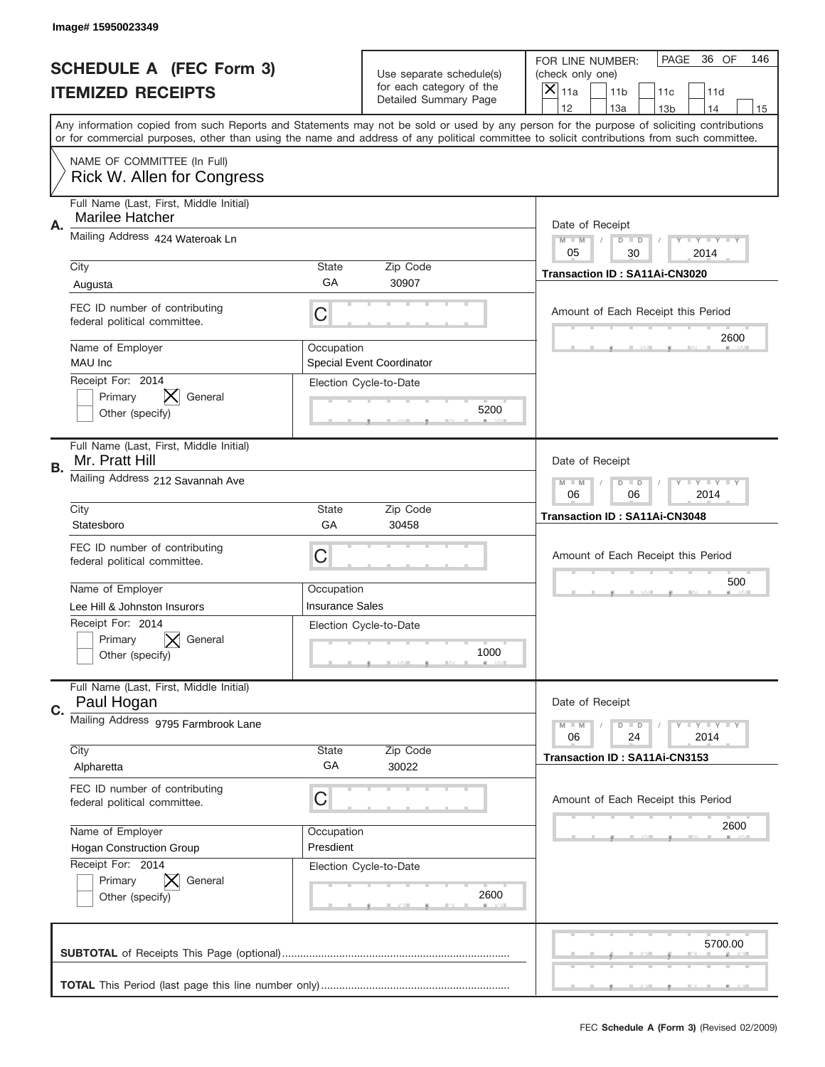|    | Image#15950023349                                                        |                        |                                                      |                                                                                                                                                                                                                                                                                                                                     |
|----|--------------------------------------------------------------------------|------------------------|------------------------------------------------------|-------------------------------------------------------------------------------------------------------------------------------------------------------------------------------------------------------------------------------------------------------------------------------------------------------------------------------------|
|    | <b>SCHEDULE A (FEC Form 3)</b>                                           |                        | Use separate schedule(s)<br>for each category of the | PAGE<br>36 OF<br>146<br>FOR LINE NUMBER:<br>(check only one)                                                                                                                                                                                                                                                                        |
|    | <b>ITEMIZED RECEIPTS</b>                                                 |                        | Detailed Summary Page                                | ×<br>11a<br>11 <sub>b</sub><br>11c<br>11d                                                                                                                                                                                                                                                                                           |
|    |                                                                          |                        |                                                      | 12<br>13a<br>14<br>13 <sub>b</sub><br>15<br>Any information copied from such Reports and Statements may not be sold or used by any person for the purpose of soliciting contributions<br>or for commercial purposes, other than using the name and address of any political committee to solicit contributions from such committee. |
|    | NAME OF COMMITTEE (In Full)<br>Rick W. Allen for Congress                |                        |                                                      |                                                                                                                                                                                                                                                                                                                                     |
| Α. | Full Name (Last, First, Middle Initial)<br><b>Marilee Hatcher</b>        |                        |                                                      | Date of Receipt                                                                                                                                                                                                                                                                                                                     |
|    | Mailing Address 424 Wateroak Ln                                          |                        |                                                      | $M - M$<br><b>LEY LEY LEY</b><br>$D$ $D$<br>05<br>30<br>2014                                                                                                                                                                                                                                                                        |
|    | City                                                                     | State<br>GА            | Zip Code<br>30907                                    | Transaction ID: SA11Ai-CN3020                                                                                                                                                                                                                                                                                                       |
|    | Augusta<br>FEC ID number of contributing<br>federal political committee. | C                      |                                                      | Amount of Each Receipt this Period                                                                                                                                                                                                                                                                                                  |
|    | Name of Employer<br>MAU Inc                                              | Occupation             | <b>Special Event Coordinator</b>                     | 2600                                                                                                                                                                                                                                                                                                                                |
|    | Receipt For: 2014<br>Primary<br>General<br>Other (specify)               |                        | Election Cycle-to-Date<br>5200                       |                                                                                                                                                                                                                                                                                                                                     |
| В. | Full Name (Last, First, Middle Initial)<br>Mr. Pratt Hill                |                        |                                                      | Date of Receipt                                                                                                                                                                                                                                                                                                                     |
|    | Mailing Address 212 Savannah Ave                                         |                        |                                                      | $M - M$<br><b>LEYTEY LEY</b><br>$D$ $D$<br>06<br>06<br>2014                                                                                                                                                                                                                                                                         |
|    | City<br>Statesboro                                                       | State<br>GA            | Zip Code<br>30458                                    | Transaction ID: SA11Ai-CN3048                                                                                                                                                                                                                                                                                                       |
|    | FEC ID number of contributing                                            |                        |                                                      |                                                                                                                                                                                                                                                                                                                                     |
|    | federal political committee.                                             | C                      |                                                      | Amount of Each Receipt this Period                                                                                                                                                                                                                                                                                                  |
|    | Name of Employer                                                         | Occupation             |                                                      | 500                                                                                                                                                                                                                                                                                                                                 |
|    | Lee Hill & Johnston Insurors                                             | <b>Insurance Sales</b> |                                                      |                                                                                                                                                                                                                                                                                                                                     |
|    | Receipt For: 2014<br>General<br>Primary<br>Other (specify)               |                        | Election Cycle-to-Date<br>1000                       |                                                                                                                                                                                                                                                                                                                                     |
| C. | Full Name (Last, First, Middle Initial)<br>Paul Hogan                    |                        |                                                      | Date of Receipt                                                                                                                                                                                                                                                                                                                     |
|    | Mailing Address 9795 Farmbrook Lane                                      |                        |                                                      | <b>LY LY LY</b><br>$M - M$<br>$D$ $D$<br>06<br>2014<br>24                                                                                                                                                                                                                                                                           |
|    | City                                                                     | State                  | Zip Code                                             |                                                                                                                                                                                                                                                                                                                                     |
|    | Alpharetta                                                               | GA                     | 30022                                                | Transaction ID: SA11Ai-CN3153                                                                                                                                                                                                                                                                                                       |
|    | FEC ID number of contributing<br>federal political committee.            | C                      |                                                      | Amount of Each Receipt this Period                                                                                                                                                                                                                                                                                                  |
|    | Name of Employer                                                         | Occupation             |                                                      | 2600                                                                                                                                                                                                                                                                                                                                |
|    | Hogan Construction Group                                                 | Presdient              |                                                      |                                                                                                                                                                                                                                                                                                                                     |
|    | Receipt For: 2014<br>Primary<br>General<br>Other (specify)               |                        | Election Cycle-to-Date<br>2600                       |                                                                                                                                                                                                                                                                                                                                     |
|    |                                                                          |                        |                                                      | 5700.00                                                                                                                                                                                                                                                                                                                             |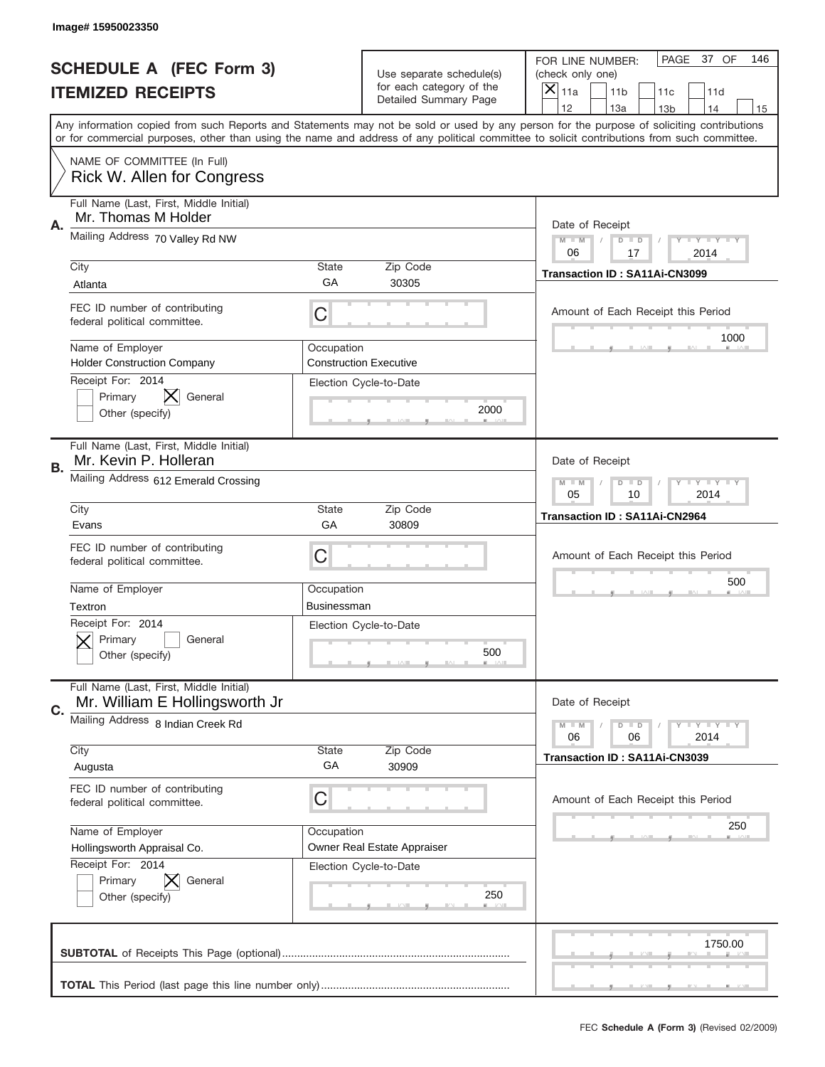|                          | Image# 15950023350                                                          |                           |                                                      |                                                                                                                                                                                                                                                                                                                                     |
|--------------------------|-----------------------------------------------------------------------------|---------------------------|------------------------------------------------------|-------------------------------------------------------------------------------------------------------------------------------------------------------------------------------------------------------------------------------------------------------------------------------------------------------------------------------------|
|                          | <b>SCHEDULE A (FEC Form 3)</b>                                              |                           | Use separate schedule(s)<br>for each category of the | PAGE<br>37 OF<br>146<br>FOR LINE NUMBER:<br>(check only one)                                                                                                                                                                                                                                                                        |
| <b>ITEMIZED RECEIPTS</b> |                                                                             |                           | Detailed Summary Page                                | ×<br>11a<br>11 <sub>b</sub><br>11c<br>11d                                                                                                                                                                                                                                                                                           |
|                          |                                                                             |                           |                                                      | 12<br>13a<br>14<br>13 <sub>b</sub><br>15<br>Any information copied from such Reports and Statements may not be sold or used by any person for the purpose of soliciting contributions<br>or for commercial purposes, other than using the name and address of any political committee to solicit contributions from such committee. |
|                          | NAME OF COMMITTEE (In Full)<br>Rick W. Allen for Congress                   |                           |                                                      |                                                                                                                                                                                                                                                                                                                                     |
| Α.                       | Full Name (Last, First, Middle Initial)<br>Mr. Thomas M Holder              |                           |                                                      | Date of Receipt                                                                                                                                                                                                                                                                                                                     |
|                          | Mailing Address 70 Valley Rd NW                                             |                           |                                                      | $M - M$<br><b>LYLYLY</b><br>$D$ $D$<br>06<br>17<br>2014                                                                                                                                                                                                                                                                             |
|                          | City<br>Atlanta                                                             | State<br>GА               | Zip Code<br>30305                                    | Transaction ID: SA11Ai-CN3099                                                                                                                                                                                                                                                                                                       |
|                          | FEC ID number of contributing<br>federal political committee.               | C                         |                                                      | Amount of Each Receipt this Period<br>1000                                                                                                                                                                                                                                                                                          |
|                          | Name of Employer<br><b>Holder Construction Company</b><br>Receipt For: 2014 | Occupation                | <b>Construction Executive</b>                        |                                                                                                                                                                                                                                                                                                                                     |
|                          | Primary<br>General<br>Other (specify)                                       |                           | Election Cycle-to-Date<br>2000                       |                                                                                                                                                                                                                                                                                                                                     |
| В.                       | Full Name (Last, First, Middle Initial)<br>Mr. Kevin P. Holleran            |                           |                                                      | Date of Receipt                                                                                                                                                                                                                                                                                                                     |
|                          | Mailing Address 612 Emerald Crossing                                        |                           |                                                      | $M$ M<br><b>LEY LEY LEY</b><br>$D$ $D$<br>05<br>10<br>2014                                                                                                                                                                                                                                                                          |
|                          | City<br>Evans                                                               | State<br>GA               | Zip Code<br>30809                                    | Transaction ID: SA11Ai-CN2964                                                                                                                                                                                                                                                                                                       |
|                          | FEC ID number of contributing<br>federal political committee.               | C                         |                                                      | Amount of Each Receipt this Period                                                                                                                                                                                                                                                                                                  |
|                          | Name of Employer<br>Textron                                                 | Occupation<br>Businessman |                                                      | 500                                                                                                                                                                                                                                                                                                                                 |
|                          | Receipt For: 2014<br>General<br>Primary<br>Other (specify)                  |                           | Election Cycle-to-Date<br>500                        |                                                                                                                                                                                                                                                                                                                                     |
| C.                       | Full Name (Last, First, Middle Initial)<br>Mr. William E Hollingsworth Jr   |                           |                                                      | Date of Receipt                                                                                                                                                                                                                                                                                                                     |
|                          | Mailing Address 8 Indian Creek Rd                                           |                           |                                                      | <b>LY LY LY</b><br>$M - M$<br>$D$ $D$<br>06<br>2014<br>06                                                                                                                                                                                                                                                                           |
|                          | City<br>Augusta                                                             | State<br>GA               | Zip Code<br>30909                                    | Transaction ID: SA11Ai-CN3039                                                                                                                                                                                                                                                                                                       |
|                          | FEC ID number of contributing<br>federal political committee.               | C                         |                                                      | Amount of Each Receipt this Period                                                                                                                                                                                                                                                                                                  |
|                          | Name of Employer<br>Hollingsworth Appraisal Co.                             | Occupation                | Owner Real Estate Appraiser                          | 250                                                                                                                                                                                                                                                                                                                                 |
|                          | Receipt For: 2014                                                           |                           | Election Cycle-to-Date                               |                                                                                                                                                                                                                                                                                                                                     |
|                          | Primary<br>General<br>Other (specify)                                       |                           | 250                                                  |                                                                                                                                                                                                                                                                                                                                     |
|                          |                                                                             |                           |                                                      | 1750.00                                                                                                                                                                                                                                                                                                                             |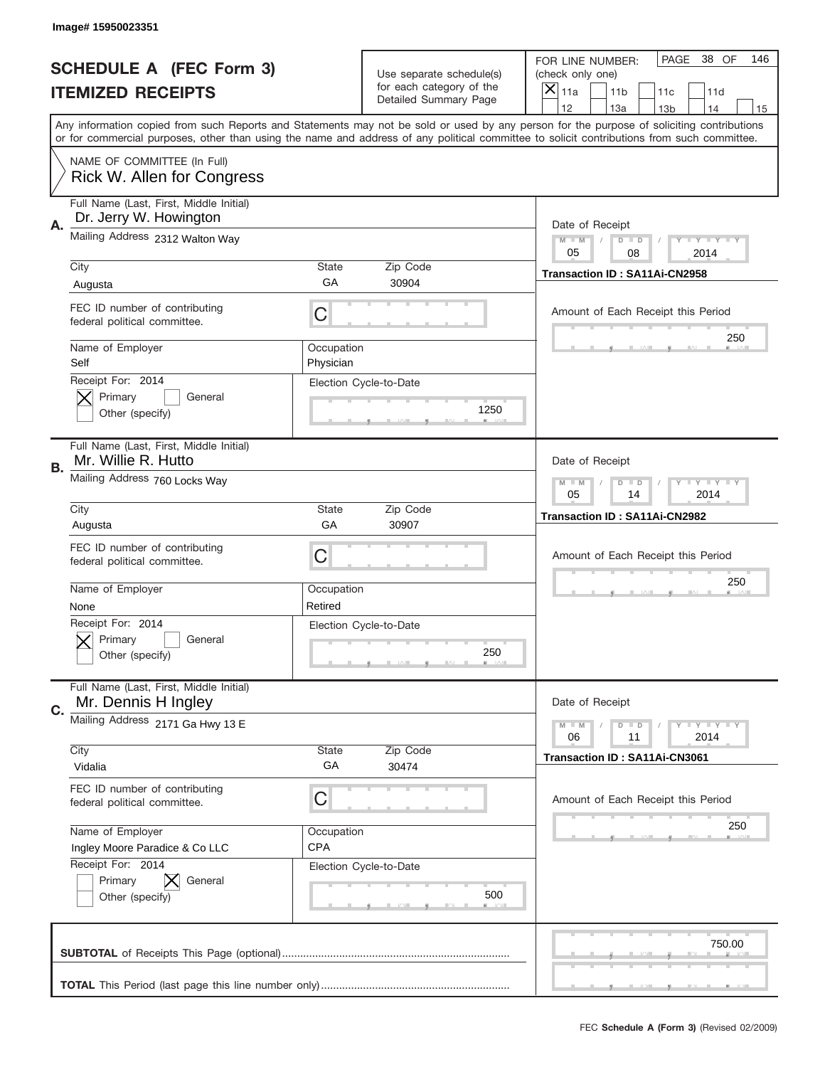|    | Image# 15950023351                                                |                                                         |                                                      |                                                                                                                                                                                                                                                                                         |  |  |  |
|----|-------------------------------------------------------------------|---------------------------------------------------------|------------------------------------------------------|-----------------------------------------------------------------------------------------------------------------------------------------------------------------------------------------------------------------------------------------------------------------------------------------|--|--|--|
|    | <b>SCHEDULE A (FEC Form 3)</b>                                    |                                                         | Use separate schedule(s)<br>for each category of the | PAGE<br>38 OF<br>146<br>FOR LINE NUMBER:<br>(check only one)                                                                                                                                                                                                                            |  |  |  |
|    | <b>ITEMIZED RECEIPTS</b>                                          |                                                         | Detailed Summary Page                                | ×<br>11a<br>11 <sub>b</sub><br>11d<br>11c<br>12<br>13a<br>14<br>13 <sub>b</sub><br>15                                                                                                                                                                                                   |  |  |  |
|    |                                                                   |                                                         |                                                      | Any information copied from such Reports and Statements may not be sold or used by any person for the purpose of soliciting contributions<br>or for commercial purposes, other than using the name and address of any political committee to solicit contributions from such committee. |  |  |  |
|    | NAME OF COMMITTEE (In Full)<br>Rick W. Allen for Congress         |                                                         |                                                      |                                                                                                                                                                                                                                                                                         |  |  |  |
| Α. | Full Name (Last, First, Middle Initial)<br>Dr. Jerry W. Howington |                                                         |                                                      | Date of Receipt                                                                                                                                                                                                                                                                         |  |  |  |
|    | Mailing Address 2312 Walton Way                                   | $M - M$<br>Y I Y I Y I Y<br>$D$ $D$<br>05<br>08<br>2014 |                                                      |                                                                                                                                                                                                                                                                                         |  |  |  |
|    | City<br>Augusta                                                   | State<br>GA                                             | Zip Code<br>30904                                    | Transaction ID: SA11Ai-CN2958                                                                                                                                                                                                                                                           |  |  |  |
|    | FEC ID number of contributing<br>federal political committee.     | C                                                       |                                                      | Amount of Each Receipt this Period                                                                                                                                                                                                                                                      |  |  |  |
|    | Name of Employer<br>Self                                          | Occupation<br>Physician                                 |                                                      | 250                                                                                                                                                                                                                                                                                     |  |  |  |
|    | Receipt For: 2014<br>Primary<br>General<br>Other (specify)        |                                                         | Election Cycle-to-Date<br>1250                       |                                                                                                                                                                                                                                                                                         |  |  |  |
| В. | Full Name (Last, First, Middle Initial)<br>Mr. Willie R. Hutto    |                                                         |                                                      | Date of Receipt                                                                                                                                                                                                                                                                         |  |  |  |
|    | Mailing Address 760 Locks Way                                     | <b>LYLYLY</b><br>$M - M$<br>$D$ $D$<br>05<br>14<br>2014 |                                                      |                                                                                                                                                                                                                                                                                         |  |  |  |
|    | City<br>Augusta                                                   | State<br>GA                                             | Zip Code<br>30907                                    | Transaction ID: SA11Ai-CN2982                                                                                                                                                                                                                                                           |  |  |  |
|    | FEC ID number of contributing<br>federal political committee.     | C                                                       |                                                      | Amount of Each Receipt this Period                                                                                                                                                                                                                                                      |  |  |  |
|    | Name of Employer<br>None                                          | Occupation<br>Retired                                   |                                                      | 250                                                                                                                                                                                                                                                                                     |  |  |  |
|    | Receipt For: 2014<br>General<br>Primary<br>Other (specify)        |                                                         | Election Cycle-to-Date<br>250                        |                                                                                                                                                                                                                                                                                         |  |  |  |
| C. | Full Name (Last, First, Middle Initial)<br>Mr. Dennis H Ingley    |                                                         |                                                      | Date of Receipt                                                                                                                                                                                                                                                                         |  |  |  |
|    | Mailing Address 2171 Ga Hwy 13 E                                  |                                                         |                                                      | <b>TEY LY LY</b><br>$M - M$<br>$D$ $D$<br>2014<br>06<br>11                                                                                                                                                                                                                              |  |  |  |
|    | City<br>Vidalia                                                   | State<br>GA                                             | Zip Code<br>30474                                    | Transaction ID: SA11Ai-CN3061                                                                                                                                                                                                                                                           |  |  |  |
|    | FEC ID number of contributing<br>federal political committee.     | C                                                       |                                                      | Amount of Each Receipt this Period                                                                                                                                                                                                                                                      |  |  |  |
|    | Name of Employer<br>Ingley Moore Paradice & Co LLC                | Occupation<br><b>CPA</b>                                |                                                      | 250                                                                                                                                                                                                                                                                                     |  |  |  |
|    | Receipt For: 2014<br>Primary<br>General<br>Other (specify)        |                                                         | Election Cycle-to-Date<br>500                        |                                                                                                                                                                                                                                                                                         |  |  |  |
|    |                                                                   |                                                         |                                                      | 750.00                                                                                                                                                                                                                                                                                  |  |  |  |
|    |                                                                   |                                                         |                                                      |                                                                                                                                                                                                                                                                                         |  |  |  |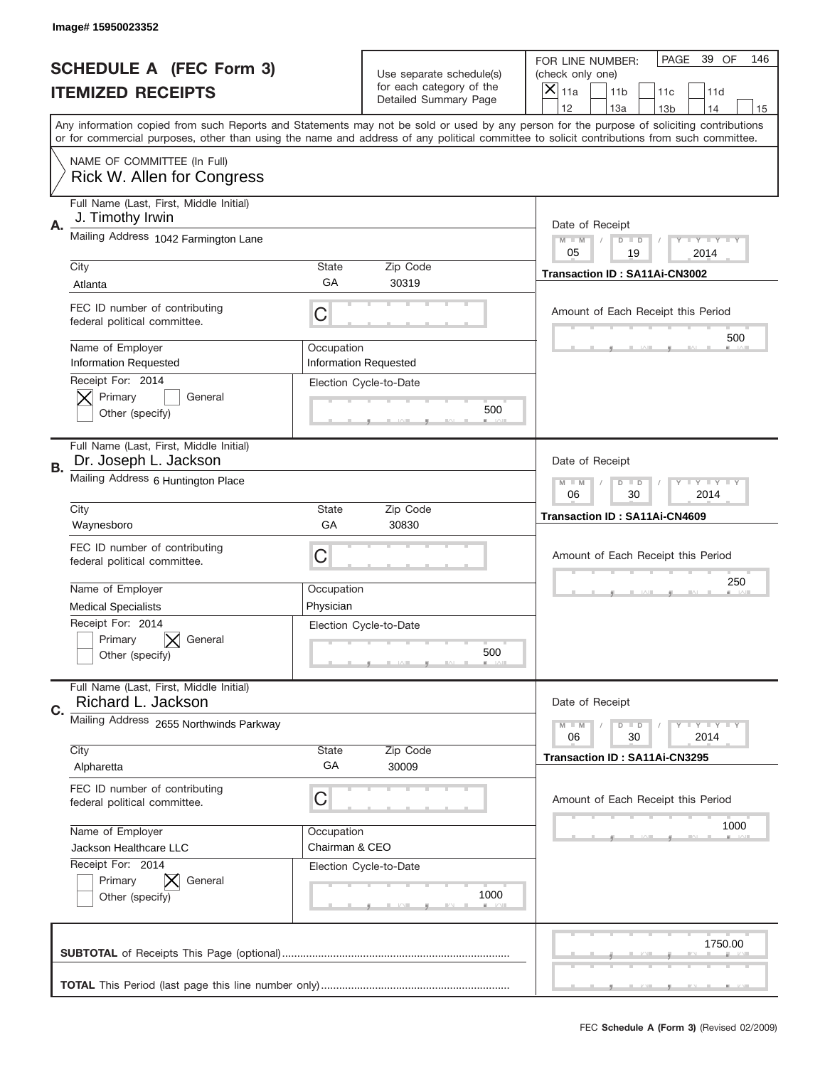|                          | Image#15950023352                                                |                                                              |                                                   |                                                                                                                                                                                                                                                                                                                                     |
|--------------------------|------------------------------------------------------------------|--------------------------------------------------------------|---------------------------------------------------|-------------------------------------------------------------------------------------------------------------------------------------------------------------------------------------------------------------------------------------------------------------------------------------------------------------------------------------|
|                          | <b>SCHEDULE A (FEC Form 3)</b>                                   |                                                              | Use separate schedule(s)                          | PAGE<br>39 OF<br>146<br>FOR LINE NUMBER:<br>(check only one)                                                                                                                                                                                                                                                                        |
| <b>ITEMIZED RECEIPTS</b> |                                                                  |                                                              | for each category of the<br>Detailed Summary Page | ×<br>11a<br>11 <sub>b</sub><br>11c<br>11d                                                                                                                                                                                                                                                                                           |
|                          |                                                                  |                                                              |                                                   | 12<br>13a<br>14<br>13 <sub>b</sub><br>15<br>Any information copied from such Reports and Statements may not be sold or used by any person for the purpose of soliciting contributions<br>or for commercial purposes, other than using the name and address of any political committee to solicit contributions from such committee. |
|                          | NAME OF COMMITTEE (In Full)<br>Rick W. Allen for Congress        |                                                              |                                                   |                                                                                                                                                                                                                                                                                                                                     |
| Α.                       | Full Name (Last, First, Middle Initial)<br>J. Timothy Irwin      |                                                              |                                                   | Date of Receipt                                                                                                                                                                                                                                                                                                                     |
|                          | Mailing Address 1042 Farmington Lane                             |                                                              |                                                   | $M - M$<br><b>LEY LEY LEY</b><br>$D$ $D$<br>05<br>19<br>2014                                                                                                                                                                                                                                                                        |
|                          | City<br>Atlanta                                                  | State<br>GА                                                  | Zip Code<br>30319                                 | Transaction ID: SA11Ai-CN3002                                                                                                                                                                                                                                                                                                       |
|                          | FEC ID number of contributing<br>federal political committee.    | C                                                            |                                                   | Amount of Each Receipt this Period                                                                                                                                                                                                                                                                                                  |
|                          | Name of Employer<br><b>Information Requested</b>                 | Occupation                                                   | <b>Information Requested</b>                      | 500                                                                                                                                                                                                                                                                                                                                 |
|                          | Receipt For: 2014<br>Primary<br>General<br>Other (specify)       |                                                              | Election Cycle-to-Date<br>500                     |                                                                                                                                                                                                                                                                                                                                     |
| В.                       | Full Name (Last, First, Middle Initial)<br>Dr. Joseph L. Jackson |                                                              |                                                   | Date of Receipt                                                                                                                                                                                                                                                                                                                     |
|                          | Mailing Address 6 Huntington Place                               | $M - M$<br><b>LEY LEY LEY</b><br>$D$ $D$<br>06<br>30<br>2014 |                                                   |                                                                                                                                                                                                                                                                                                                                     |
|                          | City<br>Waynesboro                                               | State<br>GA                                                  | Zip Code<br>30830                                 | <b>Transaction ID: SA11Ai-CN4609</b>                                                                                                                                                                                                                                                                                                |
|                          | FEC ID number of contributing<br>federal political committee.    | C                                                            |                                                   | Amount of Each Receipt this Period                                                                                                                                                                                                                                                                                                  |
|                          | Name of Employer                                                 | Occupation<br>Physician                                      |                                                   | 250                                                                                                                                                                                                                                                                                                                                 |
|                          | <b>Medical Specialists</b><br>Receipt For: 2014                  |                                                              |                                                   |                                                                                                                                                                                                                                                                                                                                     |
|                          | Primary<br>General<br>Other (specify)                            | Election Cycle-to-Date                                       | 500                                               |                                                                                                                                                                                                                                                                                                                                     |
| C.                       | Full Name (Last, First, Middle Initial)<br>Richard L. Jackson    |                                                              |                                                   | Date of Receipt                                                                                                                                                                                                                                                                                                                     |
|                          | Mailing Address 2655 Northwinds Parkway                          |                                                              |                                                   | <b>LEY LEY LEY</b><br>$M - M$<br>$D$ $D$<br>06<br>2014<br>30                                                                                                                                                                                                                                                                        |
|                          | City<br>Alpharetta                                               | State<br>GA                                                  | Zip Code<br>30009                                 | Transaction ID: SA11Ai-CN3295                                                                                                                                                                                                                                                                                                       |
|                          | FEC ID number of contributing<br>federal political committee.    | С                                                            |                                                   | Amount of Each Receipt this Period                                                                                                                                                                                                                                                                                                  |
|                          | Name of Employer<br>Jackson Healthcare LLC                       | Occupation<br>Chairman & CEO                                 |                                                   | 1000                                                                                                                                                                                                                                                                                                                                |
|                          | Receipt For: 2014<br>Primary<br>General<br>Other (specify)       |                                                              | Election Cycle-to-Date<br>1000                    |                                                                                                                                                                                                                                                                                                                                     |
|                          |                                                                  |                                                              |                                                   | 1750.00                                                                                                                                                                                                                                                                                                                             |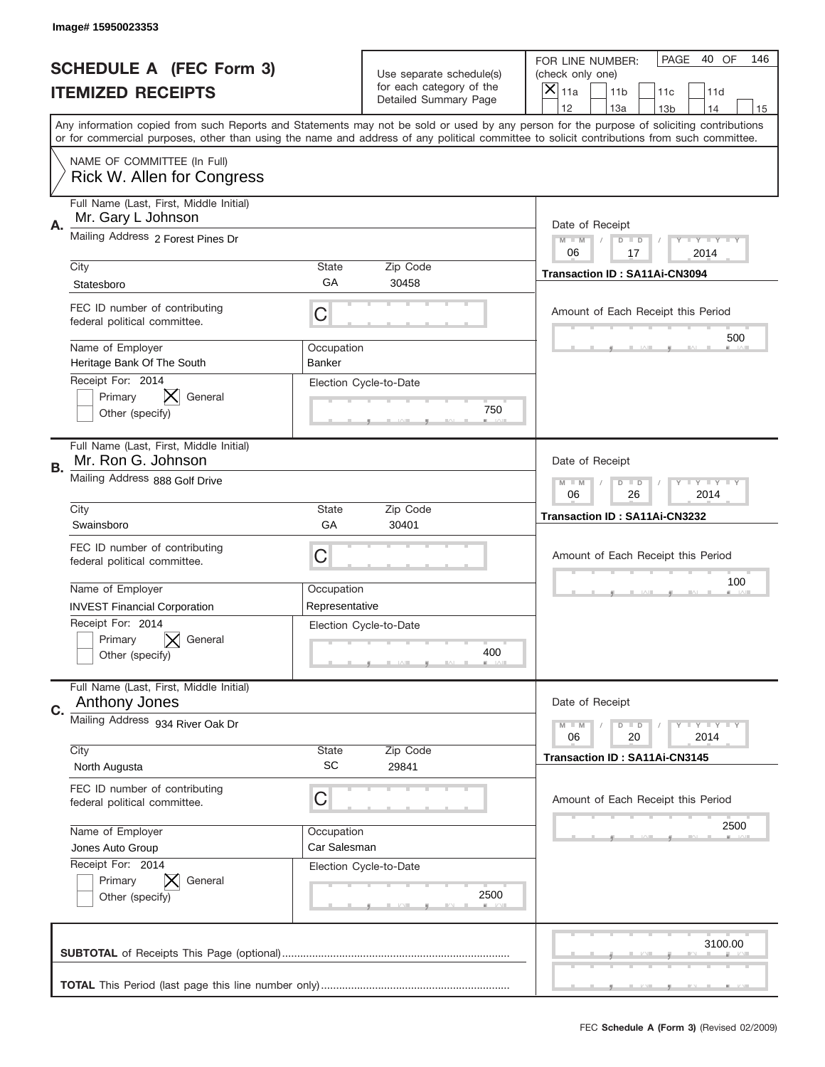|    | Image# 15950023353                                              |                                                             |                                                      |                                                                                                                                                                                                                                                                                                                                     |
|----|-----------------------------------------------------------------|-------------------------------------------------------------|------------------------------------------------------|-------------------------------------------------------------------------------------------------------------------------------------------------------------------------------------------------------------------------------------------------------------------------------------------------------------------------------------|
|    | <b>SCHEDULE A (FEC Form 3)</b>                                  |                                                             | Use separate schedule(s)<br>for each category of the | PAGE<br>40 OF<br>146<br>FOR LINE NUMBER:<br>(check only one)                                                                                                                                                                                                                                                                        |
|    | <b>ITEMIZED RECEIPTS</b>                                        |                                                             | Detailed Summary Page                                | ×<br>11a<br>11 <sub>b</sub><br>11c<br>11d                                                                                                                                                                                                                                                                                           |
|    |                                                                 |                                                             |                                                      | 12<br>13a<br>14<br>13 <sub>b</sub><br>15<br>Any information copied from such Reports and Statements may not be sold or used by any person for the purpose of soliciting contributions<br>or for commercial purposes, other than using the name and address of any political committee to solicit contributions from such committee. |
|    | NAME OF COMMITTEE (In Full)<br>Rick W. Allen for Congress       |                                                             |                                                      |                                                                                                                                                                                                                                                                                                                                     |
| Α. | Full Name (Last, First, Middle Initial)<br>Mr. Gary L Johnson   |                                                             |                                                      | Date of Receipt                                                                                                                                                                                                                                                                                                                     |
|    | Mailing Address 2 Forest Pines Dr                               |                                                             |                                                      | $M - M$<br><b>LEY LEY LEY</b><br>$D$ $D$<br>06<br>17<br>2014                                                                                                                                                                                                                                                                        |
|    | City<br>Statesboro                                              | State<br>GА                                                 | Zip Code<br>30458                                    | Transaction ID: SA11Ai-CN3094                                                                                                                                                                                                                                                                                                       |
|    | FEC ID number of contributing<br>federal political committee.   | C                                                           |                                                      | Amount of Each Receipt this Period                                                                                                                                                                                                                                                                                                  |
|    | Name of Employer<br>Heritage Bank Of The South                  | Occupation<br>Banker                                        |                                                      | 500                                                                                                                                                                                                                                                                                                                                 |
|    | Receipt For: 2014<br>Primary<br>General<br>Other (specify)      |                                                             | Election Cycle-to-Date<br>750                        |                                                                                                                                                                                                                                                                                                                                     |
| В. | Full Name (Last, First, Middle Initial)<br>Mr. Ron G. Johnson   |                                                             |                                                      | Date of Receipt                                                                                                                                                                                                                                                                                                                     |
|    | Mailing Address 888 Golf Drive                                  | $M - M$<br><b>LEYTEY LEY</b><br>$D$ $D$<br>06<br>26<br>2014 |                                                      |                                                                                                                                                                                                                                                                                                                                     |
|    | City<br>Swainsboro                                              | State<br>GA                                                 | Zip Code<br>30401                                    | Transaction ID: SA11Ai-CN3232                                                                                                                                                                                                                                                                                                       |
|    | FEC ID number of contributing<br>federal political committee.   | C                                                           |                                                      | Amount of Each Receipt this Period                                                                                                                                                                                                                                                                                                  |
|    | Name of Employer<br><b>INVEST Financial Corporation</b>         | Occupation<br>Representative                                |                                                      | 100                                                                                                                                                                                                                                                                                                                                 |
|    | Receipt For: 2014<br>General<br>Primary<br>Other (specify)      |                                                             | Election Cycle-to-Date<br>400                        |                                                                                                                                                                                                                                                                                                                                     |
| C. | Full Name (Last, First, Middle Initial)<br><b>Anthony Jones</b> |                                                             |                                                      | Date of Receipt                                                                                                                                                                                                                                                                                                                     |
|    | Mailing Address 934 River Oak Dr                                | <b>LY LY LY</b><br>$M - M$<br>$D$ $D$<br>06<br>2014<br>20   |                                                      |                                                                                                                                                                                                                                                                                                                                     |
|    | City<br>North Augusta                                           | State<br><b>SC</b>                                          | Zip Code<br>29841                                    | <b>Transaction ID: SA11Ai-CN3145</b>                                                                                                                                                                                                                                                                                                |
|    | FEC ID number of contributing<br>federal political committee.   | C                                                           |                                                      | Amount of Each Receipt this Period                                                                                                                                                                                                                                                                                                  |
|    | Name of Employer<br>Jones Auto Group                            | Occupation<br>Car Salesman                                  |                                                      | 2500                                                                                                                                                                                                                                                                                                                                |
|    | Receipt For: 2014<br>Primary<br>General<br>Other (specify)      |                                                             | Election Cycle-to-Date<br>2500                       |                                                                                                                                                                                                                                                                                                                                     |
|    |                                                                 |                                                             |                                                      | 3100.00                                                                                                                                                                                                                                                                                                                             |
|    |                                                                 |                                                             |                                                      |                                                                                                                                                                                                                                                                                                                                     |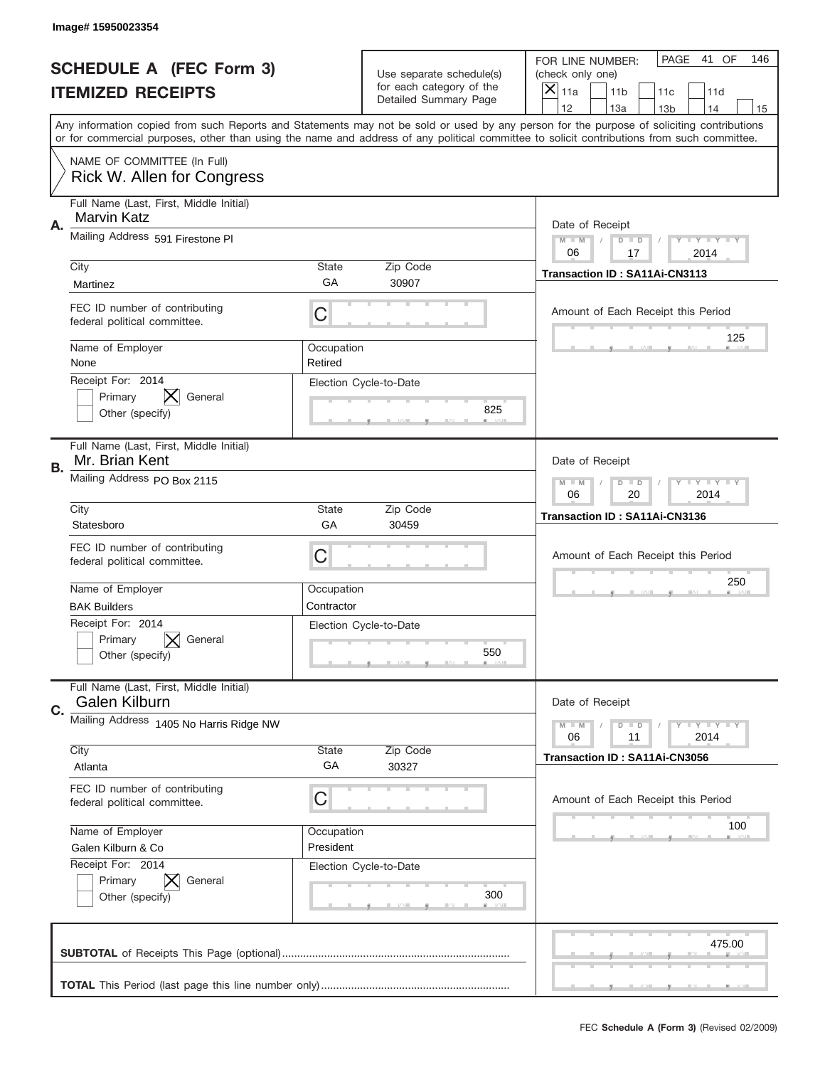|    | Image# 15950023354                                            |                          |                                                      |                                                                                                                                                                                                                                                                                                                                     |
|----|---------------------------------------------------------------|--------------------------|------------------------------------------------------|-------------------------------------------------------------------------------------------------------------------------------------------------------------------------------------------------------------------------------------------------------------------------------------------------------------------------------------|
|    | <b>SCHEDULE A (FEC Form 3)</b>                                |                          | Use separate schedule(s)<br>for each category of the | PAGE<br>41 OF<br>146<br>FOR LINE NUMBER:<br>(check only one)                                                                                                                                                                                                                                                                        |
|    | <b>ITEMIZED RECEIPTS</b>                                      |                          | Detailed Summary Page                                | $\boldsymbol{\times}$<br>11a<br>11 <sub>b</sub><br>11c<br>11d                                                                                                                                                                                                                                                                       |
|    |                                                               |                          |                                                      | 12<br>13a<br>14<br>13 <sub>b</sub><br>15<br>Any information copied from such Reports and Statements may not be sold or used by any person for the purpose of soliciting contributions<br>or for commercial purposes, other than using the name and address of any political committee to solicit contributions from such committee. |
|    | NAME OF COMMITTEE (In Full)<br>Rick W. Allen for Congress     |                          |                                                      |                                                                                                                                                                                                                                                                                                                                     |
| Α. | Full Name (Last, First, Middle Initial)<br>Marvin Katz        |                          |                                                      | Date of Receipt                                                                                                                                                                                                                                                                                                                     |
|    | Mailing Address 591 Firestone PI                              |                          |                                                      | $M$ M<br><b>LYLYLY</b><br>$D$ $D$<br>06<br>17<br>2014                                                                                                                                                                                                                                                                               |
|    | City<br>Martinez                                              | State<br>GA              | Zip Code<br>30907                                    | Transaction ID: SA11Ai-CN3113                                                                                                                                                                                                                                                                                                       |
|    | FEC ID number of contributing<br>federal political committee. | C                        |                                                      | Amount of Each Receipt this Period                                                                                                                                                                                                                                                                                                  |
|    | Name of Employer<br>None                                      | Occupation<br>Retired    |                                                      | 125                                                                                                                                                                                                                                                                                                                                 |
|    | Receipt For: 2014<br>Primary<br>General<br>Other (specify)    |                          | Election Cycle-to-Date<br>825                        |                                                                                                                                                                                                                                                                                                                                     |
| В. | Full Name (Last, First, Middle Initial)<br>Mr. Brian Kent     |                          |                                                      | Date of Receipt                                                                                                                                                                                                                                                                                                                     |
|    | Mailing Address PO Box 2115                                   |                          |                                                      | $M - M$<br><b>LYLYLY</b><br>$D$ $D$<br>06<br>20<br>2014                                                                                                                                                                                                                                                                             |
|    | City<br>Statesboro                                            | State<br>GA              | Zip Code<br>30459                                    | Transaction ID: SA11Ai-CN3136                                                                                                                                                                                                                                                                                                       |
|    | FEC ID number of contributing<br>federal political committee. | C                        |                                                      | Amount of Each Receipt this Period                                                                                                                                                                                                                                                                                                  |
|    | Name of Employer<br><b>BAK Builders</b>                       | Occupation<br>Contractor |                                                      | 250                                                                                                                                                                                                                                                                                                                                 |
|    |                                                               |                          |                                                      |                                                                                                                                                                                                                                                                                                                                     |
|    | Receipt For: 2014<br>General<br>Primary<br>Other (specify)    |                          | Election Cycle-to-Date<br>550                        |                                                                                                                                                                                                                                                                                                                                     |
| C. | Full Name (Last, First, Middle Initial)<br>Galen Kilburn      |                          |                                                      | Date of Receipt                                                                                                                                                                                                                                                                                                                     |
|    | Mailing Address 1405 No Harris Ridge NW                       |                          |                                                      | <b>LYLYLY</b><br>$M - M$<br>$D$ $D$<br>2014<br>06<br>11                                                                                                                                                                                                                                                                             |
|    | City<br>Atlanta                                               | State<br>GA              | Zip Code<br>30327                                    | Transaction ID: SA11Ai-CN3056                                                                                                                                                                                                                                                                                                       |
|    | FEC ID number of contributing<br>federal political committee. | C                        |                                                      | Amount of Each Receipt this Period                                                                                                                                                                                                                                                                                                  |
|    | Name of Employer<br>Galen Kilburn & Co                        | Occupation<br>President  |                                                      | 100                                                                                                                                                                                                                                                                                                                                 |
|    | Receipt For: 2014<br>Primary<br>General<br>Other (specify)    |                          | Election Cycle-to-Date<br>300                        |                                                                                                                                                                                                                                                                                                                                     |
|    |                                                               |                          |                                                      | 475.00                                                                                                                                                                                                                                                                                                                              |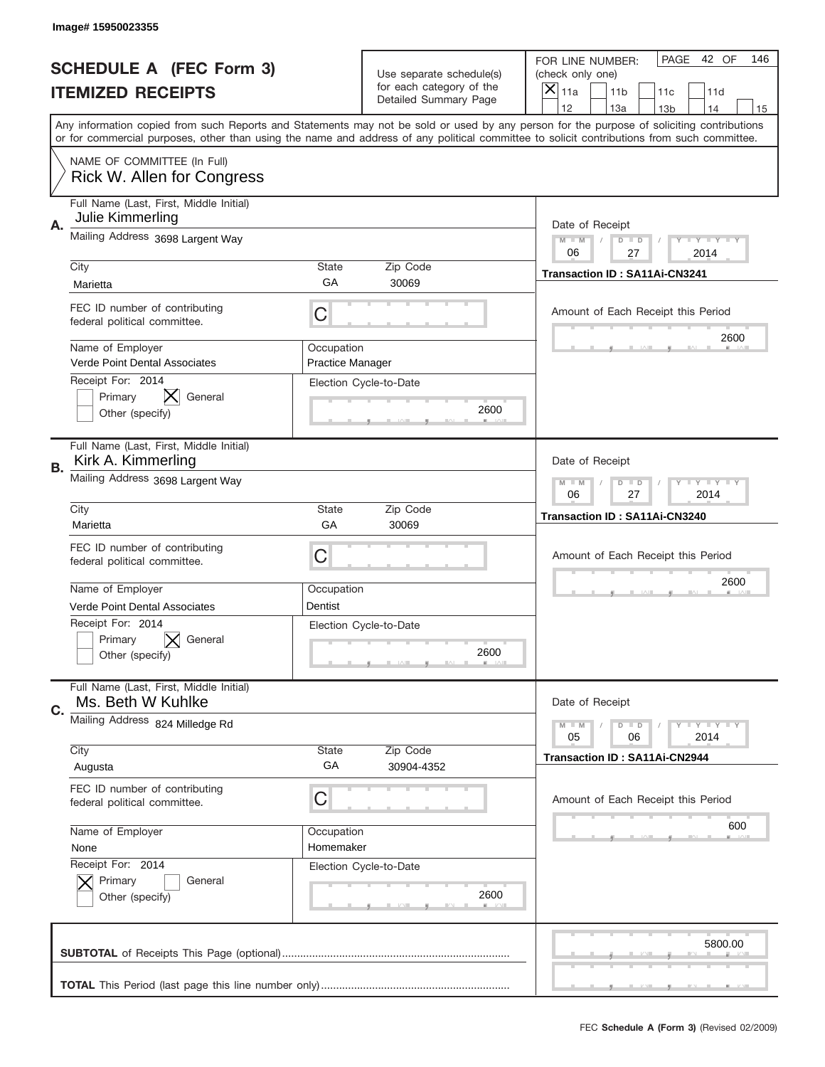|    | Image# 15950023355                                                                                                                                                                                                                                                                      |                                       |                                                   |                                                              |                                    |                 |                            |     |
|----|-----------------------------------------------------------------------------------------------------------------------------------------------------------------------------------------------------------------------------------------------------------------------------------------|---------------------------------------|---------------------------------------------------|--------------------------------------------------------------|------------------------------------|-----------------|----------------------------|-----|
|    | <b>SCHEDULE A (FEC Form 3)</b>                                                                                                                                                                                                                                                          |                                       | Use separate schedule(s)                          | FOR LINE NUMBER:<br>(check only one)                         |                                    | PAGE            | 42 OF                      | 146 |
|    | <b>ITEMIZED RECEIPTS</b>                                                                                                                                                                                                                                                                |                                       | for each category of the<br>Detailed Summary Page | $\boldsymbol{\times}$<br>11a                                 | 11 <sub>b</sub>                    | 11c             | 11d                        |     |
|    | Any information copied from such Reports and Statements may not be sold or used by any person for the purpose of soliciting contributions<br>or for commercial purposes, other than using the name and address of any political committee to solicit contributions from such committee. |                                       |                                                   | 12                                                           | 13a                                | 13 <sub>b</sub> | 14                         | 15  |
|    | NAME OF COMMITTEE (In Full)<br>Rick W. Allen for Congress                                                                                                                                                                                                                               |                                       |                                                   |                                                              |                                    |                 |                            |     |
| Α. | Full Name (Last, First, Middle Initial)<br>Julie Kimmerling                                                                                                                                                                                                                             |                                       |                                                   |                                                              | Date of Receipt                    |                 |                            |     |
|    | Mailing Address 3698 Largent Way                                                                                                                                                                                                                                                        |                                       |                                                   | $M - M$<br>06                                                | $D$ $D$<br>27                      |                 | <b>LYLYLY</b><br>2014      |     |
|    | City<br>Marietta                                                                                                                                                                                                                                                                        | <b>State</b><br>GA                    | Zip Code<br>30069                                 |                                                              | Transaction ID: SA11Ai-CN3241      |                 |                            |     |
|    | FEC ID number of contributing<br>federal political committee.                                                                                                                                                                                                                           | С                                     |                                                   |                                                              | Amount of Each Receipt this Period |                 |                            |     |
|    | Name of Employer<br>Verde Point Dental Associates                                                                                                                                                                                                                                       | Occupation<br><b>Practice Manager</b> |                                                   |                                                              |                                    |                 | 2600                       |     |
|    | Receipt For: 2014<br>Primary<br>General<br>Other (specify)                                                                                                                                                                                                                              |                                       | Election Cycle-to-Date<br>2600                    |                                                              |                                    |                 |                            |     |
| В. | Full Name (Last, First, Middle Initial)<br>Kirk A. Kimmerling                                                                                                                                                                                                                           |                                       | Date of Receipt                                   |                                                              |                                    |                 |                            |     |
|    | Mailing Address 3698 Largent Way                                                                                                                                                                                                                                                        |                                       |                                                   |                                                              | $D$ $D$<br>27                      |                 | <b>LEY LEY LEY</b><br>2014 |     |
|    | City<br>Marietta                                                                                                                                                                                                                                                                        | <b>State</b><br>GA                    | Zip Code<br>30069                                 |                                                              | Transaction ID: SA11Ai-CN3240      |                 |                            |     |
|    | FEC ID number of contributing<br>federal political committee.                                                                                                                                                                                                                           | С                                     |                                                   |                                                              | Amount of Each Receipt this Period |                 |                            |     |
|    | Name of Employer                                                                                                                                                                                                                                                                        | Occupation                            |                                                   |                                                              | 2600                               |                 |                            |     |
|    | Verde Point Dental Associates<br>Receipt For: 2014<br>Primary<br>General<br>Other (specify)                                                                                                                                                                                             | Dentist                               | Election Cycle-to-Date<br>2600                    |                                                              |                                    |                 |                            |     |
| C. | Full Name (Last, First, Middle Initial)<br>Ms. Beth W Kuhlke                                                                                                                                                                                                                            |                                       |                                                   |                                                              | Date of Receipt                    |                 |                            |     |
|    | Mailing Address 824 Milledge Rd                                                                                                                                                                                                                                                         |                                       |                                                   | <b>LEY LEY LEY</b><br>$M - M$<br>$D$ $D$<br>05<br>06<br>2014 |                                    |                 |                            |     |
|    | City<br>Augusta                                                                                                                                                                                                                                                                         | State<br>GA                           | Zip Code<br>30904-4352                            |                                                              | Transaction ID: SA11Ai-CN2944      |                 |                            |     |
|    | FEC ID number of contributing<br>federal political committee.                                                                                                                                                                                                                           | С                                     |                                                   |                                                              | Amount of Each Receipt this Period |                 |                            |     |
|    | Name of Employer<br>None                                                                                                                                                                                                                                                                | Occupation<br>Homemaker               |                                                   |                                                              |                                    |                 | 600                        |     |
|    | Receipt For: 2014<br>Primary<br>General<br>Other (specify)                                                                                                                                                                                                                              | Election Cycle-to-Date<br>2600        |                                                   |                                                              |                                    |                 |                            |     |
|    |                                                                                                                                                                                                                                                                                         |                                       |                                                   |                                                              |                                    |                 | 5800.00                    |     |
|    |                                                                                                                                                                                                                                                                                         |                                       |                                                   |                                                              |                                    |                 |                            |     |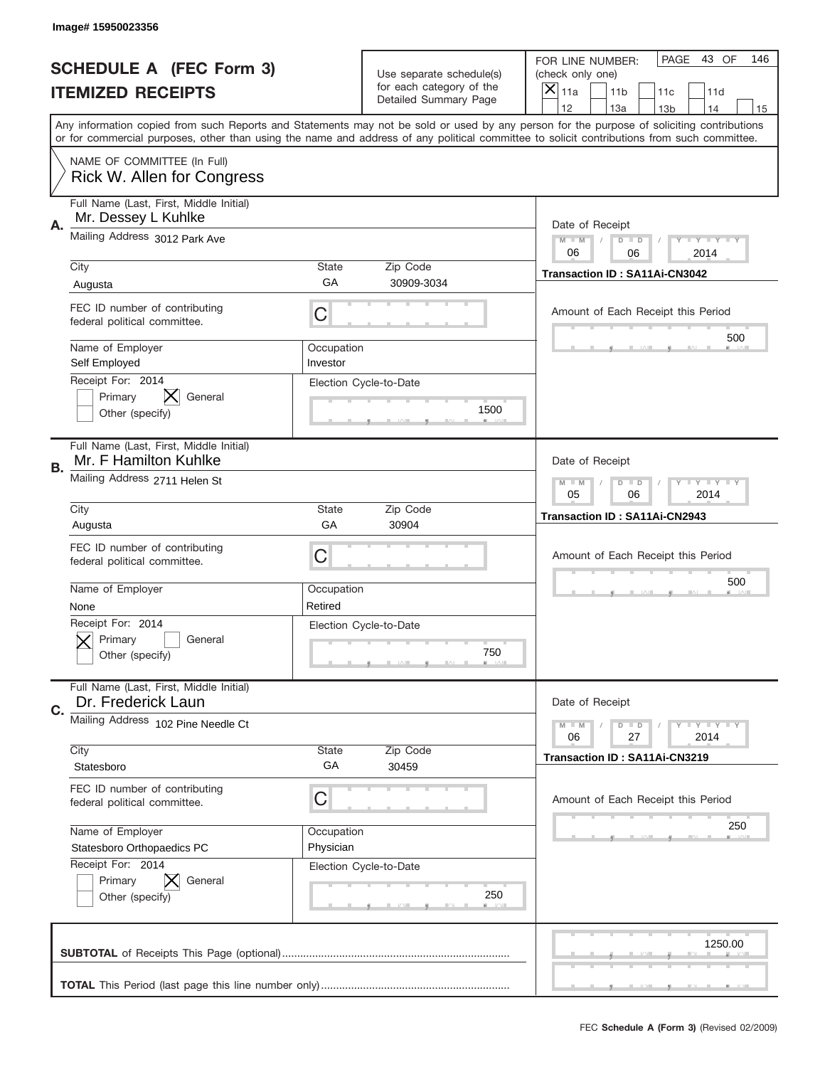|    | Image# 15950023356                                               |                                                           |                                                      |                                                                                                                                                                                                                                                                                                                        |  |  |  |
|----|------------------------------------------------------------------|-----------------------------------------------------------|------------------------------------------------------|------------------------------------------------------------------------------------------------------------------------------------------------------------------------------------------------------------------------------------------------------------------------------------------------------------------------|--|--|--|
|    | <b>SCHEDULE A (FEC Form 3)</b>                                   |                                                           | Use separate schedule(s)<br>for each category of the | PAGE<br>43 OF<br>146<br>FOR LINE NUMBER:<br>(check only one)                                                                                                                                                                                                                                                           |  |  |  |
|    | <b>ITEMIZED RECEIPTS</b>                                         |                                                           | Detailed Summary Page                                | ×<br>11a<br>11 <sub>b</sub><br>11c<br>11d<br>12<br>13a                                                                                                                                                                                                                                                                 |  |  |  |
|    |                                                                  |                                                           |                                                      | 13 <sub>b</sub><br>14<br>15<br>Any information copied from such Reports and Statements may not be sold or used by any person for the purpose of soliciting contributions<br>or for commercial purposes, other than using the name and address of any political committee to solicit contributions from such committee. |  |  |  |
|    | NAME OF COMMITTEE (In Full)<br>Rick W. Allen for Congress        |                                                           |                                                      |                                                                                                                                                                                                                                                                                                                        |  |  |  |
| Α. | Full Name (Last, First, Middle Initial)<br>Mr. Dessey L Kuhlke   |                                                           |                                                      | Date of Receipt                                                                                                                                                                                                                                                                                                        |  |  |  |
|    | Mailing Address 3012 Park Ave                                    |                                                           |                                                      | $M$ M<br><b>LEY LEY LEY</b><br>$D$ $D$<br>06<br>06<br>2014                                                                                                                                                                                                                                                             |  |  |  |
|    | City<br>Augusta                                                  | State<br>GA                                               | Zip Code<br>30909-3034                               | Transaction ID: SA11Ai-CN3042                                                                                                                                                                                                                                                                                          |  |  |  |
|    | FEC ID number of contributing<br>federal political committee.    | C                                                         |                                                      | Amount of Each Receipt this Period<br>500                                                                                                                                                                                                                                                                              |  |  |  |
|    | Name of Employer<br>Self Employed                                | Occupation<br>Investor                                    |                                                      |                                                                                                                                                                                                                                                                                                                        |  |  |  |
|    | Receipt For: 2014<br>Primary<br>General<br>Other (specify)       |                                                           | Election Cycle-to-Date<br>1500                       |                                                                                                                                                                                                                                                                                                                        |  |  |  |
| В. | Full Name (Last, First, Middle Initial)<br>Mr. F Hamilton Kuhlke | Date of Receipt                                           |                                                      |                                                                                                                                                                                                                                                                                                                        |  |  |  |
|    | Mailing Address 2711 Helen St                                    | $M - M$<br><b>LY LY LY</b><br>$D$ $D$<br>05<br>06<br>2014 |                                                      |                                                                                                                                                                                                                                                                                                                        |  |  |  |
|    | City<br>Augusta                                                  | State<br>GA                                               | Zip Code<br>30904                                    | Transaction ID: SA11Ai-CN2943                                                                                                                                                                                                                                                                                          |  |  |  |
|    | FEC ID number of contributing<br>federal political committee.    | C                                                         |                                                      | Amount of Each Receipt this Period                                                                                                                                                                                                                                                                                     |  |  |  |
|    | Name of Employer<br>None                                         | Occupation<br>Retired                                     |                                                      | 500                                                                                                                                                                                                                                                                                                                    |  |  |  |
|    | Receipt For: 2014<br>General<br>Primary<br>Other (specify)       |                                                           | Election Cycle-to-Date<br>750                        |                                                                                                                                                                                                                                                                                                                        |  |  |  |
| C. | Full Name (Last, First, Middle Initial)<br>Dr. Frederick Laun    |                                                           |                                                      | Date of Receipt                                                                                                                                                                                                                                                                                                        |  |  |  |
|    | Mailing Address 102 Pine Needle Ct                               |                                                           |                                                      | $M - M$<br><b>LEY LEY LEY</b><br>$D$ $D$<br>06<br>27<br>2014                                                                                                                                                                                                                                                           |  |  |  |
|    | City<br>Statesboro                                               | <b>State</b><br>GA                                        | Zip Code<br>30459                                    | <b>Transaction ID: SA11Ai-CN3219</b>                                                                                                                                                                                                                                                                                   |  |  |  |
|    | FEC ID number of contributing<br>federal political committee.    | C                                                         |                                                      | Amount of Each Receipt this Period                                                                                                                                                                                                                                                                                     |  |  |  |
|    | Name of Employer<br>Statesboro Orthopaedics PC                   | Occupation<br>Physician                                   |                                                      | 250                                                                                                                                                                                                                                                                                                                    |  |  |  |
|    | Receipt For: 2014<br>Primary<br>General<br>Other (specify)       |                                                           | Election Cycle-to-Date<br>250                        |                                                                                                                                                                                                                                                                                                                        |  |  |  |
|    |                                                                  |                                                           |                                                      | 1250.00                                                                                                                                                                                                                                                                                                                |  |  |  |
|    |                                                                  |                                                           |                                                      |                                                                                                                                                                                                                                                                                                                        |  |  |  |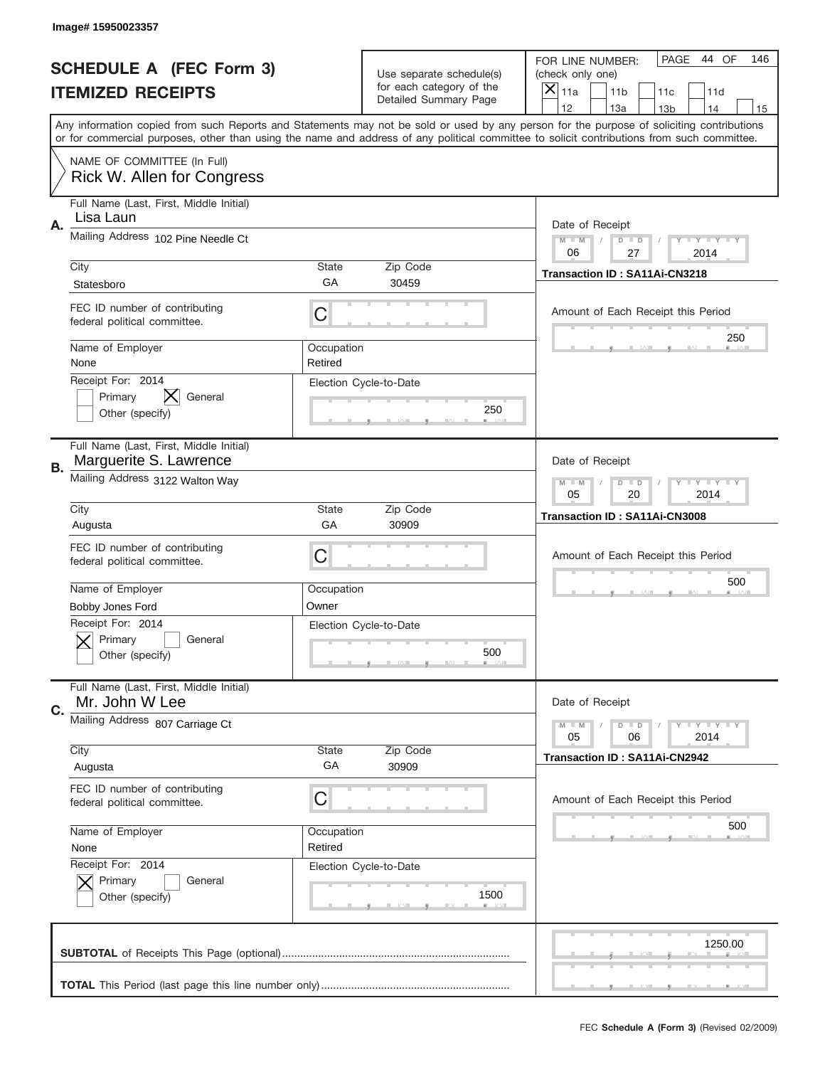|                          | Image# 15950023357                                                |                       |                                                   |                                                                                                                                                                                                                                                                                                                                     |
|--------------------------|-------------------------------------------------------------------|-----------------------|---------------------------------------------------|-------------------------------------------------------------------------------------------------------------------------------------------------------------------------------------------------------------------------------------------------------------------------------------------------------------------------------------|
|                          | <b>SCHEDULE A (FEC Form 3)</b>                                    |                       | Use separate schedule(s)                          | PAGE<br>44 OF<br>146<br>FOR LINE NUMBER:<br>(check only one)                                                                                                                                                                                                                                                                        |
| <b>ITEMIZED RECEIPTS</b> |                                                                   |                       | for each category of the<br>Detailed Summary Page | $\times$<br>11a<br>11 <sub>b</sub><br>11c<br>11d                                                                                                                                                                                                                                                                                    |
|                          |                                                                   |                       |                                                   | 12<br>13a<br>14<br>13 <sub>b</sub><br>15<br>Any information copied from such Reports and Statements may not be sold or used by any person for the purpose of soliciting contributions<br>or for commercial purposes, other than using the name and address of any political committee to solicit contributions from such committee. |
|                          | NAME OF COMMITTEE (In Full)                                       |                       |                                                   |                                                                                                                                                                                                                                                                                                                                     |
|                          | Rick W. Allen for Congress                                        |                       |                                                   |                                                                                                                                                                                                                                                                                                                                     |
| Α.                       | Full Name (Last, First, Middle Initial)<br>Lisa Laun              |                       |                                                   | Date of Receipt                                                                                                                                                                                                                                                                                                                     |
|                          | Mailing Address 102 Pine Needle Ct                                |                       |                                                   | $M$ $M$<br>Y I Y I Y I Y<br>$D$ $D$<br>06<br>27<br>2014                                                                                                                                                                                                                                                                             |
|                          | City                                                              | State<br>GA           | Zip Code                                          | Transaction ID: SA11Ai-CN3218                                                                                                                                                                                                                                                                                                       |
|                          | Statesboro                                                        |                       | 30459                                             |                                                                                                                                                                                                                                                                                                                                     |
|                          | FEC ID number of contributing<br>federal political committee.     | C                     |                                                   | Amount of Each Receipt this Period                                                                                                                                                                                                                                                                                                  |
|                          | Name of Employer<br>None                                          | Occupation<br>Retired |                                                   | 250                                                                                                                                                                                                                                                                                                                                 |
|                          | Receipt For: 2014                                                 |                       | Election Cycle-to-Date                            |                                                                                                                                                                                                                                                                                                                                     |
|                          | Primary<br>General                                                |                       | 250                                               |                                                                                                                                                                                                                                                                                                                                     |
|                          | Other (specify)                                                   |                       |                                                   |                                                                                                                                                                                                                                                                                                                                     |
| В.                       | Full Name (Last, First, Middle Initial)<br>Marguerite S. Lawrence |                       |                                                   | Date of Receipt                                                                                                                                                                                                                                                                                                                     |
|                          | Mailing Address 3122 Walton Way                                   |                       |                                                   | <b>LY LY LY</b><br>$M - M$<br>$D$ $D$                                                                                                                                                                                                                                                                                               |
|                          | Zip Code                                                          |                       |                                                   | 05<br>20<br>2014                                                                                                                                                                                                                                                                                                                    |
|                          | City<br>Augusta                                                   | State<br>GA           | 30909                                             | Transaction ID: SA11Ai-CN3008                                                                                                                                                                                                                                                                                                       |
|                          | FEC ID number of contributing                                     |                       |                                                   |                                                                                                                                                                                                                                                                                                                                     |
|                          | federal political committee.                                      | C                     |                                                   | Amount of Each Receipt this Period                                                                                                                                                                                                                                                                                                  |
|                          | Name of Employer                                                  | Occupation            |                                                   | 500                                                                                                                                                                                                                                                                                                                                 |
|                          | Bobby Jones Ford                                                  | Owner                 |                                                   |                                                                                                                                                                                                                                                                                                                                     |
|                          | Receipt For: 2014                                                 |                       | Election Cycle-to-Date                            |                                                                                                                                                                                                                                                                                                                                     |
|                          | General<br>Primary                                                |                       |                                                   |                                                                                                                                                                                                                                                                                                                                     |
|                          | Other (specify)                                                   |                       | 500                                               |                                                                                                                                                                                                                                                                                                                                     |
|                          | Full Name (Last, First, Middle Initial)                           |                       |                                                   |                                                                                                                                                                                                                                                                                                                                     |
| C.                       | Mr. John W Lee                                                    |                       |                                                   | Date of Receipt                                                                                                                                                                                                                                                                                                                     |
|                          | Mailing Address 807 Carriage Ct                                   |                       |                                                   | <b>TEY LY LY</b><br>$M - M$<br>$D$ $D$<br>05<br>2014<br>06                                                                                                                                                                                                                                                                          |
|                          | City<br>Augusta                                                   | State<br>GA           | Zip Code<br>30909                                 | Transaction ID: SA11Ai-CN2942                                                                                                                                                                                                                                                                                                       |
|                          |                                                                   |                       |                                                   |                                                                                                                                                                                                                                                                                                                                     |
|                          | FEC ID number of contributing<br>federal political committee.     | C                     |                                                   | Amount of Each Receipt this Period                                                                                                                                                                                                                                                                                                  |
|                          | Name of Employer                                                  | Occupation            |                                                   | 500                                                                                                                                                                                                                                                                                                                                 |
|                          | None                                                              | Retired               |                                                   |                                                                                                                                                                                                                                                                                                                                     |
|                          | Receipt For: 2014                                                 |                       | Election Cycle-to-Date                            |                                                                                                                                                                                                                                                                                                                                     |
|                          | Primary<br>General<br>Other (specify)                             |                       | 1500                                              |                                                                                                                                                                                                                                                                                                                                     |
|                          |                                                                   |                       |                                                   |                                                                                                                                                                                                                                                                                                                                     |
|                          |                                                                   |                       |                                                   |                                                                                                                                                                                                                                                                                                                                     |
|                          |                                                                   |                       |                                                   | 1250.00                                                                                                                                                                                                                                                                                                                             |
|                          |                                                                   |                       |                                                   |                                                                                                                                                                                                                                                                                                                                     |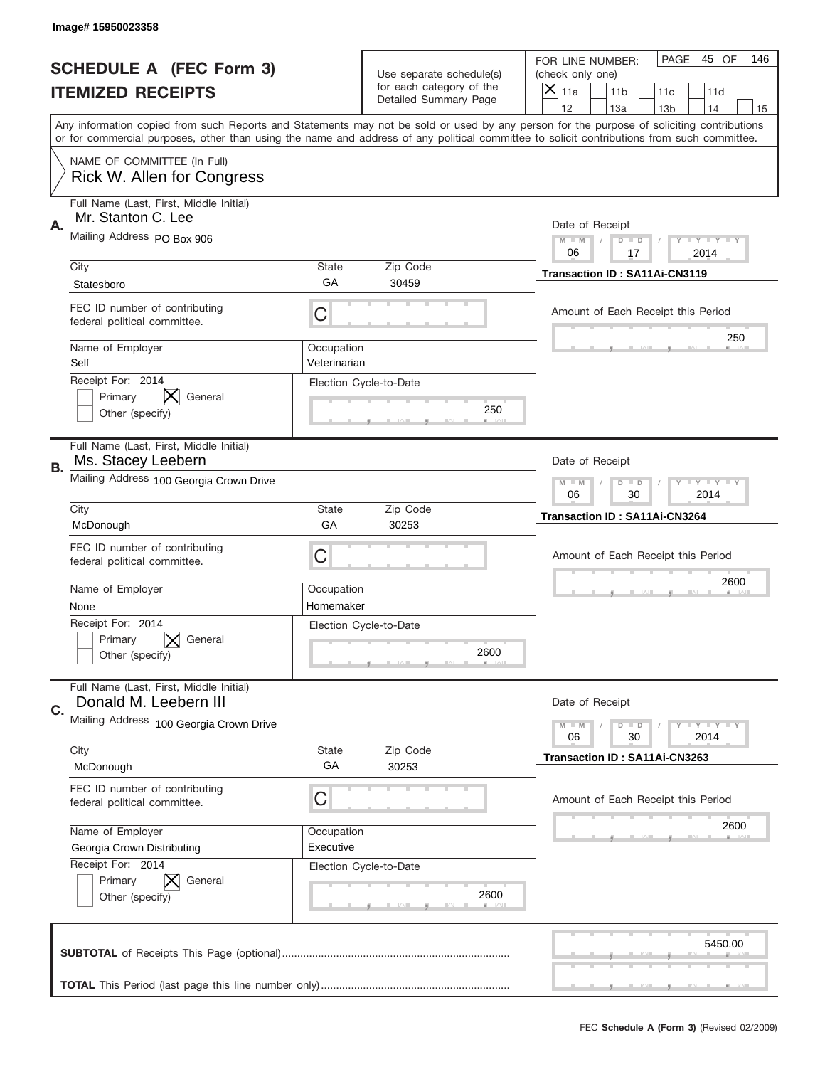|    | Image# 15950023358                                               |                                                           |                                                      |                                                                                                                                                                                                                                                                                                                                     |  |  |  |
|----|------------------------------------------------------------------|-----------------------------------------------------------|------------------------------------------------------|-------------------------------------------------------------------------------------------------------------------------------------------------------------------------------------------------------------------------------------------------------------------------------------------------------------------------------------|--|--|--|
|    | <b>SCHEDULE A (FEC Form 3)</b>                                   |                                                           | Use separate schedule(s)<br>for each category of the | PAGE<br>45 OF<br>146<br>FOR LINE NUMBER:<br>(check only one)                                                                                                                                                                                                                                                                        |  |  |  |
|    | <b>ITEMIZED RECEIPTS</b>                                         |                                                           | Detailed Summary Page                                | ×<br>11a<br>11 <sub>b</sub><br>11c<br>11d                                                                                                                                                                                                                                                                                           |  |  |  |
|    |                                                                  |                                                           |                                                      | 12<br>13a<br>13 <sub>b</sub><br>14<br>15<br>Any information copied from such Reports and Statements may not be sold or used by any person for the purpose of soliciting contributions<br>or for commercial purposes, other than using the name and address of any political committee to solicit contributions from such committee. |  |  |  |
|    | NAME OF COMMITTEE (In Full)<br>Rick W. Allen for Congress        |                                                           |                                                      |                                                                                                                                                                                                                                                                                                                                     |  |  |  |
| Α. | Full Name (Last, First, Middle Initial)<br>Mr. Stanton C. Lee    |                                                           |                                                      | Date of Receipt                                                                                                                                                                                                                                                                                                                     |  |  |  |
|    | Mailing Address PO Box 906                                       |                                                           |                                                      | $M$ M<br><b>LEY LEY LEY</b><br>$D$ $D$<br>06<br>17<br>2014                                                                                                                                                                                                                                                                          |  |  |  |
|    | City<br>Statesboro                                               | State<br>GA                                               | Zip Code<br>30459                                    | Transaction ID: SA11Ai-CN3119                                                                                                                                                                                                                                                                                                       |  |  |  |
|    | FEC ID number of contributing<br>federal political committee.    | C                                                         |                                                      | Amount of Each Receipt this Period<br>250                                                                                                                                                                                                                                                                                           |  |  |  |
|    | Name of Employer<br>Self                                         | Occupation<br>Veterinarian                                |                                                      |                                                                                                                                                                                                                                                                                                                                     |  |  |  |
|    | Receipt For: 2014<br>General<br>Primary<br>Other (specify)       |                                                           | Election Cycle-to-Date<br>250                        |                                                                                                                                                                                                                                                                                                                                     |  |  |  |
| В. | Full Name (Last, First, Middle Initial)<br>Ms. Stacey Leebern    | Date of Receipt                                           |                                                      |                                                                                                                                                                                                                                                                                                                                     |  |  |  |
|    | Mailing Address 100 Georgia Crown Drive                          | $M - M$<br><b>LY LY LY</b><br>$D$ $D$<br>06<br>30<br>2014 |                                                      |                                                                                                                                                                                                                                                                                                                                     |  |  |  |
|    | City<br>McDonough                                                | State<br>GA                                               | Zip Code<br>30253                                    | Transaction ID: SA11Ai-CN3264                                                                                                                                                                                                                                                                                                       |  |  |  |
|    | FEC ID number of contributing<br>federal political committee.    | C                                                         |                                                      | Amount of Each Receipt this Period<br>2600                                                                                                                                                                                                                                                                                          |  |  |  |
|    | Name of Employer                                                 | Occupation                                                |                                                      |                                                                                                                                                                                                                                                                                                                                     |  |  |  |
|    | None<br>Receipt For: 2014                                        | Homemaker                                                 |                                                      |                                                                                                                                                                                                                                                                                                                                     |  |  |  |
|    | General<br>Primary<br>Other (specify)                            |                                                           | Election Cycle-to-Date<br>2600                       |                                                                                                                                                                                                                                                                                                                                     |  |  |  |
| C. | Full Name (Last, First, Middle Initial)<br>Donald M. Leebern III |                                                           |                                                      | Date of Receipt                                                                                                                                                                                                                                                                                                                     |  |  |  |
|    | Mailing Address 100 Georgia Crown Drive                          |                                                           |                                                      | $M - M$<br><b>LEY LEY LEY</b><br>$D$ $D$<br>06<br>2014<br>30                                                                                                                                                                                                                                                                        |  |  |  |
|    | City<br>McDonough                                                | <b>State</b><br>GA                                        | Zip Code<br>30253                                    | Transaction ID: SA11Ai-CN3263                                                                                                                                                                                                                                                                                                       |  |  |  |
|    | FEC ID number of contributing                                    |                                                           |                                                      |                                                                                                                                                                                                                                                                                                                                     |  |  |  |
|    | federal political committee.                                     | C                                                         |                                                      | Amount of Each Receipt this Period                                                                                                                                                                                                                                                                                                  |  |  |  |
|    | Name of Employer                                                 | Occupation                                                |                                                      | 2600                                                                                                                                                                                                                                                                                                                                |  |  |  |
|    | Georgia Crown Distributing                                       | Executive                                                 |                                                      |                                                                                                                                                                                                                                                                                                                                     |  |  |  |
|    | Receipt For: 2014<br>Primary<br>General<br>Other (specify)       |                                                           | Election Cycle-to-Date<br>2600                       |                                                                                                                                                                                                                                                                                                                                     |  |  |  |
|    |                                                                  |                                                           |                                                      | 5450.00                                                                                                                                                                                                                                                                                                                             |  |  |  |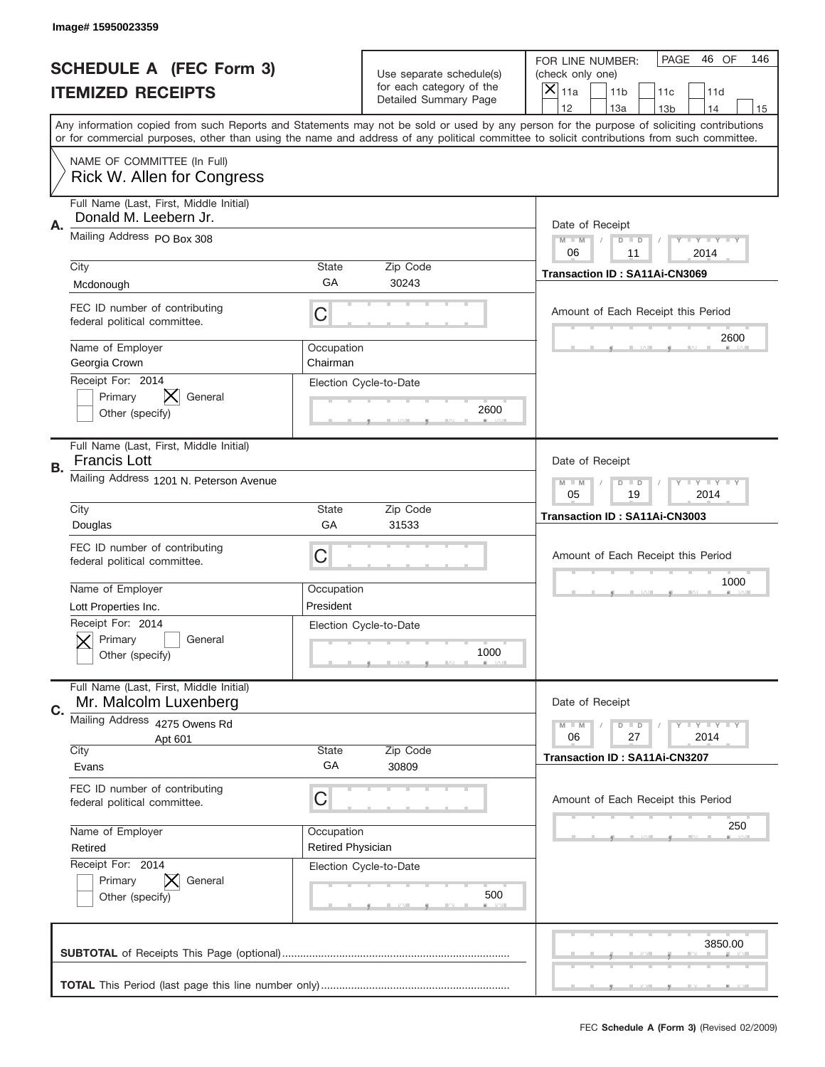|                          | Image# 15950023359                                                                 |                                                              |                                                   |                                                                                                                                                                                                                                                                                                                                     |  |  |  |
|--------------------------|------------------------------------------------------------------------------------|--------------------------------------------------------------|---------------------------------------------------|-------------------------------------------------------------------------------------------------------------------------------------------------------------------------------------------------------------------------------------------------------------------------------------------------------------------------------------|--|--|--|
|                          | <b>SCHEDULE A (FEC Form 3)</b>                                                     |                                                              | Use separate schedule(s)                          | PAGE<br>46 OF<br>146<br>FOR LINE NUMBER:<br>(check only one)                                                                                                                                                                                                                                                                        |  |  |  |
| <b>ITEMIZED RECEIPTS</b> |                                                                                    |                                                              | for each category of the<br>Detailed Summary Page | ×<br>11a<br>11 <sub>b</sub><br>11c<br>11d                                                                                                                                                                                                                                                                                           |  |  |  |
|                          |                                                                                    |                                                              |                                                   | 12<br>13a<br>14<br>13 <sub>b</sub><br>15<br>Any information copied from such Reports and Statements may not be sold or used by any person for the purpose of soliciting contributions<br>or for commercial purposes, other than using the name and address of any political committee to solicit contributions from such committee. |  |  |  |
|                          | NAME OF COMMITTEE (In Full)<br>Rick W. Allen for Congress                          |                                                              |                                                   |                                                                                                                                                                                                                                                                                                                                     |  |  |  |
| Α.                       | Full Name (Last, First, Middle Initial)<br>Donald M. Leebern Jr.                   |                                                              |                                                   | Date of Receipt                                                                                                                                                                                                                                                                                                                     |  |  |  |
|                          | Mailing Address PO Box 308                                                         |                                                              |                                                   | $M - M$<br><b>LEY LEY LEY</b><br>$D$ $D$<br>06<br>11<br>2014                                                                                                                                                                                                                                                                        |  |  |  |
|                          | City<br>Mcdonough                                                                  | State<br>GА                                                  | Zip Code<br>30243                                 | Transaction ID: SA11Ai-CN3069                                                                                                                                                                                                                                                                                                       |  |  |  |
|                          | FEC ID number of contributing<br>federal political committee.                      | C                                                            |                                                   | Amount of Each Receipt this Period                                                                                                                                                                                                                                                                                                  |  |  |  |
|                          | Name of Employer<br>Georgia Crown                                                  | Occupation<br>Chairman                                       |                                                   | 2600                                                                                                                                                                                                                                                                                                                                |  |  |  |
|                          | Receipt For: 2014<br>Primary<br>General<br>Other (specify)                         |                                                              | Election Cycle-to-Date<br>2600                    |                                                                                                                                                                                                                                                                                                                                     |  |  |  |
| <b>B.</b>                | Full Name (Last, First, Middle Initial)<br><b>Francis Lott</b>                     |                                                              |                                                   | Date of Receipt                                                                                                                                                                                                                                                                                                                     |  |  |  |
|                          | Mailing Address 1201 N. Peterson Avenue                                            | $M - M$<br>$D$ $D$<br><b>LEY LEY LEY</b><br>05<br>19<br>2014 |                                                   |                                                                                                                                                                                                                                                                                                                                     |  |  |  |
|                          | City<br>Douglas                                                                    | State<br>GA                                                  | Zip Code<br>31533                                 | Transaction ID: SA11Ai-CN3003                                                                                                                                                                                                                                                                                                       |  |  |  |
|                          | FEC ID number of contributing<br>federal political committee.                      | C                                                            |                                                   | Amount of Each Receipt this Period                                                                                                                                                                                                                                                                                                  |  |  |  |
|                          | Name of Employer                                                                   |                                                              |                                                   | 1000                                                                                                                                                                                                                                                                                                                                |  |  |  |
|                          |                                                                                    | Occupation                                                   |                                                   |                                                                                                                                                                                                                                                                                                                                     |  |  |  |
|                          | Lott Properties Inc.<br>Receipt For: 2014<br>General<br>Primary<br>Other (specify) | President                                                    | Election Cycle-to-Date<br>1000                    |                                                                                                                                                                                                                                                                                                                                     |  |  |  |
|                          | Full Name (Last, First, Middle Initial)<br>Mr. Malcolm Luxenberg                   |                                                              |                                                   | Date of Receipt                                                                                                                                                                                                                                                                                                                     |  |  |  |
| C.                       | Mailing Address 4275 Owens Rd<br>Apt 601                                           |                                                              |                                                   | <b>LEY LEY LEY</b><br>$M - M$<br>$D$ $D$<br>06<br>2014<br>27                                                                                                                                                                                                                                                                        |  |  |  |
|                          | City<br>Evans                                                                      | State<br>GA                                                  | Zip Code<br>30809                                 | Transaction ID: SA11Ai-CN3207                                                                                                                                                                                                                                                                                                       |  |  |  |
|                          | FEC ID number of contributing<br>federal political committee.                      | С                                                            |                                                   | Amount of Each Receipt this Period                                                                                                                                                                                                                                                                                                  |  |  |  |
|                          | Name of Employer<br>Retired                                                        | Occupation<br><b>Retired Physician</b>                       |                                                   | 250                                                                                                                                                                                                                                                                                                                                 |  |  |  |
|                          | Receipt For: 2014<br>Primary<br>General<br>Other (specify)                         |                                                              | Election Cycle-to-Date<br>500                     |                                                                                                                                                                                                                                                                                                                                     |  |  |  |
|                          |                                                                                    |                                                              |                                                   | 3850.00                                                                                                                                                                                                                                                                                                                             |  |  |  |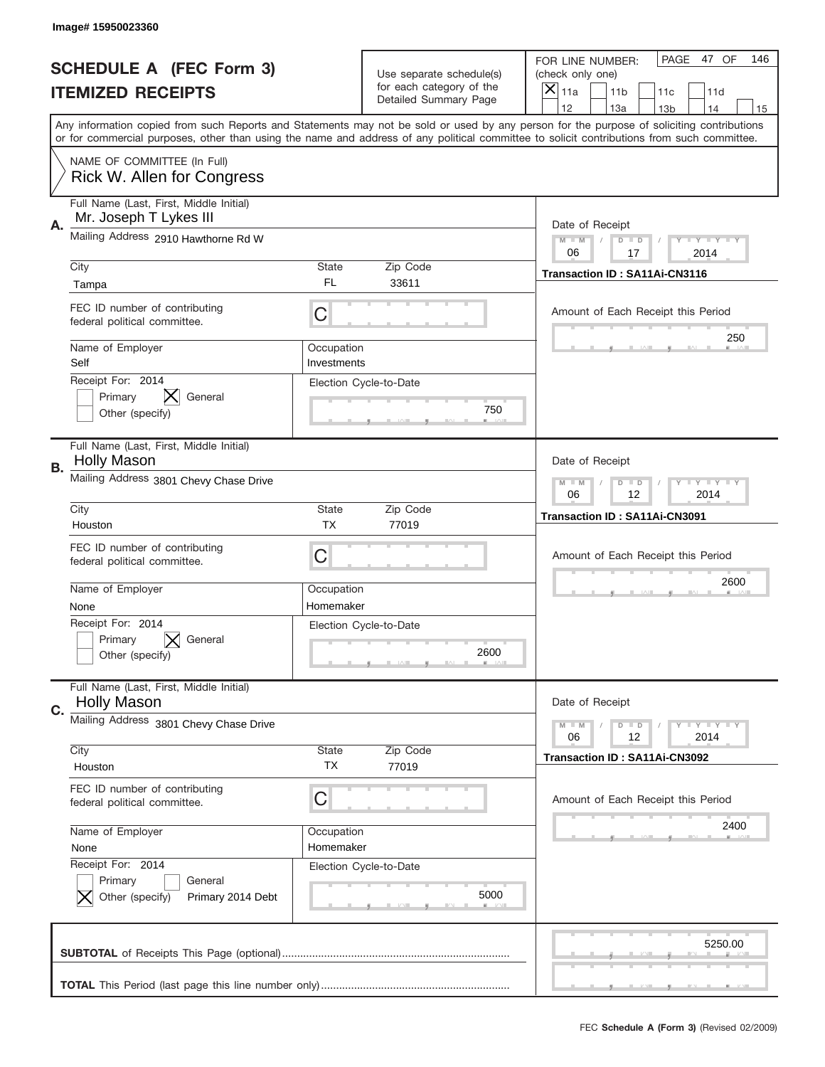| PAGE 47 OF<br>146<br>FOR LINE NUMBER:<br><b>SCHEDULE A (FEC Form 3)</b><br>Use separate schedule(s)<br>(check only one)<br>for each category of the<br>×<br><b>ITEMIZED RECEIPTS</b><br>11a<br>11 <sub>b</sub><br>11c<br>11d<br>Detailed Summary Page<br>12<br>13a<br>14<br>13 <sub>b</sub><br>15<br>Any information copied from such Reports and Statements may not be sold or used by any person for the purpose of soliciting contributions<br>or for commercial purposes, other than using the name and address of any political committee to solicit contributions from such committee.<br>NAME OF COMMITTEE (In Full)<br>Rick W. Allen for Congress<br>Full Name (Last, First, Middle Initial)<br>Mr. Joseph T Lykes III<br>Date of Receipt<br>Mailing Address 2910 Hawthorne Rd W<br>$M - M$<br><b>LEY LEY LEY</b><br>$D$ $D$<br>06<br>17<br>2014<br>City<br>State<br>Zip Code<br>Transaction ID: SA11Ai-CN3116<br>FL<br>33611<br>Tampa<br>FEC ID number of contributing<br>C<br>Amount of Each Receipt this Period<br>federal political committee.<br>250<br>Name of Employer<br>Occupation<br>Self<br>Investments<br>Receipt For: 2014<br>Election Cycle-to-Date<br>Primary<br>General<br>750<br>Other (specify)<br>Full Name (Last, First, Middle Initial)<br><b>Holly Mason</b><br>Date of Receipt<br>В.<br>Mailing Address 3801 Chevy Chase Drive<br>$M - M$<br><b>LYLYLY</b><br>$D$ $D$<br>06<br>12<br>2014<br>City<br>State<br>Zip Code<br>Transaction ID: SA11Ai-CN3091<br><b>TX</b><br>77019<br>Houston<br>FEC ID number of contributing<br>C<br>Amount of Each Receipt this Period<br>federal political committee.<br>2600<br>Name of Employer<br>Occupation<br>Homemaker<br>None<br>Receipt For: 2014<br>Election Cycle-to-Date<br>General<br>Primary<br>2600<br>Other (specify)<br>Full Name (Last, First, Middle Initial)<br><b>Holly Mason</b><br>Date of Receipt<br>C.<br>Mailing Address 3801 Chevy Chase Drive<br><b>LEY LEY LEY</b><br>$M - M$<br>$D$ $D$<br>2014<br>06<br>12<br>City<br>Zip Code<br>State<br>Transaction ID: SA11Ai-CN3092<br>TX<br>Houston<br>77019<br>FEC ID number of contributing<br>C<br>Amount of Each Receipt this Period<br>federal political committee.<br>2400<br>Name of Employer<br>Occupation<br>Homemaker<br>None<br>Receipt For: 2014<br>Election Cycle-to-Date<br>Primary<br>General<br>5000<br>Other (specify)<br>Primary 2014 Debt<br>5250.00 |    | Image# 15950023360 |  |  |  |
|-----------------------------------------------------------------------------------------------------------------------------------------------------------------------------------------------------------------------------------------------------------------------------------------------------------------------------------------------------------------------------------------------------------------------------------------------------------------------------------------------------------------------------------------------------------------------------------------------------------------------------------------------------------------------------------------------------------------------------------------------------------------------------------------------------------------------------------------------------------------------------------------------------------------------------------------------------------------------------------------------------------------------------------------------------------------------------------------------------------------------------------------------------------------------------------------------------------------------------------------------------------------------------------------------------------------------------------------------------------------------------------------------------------------------------------------------------------------------------------------------------------------------------------------------------------------------------------------------------------------------------------------------------------------------------------------------------------------------------------------------------------------------------------------------------------------------------------------------------------------------------------------------------------------------------------------------------------------------------------------------------------------------------------------------------------------------------------------------------------------------------------------------------------------------------------------------------------------------------------------------------------------------------------------------------------------------------------------------------------------------------------------------------------|----|--------------------|--|--|--|
|                                                                                                                                                                                                                                                                                                                                                                                                                                                                                                                                                                                                                                                                                                                                                                                                                                                                                                                                                                                                                                                                                                                                                                                                                                                                                                                                                                                                                                                                                                                                                                                                                                                                                                                                                                                                                                                                                                                                                                                                                                                                                                                                                                                                                                                                                                                                                                                                           |    |                    |  |  |  |
|                                                                                                                                                                                                                                                                                                                                                                                                                                                                                                                                                                                                                                                                                                                                                                                                                                                                                                                                                                                                                                                                                                                                                                                                                                                                                                                                                                                                                                                                                                                                                                                                                                                                                                                                                                                                                                                                                                                                                                                                                                                                                                                                                                                                                                                                                                                                                                                                           |    |                    |  |  |  |
|                                                                                                                                                                                                                                                                                                                                                                                                                                                                                                                                                                                                                                                                                                                                                                                                                                                                                                                                                                                                                                                                                                                                                                                                                                                                                                                                                                                                                                                                                                                                                                                                                                                                                                                                                                                                                                                                                                                                                                                                                                                                                                                                                                                                                                                                                                                                                                                                           |    |                    |  |  |  |
|                                                                                                                                                                                                                                                                                                                                                                                                                                                                                                                                                                                                                                                                                                                                                                                                                                                                                                                                                                                                                                                                                                                                                                                                                                                                                                                                                                                                                                                                                                                                                                                                                                                                                                                                                                                                                                                                                                                                                                                                                                                                                                                                                                                                                                                                                                                                                                                                           |    |                    |  |  |  |
|                                                                                                                                                                                                                                                                                                                                                                                                                                                                                                                                                                                                                                                                                                                                                                                                                                                                                                                                                                                                                                                                                                                                                                                                                                                                                                                                                                                                                                                                                                                                                                                                                                                                                                                                                                                                                                                                                                                                                                                                                                                                                                                                                                                                                                                                                                                                                                                                           |    |                    |  |  |  |
|                                                                                                                                                                                                                                                                                                                                                                                                                                                                                                                                                                                                                                                                                                                                                                                                                                                                                                                                                                                                                                                                                                                                                                                                                                                                                                                                                                                                                                                                                                                                                                                                                                                                                                                                                                                                                                                                                                                                                                                                                                                                                                                                                                                                                                                                                                                                                                                                           | Α. |                    |  |  |  |
|                                                                                                                                                                                                                                                                                                                                                                                                                                                                                                                                                                                                                                                                                                                                                                                                                                                                                                                                                                                                                                                                                                                                                                                                                                                                                                                                                                                                                                                                                                                                                                                                                                                                                                                                                                                                                                                                                                                                                                                                                                                                                                                                                                                                                                                                                                                                                                                                           |    |                    |  |  |  |
|                                                                                                                                                                                                                                                                                                                                                                                                                                                                                                                                                                                                                                                                                                                                                                                                                                                                                                                                                                                                                                                                                                                                                                                                                                                                                                                                                                                                                                                                                                                                                                                                                                                                                                                                                                                                                                                                                                                                                                                                                                                                                                                                                                                                                                                                                                                                                                                                           |    |                    |  |  |  |
|                                                                                                                                                                                                                                                                                                                                                                                                                                                                                                                                                                                                                                                                                                                                                                                                                                                                                                                                                                                                                                                                                                                                                                                                                                                                                                                                                                                                                                                                                                                                                                                                                                                                                                                                                                                                                                                                                                                                                                                                                                                                                                                                                                                                                                                                                                                                                                                                           |    |                    |  |  |  |
|                                                                                                                                                                                                                                                                                                                                                                                                                                                                                                                                                                                                                                                                                                                                                                                                                                                                                                                                                                                                                                                                                                                                                                                                                                                                                                                                                                                                                                                                                                                                                                                                                                                                                                                                                                                                                                                                                                                                                                                                                                                                                                                                                                                                                                                                                                                                                                                                           |    |                    |  |  |  |
|                                                                                                                                                                                                                                                                                                                                                                                                                                                                                                                                                                                                                                                                                                                                                                                                                                                                                                                                                                                                                                                                                                                                                                                                                                                                                                                                                                                                                                                                                                                                                                                                                                                                                                                                                                                                                                                                                                                                                                                                                                                                                                                                                                                                                                                                                                                                                                                                           |    |                    |  |  |  |
|                                                                                                                                                                                                                                                                                                                                                                                                                                                                                                                                                                                                                                                                                                                                                                                                                                                                                                                                                                                                                                                                                                                                                                                                                                                                                                                                                                                                                                                                                                                                                                                                                                                                                                                                                                                                                                                                                                                                                                                                                                                                                                                                                                                                                                                                                                                                                                                                           |    |                    |  |  |  |
|                                                                                                                                                                                                                                                                                                                                                                                                                                                                                                                                                                                                                                                                                                                                                                                                                                                                                                                                                                                                                                                                                                                                                                                                                                                                                                                                                                                                                                                                                                                                                                                                                                                                                                                                                                                                                                                                                                                                                                                                                                                                                                                                                                                                                                                                                                                                                                                                           |    |                    |  |  |  |
|                                                                                                                                                                                                                                                                                                                                                                                                                                                                                                                                                                                                                                                                                                                                                                                                                                                                                                                                                                                                                                                                                                                                                                                                                                                                                                                                                                                                                                                                                                                                                                                                                                                                                                                                                                                                                                                                                                                                                                                                                                                                                                                                                                                                                                                                                                                                                                                                           |    |                    |  |  |  |
|                                                                                                                                                                                                                                                                                                                                                                                                                                                                                                                                                                                                                                                                                                                                                                                                                                                                                                                                                                                                                                                                                                                                                                                                                                                                                                                                                                                                                                                                                                                                                                                                                                                                                                                                                                                                                                                                                                                                                                                                                                                                                                                                                                                                                                                                                                                                                                                                           |    |                    |  |  |  |
|                                                                                                                                                                                                                                                                                                                                                                                                                                                                                                                                                                                                                                                                                                                                                                                                                                                                                                                                                                                                                                                                                                                                                                                                                                                                                                                                                                                                                                                                                                                                                                                                                                                                                                                                                                                                                                                                                                                                                                                                                                                                                                                                                                                                                                                                                                                                                                                                           |    |                    |  |  |  |
|                                                                                                                                                                                                                                                                                                                                                                                                                                                                                                                                                                                                                                                                                                                                                                                                                                                                                                                                                                                                                                                                                                                                                                                                                                                                                                                                                                                                                                                                                                                                                                                                                                                                                                                                                                                                                                                                                                                                                                                                                                                                                                                                                                                                                                                                                                                                                                                                           |    |                    |  |  |  |
|                                                                                                                                                                                                                                                                                                                                                                                                                                                                                                                                                                                                                                                                                                                                                                                                                                                                                                                                                                                                                                                                                                                                                                                                                                                                                                                                                                                                                                                                                                                                                                                                                                                                                                                                                                                                                                                                                                                                                                                                                                                                                                                                                                                                                                                                                                                                                                                                           |    |                    |  |  |  |
|                                                                                                                                                                                                                                                                                                                                                                                                                                                                                                                                                                                                                                                                                                                                                                                                                                                                                                                                                                                                                                                                                                                                                                                                                                                                                                                                                                                                                                                                                                                                                                                                                                                                                                                                                                                                                                                                                                                                                                                                                                                                                                                                                                                                                                                                                                                                                                                                           |    |                    |  |  |  |
|                                                                                                                                                                                                                                                                                                                                                                                                                                                                                                                                                                                                                                                                                                                                                                                                                                                                                                                                                                                                                                                                                                                                                                                                                                                                                                                                                                                                                                                                                                                                                                                                                                                                                                                                                                                                                                                                                                                                                                                                                                                                                                                                                                                                                                                                                                                                                                                                           |    |                    |  |  |  |
|                                                                                                                                                                                                                                                                                                                                                                                                                                                                                                                                                                                                                                                                                                                                                                                                                                                                                                                                                                                                                                                                                                                                                                                                                                                                                                                                                                                                                                                                                                                                                                                                                                                                                                                                                                                                                                                                                                                                                                                                                                                                                                                                                                                                                                                                                                                                                                                                           |    |                    |  |  |  |
|                                                                                                                                                                                                                                                                                                                                                                                                                                                                                                                                                                                                                                                                                                                                                                                                                                                                                                                                                                                                                                                                                                                                                                                                                                                                                                                                                                                                                                                                                                                                                                                                                                                                                                                                                                                                                                                                                                                                                                                                                                                                                                                                                                                                                                                                                                                                                                                                           |    |                    |  |  |  |
|                                                                                                                                                                                                                                                                                                                                                                                                                                                                                                                                                                                                                                                                                                                                                                                                                                                                                                                                                                                                                                                                                                                                                                                                                                                                                                                                                                                                                                                                                                                                                                                                                                                                                                                                                                                                                                                                                                                                                                                                                                                                                                                                                                                                                                                                                                                                                                                                           |    |                    |  |  |  |
|                                                                                                                                                                                                                                                                                                                                                                                                                                                                                                                                                                                                                                                                                                                                                                                                                                                                                                                                                                                                                                                                                                                                                                                                                                                                                                                                                                                                                                                                                                                                                                                                                                                                                                                                                                                                                                                                                                                                                                                                                                                                                                                                                                                                                                                                                                                                                                                                           |    |                    |  |  |  |
|                                                                                                                                                                                                                                                                                                                                                                                                                                                                                                                                                                                                                                                                                                                                                                                                                                                                                                                                                                                                                                                                                                                                                                                                                                                                                                                                                                                                                                                                                                                                                                                                                                                                                                                                                                                                                                                                                                                                                                                                                                                                                                                                                                                                                                                                                                                                                                                                           |    |                    |  |  |  |
|                                                                                                                                                                                                                                                                                                                                                                                                                                                                                                                                                                                                                                                                                                                                                                                                                                                                                                                                                                                                                                                                                                                                                                                                                                                                                                                                                                                                                                                                                                                                                                                                                                                                                                                                                                                                                                                                                                                                                                                                                                                                                                                                                                                                                                                                                                                                                                                                           |    |                    |  |  |  |
|                                                                                                                                                                                                                                                                                                                                                                                                                                                                                                                                                                                                                                                                                                                                                                                                                                                                                                                                                                                                                                                                                                                                                                                                                                                                                                                                                                                                                                                                                                                                                                                                                                                                                                                                                                                                                                                                                                                                                                                                                                                                                                                                                                                                                                                                                                                                                                                                           |    |                    |  |  |  |
|                                                                                                                                                                                                                                                                                                                                                                                                                                                                                                                                                                                                                                                                                                                                                                                                                                                                                                                                                                                                                                                                                                                                                                                                                                                                                                                                                                                                                                                                                                                                                                                                                                                                                                                                                                                                                                                                                                                                                                                                                                                                                                                                                                                                                                                                                                                                                                                                           |    |                    |  |  |  |
|                                                                                                                                                                                                                                                                                                                                                                                                                                                                                                                                                                                                                                                                                                                                                                                                                                                                                                                                                                                                                                                                                                                                                                                                                                                                                                                                                                                                                                                                                                                                                                                                                                                                                                                                                                                                                                                                                                                                                                                                                                                                                                                                                                                                                                                                                                                                                                                                           |    |                    |  |  |  |
|                                                                                                                                                                                                                                                                                                                                                                                                                                                                                                                                                                                                                                                                                                                                                                                                                                                                                                                                                                                                                                                                                                                                                                                                                                                                                                                                                                                                                                                                                                                                                                                                                                                                                                                                                                                                                                                                                                                                                                                                                                                                                                                                                                                                                                                                                                                                                                                                           |    |                    |  |  |  |
|                                                                                                                                                                                                                                                                                                                                                                                                                                                                                                                                                                                                                                                                                                                                                                                                                                                                                                                                                                                                                                                                                                                                                                                                                                                                                                                                                                                                                                                                                                                                                                                                                                                                                                                                                                                                                                                                                                                                                                                                                                                                                                                                                                                                                                                                                                                                                                                                           |    |                    |  |  |  |
|                                                                                                                                                                                                                                                                                                                                                                                                                                                                                                                                                                                                                                                                                                                                                                                                                                                                                                                                                                                                                                                                                                                                                                                                                                                                                                                                                                                                                                                                                                                                                                                                                                                                                                                                                                                                                                                                                                                                                                                                                                                                                                                                                                                                                                                                                                                                                                                                           |    |                    |  |  |  |
|                                                                                                                                                                                                                                                                                                                                                                                                                                                                                                                                                                                                                                                                                                                                                                                                                                                                                                                                                                                                                                                                                                                                                                                                                                                                                                                                                                                                                                                                                                                                                                                                                                                                                                                                                                                                                                                                                                                                                                                                                                                                                                                                                                                                                                                                                                                                                                                                           |    |                    |  |  |  |
|                                                                                                                                                                                                                                                                                                                                                                                                                                                                                                                                                                                                                                                                                                                                                                                                                                                                                                                                                                                                                                                                                                                                                                                                                                                                                                                                                                                                                                                                                                                                                                                                                                                                                                                                                                                                                                                                                                                                                                                                                                                                                                                                                                                                                                                                                                                                                                                                           |    |                    |  |  |  |
|                                                                                                                                                                                                                                                                                                                                                                                                                                                                                                                                                                                                                                                                                                                                                                                                                                                                                                                                                                                                                                                                                                                                                                                                                                                                                                                                                                                                                                                                                                                                                                                                                                                                                                                                                                                                                                                                                                                                                                                                                                                                                                                                                                                                                                                                                                                                                                                                           |    |                    |  |  |  |
|                                                                                                                                                                                                                                                                                                                                                                                                                                                                                                                                                                                                                                                                                                                                                                                                                                                                                                                                                                                                                                                                                                                                                                                                                                                                                                                                                                                                                                                                                                                                                                                                                                                                                                                                                                                                                                                                                                                                                                                                                                                                                                                                                                                                                                                                                                                                                                                                           |    |                    |  |  |  |
|                                                                                                                                                                                                                                                                                                                                                                                                                                                                                                                                                                                                                                                                                                                                                                                                                                                                                                                                                                                                                                                                                                                                                                                                                                                                                                                                                                                                                                                                                                                                                                                                                                                                                                                                                                                                                                                                                                                                                                                                                                                                                                                                                                                                                                                                                                                                                                                                           |    |                    |  |  |  |
|                                                                                                                                                                                                                                                                                                                                                                                                                                                                                                                                                                                                                                                                                                                                                                                                                                                                                                                                                                                                                                                                                                                                                                                                                                                                                                                                                                                                                                                                                                                                                                                                                                                                                                                                                                                                                                                                                                                                                                                                                                                                                                                                                                                                                                                                                                                                                                                                           |    |                    |  |  |  |
|                                                                                                                                                                                                                                                                                                                                                                                                                                                                                                                                                                                                                                                                                                                                                                                                                                                                                                                                                                                                                                                                                                                                                                                                                                                                                                                                                                                                                                                                                                                                                                                                                                                                                                                                                                                                                                                                                                                                                                                                                                                                                                                                                                                                                                                                                                                                                                                                           |    |                    |  |  |  |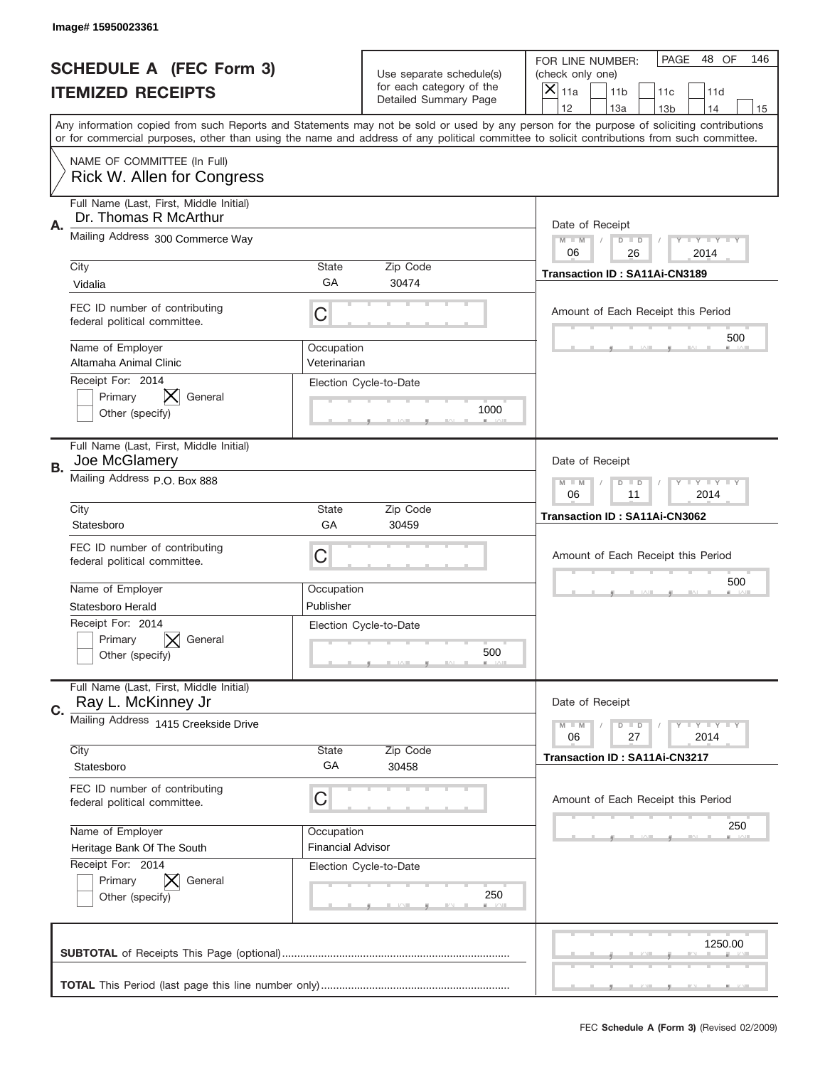|    | Image# 15950023361                                                                                                                                                                                                                                                                      |                                        |                                                      |                                      |                                          |                 |                            |     |
|----|-----------------------------------------------------------------------------------------------------------------------------------------------------------------------------------------------------------------------------------------------------------------------------------------|----------------------------------------|------------------------------------------------------|--------------------------------------|------------------------------------------|-----------------|----------------------------|-----|
|    | <b>SCHEDULE A (FEC Form 3)</b>                                                                                                                                                                                                                                                          |                                        | Use separate schedule(s)<br>for each category of the | FOR LINE NUMBER:<br>(check only one) |                                          | PAGE            | 48 OF                      | 146 |
|    | <b>ITEMIZED RECEIPTS</b>                                                                                                                                                                                                                                                                |                                        | Detailed Summary Page                                | $\boldsymbol{\times}$<br>11a         | 11 <sub>b</sub>                          | 11c             | 11d                        |     |
|    | Any information copied from such Reports and Statements may not be sold or used by any person for the purpose of soliciting contributions<br>or for commercial purposes, other than using the name and address of any political committee to solicit contributions from such committee. |                                        |                                                      | 12                                   | 13a                                      | 13 <sub>b</sub> | 14                         | 15  |
|    | NAME OF COMMITTEE (In Full)<br>Rick W. Allen for Congress                                                                                                                                                                                                                               |                                        |                                                      |                                      |                                          |                 |                            |     |
| Α. | Full Name (Last, First, Middle Initial)<br>Dr. Thomas R McArthur                                                                                                                                                                                                                        |                                        |                                                      |                                      | Date of Receipt                          |                 |                            |     |
|    | Mailing Address 300 Commerce Way                                                                                                                                                                                                                                                        |                                        |                                                      | $M - M$<br>06                        | $D$ $D$<br>26                            |                 | <b>LYLYLY</b><br>2014      |     |
|    | City<br>Vidalia                                                                                                                                                                                                                                                                         | <b>State</b><br>GA                     | Zip Code<br>30474                                    |                                      | Transaction ID: SA11Ai-CN3189            |                 |                            |     |
|    | FEC ID number of contributing<br>federal political committee.                                                                                                                                                                                                                           | С                                      |                                                      |                                      | Amount of Each Receipt this Period       |                 |                            |     |
|    | Name of Employer<br>Altamaha Animal Clinic<br>Receipt For: 2014                                                                                                                                                                                                                         | Occupation<br>Veterinarian             |                                                      |                                      |                                          |                 | 500                        |     |
|    | ⋉<br>Primary<br>General<br>Other (specify)                                                                                                                                                                                                                                              |                                        | Election Cycle-to-Date<br>1000                       |                                      |                                          |                 |                            |     |
| В. | Full Name (Last, First, Middle Initial)<br>Joe McGlamery                                                                                                                                                                                                                                |                                        | Date of Receipt                                      |                                      |                                          |                 |                            |     |
|    | Mailing Address P.O. Box 888                                                                                                                                                                                                                                                            |                                        |                                                      |                                      | $D$ $D$<br>11                            |                 | <b>LEY LEY LEY</b><br>2014 |     |
|    | City<br>Statesboro                                                                                                                                                                                                                                                                      | <b>State</b><br>GA                     | Zip Code<br>30459                                    |                                      | Transaction ID: SA11Ai-CN3062            |                 |                            |     |
|    | FEC ID number of contributing<br>federal political committee.                                                                                                                                                                                                                           | С                                      |                                                      | Amount of Each Receipt this Period   |                                          |                 |                            |     |
|    | Name of Employer<br>Statesboro Herald                                                                                                                                                                                                                                                   | Occupation<br>Publisher                |                                                      |                                      | 500                                      |                 |                            |     |
|    | Receipt For: 2014<br>Primary<br>General<br>Other (specify)                                                                                                                                                                                                                              |                                        | Election Cycle-to-Date<br>500                        |                                      |                                          |                 |                            |     |
| C. | Full Name (Last, First, Middle Initial)<br>Ray L. McKinney Jr                                                                                                                                                                                                                           |                                        |                                                      |                                      | Date of Receipt                          |                 |                            |     |
|    | Mailing Address 1415 Creekside Drive                                                                                                                                                                                                                                                    |                                        |                                                      | $M - M$<br>06                        | <b>LY LY LY</b><br>$D$ $D$<br>27<br>2014 |                 |                            |     |
|    | City<br>Statesboro                                                                                                                                                                                                                                                                      | State<br>GA                            | Zip Code<br>30458                                    |                                      | Transaction ID: SA11Ai-CN3217            |                 |                            |     |
|    | FEC ID number of contributing<br>federal political committee.                                                                                                                                                                                                                           | С                                      |                                                      |                                      | Amount of Each Receipt this Period       |                 |                            |     |
|    | Name of Employer<br>Heritage Bank Of The South                                                                                                                                                                                                                                          | Occupation<br><b>Financial Advisor</b> |                                                      |                                      |                                          |                 | 250                        |     |
|    | Receipt For: 2014<br>Primary<br>General<br>Other (specify)                                                                                                                                                                                                                              |                                        | Election Cycle-to-Date<br>250                        |                                      |                                          |                 |                            |     |
|    |                                                                                                                                                                                                                                                                                         |                                        |                                                      |                                      |                                          |                 | 1250.00                    |     |
|    |                                                                                                                                                                                                                                                                                         |                                        |                                                      |                                      |                                          |                 |                            |     |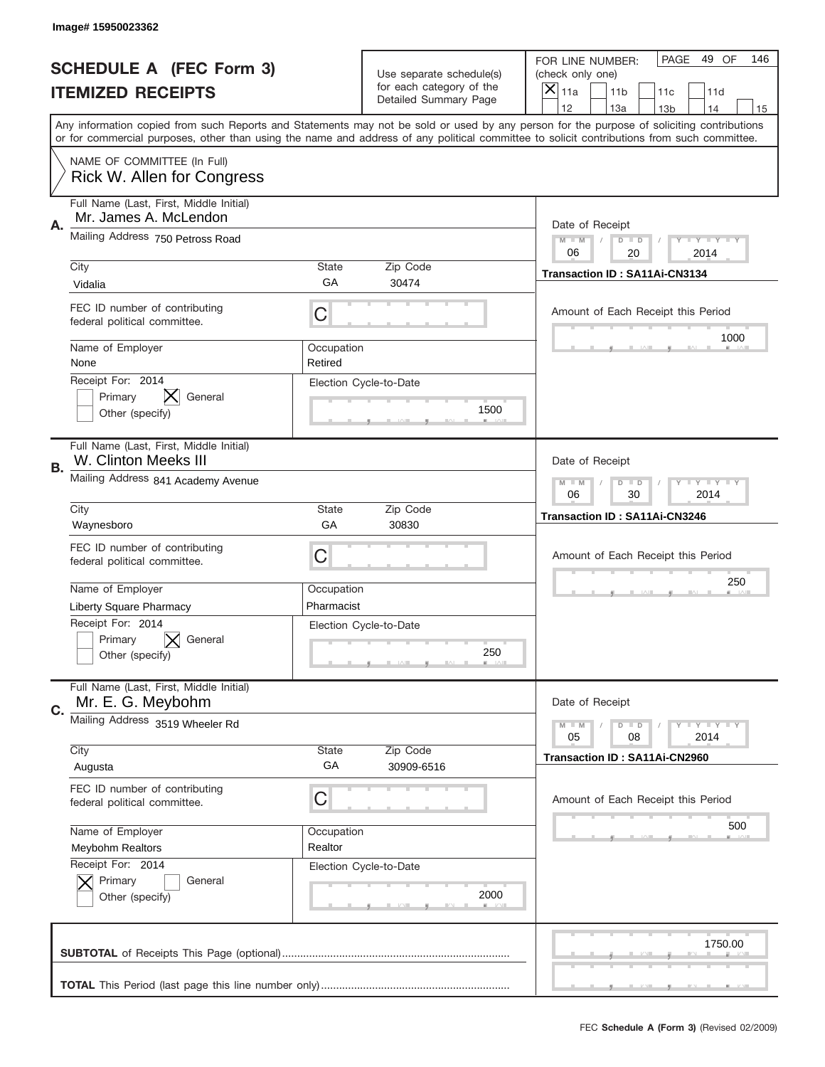|    | Image# 15950023362                                                                           |                                                              |                                                      |                                                                                                                                                                                                                                                                                                                                     |
|----|----------------------------------------------------------------------------------------------|--------------------------------------------------------------|------------------------------------------------------|-------------------------------------------------------------------------------------------------------------------------------------------------------------------------------------------------------------------------------------------------------------------------------------------------------------------------------------|
|    | <b>SCHEDULE A (FEC Form 3)</b>                                                               |                                                              | Use separate schedule(s)<br>for each category of the | PAGE<br>49 OF<br>146<br>FOR LINE NUMBER:<br>(check only one)                                                                                                                                                                                                                                                                        |
|    | <b>ITEMIZED RECEIPTS</b>                                                                     |                                                              | Detailed Summary Page                                | ×<br>11a<br>11 <sub>b</sub><br>11c<br>11d                                                                                                                                                                                                                                                                                           |
|    |                                                                                              |                                                              |                                                      | 12<br>13a<br>14<br>13 <sub>b</sub><br>15<br>Any information copied from such Reports and Statements may not be sold or used by any person for the purpose of soliciting contributions<br>or for commercial purposes, other than using the name and address of any political committee to solicit contributions from such committee. |
|    | NAME OF COMMITTEE (In Full)<br>Rick W. Allen for Congress                                    |                                                              |                                                      |                                                                                                                                                                                                                                                                                                                                     |
| Α. | Full Name (Last, First, Middle Initial)<br>Mr. James A. McLendon                             |                                                              |                                                      | Date of Receipt                                                                                                                                                                                                                                                                                                                     |
|    | Mailing Address 750 Petross Road                                                             |                                                              |                                                      | $M - M$<br><b>LEY LEY LEY</b><br>$D$ $D$<br>06<br>20<br>2014                                                                                                                                                                                                                                                                        |
|    | City<br>Vidalia                                                                              | State<br>GА                                                  | Zip Code<br>30474                                    | Transaction ID: SA11Ai-CN3134                                                                                                                                                                                                                                                                                                       |
|    | FEC ID number of contributing<br>federal political committee.                                | C                                                            |                                                      | Amount of Each Receipt this Period<br>1000                                                                                                                                                                                                                                                                                          |
|    | Name of Employer<br>None                                                                     | Occupation<br>Retired                                        |                                                      |                                                                                                                                                                                                                                                                                                                                     |
|    | Receipt For: 2014<br>Primary<br>General<br>Other (specify)                                   |                                                              | Election Cycle-to-Date<br>1500                       |                                                                                                                                                                                                                                                                                                                                     |
| В. | Full Name (Last, First, Middle Initial)<br>W. Clinton Meeks III                              |                                                              |                                                      | Date of Receipt                                                                                                                                                                                                                                                                                                                     |
|    | Mailing Address 841 Academy Avenue                                                           | $M - M$<br><b>LEY LEY LEY</b><br>$D$ $D$<br>06<br>30<br>2014 |                                                      |                                                                                                                                                                                                                                                                                                                                     |
|    | City<br>Waynesboro                                                                           | State<br>GA                                                  | Zip Code<br>30830                                    | Transaction ID: SA11Ai-CN3246                                                                                                                                                                                                                                                                                                       |
|    | FEC ID number of contributing<br>federal political committee.                                | C                                                            |                                                      | Amount of Each Receipt this Period                                                                                                                                                                                                                                                                                                  |
|    | Name of Employer                                                                             | Occupation                                                   |                                                      | 250                                                                                                                                                                                                                                                                                                                                 |
|    |                                                                                              | Pharmacist                                                   |                                                      |                                                                                                                                                                                                                                                                                                                                     |
|    | <b>Liberty Square Pharmacy</b><br>Receipt For: 2014<br>General<br>Primary<br>Other (specify) |                                                              | Election Cycle-to-Date<br>250                        |                                                                                                                                                                                                                                                                                                                                     |
| C. | Full Name (Last, First, Middle Initial)<br>Mr. E. G. Meybohm                                 |                                                              |                                                      | Date of Receipt                                                                                                                                                                                                                                                                                                                     |
|    | Mailing Address 3519 Wheeler Rd                                                              |                                                              |                                                      | <b>LEY LEY LEY</b><br>$M - M$<br>$D$ $D$<br>05<br>08<br>2014                                                                                                                                                                                                                                                                        |
|    | City<br>Augusta                                                                              | State<br>GA                                                  | Zip Code<br>30909-6516                               | Transaction ID: SA11Ai-CN2960                                                                                                                                                                                                                                                                                                       |
|    | FEC ID number of contributing<br>federal political committee.                                | C                                                            |                                                      | Amount of Each Receipt this Period                                                                                                                                                                                                                                                                                                  |
|    | Name of Employer<br>Meybohm Realtors                                                         | Occupation<br>Realtor                                        |                                                      | 500                                                                                                                                                                                                                                                                                                                                 |
|    | Receipt For: 2014<br>Primary<br>General<br>Other (specify)                                   |                                                              | Election Cycle-to-Date<br>2000                       |                                                                                                                                                                                                                                                                                                                                     |
|    |                                                                                              |                                                              |                                                      | 1750.00                                                                                                                                                                                                                                                                                                                             |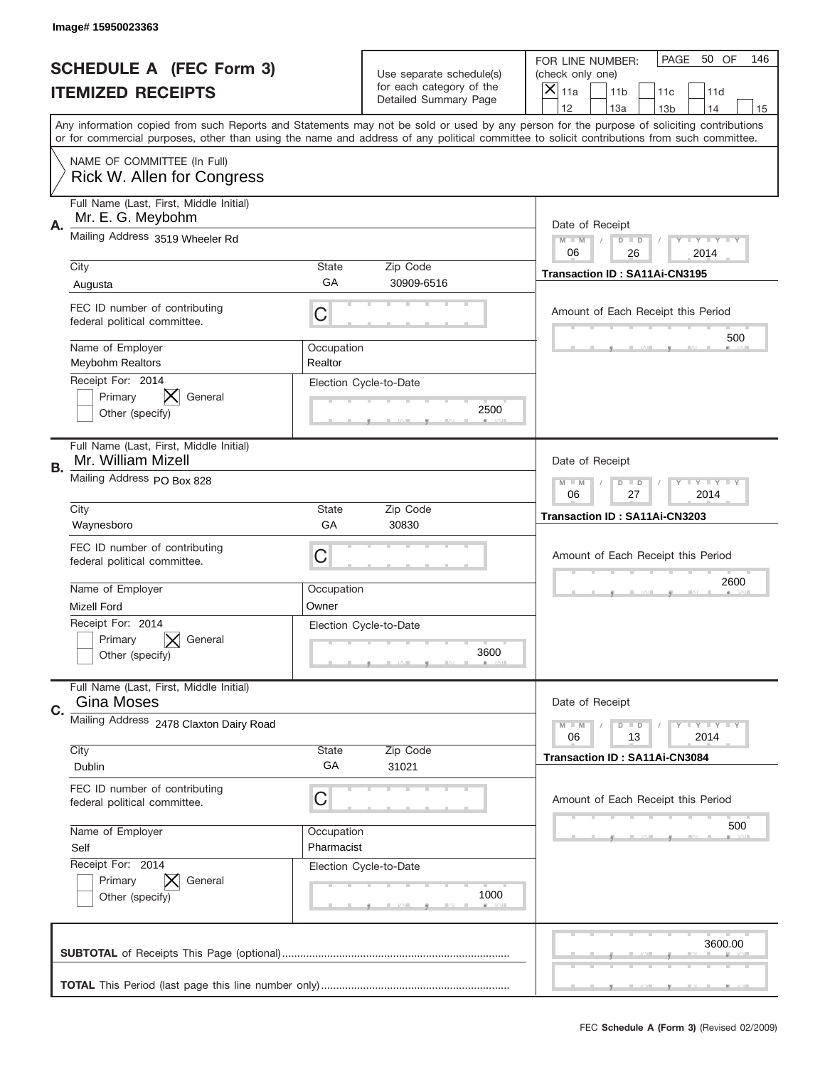|    | Image# 15950023363                                            |                                                         |                                                      |                                                                                                                                                                                                                                                                                                                  |
|----|---------------------------------------------------------------|---------------------------------------------------------|------------------------------------------------------|------------------------------------------------------------------------------------------------------------------------------------------------------------------------------------------------------------------------------------------------------------------------------------------------------------------|
|    | <b>SCHEDULE A (FEC Form 3)</b>                                |                                                         | Use separate schedule(s)<br>for each category of the | PAGE<br>50 OF<br>146<br>FOR LINE NUMBER:<br>(check only one)                                                                                                                                                                                                                                                     |
|    | <b>ITEMIZED RECEIPTS</b>                                      |                                                         | Detailed Summary Page                                | ×<br>11a<br>11 <sub>b</sub><br>11c<br>11d<br>12<br>13a<br>14                                                                                                                                                                                                                                                     |
|    |                                                               |                                                         |                                                      | 13 <sub>b</sub><br>15<br>Any information copied from such Reports and Statements may not be sold or used by any person for the purpose of soliciting contributions<br>or for commercial purposes, other than using the name and address of any political committee to solicit contributions from such committee. |
|    | NAME OF COMMITTEE (In Full)<br>Rick W. Allen for Congress     |                                                         |                                                      |                                                                                                                                                                                                                                                                                                                  |
| Α. | Full Name (Last, First, Middle Initial)<br>Mr. E. G. Meybohm  |                                                         |                                                      | Date of Receipt                                                                                                                                                                                                                                                                                                  |
|    | Mailing Address 3519 Wheeler Rd                               |                                                         |                                                      | $M - M$<br>Y I Y I Y I Y<br>$D$ $D$<br>06<br>26<br>2014                                                                                                                                                                                                                                                          |
|    | City<br>Augusta                                               | State<br>GA                                             | Zip Code<br>30909-6516                               | Transaction ID: SA11Ai-CN3195                                                                                                                                                                                                                                                                                    |
|    | FEC ID number of contributing<br>federal political committee. | C                                                       |                                                      | Amount of Each Receipt this Period<br>500                                                                                                                                                                                                                                                                        |
|    | Name of Employer<br><b>Meybohm Realtors</b>                   | Occupation<br>Realtor                                   |                                                      |                                                                                                                                                                                                                                                                                                                  |
|    | Receipt For: 2014<br>Primary<br>General<br>Other (specify)    |                                                         | Election Cycle-to-Date<br>2500                       |                                                                                                                                                                                                                                                                                                                  |
| В. | Full Name (Last, First, Middle Initial)<br>Mr. William Mizell |                                                         |                                                      | Date of Receipt                                                                                                                                                                                                                                                                                                  |
|    | Mailing Address PO Box 828                                    | <b>LYLYLY</b><br>$M - M$<br>$D$ $D$<br>06<br>27<br>2014 |                                                      |                                                                                                                                                                                                                                                                                                                  |
|    | City<br>Waynesboro                                            | State<br>GA                                             | Zip Code<br>30830                                    | Transaction ID: SA11Ai-CN3203                                                                                                                                                                                                                                                                                    |
|    | FEC ID number of contributing<br>federal political committee. | C                                                       |                                                      | Amount of Each Receipt this Period                                                                                                                                                                                                                                                                               |
|    | Name of Employer<br><b>Mizell Ford</b>                        | Occupation<br>Owner                                     |                                                      | 2600                                                                                                                                                                                                                                                                                                             |
|    | Receipt For: 2014<br>General<br>Primary<br>Other (specify)    |                                                         | Election Cycle-to-Date<br>3600                       |                                                                                                                                                                                                                                                                                                                  |
| C. | Full Name (Last, First, Middle Initial)<br><b>Gina Moses</b>  |                                                         |                                                      | Date of Receipt                                                                                                                                                                                                                                                                                                  |
|    | Mailing Address 2478 Claxton Dairy Road                       |                                                         |                                                      | Y TY TY TY<br>$M - M$<br>$D$ $D$<br>13<br>2014<br>06                                                                                                                                                                                                                                                             |
|    | City<br>Dublin                                                | State<br>GA                                             | Zip Code<br>31021                                    | <b>Transaction ID: SA11Ai-CN3084</b>                                                                                                                                                                                                                                                                             |
|    | FEC ID number of contributing<br>federal political committee. | C                                                       |                                                      | Amount of Each Receipt this Period                                                                                                                                                                                                                                                                               |
|    | Name of Employer<br>Self                                      | Occupation<br>Pharmacist                                |                                                      | 500                                                                                                                                                                                                                                                                                                              |
|    | Receipt For: 2014<br>Primary<br>General<br>Other (specify)    |                                                         | Election Cycle-to-Date<br>1000                       |                                                                                                                                                                                                                                                                                                                  |
|    |                                                               |                                                         |                                                      | 3600.00                                                                                                                                                                                                                                                                                                          |
|    |                                                               |                                                         |                                                      |                                                                                                                                                                                                                                                                                                                  |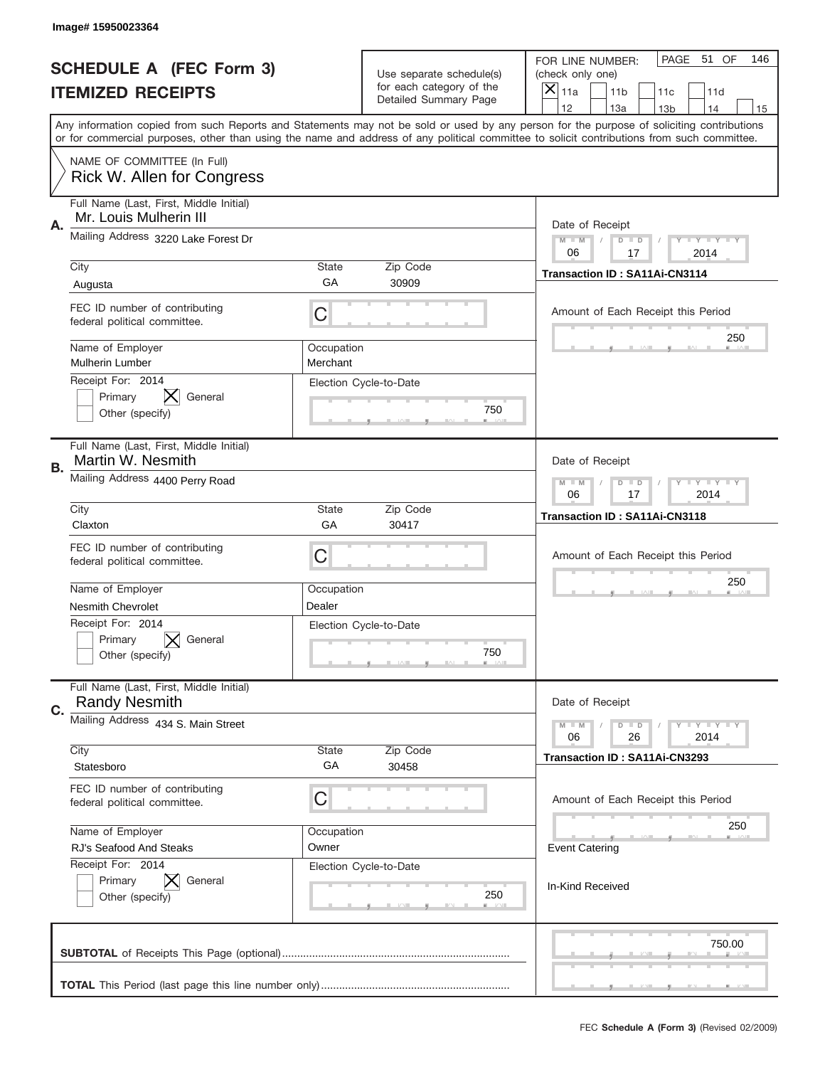|           | Image#15950023364                                                 |                                                         |                                                   |                                                                                                                                                                                                                                                                                                                                     |
|-----------|-------------------------------------------------------------------|---------------------------------------------------------|---------------------------------------------------|-------------------------------------------------------------------------------------------------------------------------------------------------------------------------------------------------------------------------------------------------------------------------------------------------------------------------------------|
|           | <b>SCHEDULE A (FEC Form 3)</b>                                    |                                                         | Use separate schedule(s)                          | PAGE 51 OF<br>146<br>FOR LINE NUMBER:<br>(check only one)                                                                                                                                                                                                                                                                           |
|           | <b>ITEMIZED RECEIPTS</b>                                          |                                                         | for each category of the<br>Detailed Summary Page | ×<br>11a<br>11 <sub>b</sub><br>11c<br>11d                                                                                                                                                                                                                                                                                           |
|           |                                                                   |                                                         |                                                   | 12<br>13a<br>14<br>13 <sub>b</sub><br>15<br>Any information copied from such Reports and Statements may not be sold or used by any person for the purpose of soliciting contributions<br>or for commercial purposes, other than using the name and address of any political committee to solicit contributions from such committee. |
|           | NAME OF COMMITTEE (In Full)<br>Rick W. Allen for Congress         |                                                         |                                                   |                                                                                                                                                                                                                                                                                                                                     |
| Α.        | Full Name (Last, First, Middle Initial)<br>Mr. Louis Mulherin III |                                                         |                                                   | Date of Receipt                                                                                                                                                                                                                                                                                                                     |
|           | Mailing Address 3220 Lake Forest Dr                               |                                                         |                                                   | $M - M$<br><b>LYLYLY</b><br>$D$ $D$<br>06<br>17<br>2014                                                                                                                                                                                                                                                                             |
|           | City<br>Augusta                                                   | State<br>GА                                             | Zip Code<br>30909                                 | <b>Transaction ID: SA11Ai-CN3114</b>                                                                                                                                                                                                                                                                                                |
|           | FEC ID number of contributing<br>federal political committee.     | C                                                       |                                                   | Amount of Each Receipt this Period                                                                                                                                                                                                                                                                                                  |
|           | Name of Employer<br><b>Mulherin Lumber</b>                        | Occupation<br>Merchant                                  |                                                   | 250                                                                                                                                                                                                                                                                                                                                 |
|           | Receipt For: 2014<br>Primary<br>General<br>Other (specify)        |                                                         | Election Cycle-to-Date<br>750                     |                                                                                                                                                                                                                                                                                                                                     |
| <b>B.</b> | Full Name (Last, First, Middle Initial)<br>Martin W. Nesmith      |                                                         |                                                   | Date of Receipt                                                                                                                                                                                                                                                                                                                     |
|           | Mailing Address 4400 Perry Road                                   | $M - M$<br>$D$ $D$<br><b>LYLYLY</b><br>06<br>17<br>2014 |                                                   |                                                                                                                                                                                                                                                                                                                                     |
|           | City<br>Claxton                                                   | State<br>GA                                             | Zip Code<br>30417                                 | Transaction ID: SA11Ai-CN3118                                                                                                                                                                                                                                                                                                       |
|           | FEC ID number of contributing<br>federal political committee.     | C                                                       |                                                   | Amount of Each Receipt this Period                                                                                                                                                                                                                                                                                                  |
|           | Name of Employer                                                  | Occupation                                              |                                                   | 250                                                                                                                                                                                                                                                                                                                                 |
|           | <b>Nesmith Chevrolet</b>                                          | Dealer                                                  |                                                   |                                                                                                                                                                                                                                                                                                                                     |
|           | Receipt For: 2014<br>Primary<br>General<br>Other (specify)        |                                                         | Election Cycle-to-Date<br>750                     |                                                                                                                                                                                                                                                                                                                                     |
|           |                                                                   |                                                         |                                                   |                                                                                                                                                                                                                                                                                                                                     |
| C.        | Full Name (Last, First, Middle Initial)<br><b>Randy Nesmith</b>   |                                                         |                                                   | Date of Receipt                                                                                                                                                                                                                                                                                                                     |
|           | Mailing Address 434 S. Main Street                                |                                                         |                                                   | <b>LY LY LY</b><br>$M - M$<br>$D$ $D$<br>06<br>2014<br>26                                                                                                                                                                                                                                                                           |
|           | City<br>Statesboro                                                | State<br>GA                                             | Zip Code<br>30458                                 | Transaction ID: SA11Ai-CN3293                                                                                                                                                                                                                                                                                                       |
|           | FEC ID number of contributing<br>federal political committee.     | C                                                       |                                                   | Amount of Each Receipt this Period                                                                                                                                                                                                                                                                                                  |
|           | Name of Employer                                                  | Occupation                                              |                                                   | 250                                                                                                                                                                                                                                                                                                                                 |
|           | RJ's Seafood And Steaks                                           | Owner                                                   |                                                   | <b>Event Catering</b>                                                                                                                                                                                                                                                                                                               |
|           | Receipt For: 2014<br>Primary<br>General<br>Other (specify)        |                                                         | Election Cycle-to-Date<br>250                     | In-Kind Received                                                                                                                                                                                                                                                                                                                    |
|           |                                                                   |                                                         |                                                   | 750.00                                                                                                                                                                                                                                                                                                                              |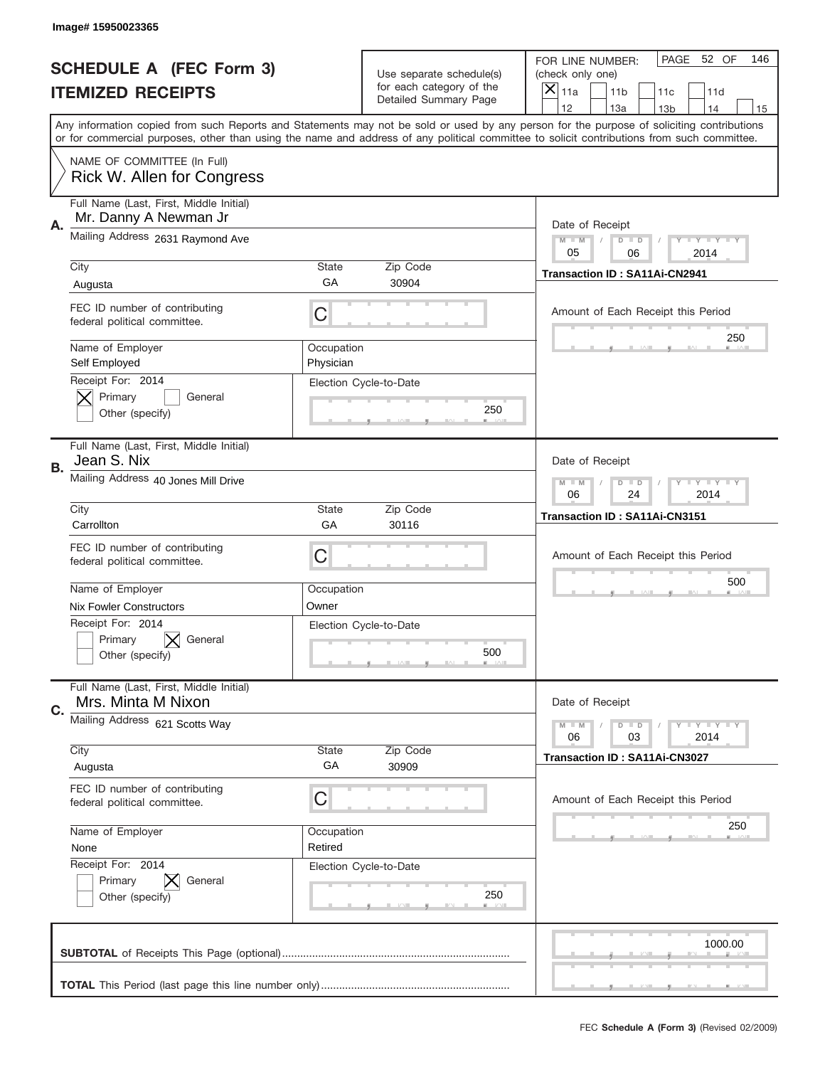|    | Image#15950023365                                                        |                                                             |                                                   |                                                                                                                                                                                                                                                                                                                                     |
|----|--------------------------------------------------------------------------|-------------------------------------------------------------|---------------------------------------------------|-------------------------------------------------------------------------------------------------------------------------------------------------------------------------------------------------------------------------------------------------------------------------------------------------------------------------------------|
|    | <b>SCHEDULE A (FEC Form 3)</b>                                           |                                                             | Use separate schedule(s)                          | PAGE 52 OF<br>146<br>FOR LINE NUMBER:<br>(check only one)                                                                                                                                                                                                                                                                           |
|    | <b>ITEMIZED RECEIPTS</b>                                                 |                                                             | for each category of the<br>Detailed Summary Page | ×<br>11a<br>11 <sub>b</sub><br>11c<br>11d                                                                                                                                                                                                                                                                                           |
|    |                                                                          |                                                             |                                                   | 12<br>13a<br>14<br>13 <sub>b</sub><br>15<br>Any information copied from such Reports and Statements may not be sold or used by any person for the purpose of soliciting contributions<br>or for commercial purposes, other than using the name and address of any political committee to solicit contributions from such committee. |
|    | NAME OF COMMITTEE (In Full)<br>Rick W. Allen for Congress                |                                                             |                                                   |                                                                                                                                                                                                                                                                                                                                     |
| А. | Full Name (Last, First, Middle Initial)<br>Mr. Danny A Newman Jr         |                                                             |                                                   | Date of Receipt                                                                                                                                                                                                                                                                                                                     |
|    | Mailing Address 2631 Raymond Ave                                         |                                                             |                                                   | $M - M$<br><b>LEY LEY LEY</b><br>$D$ $D$<br>05<br>06<br>2014                                                                                                                                                                                                                                                                        |
|    | City                                                                     | State<br>GА                                                 | Zip Code<br>30904                                 | Transaction ID: SA11Ai-CN2941                                                                                                                                                                                                                                                                                                       |
|    | Augusta<br>FEC ID number of contributing<br>federal political committee. | C                                                           |                                                   | Amount of Each Receipt this Period                                                                                                                                                                                                                                                                                                  |
|    | Name of Employer<br>Self Employed                                        | Occupation<br>Physician                                     |                                                   | 250                                                                                                                                                                                                                                                                                                                                 |
|    | Receipt For: 2014<br>Primary<br>General<br>Other (specify)               |                                                             | Election Cycle-to-Date<br>250                     |                                                                                                                                                                                                                                                                                                                                     |
| В. | Full Name (Last, First, Middle Initial)<br>Jean S. Nix                   |                                                             |                                                   | Date of Receipt                                                                                                                                                                                                                                                                                                                     |
|    | Mailing Address 40 Jones Mill Drive                                      | $M - M$<br><b>LEYTEY LEY</b><br>$D$ $D$<br>06<br>24<br>2014 |                                                   |                                                                                                                                                                                                                                                                                                                                     |
|    | City<br>Carrollton                                                       | State<br>GA                                                 | Zip Code<br>30116                                 | Transaction ID: SA11Ai-CN3151                                                                                                                                                                                                                                                                                                       |
|    | FEC ID number of contributing<br>federal political committee.            | C                                                           |                                                   | Amount of Each Receipt this Period                                                                                                                                                                                                                                                                                                  |
|    | Name of Employer                                                         | Occupation                                                  |                                                   | 500                                                                                                                                                                                                                                                                                                                                 |
|    | <b>Nix Fowler Constructors</b>                                           | Owner                                                       |                                                   |                                                                                                                                                                                                                                                                                                                                     |
|    | Receipt For: 2014<br>Primary<br>General<br>Other (specify)               |                                                             | Election Cycle-to-Date<br>500                     |                                                                                                                                                                                                                                                                                                                                     |
|    | Full Name (Last, First, Middle Initial)                                  |                                                             |                                                   |                                                                                                                                                                                                                                                                                                                                     |
| C. | Mrs. Minta M Nixon                                                       |                                                             |                                                   | Date of Receipt                                                                                                                                                                                                                                                                                                                     |
|    | Mailing Address 621 Scotts Way                                           |                                                             |                                                   | $D$ $D$<br><b>LY LY LY</b><br>$M - M$<br>06<br>2014<br>03                                                                                                                                                                                                                                                                           |
|    | City<br>Augusta                                                          | State<br>GA                                                 | Zip Code<br>30909                                 | <b>Transaction ID: SA11Ai-CN3027</b>                                                                                                                                                                                                                                                                                                |
|    | FEC ID number of contributing<br>federal political committee.            | C                                                           |                                                   | Amount of Each Receipt this Period                                                                                                                                                                                                                                                                                                  |
|    | Name of Employer<br>None                                                 | Occupation<br>Retired                                       |                                                   | 250                                                                                                                                                                                                                                                                                                                                 |
|    | Receipt For: 2014<br>Primary<br>General<br>Other (specify)               |                                                             | Election Cycle-to-Date<br>250                     |                                                                                                                                                                                                                                                                                                                                     |
|    |                                                                          |                                                             |                                                   | 1000.00                                                                                                                                                                                                                                                                                                                             |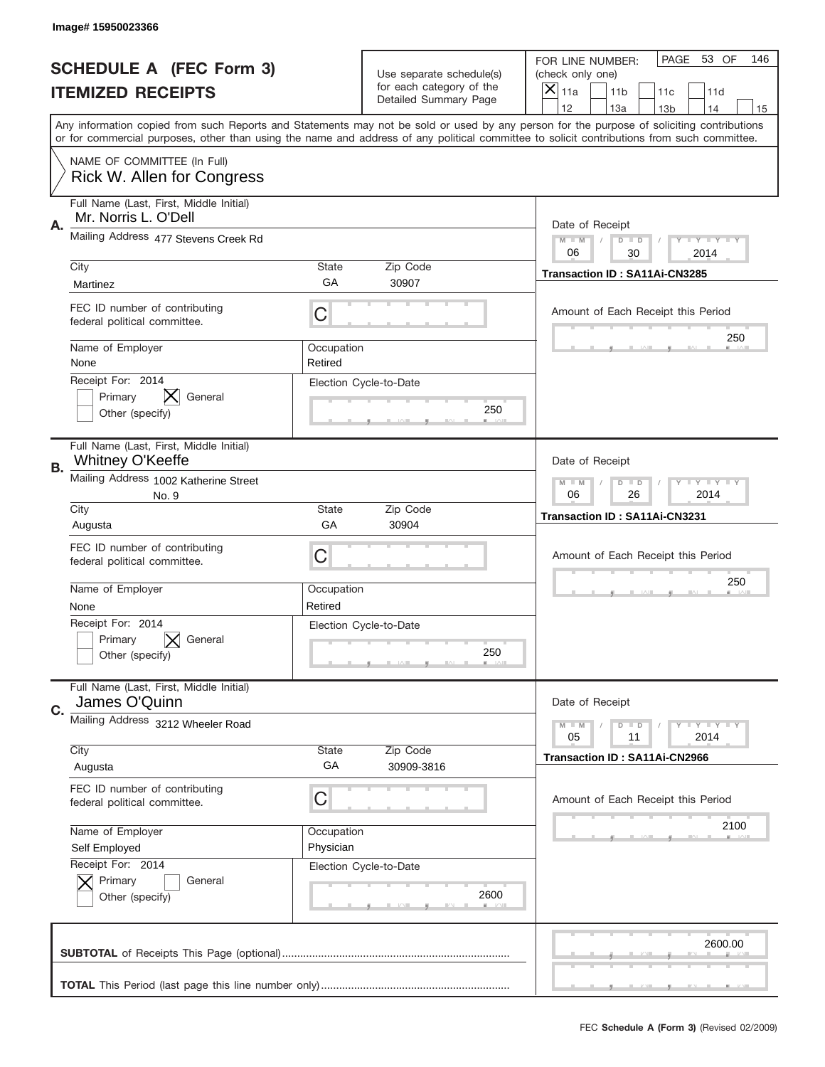|    | Image# 15950023366                                              |                                                              |                                                      |                                                                                                                                                                                                                                                                                                                                     |
|----|-----------------------------------------------------------------|--------------------------------------------------------------|------------------------------------------------------|-------------------------------------------------------------------------------------------------------------------------------------------------------------------------------------------------------------------------------------------------------------------------------------------------------------------------------------|
|    | <b>SCHEDULE A (FEC Form 3)</b>                                  |                                                              | Use separate schedule(s)<br>for each category of the | PAGE 53 OF<br>146<br>FOR LINE NUMBER:<br>(check only one)                                                                                                                                                                                                                                                                           |
|    | <b>ITEMIZED RECEIPTS</b>                                        |                                                              | Detailed Summary Page                                | ×<br>11a<br>11 <sub>b</sub><br>11c<br>11d                                                                                                                                                                                                                                                                                           |
|    |                                                                 |                                                              |                                                      | 12<br>13a<br>13 <sub>b</sub><br>14<br>15<br>Any information copied from such Reports and Statements may not be sold or used by any person for the purpose of soliciting contributions<br>or for commercial purposes, other than using the name and address of any political committee to solicit contributions from such committee. |
|    | NAME OF COMMITTEE (In Full)<br>Rick W. Allen for Congress       |                                                              |                                                      |                                                                                                                                                                                                                                                                                                                                     |
| Α. | Full Name (Last, First, Middle Initial)<br>Mr. Norris L. O'Dell |                                                              |                                                      | Date of Receipt                                                                                                                                                                                                                                                                                                                     |
|    | Mailing Address 477 Stevens Creek Rd                            | $M - M$<br><b>LEY LEY LEY</b><br>$D$ $D$<br>06<br>30<br>2014 |                                                      |                                                                                                                                                                                                                                                                                                                                     |
|    | City<br>Martinez                                                | State<br>GA                                                  | Zip Code<br>30907                                    | Transaction ID: SA11Ai-CN3285                                                                                                                                                                                                                                                                                                       |
|    | FEC ID number of contributing<br>federal political committee.   | C                                                            |                                                      | Amount of Each Receipt this Period<br>250                                                                                                                                                                                                                                                                                           |
|    | Name of Employer<br>None                                        | Occupation<br>Retired                                        |                                                      |                                                                                                                                                                                                                                                                                                                                     |
|    | Receipt For: 2014<br>General<br>Primary<br>Other (specify)      |                                                              | Election Cycle-to-Date<br>250                        |                                                                                                                                                                                                                                                                                                                                     |
| В. | Full Name (Last, First, Middle Initial)<br>Whitney O'Keeffe     |                                                              |                                                      | Date of Receipt                                                                                                                                                                                                                                                                                                                     |
|    | Mailing Address 1002 Katherine Street<br>No. 9                  | $M - M$<br><b>LY LY LY</b><br>$D$ $D$<br>06<br>26<br>2014    |                                                      |                                                                                                                                                                                                                                                                                                                                     |
|    | City<br>Augusta                                                 | State<br>GA                                                  | Zip Code<br>30904                                    | Transaction ID: SA11Ai-CN3231                                                                                                                                                                                                                                                                                                       |
|    | FEC ID number of contributing<br>federal political committee.   | C                                                            |                                                      | Amount of Each Receipt this Period                                                                                                                                                                                                                                                                                                  |
|    | Name of Employer<br>None                                        | Occupation<br>Retired                                        |                                                      | 250                                                                                                                                                                                                                                                                                                                                 |
|    | Receipt For: 2014<br>General<br>Primary<br>Other (specify)      |                                                              | Election Cycle-to-Date<br>250                        |                                                                                                                                                                                                                                                                                                                                     |
| C. | Full Name (Last, First, Middle Initial)<br>James O'Quinn        |                                                              |                                                      | Date of Receipt                                                                                                                                                                                                                                                                                                                     |
|    | Mailing Address 3212 Wheeler Road                               |                                                              |                                                      | $D$ $D$<br><b>LEY LEY LEY</b><br>$M - M$<br>05<br>2014<br>11                                                                                                                                                                                                                                                                        |
|    | City<br>Augusta                                                 | <b>State</b><br>GA                                           | Zip Code<br>30909-3816                               | <b>Transaction ID: SA11Ai-CN2966</b>                                                                                                                                                                                                                                                                                                |
|    | FEC ID number of contributing<br>federal political committee.   | C                                                            |                                                      | Amount of Each Receipt this Period                                                                                                                                                                                                                                                                                                  |
|    | Name of Employer<br>Self Employed                               | Occupation<br>Physician                                      |                                                      | 2100                                                                                                                                                                                                                                                                                                                                |
|    | Receipt For: 2014<br>Primary<br>General<br>Other (specify)      |                                                              | Election Cycle-to-Date<br>2600                       |                                                                                                                                                                                                                                                                                                                                     |
|    |                                                                 |                                                              |                                                      | 2600.00                                                                                                                                                                                                                                                                                                                             |
|    |                                                                 |                                                              |                                                      |                                                                                                                                                                                                                                                                                                                                     |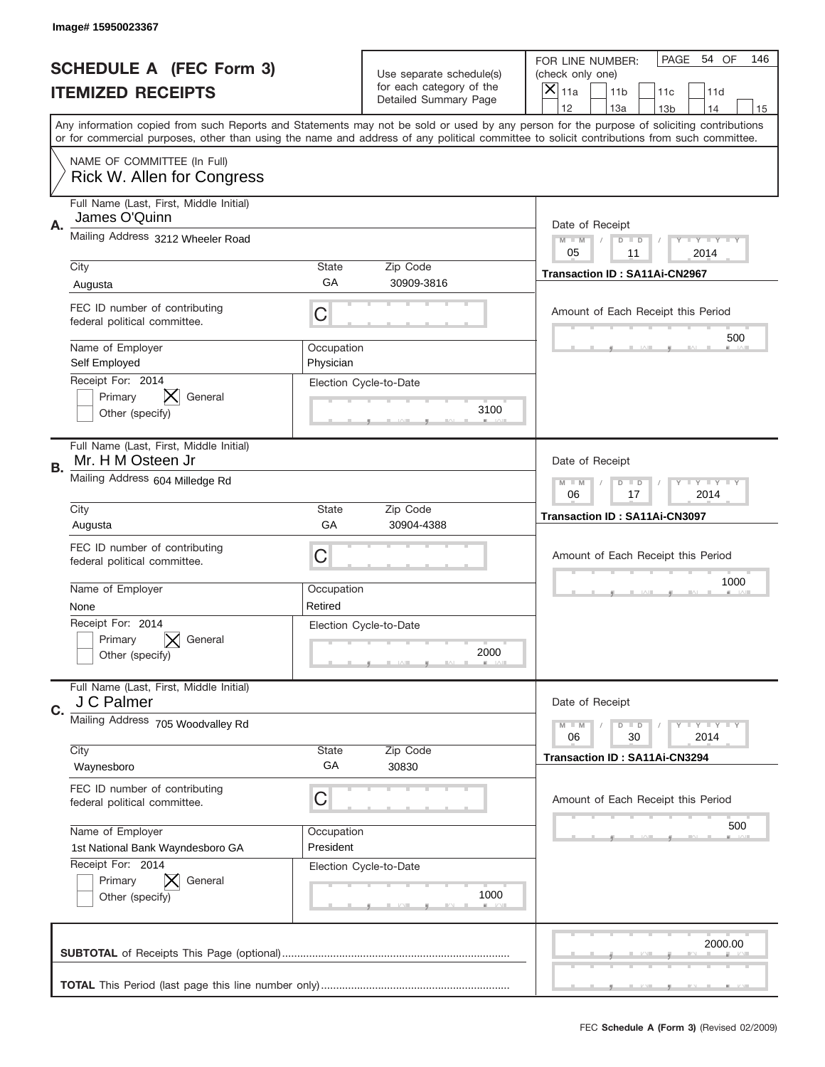|             | Image# 15950023367                                                        |                                                              |                                                   |                                                                                                                                                                                                                                                                                                                                     |
|-------------|---------------------------------------------------------------------------|--------------------------------------------------------------|---------------------------------------------------|-------------------------------------------------------------------------------------------------------------------------------------------------------------------------------------------------------------------------------------------------------------------------------------------------------------------------------------|
|             | <b>SCHEDULE A (FEC Form 3)</b>                                            |                                                              | Use separate schedule(s)                          | PAGE<br>54 OF<br>146<br>FOR LINE NUMBER:<br>(check only one)                                                                                                                                                                                                                                                                        |
|             | <b>ITEMIZED RECEIPTS</b>                                                  |                                                              | for each category of the<br>Detailed Summary Page | $\overline{X} _{11a}$<br>11 <sub>b</sub><br>11c<br>11d                                                                                                                                                                                                                                                                              |
|             |                                                                           |                                                              |                                                   | 12<br>13a<br>14<br>13 <sub>b</sub><br>15<br>Any information copied from such Reports and Statements may not be sold or used by any person for the purpose of soliciting contributions<br>or for commercial purposes, other than using the name and address of any political committee to solicit contributions from such committee. |
|             | NAME OF COMMITTEE (In Full)<br><b>Rick W. Allen for Congress</b>          |                                                              |                                                   |                                                                                                                                                                                                                                                                                                                                     |
| Α.          | Full Name (Last, First, Middle Initial)<br>James O'Quinn                  |                                                              |                                                   | Date of Receipt                                                                                                                                                                                                                                                                                                                     |
|             | Mailing Address 3212 Wheeler Road                                         |                                                              |                                                   | $M - M$<br><b>LEY LEY LEY</b><br>$D$ $D$<br>05<br>11<br>2014                                                                                                                                                                                                                                                                        |
|             | City<br>Augusta                                                           | <b>State</b><br>GA                                           | Zip Code<br>30909-3816                            | Transaction ID: SA11Ai-CN2967                                                                                                                                                                                                                                                                                                       |
|             | FEC ID number of contributing<br>federal political committee.             | C                                                            |                                                   | Amount of Each Receipt this Period                                                                                                                                                                                                                                                                                                  |
|             | Name of Employer<br>Self Employed                                         | Occupation<br>Physician                                      |                                                   | 500                                                                                                                                                                                                                                                                                                                                 |
|             | Receipt For: 2014<br>Primary<br>General<br>Other (specify)                |                                                              | Election Cycle-to-Date<br>3100                    |                                                                                                                                                                                                                                                                                                                                     |
| В.          | Full Name (Last, First, Middle Initial)<br>Mr. H M Osteen Jr              |                                                              |                                                   | Date of Receipt                                                                                                                                                                                                                                                                                                                     |
|             | Mailing Address 604 Milledge Rd                                           | $M - M$<br>$D$ $D$<br><b>LEY LEY LEY</b><br>06<br>17<br>2014 |                                                   |                                                                                                                                                                                                                                                                                                                                     |
|             | City<br>Augusta                                                           | <b>State</b><br>GA                                           | Zip Code<br>30904-4388                            | Transaction ID: SA11Ai-CN3097                                                                                                                                                                                                                                                                                                       |
|             | FEC ID number of contributing<br>federal political committee.             | С                                                            |                                                   | Amount of Each Receipt this Period                                                                                                                                                                                                                                                                                                  |
|             | Name of Employer<br>None                                                  | Occupation<br>Retired                                        |                                                   | 1000                                                                                                                                                                                                                                                                                                                                |
|             | Receipt For: 2014<br>Primary<br>General<br>Other (specify)                |                                                              | Election Cycle-to-Date<br>2000                    |                                                                                                                                                                                                                                                                                                                                     |
| $C_{\cdot}$ | Full Name (Last, First, Middle Initial)<br>J C Palmer                     |                                                              |                                                   | Date of Receipt                                                                                                                                                                                                                                                                                                                     |
|             | Mailing Address 705 Woodvalley Rd<br>City                                 | <b>LEY LEY LEY</b><br>$M - M$<br>$D$ $D$<br>2014<br>06<br>30 |                                                   |                                                                                                                                                                                                                                                                                                                                     |
|             | Waynesboro                                                                | State<br>GA                                                  | Zip Code<br>30830                                 | Transaction ID: SA11Ai-CN3294                                                                                                                                                                                                                                                                                                       |
|             | FEC ID number of contributing<br>federal political committee.             | С                                                            |                                                   | Amount of Each Receipt this Period                                                                                                                                                                                                                                                                                                  |
|             | Name of Employer<br>1st National Bank Wayndesboro GA<br>Receipt For: 2014 | Occupation<br>President                                      |                                                   | 500                                                                                                                                                                                                                                                                                                                                 |
|             | Primary<br>General<br>Other (specify)                                     |                                                              | Election Cycle-to-Date<br>1000                    |                                                                                                                                                                                                                                                                                                                                     |
|             |                                                                           |                                                              |                                                   | 2000.00                                                                                                                                                                                                                                                                                                                             |
|             |                                                                           |                                                              |                                                   |                                                                                                                                                                                                                                                                                                                                     |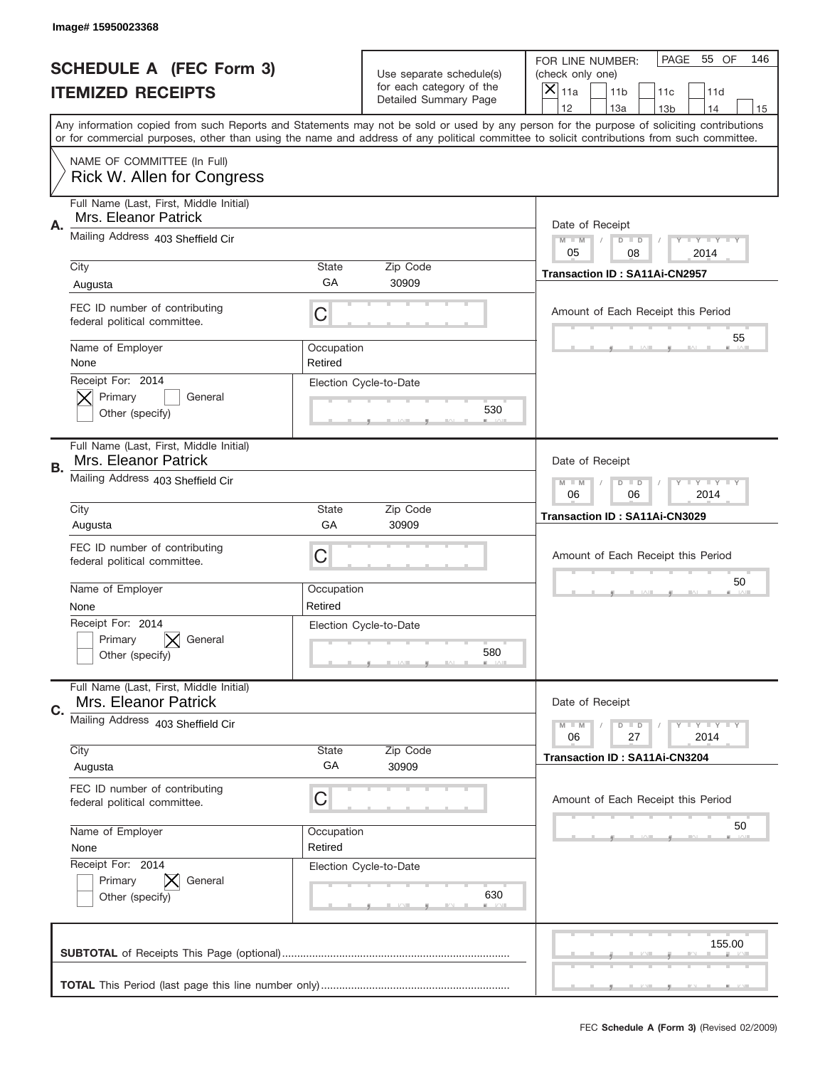|    | Image# 15950023368                                              |                                                         |                                                      |                                                                                                                                                                                                                                                                                                                  |
|----|-----------------------------------------------------------------|---------------------------------------------------------|------------------------------------------------------|------------------------------------------------------------------------------------------------------------------------------------------------------------------------------------------------------------------------------------------------------------------------------------------------------------------|
|    | <b>SCHEDULE A (FEC Form 3)</b>                                  |                                                         | Use separate schedule(s)<br>for each category of the | PAGE<br>55 OF<br>146<br>FOR LINE NUMBER:<br>(check only one)                                                                                                                                                                                                                                                     |
|    | <b>ITEMIZED RECEIPTS</b>                                        |                                                         | Detailed Summary Page                                | $\overline{\mathsf{x}}$<br>11a<br>11 <sub>b</sub><br>11c<br>11d<br>12<br>13a<br>14                                                                                                                                                                                                                               |
|    |                                                                 |                                                         |                                                      | 13 <sub>b</sub><br>15<br>Any information copied from such Reports and Statements may not be sold or used by any person for the purpose of soliciting contributions<br>or for commercial purposes, other than using the name and address of any political committee to solicit contributions from such committee. |
|    | NAME OF COMMITTEE (In Full)<br>Rick W. Allen for Congress       |                                                         |                                                      |                                                                                                                                                                                                                                                                                                                  |
| Α. | Full Name (Last, First, Middle Initial)<br>Mrs. Eleanor Patrick |                                                         |                                                      | Date of Receipt                                                                                                                                                                                                                                                                                                  |
|    | Mailing Address 403 Sheffield Cir                               |                                                         |                                                      | $M - M$<br>Y FY FY FY<br>$D$ $D$<br>05<br>08<br>2014                                                                                                                                                                                                                                                             |
|    | City<br>Augusta                                                 | State<br>GA                                             | Zip Code<br>30909                                    | Transaction ID: SA11Ai-CN2957                                                                                                                                                                                                                                                                                    |
|    | FEC ID number of contributing<br>federal political committee.   | C                                                       |                                                      | Amount of Each Receipt this Period                                                                                                                                                                                                                                                                               |
|    | Name of Employer<br>None                                        | Occupation<br>Retired                                   |                                                      | 55                                                                                                                                                                                                                                                                                                               |
|    | Receipt For: 2014<br>Primary<br>General<br>Other (specify)      |                                                         | Election Cycle-to-Date<br>530                        |                                                                                                                                                                                                                                                                                                                  |
| В. | Full Name (Last, First, Middle Initial)<br>Mrs. Eleanor Patrick |                                                         |                                                      | Date of Receipt                                                                                                                                                                                                                                                                                                  |
|    | Mailing Address 403 Sheffield Cir                               | <b>LYLYLY</b><br>$M - M$<br>$D$ $D$<br>06<br>06<br>2014 |                                                      |                                                                                                                                                                                                                                                                                                                  |
|    | City<br>Augusta                                                 | State<br>GA                                             | Zip Code<br>30909                                    | Transaction ID: SA11Ai-CN3029                                                                                                                                                                                                                                                                                    |
|    | FEC ID number of contributing<br>federal political committee.   | C                                                       |                                                      | Amount of Each Receipt this Period                                                                                                                                                                                                                                                                               |
|    | Name of Employer<br>None                                        | Occupation<br>Retired                                   |                                                      | 50                                                                                                                                                                                                                                                                                                               |
|    | Receipt For: 2014<br>General<br>Primary<br>Other (specify)      |                                                         | Election Cycle-to-Date<br>580                        |                                                                                                                                                                                                                                                                                                                  |
| C. | Full Name (Last, First, Middle Initial)<br>Mrs. Eleanor Patrick |                                                         |                                                      | Date of Receipt                                                                                                                                                                                                                                                                                                  |
|    | Mailing Address 403 Sheffield Cir                               |                                                         |                                                      | Y I Y I Y I Y<br>$M - M$<br>$D$ $D$<br>27<br>2014<br>06                                                                                                                                                                                                                                                          |
|    | City<br>Augusta                                                 | State<br>GA                                             | Zip Code<br>30909                                    | <b>Transaction ID: SA11Ai-CN3204</b>                                                                                                                                                                                                                                                                             |
|    | FEC ID number of contributing<br>federal political committee.   | C                                                       |                                                      | Amount of Each Receipt this Period                                                                                                                                                                                                                                                                               |
|    | Name of Employer<br>None                                        | Occupation<br>Retired                                   |                                                      | 50                                                                                                                                                                                                                                                                                                               |
|    | Receipt For: 2014<br>Primary<br>General<br>Other (specify)      |                                                         | Election Cycle-to-Date<br>630                        |                                                                                                                                                                                                                                                                                                                  |
|    |                                                                 |                                                         |                                                      | 155.00                                                                                                                                                                                                                                                                                                           |
|    |                                                                 |                                                         |                                                      |                                                                                                                                                                                                                                                                                                                  |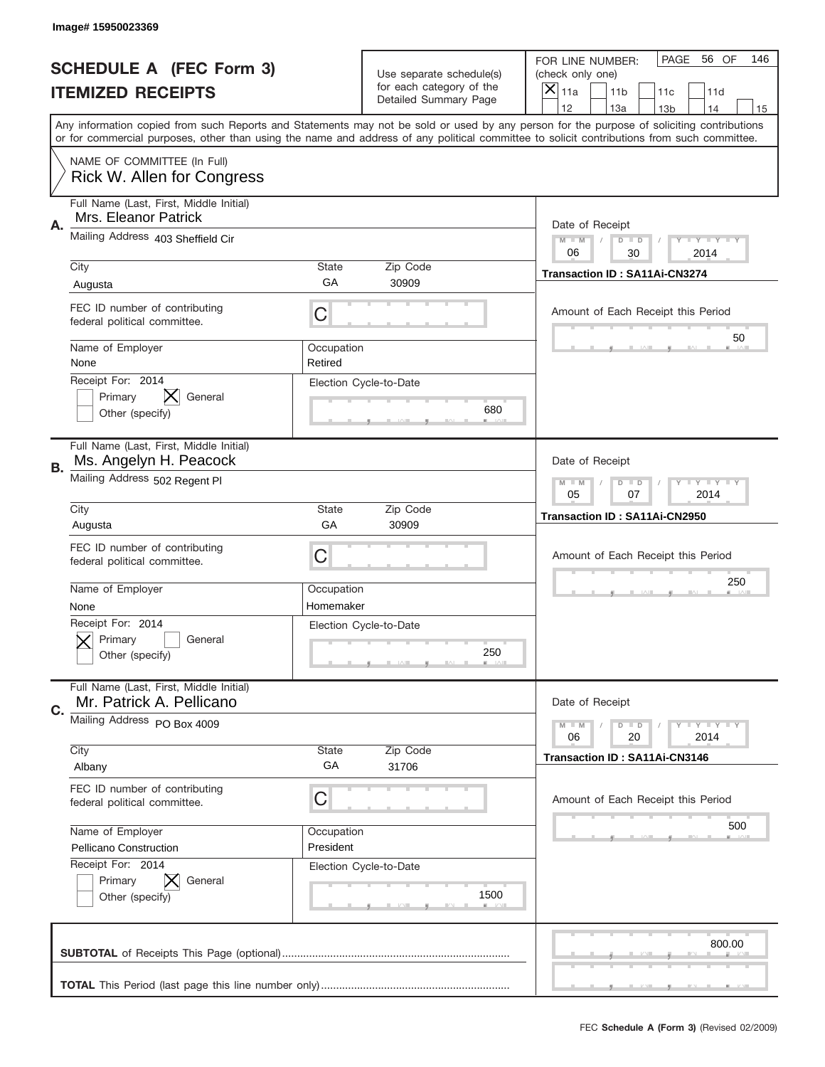|    | Image#15950023369                                                   |                                                         |                                                   |                                                                                                                                                                                                                                                                                                                                     |
|----|---------------------------------------------------------------------|---------------------------------------------------------|---------------------------------------------------|-------------------------------------------------------------------------------------------------------------------------------------------------------------------------------------------------------------------------------------------------------------------------------------------------------------------------------------|
|    | <b>SCHEDULE A (FEC Form 3)</b>                                      |                                                         | Use separate schedule(s)                          | PAGE<br>56 OF<br>146<br>FOR LINE NUMBER:<br>(check only one)                                                                                                                                                                                                                                                                        |
|    | <b>ITEMIZED RECEIPTS</b>                                            |                                                         | for each category of the<br>Detailed Summary Page | ×<br>11a<br>11 <sub>b</sub><br>11c<br>11d                                                                                                                                                                                                                                                                                           |
|    |                                                                     |                                                         |                                                   | 12<br>13a<br>14<br>13 <sub>b</sub><br>15<br>Any information copied from such Reports and Statements may not be sold or used by any person for the purpose of soliciting contributions<br>or for commercial purposes, other than using the name and address of any political committee to solicit contributions from such committee. |
|    | NAME OF COMMITTEE (In Full)<br>Rick W. Allen for Congress           |                                                         |                                                   |                                                                                                                                                                                                                                                                                                                                     |
| Α. | Full Name (Last, First, Middle Initial)<br>Mrs. Eleanor Patrick     |                                                         |                                                   | Date of Receipt                                                                                                                                                                                                                                                                                                                     |
|    | Mailing Address 403 Sheffield Cir                                   |                                                         |                                                   | $M - M$<br>Y I Y I Y I Y<br>$D$ $D$<br>06<br>30<br>2014                                                                                                                                                                                                                                                                             |
|    | City<br>Augusta                                                     | State<br>GA                                             | Zip Code<br>30909                                 | Transaction ID: SA11Ai-CN3274                                                                                                                                                                                                                                                                                                       |
|    | FEC ID number of contributing<br>federal political committee.       | C                                                       |                                                   | Amount of Each Receipt this Period                                                                                                                                                                                                                                                                                                  |
|    | Name of Employer<br>None                                            | Occupation<br>Retired                                   |                                                   | 50                                                                                                                                                                                                                                                                                                                                  |
|    | Receipt For: 2014<br>Primary<br>General<br>Other (specify)          |                                                         | Election Cycle-to-Date<br>680                     |                                                                                                                                                                                                                                                                                                                                     |
| В. | Full Name (Last, First, Middle Initial)<br>Ms. Angelyn H. Peacock   |                                                         |                                                   | Date of Receipt                                                                                                                                                                                                                                                                                                                     |
|    | Mailing Address 502 Regent PI                                       | <b>LYLYLY</b><br>$M - M$<br>$D$ $D$<br>05<br>07<br>2014 |                                                   |                                                                                                                                                                                                                                                                                                                                     |
|    | City<br>Augusta                                                     | State<br>GA                                             | Zip Code<br>30909                                 | Transaction ID: SA11Ai-CN2950                                                                                                                                                                                                                                                                                                       |
|    | FEC ID number of contributing<br>federal political committee.       | C                                                       |                                                   | Amount of Each Receipt this Period                                                                                                                                                                                                                                                                                                  |
|    | Name of Employer<br>None                                            | Occupation<br>Homemaker                                 |                                                   | 250                                                                                                                                                                                                                                                                                                                                 |
|    | Receipt For: 2014<br>General<br>Primary<br>Other (specify)          |                                                         | Election Cycle-to-Date<br>250                     |                                                                                                                                                                                                                                                                                                                                     |
| C. | Full Name (Last, First, Middle Initial)<br>Mr. Patrick A. Pellicano |                                                         |                                                   | Date of Receipt                                                                                                                                                                                                                                                                                                                     |
|    | Mailing Address PO Box 4009                                         |                                                         |                                                   | <b>TEY LY LY</b><br>$M - M$<br>$D$ $D$<br>20<br>2014<br>06                                                                                                                                                                                                                                                                          |
|    | City<br>Albany                                                      | State<br>GA                                             | Zip Code<br>31706                                 | <b>Transaction ID: SA11Ai-CN3146</b>                                                                                                                                                                                                                                                                                                |
|    | FEC ID number of contributing<br>federal political committee.       | C                                                       |                                                   | Amount of Each Receipt this Period                                                                                                                                                                                                                                                                                                  |
|    | Name of Employer<br>Pellicano Construction                          | Occupation<br>President                                 |                                                   | 500                                                                                                                                                                                                                                                                                                                                 |
|    | Receipt For: 2014<br>Primary<br>General<br>Other (specify)          |                                                         | Election Cycle-to-Date<br>1500                    |                                                                                                                                                                                                                                                                                                                                     |
|    |                                                                     |                                                         |                                                   | 800.00                                                                                                                                                                                                                                                                                                                              |
|    |                                                                     |                                                         |                                                   |                                                                                                                                                                                                                                                                                                                                     |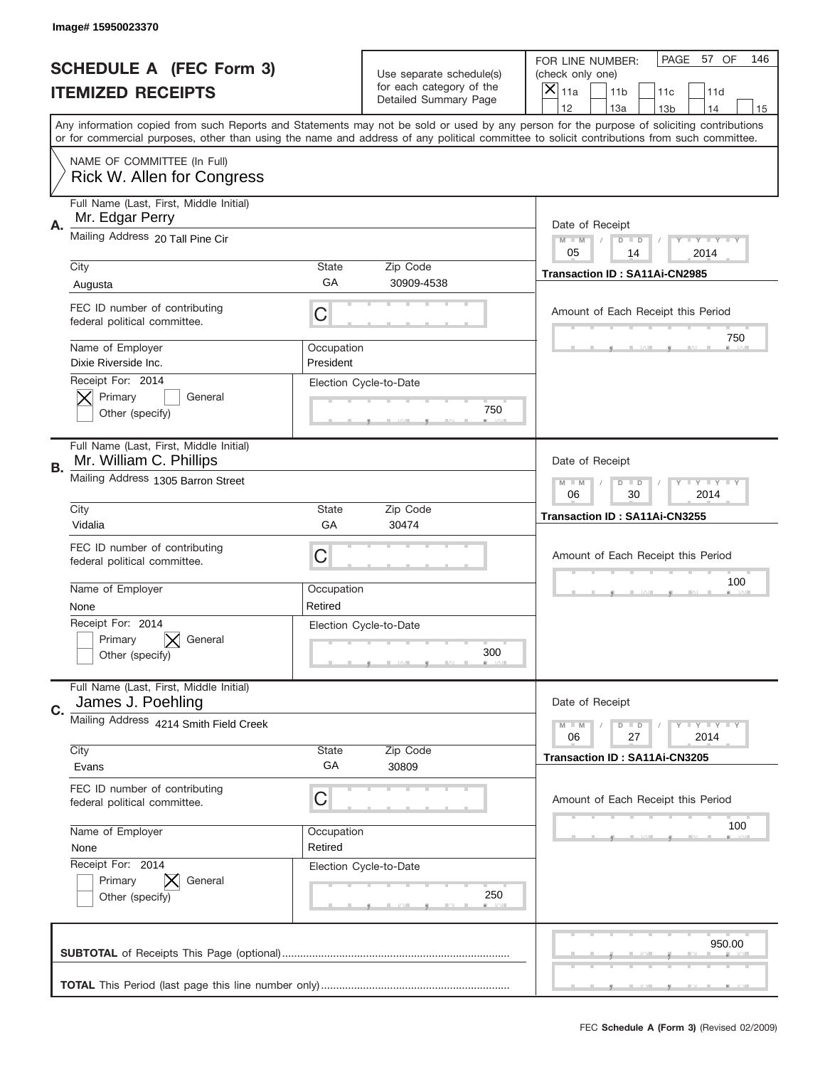|    | Image#15950023370                                                                                                                                                                                                                                                                       |                         |                                                   |                                                               |                                    |                 |                         |     |
|----|-----------------------------------------------------------------------------------------------------------------------------------------------------------------------------------------------------------------------------------------------------------------------------------------|-------------------------|---------------------------------------------------|---------------------------------------------------------------|------------------------------------|-----------------|-------------------------|-----|
|    | <b>SCHEDULE A (FEC Form 3)</b>                                                                                                                                                                                                                                                          |                         | Use separate schedule(s)                          | FOR LINE NUMBER:<br>(check only one)<br>$\overline{X} _{11a}$ |                                    | PAGE            | 57 OF                   | 146 |
|    | <b>ITEMIZED RECEIPTS</b>                                                                                                                                                                                                                                                                |                         | for each category of the<br>Detailed Summary Page |                                                               | 11 <sub>b</sub>                    | 11c             | 11d                     |     |
|    | Any information copied from such Reports and Statements may not be sold or used by any person for the purpose of soliciting contributions<br>or for commercial purposes, other than using the name and address of any political committee to solicit contributions from such committee. |                         |                                                   | 12                                                            | 13a                                | 13 <sub>b</sub> | 14                      | 15  |
|    | NAME OF COMMITTEE (In Full)<br>Rick W. Allen for Congress                                                                                                                                                                                                                               |                         |                                                   |                                                               |                                    |                 |                         |     |
| Α. | Full Name (Last, First, Middle Initial)<br>Mr. Edgar Perry                                                                                                                                                                                                                              |                         |                                                   | Date of Receipt                                               |                                    |                 |                         |     |
|    | Mailing Address 20 Tall Pine Cir<br>City                                                                                                                                                                                                                                                | <b>State</b>            | Zip Code                                          | $M - M$<br>05                                                 | $D$ $D$<br>14                      |                 | <b>LYLYLY</b><br>2014   |     |
|    | Augusta                                                                                                                                                                                                                                                                                 | GA                      | 30909-4538                                        | Transaction ID: SA11Ai-CN2985                                 |                                    |                 |                         |     |
|    | FEC ID number of contributing<br>federal political committee.                                                                                                                                                                                                                           | C                       |                                                   |                                                               | Amount of Each Receipt this Period |                 |                         |     |
|    | Name of Employer<br>Dixie Riverside Inc.                                                                                                                                                                                                                                                | Occupation<br>President |                                                   |                                                               |                                    |                 | 750                     |     |
|    | Receipt For: 2014<br>Primary<br>General<br>Other (specify)                                                                                                                                                                                                                              |                         | Election Cycle-to-Date<br>750                     |                                                               |                                    |                 |                         |     |
| В. | Full Name (Last, First, Middle Initial)<br>Mr. William C. Phillips                                                                                                                                                                                                                      |                         |                                                   | Date of Receipt                                               |                                    |                 |                         |     |
|    | Mailing Address 1305 Barron Street                                                                                                                                                                                                                                                      | $M - M$<br>06           | $D$ $D$<br>30                                     |                                                               | <b>LYLYLY</b><br>2014              |                 |                         |     |
|    | City<br>Vidalia                                                                                                                                                                                                                                                                         | <b>State</b><br>GA      | Zip Code<br>30474                                 | Transaction ID: SA11Ai-CN3255                                 |                                    |                 |                         |     |
|    | FEC ID number of contributing<br>federal political committee.                                                                                                                                                                                                                           | С                       |                                                   |                                                               | Amount of Each Receipt this Period |                 |                         |     |
|    | Name of Employer<br>None                                                                                                                                                                                                                                                                | Occupation<br>Retired   |                                                   |                                                               |                                    |                 | 100                     |     |
|    | Receipt For: 2014<br>Primary<br>General<br>Other (specify)                                                                                                                                                                                                                              |                         | Election Cycle-to-Date<br>300                     |                                                               |                                    |                 |                         |     |
| C. | Full Name (Last, First, Middle Initial)<br>James J. Poehling                                                                                                                                                                                                                            |                         |                                                   | Date of Receipt                                               |                                    |                 |                         |     |
|    | Mailing Address 4214 Smith Field Creek                                                                                                                                                                                                                                                  |                         |                                                   | $M - M$<br>06                                                 | $D$ $D$<br>27                      |                 | $T + Y = Y + Y$<br>2014 |     |
|    | City<br>Evans                                                                                                                                                                                                                                                                           | State<br>GA             | Zip Code<br>30809                                 | Transaction ID: SA11Ai-CN3205                                 |                                    |                 |                         |     |
|    | FEC ID number of contributing<br>federal political committee.                                                                                                                                                                                                                           | С                       |                                                   |                                                               | Amount of Each Receipt this Period |                 |                         |     |
|    | Name of Employer<br>None                                                                                                                                                                                                                                                                | Occupation<br>Retired   |                                                   |                                                               |                                    |                 | 100                     |     |
|    | Receipt For: 2014<br>Primary<br>General<br>Other (specify)                                                                                                                                                                                                                              |                         | Election Cycle-to-Date<br>250                     |                                                               |                                    |                 |                         |     |
|    |                                                                                                                                                                                                                                                                                         |                         |                                                   |                                                               |                                    |                 | 950.00                  |     |
|    |                                                                                                                                                                                                                                                                                         |                         |                                                   |                                                               |                                    |                 |                         |     |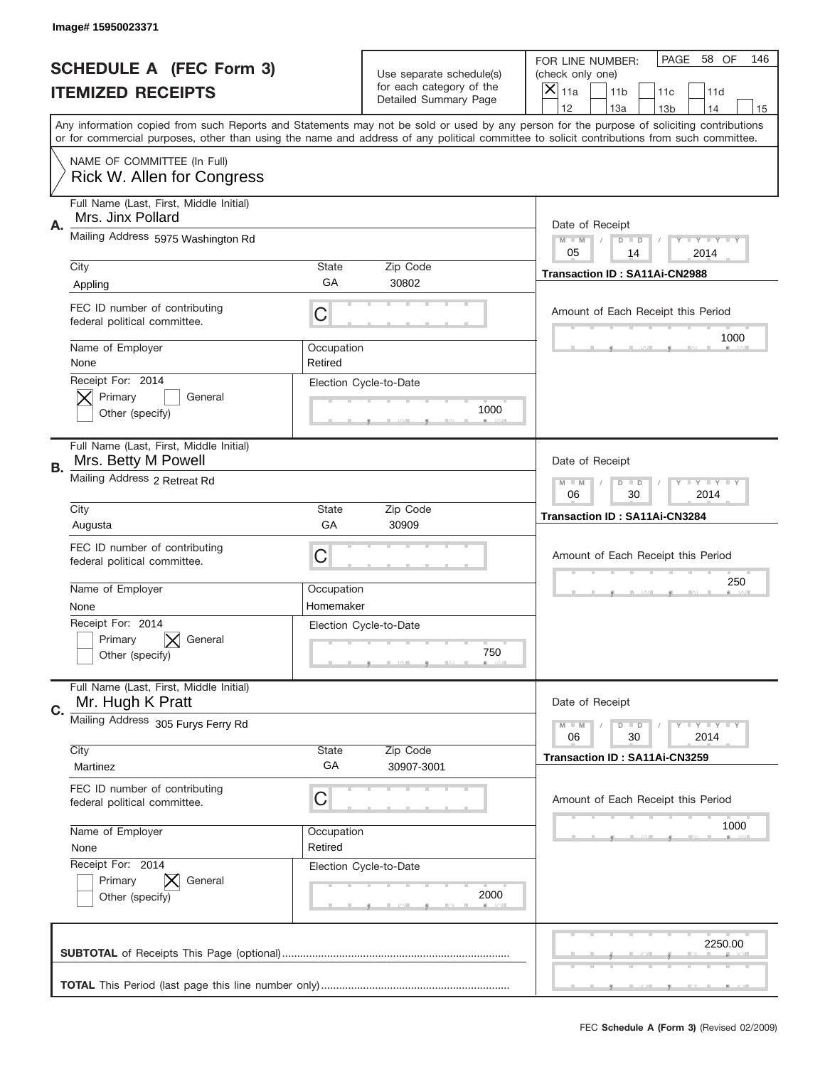|    | Image#15950023371                                              |                                                         |                                                      |                                                                                                                                                                                                                                                                                         |
|----|----------------------------------------------------------------|---------------------------------------------------------|------------------------------------------------------|-----------------------------------------------------------------------------------------------------------------------------------------------------------------------------------------------------------------------------------------------------------------------------------------|
|    | <b>SCHEDULE A (FEC Form 3)</b>                                 |                                                         | Use separate schedule(s)<br>for each category of the | PAGE<br>58 OF<br>146<br>FOR LINE NUMBER:<br>(check only one)                                                                                                                                                                                                                            |
|    | <b>ITEMIZED RECEIPTS</b>                                       |                                                         | Detailed Summary Page                                | $\overline{\mathsf{x}}$<br>11a<br>11 <sub>b</sub><br>11c<br>11d<br>12<br>13a<br>14<br>13 <sub>b</sub><br>15                                                                                                                                                                             |
|    |                                                                |                                                         |                                                      | Any information copied from such Reports and Statements may not be sold or used by any person for the purpose of soliciting contributions<br>or for commercial purposes, other than using the name and address of any political committee to solicit contributions from such committee. |
|    | NAME OF COMMITTEE (In Full)<br>Rick W. Allen for Congress      |                                                         |                                                      |                                                                                                                                                                                                                                                                                         |
| Α. | Full Name (Last, First, Middle Initial)<br>Mrs. Jinx Pollard   |                                                         |                                                      | Date of Receipt                                                                                                                                                                                                                                                                         |
|    | Mailing Address 5975 Washington Rd                             |                                                         |                                                      | $M - M$<br>Y FY FY FY<br>$D$ $D$<br>05<br>14<br>2014                                                                                                                                                                                                                                    |
|    | City<br>Appling                                                | State<br>GA                                             | Zip Code<br>30802                                    | Transaction ID: SA11Ai-CN2988                                                                                                                                                                                                                                                           |
|    | FEC ID number of contributing<br>federal political committee.  | C                                                       |                                                      | Amount of Each Receipt this Period<br>1000                                                                                                                                                                                                                                              |
|    | Name of Employer<br>None                                       | Occupation<br>Retired                                   |                                                      |                                                                                                                                                                                                                                                                                         |
|    | Receipt For: 2014<br>Primary<br>General<br>Other (specify)     |                                                         | Election Cycle-to-Date<br>1000                       |                                                                                                                                                                                                                                                                                         |
| В. | Full Name (Last, First, Middle Initial)<br>Mrs. Betty M Powell |                                                         |                                                      | Date of Receipt                                                                                                                                                                                                                                                                         |
|    | Mailing Address 2 Retreat Rd                                   | <b>LYLYLY</b><br>$M - M$<br>$D$ $D$<br>06<br>30<br>2014 |                                                      |                                                                                                                                                                                                                                                                                         |
|    | City<br>Augusta                                                | State<br>GA                                             | Zip Code<br>30909                                    | Transaction ID: SA11Ai-CN3284                                                                                                                                                                                                                                                           |
|    | FEC ID number of contributing<br>federal political committee.  | C                                                       |                                                      | Amount of Each Receipt this Period                                                                                                                                                                                                                                                      |
|    | Name of Employer<br>None                                       | Occupation<br>Homemaker                                 |                                                      | 250                                                                                                                                                                                                                                                                                     |
|    | Receipt For: 2014<br>General<br>Primary<br>Other (specify)     |                                                         | Election Cycle-to-Date<br>750                        |                                                                                                                                                                                                                                                                                         |
| C. | Full Name (Last, First, Middle Initial)<br>Mr. Hugh K Pratt    |                                                         |                                                      | Date of Receipt                                                                                                                                                                                                                                                                         |
|    | Mailing Address 305 Furys Ferry Rd                             |                                                         |                                                      | <b>TEY LY LY</b><br>$M - M$<br>$D$ $D$<br>30<br>2014<br>06                                                                                                                                                                                                                              |
|    | City<br>Martinez                                               | State<br>GA                                             | Zip Code<br>30907-3001                               | <b>Transaction ID: SA11Ai-CN3259</b>                                                                                                                                                                                                                                                    |
|    | FEC ID number of contributing<br>federal political committee.  | C                                                       |                                                      | Amount of Each Receipt this Period                                                                                                                                                                                                                                                      |
|    | Name of Employer<br>None                                       | Occupation<br>Retired                                   |                                                      | 1000                                                                                                                                                                                                                                                                                    |
|    | Receipt For: 2014<br>Primary<br>General<br>Other (specify)     |                                                         | Election Cycle-to-Date<br>2000                       |                                                                                                                                                                                                                                                                                         |
|    |                                                                |                                                         |                                                      | 2250.00                                                                                                                                                                                                                                                                                 |
|    |                                                                |                                                         |                                                      |                                                                                                                                                                                                                                                                                         |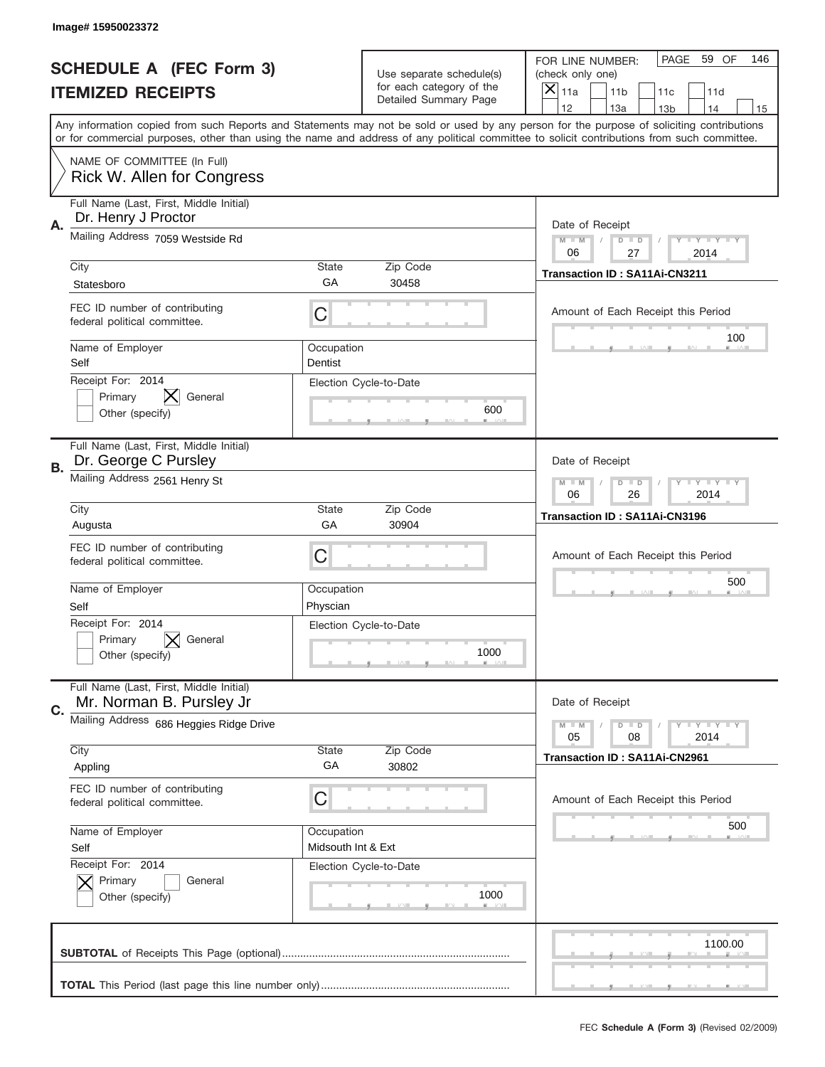|    | Image#15950023372                                                   |                                                           |                                                      |                                                                                                                                                                                                                                                                                                                                     |
|----|---------------------------------------------------------------------|-----------------------------------------------------------|------------------------------------------------------|-------------------------------------------------------------------------------------------------------------------------------------------------------------------------------------------------------------------------------------------------------------------------------------------------------------------------------------|
|    | <b>SCHEDULE A (FEC Form 3)</b>                                      |                                                           | Use separate schedule(s)<br>for each category of the | PAGE<br>59 OF<br>146<br>FOR LINE NUMBER:<br>(check only one)                                                                                                                                                                                                                                                                        |
|    | <b>ITEMIZED RECEIPTS</b>                                            |                                                           | Detailed Summary Page                                | ×<br>11a<br>11 <sub>b</sub><br>11c<br>11d                                                                                                                                                                                                                                                                                           |
|    |                                                                     |                                                           |                                                      | 12<br>13a<br>14<br>13 <sub>b</sub><br>15<br>Any information copied from such Reports and Statements may not be sold or used by any person for the purpose of soliciting contributions<br>or for commercial purposes, other than using the name and address of any political committee to solicit contributions from such committee. |
|    | NAME OF COMMITTEE (In Full)<br>Rick W. Allen for Congress           |                                                           |                                                      |                                                                                                                                                                                                                                                                                                                                     |
| Α. | Full Name (Last, First, Middle Initial)<br>Dr. Henry J Proctor      |                                                           |                                                      | Date of Receipt                                                                                                                                                                                                                                                                                                                     |
|    | Mailing Address 7059 Westside Rd                                    |                                                           |                                                      | $M - M$<br><b>LEY LEY LEY</b><br>$D$ $D$<br>06<br>27<br>2014                                                                                                                                                                                                                                                                        |
|    | City<br>Statesboro                                                  | State<br>GА                                               | Zip Code<br>30458                                    | Transaction ID: SA11Ai-CN3211                                                                                                                                                                                                                                                                                                       |
|    | FEC ID number of contributing<br>federal political committee.       | C                                                         |                                                      | Amount of Each Receipt this Period                                                                                                                                                                                                                                                                                                  |
|    | Name of Employer<br>Self                                            | Occupation<br>Dentist                                     |                                                      | 100                                                                                                                                                                                                                                                                                                                                 |
|    | Receipt For: 2014<br>Primary<br>General<br>Other (specify)          |                                                           | Election Cycle-to-Date<br>600                        |                                                                                                                                                                                                                                                                                                                                     |
| В. | Full Name (Last, First, Middle Initial)<br>Dr. George C Pursley     |                                                           |                                                      | Date of Receipt                                                                                                                                                                                                                                                                                                                     |
|    | Mailing Address 2561 Henry St                                       | $M$ M<br><b>LEYTEY LEY</b><br>$D$ $D$<br>06<br>26<br>2014 |                                                      |                                                                                                                                                                                                                                                                                                                                     |
|    | City<br>Augusta                                                     | State<br>GA                                               | Zip Code<br>30904                                    | Transaction ID: SA11Ai-CN3196                                                                                                                                                                                                                                                                                                       |
|    | FEC ID number of contributing<br>federal political committee.       | C                                                         |                                                      | Amount of Each Receipt this Period                                                                                                                                                                                                                                                                                                  |
|    | Name of Employer<br>Self                                            | Occupation<br>Physcian                                    |                                                      | 500                                                                                                                                                                                                                                                                                                                                 |
|    | Receipt For: 2014<br>General<br>Primary<br>Other (specify)          |                                                           | Election Cycle-to-Date<br>1000                       |                                                                                                                                                                                                                                                                                                                                     |
|    | Full Name (Last, First, Middle Initial)<br>Mr. Norman B. Pursley Jr |                                                           |                                                      | Date of Receipt                                                                                                                                                                                                                                                                                                                     |
| C. |                                                                     |                                                           |                                                      |                                                                                                                                                                                                                                                                                                                                     |
|    | Mailing Address 686 Heggies Ridge Drive                             |                                                           |                                                      | <b>LY LY LY</b><br>$M - M$<br>$D$ $D$<br>05<br>2014<br>08                                                                                                                                                                                                                                                                           |
|    | City<br>Appling                                                     | State<br>GA                                               | Zip Code<br>30802                                    | Transaction ID: SA11Ai-CN2961                                                                                                                                                                                                                                                                                                       |
|    | FEC ID number of contributing<br>federal political committee.       | C                                                         |                                                      | Amount of Each Receipt this Period                                                                                                                                                                                                                                                                                                  |
|    | Name of Employer<br>Self                                            | Occupation<br>Midsouth Int & Ext                          |                                                      | 500                                                                                                                                                                                                                                                                                                                                 |
|    | Receipt For: 2014<br>Primary<br>General<br>Other (specify)          |                                                           | Election Cycle-to-Date<br>1000                       |                                                                                                                                                                                                                                                                                                                                     |
|    |                                                                     |                                                           |                                                      | 1100.00                                                                                                                                                                                                                                                                                                                             |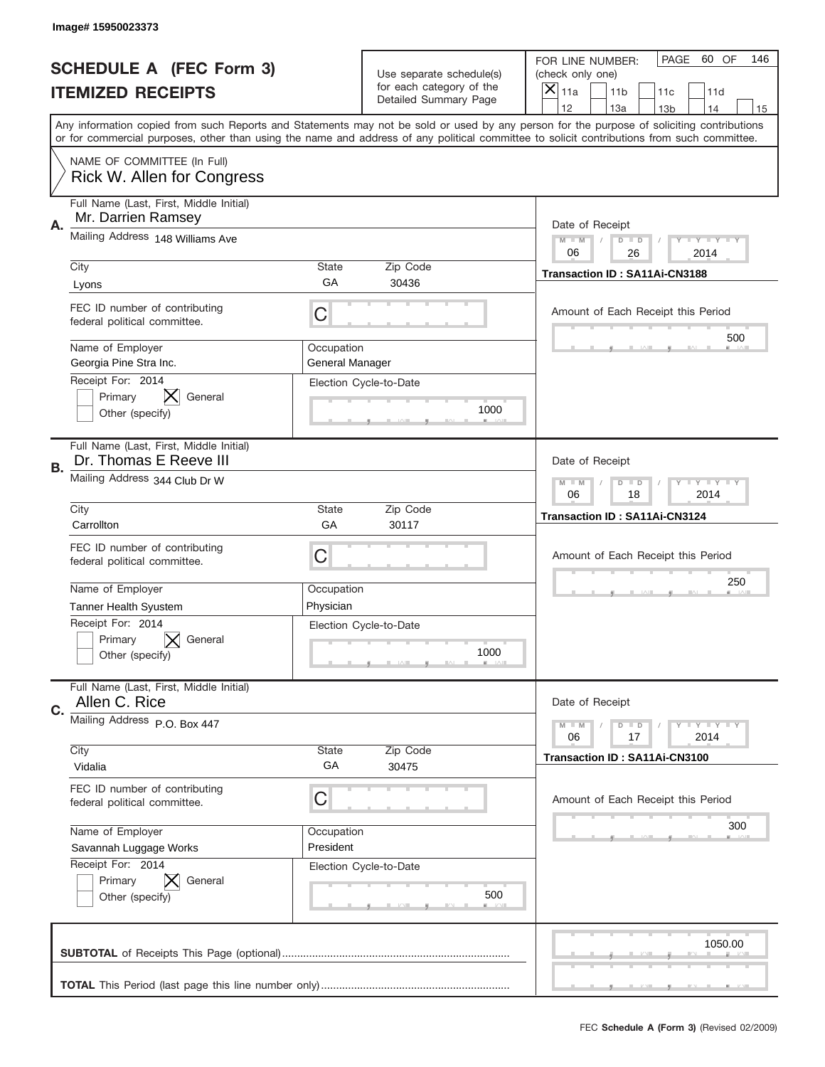|    | Image# 15950023373                                                |                                                              |                                                   |                                                                                                                                                                                                                                                                                                                                     |
|----|-------------------------------------------------------------------|--------------------------------------------------------------|---------------------------------------------------|-------------------------------------------------------------------------------------------------------------------------------------------------------------------------------------------------------------------------------------------------------------------------------------------------------------------------------------|
|    | <b>SCHEDULE A (FEC Form 3)</b>                                    |                                                              | Use separate schedule(s)                          | PAGE<br>60 OF<br>146<br>FOR LINE NUMBER:<br>(check only one)                                                                                                                                                                                                                                                                        |
|    | <b>ITEMIZED RECEIPTS</b>                                          |                                                              | for each category of the<br>Detailed Summary Page | $\overline{X} _{11a}$<br>11 <sub>b</sub><br>11c<br>11d                                                                                                                                                                                                                                                                              |
|    |                                                                   |                                                              |                                                   | 12<br>13a<br>14<br>13 <sub>b</sub><br>15<br>Any information copied from such Reports and Statements may not be sold or used by any person for the purpose of soliciting contributions<br>or for commercial purposes, other than using the name and address of any political committee to solicit contributions from such committee. |
|    | NAME OF COMMITTEE (In Full)<br>Rick W. Allen for Congress         |                                                              |                                                   |                                                                                                                                                                                                                                                                                                                                     |
| Α. | Full Name (Last, First, Middle Initial)<br>Mr. Darrien Ramsey     |                                                              |                                                   | Date of Receipt                                                                                                                                                                                                                                                                                                                     |
|    | Mailing Address 148 Williams Ave                                  | <b>LYLYLY</b><br>$M - M$<br>$D$ $D$<br>06<br>26<br>2014      |                                                   |                                                                                                                                                                                                                                                                                                                                     |
|    | City<br>Lyons                                                     | <b>State</b><br>GA                                           | Zip Code<br>30436                                 | Transaction ID: SA11Ai-CN3188                                                                                                                                                                                                                                                                                                       |
|    | FEC ID number of contributing<br>federal political committee.     | C                                                            |                                                   | Amount of Each Receipt this Period<br>500                                                                                                                                                                                                                                                                                           |
|    | Name of Employer<br>Georgia Pine Stra Inc.<br>Receipt For: 2014   | Occupation<br>General Manager                                |                                                   |                                                                                                                                                                                                                                                                                                                                     |
|    | Primary<br>General<br>Other (specify)                             |                                                              | Election Cycle-to-Date<br>1000                    |                                                                                                                                                                                                                                                                                                                                     |
| В. | Full Name (Last, First, Middle Initial)<br>Dr. Thomas E Reeve III |                                                              |                                                   | Date of Receipt                                                                                                                                                                                                                                                                                                                     |
|    | Mailing Address 344 Club Dr W                                     | $M$ $M$<br>$D$ $D$<br><b>LEY LEY LEY</b><br>06<br>18<br>2014 |                                                   |                                                                                                                                                                                                                                                                                                                                     |
|    | City<br>Carrollton                                                | <b>State</b><br>GA                                           | Zip Code<br>30117                                 | Transaction ID: SA11Ai-CN3124                                                                                                                                                                                                                                                                                                       |
|    | FEC ID number of contributing<br>federal political committee.     | С                                                            |                                                   | Amount of Each Receipt this Period                                                                                                                                                                                                                                                                                                  |
|    | Name of Employer<br><b>Tanner Health Syustem</b>                  | Occupation<br>Physician                                      |                                                   | 250                                                                                                                                                                                                                                                                                                                                 |
|    | Receipt For: 2014<br>Primary<br>General<br>Other (specify)        |                                                              | Election Cycle-to-Date<br>1000                    |                                                                                                                                                                                                                                                                                                                                     |
| C. | Full Name (Last, First, Middle Initial)<br>Allen C. Rice          |                                                              |                                                   | Date of Receipt                                                                                                                                                                                                                                                                                                                     |
|    | Mailing Address P.O. Box 447                                      |                                                              |                                                   | $D$ $D$<br>$T + Y = Y + Y$<br>$M - M$<br>2014<br>06<br>17                                                                                                                                                                                                                                                                           |
|    | City<br>Vidalia                                                   | State<br>GA                                                  | Zip Code<br>30475                                 | Transaction ID: SA11Ai-CN3100                                                                                                                                                                                                                                                                                                       |
|    | FEC ID number of contributing<br>federal political committee.     | С                                                            |                                                   | Amount of Each Receipt this Period                                                                                                                                                                                                                                                                                                  |
|    | Name of Employer<br>Savannah Luggage Works                        | Occupation<br>President                                      |                                                   | 300                                                                                                                                                                                                                                                                                                                                 |
|    | Receipt For: 2014<br>Primary<br>General<br>Other (specify)        |                                                              | Election Cycle-to-Date<br>500                     |                                                                                                                                                                                                                                                                                                                                     |
|    |                                                                   |                                                              |                                                   | 1050.00                                                                                                                                                                                                                                                                                                                             |
|    |                                                                   |                                                              |                                                   |                                                                                                                                                                                                                                                                                                                                     |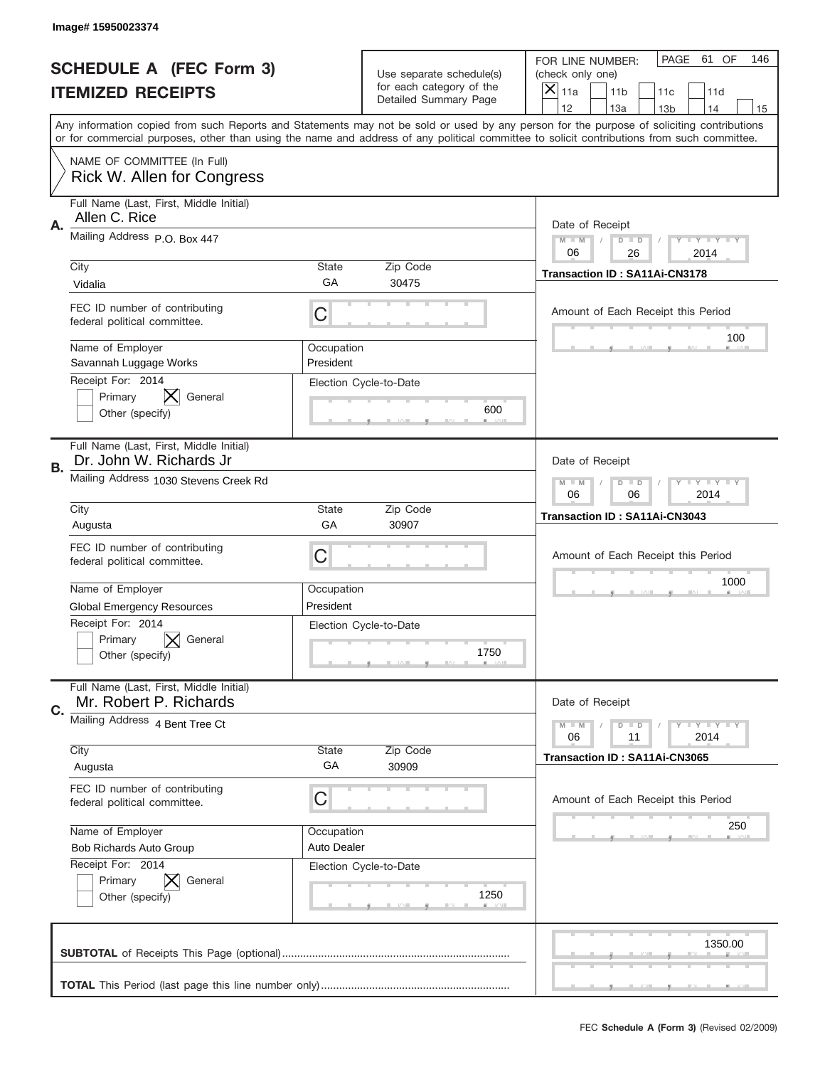|                          | Image# 15950023374                                                                                                                                                                                                                                                                      |                                  |                                                   |                                      |                                    |                 |                            |     |
|--------------------------|-----------------------------------------------------------------------------------------------------------------------------------------------------------------------------------------------------------------------------------------------------------------------------------------|----------------------------------|---------------------------------------------------|--------------------------------------|------------------------------------|-----------------|----------------------------|-----|
|                          | <b>SCHEDULE A (FEC Form 3)</b>                                                                                                                                                                                                                                                          |                                  | Use separate schedule(s)                          | FOR LINE NUMBER:<br>(check only one) |                                    | PAGE            | 61 OF                      | 146 |
| <b>ITEMIZED RECEIPTS</b> |                                                                                                                                                                                                                                                                                         |                                  | for each category of the<br>Detailed Summary Page | $\overline{X} _{11a}$                | 11 <sub>b</sub>                    | 11c             | 11d                        |     |
|                          | Any information copied from such Reports and Statements may not be sold or used by any person for the purpose of soliciting contributions<br>or for commercial purposes, other than using the name and address of any political committee to solicit contributions from such committee. |                                  |                                                   | 12                                   | 13a                                | 13 <sub>b</sub> | 14                         | 15  |
|                          | NAME OF COMMITTEE (In Full)<br><b>Rick W. Allen for Congress</b>                                                                                                                                                                                                                        |                                  |                                                   |                                      |                                    |                 |                            |     |
| Α.                       | Full Name (Last, First, Middle Initial)<br>Allen C. Rice                                                                                                                                                                                                                                |                                  |                                                   |                                      | Date of Receipt                    |                 |                            |     |
|                          | Mailing Address P.O. Box 447                                                                                                                                                                                                                                                            |                                  |                                                   | $M - M$<br>06                        | $D$ $D$<br>26                      |                 | <b>LYLYLY</b><br>2014      |     |
|                          | City<br>Vidalia                                                                                                                                                                                                                                                                         | <b>State</b><br>GA               | Zip Code<br>30475                                 |                                      | Transaction ID: SA11Ai-CN3178      |                 |                            |     |
|                          | FEC ID number of contributing<br>federal political committee.                                                                                                                                                                                                                           | С                                |                                                   |                                      | Amount of Each Receipt this Period |                 | 100                        |     |
|                          | Name of Employer<br>Savannah Luggage Works                                                                                                                                                                                                                                              | Occupation<br>President          |                                                   |                                      |                                    |                 |                            |     |
|                          | Receipt For: 2014<br>Primary<br>General<br>Other (specify)                                                                                                                                                                                                                              |                                  | Election Cycle-to-Date<br>600                     |                                      |                                    |                 |                            |     |
| В.                       | Full Name (Last, First, Middle Initial)<br>Dr. John W. Richards Jr                                                                                                                                                                                                                      |                                  |                                                   |                                      | Date of Receipt                    |                 |                            |     |
|                          | Mailing Address 1030 Stevens Creek Rd                                                                                                                                                                                                                                                   |                                  |                                                   | $M$ $M$<br>06                        | $D$ $D$<br>06                      |                 | <b>LEY LEY LEY</b><br>2014 |     |
|                          | City<br>Augusta                                                                                                                                                                                                                                                                         | <b>State</b><br>GA               | Zip Code<br>30907                                 |                                      | Transaction ID: SA11Ai-CN3043      |                 |                            |     |
|                          | FEC ID number of contributing<br>federal political committee.                                                                                                                                                                                                                           | С                                |                                                   |                                      | Amount of Each Receipt this Period |                 |                            |     |
|                          | Name of Employer<br><b>Global Emergency Resources</b>                                                                                                                                                                                                                                   | Occupation<br>President          |                                                   |                                      |                                    |                 | 1000                       |     |
|                          | Receipt For: 2014<br>Primary<br>General<br>Other (specify)                                                                                                                                                                                                                              |                                  | Election Cycle-to-Date<br>1750                    |                                      |                                    |                 |                            |     |
| C.                       | Full Name (Last, First, Middle Initial)<br>Mr. Robert P. Richards                                                                                                                                                                                                                       |                                  |                                                   |                                      | Date of Receipt                    |                 |                            |     |
|                          | Mailing Address 4 Bent Tree Ct                                                                                                                                                                                                                                                          |                                  |                                                   | $M - M$<br>06                        | $D$ $D$<br>11                      |                 | <b>LY LY LY</b><br>2014    |     |
|                          | City<br>Augusta                                                                                                                                                                                                                                                                         | State<br>GA                      | Zip Code<br>30909                                 |                                      | Transaction ID: SA11Ai-CN3065      |                 |                            |     |
|                          | FEC ID number of contributing<br>federal political committee.                                                                                                                                                                                                                           | С                                |                                                   |                                      | Amount of Each Receipt this Period |                 |                            |     |
|                          | Name of Employer<br>Bob Richards Auto Group                                                                                                                                                                                                                                             | Occupation<br><b>Auto Dealer</b> |                                                   |                                      |                                    |                 | 250                        |     |
|                          | Receipt For: 2014<br>Primary<br>General<br>Other (specify)                                                                                                                                                                                                                              |                                  | Election Cycle-to-Date<br>1250                    |                                      |                                    |                 |                            |     |
|                          |                                                                                                                                                                                                                                                                                         |                                  |                                                   |                                      |                                    |                 | 1350.00                    |     |
|                          |                                                                                                                                                                                                                                                                                         |                                  |                                                   |                                      |                                    |                 |                            |     |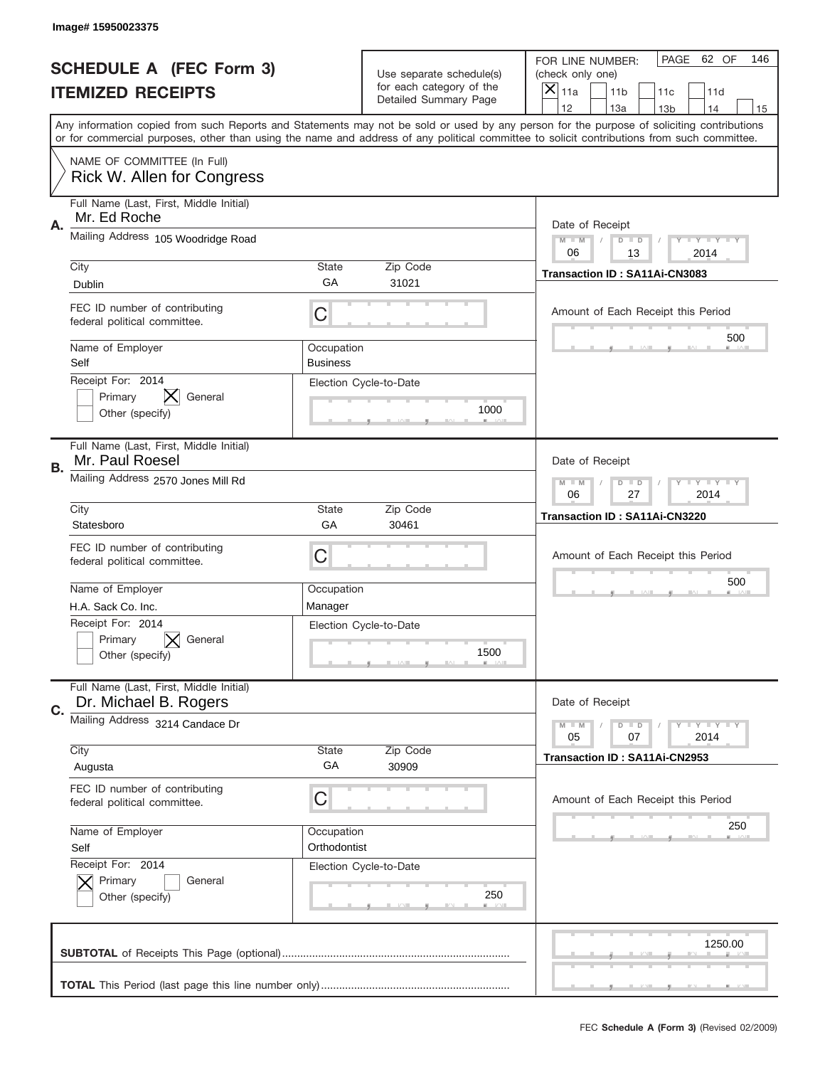|                          | Image# 15950023375                                                                                                                         |                               |                                                   |                                                                                                                                                                                       |
|--------------------------|--------------------------------------------------------------------------------------------------------------------------------------------|-------------------------------|---------------------------------------------------|---------------------------------------------------------------------------------------------------------------------------------------------------------------------------------------|
|                          | <b>SCHEDULE A (FEC Form 3)</b>                                                                                                             |                               | Use separate schedule(s)                          | PAGE<br>62 OF<br>146<br>FOR LINE NUMBER:<br>(check only one)                                                                                                                          |
| <b>ITEMIZED RECEIPTS</b> |                                                                                                                                            |                               | for each category of the<br>Detailed Summary Page | $\times$<br>11a<br>11 <sub>b</sub><br>11c<br>11d                                                                                                                                      |
|                          | or for commercial purposes, other than using the name and address of any political committee to solicit contributions from such committee. |                               |                                                   | 12<br>13a<br>14<br>13 <sub>b</sub><br>15<br>Any information copied from such Reports and Statements may not be sold or used by any person for the purpose of soliciting contributions |
|                          | NAME OF COMMITTEE (In Full)<br>Rick W. Allen for Congress                                                                                  |                               |                                                   |                                                                                                                                                                                       |
| Α.                       | Full Name (Last, First, Middle Initial)<br>Mr. Ed Roche                                                                                    |                               |                                                   | Date of Receipt                                                                                                                                                                       |
|                          | Mailing Address 105 Woodridge Road                                                                                                         |                               |                                                   | $M$ $M$<br>Y I Y I Y I Y<br>$D$ $D$<br>06<br>13<br>2014                                                                                                                               |
|                          | City<br>Dublin                                                                                                                             | State<br>GA                   | Zip Code<br>31021                                 | Transaction ID: SA11Ai-CN3083                                                                                                                                                         |
|                          | FEC ID number of contributing<br>federal political committee.                                                                              | C                             |                                                   | Amount of Each Receipt this Period<br>500                                                                                                                                             |
|                          | Name of Employer<br>Self                                                                                                                   | Occupation<br><b>Business</b> |                                                   |                                                                                                                                                                                       |
|                          | Receipt For: 2014<br>Primary<br>General<br>Other (specify)                                                                                 |                               | Election Cycle-to-Date<br>1000                    |                                                                                                                                                                                       |
| В.                       | Full Name (Last, First, Middle Initial)<br>Mr. Paul Roesel                                                                                 |                               |                                                   | Date of Receipt                                                                                                                                                                       |
|                          | Mailing Address 2570 Jones Mill Rd                                                                                                         |                               |                                                   | $T$ $Y$ $T$ $Y$ $T$ $Y$<br>$M$ $M$<br>$D$ $D$<br>06<br>27<br>2014                                                                                                                     |
|                          | City<br>Statesboro                                                                                                                         | State<br>GA                   | Zip Code<br>30461                                 | Transaction ID: SA11Ai-CN3220                                                                                                                                                         |
|                          | FEC ID number of contributing<br>federal political committee.                                                                              | C                             |                                                   | Amount of Each Receipt this Period                                                                                                                                                    |
|                          | Name of Employer<br>H.A. Sack Co. Inc.                                                                                                     | Occupation<br>Manager         |                                                   | 500                                                                                                                                                                                   |
|                          | Receipt For: 2014<br>General<br>Primary<br>Other (specify)                                                                                 |                               | Election Cycle-to-Date<br>1500                    |                                                                                                                                                                                       |
| C.                       | Full Name (Last, First, Middle Initial)<br>Dr. Michael B. Rogers                                                                           |                               |                                                   | Date of Receipt                                                                                                                                                                       |
|                          | Mailing Address 3214 Candace Dr                                                                                                            |                               |                                                   | $T$ $Y$ $T$ $Y$ $T$ $Y$<br>$M - M$<br>$D$ $D$<br>05<br>2014<br>07                                                                                                                     |
|                          | City<br>Augusta                                                                                                                            | State<br>GA                   | Zip Code<br>30909                                 | Transaction ID: SA11Ai-CN2953                                                                                                                                                         |
|                          | FEC ID number of contributing<br>federal political committee.                                                                              | C                             |                                                   | Amount of Each Receipt this Period                                                                                                                                                    |
|                          | Name of Employer<br>Self                                                                                                                   | Occupation<br>Orthodontist    |                                                   | 250                                                                                                                                                                                   |
|                          | Receipt For: 2014<br>Primary<br>General<br>Other (specify)                                                                                 |                               | Election Cycle-to-Date<br>250                     |                                                                                                                                                                                       |
|                          |                                                                                                                                            |                               |                                                   | 1250.00                                                                                                                                                                               |
|                          |                                                                                                                                            |                               |                                                   |                                                                                                                                                                                       |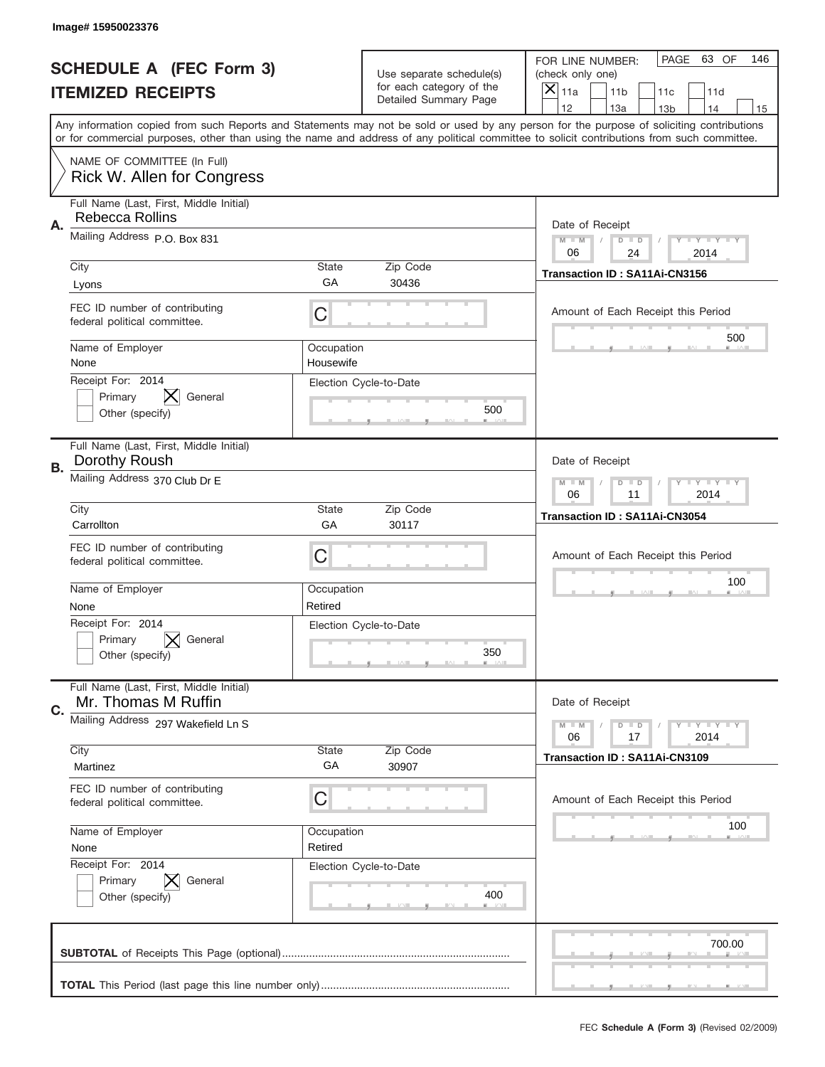|                          | Image# 15950023376                                               |                         |                                                      |                                                                                                                                                                                                                                                                                                                                     |
|--------------------------|------------------------------------------------------------------|-------------------------|------------------------------------------------------|-------------------------------------------------------------------------------------------------------------------------------------------------------------------------------------------------------------------------------------------------------------------------------------------------------------------------------------|
|                          | <b>SCHEDULE A (FEC Form 3)</b>                                   |                         | Use separate schedule(s)<br>for each category of the | PAGE 63 OF<br>146<br>FOR LINE NUMBER:<br>(check only one)                                                                                                                                                                                                                                                                           |
| <b>ITEMIZED RECEIPTS</b> |                                                                  |                         | Detailed Summary Page                                | ×<br>11a<br>11 <sub>b</sub><br>11c<br>11d                                                                                                                                                                                                                                                                                           |
|                          |                                                                  |                         |                                                      | 12<br>13a<br>14<br>13 <sub>b</sub><br>15<br>Any information copied from such Reports and Statements may not be sold or used by any person for the purpose of soliciting contributions<br>or for commercial purposes, other than using the name and address of any political committee to solicit contributions from such committee. |
|                          | NAME OF COMMITTEE (In Full)<br><b>Rick W. Allen for Congress</b> |                         |                                                      |                                                                                                                                                                                                                                                                                                                                     |
| Α.                       | Full Name (Last, First, Middle Initial)<br>Rebecca Rollins       |                         |                                                      | Date of Receipt                                                                                                                                                                                                                                                                                                                     |
|                          | Mailing Address P.O. Box 831                                     |                         |                                                      | $M - M$<br><b>LEY LEY LEY</b><br>$D$ $D$<br>06<br>24<br>2014                                                                                                                                                                                                                                                                        |
|                          | City<br>Lyons                                                    | State<br>GА             | Zip Code<br>30436                                    | Transaction ID: SA11Ai-CN3156                                                                                                                                                                                                                                                                                                       |
|                          | FEC ID number of contributing<br>federal political committee.    | C                       |                                                      | Amount of Each Receipt this Period<br>500                                                                                                                                                                                                                                                                                           |
|                          | Name of Employer<br>None                                         | Occupation<br>Housewife |                                                      |                                                                                                                                                                                                                                                                                                                                     |
|                          | Receipt For: 2014<br>Primary<br>General<br>Other (specify)       |                         | Election Cycle-to-Date<br>500                        |                                                                                                                                                                                                                                                                                                                                     |
| В.                       | Full Name (Last, First, Middle Initial)<br>Dorothy Roush         |                         |                                                      | Date of Receipt                                                                                                                                                                                                                                                                                                                     |
|                          | Mailing Address 370 Club Dr E                                    |                         |                                                      | $M$ M<br><b>LYLYLY</b><br>$D$ $D$<br>06<br>11<br>2014                                                                                                                                                                                                                                                                               |
|                          | City<br>Carrollton                                               | State<br>GA             | Zip Code<br>30117                                    | Transaction ID: SA11Ai-CN3054                                                                                                                                                                                                                                                                                                       |
|                          | FEC ID number of contributing<br>federal political committee.    | C                       |                                                      | Amount of Each Receipt this Period                                                                                                                                                                                                                                                                                                  |
|                          | Name of Employer<br>None                                         | Occupation<br>Retired   |                                                      | 100                                                                                                                                                                                                                                                                                                                                 |
|                          | Receipt For: 2014<br>General<br>Primary<br>Other (specify)       |                         | Election Cycle-to-Date<br>350                        |                                                                                                                                                                                                                                                                                                                                     |
| C.                       | Full Name (Last, First, Middle Initial)<br>Mr. Thomas M Ruffin   |                         |                                                      | Date of Receipt                                                                                                                                                                                                                                                                                                                     |
|                          | Mailing Address 297 Wakefield Ln S<br>City                       | State                   | Zip Code                                             | $D$ $D$<br>$T + Y = Y + Y$<br>$M - M$<br>06<br>2014<br>17                                                                                                                                                                                                                                                                           |
|                          |                                                                  |                         |                                                      | <b>Transaction ID: SA11Ai-CN3109</b>                                                                                                                                                                                                                                                                                                |
|                          | Martinez                                                         | GA                      | 30907                                                |                                                                                                                                                                                                                                                                                                                                     |
|                          | FEC ID number of contributing<br>federal political committee.    | C                       |                                                      | Amount of Each Receipt this Period                                                                                                                                                                                                                                                                                                  |
|                          | Name of Employer<br>None                                         | Occupation<br>Retired   |                                                      | 100                                                                                                                                                                                                                                                                                                                                 |
|                          | Receipt For: 2014<br>Primary<br>General<br>Other (specify)       |                         | Election Cycle-to-Date<br>400                        |                                                                                                                                                                                                                                                                                                                                     |
|                          |                                                                  |                         |                                                      | 700.00                                                                                                                                                                                                                                                                                                                              |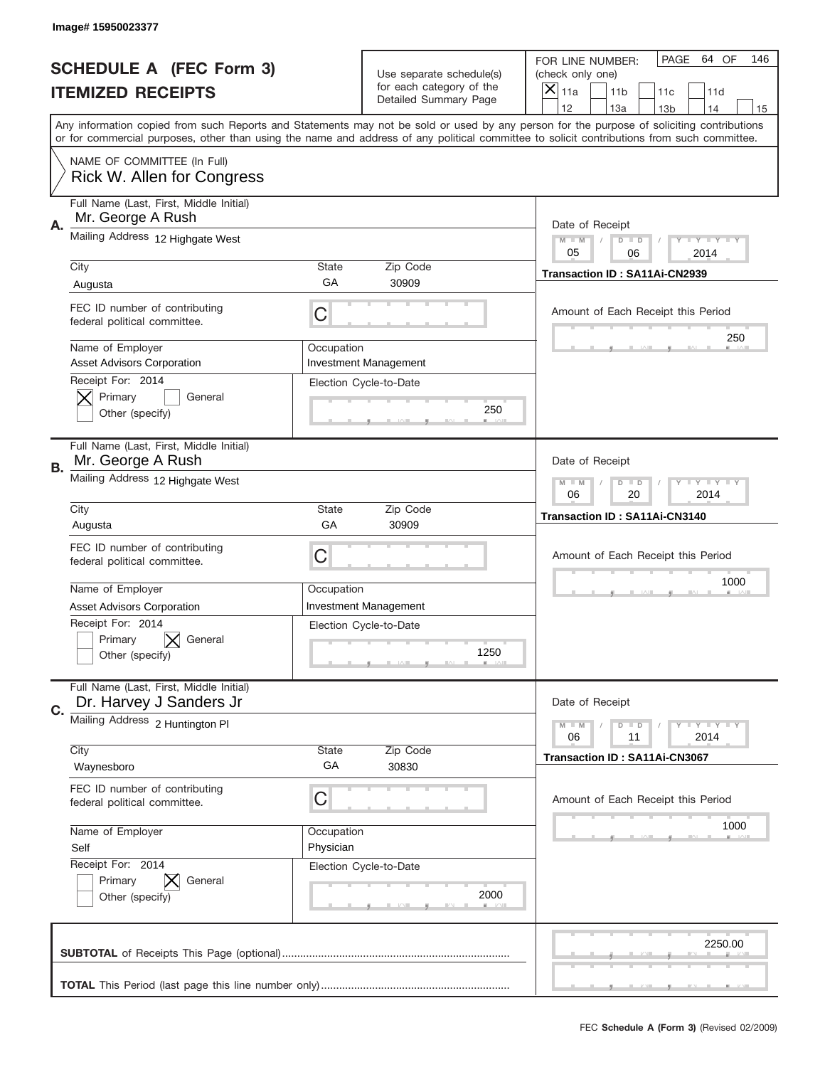|                          | Image# 15950023377                                                 |                         |                                                      |                                                                                                                                                                                                                                                                                         |
|--------------------------|--------------------------------------------------------------------|-------------------------|------------------------------------------------------|-----------------------------------------------------------------------------------------------------------------------------------------------------------------------------------------------------------------------------------------------------------------------------------------|
|                          | <b>SCHEDULE A (FEC Form 3)</b>                                     |                         | Use separate schedule(s)<br>for each category of the | PAGE<br>64 OF<br>146<br>FOR LINE NUMBER:<br>(check only one)                                                                                                                                                                                                                            |
| <b>ITEMIZED RECEIPTS</b> |                                                                    |                         | Detailed Summary Page                                | ×<br>11a<br>11 <sub>b</sub><br>11d<br>11c<br>12<br>13a<br>14<br>13 <sub>b</sub><br>15                                                                                                                                                                                                   |
|                          |                                                                    |                         |                                                      | Any information copied from such Reports and Statements may not be sold or used by any person for the purpose of soliciting contributions<br>or for commercial purposes, other than using the name and address of any political committee to solicit contributions from such committee. |
|                          | NAME OF COMMITTEE (In Full)<br>Rick W. Allen for Congress          |                         |                                                      |                                                                                                                                                                                                                                                                                         |
| А.                       | Full Name (Last, First, Middle Initial)<br>Mr. George A Rush       |                         |                                                      | Date of Receipt                                                                                                                                                                                                                                                                         |
|                          | Mailing Address 12 Highgate West                                   |                         |                                                      | $M - M$<br>Y I Y I Y I Y<br>$D$ $D$<br>05<br>06<br>2014                                                                                                                                                                                                                                 |
|                          | City<br>Augusta                                                    | State<br>GА             | Zip Code<br>30909                                    | Transaction ID: SA11Ai-CN2939                                                                                                                                                                                                                                                           |
|                          | FEC ID number of contributing<br>federal political committee.      | C                       |                                                      | Amount of Each Receipt this Period                                                                                                                                                                                                                                                      |
|                          | Name of Employer<br><b>Asset Advisors Corporation</b>              | Occupation              | <b>Investment Management</b>                         | 250                                                                                                                                                                                                                                                                                     |
|                          | Receipt For: 2014<br>Primary<br>General<br>Other (specify)         |                         | Election Cycle-to-Date<br>250                        |                                                                                                                                                                                                                                                                                         |
| В.                       | Full Name (Last, First, Middle Initial)<br>Mr. George A Rush       |                         |                                                      | Date of Receipt                                                                                                                                                                                                                                                                         |
|                          | Mailing Address 12 Highgate West                                   |                         |                                                      | <b>LYLYLY</b><br>$M - M$<br>$D$ $D$<br>06<br>20<br>2014                                                                                                                                                                                                                                 |
|                          | City<br>Augusta                                                    | State<br>GA             | Zip Code<br>30909                                    | Transaction ID: SA11Ai-CN3140                                                                                                                                                                                                                                                           |
|                          | FEC ID number of contributing<br>federal political committee.      | C                       |                                                      | Amount of Each Receipt this Period                                                                                                                                                                                                                                                      |
|                          | Name of Employer<br><b>Asset Advisors Corporation</b>              | Occupation              | <b>Investment Management</b>                         | 1000                                                                                                                                                                                                                                                                                    |
|                          | Receipt For: 2014<br>General<br>Primary<br>Other (specify)         |                         | Election Cycle-to-Date<br>1250                       |                                                                                                                                                                                                                                                                                         |
| C.                       | Full Name (Last, First, Middle Initial)<br>Dr. Harvey J Sanders Jr |                         |                                                      | Date of Receipt                                                                                                                                                                                                                                                                         |
|                          | Mailing Address 2 Huntington PI                                    |                         |                                                      | <b>TEY LY LY</b><br>$M - M$<br>$D$ $D$<br>2014<br>06<br>11                                                                                                                                                                                                                              |
|                          | City<br>Waynesboro                                                 | State<br>GA             | Zip Code<br>30830                                    | <b>Transaction ID: SA11Ai-CN3067</b>                                                                                                                                                                                                                                                    |
|                          | FEC ID number of contributing<br>federal political committee.      | C                       |                                                      | Amount of Each Receipt this Period                                                                                                                                                                                                                                                      |
|                          | Name of Employer<br>Self                                           | Occupation<br>Physician |                                                      | 1000                                                                                                                                                                                                                                                                                    |
|                          | Receipt For: 2014<br>Primary<br>General<br>Other (specify)         |                         | Election Cycle-to-Date<br>2000                       |                                                                                                                                                                                                                                                                                         |
|                          |                                                                    |                         |                                                      | 2250.00                                                                                                                                                                                                                                                                                 |
|                          |                                                                    |                         |                                                      |                                                                                                                                                                                                                                                                                         |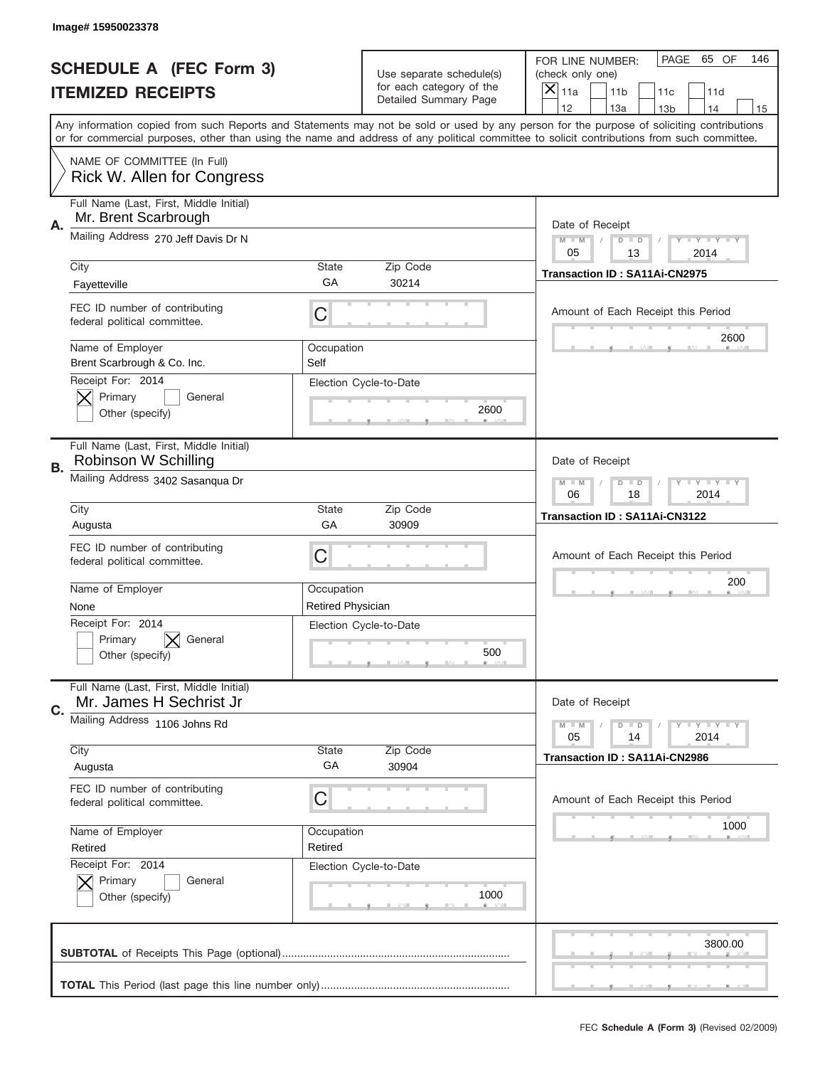|                          | Image# 15950023378                                                            |                                                         |                                                      |                                                                                                                                                                                                                                                                                         |
|--------------------------|-------------------------------------------------------------------------------|---------------------------------------------------------|------------------------------------------------------|-----------------------------------------------------------------------------------------------------------------------------------------------------------------------------------------------------------------------------------------------------------------------------------------|
|                          | <b>SCHEDULE A (FEC Form 3)</b>                                                |                                                         | Use separate schedule(s)<br>for each category of the | PAGE<br>65 OF<br>146<br>FOR LINE NUMBER:<br>(check only one)                                                                                                                                                                                                                            |
| <b>ITEMIZED RECEIPTS</b> |                                                                               |                                                         | Detailed Summary Page                                | $\overline{\mathsf{x}}$<br>11a<br>11 <sub>b</sub><br>11c<br>11d<br>12<br>13a<br>14<br>13 <sub>b</sub><br>15                                                                                                                                                                             |
|                          |                                                                               |                                                         |                                                      | Any information copied from such Reports and Statements may not be sold or used by any person for the purpose of soliciting contributions<br>or for commercial purposes, other than using the name and address of any political committee to solicit contributions from such committee. |
|                          | NAME OF COMMITTEE (In Full)<br>Rick W. Allen for Congress                     |                                                         |                                                      |                                                                                                                                                                                                                                                                                         |
| А.                       | Full Name (Last, First, Middle Initial)<br>Mr. Brent Scarbrough               |                                                         |                                                      | Date of Receipt                                                                                                                                                                                                                                                                         |
|                          | Mailing Address 270 Jeff Davis Dr N                                           |                                                         |                                                      | $M - M$<br>Y I Y I Y I Y<br>$D$ $D$<br>05<br>13<br>2014                                                                                                                                                                                                                                 |
|                          | City                                                                          | State<br>GA                                             | Zip Code<br>30214                                    | Transaction ID: SA11Ai-CN2975                                                                                                                                                                                                                                                           |
|                          | Fayetteville<br>FEC ID number of contributing<br>federal political committee. | C                                                       |                                                      | Amount of Each Receipt this Period                                                                                                                                                                                                                                                      |
|                          | Name of Employer<br>Brent Scarbrough & Co. Inc.                               | Occupation<br>Self                                      |                                                      | 2600                                                                                                                                                                                                                                                                                    |
|                          | Receipt For: 2014<br>Primary<br>General<br>Other (specify)                    |                                                         | Election Cycle-to-Date<br>2600                       |                                                                                                                                                                                                                                                                                         |
| В.                       | Full Name (Last, First, Middle Initial)<br>Robinson W Schilling               |                                                         |                                                      | Date of Receipt                                                                                                                                                                                                                                                                         |
|                          | Mailing Address 3402 Sasanqua Dr                                              | <b>LYLYLY</b><br>$M - M$<br>$D$ $D$<br>06<br>18<br>2014 |                                                      |                                                                                                                                                                                                                                                                                         |
|                          | City<br>Augusta                                                               | State<br>GA                                             | Zip Code<br>30909                                    | Transaction ID: SA11Ai-CN3122                                                                                                                                                                                                                                                           |
|                          | FEC ID number of contributing<br>federal political committee.                 | C                                                       |                                                      | Amount of Each Receipt this Period                                                                                                                                                                                                                                                      |
|                          | Name of Employer<br>None                                                      | Occupation<br><b>Retired Physician</b>                  |                                                      | 200                                                                                                                                                                                                                                                                                     |
|                          | Receipt For: 2014<br>General<br>Primary<br>Other (specify)                    |                                                         | Election Cycle-to-Date<br>500                        |                                                                                                                                                                                                                                                                                         |
| C.                       | Full Name (Last, First, Middle Initial)<br>Mr. James H Sechrist Jr            |                                                         |                                                      | Date of Receipt                                                                                                                                                                                                                                                                         |
|                          | Mailing Address 1106 Johns Rd<br>City                                         | State                                                   | Zip Code                                             | <b>TEY LY LY</b><br>$M - M$<br>$D$ $D$<br>2014<br>05<br>14                                                                                                                                                                                                                              |
|                          | Augusta                                                                       | GA                                                      | 30904                                                | Transaction ID: SA11Ai-CN2986                                                                                                                                                                                                                                                           |
|                          | FEC ID number of contributing<br>federal political committee.                 | C                                                       |                                                      | Amount of Each Receipt this Period                                                                                                                                                                                                                                                      |
|                          | Name of Employer<br>Retired                                                   | Occupation<br>Retired                                   |                                                      | 1000                                                                                                                                                                                                                                                                                    |
|                          | Receipt For: 2014<br>Primary<br>General<br>$\bm{\times}$<br>Other (specify)   |                                                         | Election Cycle-to-Date<br>1000                       |                                                                                                                                                                                                                                                                                         |
|                          |                                                                               |                                                         |                                                      | 3800.00                                                                                                                                                                                                                                                                                 |
|                          |                                                                               |                                                         |                                                      |                                                                                                                                                                                                                                                                                         |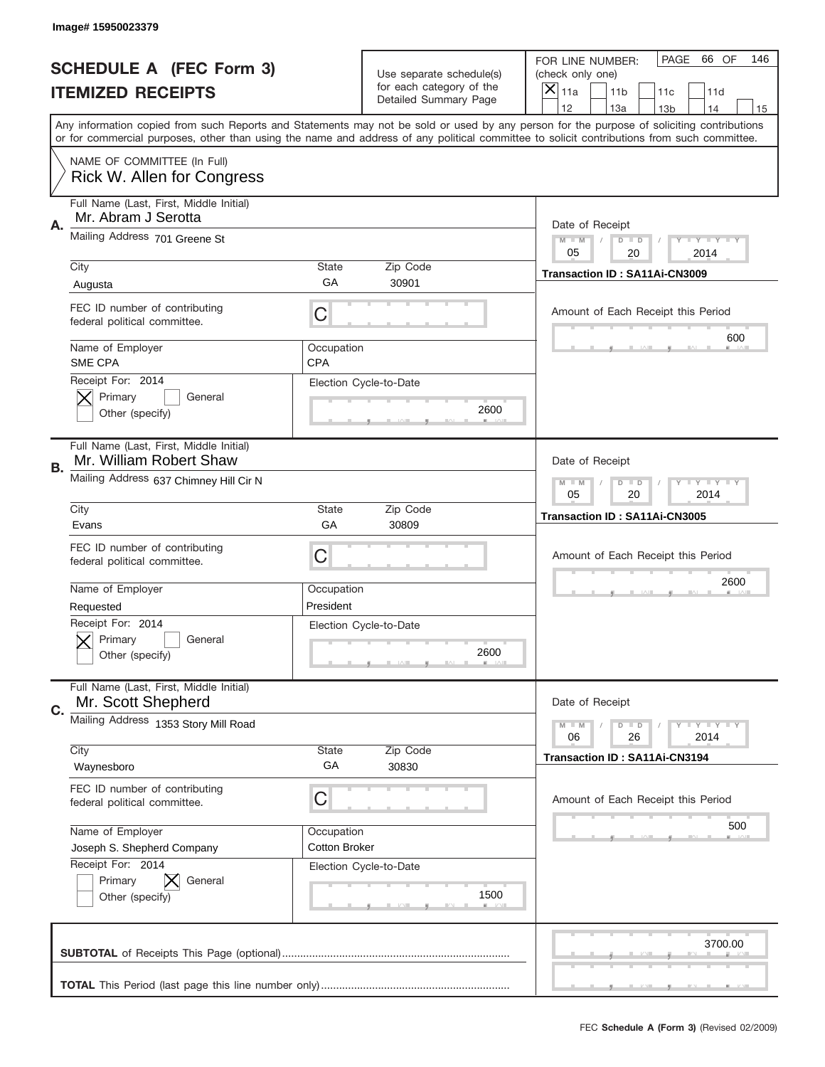|                          | Image#15950023379                                                  |                                    |                                                      |                                                                                                                                                                                                                                                                                                                               |
|--------------------------|--------------------------------------------------------------------|------------------------------------|------------------------------------------------------|-------------------------------------------------------------------------------------------------------------------------------------------------------------------------------------------------------------------------------------------------------------------------------------------------------------------------------|
|                          | <b>SCHEDULE A (FEC Form 3)</b>                                     |                                    | Use separate schedule(s)<br>for each category of the | PAGE<br>66 OF<br>146<br>FOR LINE NUMBER:<br>(check only one)                                                                                                                                                                                                                                                                  |
| <b>ITEMIZED RECEIPTS</b> |                                                                    |                                    | Detailed Summary Page                                | ×<br>11a<br>11 <sub>b</sub><br>11c<br>11d<br>12                                                                                                                                                                                                                                                                               |
|                          |                                                                    |                                    |                                                      | 13a<br>13 <sub>b</sub><br>14<br>15<br>Any information copied from such Reports and Statements may not be sold or used by any person for the purpose of soliciting contributions<br>or for commercial purposes, other than using the name and address of any political committee to solicit contributions from such committee. |
|                          | NAME OF COMMITTEE (In Full)<br>Rick W. Allen for Congress          |                                    |                                                      |                                                                                                                                                                                                                                                                                                                               |
| Α.                       | Full Name (Last, First, Middle Initial)<br>Mr. Abram J Serotta     |                                    |                                                      | Date of Receipt                                                                                                                                                                                                                                                                                                               |
|                          | Mailing Address 701 Greene St                                      |                                    |                                                      | $M - M$<br><b>LEY LEY LEY</b><br>$D$ $D$<br>20<br>05<br>2014                                                                                                                                                                                                                                                                  |
|                          | City<br>Augusta                                                    | State<br>GA                        | Zip Code<br>30901                                    | Transaction ID: SA11Ai-CN3009                                                                                                                                                                                                                                                                                                 |
|                          | FEC ID number of contributing<br>federal political committee.      | C                                  |                                                      | Amount of Each Receipt this Period<br>600                                                                                                                                                                                                                                                                                     |
|                          | Name of Employer<br>SME CPA                                        | Occupation<br><b>CPA</b>           |                                                      |                                                                                                                                                                                                                                                                                                                               |
|                          | Receipt For: 2014<br>Primary<br>General<br>Other (specify)         |                                    | Election Cycle-to-Date<br>2600                       |                                                                                                                                                                                                                                                                                                                               |
| В.                       | Full Name (Last, First, Middle Initial)<br>Mr. William Robert Shaw |                                    |                                                      | Date of Receipt                                                                                                                                                                                                                                                                                                               |
|                          | Mailing Address 637 Chimney Hill Cir N                             |                                    |                                                      | $M - M$<br><b>LY LY LY</b><br>$D$ $D$<br>05<br>20<br>2014                                                                                                                                                                                                                                                                     |
|                          | City<br>Evans                                                      | State<br>GA                        | Zip Code<br>30809                                    | Transaction ID: SA11Ai-CN3005                                                                                                                                                                                                                                                                                                 |
|                          | FEC ID number of contributing<br>federal political committee.      | C                                  |                                                      | Amount of Each Receipt this Period                                                                                                                                                                                                                                                                                            |
|                          | Name of Employer<br>Requested                                      | Occupation<br>President            |                                                      | 2600                                                                                                                                                                                                                                                                                                                          |
|                          | Receipt For: 2014<br>General<br>Primary<br>Other (specify)         |                                    | Election Cycle-to-Date<br>2600                       |                                                                                                                                                                                                                                                                                                                               |
| C.                       | Full Name (Last, First, Middle Initial)<br>Mr. Scott Shepherd      |                                    |                                                      | Date of Receipt                                                                                                                                                                                                                                                                                                               |
|                          | Mailing Address 1353 Story Mill Road                               |                                    |                                                      | $M - M$<br><b>LEY LEY LEY</b><br>$D$ $D$<br>06<br>26<br>2014                                                                                                                                                                                                                                                                  |
|                          | City<br>Waynesboro                                                 | <b>State</b><br>GA                 | Zip Code<br>30830                                    | <b>Transaction ID: SA11Ai-CN3194</b>                                                                                                                                                                                                                                                                                          |
|                          |                                                                    |                                    |                                                      |                                                                                                                                                                                                                                                                                                                               |
|                          | FEC ID number of contributing<br>federal political committee.      | C                                  |                                                      | Amount of Each Receipt this Period                                                                                                                                                                                                                                                                                            |
|                          | Name of Employer<br>Joseph S. Shepherd Company                     | Occupation<br><b>Cotton Broker</b> |                                                      | 500                                                                                                                                                                                                                                                                                                                           |
|                          | Receipt For: 2014<br>Primary<br>General<br>Other (specify)         |                                    | Election Cycle-to-Date<br>1500                       |                                                                                                                                                                                                                                                                                                                               |
|                          |                                                                    |                                    |                                                      | 3700.00                                                                                                                                                                                                                                                                                                                       |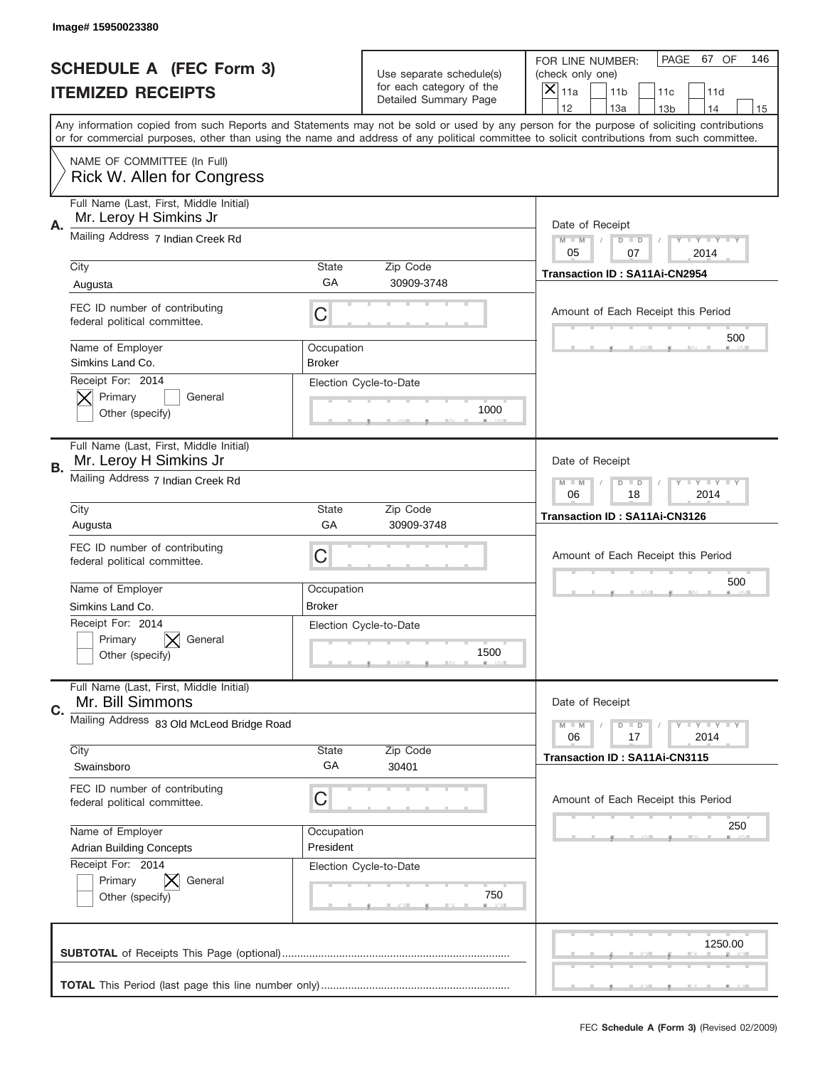|                          | Image#15950023380                                                 |                             |                                                   |                                                                                                                                                                                                                                                                                                                                     |
|--------------------------|-------------------------------------------------------------------|-----------------------------|---------------------------------------------------|-------------------------------------------------------------------------------------------------------------------------------------------------------------------------------------------------------------------------------------------------------------------------------------------------------------------------------------|
|                          | <b>SCHEDULE A (FEC Form 3)</b>                                    |                             | Use separate schedule(s)                          | PAGE<br>67 OF<br>146<br>FOR LINE NUMBER:<br>(check only one)                                                                                                                                                                                                                                                                        |
| <b>ITEMIZED RECEIPTS</b> |                                                                   |                             | for each category of the<br>Detailed Summary Page | ×<br>11a<br>11 <sub>b</sub><br>11c<br>11d                                                                                                                                                                                                                                                                                           |
|                          |                                                                   |                             |                                                   | 12<br>13a<br>14<br>13 <sub>b</sub><br>15<br>Any information copied from such Reports and Statements may not be sold or used by any person for the purpose of soliciting contributions<br>or for commercial purposes, other than using the name and address of any political committee to solicit contributions from such committee. |
|                          | NAME OF COMMITTEE (In Full)<br>Rick W. Allen for Congress         |                             |                                                   |                                                                                                                                                                                                                                                                                                                                     |
| Α.                       | Full Name (Last, First, Middle Initial)<br>Mr. Leroy H Simkins Jr |                             |                                                   | Date of Receipt                                                                                                                                                                                                                                                                                                                     |
|                          | Mailing Address 7 Indian Creek Rd                                 |                             |                                                   | $M - M$<br><b>LEY LEY LEY</b><br>$D$ $D$<br>05<br>07<br>2014                                                                                                                                                                                                                                                                        |
|                          | City<br>Augusta                                                   | State<br>GА                 | Zip Code<br>30909-3748                            | Transaction ID: SA11Ai-CN2954                                                                                                                                                                                                                                                                                                       |
|                          | FEC ID number of contributing<br>federal political committee.     | C                           |                                                   | Amount of Each Receipt this Period<br>500                                                                                                                                                                                                                                                                                           |
|                          | Name of Employer<br>Simkins Land Co.                              | Occupation<br><b>Broker</b> |                                                   |                                                                                                                                                                                                                                                                                                                                     |
|                          | Receipt For: 2014<br>Primary<br>General<br>Other (specify)        |                             | Election Cycle-to-Date<br>1000                    |                                                                                                                                                                                                                                                                                                                                     |
| <b>B.</b>                | Full Name (Last, First, Middle Initial)<br>Mr. Leroy H Simkins Jr |                             |                                                   | Date of Receipt                                                                                                                                                                                                                                                                                                                     |
|                          | Mailing Address 7 Indian Creek Rd                                 |                             |                                                   | $M - M$<br>$D$ $D$<br><b>LEYTEY LEY</b><br>06<br>18<br>2014                                                                                                                                                                                                                                                                         |
|                          | City<br>Augusta                                                   | State<br>GA                 | Zip Code<br>30909-3748                            | Transaction ID: SA11Ai-CN3126                                                                                                                                                                                                                                                                                                       |
|                          | FEC ID number of contributing<br>federal political committee.     | C                           |                                                   | Amount of Each Receipt this Period                                                                                                                                                                                                                                                                                                  |
|                          | Name of Employer<br>Simkins Land Co.                              | Occupation<br><b>Broker</b> |                                                   | 500                                                                                                                                                                                                                                                                                                                                 |
|                          | Receipt For: 2014<br>Primary<br>General<br>Other (specify)        |                             | Election Cycle-to-Date<br>1500                    |                                                                                                                                                                                                                                                                                                                                     |
| C.                       | Full Name (Last, First, Middle Initial)<br>Mr. Bill Simmons       |                             |                                                   | Date of Receipt                                                                                                                                                                                                                                                                                                                     |
|                          | Mailing Address 83 Old McLeod Bridge Road                         |                             |                                                   | $D$ $D$<br><b>LEY LEY LEY</b><br>$M - M$<br>06<br>2014<br>17                                                                                                                                                                                                                                                                        |
|                          | City<br>Swainsboro                                                | State<br>GA                 | Zip Code<br>30401                                 | Transaction ID: SA11Ai-CN3115                                                                                                                                                                                                                                                                                                       |
|                          | FEC ID number of contributing                                     |                             |                                                   |                                                                                                                                                                                                                                                                                                                                     |
|                          | federal political committee.                                      | С                           |                                                   | Amount of Each Receipt this Period                                                                                                                                                                                                                                                                                                  |
|                          | Name of Employer<br><b>Adrian Building Concepts</b>               | Occupation<br>President     |                                                   | 250                                                                                                                                                                                                                                                                                                                                 |
|                          | Receipt For: 2014<br>Primary<br>General<br>Other (specify)        |                             | Election Cycle-to-Date<br>750                     |                                                                                                                                                                                                                                                                                                                                     |
|                          |                                                                   |                             |                                                   | 1250.00                                                                                                                                                                                                                                                                                                                             |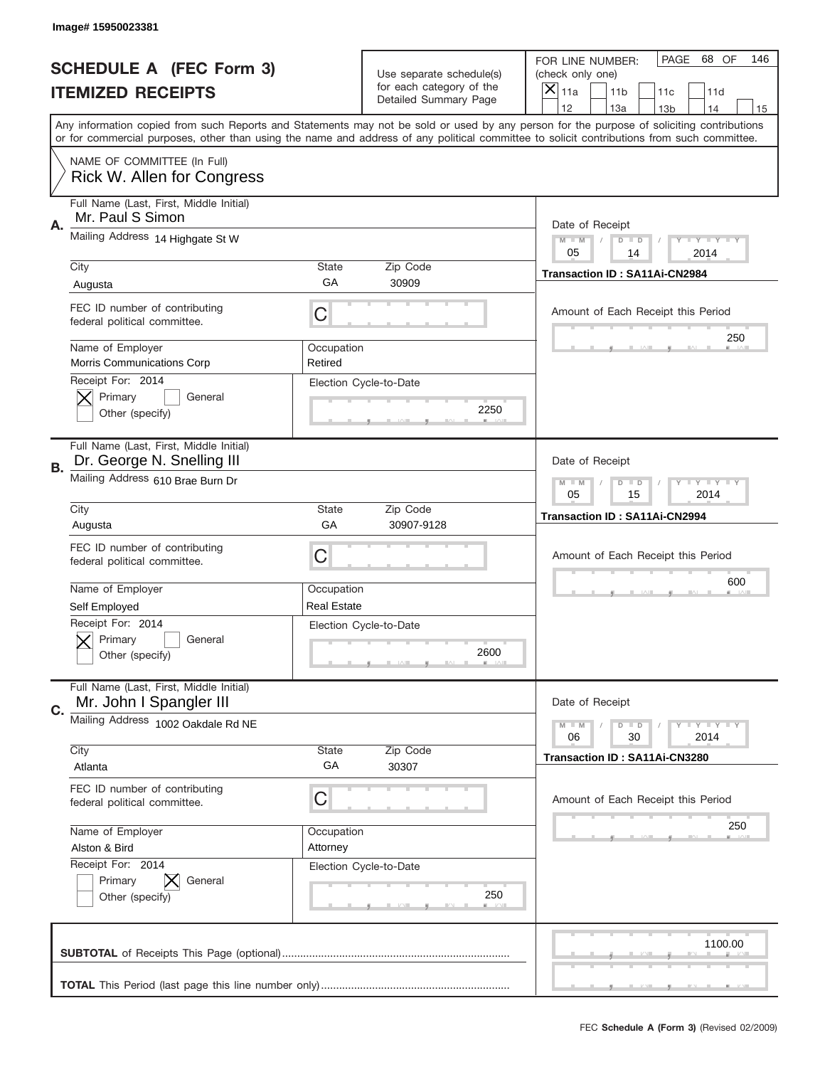|                          | Image# 15950023381                                                    |                       |                                                      |                                                                                                                                                                                                                                                                                                                                     |  |  |  |
|--------------------------|-----------------------------------------------------------------------|-----------------------|------------------------------------------------------|-------------------------------------------------------------------------------------------------------------------------------------------------------------------------------------------------------------------------------------------------------------------------------------------------------------------------------------|--|--|--|
|                          | <b>SCHEDULE A (FEC Form 3)</b>                                        |                       | Use separate schedule(s)<br>for each category of the | PAGE<br>68 OF<br>146<br>FOR LINE NUMBER:<br>(check only one)                                                                                                                                                                                                                                                                        |  |  |  |
| <b>ITEMIZED RECEIPTS</b> |                                                                       |                       | Detailed Summary Page                                | $\times$<br>11a<br>11 <sub>b</sub><br>11c<br>11d                                                                                                                                                                                                                                                                                    |  |  |  |
|                          |                                                                       |                       |                                                      | 12<br>13a<br>14<br>13 <sub>b</sub><br>15<br>Any information copied from such Reports and Statements may not be sold or used by any person for the purpose of soliciting contributions<br>or for commercial purposes, other than using the name and address of any political committee to solicit contributions from such committee. |  |  |  |
|                          | NAME OF COMMITTEE (In Full)<br>Rick W. Allen for Congress             |                       |                                                      |                                                                                                                                                                                                                                                                                                                                     |  |  |  |
| Α.                       | Full Name (Last, First, Middle Initial)<br>Mr. Paul S Simon           |                       |                                                      | Date of Receipt                                                                                                                                                                                                                                                                                                                     |  |  |  |
|                          | Mailing Address 14 Highgate St W                                      |                       |                                                      | $M - M$<br><b>LEY LEY LEY</b><br>$D$ $D$<br>05<br>14<br>2014                                                                                                                                                                                                                                                                        |  |  |  |
|                          | City                                                                  | <b>State</b>          | Zip Code                                             | Transaction ID: SA11Ai-CN2984                                                                                                                                                                                                                                                                                                       |  |  |  |
|                          | Augusta                                                               | GA                    | 30909                                                |                                                                                                                                                                                                                                                                                                                                     |  |  |  |
|                          | FEC ID number of contributing<br>federal political committee.         | C                     |                                                      | Amount of Each Receipt this Period<br>250                                                                                                                                                                                                                                                                                           |  |  |  |
|                          | Name of Employer<br>Morris Communications Corp                        | Occupation<br>Retired |                                                      |                                                                                                                                                                                                                                                                                                                                     |  |  |  |
|                          | Receipt For: 2014<br>Primary<br>General<br>Other (specify)            |                       | Election Cycle-to-Date<br>2250                       |                                                                                                                                                                                                                                                                                                                                     |  |  |  |
| В.                       | Full Name (Last, First, Middle Initial)<br>Dr. George N. Snelling III |                       |                                                      | Date of Receipt                                                                                                                                                                                                                                                                                                                     |  |  |  |
|                          | Mailing Address 610 Brae Burn Dr                                      |                       |                                                      | <b>LY LY LY</b><br>$M - M$<br>$D$ $D$<br>05<br>15<br>2014                                                                                                                                                                                                                                                                           |  |  |  |
|                          | City                                                                  | <b>State</b><br>GA    | Zip Code                                             | Transaction ID: SA11Ai-CN2994                                                                                                                                                                                                                                                                                                       |  |  |  |
|                          | Augusta                                                               |                       | 30907-9128                                           |                                                                                                                                                                                                                                                                                                                                     |  |  |  |
|                          | FEC ID number of contributing<br>federal political committee.         | C                     |                                                      | Amount of Each Receipt this Period                                                                                                                                                                                                                                                                                                  |  |  |  |
|                          | Name of Employer                                                      | Occupation            |                                                      | 600                                                                                                                                                                                                                                                                                                                                 |  |  |  |
|                          | Self Employed                                                         | <b>Real Estate</b>    |                                                      |                                                                                                                                                                                                                                                                                                                                     |  |  |  |
|                          | Receipt For: 2014<br>General<br>Primary<br>Other (specify)            |                       | Election Cycle-to-Date<br>2600                       |                                                                                                                                                                                                                                                                                                                                     |  |  |  |
| C.                       | Full Name (Last, First, Middle Initial)<br>Mr. John I Spangler III    |                       |                                                      | Date of Receipt                                                                                                                                                                                                                                                                                                                     |  |  |  |
|                          | Mailing Address 1002 Oakdale Rd NE                                    |                       |                                                      | <b>LEY LEY LEY</b><br>$M - M$<br>$D$ $D$<br>06<br>30<br>2014                                                                                                                                                                                                                                                                        |  |  |  |
|                          | City                                                                  | <b>State</b>          | Zip Code                                             | Transaction ID: SA11Ai-CN3280                                                                                                                                                                                                                                                                                                       |  |  |  |
|                          | Atlanta                                                               | GА                    | 30307                                                |                                                                                                                                                                                                                                                                                                                                     |  |  |  |
|                          | FEC ID number of contributing<br>federal political committee.         | C                     |                                                      | Amount of Each Receipt this Period                                                                                                                                                                                                                                                                                                  |  |  |  |
|                          | Name of Employer                                                      | Occupation            |                                                      | 250                                                                                                                                                                                                                                                                                                                                 |  |  |  |
|                          | Alston & Bird                                                         | Attorney              |                                                      |                                                                                                                                                                                                                                                                                                                                     |  |  |  |
|                          | Receipt For: 2014<br>Primary<br>General<br>Other (specify)            |                       | Election Cycle-to-Date<br>250                        |                                                                                                                                                                                                                                                                                                                                     |  |  |  |
|                          |                                                                       |                       |                                                      | 1100.00                                                                                                                                                                                                                                                                                                                             |  |  |  |
|                          |                                                                       |                       |                                                      |                                                                                                                                                                                                                                                                                                                                     |  |  |  |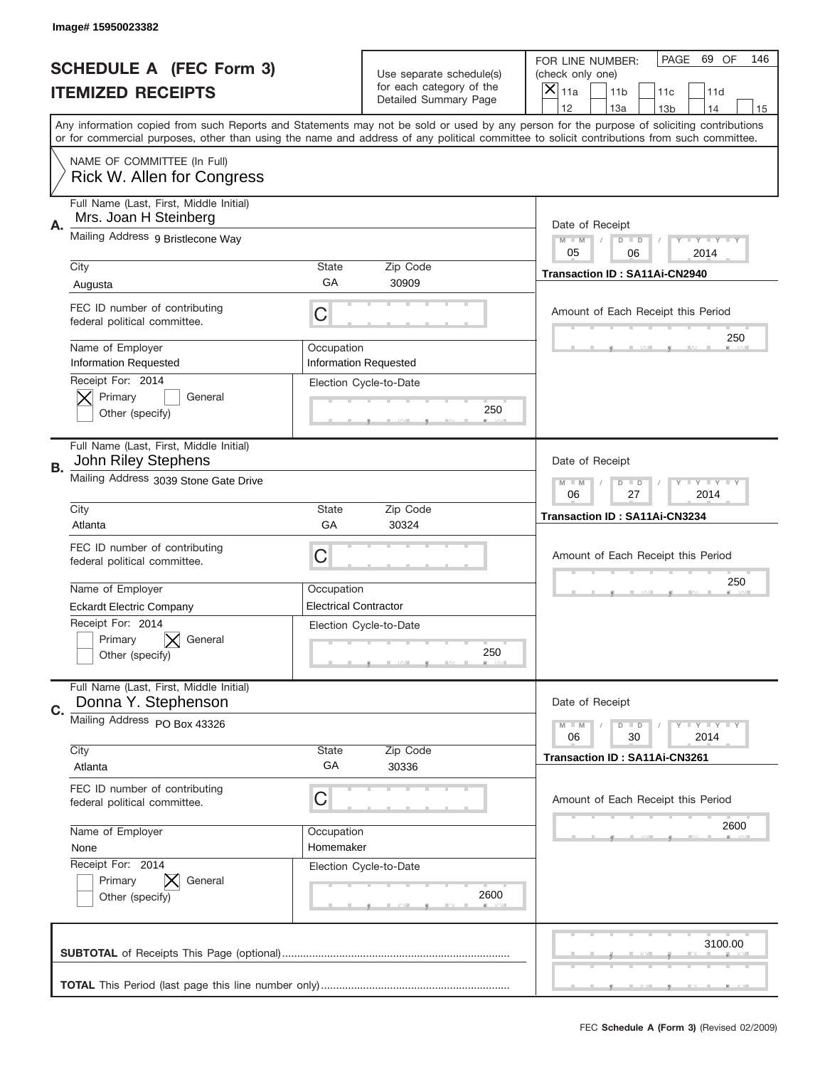|                          | Image# 15950023382                                                       |                              |                                                   |                                                                                                                                                                                                                                                                                                                                     |
|--------------------------|--------------------------------------------------------------------------|------------------------------|---------------------------------------------------|-------------------------------------------------------------------------------------------------------------------------------------------------------------------------------------------------------------------------------------------------------------------------------------------------------------------------------------|
|                          | <b>SCHEDULE A (FEC Form 3)</b>                                           |                              | Use separate schedule(s)                          | PAGE<br>69 OF<br>146<br>FOR LINE NUMBER:<br>(check only one)                                                                                                                                                                                                                                                                        |
| <b>ITEMIZED RECEIPTS</b> |                                                                          |                              | for each category of the<br>Detailed Summary Page | ×<br>11a<br>11 <sub>b</sub><br>11c<br>11d                                                                                                                                                                                                                                                                                           |
|                          |                                                                          |                              |                                                   | 12<br>13a<br>14<br>13 <sub>b</sub><br>15<br>Any information copied from such Reports and Statements may not be sold or used by any person for the purpose of soliciting contributions<br>or for commercial purposes, other than using the name and address of any political committee to solicit contributions from such committee. |
|                          | NAME OF COMMITTEE (In Full)<br>Rick W. Allen for Congress                |                              |                                                   |                                                                                                                                                                                                                                                                                                                                     |
| Α.                       | Full Name (Last, First, Middle Initial)<br>Mrs. Joan H Steinberg         |                              |                                                   | Date of Receipt                                                                                                                                                                                                                                                                                                                     |
|                          | Mailing Address 9 Bristlecone Way                                        |                              |                                                   | $M - M$<br><b>LEY LEY LEY</b><br>$D$ $D$<br>05<br>06<br>2014                                                                                                                                                                                                                                                                        |
|                          | City                                                                     | State<br>GА                  | Zip Code<br>30909                                 | Transaction ID: SA11Ai-CN2940                                                                                                                                                                                                                                                                                                       |
|                          | Augusta<br>FEC ID number of contributing<br>federal political committee. | C                            |                                                   | Amount of Each Receipt this Period                                                                                                                                                                                                                                                                                                  |
|                          | Name of Employer<br><b>Information Requested</b>                         | Occupation                   | <b>Information Requested</b>                      | 250                                                                                                                                                                                                                                                                                                                                 |
|                          | Receipt For: 2014<br>Primary<br>General<br>Other (specify)               |                              | Election Cycle-to-Date<br>250                     |                                                                                                                                                                                                                                                                                                                                     |
| В.                       | Full Name (Last, First, Middle Initial)<br>John Riley Stephens           |                              |                                                   | Date of Receipt                                                                                                                                                                                                                                                                                                                     |
|                          | Mailing Address 3039 Stone Gate Drive                                    |                              |                                                   | $M - M$<br>$D$ $D$<br><b>LEY LEY LEY</b><br>06<br>27<br>2014                                                                                                                                                                                                                                                                        |
|                          | City<br>Atlanta                                                          | State<br>GA                  | Zip Code<br>30324                                 | Transaction ID: SA11Ai-CN3234                                                                                                                                                                                                                                                                                                       |
|                          | FEC ID number of contributing<br>federal political committee.            | C                            |                                                   | Amount of Each Receipt this Period                                                                                                                                                                                                                                                                                                  |
|                          | Name of Employer                                                         | Occupation                   |                                                   | 250                                                                                                                                                                                                                                                                                                                                 |
|                          | <b>Eckardt Electric Company</b>                                          | <b>Electrical Contractor</b> |                                                   |                                                                                                                                                                                                                                                                                                                                     |
|                          | Receipt For: 2014                                                        |                              | Election Cycle-to-Date                            |                                                                                                                                                                                                                                                                                                                                     |
|                          | Primary<br>General<br>Other (specify)                                    |                              | 250                                               |                                                                                                                                                                                                                                                                                                                                     |
| C.                       | Full Name (Last, First, Middle Initial)<br>Donna Y. Stephenson           |                              |                                                   | Date of Receipt                                                                                                                                                                                                                                                                                                                     |
|                          | Mailing Address PO Box 43326                                             |                              |                                                   | <b>LYLYLY</b><br>$M - M$<br>$D$ $D$<br>06<br>2014<br>30                                                                                                                                                                                                                                                                             |
|                          | City<br>Atlanta                                                          | State<br>GA                  | Zip Code<br>30336                                 | Transaction ID: SA11Ai-CN3261                                                                                                                                                                                                                                                                                                       |
|                          | FEC ID number of contributing<br>federal political committee.            | С                            |                                                   | Amount of Each Receipt this Period                                                                                                                                                                                                                                                                                                  |
|                          | Name of Employer                                                         | Occupation                   |                                                   | 2600                                                                                                                                                                                                                                                                                                                                |
|                          | None                                                                     | Homemaker                    |                                                   |                                                                                                                                                                                                                                                                                                                                     |
|                          | Receipt For: 2014<br>Primary<br>General<br>Other (specify)               |                              | Election Cycle-to-Date<br>2600                    |                                                                                                                                                                                                                                                                                                                                     |
|                          |                                                                          |                              |                                                   | 3100.00                                                                                                                                                                                                                                                                                                                             |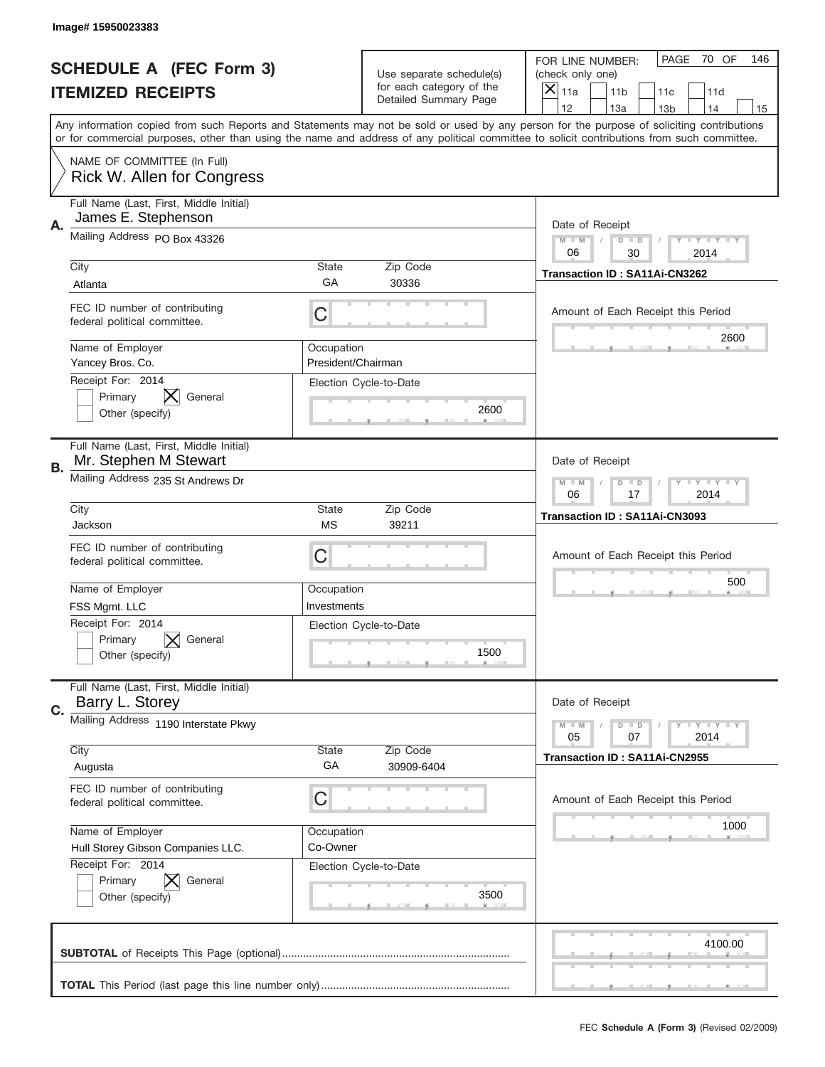|                          | Image# 15950023383                                                                                                                                                                                                                                                                      |                                  |                                                   |                                              |                            |
|--------------------------|-----------------------------------------------------------------------------------------------------------------------------------------------------------------------------------------------------------------------------------------------------------------------------------------|----------------------------------|---------------------------------------------------|----------------------------------------------|----------------------------|
|                          | <b>SCHEDULE A (FEC Form 3)</b>                                                                                                                                                                                                                                                          |                                  | Use separate schedule(s)                          | PAGE<br>FOR LINE NUMBER:<br>(check only one) | 70 OF<br>146               |
| <b>ITEMIZED RECEIPTS</b> |                                                                                                                                                                                                                                                                                         |                                  | for each category of the<br>Detailed Summary Page | $\times$<br>11a<br>11 <sub>b</sub><br>11c    | 11d                        |
|                          | Any information copied from such Reports and Statements may not be sold or used by any person for the purpose of soliciting contributions<br>or for commercial purposes, other than using the name and address of any political committee to solicit contributions from such committee. |                                  |                                                   | 12<br>13a<br>13 <sub>b</sub>                 | 14<br>15                   |
|                          | NAME OF COMMITTEE (In Full)<br>Rick W. Allen for Congress                                                                                                                                                                                                                               |                                  |                                                   |                                              |                            |
| Α.                       | Full Name (Last, First, Middle Initial)<br>James E. Stephenson                                                                                                                                                                                                                          |                                  |                                                   | Date of Receipt                              |                            |
|                          | Mailing Address PO Box 43326                                                                                                                                                                                                                                                            |                                  |                                                   | $M - M$<br>$D$ $D$<br>06<br>30               | <b>LEY LEY LEY</b><br>2014 |
|                          | City<br>Atlanta                                                                                                                                                                                                                                                                         | <b>State</b><br>GA               | Zip Code<br>30336                                 | Transaction ID: SA11Ai-CN3262                |                            |
|                          | FEC ID number of contributing<br>federal political committee.                                                                                                                                                                                                                           | С                                |                                                   | Amount of Each Receipt this Period           | 2600                       |
|                          | Name of Employer<br>Yancey Bros. Co.                                                                                                                                                                                                                                                    | Occupation<br>President/Chairman |                                                   |                                              |                            |
|                          | Receipt For: 2014<br>Primary<br>General<br>Other (specify)                                                                                                                                                                                                                              |                                  | Election Cycle-to-Date<br>2600                    |                                              |                            |
| В.                       | Full Name (Last, First, Middle Initial)<br>Mr. Stephen M Stewart                                                                                                                                                                                                                        |                                  |                                                   | Date of Receipt                              |                            |
|                          | Mailing Address 235 St Andrews Dr                                                                                                                                                                                                                                                       |                                  |                                                   | $M - M$<br>$D$ $D$<br>06<br>17               | <b>LEY LEY LEY</b><br>2014 |
|                          | City<br>Jackson                                                                                                                                                                                                                                                                         | <b>State</b><br><b>MS</b>        | Zip Code<br>39211                                 | Transaction ID: SA11Ai-CN3093                |                            |
|                          | FEC ID number of contributing<br>federal political committee.                                                                                                                                                                                                                           | С                                |                                                   | Amount of Each Receipt this Period           |                            |
|                          | Name of Employer<br>FSS Mgmt. LLC                                                                                                                                                                                                                                                       | Occupation<br>Investments        |                                                   |                                              | 500                        |
|                          | Receipt For: 2014<br>Primary<br>General<br>Other (specify)                                                                                                                                                                                                                              |                                  | Election Cycle-to-Date<br>1500                    |                                              |                            |
| C.                       | Full Name (Last, First, Middle Initial)<br>Barry L. Storey                                                                                                                                                                                                                              |                                  |                                                   | Date of Receipt                              |                            |
|                          | Mailing Address 1190 Interstate Pkwy                                                                                                                                                                                                                                                    |                                  |                                                   | $M - M$<br>$D$ $D$<br>05<br>07               | <b>LY LY LY</b><br>2014    |
|                          | City<br>Augusta                                                                                                                                                                                                                                                                         | State<br>GA                      | Zip Code<br>30909-6404                            | Transaction ID: SA11Ai-CN2955                |                            |
|                          | FEC ID number of contributing<br>federal political committee.                                                                                                                                                                                                                           | С                                |                                                   | Amount of Each Receipt this Period           |                            |
|                          | Name of Employer<br>Hull Storey Gibson Companies LLC.<br>Receipt For: 2014                                                                                                                                                                                                              | Occupation<br>Co-Owner           |                                                   |                                              | 1000                       |
|                          | Primary<br>General<br>Other (specify)                                                                                                                                                                                                                                                   |                                  | Election Cycle-to-Date<br>3500                    |                                              |                            |
|                          |                                                                                                                                                                                                                                                                                         |                                  |                                                   |                                              | 4100.00                    |
|                          |                                                                                                                                                                                                                                                                                         |                                  |                                                   |                                              |                            |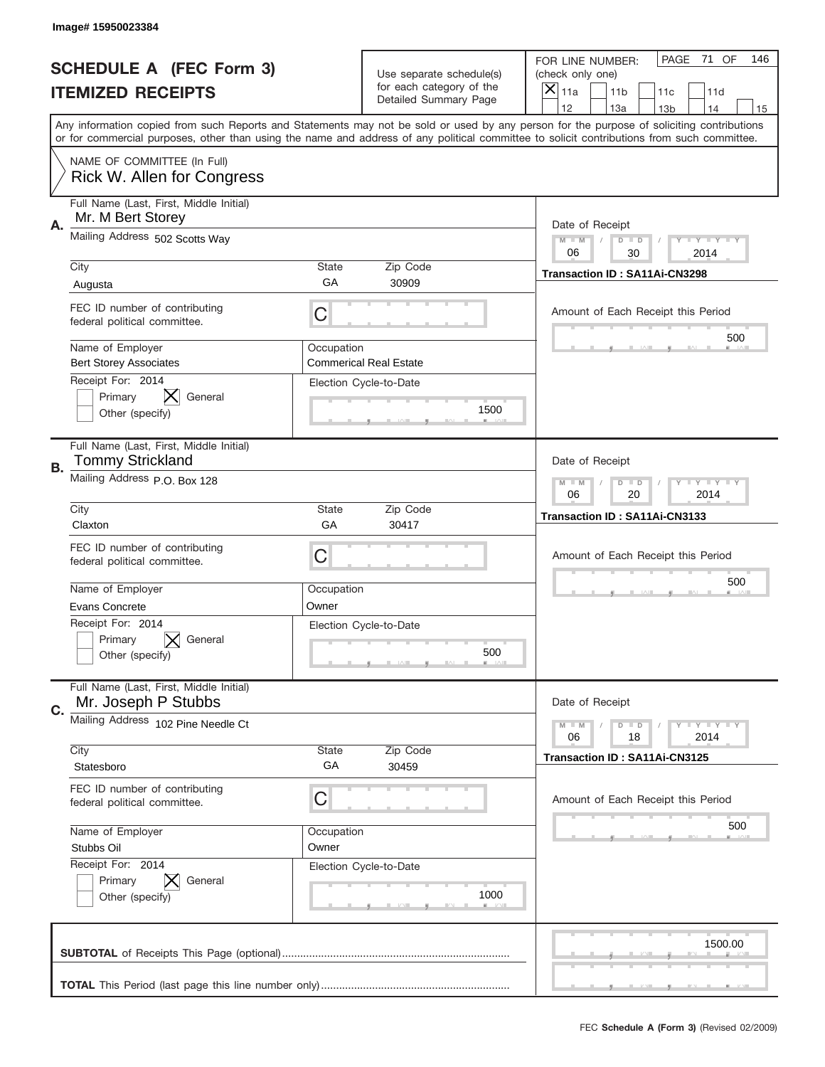|                          | Image# 15950023384                                                                                                                                                                                                                                                                      |                     |                                                   |                                      |                                    |                 |                         |     |
|--------------------------|-----------------------------------------------------------------------------------------------------------------------------------------------------------------------------------------------------------------------------------------------------------------------------------------|---------------------|---------------------------------------------------|--------------------------------------|------------------------------------|-----------------|-------------------------|-----|
|                          | <b>SCHEDULE A (FEC Form 3)</b>                                                                                                                                                                                                                                                          |                     | Use separate schedule(s)                          | FOR LINE NUMBER:<br>(check only one) |                                    | PAGE            | 71 OF                   | 146 |
| <b>ITEMIZED RECEIPTS</b> |                                                                                                                                                                                                                                                                                         |                     | for each category of the<br>Detailed Summary Page | $\overline{X} _{11a}$                | 11 <sub>b</sub>                    | 11c             | 11d                     |     |
|                          | Any information copied from such Reports and Statements may not be sold or used by any person for the purpose of soliciting contributions<br>or for commercial purposes, other than using the name and address of any political committee to solicit contributions from such committee. |                     |                                                   | 12                                   | 13a                                | 13 <sub>b</sub> | 14                      | 15  |
|                          | NAME OF COMMITTEE (In Full)<br>Rick W. Allen for Congress                                                                                                                                                                                                                               |                     |                                                   |                                      |                                    |                 |                         |     |
| Α.                       | Full Name (Last, First, Middle Initial)<br>Mr. M Bert Storey                                                                                                                                                                                                                            |                     |                                                   | Date of Receipt                      |                                    |                 |                         |     |
|                          | Mailing Address 502 Scotts Way                                                                                                                                                                                                                                                          |                     |                                                   | $M - M$<br>06                        | $D$ $D$<br>30                      |                 | <b>LYLYLY</b><br>2014   |     |
|                          | City<br>Augusta                                                                                                                                                                                                                                                                         | <b>State</b><br>GA  | Zip Code<br>30909                                 |                                      | Transaction ID: SA11Ai-CN3298      |                 |                         |     |
|                          | FEC ID number of contributing<br>federal political committee.                                                                                                                                                                                                                           | C                   |                                                   |                                      | Amount of Each Receipt this Period |                 |                         |     |
|                          | Name of Employer<br><b>Bert Storey Associates</b><br>Receipt For: 2014                                                                                                                                                                                                                  | Occupation          | <b>Commerical Real Estate</b>                     |                                      |                                    |                 | 500                     |     |
|                          | X<br>Primary<br>General<br>Other (specify)                                                                                                                                                                                                                                              |                     | Election Cycle-to-Date<br>1500                    |                                      |                                    |                 |                         |     |
| В.                       | Full Name (Last, First, Middle Initial)<br>Tommy Strickland                                                                                                                                                                                                                             |                     |                                                   | Date of Receipt                      |                                    |                 |                         |     |
|                          | Mailing Address P.O. Box 128                                                                                                                                                                                                                                                            |                     |                                                   | $M - M$<br>06                        | $D$ $D$<br>20                      |                 | <b>LYLYLY</b><br>2014   |     |
|                          | City<br>Claxton                                                                                                                                                                                                                                                                         | <b>State</b><br>GA  | Zip Code<br>30417                                 | Transaction ID: SA11Ai-CN3133        |                                    |                 |                         |     |
|                          | FEC ID number of contributing<br>federal political committee.                                                                                                                                                                                                                           | С                   |                                                   |                                      | Amount of Each Receipt this Period |                 |                         |     |
|                          | Name of Employer<br><b>Evans Concrete</b>                                                                                                                                                                                                                                               | Occupation<br>Owner |                                                   |                                      |                                    |                 | 500                     |     |
|                          | Receipt For: 2014<br>Primary<br>General<br>Other (specify)                                                                                                                                                                                                                              |                     | Election Cycle-to-Date<br>500                     |                                      |                                    |                 |                         |     |
| C.                       | Full Name (Last, First, Middle Initial)<br>Mr. Joseph P Stubbs                                                                                                                                                                                                                          |                     |                                                   | Date of Receipt                      |                                    |                 |                         |     |
|                          | Mailing Address 102 Pine Needle Ct                                                                                                                                                                                                                                                      |                     |                                                   | $M - M$<br>06                        | $D$ $D$<br>18                      |                 | $T + Y = Y + Y$<br>2014 |     |
|                          | City<br>Statesboro                                                                                                                                                                                                                                                                      | State<br>GA         | Zip Code<br>30459                                 |                                      | Transaction ID: SA11Ai-CN3125      |                 |                         |     |
|                          | FEC ID number of contributing<br>federal political committee.                                                                                                                                                                                                                           | С                   |                                                   |                                      | Amount of Each Receipt this Period |                 |                         |     |
|                          | Name of Employer<br>Stubbs Oil                                                                                                                                                                                                                                                          | Occupation<br>Owner |                                                   |                                      |                                    |                 | 500                     |     |
|                          | Receipt For: 2014<br>Primary<br>General<br>Other (specify)                                                                                                                                                                                                                              |                     | Election Cycle-to-Date<br>1000                    |                                      |                                    |                 |                         |     |
|                          |                                                                                                                                                                                                                                                                                         |                     |                                                   |                                      |                                    |                 | 1500.00                 |     |
|                          |                                                                                                                                                                                                                                                                                         |                     |                                                   |                                      |                                    |                 |                         |     |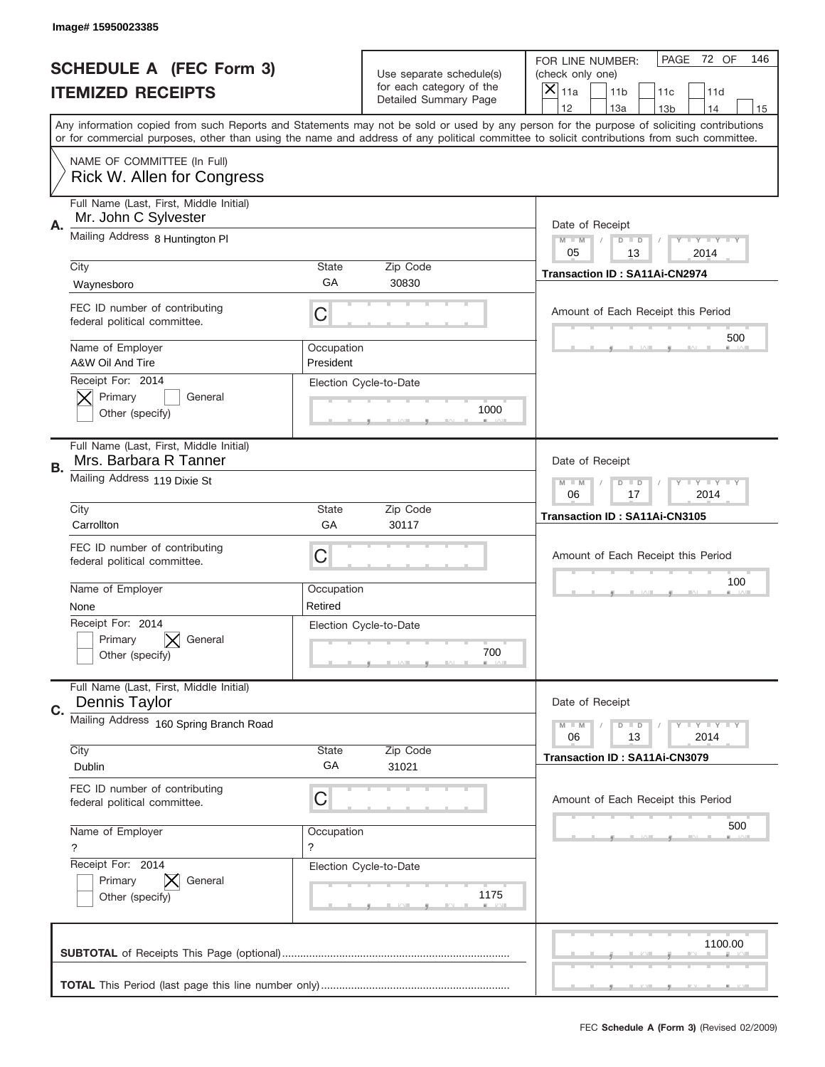|                          | Image#15950023385                                                |                           |                                                   |                                                                                                                                                                                                                                                                                                                                     |
|--------------------------|------------------------------------------------------------------|---------------------------|---------------------------------------------------|-------------------------------------------------------------------------------------------------------------------------------------------------------------------------------------------------------------------------------------------------------------------------------------------------------------------------------------|
|                          | <b>SCHEDULE A (FEC Form 3)</b>                                   |                           | Use separate schedule(s)                          | PAGE<br>72 OF<br>146<br>FOR LINE NUMBER:<br>(check only one)                                                                                                                                                                                                                                                                        |
| <b>ITEMIZED RECEIPTS</b> |                                                                  |                           | for each category of the<br>Detailed Summary Page | $\overline{X} _{11a}$<br>11 <sub>b</sub><br>11c<br>11d                                                                                                                                                                                                                                                                              |
|                          |                                                                  |                           |                                                   | 12<br>13a<br>14<br>13 <sub>b</sub><br>15<br>Any information copied from such Reports and Statements may not be sold or used by any person for the purpose of soliciting contributions<br>or for commercial purposes, other than using the name and address of any political committee to solicit contributions from such committee. |
|                          | NAME OF COMMITTEE (In Full)<br><b>Rick W. Allen for Congress</b> |                           |                                                   |                                                                                                                                                                                                                                                                                                                                     |
| Α.                       | Full Name (Last, First, Middle Initial)<br>Mr. John C Sylvester  |                           |                                                   | Date of Receipt                                                                                                                                                                                                                                                                                                                     |
|                          | Mailing Address 8 Huntington PI                                  | <b>State</b>              | Zip Code                                          | $M - M$<br><b>LYLYLY</b><br>$D$ $D$<br>05<br>13<br>2014                                                                                                                                                                                                                                                                             |
|                          | City<br>Waynesboro                                               | GA                        | 30830                                             | Transaction ID: SA11Ai-CN2974                                                                                                                                                                                                                                                                                                       |
|                          | FEC ID number of contributing<br>federal political committee.    | С                         |                                                   | Amount of Each Receipt this Period                                                                                                                                                                                                                                                                                                  |
|                          | Name of Employer<br>A&W Oil And Tire                             | Occupation<br>President   |                                                   | 500                                                                                                                                                                                                                                                                                                                                 |
|                          | Receipt For: 2014<br>Primary<br>General<br>Other (specify)       |                           | Election Cycle-to-Date<br>1000                    |                                                                                                                                                                                                                                                                                                                                     |
| В.                       | Full Name (Last, First, Middle Initial)<br>Mrs. Barbara R Tanner |                           |                                                   | Date of Receipt                                                                                                                                                                                                                                                                                                                     |
|                          | Mailing Address 119 Dixie St                                     |                           |                                                   | $M - M$<br>$D$ $D$<br><b>LYLYLY</b><br>06<br>17<br>2014                                                                                                                                                                                                                                                                             |
|                          | City<br>Carrollton                                               | <b>State</b><br>GA        | Zip Code<br>30117                                 | Transaction ID: SA11Ai-CN3105                                                                                                                                                                                                                                                                                                       |
|                          | FEC ID number of contributing<br>federal political committee.    | С                         |                                                   | Amount of Each Receipt this Period                                                                                                                                                                                                                                                                                                  |
|                          | Name of Employer<br>None                                         | Occupation<br>Retired     |                                                   | 100                                                                                                                                                                                                                                                                                                                                 |
|                          | Receipt For: 2014<br>Primary<br>General<br>Other (specify)       |                           | Election Cycle-to-Date<br>700                     |                                                                                                                                                                                                                                                                                                                                     |
| C.                       | Full Name (Last, First, Middle Initial)<br>Dennis Taylor         |                           |                                                   | Date of Receipt                                                                                                                                                                                                                                                                                                                     |
|                          | Mailing Address 160 Spring Branch Road                           |                           |                                                   | <b>LY LY LY</b><br>$M \perp M$<br>$D$ $D$<br>13<br>2014<br>06                                                                                                                                                                                                                                                                       |
|                          | City<br>Dublin                                                   | State<br>GA               | Zip Code<br>31021                                 | Transaction ID: SA11Ai-CN3079                                                                                                                                                                                                                                                                                                       |
|                          | FEC ID number of contributing<br>federal political committee.    | С                         |                                                   | Amount of Each Receipt this Period                                                                                                                                                                                                                                                                                                  |
|                          | Name of Employer<br>$\gamma$                                     | Occupation<br>$\tilde{?}$ |                                                   | 500                                                                                                                                                                                                                                                                                                                                 |
|                          | Receipt For: 2014<br>Primary<br>General<br>Other (specify)       |                           | Election Cycle-to-Date<br>1175                    |                                                                                                                                                                                                                                                                                                                                     |
|                          |                                                                  |                           |                                                   | 1100.00                                                                                                                                                                                                                                                                                                                             |
|                          |                                                                  |                           |                                                   |                                                                                                                                                                                                                                                                                                                                     |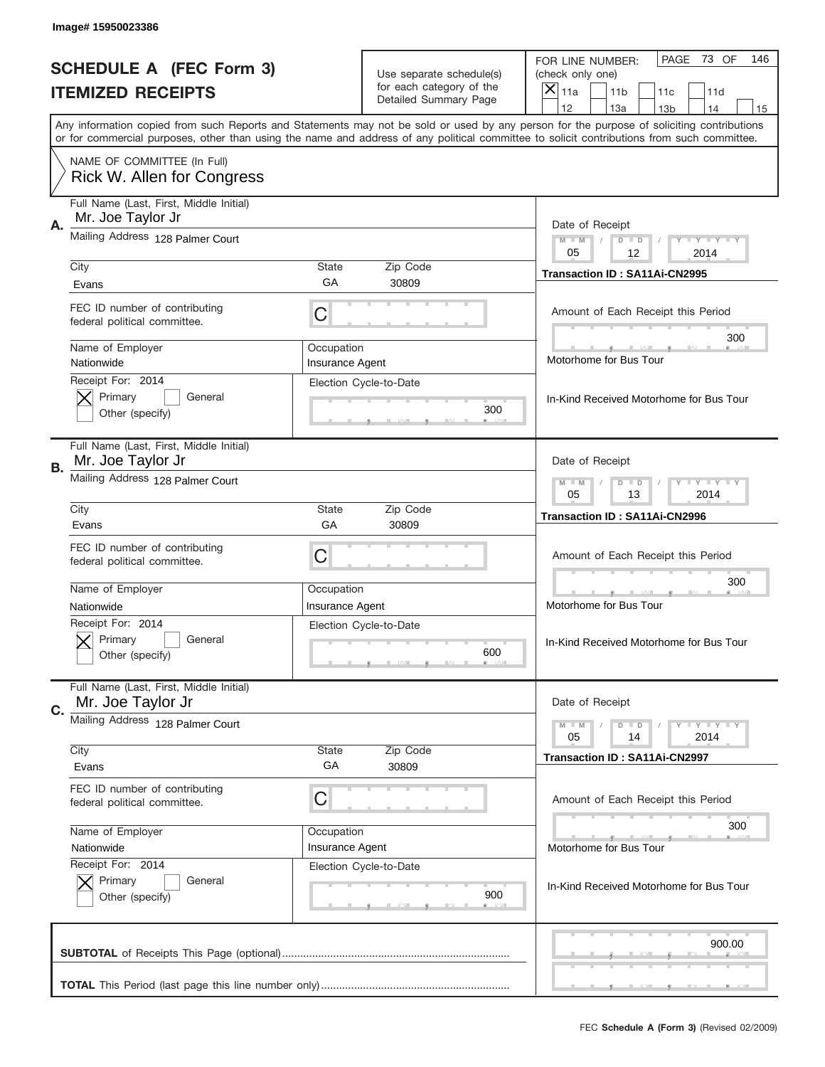|    | Image# 15950023386                                            |                 |                                                   |                                                                                                                                                                                                                                                                                         |
|----|---------------------------------------------------------------|-----------------|---------------------------------------------------|-----------------------------------------------------------------------------------------------------------------------------------------------------------------------------------------------------------------------------------------------------------------------------------------|
|    | <b>SCHEDULE A (FEC Form 3)</b>                                |                 | Use separate schedule(s)                          | PAGE<br>73 OF<br>146<br>FOR LINE NUMBER:<br>(check only one)                                                                                                                                                                                                                            |
|    | <b>ITEMIZED RECEIPTS</b>                                      |                 | for each category of the<br>Detailed Summary Page | ×<br>11a<br>11 <sub>b</sub><br>11c<br>11d                                                                                                                                                                                                                                               |
|    |                                                               |                 |                                                   | 12<br>13a<br>14<br>13 <sub>b</sub><br>15                                                                                                                                                                                                                                                |
|    |                                                               |                 |                                                   | Any information copied from such Reports and Statements may not be sold or used by any person for the purpose of soliciting contributions<br>or for commercial purposes, other than using the name and address of any political committee to solicit contributions from such committee. |
|    | NAME OF COMMITTEE (In Full)<br>Rick W. Allen for Congress     |                 |                                                   |                                                                                                                                                                                                                                                                                         |
| Α. | Full Name (Last, First, Middle Initial)<br>Mr. Joe Taylor Jr  |                 |                                                   | Date of Receipt                                                                                                                                                                                                                                                                         |
|    | Mailing Address 128 Palmer Court                              |                 |                                                   | $M - M$<br><b>LEY LEY LEY</b><br>$D$ $D$<br>05<br>12<br>2014                                                                                                                                                                                                                            |
|    | City                                                          | State           | Zip Code                                          | Transaction ID: SA11Ai-CN2995                                                                                                                                                                                                                                                           |
|    | Evans                                                         | GА              | 30809                                             |                                                                                                                                                                                                                                                                                         |
|    | FEC ID number of contributing<br>federal political committee. | C               |                                                   | Amount of Each Receipt this Period<br>300                                                                                                                                                                                                                                               |
|    | Name of Employer                                              | Occupation      |                                                   |                                                                                                                                                                                                                                                                                         |
|    | Nationwide                                                    | Insurance Agent |                                                   | Motorhome for Bus Tour                                                                                                                                                                                                                                                                  |
|    | Receipt For: 2014<br>Primary<br>General<br>Other (specify)    |                 | Election Cycle-to-Date<br>300                     | In-Kind Received Motorhome for Bus Tour                                                                                                                                                                                                                                                 |
| В. | Full Name (Last, First, Middle Initial)<br>Mr. Joe Taylor Jr  |                 |                                                   | Date of Receipt                                                                                                                                                                                                                                                                         |
|    | Mailing Address 128 Palmer Court                              |                 |                                                   | <b>LEYTEY LEY</b><br>$M - M$<br>$D$ $D$<br>05<br>13<br>2014                                                                                                                                                                                                                             |
|    | City                                                          | State<br>GA     | Zip Code<br>30809                                 | Transaction ID: SA11Ai-CN2996                                                                                                                                                                                                                                                           |
|    | Evans                                                         |                 |                                                   |                                                                                                                                                                                                                                                                                         |
|    | FEC ID number of contributing<br>federal political committee. | C               |                                                   | Amount of Each Receipt this Period                                                                                                                                                                                                                                                      |
|    | Name of Employer                                              | Occupation      |                                                   | 300                                                                                                                                                                                                                                                                                     |
|    | Nationwide                                                    | Insurance Agent |                                                   | Motorhome for Bus Tour                                                                                                                                                                                                                                                                  |
|    | Receipt For: 2014<br>General<br>Primary<br>Other (specify)    |                 | Election Cycle-to-Date<br>600                     | In-Kind Received Motorhome for Bus Tour                                                                                                                                                                                                                                                 |
| C. | Full Name (Last, First, Middle Initial)<br>Mr. Joe Taylor Jr  |                 |                                                   | Date of Receipt                                                                                                                                                                                                                                                                         |
|    | Mailing Address 128 Palmer Court                              |                 |                                                   | <b>LYLYLY</b><br>$M - M$<br>$D$ $D$<br>2014<br>05<br>14                                                                                                                                                                                                                                 |
|    | City<br>Evans                                                 | State<br>GA     | Zip Code<br>30809                                 | <b>Transaction ID: SA11Ai-CN2997</b>                                                                                                                                                                                                                                                    |
|    |                                                               |                 |                                                   |                                                                                                                                                                                                                                                                                         |
|    | FEC ID number of contributing<br>federal political committee. | C               |                                                   | Amount of Each Receipt this Period<br>300                                                                                                                                                                                                                                               |
|    | Name of Employer                                              | Occupation      |                                                   |                                                                                                                                                                                                                                                                                         |
|    | Nationwide<br>Receipt For: 2014                               | Insurance Agent |                                                   | Motorhome for Bus Tour                                                                                                                                                                                                                                                                  |
|    | Primary<br>General<br>Other (specify)                         |                 | Election Cycle-to-Date<br>900                     | In-Kind Received Motorhome for Bus Tour                                                                                                                                                                                                                                                 |
|    |                                                               |                 |                                                   | 900.00                                                                                                                                                                                                                                                                                  |
|    |                                                               |                 |                                                   | __                                                                                                                                                                                                                                                                                      |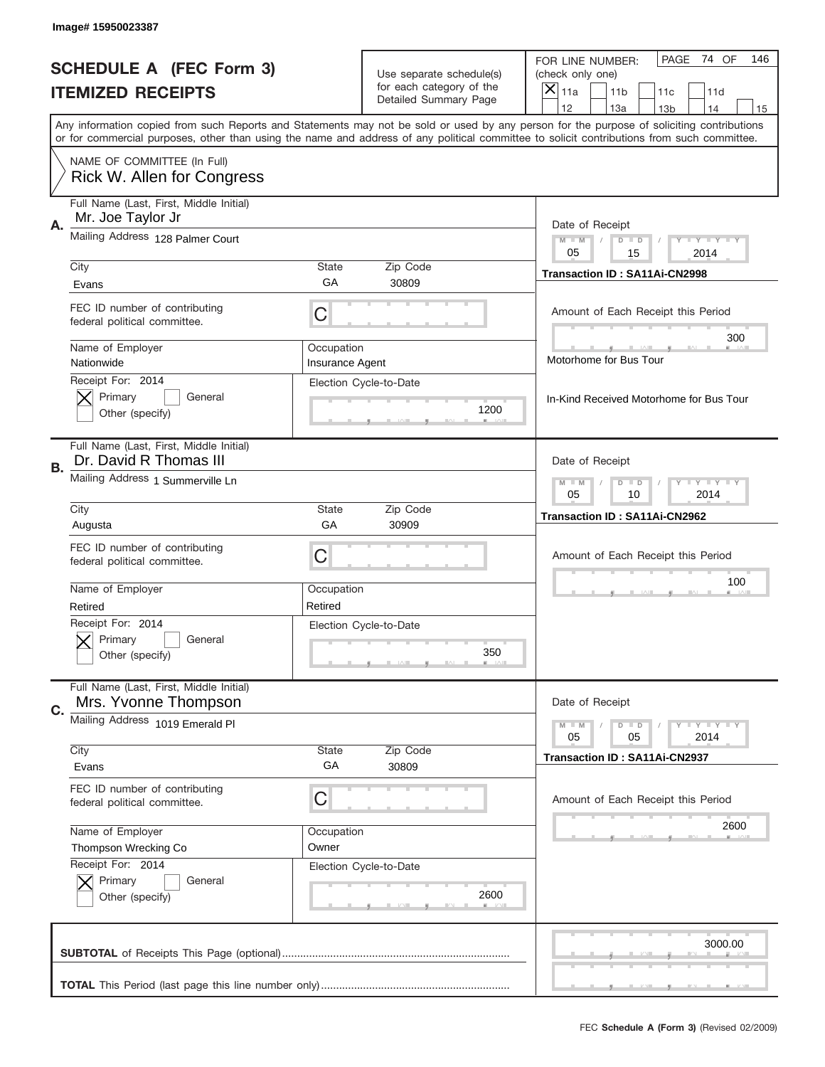|    | Image# 15950023387                                                |                               |                                                   |                                                                                                                                                                                                                                                                                                                                     |
|----|-------------------------------------------------------------------|-------------------------------|---------------------------------------------------|-------------------------------------------------------------------------------------------------------------------------------------------------------------------------------------------------------------------------------------------------------------------------------------------------------------------------------------|
|    | <b>SCHEDULE A (FEC Form 3)</b>                                    |                               | Use separate schedule(s)                          | PAGE<br>74 OF<br>146<br>FOR LINE NUMBER:<br>(check only one)                                                                                                                                                                                                                                                                        |
|    | <b>ITEMIZED RECEIPTS</b>                                          |                               | for each category of the<br>Detailed Summary Page | ×<br>11a<br>11 <sub>b</sub><br>11c<br>11d                                                                                                                                                                                                                                                                                           |
|    |                                                                   |                               |                                                   | 12<br>13a<br>14<br>13 <sub>b</sub><br>15<br>Any information copied from such Reports and Statements may not be sold or used by any person for the purpose of soliciting contributions<br>or for commercial purposes, other than using the name and address of any political committee to solicit contributions from such committee. |
|    | NAME OF COMMITTEE (In Full)<br>Rick W. Allen for Congress         |                               |                                                   |                                                                                                                                                                                                                                                                                                                                     |
| Α. | Full Name (Last, First, Middle Initial)<br>Mr. Joe Taylor Jr      |                               |                                                   | Date of Receipt                                                                                                                                                                                                                                                                                                                     |
|    | Mailing Address 128 Palmer Court                                  |                               |                                                   | $M - M$<br><b>LEY LEY LEY</b><br>$D$ $D$<br>05<br>15<br>2014                                                                                                                                                                                                                                                                        |
|    | City<br>Evans                                                     | State<br>GА                   | Zip Code<br>30809                                 | Transaction ID: SA11Ai-CN2998                                                                                                                                                                                                                                                                                                       |
|    | FEC ID number of contributing<br>federal political committee.     | C                             |                                                   | Amount of Each Receipt this Period<br>300                                                                                                                                                                                                                                                                                           |
|    | Name of Employer<br>Nationwide                                    | Occupation<br>Insurance Agent |                                                   | Motorhome for Bus Tour                                                                                                                                                                                                                                                                                                              |
|    | Receipt For: 2014<br>Primary<br>General<br>Other (specify)        |                               | Election Cycle-to-Date<br>1200                    | In-Kind Received Motorhome for Bus Tour                                                                                                                                                                                                                                                                                             |
| В. | Full Name (Last, First, Middle Initial)<br>Dr. David R Thomas III |                               |                                                   | Date of Receipt                                                                                                                                                                                                                                                                                                                     |
|    | Mailing Address 1 Summerville Ln                                  |                               |                                                   | $M$ M<br><b>LEYTEY LEY</b><br>$D$ $D$<br>05<br>10<br>2014                                                                                                                                                                                                                                                                           |
|    | City<br>Augusta                                                   | State<br>GA                   | Zip Code<br>30909                                 | Transaction ID: SA11Ai-CN2962                                                                                                                                                                                                                                                                                                       |
|    | FEC ID number of contributing<br>federal political committee.     | C                             |                                                   | Amount of Each Receipt this Period                                                                                                                                                                                                                                                                                                  |
|    | Name of Employer<br>Retired                                       | Occupation<br>Retired         |                                                   | 100                                                                                                                                                                                                                                                                                                                                 |
|    | Receipt For: 2014<br>General<br>Primary<br>Other (specify)        |                               | Election Cycle-to-Date<br>350                     |                                                                                                                                                                                                                                                                                                                                     |
| C. | Full Name (Last, First, Middle Initial)<br>Mrs. Yvonne Thompson   |                               |                                                   | Date of Receipt                                                                                                                                                                                                                                                                                                                     |
|    | Mailing Address 1019 Emerald PI<br>City                           | State                         | Zip Code                                          | <b>LY LY LY</b><br>$M - M$<br>$D$ $D$<br>05<br>2014<br>05                                                                                                                                                                                                                                                                           |
|    | Evans                                                             | GA                            | 30809                                             | <b>Transaction ID: SA11Ai-CN2937</b>                                                                                                                                                                                                                                                                                                |
|    | FEC ID number of contributing<br>federal political committee.     | C                             |                                                   | Amount of Each Receipt this Period                                                                                                                                                                                                                                                                                                  |
|    | Name of Employer<br>Thompson Wrecking Co                          | Occupation<br>Owner           |                                                   | 2600                                                                                                                                                                                                                                                                                                                                |
|    | Receipt For: 2014<br>Primary<br>General<br>Other (specify)        |                               | Election Cycle-to-Date<br>2600                    |                                                                                                                                                                                                                                                                                                                                     |
|    |                                                                   |                               |                                                   | 3000.00                                                                                                                                                                                                                                                                                                                             |
|    |                                                                   |                               |                                                   |                                                                                                                                                                                                                                                                                                                                     |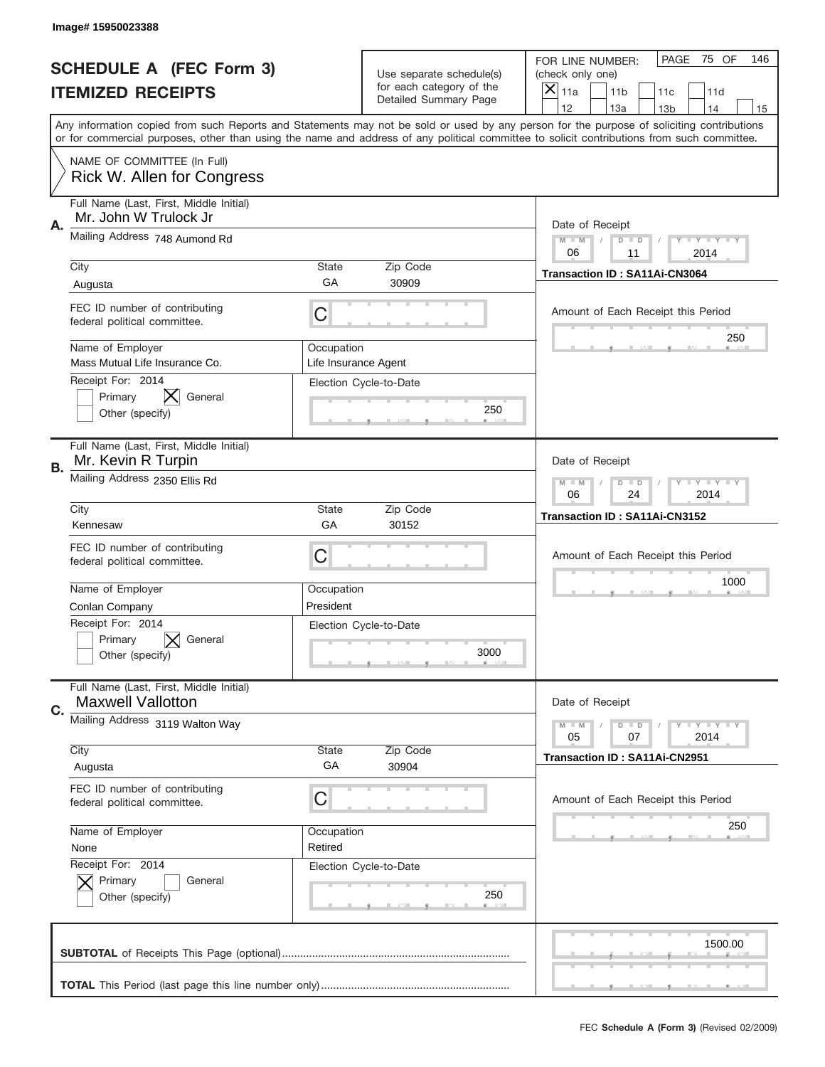|    | Image#15950023388                                                       |                                    |                                                   |                                                                                                                                                                                                                                                                                                                                     |
|----|-------------------------------------------------------------------------|------------------------------------|---------------------------------------------------|-------------------------------------------------------------------------------------------------------------------------------------------------------------------------------------------------------------------------------------------------------------------------------------------------------------------------------------|
|    | <b>SCHEDULE A (FEC Form 3)</b>                                          |                                    | Use separate schedule(s)                          | PAGE<br>75 OF<br>146<br>FOR LINE NUMBER:<br>(check only one)                                                                                                                                                                                                                                                                        |
|    | <b>ITEMIZED RECEIPTS</b>                                                |                                    | for each category of the<br>Detailed Summary Page | $\overline{X} _{11a}$<br>11 <sub>b</sub><br>11c<br>11d                                                                                                                                                                                                                                                                              |
|    |                                                                         |                                    |                                                   | 12<br>13a<br>14<br>13 <sub>b</sub><br>15<br>Any information copied from such Reports and Statements may not be sold or used by any person for the purpose of soliciting contributions<br>or for commercial purposes, other than using the name and address of any political committee to solicit contributions from such committee. |
|    | NAME OF COMMITTEE (In Full)<br>Rick W. Allen for Congress               |                                    |                                                   |                                                                                                                                                                                                                                                                                                                                     |
| Α. | Full Name (Last, First, Middle Initial)<br>Mr. John W Trulock Jr        |                                    |                                                   | Date of Receipt                                                                                                                                                                                                                                                                                                                     |
|    | Mailing Address 748 Aumond Rd                                           |                                    |                                                   | <b>LEY LEY LEY</b><br>$M - M$<br>$D$ $D$<br>06<br>11<br>2014                                                                                                                                                                                                                                                                        |
|    | City<br>Augusta                                                         | <b>State</b><br>GA                 | Zip Code<br>30909                                 | <b>Transaction ID: SA11Ai-CN3064</b>                                                                                                                                                                                                                                                                                                |
|    | FEC ID number of contributing<br>federal political committee.           | C                                  |                                                   | Amount of Each Receipt this Period<br>250                                                                                                                                                                                                                                                                                           |
|    | Name of Employer<br>Mass Mutual Life Insurance Co.<br>Receipt For: 2014 | Occupation<br>Life Insurance Agent |                                                   |                                                                                                                                                                                                                                                                                                                                     |
|    | Primary<br>General<br>Other (specify)                                   |                                    | Election Cycle-to-Date<br>250                     |                                                                                                                                                                                                                                                                                                                                     |
| В. | Full Name (Last, First, Middle Initial)<br>Mr. Kevin R Turpin           |                                    |                                                   | Date of Receipt                                                                                                                                                                                                                                                                                                                     |
|    | Mailing Address 2350 Ellis Rd                                           |                                    |                                                   | $M$ $M$<br><b>LEY LEY LEY</b><br>$D$ $D$<br>06<br>24<br>2014                                                                                                                                                                                                                                                                        |
|    | City<br>Kennesaw                                                        | <b>State</b><br>GA                 | Zip Code<br>30152                                 | Transaction ID: SA11Ai-CN3152                                                                                                                                                                                                                                                                                                       |
|    | FEC ID number of contributing<br>federal political committee.           | С                                  |                                                   | Amount of Each Receipt this Period                                                                                                                                                                                                                                                                                                  |
|    | Name of Employer<br>Conlan Company                                      | Occupation<br>President            |                                                   | 1000                                                                                                                                                                                                                                                                                                                                |
|    | Receipt For: 2014<br>Primary<br>General<br>Other (specify)              |                                    | Election Cycle-to-Date<br>3000                    |                                                                                                                                                                                                                                                                                                                                     |
| C. | Full Name (Last, First, Middle Initial)<br><b>Maxwell Vallotton</b>     |                                    |                                                   | Date of Receipt                                                                                                                                                                                                                                                                                                                     |
|    | Mailing Address 3119 Walton Way                                         |                                    |                                                   | <b>LYLYLY</b><br>$M - M$<br>$D$ $D$<br>05<br>07<br>2014                                                                                                                                                                                                                                                                             |
|    | City<br>Augusta                                                         | State<br>GA                        | Zip Code<br>30904                                 | Transaction ID: SA11Ai-CN2951                                                                                                                                                                                                                                                                                                       |
|    | FEC ID number of contributing<br>federal political committee.           | С                                  |                                                   | Amount of Each Receipt this Period                                                                                                                                                                                                                                                                                                  |
|    | Name of Employer<br>None                                                | Occupation<br>Retired              |                                                   | 250                                                                                                                                                                                                                                                                                                                                 |
|    | Receipt For: 2014<br>Primary<br>General<br>Other (specify)              |                                    | Election Cycle-to-Date<br>250                     |                                                                                                                                                                                                                                                                                                                                     |
|    |                                                                         |                                    |                                                   | 1500.00                                                                                                                                                                                                                                                                                                                             |
|    |                                                                         |                                    |                                                   |                                                                                                                                                                                                                                                                                                                                     |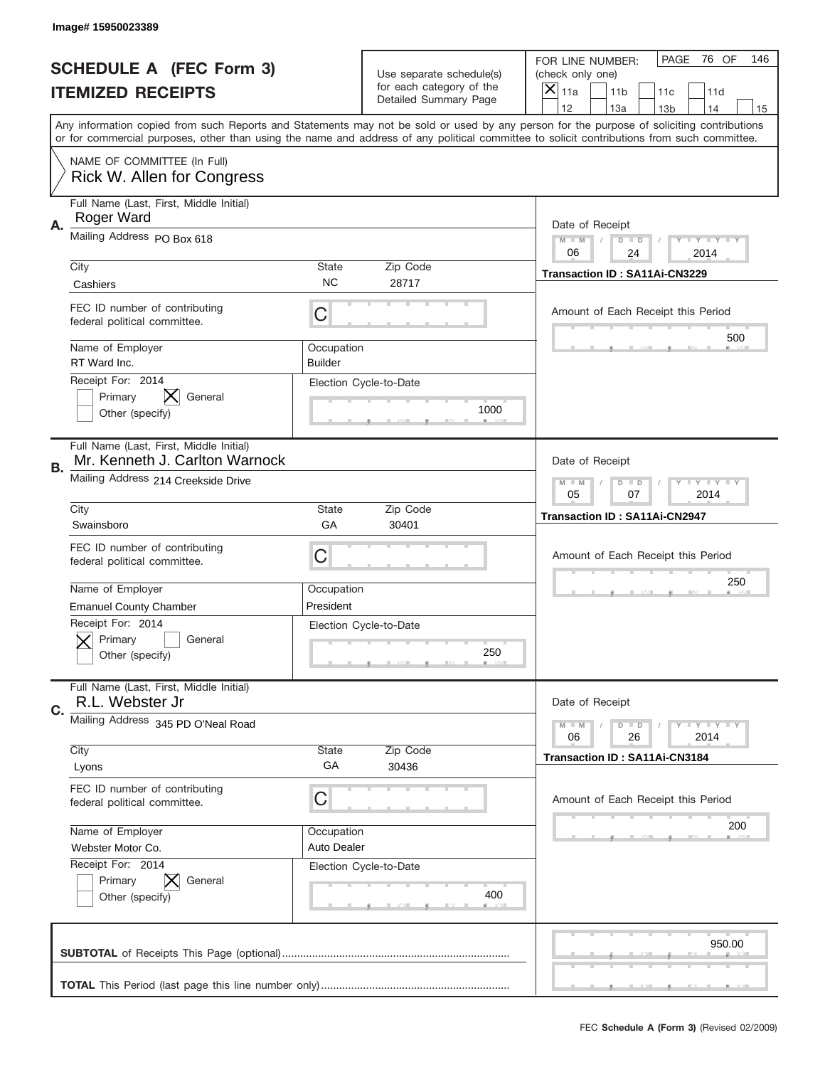|    | Image# 15950023389                                                        |                           |                                                   |                                                                                                                                                                                                                                                                                                                                     |
|----|---------------------------------------------------------------------------|---------------------------|---------------------------------------------------|-------------------------------------------------------------------------------------------------------------------------------------------------------------------------------------------------------------------------------------------------------------------------------------------------------------------------------------|
|    | <b>SCHEDULE A (FEC Form 3)</b>                                            |                           | Use separate schedule(s)                          | PAGE<br>76 OF<br>146<br>FOR LINE NUMBER:<br>(check only one)                                                                                                                                                                                                                                                                        |
|    | <b>ITEMIZED RECEIPTS</b>                                                  |                           | for each category of the<br>Detailed Summary Page | ×<br>11a<br>11 <sub>b</sub><br>11c<br>11d                                                                                                                                                                                                                                                                                           |
|    |                                                                           |                           |                                                   | 12<br>13a<br>14<br>13 <sub>b</sub><br>15<br>Any information copied from such Reports and Statements may not be sold or used by any person for the purpose of soliciting contributions<br>or for commercial purposes, other than using the name and address of any political committee to solicit contributions from such committee. |
|    | NAME OF COMMITTEE (In Full)<br>Rick W. Allen for Congress                 |                           |                                                   |                                                                                                                                                                                                                                                                                                                                     |
| Α. | Full Name (Last, First, Middle Initial)<br>Roger Ward                     |                           |                                                   | Date of Receipt                                                                                                                                                                                                                                                                                                                     |
|    | Mailing Address PO Box 618                                                |                           |                                                   | $M - M$<br><b>LEY LEY LEY</b><br>$D$ $D$<br>06<br>24<br>2014                                                                                                                                                                                                                                                                        |
|    | City<br>Cashiers                                                          | State<br><b>NC</b>        | Zip Code<br>28717                                 | Transaction ID: SA11Ai-CN3229                                                                                                                                                                                                                                                                                                       |
|    | FEC ID number of contributing<br>federal political committee.             | C                         |                                                   | Amount of Each Receipt this Period                                                                                                                                                                                                                                                                                                  |
|    | Name of Employer<br>RT Ward Inc.                                          | Occupation<br>Builder     |                                                   | 500                                                                                                                                                                                                                                                                                                                                 |
|    | Receipt For: 2014<br>Primary<br>General<br>Other (specify)                |                           | Election Cycle-to-Date<br>1000                    |                                                                                                                                                                                                                                                                                                                                     |
| В. | Full Name (Last, First, Middle Initial)<br>Mr. Kenneth J. Carlton Warnock |                           |                                                   | Date of Receipt                                                                                                                                                                                                                                                                                                                     |
|    | Mailing Address 214 Creekside Drive                                       |                           |                                                   | $M$ M<br><b>LEYTEY LEY</b><br>$D$ $D$<br>05<br>07<br>2014                                                                                                                                                                                                                                                                           |
|    | City<br>Swainsboro                                                        | State<br>GA               | Zip Code<br>30401                                 | <b>Transaction ID: SA11Ai-CN2947</b>                                                                                                                                                                                                                                                                                                |
|    | FEC ID number of contributing<br>federal political committee.             | C                         |                                                   | Amount of Each Receipt this Period                                                                                                                                                                                                                                                                                                  |
|    | Name of Employer<br><b>Emanuel County Chamber</b>                         | Occupation<br>President   |                                                   | 250                                                                                                                                                                                                                                                                                                                                 |
|    | Receipt For: 2014<br>General<br>Primary<br>Other (specify)                |                           | Election Cycle-to-Date<br>250                     |                                                                                                                                                                                                                                                                                                                                     |
| C. | Full Name (Last, First, Middle Initial)<br>R.L. Webster Jr                |                           |                                                   | Date of Receipt                                                                                                                                                                                                                                                                                                                     |
|    | Mailing Address 345 PD O'Neal Road                                        |                           |                                                   | <b>LYLYLY</b><br>$M - M$<br>$D$ $D$<br>06<br>2014<br>26                                                                                                                                                                                                                                                                             |
|    | City<br>Lyons                                                             | <b>State</b><br>GA        | Zip Code<br>30436                                 | Transaction ID: SA11Ai-CN3184                                                                                                                                                                                                                                                                                                       |
|    | FEC ID number of contributing<br>federal political committee.             | C                         |                                                   | Amount of Each Receipt this Period                                                                                                                                                                                                                                                                                                  |
|    | Name of Employer<br>Webster Motor Co.                                     | Occupation<br>Auto Dealer |                                                   | 200                                                                                                                                                                                                                                                                                                                                 |
|    | Receipt For: 2014<br>Primary<br>General<br>Other (specify)                |                           | Election Cycle-to-Date<br>400                     |                                                                                                                                                                                                                                                                                                                                     |
|    |                                                                           |                           |                                                   | 950.00                                                                                                                                                                                                                                                                                                                              |
|    |                                                                           |                           |                                                   |                                                                                                                                                                                                                                                                                                                                     |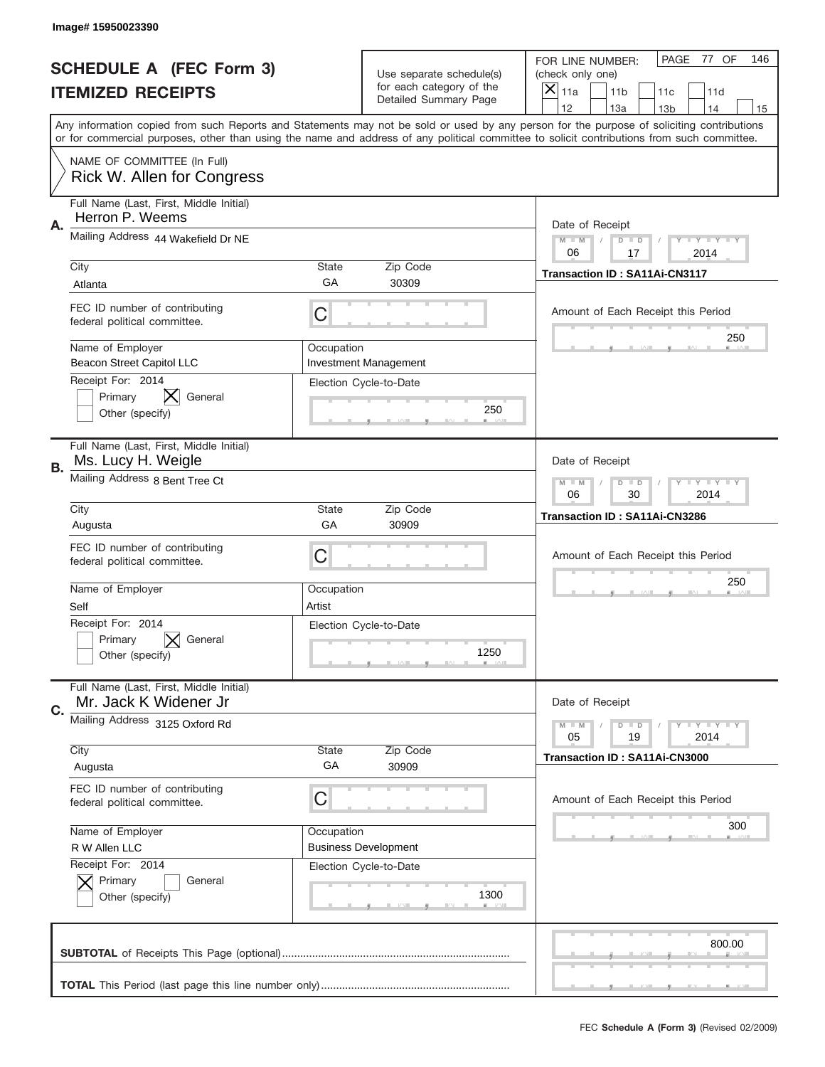|           | Image# 15950023390                                                        |                      |                                                   |                                                                                                                                                                                                                                                                                                                                     |
|-----------|---------------------------------------------------------------------------|----------------------|---------------------------------------------------|-------------------------------------------------------------------------------------------------------------------------------------------------------------------------------------------------------------------------------------------------------------------------------------------------------------------------------------|
|           | <b>SCHEDULE A (FEC Form 3)</b>                                            |                      | Use separate schedule(s)                          | PAGE<br>77 OF<br>146<br>FOR LINE NUMBER:<br>(check only one)                                                                                                                                                                                                                                                                        |
|           | <b>ITEMIZED RECEIPTS</b>                                                  |                      | for each category of the<br>Detailed Summary Page | ×<br>11a<br>11 <sub>b</sub><br>11c<br>11d                                                                                                                                                                                                                                                                                           |
|           |                                                                           |                      |                                                   | 12<br>13a<br>14<br>13 <sub>b</sub><br>15<br>Any information copied from such Reports and Statements may not be sold or used by any person for the purpose of soliciting contributions<br>or for commercial purposes, other than using the name and address of any political committee to solicit contributions from such committee. |
|           | NAME OF COMMITTEE (In Full)<br>Rick W. Allen for Congress                 |                      |                                                   |                                                                                                                                                                                                                                                                                                                                     |
| Α.        | Full Name (Last, First, Middle Initial)<br>Herron P. Weems                |                      |                                                   | Date of Receipt                                                                                                                                                                                                                                                                                                                     |
|           | Mailing Address 44 Wakefield Dr NE                                        |                      |                                                   | $M - M$<br><b>LEY LEY LEY</b><br>$D$ $D$<br>06<br>17<br>2014                                                                                                                                                                                                                                                                        |
|           | City<br>Atlanta                                                           | State<br>GА          | Zip Code<br>30309                                 | Transaction ID: SA11Ai-CN3117                                                                                                                                                                                                                                                                                                       |
|           | FEC ID number of contributing<br>federal political committee.             | C                    |                                                   | Amount of Each Receipt this Period<br>250                                                                                                                                                                                                                                                                                           |
|           | Name of Employer<br><b>Beacon Street Capitol LLC</b><br>Receipt For: 2014 | Occupation           | <b>Investment Management</b>                      |                                                                                                                                                                                                                                                                                                                                     |
|           | X.<br>General<br>Primary<br>Other (specify)                               |                      | Election Cycle-to-Date<br>250                     |                                                                                                                                                                                                                                                                                                                                     |
| <b>B.</b> | Full Name (Last, First, Middle Initial)<br>Ms. Lucy H. Weigle             |                      |                                                   | Date of Receipt                                                                                                                                                                                                                                                                                                                     |
|           | Mailing Address 8 Bent Tree Ct                                            |                      |                                                   | $M - M$<br><b>LEY LEY LEY</b><br>$D$ $D$<br>06<br>30<br>2014                                                                                                                                                                                                                                                                        |
|           | City<br>Augusta                                                           | State<br>GA          | Zip Code<br>30909                                 | Transaction ID: SA11Ai-CN3286                                                                                                                                                                                                                                                                                                       |
|           | FEC ID number of contributing<br>federal political committee.             | C                    |                                                   | Amount of Each Receipt this Period                                                                                                                                                                                                                                                                                                  |
|           | Name of Employer<br>Self                                                  | Occupation<br>Artist |                                                   | 250                                                                                                                                                                                                                                                                                                                                 |
|           | Receipt For: 2014<br>Primary<br>General<br>Other (specify)                |                      | Election Cycle-to-Date<br>1250                    |                                                                                                                                                                                                                                                                                                                                     |
|           | Full Name (Last, First, Middle Initial)                                   |                      |                                                   |                                                                                                                                                                                                                                                                                                                                     |
| C.        | Mr. Jack K Widener Jr                                                     |                      |                                                   | Date of Receipt                                                                                                                                                                                                                                                                                                                     |
|           | Mailing Address 3125 Oxford Rd                                            |                      |                                                   | <b>LEY LEY LEY</b><br>$M - M$<br>$D$ $D$<br>05<br>2014<br>19                                                                                                                                                                                                                                                                        |
|           | City<br>Augusta                                                           | State<br>GA          | Zip Code<br>30909                                 | Transaction ID: SA11Ai-CN3000                                                                                                                                                                                                                                                                                                       |
|           | FEC ID number of contributing<br>federal political committee.             | С                    |                                                   | Amount of Each Receipt this Period                                                                                                                                                                                                                                                                                                  |
|           | Name of Employer<br>R W Allen LLC                                         | Occupation           | <b>Business Development</b>                       | 300                                                                                                                                                                                                                                                                                                                                 |
|           | Receipt For: 2014<br>Primary<br>General<br>Other (specify)                |                      | Election Cycle-to-Date<br>1300                    |                                                                                                                                                                                                                                                                                                                                     |
|           |                                                                           |                      |                                                   | 800.00                                                                                                                                                                                                                                                                                                                              |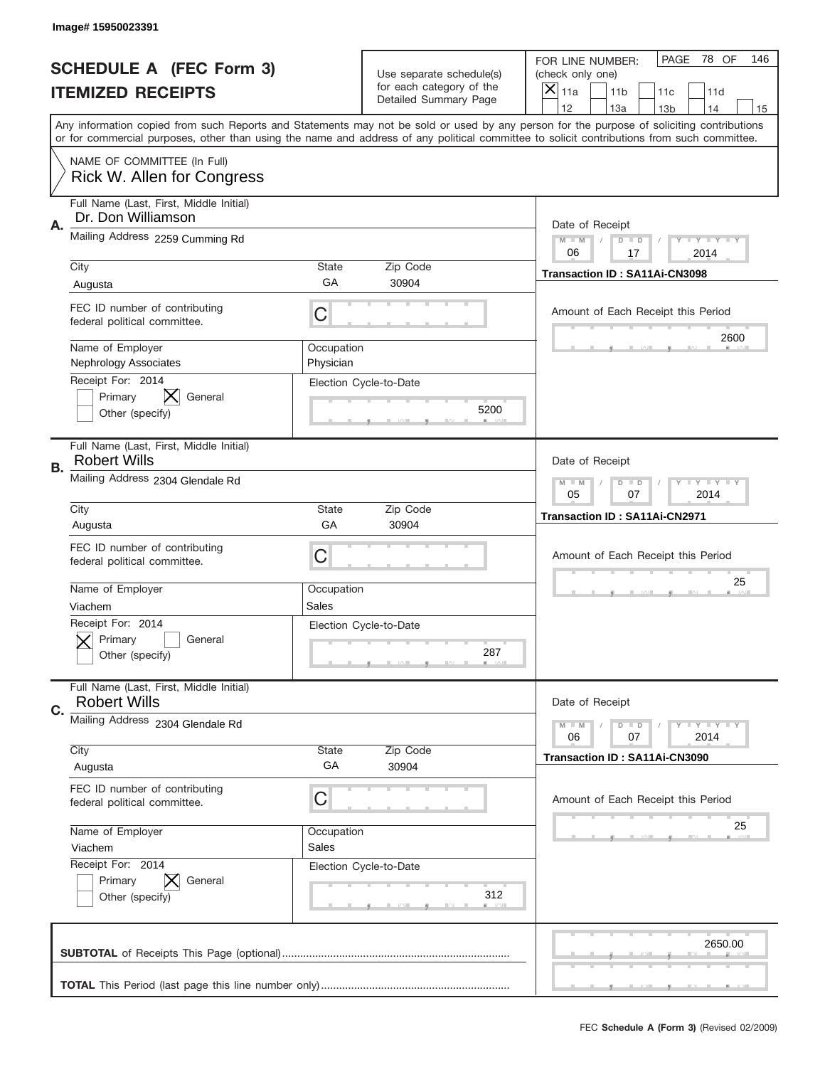|    | Image#15950023391                                                     |                         |                                                      |                                                                                                                                                                                                                                                                                         |
|----|-----------------------------------------------------------------------|-------------------------|------------------------------------------------------|-----------------------------------------------------------------------------------------------------------------------------------------------------------------------------------------------------------------------------------------------------------------------------------------|
|    | <b>SCHEDULE A (FEC Form 3)</b>                                        |                         | Use separate schedule(s)<br>for each category of the | PAGE<br>78 OF<br>146<br>FOR LINE NUMBER:<br>(check only one)                                                                                                                                                                                                                            |
|    | <b>ITEMIZED RECEIPTS</b>                                              |                         | Detailed Summary Page                                | ×<br>11a<br>11 <sub>b</sub><br>11c<br>11d<br>12<br>13a<br>14<br>13 <sub>b</sub><br>15                                                                                                                                                                                                   |
|    |                                                                       |                         |                                                      | Any information copied from such Reports and Statements may not be sold or used by any person for the purpose of soliciting contributions<br>or for commercial purposes, other than using the name and address of any political committee to solicit contributions from such committee. |
|    | NAME OF COMMITTEE (In Full)<br>Rick W. Allen for Congress             |                         |                                                      |                                                                                                                                                                                                                                                                                         |
| Α. | Full Name (Last, First, Middle Initial)<br>Dr. Don Williamson         |                         |                                                      | Date of Receipt                                                                                                                                                                                                                                                                         |
|    | Mailing Address 2259 Cumming Rd                                       |                         |                                                      | $M$ M<br>Y I Y I Y I Y<br>$D$ $D$<br>06<br>17<br>2014                                                                                                                                                                                                                                   |
|    | City<br>Augusta                                                       | State<br>GA             | Zip Code<br>30904                                    | Transaction ID: SA11Ai-CN3098                                                                                                                                                                                                                                                           |
|    | FEC ID number of contributing<br>federal political committee.         | C                       |                                                      | Amount of Each Receipt this Period<br>2600                                                                                                                                                                                                                                              |
|    | Name of Employer<br><b>Nephrology Associates</b><br>Receipt For: 2014 | Occupation<br>Physician |                                                      |                                                                                                                                                                                                                                                                                         |
|    | Primary<br>General<br>Other (specify)                                 |                         | Election Cycle-to-Date<br>5200                       |                                                                                                                                                                                                                                                                                         |
| В. | Full Name (Last, First, Middle Initial)<br><b>Robert Wills</b>        |                         |                                                      | Date of Receipt                                                                                                                                                                                                                                                                         |
|    | Mailing Address 2304 Glendale Rd                                      |                         |                                                      | <b>LYLYLY</b><br>$M - M$<br>$D$ $D$<br>05<br>07<br>2014                                                                                                                                                                                                                                 |
|    | City<br>Augusta                                                       | State<br>GA             | Zip Code<br>30904                                    | Transaction ID: SA11Ai-CN2971                                                                                                                                                                                                                                                           |
|    | FEC ID number of contributing<br>federal political committee.         | C                       |                                                      | Amount of Each Receipt this Period<br>25                                                                                                                                                                                                                                                |
|    | Name of Employer<br>Viachem                                           | Occupation<br>Sales     |                                                      |                                                                                                                                                                                                                                                                                         |
|    | Receipt For: 2014<br>General<br>Primary<br>Other (specify)            |                         | Election Cycle-to-Date<br>287                        |                                                                                                                                                                                                                                                                                         |
| C. | Full Name (Last, First, Middle Initial)<br><b>Robert Wills</b>        |                         |                                                      | Date of Receipt                                                                                                                                                                                                                                                                         |
|    | Mailing Address 2304 Glendale Rd                                      |                         |                                                      | Y I Y I Y I Y<br>$M - M$<br>$D$ $D$<br>2014<br>06<br>07                                                                                                                                                                                                                                 |
|    | City<br>Augusta                                                       | State<br>GA             | Zip Code<br>30904                                    | Transaction ID: SA11Ai-CN3090                                                                                                                                                                                                                                                           |
|    | FEC ID number of contributing<br>federal political committee.         | C                       |                                                      | Amount of Each Receipt this Period                                                                                                                                                                                                                                                      |
|    | Name of Employer<br>Viachem                                           | Occupation<br>Sales     |                                                      | 25                                                                                                                                                                                                                                                                                      |
|    | Receipt For: 2014<br>Primary<br>General<br>Other (specify)            |                         | Election Cycle-to-Date<br>312                        |                                                                                                                                                                                                                                                                                         |
|    |                                                                       |                         |                                                      | 2650.00                                                                                                                                                                                                                                                                                 |
|    |                                                                       |                         |                                                      |                                                                                                                                                                                                                                                                                         |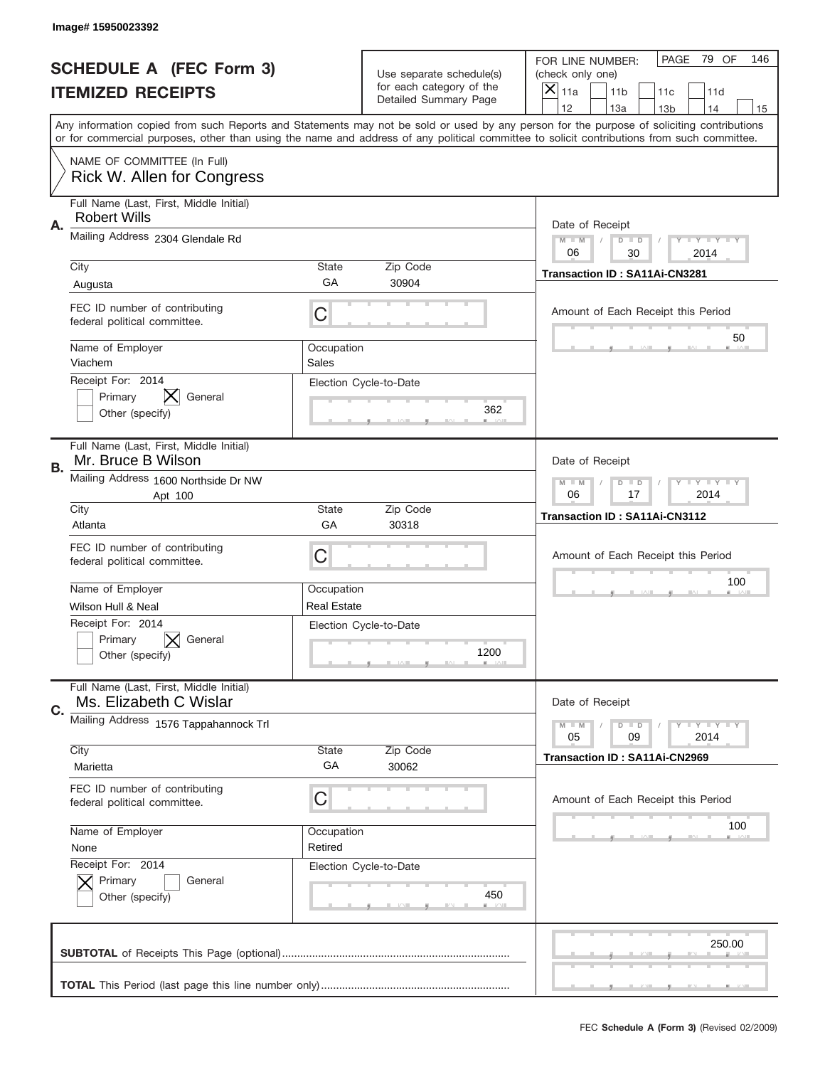|    | Image#15950023392                                                 |                     |                                                   |                                                                                                                                                                                       |
|----|-------------------------------------------------------------------|---------------------|---------------------------------------------------|---------------------------------------------------------------------------------------------------------------------------------------------------------------------------------------|
|    | <b>SCHEDULE A (FEC Form 3)</b>                                    |                     | Use separate schedule(s)                          | 79 OF<br>PAGE<br>146<br>FOR LINE NUMBER:<br>(check only one)                                                                                                                          |
|    | <b>ITEMIZED RECEIPTS</b>                                          |                     | for each category of the<br>Detailed Summary Page | ×<br>11a<br>11 <sub>b</sub><br>11c<br>11d                                                                                                                                             |
|    |                                                                   |                     |                                                   | 12<br>13a<br>14<br>13 <sub>b</sub><br>15<br>Any information copied from such Reports and Statements may not be sold or used by any person for the purpose of soliciting contributions |
|    |                                                                   |                     |                                                   | or for commercial purposes, other than using the name and address of any political committee to solicit contributions from such committee.                                            |
|    | NAME OF COMMITTEE (In Full)<br>Rick W. Allen for Congress         |                     |                                                   |                                                                                                                                                                                       |
| Α. | Full Name (Last, First, Middle Initial)<br><b>Robert Wills</b>    |                     |                                                   | Date of Receipt                                                                                                                                                                       |
|    | Mailing Address 2304 Glendale Rd                                  |                     |                                                   | $M - M$<br><b>LEY LEY LEY</b><br>$D$ $D$<br>06<br>30<br>2014                                                                                                                          |
|    | City                                                              | State               | Zip Code                                          | Transaction ID: SA11Ai-CN3281                                                                                                                                                         |
|    | Augusta                                                           | GА                  | 30904                                             |                                                                                                                                                                                       |
|    | FEC ID number of contributing<br>federal political committee.     | C                   |                                                   | Amount of Each Receipt this Period<br>50                                                                                                                                              |
|    | Name of Employer<br>Viachem                                       | Occupation<br>Sales |                                                   |                                                                                                                                                                                       |
|    | Receipt For: 2014<br>Primary<br>General<br>Other (specify)        |                     | Election Cycle-to-Date<br>362                     |                                                                                                                                                                                       |
| В. | Full Name (Last, First, Middle Initial)<br>Mr. Bruce B Wilson     |                     |                                                   | Date of Receipt                                                                                                                                                                       |
|    | Mailing Address 1600 Northside Dr NW<br>Apt 100                   |                     |                                                   | $M - M$<br>$D$ $D$<br><b>LYLYLY</b><br>06<br>17<br>2014                                                                                                                               |
|    | City<br>Atlanta                                                   | State<br>GA         | Zip Code<br>30318                                 | Transaction ID: SA11Ai-CN3112                                                                                                                                                         |
|    | FEC ID number of contributing<br>federal political committee.     | C                   |                                                   | Amount of Each Receipt this Period                                                                                                                                                    |
|    | Name of Employer                                                  | Occupation          |                                                   | 100                                                                                                                                                                                   |
|    | Wilson Hull & Neal                                                | <b>Real Estate</b>  |                                                   |                                                                                                                                                                                       |
|    | Receipt For: 2014<br>General<br>Primary<br>Other (specify)        |                     | Election Cycle-to-Date<br>1200                    |                                                                                                                                                                                       |
| C. | Full Name (Last, First, Middle Initial)<br>Ms. Elizabeth C Wislar |                     |                                                   | Date of Receipt                                                                                                                                                                       |
|    | Mailing Address 1576 Tappahannock Trl                             |                     |                                                   | <b>LEY LEY LEY</b><br>$M - M$<br>$D$ $D$<br>09<br>2014<br>05                                                                                                                          |
|    | City                                                              | State               | Zip Code                                          | <b>Transaction ID: SA11Ai-CN2969</b>                                                                                                                                                  |
|    | Marietta                                                          | GA                  | 30062                                             |                                                                                                                                                                                       |
|    | FEC ID number of contributing<br>federal political committee.     | C                   |                                                   | Amount of Each Receipt this Period                                                                                                                                                    |
|    | Name of Employer                                                  | Occupation          |                                                   | 100                                                                                                                                                                                   |
|    |                                                                   | Retired             |                                                   |                                                                                                                                                                                       |
|    | None                                                              |                     |                                                   |                                                                                                                                                                                       |
|    | Receipt For: 2014<br>Primary<br>General<br>Other (specify)        |                     | Election Cycle-to-Date<br>450                     |                                                                                                                                                                                       |
|    |                                                                   |                     |                                                   | 250.00                                                                                                                                                                                |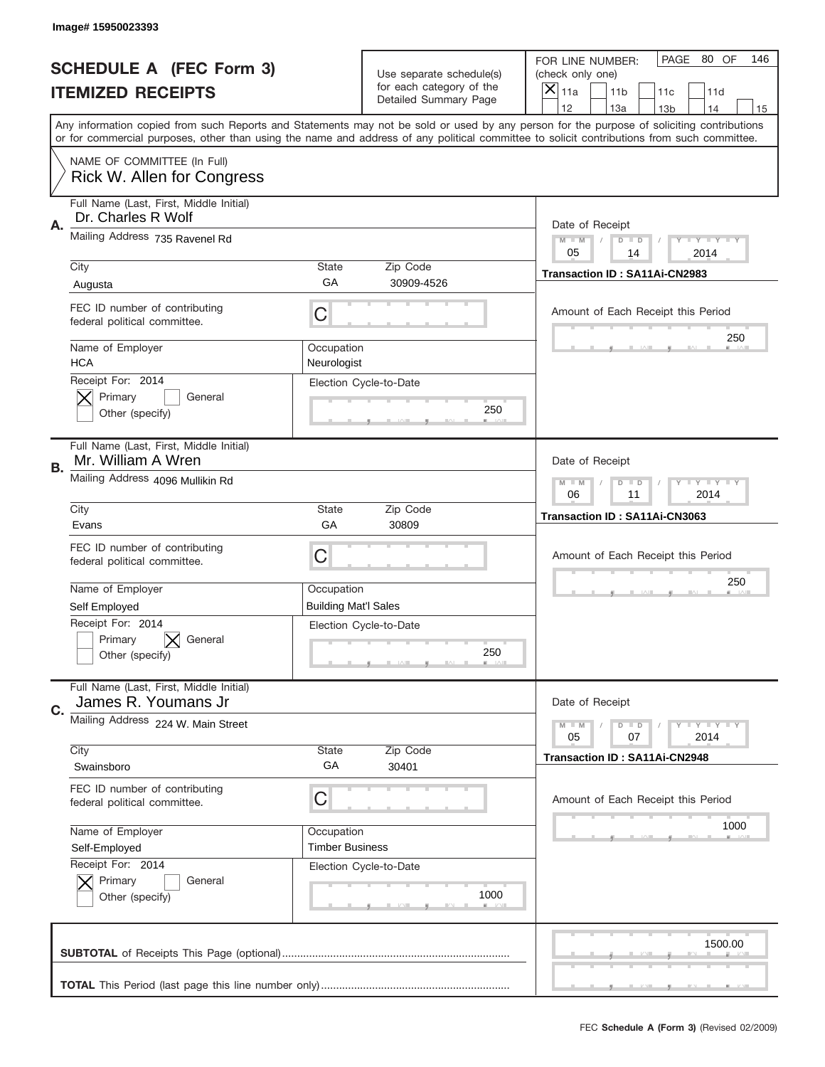|    | Image#15950023393                                              |                                                              |                                                   |                                                                                                                                                                                                                                                                                                                                     |
|----|----------------------------------------------------------------|--------------------------------------------------------------|---------------------------------------------------|-------------------------------------------------------------------------------------------------------------------------------------------------------------------------------------------------------------------------------------------------------------------------------------------------------------------------------------|
|    | <b>SCHEDULE A (FEC Form 3)</b>                                 |                                                              | Use separate schedule(s)                          | PAGE 80 OF<br>146<br>FOR LINE NUMBER:<br>(check only one)                                                                                                                                                                                                                                                                           |
|    | <b>ITEMIZED RECEIPTS</b>                                       |                                                              | for each category of the<br>Detailed Summary Page | ×<br>11a<br>11 <sub>b</sub><br>11c<br>11d                                                                                                                                                                                                                                                                                           |
|    |                                                                |                                                              |                                                   | 12<br>13a<br>14<br>13 <sub>b</sub><br>15<br>Any information copied from such Reports and Statements may not be sold or used by any person for the purpose of soliciting contributions<br>or for commercial purposes, other than using the name and address of any political committee to solicit contributions from such committee. |
|    | NAME OF COMMITTEE (In Full)<br>Rick W. Allen for Congress      |                                                              |                                                   |                                                                                                                                                                                                                                                                                                                                     |
| Α. | Full Name (Last, First, Middle Initial)<br>Dr. Charles R Wolf  |                                                              |                                                   | Date of Receipt                                                                                                                                                                                                                                                                                                                     |
|    | Mailing Address 735 Ravenel Rd                                 |                                                              |                                                   | $M - M$<br><b>LEY LEY LEY</b><br>$D$ $D$<br>05<br>2014<br>14                                                                                                                                                                                                                                                                        |
|    | City<br>Augusta                                                | State<br>GА                                                  | Zip Code<br>30909-4526                            | Transaction ID: SA11Ai-CN2983                                                                                                                                                                                                                                                                                                       |
|    | FEC ID number of contributing<br>federal political committee.  | C                                                            |                                                   | Amount of Each Receipt this Period<br>250                                                                                                                                                                                                                                                                                           |
|    | Name of Employer<br><b>HCA</b>                                 | Occupation<br>Neurologist                                    |                                                   |                                                                                                                                                                                                                                                                                                                                     |
|    | Receipt For: 2014<br>Primary<br>General<br>Other (specify)     |                                                              | Election Cycle-to-Date<br>250                     |                                                                                                                                                                                                                                                                                                                                     |
| В. | Full Name (Last, First, Middle Initial)<br>Mr. William A Wren  |                                                              |                                                   | Date of Receipt                                                                                                                                                                                                                                                                                                                     |
|    | Mailing Address 4096 Mullikin Rd                               | $M - M$<br>$D$ $D$<br><b>LEY LEY LEY</b><br>06<br>11<br>2014 |                                                   |                                                                                                                                                                                                                                                                                                                                     |
|    | City<br>Evans                                                  | State<br>GA                                                  | Zip Code<br>30809                                 | Transaction ID: SA11Ai-CN3063                                                                                                                                                                                                                                                                                                       |
|    | FEC ID number of contributing<br>federal political committee.  | C                                                            |                                                   | Amount of Each Receipt this Period                                                                                                                                                                                                                                                                                                  |
|    | Name of Employer                                               | Occupation                                                   |                                                   | 250                                                                                                                                                                                                                                                                                                                                 |
|    | Self Employed                                                  | <b>Building Mat'l Sales</b>                                  |                                                   |                                                                                                                                                                                                                                                                                                                                     |
|    | Receipt For: 2014<br>Primary<br>General<br>Other (specify)     |                                                              | Election Cycle-to-Date<br>250                     |                                                                                                                                                                                                                                                                                                                                     |
| C. | Full Name (Last, First, Middle Initial)<br>James R. Youmans Jr |                                                              |                                                   | Date of Receipt                                                                                                                                                                                                                                                                                                                     |
|    | Mailing Address 224 W. Main Street                             |                                                              |                                                   | <b>LEY LEY LEY</b><br>$M - M$<br>$D$ $D$<br>05<br>2014<br>07                                                                                                                                                                                                                                                                        |
|    |                                                                |                                                              | Zip Code                                          |                                                                                                                                                                                                                                                                                                                                     |
|    | City<br>Swainsboro                                             | State<br>GA                                                  | 30401                                             | Transaction ID: SA11Ai-CN2948                                                                                                                                                                                                                                                                                                       |
|    | FEC ID number of contributing<br>federal political committee.  | С                                                            |                                                   | Amount of Each Receipt this Period                                                                                                                                                                                                                                                                                                  |
|    | Name of Employer                                               | Occupation                                                   |                                                   | 1000                                                                                                                                                                                                                                                                                                                                |
|    | Self-Employed                                                  | <b>Timber Business</b>                                       |                                                   |                                                                                                                                                                                                                                                                                                                                     |
|    | Receipt For: 2014<br>Primary<br>General<br>Other (specify)     |                                                              | Election Cycle-to-Date<br>1000                    |                                                                                                                                                                                                                                                                                                                                     |
|    |                                                                |                                                              |                                                   | 1500.00                                                                                                                                                                                                                                                                                                                             |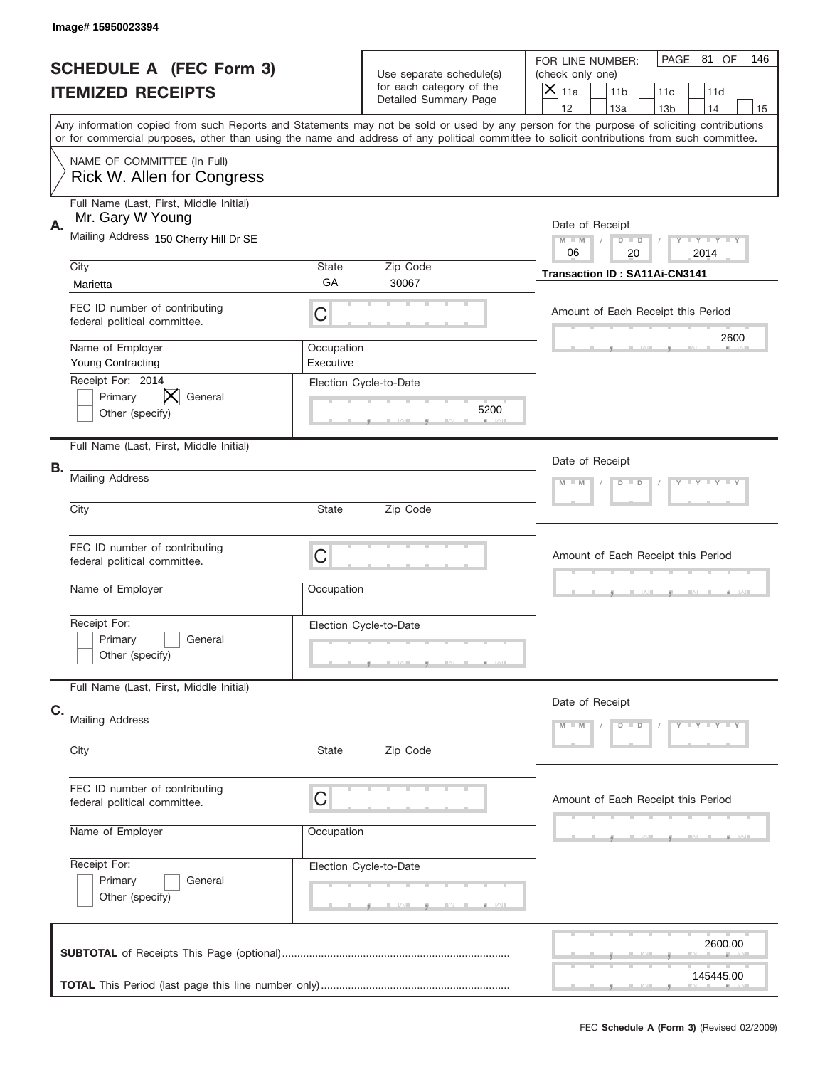|    | Image#15950023394                                                |                         |                                                                               |                                                                                                                                                                                                                                                                                         |
|----|------------------------------------------------------------------|-------------------------|-------------------------------------------------------------------------------|-----------------------------------------------------------------------------------------------------------------------------------------------------------------------------------------------------------------------------------------------------------------------------------------|
|    | <b>SCHEDULE A (FEC Form 3)</b><br><b>ITEMIZED RECEIPTS</b>       |                         | Use separate schedule(s)<br>for each category of the<br>Detailed Summary Page | PAGE 81 OF<br>146<br>FOR LINE NUMBER:<br>(check only one)<br>$\overline{\mathsf{x}}$<br>11a<br>11 <sub>b</sub><br>11c<br>11d<br>12<br>13a<br>14<br>13 <sub>b</sub><br>15                                                                                                                |
|    |                                                                  |                         |                                                                               | Any information copied from such Reports and Statements may not be sold or used by any person for the purpose of soliciting contributions<br>or for commercial purposes, other than using the name and address of any political committee to solicit contributions from such committee. |
|    | NAME OF COMMITTEE (In Full)<br>Rick W. Allen for Congress        |                         |                                                                               |                                                                                                                                                                                                                                                                                         |
| Α. | Full Name (Last, First, Middle Initial)<br>Mr. Gary W Young      |                         |                                                                               | Date of Receipt                                                                                                                                                                                                                                                                         |
|    | Mailing Address 150 Cherry Hill Dr SE                            |                         |                                                                               | Y TY TY TY<br>$M$ M<br>$D$ $D$<br>06<br>20<br>2014                                                                                                                                                                                                                                      |
|    | City<br>Marietta                                                 | State<br>GA             | Zip Code<br>30067                                                             | Transaction ID: SA11Ai-CN3141                                                                                                                                                                                                                                                           |
|    | FEC ID number of contributing<br>federal political committee.    | C                       |                                                                               | Amount of Each Receipt this Period                                                                                                                                                                                                                                                      |
|    | Name of Employer<br><b>Young Contracting</b>                     | Occupation<br>Executive |                                                                               | 2600                                                                                                                                                                                                                                                                                    |
|    | Receipt For: 2014<br>Primary<br>IХ<br>General<br>Other (specify) |                         | Election Cycle-to-Date<br>5200                                                |                                                                                                                                                                                                                                                                                         |
|    | Full Name (Last, First, Middle Initial)                          |                         |                                                                               | Date of Receipt                                                                                                                                                                                                                                                                         |
| В. | <b>Mailing Address</b>                                           |                         |                                                                               | Y TY TY TY<br>$M - M$<br>$D$ $D$                                                                                                                                                                                                                                                        |
|    | City                                                             | State                   | Zip Code                                                                      |                                                                                                                                                                                                                                                                                         |
|    | FEC ID number of contributing<br>federal political committee.    | C                       |                                                                               | Amount of Each Receipt this Period                                                                                                                                                                                                                                                      |
|    | Name of Employer                                                 | Occupation              |                                                                               |                                                                                                                                                                                                                                                                                         |
|    | Receipt For:<br>Primary<br>General<br>Other (specify)            |                         | Election Cycle-to-Date                                                        |                                                                                                                                                                                                                                                                                         |
|    | Full Name (Last, First, Middle Initial)                          |                         |                                                                               | Date of Receipt                                                                                                                                                                                                                                                                         |
| C. | <b>Mailing Address</b><br>City                                   | State                   | Zip Code                                                                      | $Y - Y - Y - Y - Y$<br>$M - M$<br>$D$ $D$                                                                                                                                                                                                                                               |
|    |                                                                  |                         |                                                                               |                                                                                                                                                                                                                                                                                         |
|    | FEC ID number of contributing<br>federal political committee.    | C                       |                                                                               | Amount of Each Receipt this Period                                                                                                                                                                                                                                                      |
|    | Name of Employer                                                 | Occupation              |                                                                               |                                                                                                                                                                                                                                                                                         |
|    | Receipt For:<br>Primary<br>General<br>Other (specify)            |                         | Election Cycle-to-Date                                                        |                                                                                                                                                                                                                                                                                         |
|    |                                                                  |                         |                                                                               | 2600.00                                                                                                                                                                                                                                                                                 |
|    |                                                                  |                         |                                                                               | 145445.00                                                                                                                                                                                                                                                                               |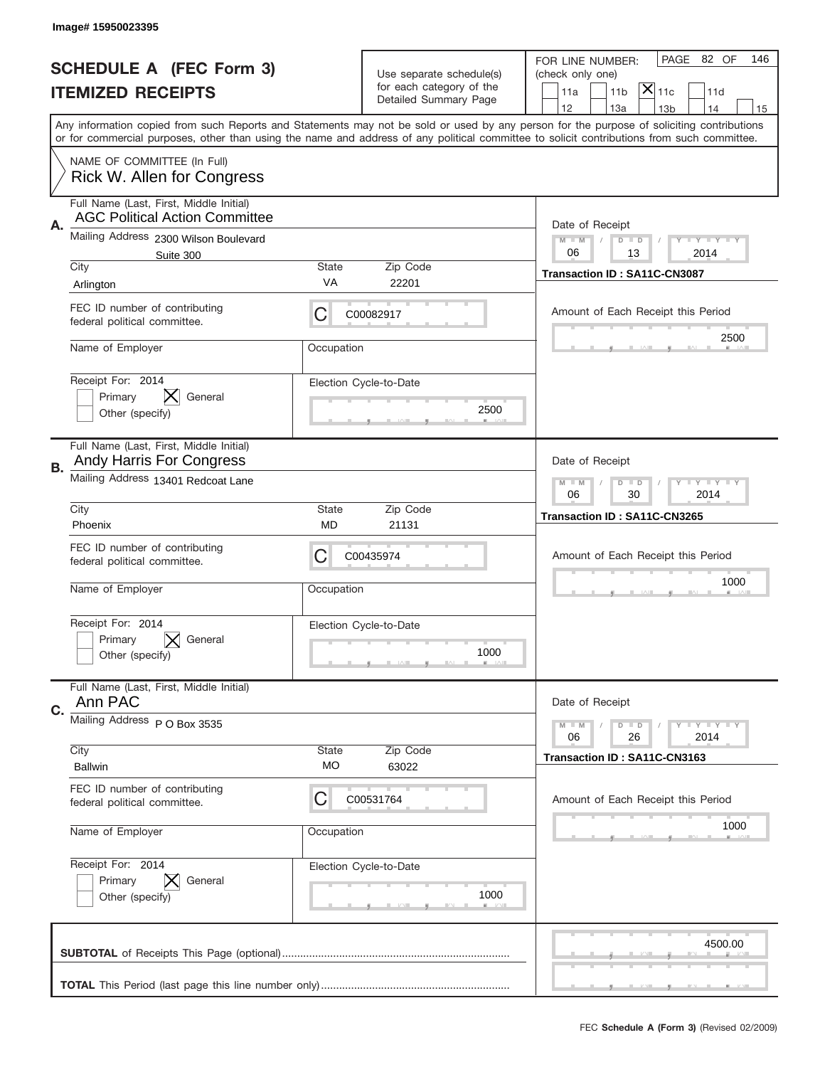|    | Image#15950023395                                                                |                                                             |                                                                               |                                                                                                                                                                                                                                                                                         |
|----|----------------------------------------------------------------------------------|-------------------------------------------------------------|-------------------------------------------------------------------------------|-----------------------------------------------------------------------------------------------------------------------------------------------------------------------------------------------------------------------------------------------------------------------------------------|
|    | <b>SCHEDULE A (FEC Form 3)</b><br><b>ITEMIZED RECEIPTS</b>                       |                                                             | Use separate schedule(s)<br>for each category of the<br>Detailed Summary Page | PAGE 82 OF<br>146<br>FOR LINE NUMBER:<br>(check only one)<br>$ \mathsf{X} _{\mathsf{11c}}$<br>11 <sub>b</sub><br>11a<br>11d<br>12<br>13a<br>13 <sub>b</sub><br>14<br>15                                                                                                                 |
|    |                                                                                  |                                                             |                                                                               | Any information copied from such Reports and Statements may not be sold or used by any person for the purpose of soliciting contributions<br>or for commercial purposes, other than using the name and address of any political committee to solicit contributions from such committee. |
|    | NAME OF COMMITTEE (In Full)<br>Rick W. Allen for Congress                        |                                                             |                                                                               |                                                                                                                                                                                                                                                                                         |
| Α. | Full Name (Last, First, Middle Initial)<br><b>AGC Political Action Committee</b> |                                                             |                                                                               | Date of Receipt                                                                                                                                                                                                                                                                         |
|    | Mailing Address 2300 Wilson Boulevard<br>Suite 300                               |                                                             |                                                                               | $M - M$<br><b>LEY LEY LEY</b><br>$D$ $D$<br>06<br>13<br>2014                                                                                                                                                                                                                            |
|    | City<br>Arlington                                                                | State<br>VA                                                 | Zip Code<br>22201                                                             | Transaction ID: SA11C-CN3087                                                                                                                                                                                                                                                            |
|    | FEC ID number of contributing<br>federal political committee.                    | С                                                           | C00082917                                                                     | Amount of Each Receipt this Period                                                                                                                                                                                                                                                      |
|    | Name of Employer                                                                 | Occupation                                                  |                                                                               | 2500                                                                                                                                                                                                                                                                                    |
|    | Receipt For: 2014<br>IХ.<br>Primary<br>General<br>Other (specify)                |                                                             | Election Cycle-to-Date<br>2500                                                |                                                                                                                                                                                                                                                                                         |
| В. | Full Name (Last, First, Middle Initial)<br>Andy Harris For Congress              |                                                             |                                                                               | Date of Receipt                                                                                                                                                                                                                                                                         |
|    | Mailing Address 13401 Redcoat Lane                                               | $M - M$<br><b>LEYTEY LEY</b><br>$D$ $D$<br>06<br>30<br>2014 |                                                                               |                                                                                                                                                                                                                                                                                         |
|    | City<br>Phoenix                                                                  | <b>State</b><br>MD                                          | Zip Code<br>21131                                                             | Transaction ID: SA11C-CN3265                                                                                                                                                                                                                                                            |
|    | FEC ID number of contributing<br>federal political committee.                    | С                                                           | C00435974                                                                     | Amount of Each Receipt this Period                                                                                                                                                                                                                                                      |
|    |                                                                                  |                                                             |                                                                               | 1000                                                                                                                                                                                                                                                                                    |
|    | Name of Employer                                                                 | Occupation                                                  |                                                                               |                                                                                                                                                                                                                                                                                         |
|    | Receipt For: 2014<br>Primary<br>General<br>Other (specify)                       |                                                             | Election Cycle-to-Date<br>1000                                                |                                                                                                                                                                                                                                                                                         |
|    | Full Name (Last, First, Middle Initial)<br>Ann PAC                               |                                                             |                                                                               | Date of Receipt                                                                                                                                                                                                                                                                         |
|    | Mailing Address P O Box 3535                                                     |                                                             |                                                                               | <b>LY LY LY</b><br>$M - M$<br>$D$ $D$<br>06<br>2014<br>26                                                                                                                                                                                                                               |
|    | City<br><b>Ballwin</b>                                                           | <b>State</b><br><b>MO</b>                                   | Zip Code<br>63022                                                             | Transaction ID: SA11C-CN3163                                                                                                                                                                                                                                                            |
|    | FEC ID number of contributing<br>federal political committee.                    | С                                                           | C00531764                                                                     | Amount of Each Receipt this Period                                                                                                                                                                                                                                                      |
|    | Name of Employer                                                                 | Occupation                                                  |                                                                               | 1000                                                                                                                                                                                                                                                                                    |
|    | Receipt For: 2014<br>Primary<br>General<br>Other (specify)                       |                                                             | Election Cycle-to-Date<br>1000                                                |                                                                                                                                                                                                                                                                                         |
| C. |                                                                                  |                                                             |                                                                               | 4500.00                                                                                                                                                                                                                                                                                 |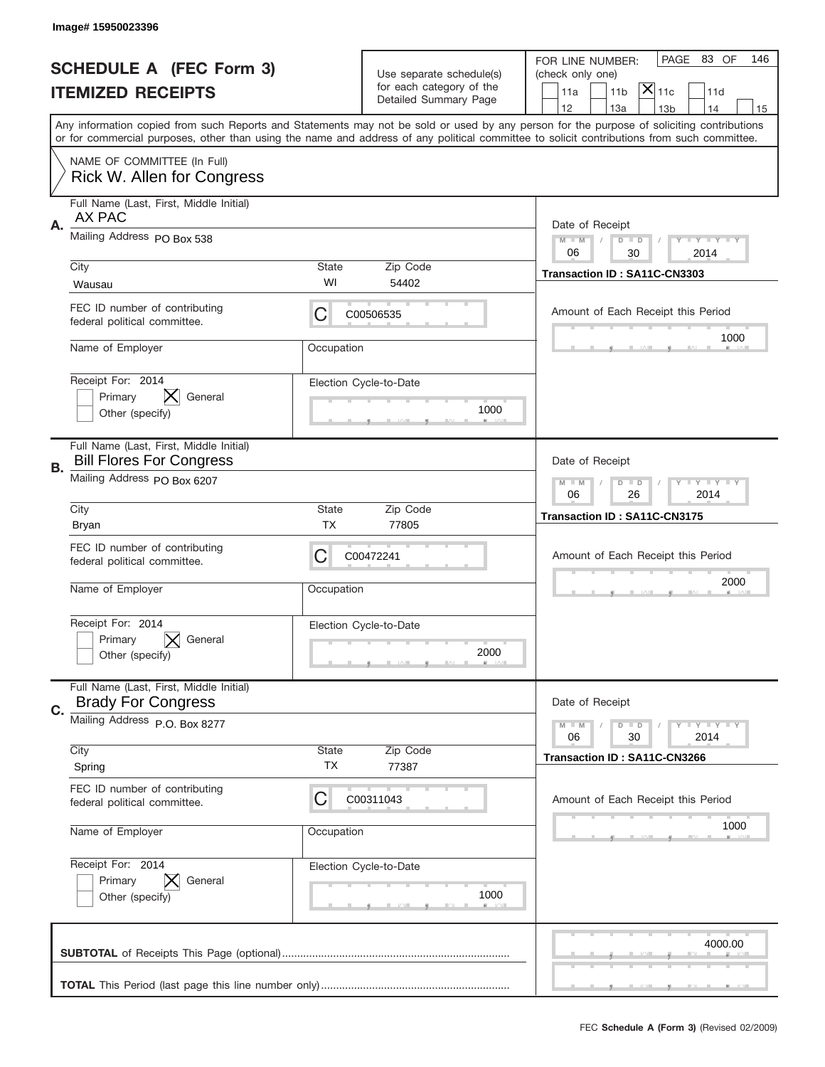|    | Image#15950023396                                                          |                    |                                                   |                                                                                                                                                                                                                                                                                                                                     |
|----|----------------------------------------------------------------------------|--------------------|---------------------------------------------------|-------------------------------------------------------------------------------------------------------------------------------------------------------------------------------------------------------------------------------------------------------------------------------------------------------------------------------------|
|    | <b>SCHEDULE A (FEC Form 3)</b>                                             |                    | Use separate schedule(s)                          | PAGE 83 OF<br>146<br>FOR LINE NUMBER:<br>(check only one)                                                                                                                                                                                                                                                                           |
|    | <b>ITEMIZED RECEIPTS</b>                                                   |                    | for each category of the<br>Detailed Summary Page | $ \overline{\mathsf{X}} _{\mathsf{11c}}$<br>11 <sub>b</sub><br>11d<br>11a                                                                                                                                                                                                                                                           |
|    |                                                                            |                    |                                                   | 12<br>13a<br>13 <sub>b</sub><br>14<br>15<br>Any information copied from such Reports and Statements may not be sold or used by any person for the purpose of soliciting contributions<br>or for commercial purposes, other than using the name and address of any political committee to solicit contributions from such committee. |
|    | NAME OF COMMITTEE (In Full)<br>Rick W. Allen for Congress                  |                    |                                                   |                                                                                                                                                                                                                                                                                                                                     |
| Α. | Full Name (Last, First, Middle Initial)<br>AX PAC                          |                    |                                                   | Date of Receipt                                                                                                                                                                                                                                                                                                                     |
|    | Mailing Address PO Box 538                                                 |                    |                                                   | $M - M$<br><b>LEY LEY LEY</b><br>$D$ $D$<br>06<br>30<br>2014                                                                                                                                                                                                                                                                        |
|    | City<br>Wausau                                                             | State<br>WI        | Zip Code<br>54402                                 | Transaction ID: SA11C-CN3303                                                                                                                                                                                                                                                                                                        |
|    | FEC ID number of contributing<br>federal political committee.              | C                  | C00506535                                         | Amount of Each Receipt this Period<br>1000                                                                                                                                                                                                                                                                                          |
|    | Name of Employer                                                           | Occupation         |                                                   |                                                                                                                                                                                                                                                                                                                                     |
|    | Receipt For: 2014<br>Primary<br>General<br>Other (specify)                 |                    | Election Cycle-to-Date<br>1000                    |                                                                                                                                                                                                                                                                                                                                     |
| В. | Full Name (Last, First, Middle Initial)<br><b>Bill Flores For Congress</b> |                    |                                                   | Date of Receipt                                                                                                                                                                                                                                                                                                                     |
|    | Mailing Address PO Box 6207                                                |                    |                                                   | $M$ M<br><b>LEYTEY LEY</b><br>$D$ $D$<br>06<br>26<br>2014                                                                                                                                                                                                                                                                           |
|    | City<br><b>Bryan</b>                                                       | State<br><b>TX</b> | Zip Code<br>77805                                 | Transaction ID: SA11C-CN3175                                                                                                                                                                                                                                                                                                        |
|    | FEC ID number of contributing<br>federal political committee.              | C                  | C00472241                                         | Amount of Each Receipt this Period                                                                                                                                                                                                                                                                                                  |
|    |                                                                            |                    |                                                   |                                                                                                                                                                                                                                                                                                                                     |
|    | Name of Employer                                                           | Occupation         |                                                   | 2000                                                                                                                                                                                                                                                                                                                                |
|    | Receipt For: 2014<br>General<br>Primary<br>Other (specify)                 |                    | Election Cycle-to-Date<br>2000                    |                                                                                                                                                                                                                                                                                                                                     |
|    | Full Name (Last, First, Middle Initial)<br><b>Brady For Congress</b>       |                    |                                                   | Date of Receipt                                                                                                                                                                                                                                                                                                                     |
| C. | Mailing Address P.O. Box 8277                                              |                    |                                                   | <b>LYLYLY</b><br>$M - M$<br>$D$ $D$<br>2014<br>06<br>30                                                                                                                                                                                                                                                                             |
|    | City<br>Spring                                                             | State<br>TX        | Zip Code<br>77387                                 | Transaction ID: SA11C-CN3266                                                                                                                                                                                                                                                                                                        |
|    | FEC ID number of contributing<br>federal political committee.              | C                  | C00311043                                         | Amount of Each Receipt this Period                                                                                                                                                                                                                                                                                                  |
|    | Name of Employer                                                           | Occupation         |                                                   | 1000                                                                                                                                                                                                                                                                                                                                |
|    | Receipt For: 2014<br>Primary<br>General<br>Other (specify)                 |                    | Election Cycle-to-Date<br>1000                    |                                                                                                                                                                                                                                                                                                                                     |
|    |                                                                            |                    |                                                   | 4000.00                                                                                                                                                                                                                                                                                                                             |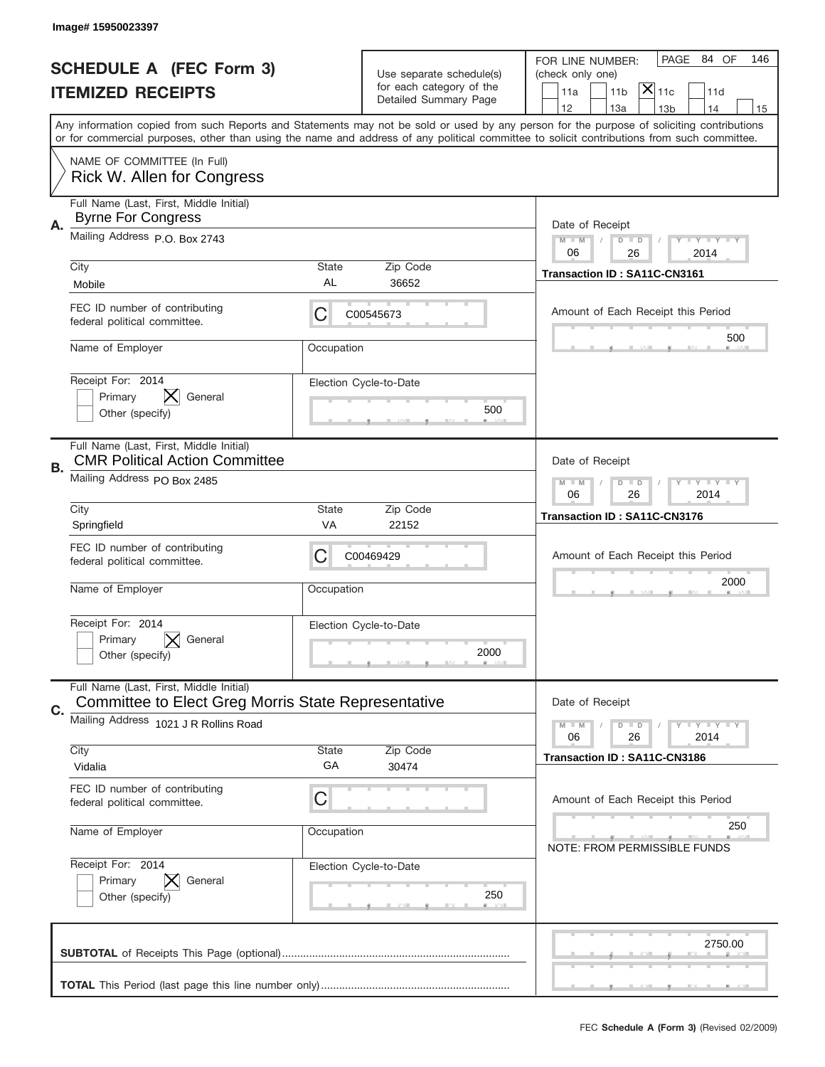|    | Image# 15950023397                                                                                    |                    |                                                      |                                                                                                                                                                                                                                                                                         |
|----|-------------------------------------------------------------------------------------------------------|--------------------|------------------------------------------------------|-----------------------------------------------------------------------------------------------------------------------------------------------------------------------------------------------------------------------------------------------------------------------------------------|
|    | <b>SCHEDULE A (FEC Form 3)</b>                                                                        |                    | Use separate schedule(s)<br>for each category of the | PAGE 84 OF<br>146<br>FOR LINE NUMBER:<br>(check only one)<br>$ \mathsf{X} _{\mathsf{11c}}$<br>11 <sub>b</sub>                                                                                                                                                                           |
|    | <b>ITEMIZED RECEIPTS</b>                                                                              |                    | Detailed Summary Page                                | 11a<br>11d<br>12<br>13a<br>13 <sub>b</sub><br>14<br>15                                                                                                                                                                                                                                  |
|    |                                                                                                       |                    |                                                      | Any information copied from such Reports and Statements may not be sold or used by any person for the purpose of soliciting contributions<br>or for commercial purposes, other than using the name and address of any political committee to solicit contributions from such committee. |
|    | NAME OF COMMITTEE (In Full)<br>Rick W. Allen for Congress                                             |                    |                                                      |                                                                                                                                                                                                                                                                                         |
| Α. | Full Name (Last, First, Middle Initial)<br><b>Byrne For Congress</b>                                  |                    |                                                      | Date of Receipt                                                                                                                                                                                                                                                                         |
|    | Mailing Address P.O. Box 2743                                                                         |                    |                                                      | $M - M$<br><b>LEY LEY LEY</b><br>$D$ $D$<br>06<br>26<br>2014                                                                                                                                                                                                                            |
|    | City<br>Mobile                                                                                        | State<br>AL        | Zip Code<br>36652                                    | Transaction ID: SA11C-CN3161                                                                                                                                                                                                                                                            |
|    | FEC ID number of contributing<br>federal political committee.                                         | С                  | C00545673                                            | Amount of Each Receipt this Period<br>500                                                                                                                                                                                                                                               |
|    | Name of Employer                                                                                      | Occupation         |                                                      |                                                                                                                                                                                                                                                                                         |
|    | Receipt For: 2014<br>Primary<br>General<br>Other (specify)                                            |                    | Election Cycle-to-Date<br>500                        |                                                                                                                                                                                                                                                                                         |
| В. | Full Name (Last, First, Middle Initial)<br><b>CMR Political Action Committee</b>                      |                    |                                                      | Date of Receipt                                                                                                                                                                                                                                                                         |
|    | Mailing Address PO Box 2485                                                                           |                    |                                                      | <b>LY LY LY</b><br>$M$ M<br>$D$ $D$<br>06<br>26<br>2014                                                                                                                                                                                                                                 |
|    | City<br>Springfield                                                                                   | State<br>VA        | Zip Code<br>22152                                    | Transaction ID: SA11C-CN3176                                                                                                                                                                                                                                                            |
|    | FEC ID number of contributing<br>federal political committee.                                         | С                  | C00469429                                            | Amount of Each Receipt this Period                                                                                                                                                                                                                                                      |
|    |                                                                                                       |                    |                                                      | 2000                                                                                                                                                                                                                                                                                    |
|    | Name of Employer                                                                                      | Occupation         |                                                      |                                                                                                                                                                                                                                                                                         |
|    | Receipt For: 2014<br>General<br>Primary<br>Other (specify)                                            |                    | Election Cycle-to-Date<br>2000                       |                                                                                                                                                                                                                                                                                         |
| C. | Full Name (Last, First, Middle Initial)<br><b>Committee to Elect Greg Morris State Representative</b> |                    |                                                      | Date of Receipt                                                                                                                                                                                                                                                                         |
|    | Mailing Address 1021 J R Rollins Road                                                                 |                    |                                                      | <b>LY LY LY</b><br>$M - M$<br>$D$ $D$<br>06<br>2014<br>26                                                                                                                                                                                                                               |
|    | City<br>Vidalia                                                                                       | <b>State</b><br>GA | Zip Code<br>30474                                    | Transaction ID: SA11C-CN3186                                                                                                                                                                                                                                                            |
|    | FEC ID number of contributing<br>federal political committee.                                         | C                  |                                                      | Amount of Each Receipt this Period                                                                                                                                                                                                                                                      |
|    | Name of Employer                                                                                      | Occupation         |                                                      | 250<br><b>NOTE: FROM PERMISSIBLE FUNDS</b>                                                                                                                                                                                                                                              |
|    | Receipt For: 2014<br>Primary<br>General<br>Other (specify)                                            |                    | Election Cycle-to-Date<br>250                        |                                                                                                                                                                                                                                                                                         |
|    |                                                                                                       |                    |                                                      | 2750.00                                                                                                                                                                                                                                                                                 |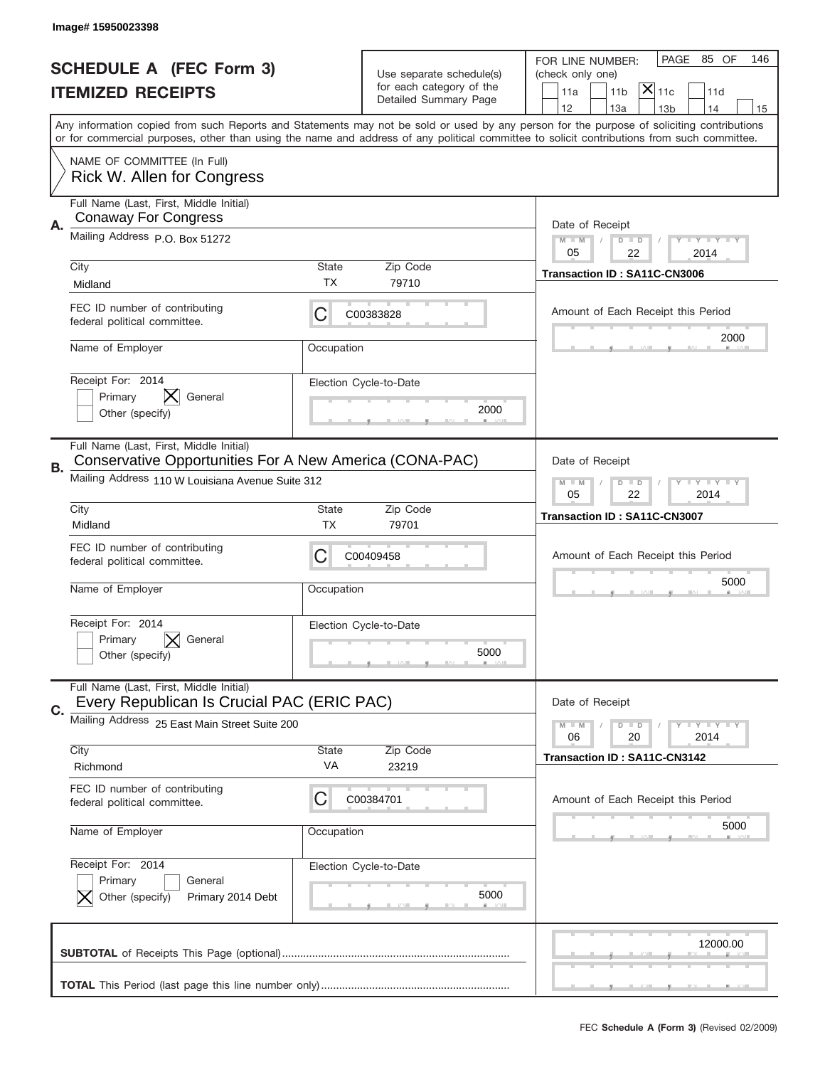|    | Image# 15950023398                                                                                                                                     |             |                                                   |                                                                                                                                                                                                                                                                                                                               |
|----|--------------------------------------------------------------------------------------------------------------------------------------------------------|-------------|---------------------------------------------------|-------------------------------------------------------------------------------------------------------------------------------------------------------------------------------------------------------------------------------------------------------------------------------------------------------------------------------|
|    | <b>SCHEDULE A (FEC Form 3)</b>                                                                                                                         |             | Use separate schedule(s)                          | PAGE 85 OF<br>146<br>FOR LINE NUMBER:<br>(check only one)                                                                                                                                                                                                                                                                     |
|    | <b>ITEMIZED RECEIPTS</b>                                                                                                                               |             | for each category of the<br>Detailed Summary Page | $ \overline{\mathsf{X}} _{\mathsf{11c}}$<br>11a<br>11 <sub>b</sub><br>11d<br>14                                                                                                                                                                                                                                               |
|    |                                                                                                                                                        |             |                                                   | 12<br>13a<br>13 <sub>b</sub><br>15<br>Any information copied from such Reports and Statements may not be sold or used by any person for the purpose of soliciting contributions<br>or for commercial purposes, other than using the name and address of any political committee to solicit contributions from such committee. |
|    | NAME OF COMMITTEE (In Full)<br>Rick W. Allen for Congress                                                                                              |             |                                                   |                                                                                                                                                                                                                                                                                                                               |
| Α. | Full Name (Last, First, Middle Initial)<br><b>Conaway For Congress</b>                                                                                 |             |                                                   | Date of Receipt                                                                                                                                                                                                                                                                                                               |
|    | Mailing Address P.O. Box 51272                                                                                                                         |             |                                                   | <b>LYLYLY</b><br>$M - M$<br>$D$ $D$<br>05<br>22<br>2014                                                                                                                                                                                                                                                                       |
|    | City<br>Midland                                                                                                                                        | State<br>ТX | Zip Code<br>79710                                 | Transaction ID: SA11C-CN3006                                                                                                                                                                                                                                                                                                  |
|    | FEC ID number of contributing<br>federal political committee.                                                                                          | C           | C00383828                                         | Amount of Each Receipt this Period<br>2000                                                                                                                                                                                                                                                                                    |
|    | Name of Employer                                                                                                                                       | Occupation  |                                                   |                                                                                                                                                                                                                                                                                                                               |
|    | Receipt For: 2014<br>Primary<br>General<br>Other (specify)                                                                                             |             | Election Cycle-to-Date<br>2000                    |                                                                                                                                                                                                                                                                                                                               |
| В. | Full Name (Last, First, Middle Initial)<br>Conservative Opportunities For A New America (CONA-PAC)<br>Mailing Address 110 W Louisiana Avenue Suite 312 |             |                                                   | Date of Receipt                                                                                                                                                                                                                                                                                                               |
|    | City                                                                                                                                                   | State       | Zip Code                                          | <b>LEYTEY LEY</b><br>$M$ $M$<br>$D$ $D$<br>05<br>22<br>2014                                                                                                                                                                                                                                                                   |
|    | Midland                                                                                                                                                | TX          | 79701                                             | Transaction ID: SA11C-CN3007                                                                                                                                                                                                                                                                                                  |
|    | FEC ID number of contributing<br>federal political committee.                                                                                          | C           | C00409458                                         | Amount of Each Receipt this Period<br>5000                                                                                                                                                                                                                                                                                    |
|    | Name of Employer                                                                                                                                       | Occupation  |                                                   |                                                                                                                                                                                                                                                                                                                               |
|    | Receipt For: 2014                                                                                                                                      |             | Election Cycle-to-Date                            |                                                                                                                                                                                                                                                                                                                               |
|    | General<br>Primary<br>Other (specify)                                                                                                                  |             | 5000                                              |                                                                                                                                                                                                                                                                                                                               |
|    | Full Name (Last, First, Middle Initial)<br>Every Republican Is Crucial PAC (ERIC PAC)                                                                  |             |                                                   | Date of Receipt                                                                                                                                                                                                                                                                                                               |
| C. | Mailing Address 25 East Main Street Suite 200                                                                                                          |             |                                                   | <b>LY LY LY</b><br>$M - M$<br>$\overline{D}$<br>$\Box$<br>2014<br>06<br>20                                                                                                                                                                                                                                                    |
|    | City<br>Richmond                                                                                                                                       | State<br>VA | Zip Code<br>23219                                 | Transaction ID: SA11C-CN3142                                                                                                                                                                                                                                                                                                  |
|    | FEC ID number of contributing<br>federal political committee.                                                                                          | C           | C00384701                                         | Amount of Each Receipt this Period                                                                                                                                                                                                                                                                                            |
|    | Name of Employer                                                                                                                                       | Occupation  |                                                   | 5000                                                                                                                                                                                                                                                                                                                          |
|    | Receipt For: 2014<br>Primary<br>General<br>Other (specify)<br>Primary 2014 Debt                                                                        |             | Election Cycle-to-Date<br>5000                    |                                                                                                                                                                                                                                                                                                                               |
|    |                                                                                                                                                        |             |                                                   | 12000.00                                                                                                                                                                                                                                                                                                                      |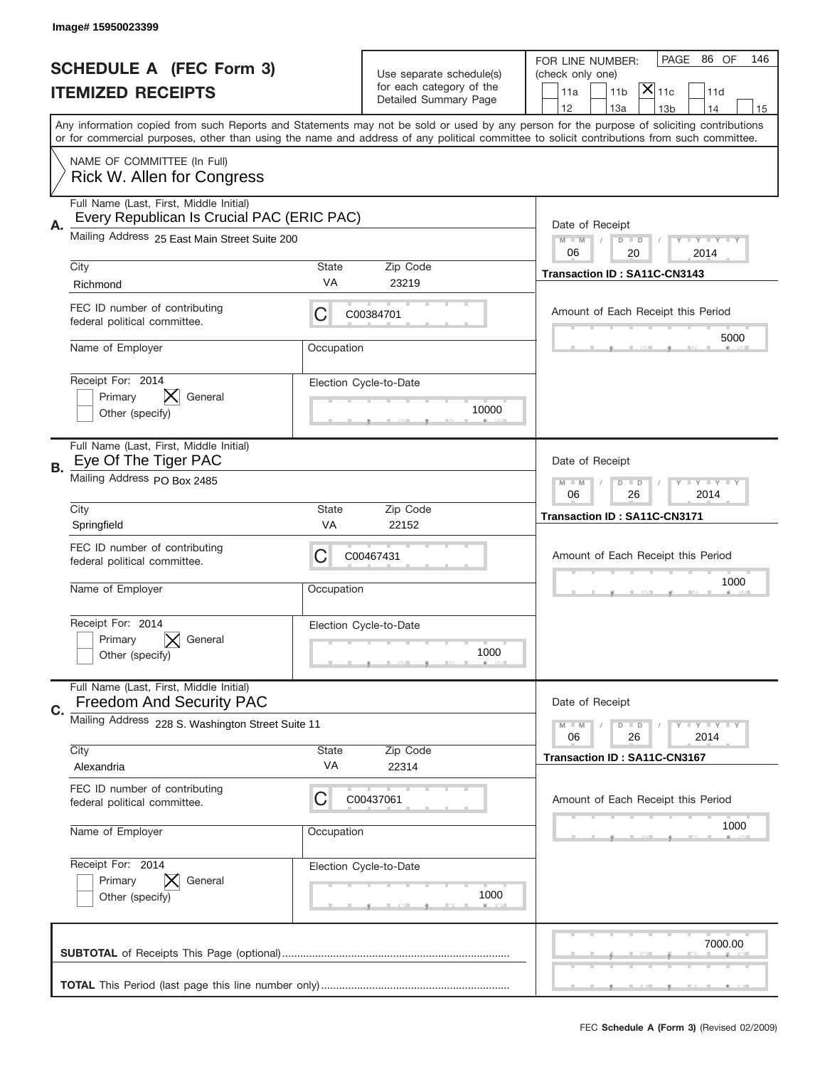|    | Image# 15950023399                                                                    |             |                                                      |                                                                                                                                                                                                                                                                                         |
|----|---------------------------------------------------------------------------------------|-------------|------------------------------------------------------|-----------------------------------------------------------------------------------------------------------------------------------------------------------------------------------------------------------------------------------------------------------------------------------------|
|    | <b>SCHEDULE A (FEC Form 3)</b>                                                        |             |                                                      | PAGE 86 OF<br>146<br>FOR LINE NUMBER:                                                                                                                                                                                                                                                   |
|    | <b>ITEMIZED RECEIPTS</b>                                                              |             | Use separate schedule(s)<br>for each category of the | (check only one)<br>$\mathsf{X} _{\mathsf{11c}}$<br>11 <sub>b</sub><br>11d<br>11a                                                                                                                                                                                                       |
|    |                                                                                       |             | Detailed Summary Page                                | 12<br>13a<br>14<br>13 <sub>b</sub><br>15                                                                                                                                                                                                                                                |
|    |                                                                                       |             |                                                      | Any information copied from such Reports and Statements may not be sold or used by any person for the purpose of soliciting contributions<br>or for commercial purposes, other than using the name and address of any political committee to solicit contributions from such committee. |
|    | NAME OF COMMITTEE (In Full)<br>Rick W. Allen for Congress                             |             |                                                      |                                                                                                                                                                                                                                                                                         |
| А. | Full Name (Last, First, Middle Initial)<br>Every Republican Is Crucial PAC (ERIC PAC) |             |                                                      | Date of Receipt                                                                                                                                                                                                                                                                         |
|    | Mailing Address 25 East Main Street Suite 200                                         |             |                                                      | <b>LEY LEY LEY</b><br>$M - M$<br>$D$ $D$<br>06<br>20<br>2014                                                                                                                                                                                                                            |
|    | City<br>Richmond                                                                      | State<br>VA | Zip Code<br>23219                                    | Transaction ID: SA11C-CN3143                                                                                                                                                                                                                                                            |
|    | FEC ID number of contributing<br>federal political committee.                         | C           | C00384701                                            | Amount of Each Receipt this Period                                                                                                                                                                                                                                                      |
|    | Name of Employer                                                                      | Occupation  |                                                      | 5000                                                                                                                                                                                                                                                                                    |
|    | Receipt For: 2014<br>⋉<br>Primary<br>General<br>Other (specify)                       |             | Election Cycle-to-Date<br>10000                      |                                                                                                                                                                                                                                                                                         |
| В. | Full Name (Last, First, Middle Initial)<br>Eye Of The Tiger PAC                       |             |                                                      | Date of Receipt                                                                                                                                                                                                                                                                         |
|    | Mailing Address PO Box 2485                                                           |             |                                                      | <b>LY LY LY</b><br>$M - M$<br>$D$ $D$<br>06<br>26<br>2014                                                                                                                                                                                                                               |
|    | City<br>Springfield                                                                   | State<br>VA | Zip Code<br>22152                                    | Transaction ID: SA11C-CN3171                                                                                                                                                                                                                                                            |
|    |                                                                                       |             |                                                      |                                                                                                                                                                                                                                                                                         |
|    | FEC ID number of contributing<br>federal political committee.                         | C           | C00467431                                            | Amount of Each Receipt this Period                                                                                                                                                                                                                                                      |
|    | Name of Employer                                                                      | Occupation  |                                                      | 1000                                                                                                                                                                                                                                                                                    |
|    | Receipt For: 2014<br>General<br>Primary<br>Other (specify)                            |             | Election Cycle-to-Date<br>1000                       |                                                                                                                                                                                                                                                                                         |
|    | Full Name (Last, First, Middle Initial)<br><b>Freedom And Security PAC</b>            |             |                                                      | Date of Receipt                                                                                                                                                                                                                                                                         |
| C. | Mailing Address 228 S. Washington Street Suite 11                                     |             |                                                      | <b>LYLYLY</b><br>$M - M$<br>$D$ $D$<br>2014<br>06<br>26                                                                                                                                                                                                                                 |
|    | City<br>Alexandria                                                                    | State<br>VA | Zip Code<br>22314                                    | Transaction ID: SA11C-CN3167                                                                                                                                                                                                                                                            |
|    | FEC ID number of contributing<br>federal political committee.                         | C           | C00437061                                            | Amount of Each Receipt this Period                                                                                                                                                                                                                                                      |
|    | Name of Employer                                                                      | Occupation  |                                                      | 1000                                                                                                                                                                                                                                                                                    |
|    | Receipt For: 2014<br>Primary<br>General<br>Other (specify)                            |             | Election Cycle-to-Date<br>1000                       |                                                                                                                                                                                                                                                                                         |
|    |                                                                                       |             |                                                      | 7000.00                                                                                                                                                                                                                                                                                 |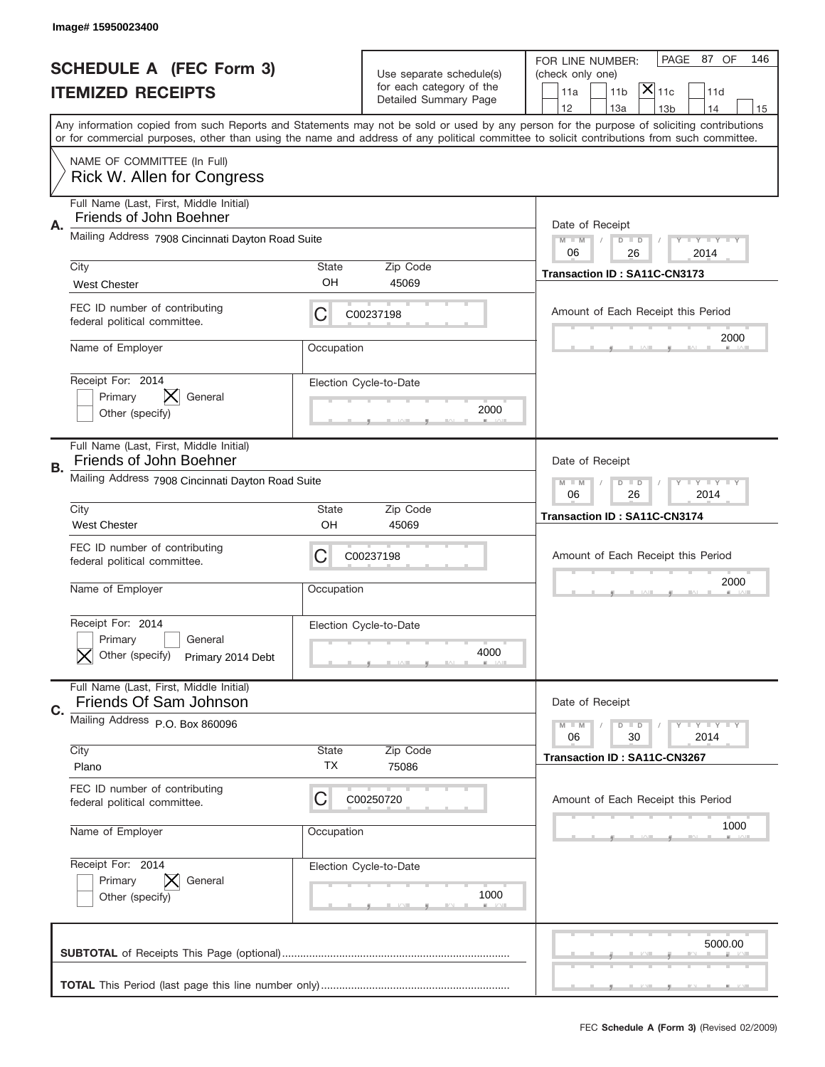|    | Image# 15950023400                                                              |                    |                                                   |                                                                                                                                                                                                                                                                                                                                     |
|----|---------------------------------------------------------------------------------|--------------------|---------------------------------------------------|-------------------------------------------------------------------------------------------------------------------------------------------------------------------------------------------------------------------------------------------------------------------------------------------------------------------------------------|
|    | <b>SCHEDULE A (FEC Form 3)</b>                                                  |                    | Use separate schedule(s)                          | PAGE 87 OF<br>146<br>FOR LINE NUMBER:<br>(check only one)                                                                                                                                                                                                                                                                           |
|    | <b>ITEMIZED RECEIPTS</b>                                                        |                    | for each category of the<br>Detailed Summary Page | $ \overline{\mathsf{X}} _{\mathsf{11c}}$<br>11a<br>11 <sub>b</sub><br>11d                                                                                                                                                                                                                                                           |
|    |                                                                                 |                    |                                                   | 12<br>13a<br>14<br>13 <sub>b</sub><br>15<br>Any information copied from such Reports and Statements may not be sold or used by any person for the purpose of soliciting contributions<br>or for commercial purposes, other than using the name and address of any political committee to solicit contributions from such committee. |
|    | NAME OF COMMITTEE (In Full)<br>Rick W. Allen for Congress                       |                    |                                                   |                                                                                                                                                                                                                                                                                                                                     |
| Α. | Full Name (Last, First, Middle Initial)<br>Friends of John Boehner              |                    |                                                   | Date of Receipt                                                                                                                                                                                                                                                                                                                     |
|    | Mailing Address 7908 Cincinnati Dayton Road Suite                               |                    |                                                   | $M - M$<br><b>LYLYLY</b><br>$D$ $D$<br>06<br>26<br>2014                                                                                                                                                                                                                                                                             |
|    | City<br><b>West Chester</b>                                                     | State<br>OH        | Zip Code<br>45069                                 | Transaction ID: SA11C-CN3173                                                                                                                                                                                                                                                                                                        |
|    | FEC ID number of contributing<br>federal political committee.                   | C                  | C00237198                                         | Amount of Each Receipt this Period<br>2000                                                                                                                                                                                                                                                                                          |
|    | Name of Employer                                                                | Occupation         |                                                   |                                                                                                                                                                                                                                                                                                                                     |
|    | Receipt For: 2014<br>Primary<br>General<br>Other (specify)                      |                    | Election Cycle-to-Date<br>2000                    |                                                                                                                                                                                                                                                                                                                                     |
| В. | Full Name (Last, First, Middle Initial)<br>Friends of John Boehner              |                    |                                                   | Date of Receipt                                                                                                                                                                                                                                                                                                                     |
|    | Mailing Address 7908 Cincinnati Dayton Road Suite                               |                    |                                                   | $M - M$<br><b>LYLYLY</b><br>$D$ $D$<br>06<br>26<br>2014                                                                                                                                                                                                                                                                             |
|    | City<br><b>West Chester</b>                                                     | State<br>OH        | Zip Code<br>45069                                 | Transaction ID: SA11C-CN3174                                                                                                                                                                                                                                                                                                        |
|    | FEC ID number of contributing<br>federal political committee.                   | C                  | C00237198                                         | Amount of Each Receipt this Period                                                                                                                                                                                                                                                                                                  |
|    |                                                                                 |                    |                                                   | 2000                                                                                                                                                                                                                                                                                                                                |
|    | Name of Employer                                                                | Occupation         |                                                   |                                                                                                                                                                                                                                                                                                                                     |
|    | Receipt For: 2014<br>General<br>Primary<br>Other (specify)<br>Primary 2014 Debt |                    | Election Cycle-to-Date<br>4000                    |                                                                                                                                                                                                                                                                                                                                     |
|    | Full Name (Last, First, Middle Initial)<br>Friends Of Sam Johnson               |                    |                                                   | Date of Receipt                                                                                                                                                                                                                                                                                                                     |
| C. | Mailing Address P.O. Box 860096                                                 |                    |                                                   | <b>LEY LEY LEY</b><br>$M - M$<br>$D$ $D$<br>06<br>2014<br>30                                                                                                                                                                                                                                                                        |
|    | City<br>Plano                                                                   | <b>State</b><br>TX | Zip Code<br>75086                                 | Transaction ID: SA11C-CN3267                                                                                                                                                                                                                                                                                                        |
|    | FEC ID number of contributing<br>federal political committee.                   | C                  | C00250720                                         | Amount of Each Receipt this Period                                                                                                                                                                                                                                                                                                  |
|    | Name of Employer                                                                | Occupation         |                                                   | 1000                                                                                                                                                                                                                                                                                                                                |
|    | Receipt For: 2014<br>Primary<br>General<br>Other (specify)                      |                    | Election Cycle-to-Date<br>1000                    |                                                                                                                                                                                                                                                                                                                                     |
|    |                                                                                 |                    |                                                   | 5000.00                                                                                                                                                                                                                                                                                                                             |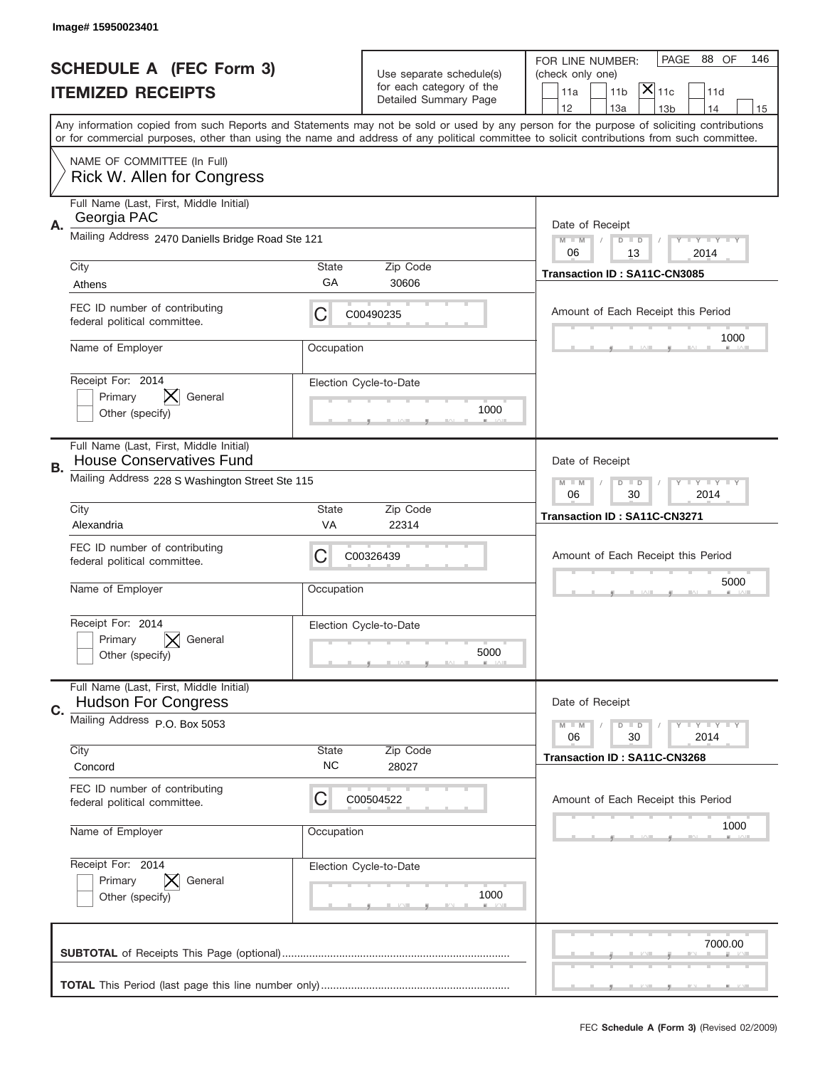|    | Image# 15950023401                                                         |                    |                                                      |                                                                                                                                                                                                                                                                                         |
|----|----------------------------------------------------------------------------|--------------------|------------------------------------------------------|-----------------------------------------------------------------------------------------------------------------------------------------------------------------------------------------------------------------------------------------------------------------------------------------|
|    | <b>SCHEDULE A (FEC Form 3)</b>                                             |                    |                                                      | PAGE<br>88 OF<br>146<br>FOR LINE NUMBER:                                                                                                                                                                                                                                                |
|    | <b>ITEMIZED RECEIPTS</b>                                                   |                    | Use separate schedule(s)<br>for each category of the | (check only one)<br>$ \mathsf{\overline{X}} _{\mathsf{11c}}$<br>11 <sub>b</sub><br>11a<br>11d                                                                                                                                                                                           |
|    |                                                                            |                    | Detailed Summary Page                                | 12<br>13a<br>13 <sub>b</sub><br>14<br>15                                                                                                                                                                                                                                                |
|    |                                                                            |                    |                                                      | Any information copied from such Reports and Statements may not be sold or used by any person for the purpose of soliciting contributions<br>or for commercial purposes, other than using the name and address of any political committee to solicit contributions from such committee. |
|    | NAME OF COMMITTEE (In Full)<br>Rick W. Allen for Congress                  |                    |                                                      |                                                                                                                                                                                                                                                                                         |
| А. | Full Name (Last, First, Middle Initial)<br>Georgia PAC                     |                    |                                                      | Date of Receipt                                                                                                                                                                                                                                                                         |
|    | Mailing Address 2470 Daniells Bridge Road Ste 121                          |                    |                                                      | $M - M$<br>Y I Y I Y I Y<br>$D$ $D$<br>06<br>13<br>2014                                                                                                                                                                                                                                 |
|    | City<br>Athens                                                             | State<br>GA        | Zip Code<br>30606                                    | Transaction ID: SA11C-CN3085                                                                                                                                                                                                                                                            |
|    | FEC ID number of contributing<br>federal political committee.              | C                  | C00490235                                            | Amount of Each Receipt this Period<br>1000                                                                                                                                                                                                                                              |
|    | Name of Employer                                                           | Occupation         |                                                      |                                                                                                                                                                                                                                                                                         |
|    | Receipt For: 2014<br>Primary<br>General<br>Other (specify)                 |                    | Election Cycle-to-Date<br>1000                       |                                                                                                                                                                                                                                                                                         |
| В. | Full Name (Last, First, Middle Initial)<br><b>House Conservatives Fund</b> |                    |                                                      | Date of Receipt                                                                                                                                                                                                                                                                         |
|    | Mailing Address 228 S Washington Street Ste 115                            |                    |                                                      | <b>LYLYLY</b><br>$M - M$<br>$D$ $D$<br>06<br>30<br>2014                                                                                                                                                                                                                                 |
|    | City<br>Alexandria                                                         | State<br>VA        | Zip Code<br>22314                                    | Transaction ID: SA11C-CN3271                                                                                                                                                                                                                                                            |
|    |                                                                            |                    |                                                      |                                                                                                                                                                                                                                                                                         |
|    | FEC ID number of contributing<br>federal political committee.              | C                  | C00326439                                            | Amount of Each Receipt this Period                                                                                                                                                                                                                                                      |
|    | Name of Employer                                                           | Occupation         |                                                      | 5000                                                                                                                                                                                                                                                                                    |
|    | Receipt For: 2014<br>General<br>Primary<br>Other (specify)                 |                    | Election Cycle-to-Date<br>5000                       |                                                                                                                                                                                                                                                                                         |
|    | Full Name (Last, First, Middle Initial)<br><b>Hudson For Congress</b>      |                    |                                                      | Date of Receipt                                                                                                                                                                                                                                                                         |
| C. | Mailing Address P.O. Box 5053                                              |                    |                                                      | $T$ $Y$ $Y$ $Y$ $Y$<br>$M - M$<br>$D$ $D$<br>30<br>2014<br>06                                                                                                                                                                                                                           |
|    | City<br>Concord                                                            | State<br><b>NC</b> | Zip Code<br>28027                                    | Transaction ID: SA11C-CN3268                                                                                                                                                                                                                                                            |
|    | FEC ID number of contributing<br>federal political committee.              | C                  | C00504522                                            | Amount of Each Receipt this Period                                                                                                                                                                                                                                                      |
|    | Name of Employer                                                           | Occupation         |                                                      | 1000                                                                                                                                                                                                                                                                                    |
|    | Receipt For: 2014<br>Primary<br>General<br>Other (specify)                 |                    | Election Cycle-to-Date<br>1000                       |                                                                                                                                                                                                                                                                                         |
|    |                                                                            |                    |                                                      | 7000.00                                                                                                                                                                                                                                                                                 |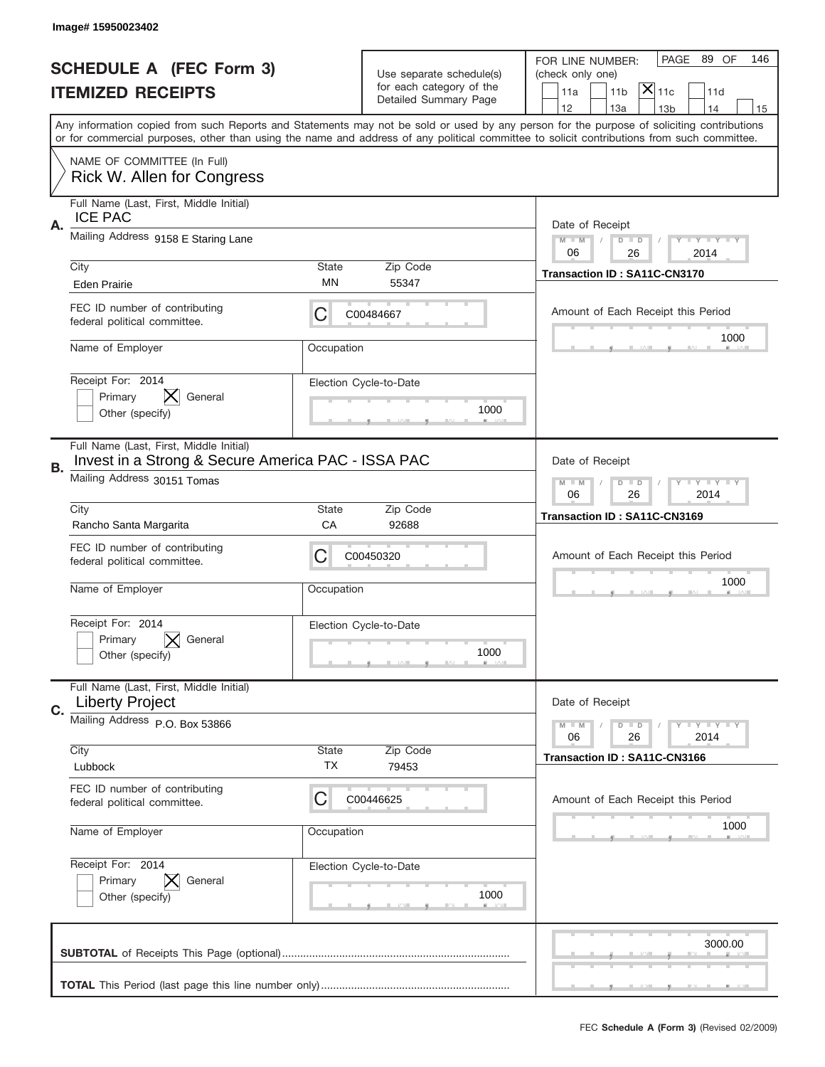|    | Image# 15950023402                                                                                                           |             |                                                      |                                                                                                                                                                                                                                                                                         |
|----|------------------------------------------------------------------------------------------------------------------------------|-------------|------------------------------------------------------|-----------------------------------------------------------------------------------------------------------------------------------------------------------------------------------------------------------------------------------------------------------------------------------------|
|    | <b>SCHEDULE A (FEC Form 3)</b>                                                                                               |             |                                                      | PAGE<br>89 OF<br>146<br>FOR LINE NUMBER:                                                                                                                                                                                                                                                |
|    | <b>ITEMIZED RECEIPTS</b>                                                                                                     |             | Use separate schedule(s)<br>for each category of the | (check only one)<br>$ \mathsf{\overline{X}} _{\mathsf{11c}}$<br>11 <sub>b</sub><br>11a<br>11d                                                                                                                                                                                           |
|    |                                                                                                                              |             | Detailed Summary Page                                | 12<br>13a<br>13 <sub>b</sub><br>14<br>15                                                                                                                                                                                                                                                |
|    |                                                                                                                              |             |                                                      | Any information copied from such Reports and Statements may not be sold or used by any person for the purpose of soliciting contributions<br>or for commercial purposes, other than using the name and address of any political committee to solicit contributions from such committee. |
|    | NAME OF COMMITTEE (In Full)<br>Rick W. Allen for Congress                                                                    |             |                                                      |                                                                                                                                                                                                                                                                                         |
| Α. | Full Name (Last, First, Middle Initial)<br><b>ICE PAC</b>                                                                    |             |                                                      | Date of Receipt                                                                                                                                                                                                                                                                         |
|    | Mailing Address 9158 E Staring Lane                                                                                          |             |                                                      | Y I Y I Y I Y<br>$M - M$<br>$D$ $D$<br>06<br>26<br>2014                                                                                                                                                                                                                                 |
|    | City<br><b>Eden Prairie</b>                                                                                                  | State<br>MN | Zip Code<br>55347                                    | Transaction ID: SA11C-CN3170                                                                                                                                                                                                                                                            |
|    | FEC ID number of contributing<br>federal political committee.                                                                | C           | C00484667                                            | Amount of Each Receipt this Period<br>1000                                                                                                                                                                                                                                              |
|    | Name of Employer                                                                                                             | Occupation  |                                                      |                                                                                                                                                                                                                                                                                         |
|    | Receipt For: 2014<br>Primary<br>General<br>Other (specify)                                                                   |             | Election Cycle-to-Date<br>1000                       |                                                                                                                                                                                                                                                                                         |
| В. | Full Name (Last, First, Middle Initial)<br>Invest in a Strong & Secure America PAC - ISSA PAC<br>Mailing Address 30151 Tomas |             |                                                      | Date of Receipt<br><b>LYLYLY</b><br>$M - M$<br>$D$ $D$                                                                                                                                                                                                                                  |
|    | City                                                                                                                         | State       | Zip Code                                             | 06<br>26<br>2014                                                                                                                                                                                                                                                                        |
|    | Rancho Santa Margarita                                                                                                       | CA          | 92688                                                | Transaction ID: SA11C-CN3169                                                                                                                                                                                                                                                            |
|    | FEC ID number of contributing<br>federal political committee.                                                                | C           | C00450320                                            | Amount of Each Receipt this Period                                                                                                                                                                                                                                                      |
|    | Name of Employer                                                                                                             | Occupation  |                                                      | 1000                                                                                                                                                                                                                                                                                    |
|    | Receipt For: 2014                                                                                                            |             | Election Cycle-to-Date                               |                                                                                                                                                                                                                                                                                         |
|    | General<br>Primary<br>Other (specify)                                                                                        |             | 1000                                                 |                                                                                                                                                                                                                                                                                         |
|    | Full Name (Last, First, Middle Initial)<br><b>Liberty Project</b>                                                            |             |                                                      | Date of Receipt                                                                                                                                                                                                                                                                         |
| C. | Mailing Address P.O. Box 53866                                                                                               |             |                                                      | Y TY TY TY<br>$M - M$<br>$D$ $D$<br>26<br>2014<br>06                                                                                                                                                                                                                                    |
|    | City<br>Lubbock                                                                                                              | State<br>ТX | Zip Code<br>79453                                    | Transaction ID: SA11C-CN3166                                                                                                                                                                                                                                                            |
|    | FEC ID number of contributing<br>federal political committee.                                                                | C           | C00446625                                            | Amount of Each Receipt this Period                                                                                                                                                                                                                                                      |
|    | Name of Employer                                                                                                             | Occupation  |                                                      | 1000                                                                                                                                                                                                                                                                                    |
|    | Receipt For: 2014<br>Primary<br>General<br>Other (specify)                                                                   |             | Election Cycle-to-Date<br>1000                       |                                                                                                                                                                                                                                                                                         |
|    |                                                                                                                              |             |                                                      | 3000.00                                                                                                                                                                                                                                                                                 |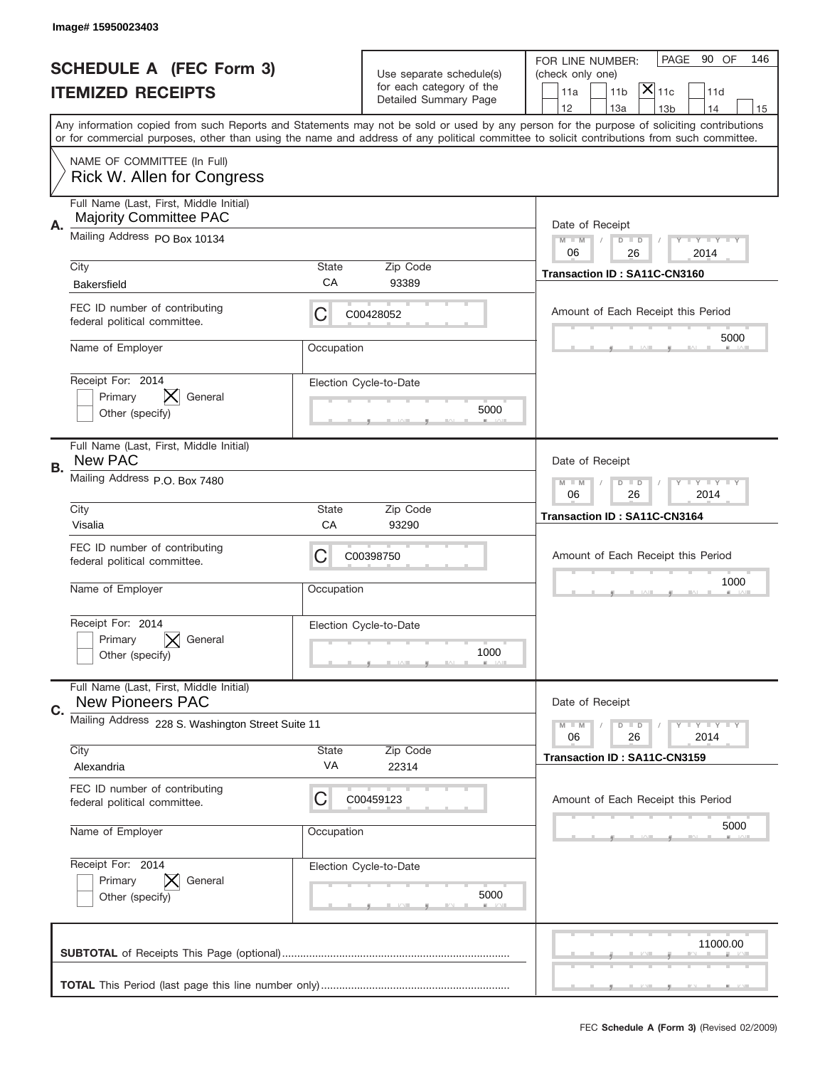|    | Image# 15950023403                                                       |             |                                                   |                                                                                                                                                                                                                                                                                                                                     |
|----|--------------------------------------------------------------------------|-------------|---------------------------------------------------|-------------------------------------------------------------------------------------------------------------------------------------------------------------------------------------------------------------------------------------------------------------------------------------------------------------------------------------|
|    | <b>SCHEDULE A (FEC Form 3)</b>                                           |             | Use separate schedule(s)                          | 90 OF<br>PAGE<br>146<br>FOR LINE NUMBER:<br>(check only one)                                                                                                                                                                                                                                                                        |
|    | <b>ITEMIZED RECEIPTS</b>                                                 |             | for each category of the<br>Detailed Summary Page | $ \overline{\mathsf{X}} _{\mathsf{11c}}$<br>11a<br>11 <sub>b</sub><br>11d                                                                                                                                                                                                                                                           |
|    |                                                                          |             |                                                   | 12<br>13a<br>14<br>13 <sub>b</sub><br>15<br>Any information copied from such Reports and Statements may not be sold or used by any person for the purpose of soliciting contributions<br>or for commercial purposes, other than using the name and address of any political committee to solicit contributions from such committee. |
|    | NAME OF COMMITTEE (In Full)<br>Rick W. Allen for Congress                |             |                                                   |                                                                                                                                                                                                                                                                                                                                     |
| Α. | Full Name (Last, First, Middle Initial)<br><b>Majority Committee PAC</b> |             |                                                   | Date of Receipt                                                                                                                                                                                                                                                                                                                     |
|    | Mailing Address PO Box 10134                                             |             |                                                   | $M - M$<br><b>LEY LEY LEY</b><br>$D$ $D$<br>06<br>26<br>2014                                                                                                                                                                                                                                                                        |
|    | City<br><b>Bakersfield</b>                                               | State<br>CA | Zip Code<br>93389                                 | Transaction ID: SA11C-CN3160                                                                                                                                                                                                                                                                                                        |
|    | FEC ID number of contributing<br>federal political committee.            | C           | C00428052                                         | Amount of Each Receipt this Period                                                                                                                                                                                                                                                                                                  |
|    | Name of Employer                                                         | Occupation  |                                                   | 5000                                                                                                                                                                                                                                                                                                                                |
|    | Receipt For: 2014<br>Primary<br>General<br>Other (specify)               |             | Election Cycle-to-Date<br>5000                    |                                                                                                                                                                                                                                                                                                                                     |
| В. | Full Name (Last, First, Middle Initial)<br><b>New PAC</b>                |             |                                                   | Date of Receipt                                                                                                                                                                                                                                                                                                                     |
|    | Mailing Address P.O. Box 7480                                            |             |                                                   | $M$ M<br><b>LEYTEY LEY</b><br>$D$ $D$<br>06<br>26<br>2014                                                                                                                                                                                                                                                                           |
|    | City<br>Visalia                                                          | State<br>CA | Zip Code<br>93290                                 | Transaction ID: SA11C-CN3164                                                                                                                                                                                                                                                                                                        |
|    | FEC ID number of contributing<br>federal political committee.            | C           | C00398750                                         | Amount of Each Receipt this Period                                                                                                                                                                                                                                                                                                  |
|    |                                                                          |             |                                                   | 1000                                                                                                                                                                                                                                                                                                                                |
|    | Name of Employer                                                         | Occupation  |                                                   |                                                                                                                                                                                                                                                                                                                                     |
|    | Receipt For: 2014<br>General<br>Primary<br>Other (specify)               |             | Election Cycle-to-Date<br>1000                    |                                                                                                                                                                                                                                                                                                                                     |
|    | Full Name (Last, First, Middle Initial)<br><b>New Pioneers PAC</b>       |             |                                                   | Date of Receipt                                                                                                                                                                                                                                                                                                                     |
| C. | Mailing Address 228 S. Washington Street Suite 11                        |             |                                                   | <b>LY LY LY</b><br>$M - M$<br>$D$ $D$                                                                                                                                                                                                                                                                                               |
|    | City<br>Alexandria                                                       | State<br>VA | Zip Code<br>22314                                 | 06<br>2014<br>26<br>Transaction ID: SA11C-CN3159                                                                                                                                                                                                                                                                                    |
|    | FEC ID number of contributing<br>federal political committee.            | C           | C00459123                                         | Amount of Each Receipt this Period                                                                                                                                                                                                                                                                                                  |
|    | Name of Employer                                                         | Occupation  |                                                   | 5000                                                                                                                                                                                                                                                                                                                                |
|    | Receipt For: 2014<br>Primary<br>General<br>Other (specify)               |             | Election Cycle-to-Date<br>5000                    |                                                                                                                                                                                                                                                                                                                                     |
|    |                                                                          |             |                                                   | 11000.00                                                                                                                                                                                                                                                                                                                            |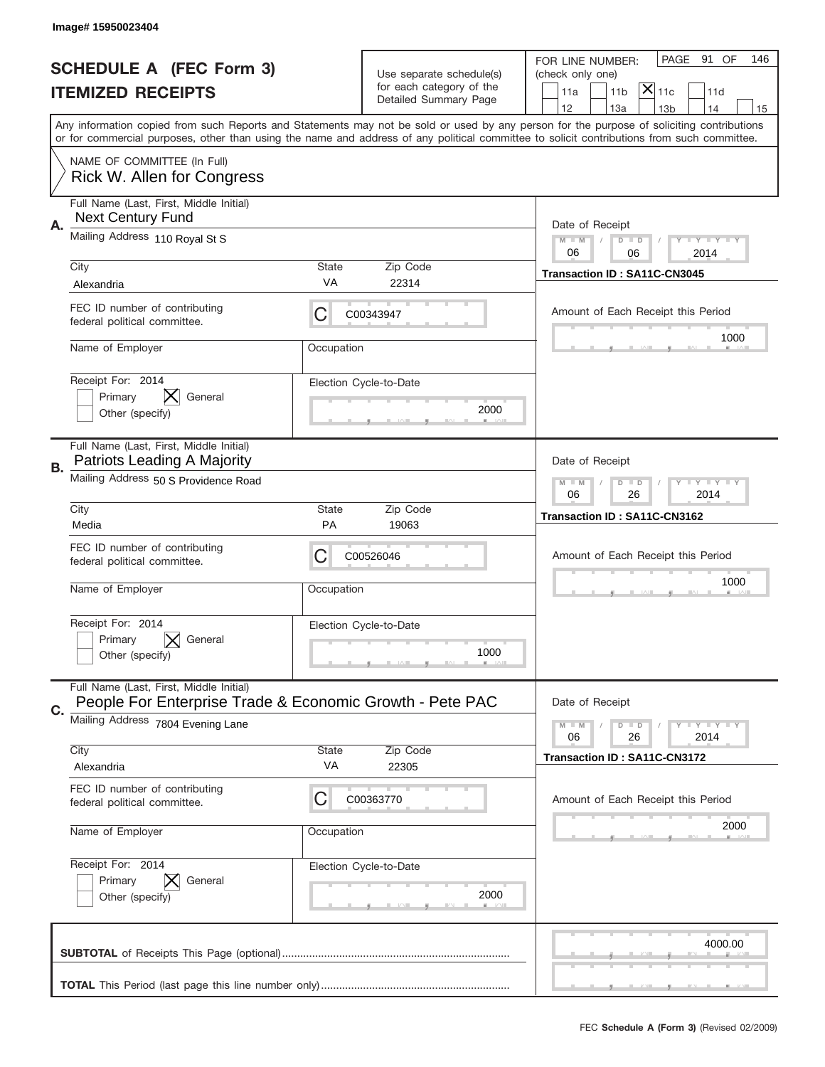|           | Image# 15950023404                                                                                  |                                                              |                                |                                                                                                                                                                                                                                                                                         |
|-----------|-----------------------------------------------------------------------------------------------------|--------------------------------------------------------------|--------------------------------|-----------------------------------------------------------------------------------------------------------------------------------------------------------------------------------------------------------------------------------------------------------------------------------------|
|           | <b>SCHEDULE A (FEC Form 3)</b>                                                                      |                                                              | Use separate schedule(s)       | PAGE<br>91 OF<br>146<br>FOR LINE NUMBER:<br>(check only one)                                                                                                                                                                                                                            |
|           | <b>ITEMIZED RECEIPTS</b>                                                                            |                                                              | for each category of the       | $ \mathsf{\overline{X}} _{\mathsf{11c}}$<br>11 <sub>b</sub><br>11d<br>11a                                                                                                                                                                                                               |
|           |                                                                                                     |                                                              | Detailed Summary Page          | 12<br>13a<br>14<br>13 <sub>b</sub><br>15                                                                                                                                                                                                                                                |
|           |                                                                                                     |                                                              |                                | Any information copied from such Reports and Statements may not be sold or used by any person for the purpose of soliciting contributions<br>or for commercial purposes, other than using the name and address of any political committee to solicit contributions from such committee. |
|           | NAME OF COMMITTEE (In Full)<br>Rick W. Allen for Congress                                           |                                                              |                                |                                                                                                                                                                                                                                                                                         |
| Α.        | Full Name (Last, First, Middle Initial)<br><b>Next Century Fund</b>                                 |                                                              |                                | Date of Receipt                                                                                                                                                                                                                                                                         |
|           | Mailing Address 110 Royal St S                                                                      | <b>LEY LEY LEY</b><br>$M - M$<br>$D$ $D$<br>06<br>06<br>2014 |                                |                                                                                                                                                                                                                                                                                         |
|           | City                                                                                                | <b>State</b>                                                 | Zip Code                       | Transaction ID: SA11C-CN3045                                                                                                                                                                                                                                                            |
|           | Alexandria                                                                                          | VA                                                           | 22314                          |                                                                                                                                                                                                                                                                                         |
|           | FEC ID number of contributing<br>federal political committee.                                       | С                                                            | C00343947                      | Amount of Each Receipt this Period<br>1000                                                                                                                                                                                                                                              |
|           | Name of Employer                                                                                    | Occupation                                                   |                                |                                                                                                                                                                                                                                                                                         |
|           | Receipt For: 2014<br>Primary<br>General<br>Other (specify)                                          |                                                              | Election Cycle-to-Date<br>2000 |                                                                                                                                                                                                                                                                                         |
| <b>B.</b> | Full Name (Last, First, Middle Initial)<br>Patriots Leading A Majority                              |                                                              |                                | Date of Receipt                                                                                                                                                                                                                                                                         |
|           | Mailing Address 50 S Providence Road                                                                | <b>LEY LEY LEY</b><br>$M - M$<br>$D$ $D$<br>06<br>26<br>2014 |                                |                                                                                                                                                                                                                                                                                         |
|           | City                                                                                                | <b>State</b>                                                 | Zip Code                       | Transaction ID: SA11C-CN3162                                                                                                                                                                                                                                                            |
|           | Media                                                                                               | <b>PA</b>                                                    | 19063                          |                                                                                                                                                                                                                                                                                         |
|           | FEC ID number of contributing<br>federal political committee.                                       | C                                                            | C00526046                      | Amount of Each Receipt this Period                                                                                                                                                                                                                                                      |
|           | Name of Employer                                                                                    | Occupation                                                   |                                | 1000                                                                                                                                                                                                                                                                                    |
|           | Receipt For: 2014                                                                                   |                                                              | Election Cycle-to-Date         |                                                                                                                                                                                                                                                                                         |
|           | General<br>Primary<br>Other (specify)                                                               |                                                              | 1000                           |                                                                                                                                                                                                                                                                                         |
| C.        | Full Name (Last, First, Middle Initial)<br>People For Enterprise Trade & Economic Growth - Pete PAC |                                                              |                                | Date of Receipt                                                                                                                                                                                                                                                                         |
|           | Mailing Address 7804 Evening Lane                                                                   |                                                              |                                | <b>LEY LEY LEY</b><br>$M \perp M$<br>$D$ $D$<br>26<br>2014<br>06                                                                                                                                                                                                                        |
|           | City                                                                                                | <b>State</b><br>VA                                           | Zip Code                       | Transaction ID: SA11C-CN3172                                                                                                                                                                                                                                                            |
|           | Alexandria                                                                                          |                                                              | 22305                          |                                                                                                                                                                                                                                                                                         |
|           | FEC ID number of contributing<br>federal political committee.                                       | С                                                            | C00363770                      | Amount of Each Receipt this Period                                                                                                                                                                                                                                                      |
|           | Name of Employer                                                                                    | Occupation                                                   |                                | 2000                                                                                                                                                                                                                                                                                    |
|           | Receipt For: 2014                                                                                   |                                                              | Election Cycle-to-Date         |                                                                                                                                                                                                                                                                                         |
|           | Primary<br>General<br>Other (specify)                                                               |                                                              | 2000                           |                                                                                                                                                                                                                                                                                         |
|           |                                                                                                     |                                                              |                                | 4000.00                                                                                                                                                                                                                                                                                 |
|           |                                                                                                     |                                                              |                                |                                                                                                                                                                                                                                                                                         |
|           |                                                                                                     |                                                              |                                |                                                                                                                                                                                                                                                                                         |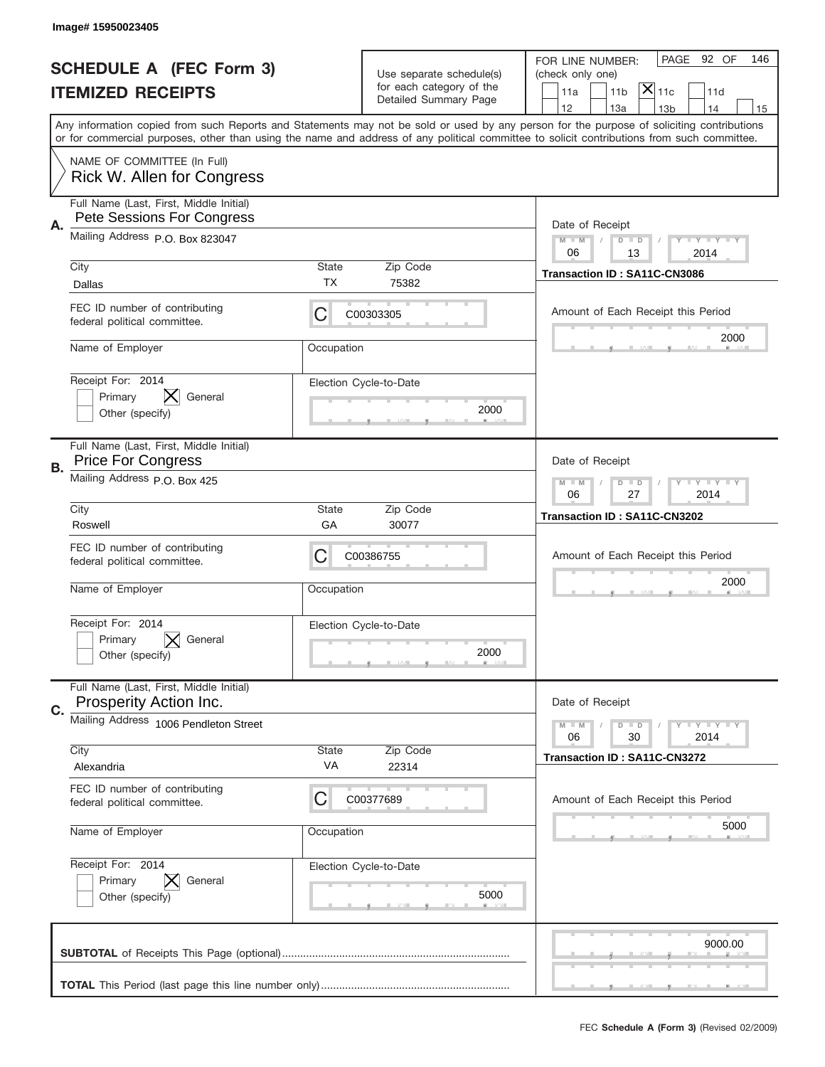|    | Image# 15950023405                                                    |             |                                                      |                                                                                                                                                                                                                                                                                         |
|----|-----------------------------------------------------------------------|-------------|------------------------------------------------------|-----------------------------------------------------------------------------------------------------------------------------------------------------------------------------------------------------------------------------------------------------------------------------------------|
|    | <b>SCHEDULE A (FEC Form 3)</b>                                        |             | Use separate schedule(s)<br>for each category of the | PAGE 92 OF<br>146<br>FOR LINE NUMBER:<br>(check only one)                                                                                                                                                                                                                               |
|    | <b>ITEMIZED RECEIPTS</b>                                              |             | Detailed Summary Page                                | $ \overline{\mathsf{X}} _{\mathsf{11c}}$<br>11 <sub>b</sub><br>11d<br>11a<br>12<br>13a<br>13 <sub>b</sub><br>14<br>15                                                                                                                                                                   |
|    |                                                                       |             |                                                      | Any information copied from such Reports and Statements may not be sold or used by any person for the purpose of soliciting contributions<br>or for commercial purposes, other than using the name and address of any political committee to solicit contributions from such committee. |
|    | NAME OF COMMITTEE (In Full)<br>Rick W. Allen for Congress             |             |                                                      |                                                                                                                                                                                                                                                                                         |
| Α. | Full Name (Last, First, Middle Initial)<br>Pete Sessions For Congress |             |                                                      | Date of Receipt                                                                                                                                                                                                                                                                         |
|    | Mailing Address P.O. Box 823047                                       |             |                                                      | $M - M$<br><b>LEY LEY LEY</b><br>$D$ $D$<br>06<br>13<br>2014                                                                                                                                                                                                                            |
|    | City<br>Dallas                                                        | State<br>ТX | Zip Code<br>75382                                    | Transaction ID: SA11C-CN3086                                                                                                                                                                                                                                                            |
|    | FEC ID number of contributing<br>federal political committee.         | C           | C00303305                                            | Amount of Each Receipt this Period<br>2000                                                                                                                                                                                                                                              |
|    | Name of Employer                                                      | Occupation  |                                                      |                                                                                                                                                                                                                                                                                         |
|    | Receipt For: 2014<br>Primary<br>General<br>Other (specify)            |             | Election Cycle-to-Date<br>2000                       |                                                                                                                                                                                                                                                                                         |
| В. | Full Name (Last, First, Middle Initial)<br><b>Price For Congress</b>  |             |                                                      | Date of Receipt                                                                                                                                                                                                                                                                         |
|    | Mailing Address P.O. Box 425                                          |             |                                                      | $M$ M<br><b>LEYTEY LEY</b><br>$D$ $D$<br>06<br>27<br>2014                                                                                                                                                                                                                               |
|    | City<br>Roswell                                                       | State<br>GA | Zip Code<br>30077                                    | Transaction ID: SA11C-CN3202                                                                                                                                                                                                                                                            |
|    | FEC ID number of contributing                                         | C           | C00386755                                            | Amount of Each Receipt this Period                                                                                                                                                                                                                                                      |
|    | federal political committee.                                          |             |                                                      |                                                                                                                                                                                                                                                                                         |
|    | Name of Employer                                                      | Occupation  |                                                      | 2000                                                                                                                                                                                                                                                                                    |
|    | Receipt For: 2014<br>General<br>Primary<br>Other (specify)            |             | Election Cycle-to-Date<br>2000                       |                                                                                                                                                                                                                                                                                         |
|    | Full Name (Last, First, Middle Initial)<br>Prosperity Action Inc.     |             |                                                      | Date of Receipt                                                                                                                                                                                                                                                                         |
| C. | Mailing Address 1006 Pendleton Street                                 |             |                                                      | <b>LYLYLY</b><br>$M - M$<br>$D$ $D$<br>2014<br>06<br>30                                                                                                                                                                                                                                 |
|    | City<br>Alexandria                                                    | State<br>VA | Zip Code<br>22314                                    | Transaction ID: SA11C-CN3272                                                                                                                                                                                                                                                            |
|    | FEC ID number of contributing<br>federal political committee.         | C           | C00377689                                            | Amount of Each Receipt this Period                                                                                                                                                                                                                                                      |
|    | Name of Employer                                                      | Occupation  |                                                      | 5000                                                                                                                                                                                                                                                                                    |
|    | Receipt For: 2014<br>Primary<br>General<br>Other (specify)            |             | Election Cycle-to-Date<br>5000                       |                                                                                                                                                                                                                                                                                         |
|    |                                                                       |             |                                                      | 9000.00                                                                                                                                                                                                                                                                                 |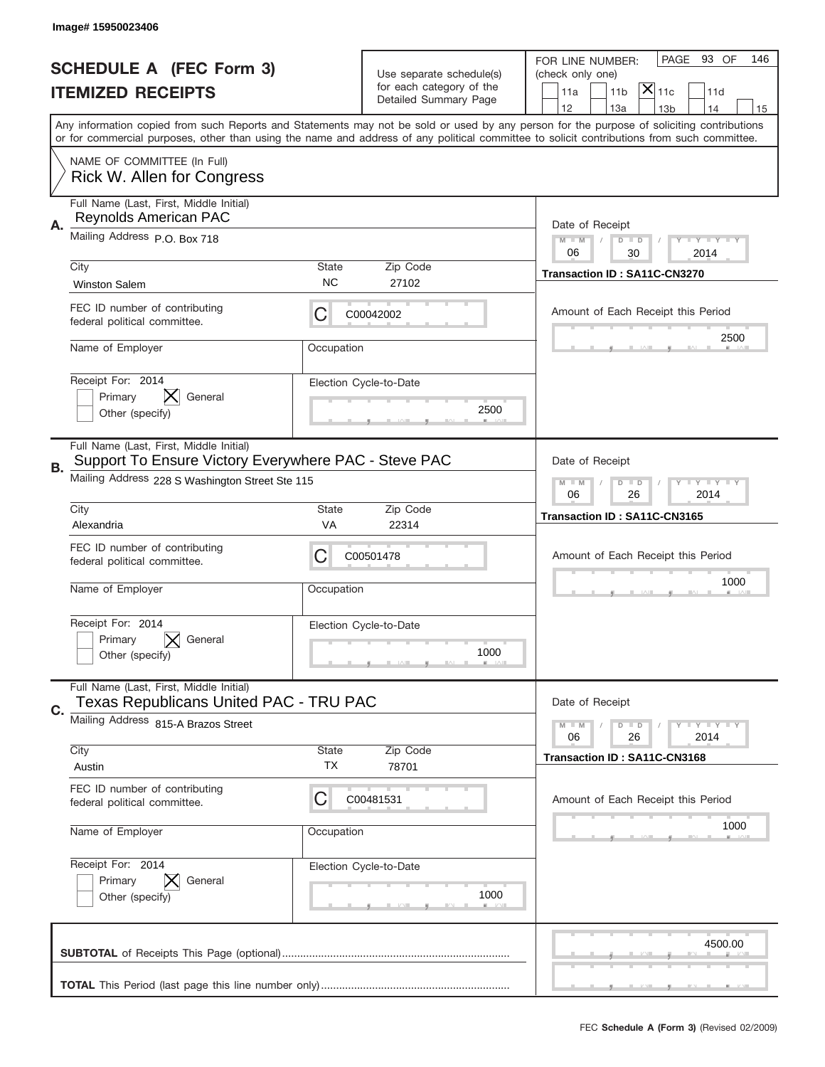|    | Image# 15950023406                                                                              |                    |                                                   |                                                                                                                                                                                                                                                                                                                                     |
|----|-------------------------------------------------------------------------------------------------|--------------------|---------------------------------------------------|-------------------------------------------------------------------------------------------------------------------------------------------------------------------------------------------------------------------------------------------------------------------------------------------------------------------------------------|
|    | <b>SCHEDULE A (FEC Form 3)</b>                                                                  |                    | Use separate schedule(s)                          | PAGE 93 OF<br>146<br>FOR LINE NUMBER:<br>(check only one)                                                                                                                                                                                                                                                                           |
|    | <b>ITEMIZED RECEIPTS</b>                                                                        |                    | for each category of the<br>Detailed Summary Page | $\mathsf{X} _{\mathsf{11c}}$<br>11 <sub>b</sub><br>11d<br>11a                                                                                                                                                                                                                                                                       |
|    |                                                                                                 |                    |                                                   | 12<br>13a<br>13 <sub>b</sub><br>14<br>15<br>Any information copied from such Reports and Statements may not be sold or used by any person for the purpose of soliciting contributions<br>or for commercial purposes, other than using the name and address of any political committee to solicit contributions from such committee. |
|    | NAME OF COMMITTEE (In Full)<br>Rick W. Allen for Congress                                       |                    |                                                   |                                                                                                                                                                                                                                                                                                                                     |
| Α. | Full Name (Last, First, Middle Initial)<br>Reynolds American PAC                                |                    |                                                   | Date of Receipt                                                                                                                                                                                                                                                                                                                     |
|    | Mailing Address P.O. Box 718                                                                    |                    |                                                   | <b>LYLYLY</b><br>$M - M$<br>$D$ $D$<br>06<br>30<br>2014                                                                                                                                                                                                                                                                             |
|    | City<br><b>Winston Salem</b>                                                                    | State<br><b>NC</b> | Zip Code<br>27102                                 | Transaction ID: SA11C-CN3270                                                                                                                                                                                                                                                                                                        |
|    | FEC ID number of contributing<br>federal political committee.                                   | C                  | C00042002                                         | Amount of Each Receipt this Period<br>2500                                                                                                                                                                                                                                                                                          |
|    | Name of Employer                                                                                | Occupation         |                                                   |                                                                                                                                                                                                                                                                                                                                     |
|    | Receipt For: 2014<br>General<br>Primary<br>Other (specify)                                      |                    | Election Cycle-to-Date<br>2500                    |                                                                                                                                                                                                                                                                                                                                     |
| В. | Full Name (Last, First, Middle Initial)<br>Support To Ensure Victory Everywhere PAC - Steve PAC |                    |                                                   | Date of Receipt                                                                                                                                                                                                                                                                                                                     |
|    | Mailing Address 228 S Washington Street Ste 115                                                 |                    |                                                   | <b>LYLYLY</b><br>$M - M$<br>$D$ $D$<br>06<br>26<br>2014                                                                                                                                                                                                                                                                             |
|    | City<br>Alexandria                                                                              | State<br>VA        | Zip Code<br>22314                                 | Transaction ID: SA11C-CN3165                                                                                                                                                                                                                                                                                                        |
|    | FEC ID number of contributing<br>federal political committee.                                   | C                  | C00501478                                         | Amount of Each Receipt this Period                                                                                                                                                                                                                                                                                                  |
|    | Name of Employer                                                                                | Occupation         |                                                   | 1000                                                                                                                                                                                                                                                                                                                                |
|    |                                                                                                 |                    |                                                   |                                                                                                                                                                                                                                                                                                                                     |
|    | Receipt For: 2014<br>General<br>Primary<br>Other (specify)                                      |                    | Election Cycle-to-Date<br>1000                    |                                                                                                                                                                                                                                                                                                                                     |
|    | Full Name (Last, First, Middle Initial)<br>Texas Republicans United PAC - TRU PAC               |                    |                                                   | Date of Receipt                                                                                                                                                                                                                                                                                                                     |
| C. | Mailing Address 815-A Brazos Street                                                             |                    |                                                   | <b>LY LY LY</b><br>$M - M$<br>$D$ $D$<br>2014<br>06<br>26                                                                                                                                                                                                                                                                           |
|    | City<br>Austin                                                                                  | <b>State</b><br>TX | Zip Code<br>78701                                 | Transaction ID: SA11C-CN3168                                                                                                                                                                                                                                                                                                        |
|    | FEC ID number of contributing<br>federal political committee.                                   | C                  | C00481531                                         | Amount of Each Receipt this Period                                                                                                                                                                                                                                                                                                  |
|    | Name of Employer                                                                                | Occupation         |                                                   | 1000                                                                                                                                                                                                                                                                                                                                |
|    | Receipt For: 2014<br>Primary<br>General<br>Other (specify)                                      |                    | Election Cycle-to-Date<br>1000                    |                                                                                                                                                                                                                                                                                                                                     |
|    |                                                                                                 |                    |                                                   | 4500.00                                                                                                                                                                                                                                                                                                                             |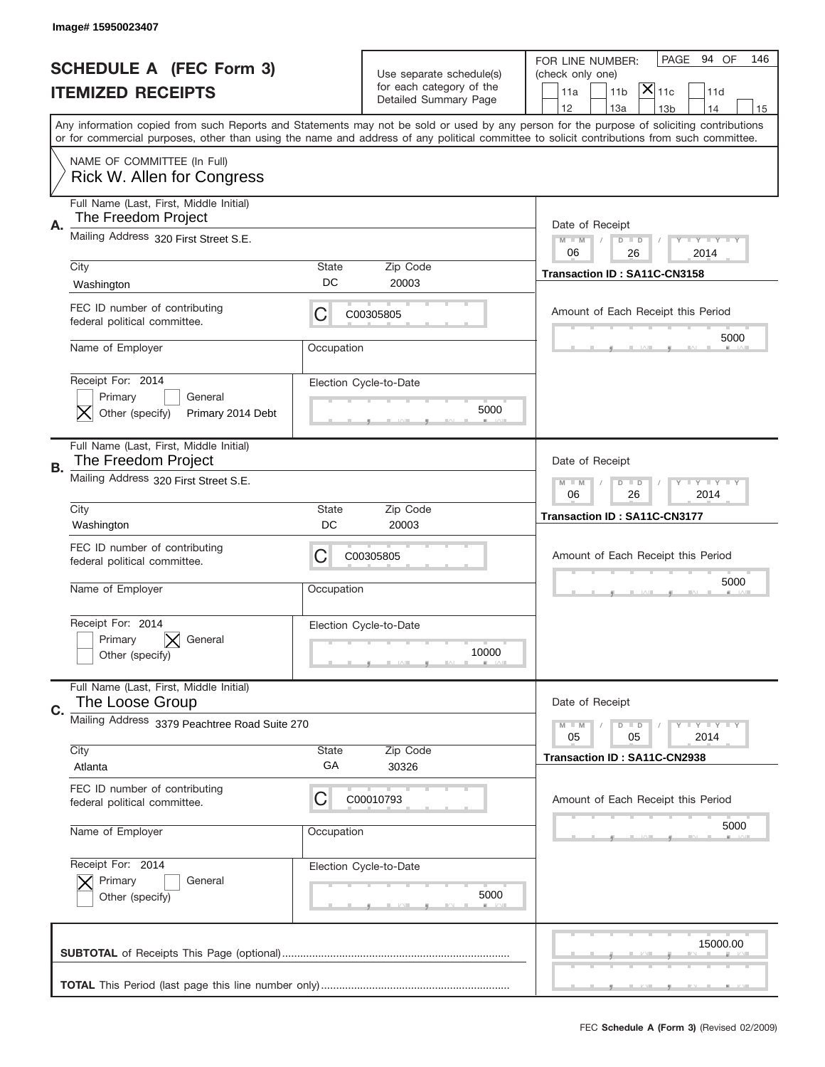|    | Image#15950023407                                              |                                                         |                                                   |                                                                                                                                                                                                                                                                                         |
|----|----------------------------------------------------------------|---------------------------------------------------------|---------------------------------------------------|-----------------------------------------------------------------------------------------------------------------------------------------------------------------------------------------------------------------------------------------------------------------------------------------|
|    | <b>SCHEDULE A (FEC Form 3)</b>                                 |                                                         | Use separate schedule(s)                          | PAGE<br>94 OF<br>146<br>FOR LINE NUMBER:<br>(check only one)                                                                                                                                                                                                                            |
|    | <b>ITEMIZED RECEIPTS</b>                                       |                                                         | for each category of the<br>Detailed Summary Page | $ \mathsf{X} _{\mathsf{11c}}$<br>11 <sub>b</sub><br>11a<br>11d                                                                                                                                                                                                                          |
|    |                                                                |                                                         |                                                   | 12<br>13a<br>14<br>13 <sub>b</sub><br>15                                                                                                                                                                                                                                                |
|    |                                                                |                                                         |                                                   | Any information copied from such Reports and Statements may not be sold or used by any person for the purpose of soliciting contributions<br>or for commercial purposes, other than using the name and address of any political committee to solicit contributions from such committee. |
|    | NAME OF COMMITTEE (In Full)<br>Rick W. Allen for Congress      |                                                         |                                                   |                                                                                                                                                                                                                                                                                         |
| Α. | Full Name (Last, First, Middle Initial)<br>The Freedom Project |                                                         |                                                   | Date of Receipt                                                                                                                                                                                                                                                                         |
|    | Mailing Address 320 First Street S.E.                          | $M - M$<br>Y I Y I Y I Y<br>$D$ $D$<br>06<br>26<br>2014 |                                                   |                                                                                                                                                                                                                                                                                         |
|    | City                                                           | State                                                   | Zip Code                                          | Transaction ID: SA11C-CN3158                                                                                                                                                                                                                                                            |
|    | Washington                                                     | DC                                                      | 20003                                             |                                                                                                                                                                                                                                                                                         |
|    | FEC ID number of contributing<br>federal political committee.  | C                                                       | C00305805                                         | Amount of Each Receipt this Period                                                                                                                                                                                                                                                      |
|    | Name of Employer                                               | Occupation                                              |                                                   | 5000                                                                                                                                                                                                                                                                                    |
|    | Receipt For: 2014<br>Primary<br>General                        |                                                         | Election Cycle-to-Date                            |                                                                                                                                                                                                                                                                                         |
|    | Other (specify)<br>Primary 2014 Debt                           |                                                         | 5000                                              |                                                                                                                                                                                                                                                                                         |
| В. | Full Name (Last, First, Middle Initial)<br>The Freedom Project |                                                         |                                                   | Date of Receipt                                                                                                                                                                                                                                                                         |
|    | Mailing Address 320 First Street S.E.                          | <b>LYLYLY</b><br>$M - M$<br>$D$ $D$<br>06<br>26<br>2014 |                                                   |                                                                                                                                                                                                                                                                                         |
|    | City                                                           | State                                                   | Zip Code                                          | Transaction ID: SA11C-CN3177                                                                                                                                                                                                                                                            |
|    | Washington                                                     | DC                                                      | 20003                                             |                                                                                                                                                                                                                                                                                         |
|    | FEC ID number of contributing<br>federal political committee.  | C                                                       | C00305805                                         | Amount of Each Receipt this Period                                                                                                                                                                                                                                                      |
|    | Name of Employer                                               | Occupation                                              |                                                   | 5000                                                                                                                                                                                                                                                                                    |
|    | Receipt For: 2014                                              |                                                         | Election Cycle-to-Date                            |                                                                                                                                                                                                                                                                                         |
|    | Primary<br>General<br>Other (specify)                          |                                                         | 10000                                             |                                                                                                                                                                                                                                                                                         |
| C. | Full Name (Last, First, Middle Initial)<br>The Loose Group     |                                                         |                                                   | Date of Receipt                                                                                                                                                                                                                                                                         |
|    | Mailing Address 3379 Peachtree Road Suite 270                  |                                                         |                                                   | <b>TEY TEY TEY</b><br>$M - M$<br>$D$ $D$                                                                                                                                                                                                                                                |
|    | City                                                           | State                                                   | Zip Code                                          | 05<br>2014<br>05                                                                                                                                                                                                                                                                        |
|    | Atlanta                                                        | GA                                                      | 30326                                             | Transaction ID: SA11C-CN2938                                                                                                                                                                                                                                                            |
|    | FEC ID number of contributing<br>federal political committee.  | C                                                       | C00010793                                         | Amount of Each Receipt this Period                                                                                                                                                                                                                                                      |
|    | Name of Employer                                               | Occupation                                              |                                                   | 5000                                                                                                                                                                                                                                                                                    |
|    | Receipt For: 2014                                              |                                                         | Election Cycle-to-Date                            |                                                                                                                                                                                                                                                                                         |
|    | Primary<br>General<br>Other (specify)                          |                                                         | 5000                                              |                                                                                                                                                                                                                                                                                         |
|    |                                                                |                                                         |                                                   | 15000.00                                                                                                                                                                                                                                                                                |
|    |                                                                |                                                         |                                                   |                                                                                                                                                                                                                                                                                         |
|    |                                                                |                                                         |                                                   |                                                                                                                                                                                                                                                                                         |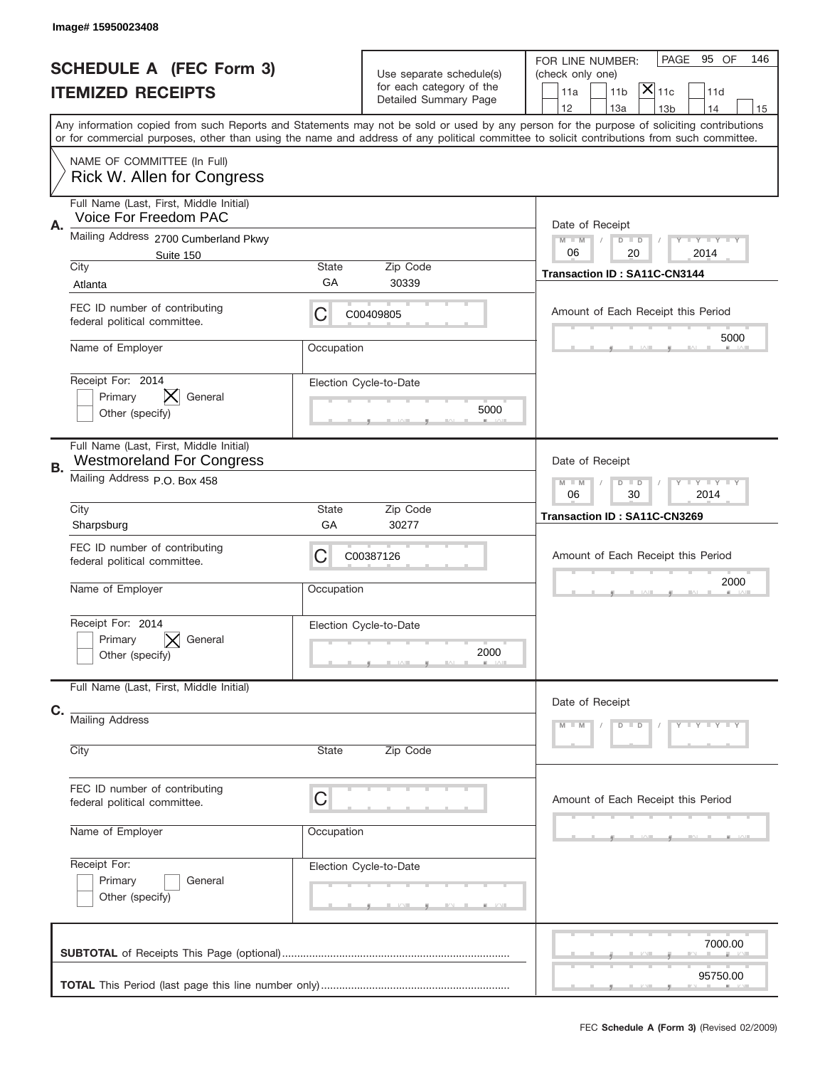|    | Image# 15950023408                                                          |                                                              |                                                      |                                                                                                                                                                                                                                                                                         |
|----|-----------------------------------------------------------------------------|--------------------------------------------------------------|------------------------------------------------------|-----------------------------------------------------------------------------------------------------------------------------------------------------------------------------------------------------------------------------------------------------------------------------------------|
|    | <b>SCHEDULE A (FEC Form 3)</b><br><b>ITEMIZED RECEIPTS</b>                  |                                                              | Use separate schedule(s)<br>for each category of the | PAGE<br>95 OF<br>146<br>FOR LINE NUMBER:<br>(check only one)<br>$ \mathsf{\overline{X}} _{\mathsf{11c}}$<br>11 <sub>b</sub><br>11a<br>11d                                                                                                                                               |
|    |                                                                             |                                                              | Detailed Summary Page                                | 12<br>13a<br>14<br>13 <sub>b</sub><br>15                                                                                                                                                                                                                                                |
|    |                                                                             |                                                              |                                                      | Any information copied from such Reports and Statements may not be sold or used by any person for the purpose of soliciting contributions<br>or for commercial purposes, other than using the name and address of any political committee to solicit contributions from such committee. |
|    | NAME OF COMMITTEE (In Full)<br>Rick W. Allen for Congress                   |                                                              |                                                      |                                                                                                                                                                                                                                                                                         |
| Α. | Full Name (Last, First, Middle Initial)<br>Voice For Freedom PAC            |                                                              |                                                      | Date of Receipt                                                                                                                                                                                                                                                                         |
|    | Mailing Address 2700 Cumberland Pkwy<br>Suite 150                           | <b>LEY LEY LEY</b><br>$M - M$<br>$D$ $D$<br>06<br>20<br>2014 |                                                      |                                                                                                                                                                                                                                                                                         |
|    | City                                                                        | State                                                        | Zip Code                                             | Transaction ID: SA11C-CN3144                                                                                                                                                                                                                                                            |
|    | Atlanta                                                                     | GА                                                           | 30339                                                |                                                                                                                                                                                                                                                                                         |
|    | FEC ID number of contributing<br>federal political committee.               | C                                                            | C00409805                                            | Amount of Each Receipt this Period                                                                                                                                                                                                                                                      |
|    | Name of Employer                                                            | Occupation                                                   |                                                      | 5000                                                                                                                                                                                                                                                                                    |
|    | Receipt For: 2014                                                           |                                                              | Election Cycle-to-Date                               |                                                                                                                                                                                                                                                                                         |
|    | Primary<br>General                                                          |                                                              |                                                      |                                                                                                                                                                                                                                                                                         |
|    | Other (specify)                                                             |                                                              | 5000                                                 |                                                                                                                                                                                                                                                                                         |
| В. | Full Name (Last, First, Middle Initial)<br><b>Westmoreland For Congress</b> |                                                              |                                                      | Date of Receipt                                                                                                                                                                                                                                                                         |
|    | Mailing Address P.O. Box 458                                                |                                                              |                                                      | <b>LEY LEY LEY</b><br>$M$ M<br>$D$ $D$<br>06<br>30<br>2014                                                                                                                                                                                                                              |
|    | City                                                                        | State                                                        | Zip Code                                             | Transaction ID: SA11C-CN3269                                                                                                                                                                                                                                                            |
|    | Sharpsburg                                                                  | GА                                                           | 30277                                                |                                                                                                                                                                                                                                                                                         |
|    | FEC ID number of contributing<br>federal political committee.               | C                                                            | C00387126                                            | Amount of Each Receipt this Period                                                                                                                                                                                                                                                      |
|    | Name of Employer                                                            | Occupation                                                   |                                                      | 2000                                                                                                                                                                                                                                                                                    |
|    | Receipt For: 2014                                                           |                                                              | Election Cycle-to-Date                               |                                                                                                                                                                                                                                                                                         |
|    | Primary<br>General                                                          |                                                              |                                                      |                                                                                                                                                                                                                                                                                         |
|    | Other (specify)                                                             |                                                              | 2000                                                 |                                                                                                                                                                                                                                                                                         |
|    | Full Name (Last, First, Middle Initial)                                     |                                                              |                                                      | Date of Receipt                                                                                                                                                                                                                                                                         |
| C. | <b>Mailing Address</b>                                                      |                                                              |                                                      | $Y - Y - Y - Y - Y$<br>$M - M$<br>$D$ $D$                                                                                                                                                                                                                                               |
|    | City                                                                        | State                                                        | Zip Code                                             |                                                                                                                                                                                                                                                                                         |
|    | FEC ID number of contributing                                               |                                                              |                                                      |                                                                                                                                                                                                                                                                                         |
|    | federal political committee.                                                | C                                                            |                                                      | Amount of Each Receipt this Period                                                                                                                                                                                                                                                      |
|    | Name of Employer                                                            | Occupation                                                   |                                                      |                                                                                                                                                                                                                                                                                         |
|    | Receipt For:                                                                |                                                              | Election Cycle-to-Date                               |                                                                                                                                                                                                                                                                                         |
|    | Primary<br>General                                                          |                                                              |                                                      |                                                                                                                                                                                                                                                                                         |
|    | Other (specify)                                                             |                                                              |                                                      |                                                                                                                                                                                                                                                                                         |
|    |                                                                             |                                                              |                                                      | 7000.00                                                                                                                                                                                                                                                                                 |
|    |                                                                             |                                                              |                                                      |                                                                                                                                                                                                                                                                                         |
|    |                                                                             |                                                              |                                                      | 95750.00                                                                                                                                                                                                                                                                                |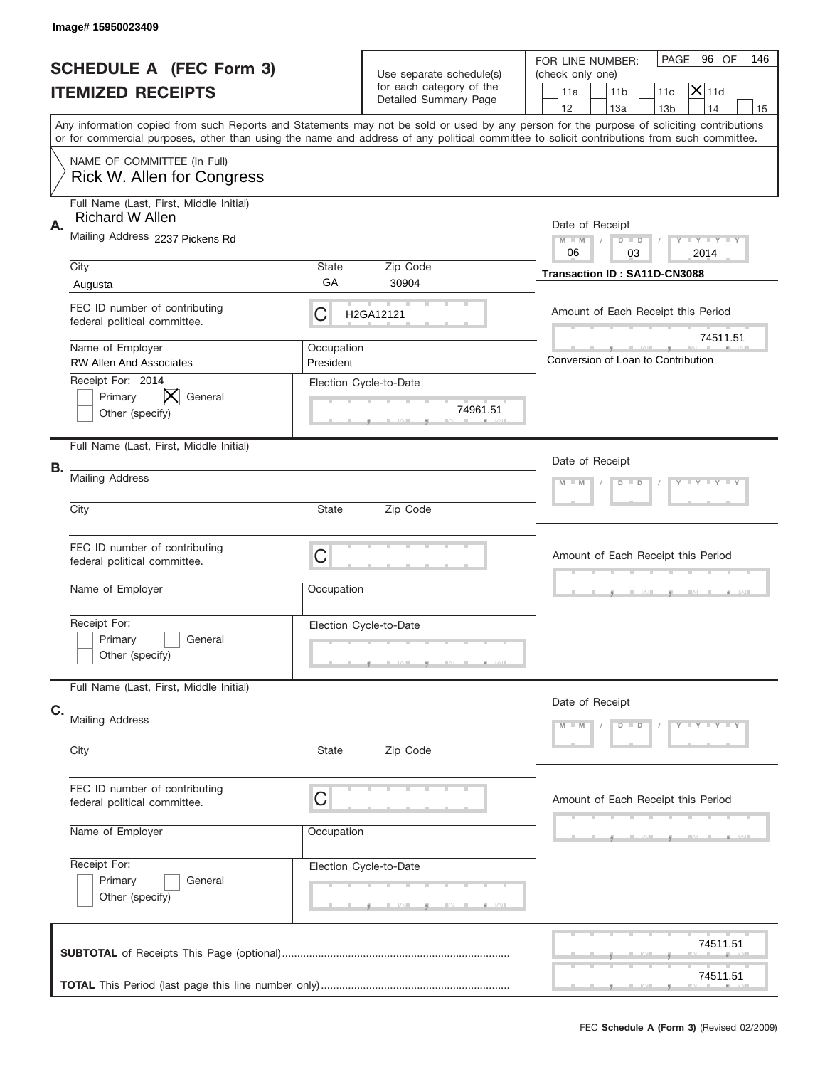|    | Image#15950023409                                                |                                       |                                                                               |                                                                                                                                                                                                                                                                                         |
|----|------------------------------------------------------------------|---------------------------------------|-------------------------------------------------------------------------------|-----------------------------------------------------------------------------------------------------------------------------------------------------------------------------------------------------------------------------------------------------------------------------------------|
|    | <b>SCHEDULE A (FEC Form 3)</b><br><b>ITEMIZED RECEIPTS</b>       |                                       | Use separate schedule(s)<br>for each category of the<br>Detailed Summary Page | PAGE 96 OF<br>146<br>FOR LINE NUMBER:<br>(check only one)<br>$ \mathsf{X} _{11\text{d}}$<br>11 <sub>b</sub><br>11a<br>11c<br>12<br>13a<br>14<br>13 <sub>b</sub><br>15                                                                                                                   |
|    |                                                                  |                                       |                                                                               | Any information copied from such Reports and Statements may not be sold or used by any person for the purpose of soliciting contributions<br>or for commercial purposes, other than using the name and address of any political committee to solicit contributions from such committee. |
|    | NAME OF COMMITTEE (In Full)<br>Rick W. Allen for Congress        |                                       |                                                                               |                                                                                                                                                                                                                                                                                         |
| Α. | Full Name (Last, First, Middle Initial)<br>Richard W Allen       |                                       |                                                                               | Date of Receipt                                                                                                                                                                                                                                                                         |
|    | Mailing Address 2237 Pickens Rd                                  |                                       |                                                                               | $M - M$<br><b>THEY THEY</b><br>$D$ $D$<br>06<br>03<br>2014                                                                                                                                                                                                                              |
|    | City<br>Augusta                                                  | State<br>GA                           | Zip Code<br>30904                                                             | Transaction ID: SA11D-CN3088                                                                                                                                                                                                                                                            |
|    | FEC ID number of contributing<br>federal political committee.    | С                                     | H2GA12121                                                                     | Amount of Each Receipt this Period                                                                                                                                                                                                                                                      |
|    | Name of Employer<br><b>RW Allen And Associates</b>               | Occupation<br>President               |                                                                               | 74511.51<br>Conversion of Loan to Contribution                                                                                                                                                                                                                                          |
|    | Receipt For: 2014<br>Primary<br>X.<br>General<br>Other (specify) |                                       | Election Cycle-to-Date<br>74961.51                                            |                                                                                                                                                                                                                                                                                         |
|    | Full Name (Last, First, Middle Initial)                          |                                       |                                                                               | Date of Receipt                                                                                                                                                                                                                                                                         |
| В. | <b>Mailing Address</b>                                           | $Y = Y = Y + Y$<br>$M - M$<br>$D$ $D$ |                                                                               |                                                                                                                                                                                                                                                                                         |
|    | City                                                             | State                                 | Zip Code                                                                      |                                                                                                                                                                                                                                                                                         |
|    | FEC ID number of contributing<br>federal political committee.    | C                                     |                                                                               | Amount of Each Receipt this Period                                                                                                                                                                                                                                                      |
|    | Name of Employer                                                 | Occupation                            |                                                                               |                                                                                                                                                                                                                                                                                         |
|    | Receipt For:<br>Primary<br>General<br>Other (specify)            |                                       | Election Cycle-to-Date                                                        |                                                                                                                                                                                                                                                                                         |
|    | Full Name (Last, First, Middle Initial)                          |                                       |                                                                               | Date of Receipt                                                                                                                                                                                                                                                                         |
| C. | <b>Mailing Address</b>                                           |                                       |                                                                               | $D$ $D$<br>$Y - Y - Y - Y - Y$<br>$M - M$                                                                                                                                                                                                                                               |
|    | City                                                             | State                                 | Zip Code                                                                      |                                                                                                                                                                                                                                                                                         |
|    | FEC ID number of contributing<br>federal political committee.    | C                                     |                                                                               | Amount of Each Receipt this Period                                                                                                                                                                                                                                                      |
|    | Name of Employer                                                 | Occupation                            |                                                                               |                                                                                                                                                                                                                                                                                         |
|    | Receipt For:<br>Primary<br>General<br>Other (specify)            |                                       | Election Cycle-to-Date                                                        |                                                                                                                                                                                                                                                                                         |
|    |                                                                  |                                       |                                                                               | 74511.51                                                                                                                                                                                                                                                                                |
|    |                                                                  |                                       |                                                                               | 74511.51                                                                                                                                                                                                                                                                                |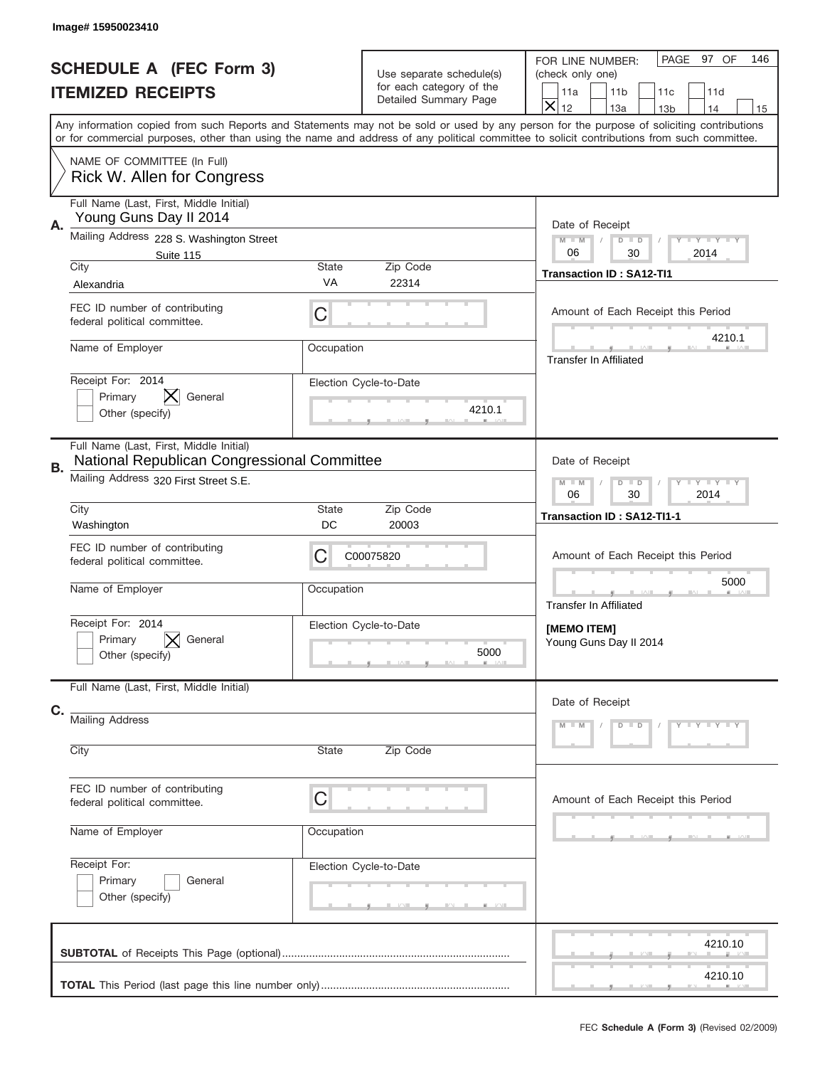|    | Image#15950023410                                                                      |                    |                                                                               |                                                                                                                                                                                                                                                                                         |  |
|----|----------------------------------------------------------------------------------------|--------------------|-------------------------------------------------------------------------------|-----------------------------------------------------------------------------------------------------------------------------------------------------------------------------------------------------------------------------------------------------------------------------------------|--|
|    | <b>SCHEDULE A (FEC Form 3)</b><br><b>ITEMIZED RECEIPTS</b>                             |                    | Use separate schedule(s)<br>for each category of the<br>Detailed Summary Page | PAGE 97 OF<br>146<br>FOR LINE NUMBER:<br>(check only one)<br>11 <sub>b</sub><br>11d<br>11a<br>11c<br>$\overline{\mathsf{x}}$<br>12<br>13a<br>14<br>13 <sub>b</sub><br>15                                                                                                                |  |
|    |                                                                                        |                    |                                                                               | Any information copied from such Reports and Statements may not be sold or used by any person for the purpose of soliciting contributions<br>or for commercial purposes, other than using the name and address of any political committee to solicit contributions from such committee. |  |
|    | NAME OF COMMITTEE (In Full)<br>Rick W. Allen for Congress                              |                    |                                                                               |                                                                                                                                                                                                                                                                                         |  |
| Α. | Full Name (Last, First, Middle Initial)<br>Young Guns Day II 2014                      |                    |                                                                               | Date of Receipt                                                                                                                                                                                                                                                                         |  |
|    | Mailing Address 228 S. Washington Street<br>Suite 115<br>City                          | <b>State</b>       | Zip Code                                                                      | <b>LEY LEY LEY</b><br>$M - M$<br>$D$ $D$<br>06<br>30<br>2014                                                                                                                                                                                                                            |  |
|    | Alexandria                                                                             | VA                 | 22314                                                                         | <b>Transaction ID: SA12-TI1</b>                                                                                                                                                                                                                                                         |  |
|    | FEC ID number of contributing<br>federal political committee.                          | C                  |                                                                               | Amount of Each Receipt this Period                                                                                                                                                                                                                                                      |  |
|    | Name of Employer                                                                       | Occupation         |                                                                               | 4210.1<br><b>Transfer In Affiliated</b>                                                                                                                                                                                                                                                 |  |
|    | Receipt For: 2014<br>Primary<br>General<br>Other (specify)                             |                    | Election Cycle-to-Date<br>4210.1                                              |                                                                                                                                                                                                                                                                                         |  |
| В. | Full Name (Last, First, Middle Initial)<br>National Republican Congressional Committee |                    |                                                                               | Date of Receipt                                                                                                                                                                                                                                                                         |  |
|    | Mailing Address 320 First Street S.E.                                                  |                    |                                                                               | <b>LYLYLY</b><br>$M$ M<br>$D$ $D$<br>30<br>2014<br>06                                                                                                                                                                                                                                   |  |
|    | City<br>Washington                                                                     | <b>State</b><br>DC | Zip Code<br>20003                                                             | Transaction ID: SA12-TI1-1                                                                                                                                                                                                                                                              |  |
|    | FEC ID number of contributing<br>federal political committee.                          | С                  | C00075820                                                                     | Amount of Each Receipt this Period                                                                                                                                                                                                                                                      |  |
|    | Name of Employer                                                                       | Occupation         |                                                                               | 5000<br><b>Transfer In Affiliated</b>                                                                                                                                                                                                                                                   |  |
|    | Receipt For: 2014                                                                      |                    |                                                                               |                                                                                                                                                                                                                                                                                         |  |
|    | Primary<br>General<br>Other (specify)                                                  |                    | Election Cycle-to-Date<br>5000                                                | [MEMO ITEM]<br>Young Guns Day II 2014                                                                                                                                                                                                                                                   |  |
|    | Full Name (Last, First, Middle Initial)                                                |                    |                                                                               | Date of Receipt                                                                                                                                                                                                                                                                         |  |
| C. | <b>Mailing Address</b>                                                                 |                    |                                                                               | $Y - Y - Y - Y - Y$<br>$M - M$<br>$D$ $D$                                                                                                                                                                                                                                               |  |
|    | City                                                                                   | <b>State</b>       | Zip Code                                                                      |                                                                                                                                                                                                                                                                                         |  |
|    | FEC ID number of contributing<br>federal political committee.                          | C                  |                                                                               | Amount of Each Receipt this Period                                                                                                                                                                                                                                                      |  |
|    | Name of Employer                                                                       | Occupation         |                                                                               |                                                                                                                                                                                                                                                                                         |  |
|    | Receipt For:<br>Primary<br>General                                                     |                    | Election Cycle-to-Date                                                        |                                                                                                                                                                                                                                                                                         |  |
|    | Other (specify)                                                                        |                    |                                                                               |                                                                                                                                                                                                                                                                                         |  |
|    |                                                                                        |                    |                                                                               | 4210.10                                                                                                                                                                                                                                                                                 |  |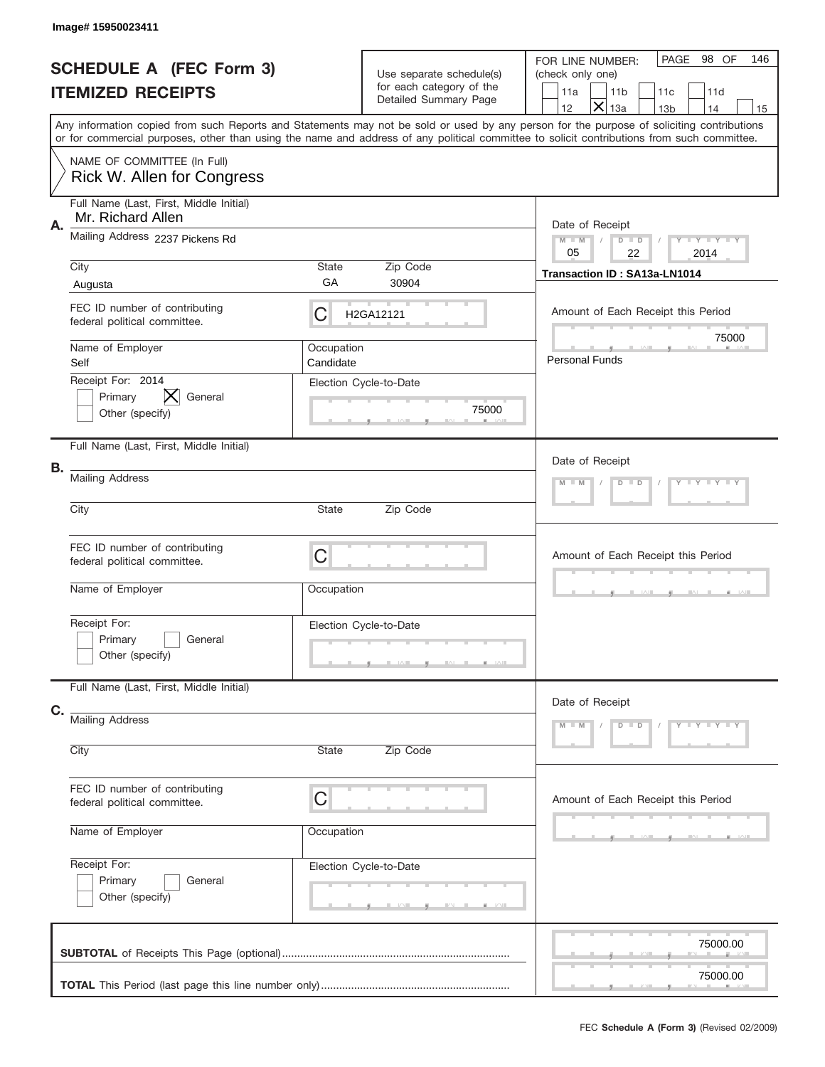|    | Image# 15950023411                                            |                         |                                                                               |                                                                                                                                                                                                                                                                                         |
|----|---------------------------------------------------------------|-------------------------|-------------------------------------------------------------------------------|-----------------------------------------------------------------------------------------------------------------------------------------------------------------------------------------------------------------------------------------------------------------------------------------|
|    | <b>SCHEDULE A (FEC Form 3)</b><br><b>ITEMIZED RECEIPTS</b>    |                         | Use separate schedule(s)<br>for each category of the<br>Detailed Summary Page | PAGE 98 OF<br>146<br>FOR LINE NUMBER:<br>(check only one)<br>11a<br>11 <sub>b</sub><br>11c<br>11d<br>$\times$<br>12<br>13a<br>14<br>13 <sub>b</sub><br>15                                                                                                                               |
|    |                                                               |                         |                                                                               | Any information copied from such Reports and Statements may not be sold or used by any person for the purpose of soliciting contributions<br>or for commercial purposes, other than using the name and address of any political committee to solicit contributions from such committee. |
|    | NAME OF COMMITTEE (In Full)<br>Rick W. Allen for Congress     |                         |                                                                               |                                                                                                                                                                                                                                                                                         |
|    | Full Name (Last, First, Middle Initial)<br>Mr. Richard Allen  |                         |                                                                               |                                                                                                                                                                                                                                                                                         |
| Α. | Mailing Address 2237 Pickens Rd                               |                         |                                                                               | Date of Receipt<br>$M$ M<br>$D$ $D$<br>Y TY TY TY<br>05<br>22<br>2014                                                                                                                                                                                                                   |
|    | City                                                          | State                   | Zip Code                                                                      | Transaction ID: SA13a-LN1014                                                                                                                                                                                                                                                            |
|    | Augusta                                                       | GA                      | 30904                                                                         |                                                                                                                                                                                                                                                                                         |
|    | FEC ID number of contributing<br>federal political committee. | C                       | H2GA12121                                                                     | Amount of Each Receipt this Period                                                                                                                                                                                                                                                      |
|    | Name of Employer<br>Self                                      | Occupation<br>Candidate |                                                                               | 75000<br><b>Personal Funds</b>                                                                                                                                                                                                                                                          |
|    | Receipt For: 2014<br>Primary<br>General<br>Other (specify)    |                         | Election Cycle-to-Date<br>75000                                               |                                                                                                                                                                                                                                                                                         |
|    | Full Name (Last, First, Middle Initial)                       |                         |                                                                               | Date of Receipt                                                                                                                                                                                                                                                                         |
| В. | <b>Mailing Address</b>                                        |                         |                                                                               | Y LY LY LY<br>$M - M$<br>$D$ $D$                                                                                                                                                                                                                                                        |
|    | City<br>State<br>Zip Code                                     |                         |                                                                               |                                                                                                                                                                                                                                                                                         |
|    | FEC ID number of contributing<br>federal political committee. | C                       |                                                                               | Amount of Each Receipt this Period                                                                                                                                                                                                                                                      |
|    | Name of Employer                                              | Occupation              |                                                                               |                                                                                                                                                                                                                                                                                         |
|    | Receipt For:<br>Primary<br>General<br>Other (specify)         |                         | Election Cycle-to-Date                                                        |                                                                                                                                                                                                                                                                                         |
|    | Full Name (Last, First, Middle Initial)                       |                         |                                                                               | Date of Receipt                                                                                                                                                                                                                                                                         |
| C. | Mailing Address                                               |                         | $D$ $D$<br>Y TY TY TY<br>$M - M$                                              |                                                                                                                                                                                                                                                                                         |
|    | City                                                          | State                   | Zip Code                                                                      |                                                                                                                                                                                                                                                                                         |
|    | FEC ID number of contributing<br>federal political committee. | C                       |                                                                               | Amount of Each Receipt this Period                                                                                                                                                                                                                                                      |
|    | Name of Employer                                              | Occupation              |                                                                               |                                                                                                                                                                                                                                                                                         |
|    | Receipt For:<br>Primary<br>General<br>Other (specify)         |                         | Election Cycle-to-Date                                                        |                                                                                                                                                                                                                                                                                         |
|    |                                                               |                         |                                                                               | 75000.00                                                                                                                                                                                                                                                                                |
|    |                                                               |                         |                                                                               | 75000.00                                                                                                                                                                                                                                                                                |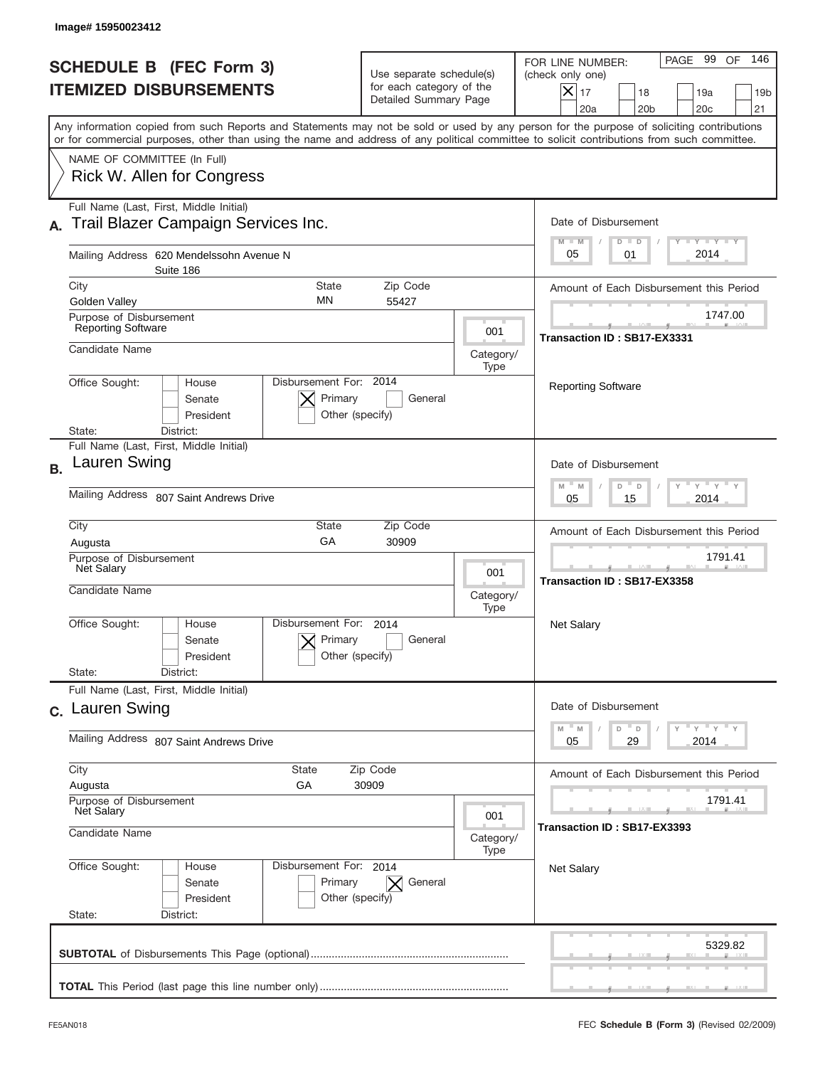|           | Image# 15950023412                                                                                                                                                                                                                                                                      |                                                                               |                          |                                                                                                                                                         |
|-----------|-----------------------------------------------------------------------------------------------------------------------------------------------------------------------------------------------------------------------------------------------------------------------------------------|-------------------------------------------------------------------------------|--------------------------|---------------------------------------------------------------------------------------------------------------------------------------------------------|
|           | <b>SCHEDULE B (FEC Form 3)</b><br><b>ITEMIZED DISBURSEMENTS</b>                                                                                                                                                                                                                         | Use separate schedule(s)<br>for each category of the<br>Detailed Summary Page |                          | 146<br>PAGE 99 OF<br>FOR LINE NUMBER:<br>(check only one)<br>$ \mathsf{X} _{17}$<br>18<br>19a<br>19 <sub>b</sub><br>20a<br>20 <sub>b</sub><br>20c<br>21 |
|           | Any information copied from such Reports and Statements may not be sold or used by any person for the purpose of soliciting contributions<br>or for commercial purposes, other than using the name and address of any political committee to solicit contributions from such committee. |                                                                               |                          |                                                                                                                                                         |
|           | NAME OF COMMITTEE (In Full)<br>Rick W. Allen for Congress                                                                                                                                                                                                                               |                                                                               |                          |                                                                                                                                                         |
|           | Full Name (Last, First, Middle Initial)<br>Trail Blazer Campaign Services Inc.                                                                                                                                                                                                          |                                                                               |                          | Date of Disbursement<br><b>TITY LITY LITY</b><br>$M - M$<br>$D$ $D$                                                                                     |
|           | Mailing Address 620 Mendelssohn Avenue N<br>Suite 186                                                                                                                                                                                                                                   |                                                                               |                          | 2014<br>05<br>01                                                                                                                                        |
|           | City<br><b>State</b><br>MN<br>Golden Valley                                                                                                                                                                                                                                             | Zip Code<br>55427                                                             |                          | Amount of Each Disbursement this Period                                                                                                                 |
|           | Purpose of Disbursement<br>Reporting Software                                                                                                                                                                                                                                           |                                                                               | 001                      | 1747.00<br>Transaction ID: SB17-EX3331                                                                                                                  |
|           | Candidate Name                                                                                                                                                                                                                                                                          |                                                                               | Category/<br>Type        |                                                                                                                                                         |
|           | Disbursement For: 2014<br>Office Sought:<br>House<br>Primary<br>Senate<br>President<br>State:<br>District:                                                                                                                                                                              | General<br>Other (specify)                                                    |                          | <b>Reporting Software</b>                                                                                                                               |
|           | Full Name (Last, First, Middle Initial)                                                                                                                                                                                                                                                 |                                                                               |                          |                                                                                                                                                         |
| <b>B.</b> | Lauren Swing                                                                                                                                                                                                                                                                            |                                                                               |                          | Date of Disbursement<br>$-\gamma + \gamma + \gamma$<br>D<br>M<br>$\mathsf D$<br>M                                                                       |
|           | Mailing Address 807 Saint Andrews Drive<br>Zip Code                                                                                                                                                                                                                                     |                                                                               |                          | 2014<br>05<br>15                                                                                                                                        |
|           | City<br><b>State</b><br>GA<br>Augusta                                                                                                                                                                                                                                                   | Amount of Each Disbursement this Period                                       |                          |                                                                                                                                                         |
|           | Purpose of Disbursement<br>Net Salary<br>Candidate Name                                                                                                                                                                                                                                 |                                                                               | 001<br>Category/<br>Type | 1791.41<br>Transaction ID: SB17-EX3358                                                                                                                  |
|           | Disbursement For:<br>Office Sought:<br>House<br>Primary<br>Senate<br>President                                                                                                                                                                                                          | 2014<br>General<br>Other (specify)                                            |                          | <b>Net Salary</b>                                                                                                                                       |
|           | State:<br>District:<br>Full Name (Last, First, Middle Initial)                                                                                                                                                                                                                          |                                                                               |                          |                                                                                                                                                         |
|           | c. Lauren Swing                                                                                                                                                                                                                                                                         |                                                                               |                          | Date of Disbursement<br>ү "ү "ү "ү<br>$M$ $M$<br>D                                                                                                      |
|           | Mailing Address 807 Saint Andrews Drive                                                                                                                                                                                                                                                 |                                                                               |                          | D<br>2014<br>05<br>29                                                                                                                                   |
|           | City<br>State<br>Augusta<br>GА<br>Purpose of Disbursement                                                                                                                                                                                                                               | Zip Code<br>30909                                                             |                          | Amount of Each Disbursement this Period<br>1791.41                                                                                                      |
|           | Net Salary<br>001<br>Candidate Name<br>Category/<br>Type                                                                                                                                                                                                                                |                                                                               |                          | Transaction ID: SB17-EX3393                                                                                                                             |
|           | Office Sought:<br>Disbursement For: 2014<br>House<br>Senate<br>Primary<br>President<br>State:<br>District:                                                                                                                                                                              | $\mathsf{X}$ General<br>Other (specify)                                       |                          | <b>Net Salary</b>                                                                                                                                       |
|           |                                                                                                                                                                                                                                                                                         |                                                                               |                          | 5329.82                                                                                                                                                 |
|           |                                                                                                                                                                                                                                                                                         |                                                                               |                          |                                                                                                                                                         |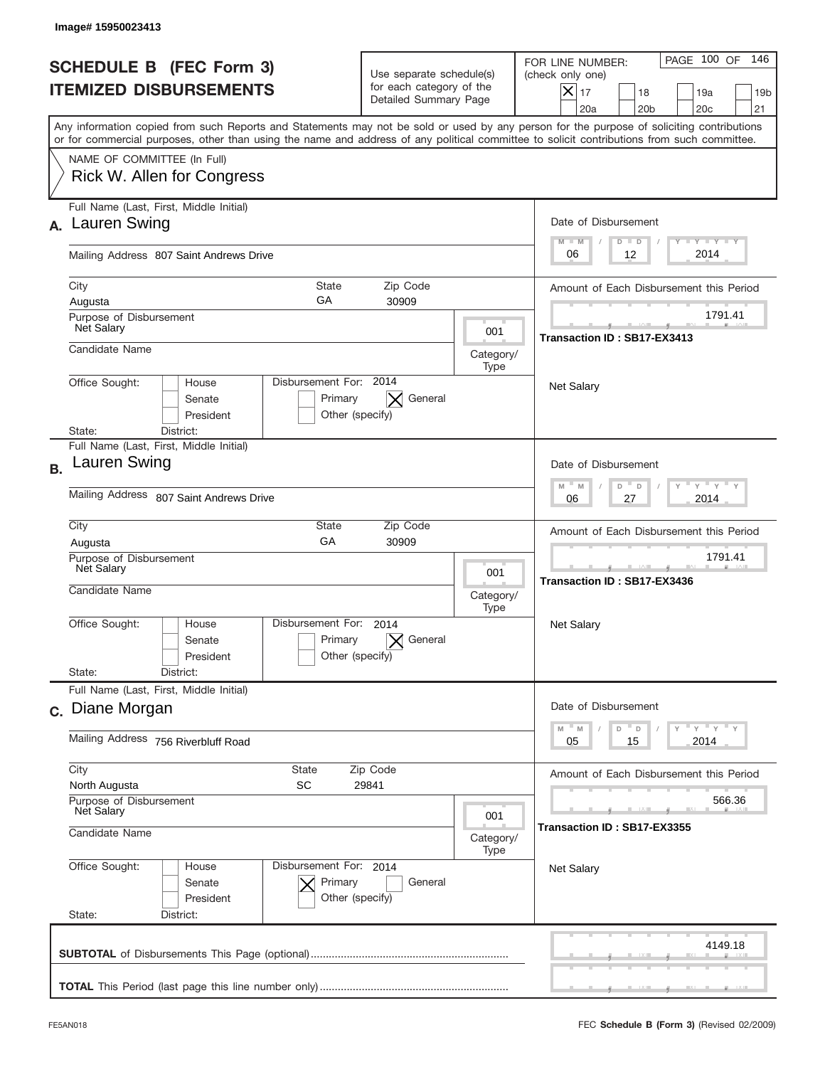| 146<br>PAGE 100 OF<br>FOR LINE NUMBER:<br>(check only one)<br>$X _{17}$<br>18<br>19a<br>19 <sub>b</sub><br>20a<br>20 <sub>b</sub><br>20 <sub>c</sub><br>21<br>Any information copied from such Reports and Statements may not be sold or used by any person for the purpose of soliciting contributions<br>or for commercial purposes, other than using the name and address of any political committee to solicit contributions from such committee.<br>Date of Disbursement<br>Y TY TY TY<br>$M - M$<br>$D$ $D$<br>2014<br>06<br>12<br>Amount of Each Disbursement this Period<br>1791.41<br>Transaction ID: SB17-EX3413 |
|----------------------------------------------------------------------------------------------------------------------------------------------------------------------------------------------------------------------------------------------------------------------------------------------------------------------------------------------------------------------------------------------------------------------------------------------------------------------------------------------------------------------------------------------------------------------------------------------------------------------------|
|                                                                                                                                                                                                                                                                                                                                                                                                                                                                                                                                                                                                                            |
|                                                                                                                                                                                                                                                                                                                                                                                                                                                                                                                                                                                                                            |
|                                                                                                                                                                                                                                                                                                                                                                                                                                                                                                                                                                                                                            |
|                                                                                                                                                                                                                                                                                                                                                                                                                                                                                                                                                                                                                            |
|                                                                                                                                                                                                                                                                                                                                                                                                                                                                                                                                                                                                                            |
|                                                                                                                                                                                                                                                                                                                                                                                                                                                                                                                                                                                                                            |
|                                                                                                                                                                                                                                                                                                                                                                                                                                                                                                                                                                                                                            |
| <b>Net Salary</b>                                                                                                                                                                                                                                                                                                                                                                                                                                                                                                                                                                                                          |
| Date of Disbursement<br>γ " γ " γ " γ                                                                                                                                                                                                                                                                                                                                                                                                                                                                                                                                                                                      |
| $M$ M<br>D<br>$\mathsf D$<br>27<br>2014<br>06                                                                                                                                                                                                                                                                                                                                                                                                                                                                                                                                                                              |
| Amount of Each Disbursement this Period<br>1791.41<br>Transaction ID: SB17-EX3436                                                                                                                                                                                                                                                                                                                                                                                                                                                                                                                                          |
| Net Salary                                                                                                                                                                                                                                                                                                                                                                                                                                                                                                                                                                                                                 |
| Date of Disbursement                                                                                                                                                                                                                                                                                                                                                                                                                                                                                                                                                                                                       |
| $\overline{y}$ $\overline{y}$ $\overline{y}$ $\overline{y}$ $\overline{y}$<br>$-M$<br>M<br>D<br>D<br>2014<br>05<br>15                                                                                                                                                                                                                                                                                                                                                                                                                                                                                                      |
| Amount of Each Disbursement this Period                                                                                                                                                                                                                                                                                                                                                                                                                                                                                                                                                                                    |
| 566.36<br>Transaction ID: SB17-EX3355                                                                                                                                                                                                                                                                                                                                                                                                                                                                                                                                                                                      |
| <b>Net Salary</b>                                                                                                                                                                                                                                                                                                                                                                                                                                                                                                                                                                                                          |
| 4149.18                                                                                                                                                                                                                                                                                                                                                                                                                                                                                                                                                                                                                    |
|                                                                                                                                                                                                                                                                                                                                                                                                                                                                                                                                                                                                                            |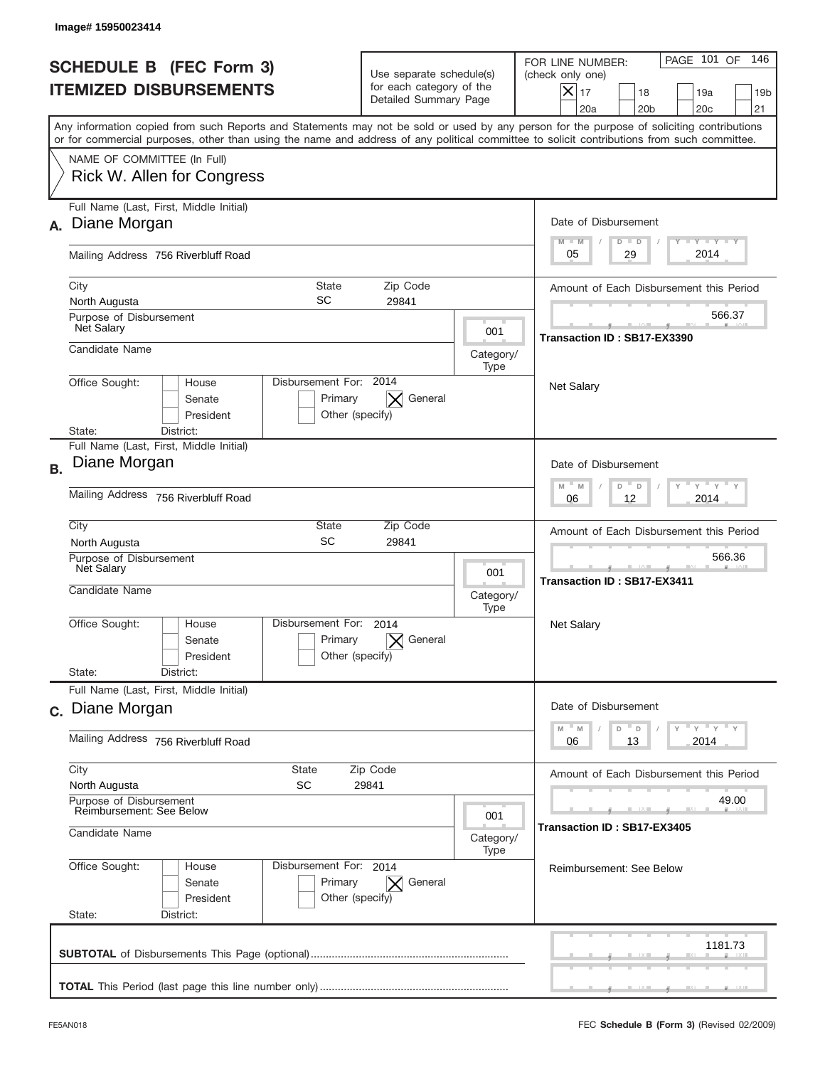| <b>SCHEDULE B (FEC Form 3)</b><br><b>ITEMIZED DISBURSEMENTS</b>                                  |                                                        | Use separate schedule(s)<br>for each category of the<br>Detailed Summary Page |                                                                                      | PAGE 101 OF<br>146<br>FOR LINE NUMBER:<br>(check only one)<br>$\boldsymbol{\times}$<br>17<br>18<br>19a<br>19 <sub>b</sub><br>20a<br>20 <sub>b</sub><br>20 <sub>c</sub><br>21                                                                                                            |
|--------------------------------------------------------------------------------------------------|--------------------------------------------------------|-------------------------------------------------------------------------------|--------------------------------------------------------------------------------------|-----------------------------------------------------------------------------------------------------------------------------------------------------------------------------------------------------------------------------------------------------------------------------------------|
|                                                                                                  |                                                        |                                                                               |                                                                                      | Any information copied from such Reports and Statements may not be sold or used by any person for the purpose of soliciting contributions<br>or for commercial purposes, other than using the name and address of any political committee to solicit contributions from such committee. |
| NAME OF COMMITTEE (In Full)<br>Rick W. Allen for Congress                                        |                                                        |                                                                               |                                                                                      |                                                                                                                                                                                                                                                                                         |
| Full Name (Last, First, Middle Initial)<br>Diane Morgan<br>А.                                    |                                                        |                                                                               |                                                                                      | Date of Disbursement<br><b>TAYLY LY</b><br>$M - M$<br>$D$ $D$                                                                                                                                                                                                                           |
| Mailing Address 756 Riverbluff Road                                                              |                                                        |                                                                               |                                                                                      | 2014<br>29<br>05                                                                                                                                                                                                                                                                        |
| City<br>North Augusta                                                                            | State<br>SC                                            | Amount of Each Disbursement this Period                                       |                                                                                      |                                                                                                                                                                                                                                                                                         |
| Purpose of Disbursement<br><b>Net Salary</b>                                                     |                                                        |                                                                               | 001                                                                                  | 566.37<br>Transaction ID: SB17-EX3390                                                                                                                                                                                                                                                   |
| Candidate Name                                                                                   |                                                        |                                                                               | Category/<br>Type                                                                    |                                                                                                                                                                                                                                                                                         |
| Office Sought:<br>State:<br>District:                                                            | Disbursement For: 2014<br>House<br>Senate<br>President | General<br>Primary<br>Other (specify)                                         |                                                                                      | <b>Net Salary</b>                                                                                                                                                                                                                                                                       |
| Full Name (Last, First, Middle Initial)<br>Diane Morgan<br><b>B.</b>                             |                                                        |                                                                               |                                                                                      | Date of Disbursement                                                                                                                                                                                                                                                                    |
| Mailing Address 756 Riverbluff Road                                                              |                                                        |                                                                               |                                                                                      | $\cdots$ $\gamma$ $\cdots$ $\gamma$ $\cdots$ $\gamma$<br>$M - M$<br>D<br>$\Box$<br>2014<br>06<br>12                                                                                                                                                                                     |
| City<br>State<br>Zip Code<br>SC<br>29841<br>North Augusta                                        |                                                        |                                                                               |                                                                                      | Amount of Each Disbursement this Period                                                                                                                                                                                                                                                 |
| Purpose of Disbursement<br>Net Salary<br>Candidate Name                                          |                                                        |                                                                               | 001<br>Category/<br>Type                                                             | 566.36<br>Transaction ID: SB17-EX3411                                                                                                                                                                                                                                                   |
| Office Sought:<br>State:<br>District:                                                            | Disbursement For:<br>House<br>Senate<br>President      | 2014<br>Primary<br>General<br>Other (specify)                                 |                                                                                      | Net Salary                                                                                                                                                                                                                                                                              |
| Full Name (Last, First, Middle Initial)<br>c. Diane Morgan                                       |                                                        |                                                                               |                                                                                      | Date of Disbursement                                                                                                                                                                                                                                                                    |
| Mailing Address 756 Riverbluff Road                                                              |                                                        |                                                                               | $\gamma$ = $\gamma$ = $\gamma$ = $\gamma$<br>$-M$<br>M<br>D<br>D<br>2014<br>06<br>13 |                                                                                                                                                                                                                                                                                         |
| City<br>North Augusta                                                                            | State<br><b>SC</b>                                     | Amount of Each Disbursement this Period                                       |                                                                                      |                                                                                                                                                                                                                                                                                         |
| Purpose of Disbursement<br><b>Reimbursement: See Below</b><br>001<br>Candidate Name<br>Category/ |                                                        |                                                                               | 49.00<br>Transaction ID: SB17-EX3405                                                 |                                                                                                                                                                                                                                                                                         |
| Office Sought:<br>State:<br>District:                                                            | Disbursement For: 2014<br>House<br>Senate<br>President | Primary<br>General<br>$\times$<br>Other (specify)                             | Type                                                                                 | <b>Reimbursement: See Below</b>                                                                                                                                                                                                                                                         |
|                                                                                                  |                                                        |                                                                               |                                                                                      | 1181.73                                                                                                                                                                                                                                                                                 |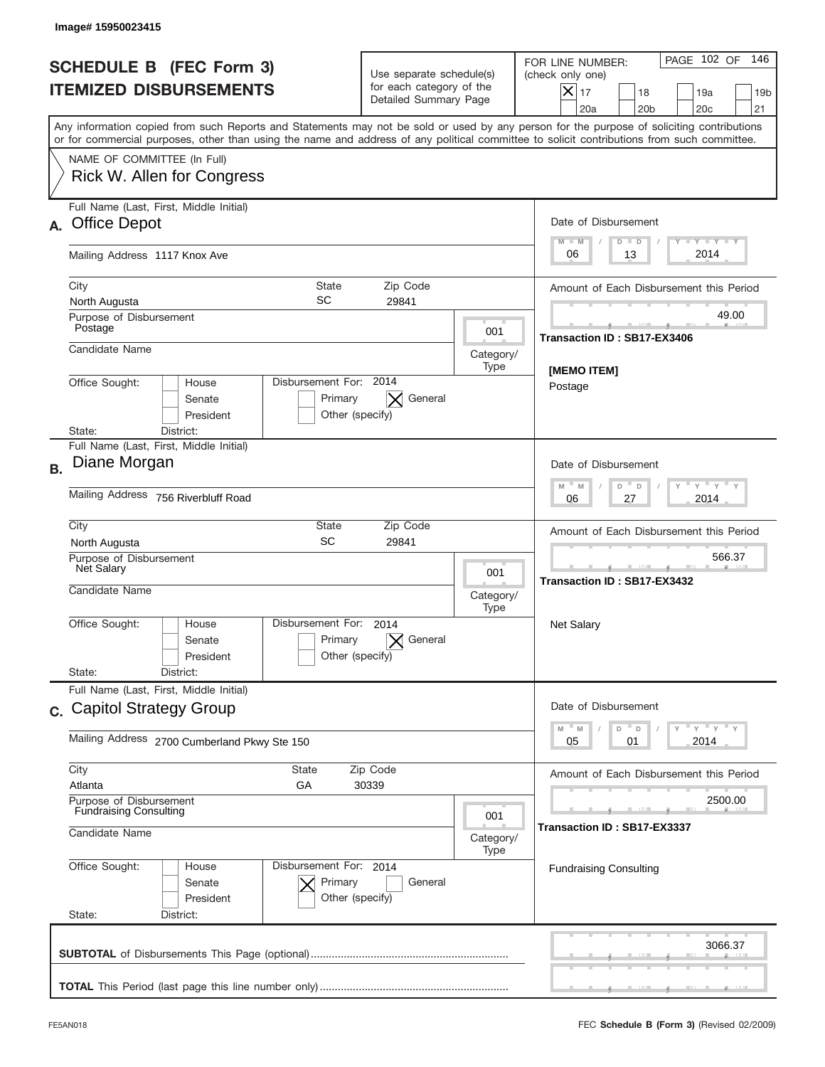| Image#15950023415                                                                                                                                                                                                                                                                       |                                                                               |                   |                                                                                                                                                                              |  |
|-----------------------------------------------------------------------------------------------------------------------------------------------------------------------------------------------------------------------------------------------------------------------------------------|-------------------------------------------------------------------------------|-------------------|------------------------------------------------------------------------------------------------------------------------------------------------------------------------------|--|
| <b>SCHEDULE B (FEC Form 3)</b><br><b>ITEMIZED DISBURSEMENTS</b>                                                                                                                                                                                                                         | Use separate schedule(s)<br>for each category of the<br>Detailed Summary Page |                   | PAGE 102 OF<br>146<br>FOR LINE NUMBER:<br>(check only one)<br>$\boldsymbol{\times}$<br>17<br>18<br>19a<br>19 <sub>b</sub><br>20a<br>20 <sub>b</sub><br>20 <sub>c</sub><br>21 |  |
| Any information copied from such Reports and Statements may not be sold or used by any person for the purpose of soliciting contributions<br>or for commercial purposes, other than using the name and address of any political committee to solicit contributions from such committee. |                                                                               |                   |                                                                                                                                                                              |  |
| NAME OF COMMITTEE (In Full)<br>Rick W. Allen for Congress                                                                                                                                                                                                                               |                                                                               |                   |                                                                                                                                                                              |  |
| Full Name (Last, First, Middle Initial)<br><b>Office Depot</b><br>А.                                                                                                                                                                                                                    |                                                                               |                   | Date of Disbursement<br>Y TY TY TY<br>$M - M$                                                                                                                                |  |
| Mailing Address 1117 Knox Ave                                                                                                                                                                                                                                                           |                                                                               |                   | $D$ $D$<br>2014<br>06<br>13                                                                                                                                                  |  |
| State<br>City<br>SC<br>North Augusta                                                                                                                                                                                                                                                    | Zip Code<br>29841                                                             |                   | Amount of Each Disbursement this Period                                                                                                                                      |  |
| Purpose of Disbursement<br>Postage                                                                                                                                                                                                                                                      |                                                                               | 001               | 49.00<br>Transaction ID: SB17-EX3406                                                                                                                                         |  |
| Candidate Name                                                                                                                                                                                                                                                                          |                                                                               | Category/<br>Type |                                                                                                                                                                              |  |
| Disbursement For: 2014<br>Office Sought:<br>House<br>General<br>Senate<br>Primary<br>President<br>Other (specify)<br>State:                                                                                                                                                             |                                                                               |                   | [MEMO ITEM]<br>Postage                                                                                                                                                       |  |
| District:<br>Full Name (Last, First, Middle Initial)<br>Diane Morgan<br><b>B.</b>                                                                                                                                                                                                       |                                                                               |                   | Date of Disbursement<br>$\cdots$ $\gamma$ $\cdots$ $\gamma$ $\cdots$ $\gamma$<br>$M - M$<br>D<br>$\Box$                                                                      |  |
| Mailing Address 756 Riverbluff Road                                                                                                                                                                                                                                                     | 2014<br>06<br>27                                                              |                   |                                                                                                                                                                              |  |
| City<br>State<br>SC<br>North Augusta<br>Purpose of Disbursement<br>Net Salary                                                                                                                                                                                                           | Zip Code<br>29841                                                             | 001               | Amount of Each Disbursement this Period<br>566.37<br>Transaction ID: SB17-EX3432                                                                                             |  |
| Candidate Name                                                                                                                                                                                                                                                                          | Category/                                                                     |                   |                                                                                                                                                                              |  |
| Disbursement For:<br>Office Sought:<br>House<br>Senate<br>President                                                                                                                                                                                                                     | 2014<br>Primary<br>General<br>Other (specify)                                 |                   | Net Salary                                                                                                                                                                   |  |
| State:<br>District:<br>Full Name (Last, First, Middle Initial)                                                                                                                                                                                                                          |                                                                               |                   |                                                                                                                                                                              |  |
| c. Capitol Strategy Group                                                                                                                                                                                                                                                               |                                                                               |                   |                                                                                                                                                                              |  |
|                                                                                                                                                                                                                                                                                         | Mailing Address 2700 Cumberland Pkwy Ste 150                                  |                   |                                                                                                                                                                              |  |
| City<br><b>State</b><br>Atlanta<br>GА<br>Purpose of Disbursement                                                                                                                                                                                                                        | Zip Code<br>30339                                                             |                   |                                                                                                                                                                              |  |
| Candidate Name                                                                                                                                                                                                                                                                          | <b>Fundraising Consulting</b><br>001<br>Category/<br>Type                     |                   |                                                                                                                                                                              |  |
| Office Sought:<br>House<br>Senate<br>President<br>State:<br>District:                                                                                                                                                                                                                   | Disbursement For: 2014<br>Primary<br>General<br>Other (specify)               |                   | <b>Fundraising Consulting</b>                                                                                                                                                |  |
|                                                                                                                                                                                                                                                                                         |                                                                               |                   | 3066.37                                                                                                                                                                      |  |
|                                                                                                                                                                                                                                                                                         |                                                                               |                   |                                                                                                                                                                              |  |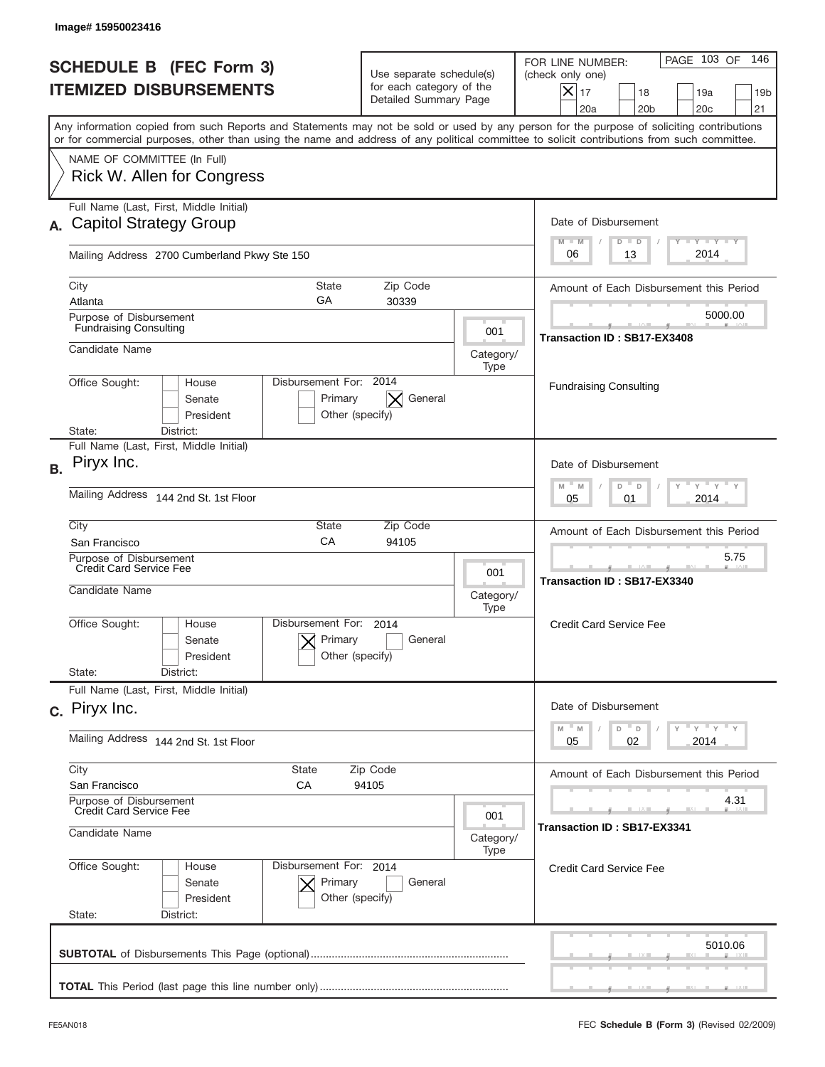|           | Image# 15950023416                                                                                                                                                                                                                                                                      |                                                                                                             |                   |                                                                                                                                                            |
|-----------|-----------------------------------------------------------------------------------------------------------------------------------------------------------------------------------------------------------------------------------------------------------------------------------------|-------------------------------------------------------------------------------------------------------------|-------------------|------------------------------------------------------------------------------------------------------------------------------------------------------------|
|           | <b>SCHEDULE B (FEC Form 3)</b><br><b>ITEMIZED DISBURSEMENTS</b>                                                                                                                                                                                                                         | Use separate schedule(s)<br>for each category of the<br>Detailed Summary Page                               |                   | PAGE 103 OF<br>146<br>FOR LINE NUMBER:<br>(check only one)<br>$X _{17}$<br>18<br>19a<br>19 <sub>b</sub><br>20a<br>20 <sub>b</sub><br>20 <sub>c</sub><br>21 |
|           | Any information copied from such Reports and Statements may not be sold or used by any person for the purpose of soliciting contributions<br>or for commercial purposes, other than using the name and address of any political committee to solicit contributions from such committee. |                                                                                                             |                   |                                                                                                                                                            |
|           | NAME OF COMMITTEE (In Full)<br>Rick W. Allen for Congress                                                                                                                                                                                                                               |                                                                                                             |                   |                                                                                                                                                            |
|           | Full Name (Last, First, Middle Initial)<br><b>Capitol Strategy Group</b>                                                                                                                                                                                                                |                                                                                                             |                   | Date of Disbursement<br>$T - Y$ $T - Y$<br>$M - M$<br>$D$ $D$                                                                                              |
|           | Mailing Address 2700 Cumberland Pkwy Ste 150                                                                                                                                                                                                                                            |                                                                                                             |                   | 2014<br>06<br>13                                                                                                                                           |
|           | <b>State</b><br>City<br>GA<br>Atlanta                                                                                                                                                                                                                                                   | Zip Code<br>30339                                                                                           |                   | Amount of Each Disbursement this Period                                                                                                                    |
|           | Purpose of Disbursement<br><b>Fundraising Consulting</b>                                                                                                                                                                                                                                |                                                                                                             | 001               | 5000.00<br>Transaction ID: SB17-EX3408                                                                                                                     |
|           | Candidate Name                                                                                                                                                                                                                                                                          |                                                                                                             | Category/<br>Type |                                                                                                                                                            |
|           | Disbursement For: 2014<br>Office Sought:<br>House<br>Primary<br>Senate<br>President<br>State:<br>District:                                                                                                                                                                              | General<br>Other (specify)                                                                                  |                   | <b>Fundraising Consulting</b>                                                                                                                              |
| <b>B.</b> | Full Name (Last, First, Middle Initial)<br>Piryx Inc.                                                                                                                                                                                                                                   |                                                                                                             |                   | Date of Disbursement<br>$\cdots$ $\gamma$ $\cdots$ $\gamma$ $\cdots$<br>$M$ <sup><math>-</math></sup><br>$D =$<br>M<br>D                                   |
|           | Mailing Address<br>144 2nd St. 1st Floor                                                                                                                                                                                                                                                | 2014<br>05<br>01                                                                                            |                   |                                                                                                                                                            |
|           | City<br>State<br>CA<br>San Francisco                                                                                                                                                                                                                                                    | Zip Code<br>94105                                                                                           |                   | Amount of Each Disbursement this Period                                                                                                                    |
|           | Purpose of Disbursement<br>Credit Card Service Fee<br>Candidate Name<br>Category/                                                                                                                                                                                                       |                                                                                                             |                   | 5.75<br>Transaction ID: SB17-EX3340                                                                                                                        |
|           | Disbursement For:<br>Office Sought:<br>House<br>Primary<br>Senate<br>President                                                                                                                                                                                                          | 2014<br>General<br>Other (specify)                                                                          | Type              | <b>Credit Card Service Fee</b>                                                                                                                             |
|           | State:<br>District:<br>Full Name (Last, First, Middle Initial)                                                                                                                                                                                                                          |                                                                                                             |                   |                                                                                                                                                            |
|           | c. Piryx Inc.                                                                                                                                                                                                                                                                           | Date of Disbursement<br>$\cdots$ $\gamma$ $\cdots$ $\gamma$ $\cdots$ $\gamma$<br>M<br>$\mathbb M$<br>D<br>D |                   |                                                                                                                                                            |
|           | Mailing Address 144 2nd St. 1st Floor                                                                                                                                                                                                                                                   | 02<br>2014<br>05                                                                                            |                   |                                                                                                                                                            |
|           | City<br><b>State</b><br>Zip Code<br>San Francisco<br>СA                                                                                                                                                                                                                                 | Amount of Each Disbursement this Period<br>4.31                                                             |                   |                                                                                                                                                            |
|           | Purpose of Disbursement<br>Credit Card Service Fee<br>001<br>Candidate Name<br>Category/                                                                                                                                                                                                |                                                                                                             |                   | Transaction ID: SB17-EX3341                                                                                                                                |
|           | Office Sought:<br>Disbursement For: 2014<br>House<br>Primary<br>Senate<br>President<br>State:<br>District:                                                                                                                                                                              | General<br>Other (specify)                                                                                  | Type              | <b>Credit Card Service Fee</b>                                                                                                                             |
|           |                                                                                                                                                                                                                                                                                         |                                                                                                             |                   | 5010.06                                                                                                                                                    |
|           |                                                                                                                                                                                                                                                                                         |                                                                                                             |                   |                                                                                                                                                            |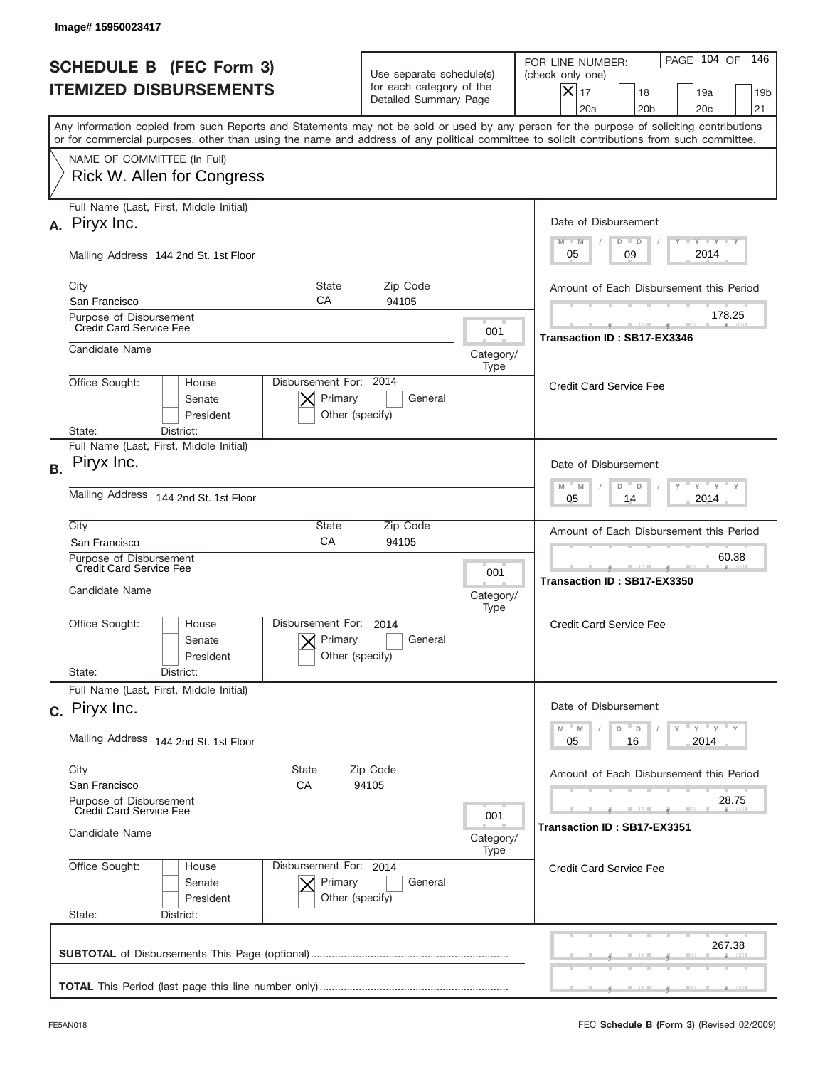| <b>SCHEDULE B (FEC Form 3)</b><br><b>ITEMIZED DISBURSEMENTS</b>       |                                   | Use separate schedule(s)<br>for each category of the<br>Detailed Summary Page |                   | 146<br>PAGE 104 OF<br>FOR LINE NUMBER:<br>(check only one)<br>$X _{17}$<br>18<br>19a<br>19 <sub>b</sub><br>20a<br>20 <sub>b</sub><br>20 <sub>c</sub><br>21                                                                                                                              |
|-----------------------------------------------------------------------|-----------------------------------|-------------------------------------------------------------------------------|-------------------|-----------------------------------------------------------------------------------------------------------------------------------------------------------------------------------------------------------------------------------------------------------------------------------------|
|                                                                       |                                   |                                                                               |                   | Any information copied from such Reports and Statements may not be sold or used by any person for the purpose of soliciting contributions<br>or for commercial purposes, other than using the name and address of any political committee to solicit contributions from such committee. |
| NAME OF COMMITTEE (In Full)<br>Rick W. Allen for Congress             |                                   |                                                                               |                   |                                                                                                                                                                                                                                                                                         |
| Full Name (Last, First, Middle Initial)<br>A. Piryx Inc.              |                                   |                                                                               |                   | Date of Disbursement<br>Y LY LY LY<br>$M - M$<br>$D$ $D$                                                                                                                                                                                                                                |
| Mailing Address 144 2nd St. 1st Floor                                 |                                   |                                                                               |                   | 2014<br>05<br>09                                                                                                                                                                                                                                                                        |
| City<br>San Francisco                                                 | <b>State</b><br>СA                | Zip Code<br>94105                                                             |                   | Amount of Each Disbursement this Period                                                                                                                                                                                                                                                 |
| Purpose of Disbursement<br><b>Credit Card Service Fee</b>             |                                   |                                                                               | 001               | 178.25<br>Transaction ID: SB17-EX3346                                                                                                                                                                                                                                                   |
| Candidate Name                                                        |                                   |                                                                               | Category/<br>Type |                                                                                                                                                                                                                                                                                         |
| Office Sought:<br>House<br>Senate<br>President<br>State:<br>District: | Disbursement For: 2014<br>Primary | General<br>Other (specify)                                                    |                   | <b>Credit Card Service Fee</b>                                                                                                                                                                                                                                                          |
| Full Name (Last, First, Middle Initial)<br>Piryx Inc.<br><b>B.</b>    |                                   |                                                                               |                   | Date of Disbursement                                                                                                                                                                                                                                                                    |
| Mailing Address<br>144 2nd St. 1st Floor                              |                                   |                                                                               |                   | $\cdots$ $\gamma$ $\cdots$ $\gamma$ $\cdots$ $\gamma$<br>$M$ M<br>D<br>D<br>2014<br>05<br>14                                                                                                                                                                                            |
| City<br>San Francisco                                                 | State<br>CA                       | Zip Code<br>94105                                                             |                   | Amount of Each Disbursement this Period                                                                                                                                                                                                                                                 |
| Purpose of Disbursement<br>Credit Card Service Fee<br>Candidate Name  |                                   |                                                                               | 001<br>Category/  | 60.38<br>Transaction ID: SB17-EX3350                                                                                                                                                                                                                                                    |
| Office Sought:<br>House<br>Senate<br>President<br>State:<br>District: | Disbursement For:<br>Primary      | 2014<br>General<br>Other (specify)                                            | Type              | <b>Credit Card Service Fee</b>                                                                                                                                                                                                                                                          |
| Full Name (Last, First, Middle Initial)                               |                                   |                                                                               |                   |                                                                                                                                                                                                                                                                                         |
| c. Piryx Inc.<br>Mailing Address 144 2nd St. 1st Floor                |                                   |                                                                               |                   | Date of Disbursement<br>$\rightarrow$ $\rightarrow$ $\rightarrow$ $\rightarrow$ $\rightarrow$<br>M<br>M<br>D<br>D<br>2014<br>05<br>16                                                                                                                                                   |
| City                                                                  | <b>State</b>                      | Zip Code                                                                      |                   | Amount of Each Disbursement this Period                                                                                                                                                                                                                                                 |
| San Francisco<br>Purpose of Disbursement                              | СA                                | 94105                                                                         |                   | 28.75                                                                                                                                                                                                                                                                                   |
| Credit Card Service Fee<br>Candidate Name                             | 001<br>Category/                  |                                                                               |                   | Transaction ID: SB17-EX3351                                                                                                                                                                                                                                                             |
| Office Sought:<br>House<br>Senate<br>President<br>State:<br>District: | Disbursement For: 2014<br>Primary | General<br>Other (specify)                                                    | Type              | <b>Credit Card Service Fee</b>                                                                                                                                                                                                                                                          |
|                                                                       |                                   |                                                                               |                   | 267.38                                                                                                                                                                                                                                                                                  |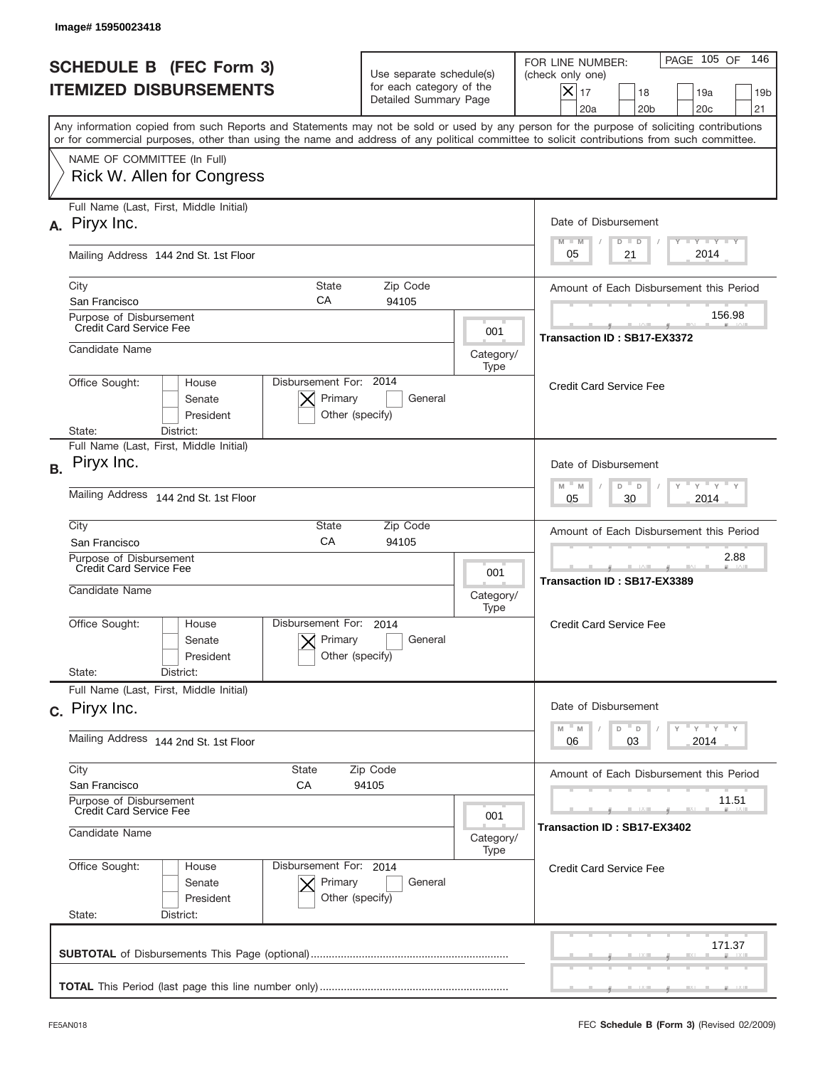|           | Image#15950023418                                                                                                                                                                                                                                                                       |                                                                               |                   |                                                                                                                                                            |
|-----------|-----------------------------------------------------------------------------------------------------------------------------------------------------------------------------------------------------------------------------------------------------------------------------------------|-------------------------------------------------------------------------------|-------------------|------------------------------------------------------------------------------------------------------------------------------------------------------------|
|           | <b>SCHEDULE B (FEC Form 3)</b><br><b>ITEMIZED DISBURSEMENTS</b>                                                                                                                                                                                                                         | Use separate schedule(s)<br>for each category of the<br>Detailed Summary Page |                   | 146<br>PAGE 105 OF<br>FOR LINE NUMBER:<br>(check only one)<br>$X _{17}$<br>18<br>19a<br>19 <sub>b</sub><br>20a<br>20 <sub>b</sub><br>20 <sub>c</sub><br>21 |
|           | Any information copied from such Reports and Statements may not be sold or used by any person for the purpose of soliciting contributions<br>or for commercial purposes, other than using the name and address of any political committee to solicit contributions from such committee. |                                                                               |                   |                                                                                                                                                            |
|           | NAME OF COMMITTEE (In Full)<br>Rick W. Allen for Congress                                                                                                                                                                                                                               |                                                                               |                   |                                                                                                                                                            |
|           | Full Name (Last, First, Middle Initial)<br>A. Piryx Inc.                                                                                                                                                                                                                                |                                                                               |                   | Date of Disbursement<br>Y TY TY TY<br>$M - M$<br>$D$ $D$                                                                                                   |
|           | Mailing Address 144 2nd St. 1st Floor                                                                                                                                                                                                                                                   |                                                                               |                   | 2014<br>21<br>05                                                                                                                                           |
|           | City<br><b>State</b><br>СA<br>San Francisco                                                                                                                                                                                                                                             | Zip Code<br>94105                                                             |                   | Amount of Each Disbursement this Period                                                                                                                    |
|           | Purpose of Disbursement<br><b>Credit Card Service Fee</b>                                                                                                                                                                                                                               |                                                                               | 001               | 156.98<br>Transaction ID: SB17-EX3372                                                                                                                      |
|           | Candidate Name                                                                                                                                                                                                                                                                          |                                                                               | Category/<br>Type |                                                                                                                                                            |
|           | Disbursement For: 2014<br>Office Sought:<br>House<br>Primary<br>Senate<br>President<br>Other (specify)<br>State:<br>District:                                                                                                                                                           | General                                                                       |                   | <b>Credit Card Service Fee</b>                                                                                                                             |
| <b>B.</b> | Full Name (Last, First, Middle Initial)<br>Piryx Inc.                                                                                                                                                                                                                                   |                                                                               |                   | Date of Disbursement<br>$\cdots$ $\gamma$ $\cdots$ $\gamma$ $\cdots$<br>$M - M$<br>D                                                                       |
|           | Mailing Address<br>144 2nd St. 1st Floor                                                                                                                                                                                                                                                | $\Box$<br>30<br>2014<br>05                                                    |                   |                                                                                                                                                            |
|           | City<br>State<br>CA<br>San Francisco                                                                                                                                                                                                                                                    | Zip Code<br>94105                                                             |                   | Amount of Each Disbursement this Period                                                                                                                    |
|           | Purpose of Disbursement<br>Credit Card Service Fee<br>Candidate Name                                                                                                                                                                                                                    |                                                                               | 001<br>Category/  | 2.88<br>Transaction ID: SB17-EX3389                                                                                                                        |
|           | Disbursement For:<br>Office Sought:<br>House<br>Primary<br>Senate<br>Other (specify)<br>President<br>State:<br>District:                                                                                                                                                                | 2014<br>General                                                               | Type              | <b>Credit Card Service Fee</b>                                                                                                                             |
|           | Full Name (Last, First, Middle Initial)                                                                                                                                                                                                                                                 |                                                                               |                   |                                                                                                                                                            |
|           | c. Piryx Inc.                                                                                                                                                                                                                                                                           |                                                                               |                   | Date of Disbursement<br>$\cdots$ $\gamma$ $\cdots$ $\gamma$ $\cdots$ $\gamma$<br>M<br>M<br>D<br>D                                                          |
|           | Mailing Address 144 2nd St. 1st Floor                                                                                                                                                                                                                                                   |                                                                               |                   | 2014<br>06<br>03                                                                                                                                           |
|           | City<br><b>State</b><br>Zip Code<br>San Francisco<br>СA<br>94105                                                                                                                                                                                                                        |                                                                               |                   | Amount of Each Disbursement this Period                                                                                                                    |
|           | Purpose of Disbursement<br>Credit Card Service Fee<br>001<br>Candidate Name<br>Category/                                                                                                                                                                                                |                                                                               |                   | 11.51<br>Transaction ID: SB17-EX3402                                                                                                                       |
|           | Office Sought:<br>Disbursement For: 2014<br>House<br>Primary<br>Senate<br>President<br>Other (specify)<br>State:<br>District:                                                                                                                                                           | General                                                                       | Type              | <b>Credit Card Service Fee</b>                                                                                                                             |
|           |                                                                                                                                                                                                                                                                                         |                                                                               |                   | 171.37                                                                                                                                                     |
|           |                                                                                                                                                                                                                                                                                         |                                                                               |                   |                                                                                                                                                            |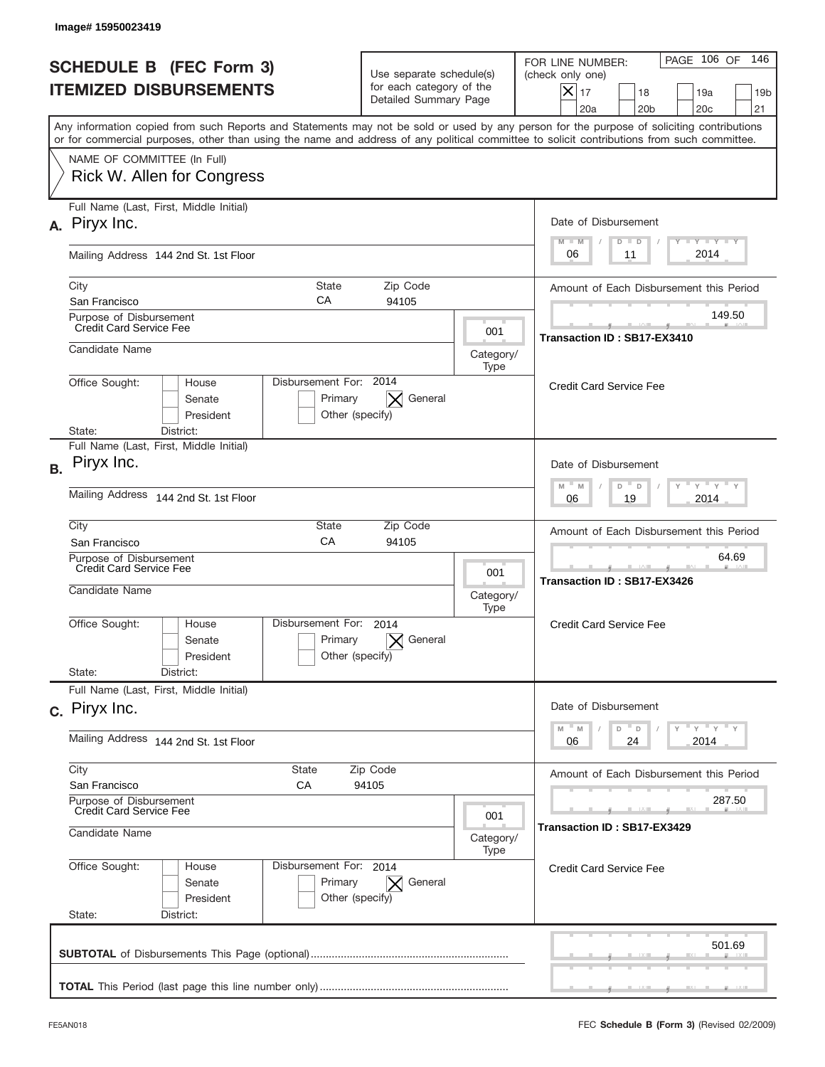|           | <b>SCHEDULE B (FEC Form 3)</b><br><b>ITEMIZED DISBURSEMENTS</b>                                                                                                                                                                                                                         | Use separate schedule(s)<br>for each category of the<br>Detailed Summary Page |                          | 146<br>PAGE 106 OF<br>FOR LINE NUMBER:<br>(check only one)<br>$X _{17}$<br>18<br>19a<br>19 <sub>b</sub><br>20a<br>20 <sub>b</sub><br>20 <sub>c</sub><br>21 |
|-----------|-----------------------------------------------------------------------------------------------------------------------------------------------------------------------------------------------------------------------------------------------------------------------------------------|-------------------------------------------------------------------------------|--------------------------|------------------------------------------------------------------------------------------------------------------------------------------------------------|
|           | Any information copied from such Reports and Statements may not be sold or used by any person for the purpose of soliciting contributions<br>or for commercial purposes, other than using the name and address of any political committee to solicit contributions from such committee. |                                                                               |                          |                                                                                                                                                            |
|           | NAME OF COMMITTEE (In Full)<br>Rick W. Allen for Congress                                                                                                                                                                                                                               |                                                                               |                          |                                                                                                                                                            |
| А.        | Full Name (Last, First, Middle Initial)<br>Piryx Inc.                                                                                                                                                                                                                                   |                                                                               |                          | Date of Disbursement<br>Y LY LY LY                                                                                                                         |
|           | Mailing Address 144 2nd St. 1st Floor                                                                                                                                                                                                                                                   |                                                                               |                          | $M - M$<br>$D$ $D$<br>2014<br>06<br>11                                                                                                                     |
|           | City<br>San Francisco                                                                                                                                                                                                                                                                   | <b>State</b><br>Zip Code<br>СA<br>94105                                       |                          | Amount of Each Disbursement this Period                                                                                                                    |
|           | Purpose of Disbursement<br><b>Credit Card Service Fee</b>                                                                                                                                                                                                                               |                                                                               | 001                      | 149.50<br>Transaction ID: SB17-EX3410                                                                                                                      |
|           | Candidate Name                                                                                                                                                                                                                                                                          |                                                                               | Category/<br>Type        |                                                                                                                                                            |
|           | Office Sought:<br>House<br>Senate<br>President<br>State:<br>District:                                                                                                                                                                                                                   | Disbursement For: 2014<br>General<br>Primary<br>Other (specify)               |                          | <b>Credit Card Service Fee</b>                                                                                                                             |
| <b>B.</b> | Full Name (Last, First, Middle Initial)<br>Piryx Inc.                                                                                                                                                                                                                                   |                                                                               |                          | Date of Disbursement                                                                                                                                       |
|           | Mailing Address<br>144 2nd St. 1st Floor                                                                                                                                                                                                                                                |                                                                               |                          | $\cdots$ $\gamma$ $\cdots$ $\gamma$ $\cdots$ $\gamma$<br>$M$ M<br>D<br>D<br>2014<br>06<br>19                                                               |
|           | City<br>San Francisco                                                                                                                                                                                                                                                                   | State<br>Zip Code<br>CA<br>94105                                              |                          | Amount of Each Disbursement this Period                                                                                                                    |
|           | Purpose of Disbursement<br>Credit Card Service Fee<br>Candidate Name                                                                                                                                                                                                                    |                                                                               | 001<br>Category/<br>Type | 64.69<br>Transaction ID: SB17-EX3426                                                                                                                       |
|           | Disbursement For:<br>Office Sought:<br>House<br>Senate<br>President                                                                                                                                                                                                                     | 2014<br>Primary<br>General<br>Other (specify)                                 |                          | <b>Credit Card Service Fee</b>                                                                                                                             |
|           | State:<br>District:<br>Full Name (Last, First, Middle Initial)                                                                                                                                                                                                                          |                                                                               |                          |                                                                                                                                                            |
|           | c. Piryx Inc.                                                                                                                                                                                                                                                                           |                                                                               |                          | Date of Disbursement<br>$\overline{Y}$ $\overline{Y}$ $\overline{Y}$ $\overline{Y}$ $\overline{Y}$<br>$-M$<br>M<br>D<br>D                                  |
|           | Mailing Address 144 2nd St. 1st Floor                                                                                                                                                                                                                                                   |                                                                               |                          | 2014<br>06<br>24                                                                                                                                           |
|           | City<br><b>State</b><br>Zip Code<br>San Francisco<br>СA<br>94105                                                                                                                                                                                                                        |                                                                               |                          | Amount of Each Disbursement this Period                                                                                                                    |
|           | Purpose of Disbursement<br>Credit Card Service Fee<br>001<br>Candidate Name<br>Category/                                                                                                                                                                                                |                                                                               |                          | 287.50<br>Transaction ID: SB17-EX3429                                                                                                                      |
|           | Office Sought:<br>House<br>Senate<br>President<br>State:<br>District:                                                                                                                                                                                                                   | Disbursement For: 2014<br>Primary<br>General<br>Other (specify)               | Type                     | <b>Credit Card Service Fee</b>                                                                                                                             |
|           |                                                                                                                                                                                                                                                                                         |                                                                               |                          | 501.69                                                                                                                                                     |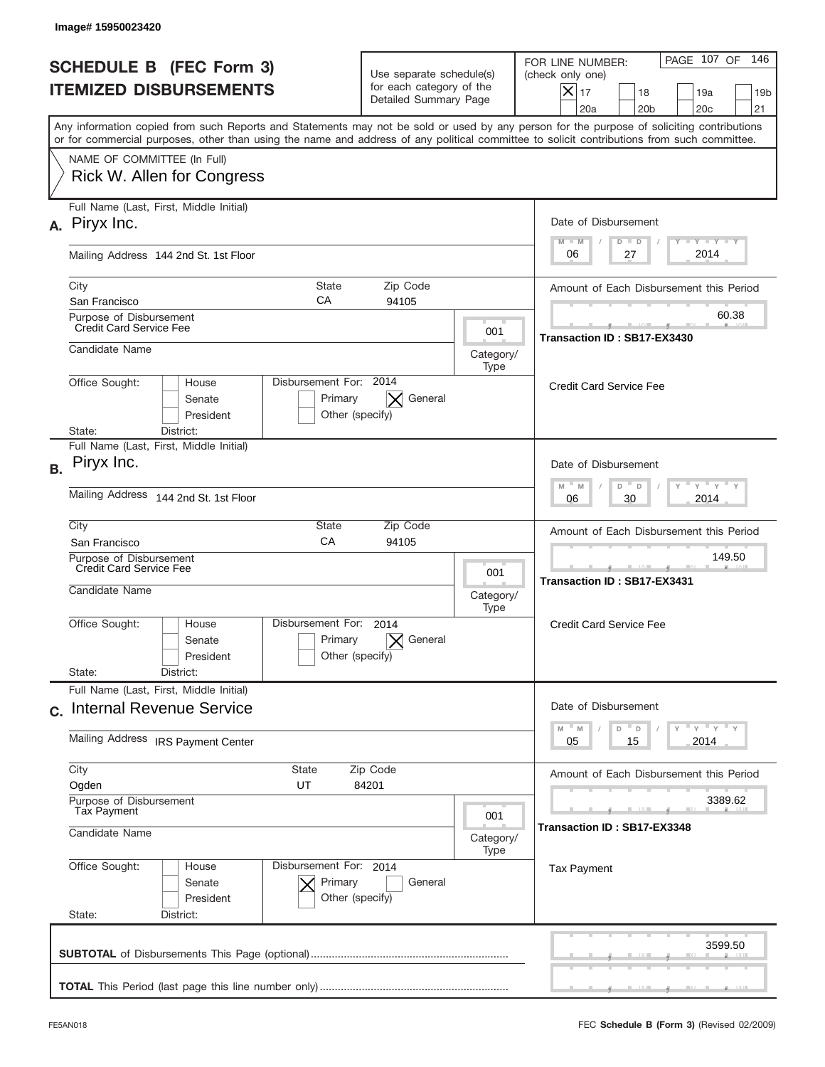| <b>SCHEDULE B (FEC Form 3)</b><br><b>ITEMIZED DISBURSEMENTS</b>                                                                                                                                                                                                                         |                                                                               |                          |                                                                                                                                                          |
|-----------------------------------------------------------------------------------------------------------------------------------------------------------------------------------------------------------------------------------------------------------------------------------------|-------------------------------------------------------------------------------|--------------------------|----------------------------------------------------------------------------------------------------------------------------------------------------------|
|                                                                                                                                                                                                                                                                                         | Use separate schedule(s)<br>for each category of the<br>Detailed Summary Page |                          | 146<br>PAGE 107 OF<br>FOR LINE NUMBER:<br>(check only one)<br>$ \mathsf{X} _{17}$<br>18<br>19a<br>19 <sub>b</sub><br>20a<br>20 <sub>b</sub><br>20c<br>21 |
| Any information copied from such Reports and Statements may not be sold or used by any person for the purpose of soliciting contributions<br>or for commercial purposes, other than using the name and address of any political committee to solicit contributions from such committee. |                                                                               |                          |                                                                                                                                                          |
| NAME OF COMMITTEE (In Full)<br>Rick W. Allen for Congress                                                                                                                                                                                                                               |                                                                               |                          |                                                                                                                                                          |
| Full Name (Last, First, Middle Initial)<br>A. Piryx Inc.                                                                                                                                                                                                                                |                                                                               |                          | Date of Disbursement<br>$T$ $Y$ $Y$ $Y$ $Y$                                                                                                              |
| Mailing Address 144 2nd St. 1st Floor                                                                                                                                                                                                                                                   |                                                                               |                          | $M - M$<br>$D$ $D$<br>2014<br>06<br>27                                                                                                                   |
| City<br><b>State</b><br>СA<br>San Francisco                                                                                                                                                                                                                                             | Zip Code<br>94105                                                             |                          | Amount of Each Disbursement this Period                                                                                                                  |
| Purpose of Disbursement<br><b>Credit Card Service Fee</b>                                                                                                                                                                                                                               |                                                                               | 001                      | 60.38<br>Transaction ID: SB17-EX3430                                                                                                                     |
| Candidate Name                                                                                                                                                                                                                                                                          |                                                                               | Category/<br>Type        |                                                                                                                                                          |
| Office Sought:<br>House<br>Senate<br>President<br>State:<br>District:                                                                                                                                                                                                                   | Disbursement For: 2014<br>$\mathbf{X}$ General<br>Primary<br>Other (specify)  |                          | <b>Credit Card Service Fee</b>                                                                                                                           |
| Full Name (Last, First, Middle Initial)<br>Piryx Inc.                                                                                                                                                                                                                                   |                                                                               |                          | Date of Disbursement<br>$\cdots$ $\gamma$ $\cdots$ $\gamma$ $\cdots$ $\gamma$<br>D                                                                       |
| Mailing Address<br>144 2nd St. 1st Floor                                                                                                                                                                                                                                                | M<br>M<br>$\Box$<br>30<br>2014<br>06                                          |                          |                                                                                                                                                          |
| City<br><b>State</b><br>CA<br>San Francisco                                                                                                                                                                                                                                             | Zip Code<br>94105                                                             |                          | Amount of Each Disbursement this Period                                                                                                                  |
| Purpose of Disbursement<br>Credit Card Service Fee<br>Candidate Name                                                                                                                                                                                                                    |                                                                               | 001<br>Category/         | 149.50<br>Transaction ID: SB17-EX3431                                                                                                                    |
| Office Sought:<br>House<br>Senate<br>President                                                                                                                                                                                                                                          | Disbursement For: 2014<br>General<br>Primary<br>$\times$<br>Other (specify)   | Type                     | <b>Credit Card Service Fee</b>                                                                                                                           |
| State:<br>District:<br>Full Name (Last, First, Middle Initial)                                                                                                                                                                                                                          |                                                                               |                          |                                                                                                                                                          |
| c. Internal Revenue Service                                                                                                                                                                                                                                                             | Date of Disbursement<br>$Y$ $Y$ $Y$ $Y$                                       |                          |                                                                                                                                                          |
| Mailing Address IRS Payment Center                                                                                                                                                                                                                                                      |                                                                               |                          | $M - M$<br>$\overline{\phantom{a}}$ D<br>D<br>2014<br>05<br>15                                                                                           |
| City<br>State<br>Ogden<br>UT<br>Purpose of Disbursement                                                                                                                                                                                                                                 | Zip Code<br>84201                                                             |                          | Amount of Each Disbursement this Period<br>3389.62                                                                                                       |
| <b>Tax Payment</b><br>Candidate Name                                                                                                                                                                                                                                                    |                                                                               | 001<br>Category/<br>Type | Transaction ID: SB17-EX3348                                                                                                                              |
| Office Sought:<br>House<br>Senate<br>President<br>State:<br>District:                                                                                                                                                                                                                   | Disbursement For: 2014<br>Primary<br>General<br>Other (specify)               |                          | <b>Tax Payment</b>                                                                                                                                       |
|                                                                                                                                                                                                                                                                                         |                                                                               |                          | 3599.50                                                                                                                                                  |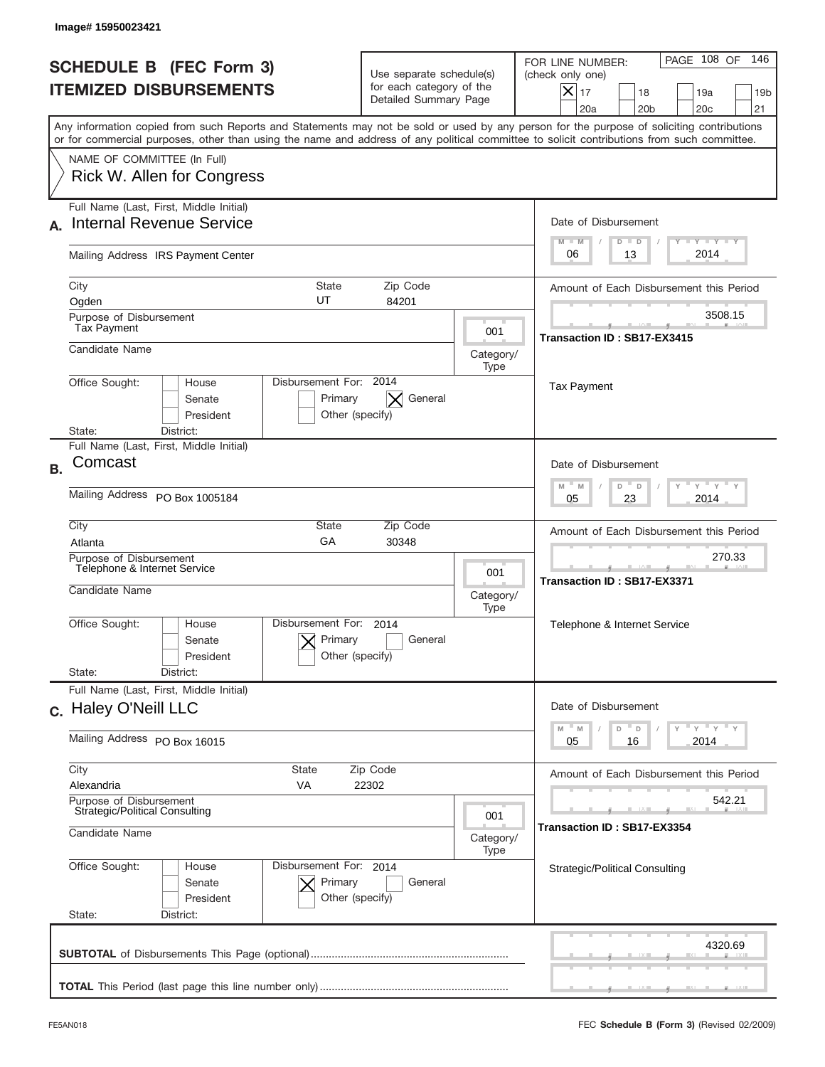|           | Image# 15950023421                                                                                                                                                                                                                                                                      |                                                                               |                          |                                                                                                                                                          |
|-----------|-----------------------------------------------------------------------------------------------------------------------------------------------------------------------------------------------------------------------------------------------------------------------------------------|-------------------------------------------------------------------------------|--------------------------|----------------------------------------------------------------------------------------------------------------------------------------------------------|
|           | <b>SCHEDULE B (FEC Form 3)</b><br><b>ITEMIZED DISBURSEMENTS</b>                                                                                                                                                                                                                         | Use separate schedule(s)<br>for each category of the<br>Detailed Summary Page |                          | 146<br>PAGE 108 OF<br>FOR LINE NUMBER:<br>(check only one)<br>X<br>17<br>18<br>19a<br>19 <sub>b</sub><br>20 <sub>c</sub><br>21<br>20a<br>20 <sub>b</sub> |
|           | Any information copied from such Reports and Statements may not be sold or used by any person for the purpose of soliciting contributions<br>or for commercial purposes, other than using the name and address of any political committee to solicit contributions from such committee. |                                                                               |                          |                                                                                                                                                          |
|           | NAME OF COMMITTEE (In Full)<br>Rick W. Allen for Congress                                                                                                                                                                                                                               |                                                                               |                          |                                                                                                                                                          |
|           | Full Name (Last, First, Middle Initial)<br><b>Internal Revenue Service</b>                                                                                                                                                                                                              |                                                                               |                          | Date of Disbursement<br>$T - Y$ $T - Y$<br>$M - M$<br>$D$ $D$                                                                                            |
|           | Mailing Address IRS Payment Center                                                                                                                                                                                                                                                      |                                                                               |                          | 2014<br>06<br>13                                                                                                                                         |
|           | <b>State</b><br>City<br>UT<br>Ogden<br>Purpose of Disbursement                                                                                                                                                                                                                          | Zip Code<br>84201                                                             |                          | Amount of Each Disbursement this Period<br>3508.15                                                                                                       |
|           | Tax Payment<br>Candidate Name                                                                                                                                                                                                                                                           |                                                                               | 001<br>Category/<br>Type | Transaction ID: SB17-EX3415                                                                                                                              |
|           | Disbursement For: 2014<br>Office Sought:<br>House<br>Senate<br>Primary<br>President<br>State:<br>District:                                                                                                                                                                              | General<br>$\times$<br>Other (specify)                                        |                          | <b>Tax Payment</b>                                                                                                                                       |
| <b>B.</b> | Full Name (Last, First, Middle Initial)<br>Comcast                                                                                                                                                                                                                                      |                                                                               |                          | Date of Disbursement<br>" y " y                                                                                                                          |
|           | Mailing Address PO Box 1005184                                                                                                                                                                                                                                                          | $M - M$<br>D<br>D<br>2014<br>05<br>23                                         |                          |                                                                                                                                                          |
|           | City<br>State<br>GA<br>Atlanta<br>Purpose of Disbursement<br>Telephone & Internet Service                                                                                                                                                                                               | Zip Code<br>30348                                                             | 001                      | Amount of Each Disbursement this Period<br>270.33<br>Transaction ID: SB17-EX3371                                                                         |
|           | Candidate Name<br>Disbursement For:<br>Office Sought:<br>House                                                                                                                                                                                                                          | 2014                                                                          | Category/<br>Type        | Telephone & Internet Service                                                                                                                             |
|           | Primary<br>Senate<br>President<br>State:<br>District:                                                                                                                                                                                                                                   | General<br>Other (specify)                                                    |                          |                                                                                                                                                          |
|           | Full Name (Last, First, Middle Initial)<br>c. Haley O'Neill LLC                                                                                                                                                                                                                         |                                                                               |                          | Date of Disbursement<br>≡ γ ≡ γ ≡ γ<br>M                                                                                                                 |
|           | Mailing Address PO Box 16015                                                                                                                                                                                                                                                            | M<br>D<br>D<br>2014<br>05<br>16                                               |                          |                                                                                                                                                          |
|           | City<br>State<br>Zip Code<br>Alexandria<br><b>VA</b><br>22302                                                                                                                                                                                                                           | Amount of Each Disbursement this Period                                       |                          |                                                                                                                                                          |
|           | Purpose of Disbursement<br>Strategic/Political Consulting<br>001<br>Candidate Name<br>Category/                                                                                                                                                                                         |                                                                               |                          | 542.21<br>Transaction ID: SB17-EX3354                                                                                                                    |
|           | Office Sought:<br>Disbursement For: 2014<br>House<br>Primary<br>Senate<br>President<br>State:<br>District:                                                                                                                                                                              | General<br>Other (specify)                                                    | Type                     | <b>Strategic/Political Consulting</b>                                                                                                                    |
|           |                                                                                                                                                                                                                                                                                         |                                                                               |                          | 4320.69                                                                                                                                                  |
|           |                                                                                                                                                                                                                                                                                         |                                                                               |                          |                                                                                                                                                          |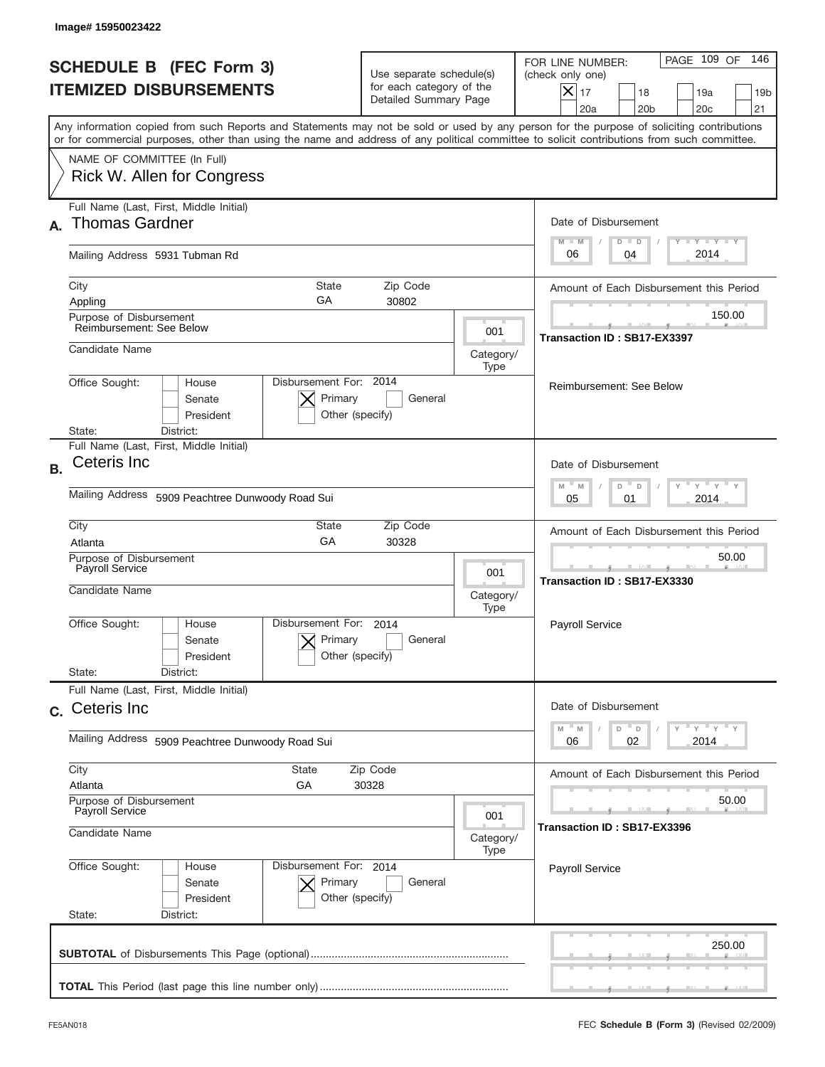| Image# 15950023422                                                     |                                                                   |                                                                               |                                                      |                                                                                                                                                                                                                                                                                         |
|------------------------------------------------------------------------|-------------------------------------------------------------------|-------------------------------------------------------------------------------|------------------------------------------------------|-----------------------------------------------------------------------------------------------------------------------------------------------------------------------------------------------------------------------------------------------------------------------------------------|
| <b>SCHEDULE B</b> (FEC Form 3)<br><b>ITEMIZED DISBURSEMENTS</b>        |                                                                   | Use separate schedule(s)<br>for each category of the<br>Detailed Summary Page |                                                      | 146<br>PAGE 109 OF<br>FOR LINE NUMBER:<br>(check only one)<br>$X _{17}$<br>18<br>19a<br>19 <sub>b</sub><br>20a<br>20 <sub>b</sub><br>20 <sub>c</sub><br>21                                                                                                                              |
|                                                                        |                                                                   |                                                                               |                                                      | Any information copied from such Reports and Statements may not be sold or used by any person for the purpose of soliciting contributions<br>or for commercial purposes, other than using the name and address of any political committee to solicit contributions from such committee. |
| NAME OF COMMITTEE (In Full)<br>Rick W. Allen for Congress              |                                                                   |                                                                               |                                                      |                                                                                                                                                                                                                                                                                         |
| Full Name (Last, First, Middle Initial)<br><b>Thomas Gardner</b><br>А. |                                                                   |                                                                               |                                                      | Date of Disbursement<br>$T - Y$ $T - Y$<br>$M - M$<br>$D$ $D$                                                                                                                                                                                                                           |
| Mailing Address 5931 Tubman Rd                                         |                                                                   |                                                                               |                                                      | 2014<br>06<br>04                                                                                                                                                                                                                                                                        |
| City<br>Appling<br>Purpose of Disbursement                             | <b>State</b><br>GA                                                | Zip Code<br>30802                                                             |                                                      | Amount of Each Disbursement this Period<br>150.00                                                                                                                                                                                                                                       |
| Reimbursement: See Below<br>Candidate Name                             |                                                                   |                                                                               | 001<br>Category/                                     | Transaction ID: SB17-EX3397                                                                                                                                                                                                                                                             |
| Office Sought:<br>District:<br>State:                                  | Disbursement For: 2014<br>House<br>Primary<br>Senate<br>President | General<br>Other (specify)                                                    | Type                                                 | Reimbursement: See Below                                                                                                                                                                                                                                                                |
| Ceteris Inc<br><b>B.</b>                                               | Full Name (Last, First, Middle Initial)                           |                                                                               |                                                      | Date of Disbursement<br>$M - M$<br>$Y = Y$<br>D<br>D                                                                                                                                                                                                                                    |
|                                                                        | Mailing Address 5909 Peachtree Dunwoody Road Sui                  | 2014<br>05<br>01                                                              |                                                      |                                                                                                                                                                                                                                                                                         |
| City<br>Atlanta                                                        | State<br>GA                                                       | Amount of Each Disbursement this Period                                       |                                                      |                                                                                                                                                                                                                                                                                         |
| Payroll Service<br>Candidate Name                                      | Purpose of Disbursement<br>001<br>Category/<br>Type               |                                                                               |                                                      | 50.00<br>Transaction ID: SB17-EX3330                                                                                                                                                                                                                                                    |
| Office Sought:<br>State:<br>District:                                  | Disbursement For:<br>House<br>Primary<br>Senate<br>President      | 2014<br>General<br>Other (specify)                                            |                                                      | Payroll Service                                                                                                                                                                                                                                                                         |
| Full Name (Last, First, Middle Initial)<br>c. Ceteris Inc              |                                                                   |                                                                               |                                                      | Date of Disbursement                                                                                                                                                                                                                                                                    |
| Mailing Address 5909 Peachtree Dunwoody Road Sui                       |                                                                   |                                                                               | ≡ γ ≡ γ ≡ γ<br>$M - M$<br>D<br>D<br>02<br>2014<br>06 |                                                                                                                                                                                                                                                                                         |
| City<br>Atlanta                                                        | State<br>Zip Code<br>GА<br>30328                                  |                                                                               |                                                      | Amount of Each Disbursement this Period                                                                                                                                                                                                                                                 |
| Payroll Service<br>Candidate Name                                      | Purpose of Disbursement<br>001<br>Category/                       |                                                                               |                                                      | 50.00<br>Transaction ID: SB17-EX3396                                                                                                                                                                                                                                                    |
| Office Sought:<br>State:<br>District:                                  | Disbursement For: 2014<br>House<br>Senate<br>Primary<br>President | General<br>Other (specify)                                                    | Type                                                 | Payroll Service                                                                                                                                                                                                                                                                         |
|                                                                        |                                                                   |                                                                               |                                                      | 250.00                                                                                                                                                                                                                                                                                  |
|                                                                        |                                                                   |                                                                               |                                                      |                                                                                                                                                                                                                                                                                         |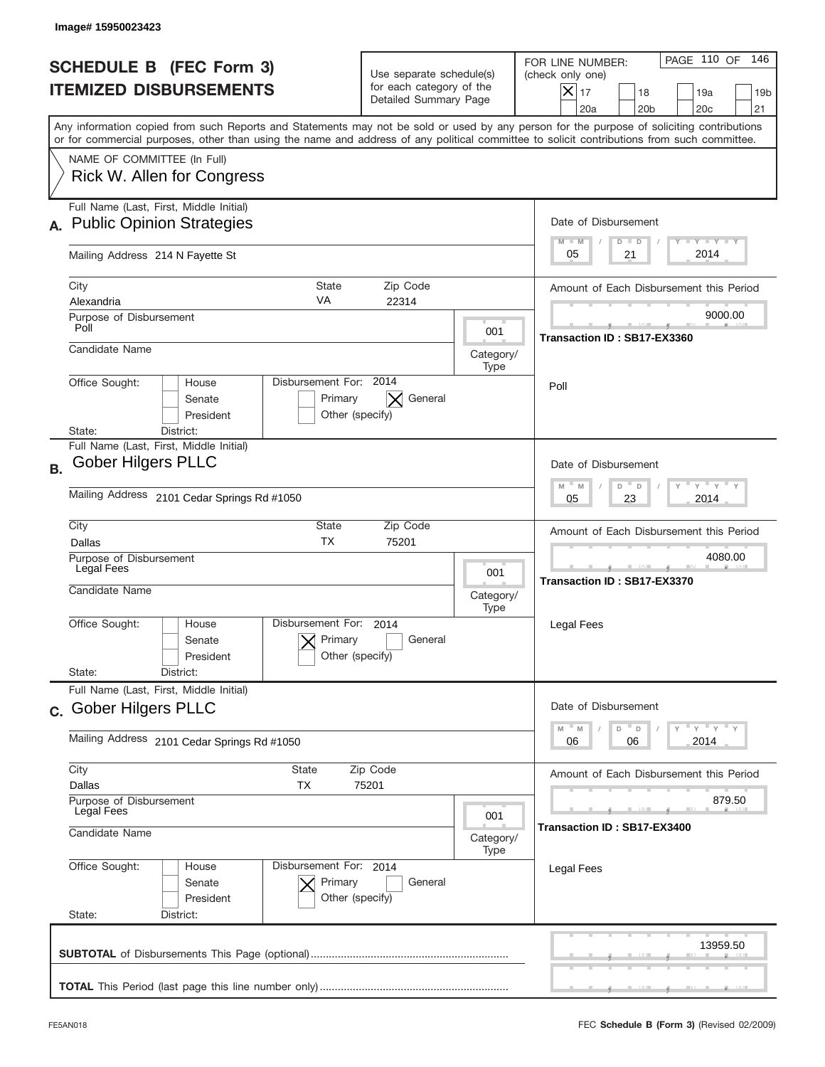|           | Image# 15950023423                                                                                                                                                                                                                                                                      |                                                                               |                                        |                                                                                                                                                            |
|-----------|-----------------------------------------------------------------------------------------------------------------------------------------------------------------------------------------------------------------------------------------------------------------------------------------|-------------------------------------------------------------------------------|----------------------------------------|------------------------------------------------------------------------------------------------------------------------------------------------------------|
|           | <b>SCHEDULE B</b> (FEC Form 3)<br><b>ITEMIZED DISBURSEMENTS</b>                                                                                                                                                                                                                         | Use separate schedule(s)<br>for each category of the<br>Detailed Summary Page |                                        | PAGE 110 OF<br>146<br>FOR LINE NUMBER:<br>(check only one)<br>$X _{17}$<br>18<br>19a<br>19 <sub>b</sub><br>20a<br>20 <sub>b</sub><br>20 <sub>c</sub><br>21 |
|           | Any information copied from such Reports and Statements may not be sold or used by any person for the purpose of soliciting contributions<br>or for commercial purposes, other than using the name and address of any political committee to solicit contributions from such committee. |                                                                               |                                        |                                                                                                                                                            |
|           | NAME OF COMMITTEE (In Full)<br>Rick W. Allen for Congress                                                                                                                                                                                                                               |                                                                               |                                        |                                                                                                                                                            |
|           | Full Name (Last, First, Middle Initial)<br>A. Public Opinion Strategies                                                                                                                                                                                                                 |                                                                               |                                        | Date of Disbursement<br>$I - Y - I - Y - I - Y$<br>$M - M$<br>$D$ $D$                                                                                      |
|           | Mailing Address 214 N Fayette St                                                                                                                                                                                                                                                        |                                                                               |                                        | 2014<br>05<br>21                                                                                                                                           |
|           | City<br>State<br>VA<br>Alexandria<br>Purpose of Disbursement                                                                                                                                                                                                                            | Zip Code<br>22314                                                             |                                        | Amount of Each Disbursement this Period<br>9000.00                                                                                                         |
|           | Poll<br>Candidate Name                                                                                                                                                                                                                                                                  |                                                                               | 001<br>Category/                       | Transaction ID: SB17-EX3360                                                                                                                                |
|           | Disbursement For: 2014<br>Office Sought:<br>House<br>Senate<br>Primary<br>President<br>State:<br>District:                                                                                                                                                                              | General<br>$\times$<br>Other (specify)                                        | Type                                   | Poll                                                                                                                                                       |
| <b>B.</b> | Full Name (Last, First, Middle Initial)<br><b>Gober Hilgers PLLC</b><br>Mailing Address 2101 Cedar Springs Rd #1050                                                                                                                                                                     |                                                                               |                                        | Date of Disbursement<br>$-M$<br>$Y = Y$<br>M<br>D<br>D                                                                                                     |
|           | City<br><b>State</b><br><b>TX</b><br>Dallas<br>Purpose of Disbursement                                                                                                                                                                                                                  | Zip Code<br>75201                                                             |                                        | 2014<br>05<br>23<br>Amount of Each Disbursement this Period<br>4080.00                                                                                     |
|           | Legal Fees<br>001<br>Candidate Name<br>Category/<br>Type                                                                                                                                                                                                                                |                                                                               |                                        | Transaction ID: SB17-EX3370                                                                                                                                |
|           | Disbursement For:<br>Office Sought:<br>House<br>Primary<br>Senate<br>President<br>State:<br>District:                                                                                                                                                                                   | 2014<br>General<br>Other (specify)                                            |                                        | Legal Fees                                                                                                                                                 |
|           | Full Name (Last, First, Middle Initial)<br>c. Gober Hilgers PLLC                                                                                                                                                                                                                        |                                                                               |                                        | Date of Disbursement                                                                                                                                       |
|           | Mailing Address 2101 Cedar Springs Rd #1050                                                                                                                                                                                                                                             |                                                                               |                                        | $=\frac{1}{\gamma}+\frac{1}{\gamma}+\frac{1}{\gamma}+\frac{1}{\gamma}$<br>$-M$<br>$\mathbb M$<br>D<br>D<br>2014<br>06<br>06                                |
|           | City<br><b>State</b><br>Zip Code<br>Dallas<br><b>TX</b><br>75201                                                                                                                                                                                                                        |                                                                               |                                        | Amount of Each Disbursement this Period                                                                                                                    |
|           | Purpose of Disbursement<br>Legal Fees<br>001<br>Candidate Name<br>Category/<br>Type                                                                                                                                                                                                     |                                                                               | 879.50<br>Transaction ID : SB17-EX3400 |                                                                                                                                                            |
|           | Office Sought:<br>Disbursement For: 2014<br>House<br>Senate<br>Primary<br>President<br>State:<br>District:                                                                                                                                                                              | General<br>Other (specify)                                                    |                                        | Legal Fees                                                                                                                                                 |
|           |                                                                                                                                                                                                                                                                                         |                                                                               |                                        | 13959.50                                                                                                                                                   |
|           |                                                                                                                                                                                                                                                                                         |                                                                               |                                        |                                                                                                                                                            |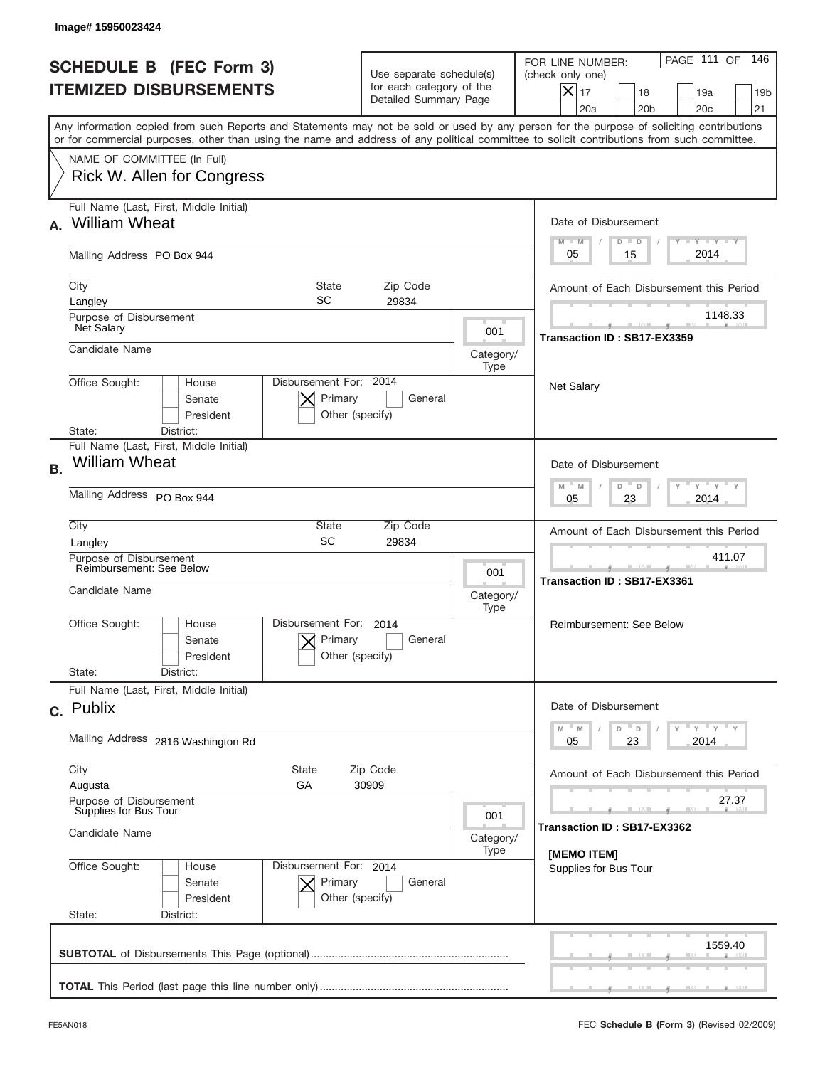| <b>SCHEDULE B (FEC Form 3)</b><br><b>ITEMIZED DISBURSEMENTS</b>                                                                                                                                                                                                                         | Use separate schedule(s)<br>for each category of the<br>Detailed Summary Page                       |                   | PAGE 111 OF<br>146<br>FOR LINE NUMBER:<br>(check only one)<br>$ \boldsymbol{\times} $<br>17<br>18<br>19a<br>19 <sub>b</sub><br>20a<br>20 <sub>b</sub><br>20 <sub>c</sub><br>21                                                                                                |
|-----------------------------------------------------------------------------------------------------------------------------------------------------------------------------------------------------------------------------------------------------------------------------------------|-----------------------------------------------------------------------------------------------------|-------------------|-------------------------------------------------------------------------------------------------------------------------------------------------------------------------------------------------------------------------------------------------------------------------------|
| Any information copied from such Reports and Statements may not be sold or used by any person for the purpose of soliciting contributions<br>or for commercial purposes, other than using the name and address of any political committee to solicit contributions from such committee. |                                                                                                     |                   |                                                                                                                                                                                                                                                                               |
| NAME OF COMMITTEE (In Full)<br>Rick W. Allen for Congress                                                                                                                                                                                                                               |                                                                                                     |                   |                                                                                                                                                                                                                                                                               |
| Full Name (Last, First, Middle Initial)<br><b>William Wheat</b>                                                                                                                                                                                                                         |                                                                                                     |                   | Date of Disbursement<br>Y FY FY FY                                                                                                                                                                                                                                            |
| Mailing Address PO Box 944                                                                                                                                                                                                                                                              |                                                                                                     |                   | $M - M$<br>$D$ $D$<br>2014<br>05<br>15                                                                                                                                                                                                                                        |
| City<br>SC<br>Langley                                                                                                                                                                                                                                                                   | State<br>Zip Code<br>29834                                                                          |                   | Amount of Each Disbursement this Period                                                                                                                                                                                                                                       |
| Purpose of Disbursement<br>Net Salary                                                                                                                                                                                                                                                   |                                                                                                     | 001               | 1148.33<br>Transaction ID: SB17-EX3359                                                                                                                                                                                                                                        |
| Candidate Name                                                                                                                                                                                                                                                                          |                                                                                                     | Category/<br>Type |                                                                                                                                                                                                                                                                               |
| Office Sought:<br>House<br>Senate<br>President<br>State:<br>District:                                                                                                                                                                                                                   | Disbursement For: 2014<br>Primary<br>General<br>Other (specify)                                     |                   | <b>Net Salary</b>                                                                                                                                                                                                                                                             |
| Full Name (Last, First, Middle Initial)<br><b>William Wheat</b>                                                                                                                                                                                                                         |                                                                                                     |                   | Date of Disbursement                                                                                                                                                                                                                                                          |
| Mailing Address PO Box 944                                                                                                                                                                                                                                                              | $\cdots$ $\gamma$ $\cdots$ $\gamma$ $\cdots$ $\gamma$<br>$M - M$<br>D<br>$\Box$<br>2014<br>05<br>23 |                   |                                                                                                                                                                                                                                                                               |
| City<br>SC<br>Langley                                                                                                                                                                                                                                                                   | State<br>Zip Code<br>29834                                                                          |                   | Amount of Each Disbursement this Period                                                                                                                                                                                                                                       |
| Purpose of Disbursement<br>Reimbursement: See Below<br>001<br>Candidate Name<br>Category/                                                                                                                                                                                               |                                                                                                     |                   | 411.07<br><u> 12 Martin 12 Martin 12 Martin 12 Martin 12 Martin 12 Martin 12 Martin 12 Martin 12 Martin 12 Martin 12 Martin 12 Martin 12 Martin 12 Martin 12 Martin 12 Martin 12 Martin 12 Martin 12 Martin 12 Martin 12 Martin 12 Martin </u><br>Transaction ID: SB17-EX3361 |
| Disbursement For:<br>Office Sought:<br>House<br>Senate<br>President                                                                                                                                                                                                                     | 2014<br>Primary<br>General<br>Other (specify)                                                       | Type              | Reimbursement: See Below                                                                                                                                                                                                                                                      |
| State:<br>District:<br>Full Name (Last, First, Middle Initial)                                                                                                                                                                                                                          |                                                                                                     |                   |                                                                                                                                                                                                                                                                               |
| c. Publix                                                                                                                                                                                                                                                                               |                                                                                                     |                   | Date of Disbursement<br>$\mathbb{F} \times \mathbb{F} \times \mathbb{F} \times \mathbb{F}$<br>M<br>M<br>D                                                                                                                                                                     |
| Mailing Address 2816 Washington Rd                                                                                                                                                                                                                                                      |                                                                                                     |                   | D<br>23<br>2014<br>05                                                                                                                                                                                                                                                         |
| City<br><b>State</b><br>Augusta<br>GА                                                                                                                                                                                                                                                   | Zip Code<br>30909                                                                                   |                   | Amount of Each Disbursement this Period                                                                                                                                                                                                                                       |
| Purpose of Disbursement<br>Supplies for Bus Tour<br>Candidate Name                                                                                                                                                                                                                      | 27.37<br>Transaction ID: SB17-EX3362                                                                |                   |                                                                                                                                                                                                                                                                               |
| Office Sought:<br>House<br>Senate<br>President<br>State:<br>District:                                                                                                                                                                                                                   | Disbursement For: 2014<br>Primary<br>General<br>Other (specify)                                     | Category/<br>Type | [MEMO ITEM]<br>Supplies for Bus Tour                                                                                                                                                                                                                                          |
|                                                                                                                                                                                                                                                                                         |                                                                                                     |                   | 1559.40                                                                                                                                                                                                                                                                       |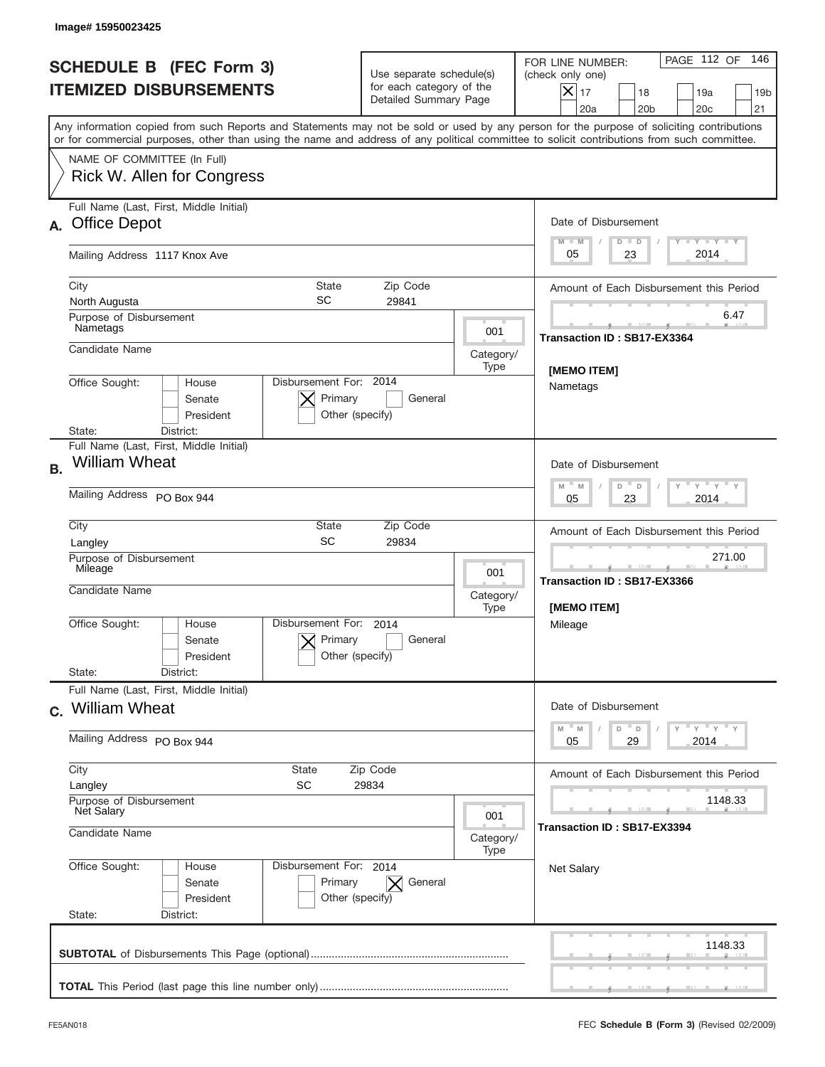| Image#15950023425                                                                                                                                                                                                                                                                       |                                                                                                                                      |                   |                                                                                                                                                                             |
|-----------------------------------------------------------------------------------------------------------------------------------------------------------------------------------------------------------------------------------------------------------------------------------------|--------------------------------------------------------------------------------------------------------------------------------------|-------------------|-----------------------------------------------------------------------------------------------------------------------------------------------------------------------------|
| <b>SCHEDULE B (FEC Form 3)</b><br><b>ITEMIZED DISBURSEMENTS</b>                                                                                                                                                                                                                         | Use separate schedule(s)<br>for each category of the<br>Detailed Summary Page                                                        |                   | PAGE 112 OF<br>146<br>FOR LINE NUMBER:<br>(check only one)<br>$\overline{\mathsf{x}}$ 17<br>18<br>19a<br>19 <sub>b</sub><br>20a<br>20 <sub>b</sub><br>20 <sub>c</sub><br>21 |
| Any information copied from such Reports and Statements may not be sold or used by any person for the purpose of soliciting contributions<br>or for commercial purposes, other than using the name and address of any political committee to solicit contributions from such committee. |                                                                                                                                      |                   |                                                                                                                                                                             |
| NAME OF COMMITTEE (In Full)<br>Rick W. Allen for Congress                                                                                                                                                                                                                               |                                                                                                                                      |                   |                                                                                                                                                                             |
| Full Name (Last, First, Middle Initial)<br><b>Office Depot</b><br>А.                                                                                                                                                                                                                    |                                                                                                                                      |                   | Date of Disbursement<br>Y LY LY LY                                                                                                                                          |
| Mailing Address 1117 Knox Ave                                                                                                                                                                                                                                                           |                                                                                                                                      |                   | $M - M$<br>$D$ $D$<br>2014<br>05<br>23                                                                                                                                      |
| City<br><b>State</b><br>SC<br>North Augusta                                                                                                                                                                                                                                             | Zip Code<br>29841                                                                                                                    |                   | Amount of Each Disbursement this Period                                                                                                                                     |
| Purpose of Disbursement<br>Nametags                                                                                                                                                                                                                                                     |                                                                                                                                      | 001               | 6.47<br>Transaction ID: SB17-EX3364                                                                                                                                         |
| Candidate Name                                                                                                                                                                                                                                                                          |                                                                                                                                      | Category/<br>Type | [MEMO ITEM]                                                                                                                                                                 |
| Disbursement For: 2014<br>Office Sought:<br>House<br>Senate<br>President<br>State:<br>District:                                                                                                                                                                                         | Primary<br>General<br>Other (specify)                                                                                                |                   | Nametags                                                                                                                                                                    |
| Full Name (Last, First, Middle Initial)<br><b>William Wheat</b><br><b>B.</b>                                                                                                                                                                                                            |                                                                                                                                      |                   | Date of Disbursement                                                                                                                                                        |
| Mailing Address PO Box 944                                                                                                                                                                                                                                                              | $\cdots$ $\gamma$ $\cdots$ $\gamma$ $\cdots$ $\gamma$<br>$M - M$<br>$D$ <sup><math>-</math></sup><br>$\mathsf D$<br>23<br>2014<br>05 |                   |                                                                                                                                                                             |
| City<br>State<br>SC<br>Langley                                                                                                                                                                                                                                                          | Zip Code<br>29834                                                                                                                    |                   | Amount of Each Disbursement this Period                                                                                                                                     |
| Purpose of Disbursement<br>Mileage<br>Candidate Name<br>Category/                                                                                                                                                                                                                       |                                                                                                                                      |                   | 271.00<br>للمستقبل<br>Transaction ID: SB17-EX3366<br>[MEMO ITEM]                                                                                                            |
| Disbursement For:<br>Office Sought:<br>House<br>Senate<br>President<br>State:<br>District:                                                                                                                                                                                              | 2014<br>Primary<br>General<br>Other (specify)                                                                                        | Type              | Mileage                                                                                                                                                                     |
| Full Name (Last, First, Middle Initial)<br>c. William Wheat                                                                                                                                                                                                                             |                                                                                                                                      |                   | Date of Disbursement                                                                                                                                                        |
| Mailing Address PO Box 944                                                                                                                                                                                                                                                              |                                                                                                                                      |                   | $\gamma$ $\gamma$ $\gamma$ $\gamma$ $\gamma$<br>$-M$<br>D<br>M<br>D<br>2014<br>05<br>29                                                                                     |
| City<br>State<br><b>SC</b><br>Langley                                                                                                                                                                                                                                                   | Zip Code<br>29834                                                                                                                    |                   | Amount of Each Disbursement this Period                                                                                                                                     |
| Purpose of Disbursement<br>Net Salary<br>001<br>Candidate Name<br>Category/                                                                                                                                                                                                             |                                                                                                                                      |                   | 1148.33<br>Transaction ID: SB17-EX3394                                                                                                                                      |
| Office Sought:<br>Disbursement For: 2014<br>House<br>Senate<br>President<br>State:<br>District:                                                                                                                                                                                         | Primary<br>General<br>$\times$<br>Other (specify)                                                                                    | Type              | <b>Net Salary</b>                                                                                                                                                           |
|                                                                                                                                                                                                                                                                                         |                                                                                                                                      |                   | 1148.33                                                                                                                                                                     |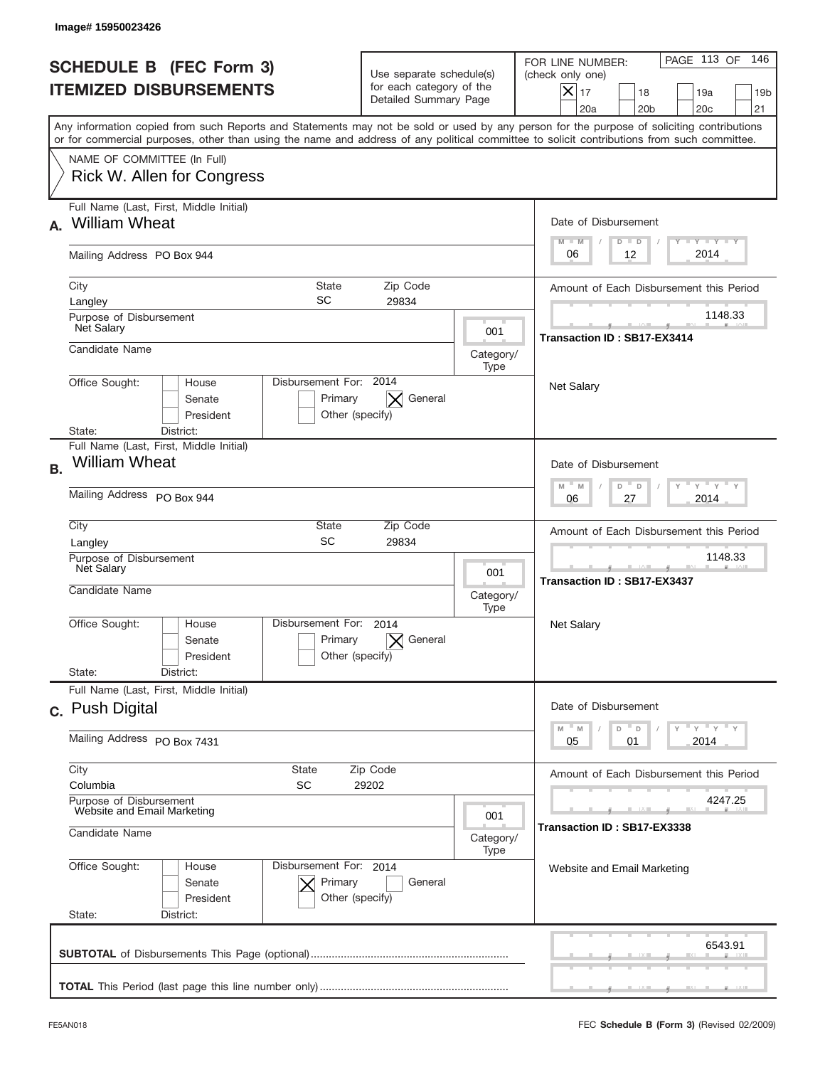|           | Image# 15950023426                                                                                                                                                                                                                                                                      |                                                                                                   |                   |                                                                                                                                                            |
|-----------|-----------------------------------------------------------------------------------------------------------------------------------------------------------------------------------------------------------------------------------------------------------------------------------------|---------------------------------------------------------------------------------------------------|-------------------|------------------------------------------------------------------------------------------------------------------------------------------------------------|
|           | <b>SCHEDULE B (FEC Form 3)</b><br><b>ITEMIZED DISBURSEMENTS</b>                                                                                                                                                                                                                         | Use separate schedule(s)<br>for each category of the<br>Detailed Summary Page                     |                   | PAGE 113 OF<br>146<br>FOR LINE NUMBER:<br>(check only one)<br>$X _{17}$<br>18<br>19a<br>19 <sub>b</sub><br>20 <sub>c</sub><br>20a<br>20 <sub>b</sub><br>21 |
|           | Any information copied from such Reports and Statements may not be sold or used by any person for the purpose of soliciting contributions<br>or for commercial purposes, other than using the name and address of any political committee to solicit contributions from such committee. |                                                                                                   |                   |                                                                                                                                                            |
|           | NAME OF COMMITTEE (In Full)<br>Rick W. Allen for Congress                                                                                                                                                                                                                               |                                                                                                   |                   |                                                                                                                                                            |
| А.        | Full Name (Last, First, Middle Initial)<br><b>William Wheat</b>                                                                                                                                                                                                                         |                                                                                                   |                   | Date of Disbursement<br><b>TAYLY LY</b><br>$M - M$<br>$D$ $D$                                                                                              |
|           | Mailing Address PO Box 944                                                                                                                                                                                                                                                              |                                                                                                   |                   | 2014<br>12<br>06                                                                                                                                           |
|           | City<br>State<br>SC<br>Langley                                                                                                                                                                                                                                                          | Zip Code<br>29834                                                                                 |                   | Amount of Each Disbursement this Period                                                                                                                    |
|           | Purpose of Disbursement<br>Net Salary<br>Candidate Name                                                                                                                                                                                                                                 |                                                                                                   | 001               | 1148.33<br><b>Transaction ID: SB17-EX3414</b>                                                                                                              |
|           | Disbursement For: 2014<br>Office Sought:<br>House                                                                                                                                                                                                                                       |                                                                                                   | Category/<br>Type |                                                                                                                                                            |
|           | Senate<br>Primary<br>President<br>State:<br>District:                                                                                                                                                                                                                                   | General<br>$\times$<br>Other (specify)                                                            |                   | <b>Net Salary</b>                                                                                                                                          |
| <b>B.</b> | Full Name (Last, First, Middle Initial)<br><b>William Wheat</b>                                                                                                                                                                                                                         |                                                                                                   |                   | Date of Disbursement                                                                                                                                       |
|           | Mailing Address PO Box 944                                                                                                                                                                                                                                                              | $\cdots$ $\gamma$ $\cdots$ $\gamma$ $\cdots$ $\gamma$<br>$M$ M<br>D<br>$\Box$<br>2014<br>06<br>27 |                   |                                                                                                                                                            |
|           | City<br>State<br>SC<br>Langley                                                                                                                                                                                                                                                          | Amount of Each Disbursement this Period<br>1148.33                                                |                   |                                                                                                                                                            |
|           | Purpose of Disbursement<br>Net Salary<br>Candidate Name<br>Category/                                                                                                                                                                                                                    |                                                                                                   |                   | ___<br>Transaction ID: SB17-EX3437                                                                                                                         |
|           | Disbursement For:<br>Office Sought:<br>House<br>Primary<br>Senate<br>President                                                                                                                                                                                                          | 2014<br>General<br>Other (specify)                                                                | Type              | <b>Net Salary</b>                                                                                                                                          |
|           | State:<br>District:<br>Full Name (Last, First, Middle Initial)                                                                                                                                                                                                                          |                                                                                                   |                   |                                                                                                                                                            |
|           | c. Push Digital                                                                                                                                                                                                                                                                         |                                                                                                   |                   | Date of Disbursement<br>≡ γ ≡ γ ≡ γ<br>$-M$<br>$\mathbb M$<br>D<br>D                                                                                       |
|           | Mailing Address PO Box 7431                                                                                                                                                                                                                                                             |                                                                                                   |                   | 2014<br>05<br>01                                                                                                                                           |
|           | City<br><b>State</b><br>SC<br>Columbia                                                                                                                                                                                                                                                  | Zip Code<br>29202                                                                                 |                   | Amount of Each Disbursement this Period                                                                                                                    |
|           | Purpose of Disbursement<br>Website and Email Marketing<br>001<br>Candidate Name<br>Category/                                                                                                                                                                                            |                                                                                                   |                   | 4247.25<br>Transaction ID : SB17-EX3338                                                                                                                    |
|           | Office Sought:<br>Disbursement For: 2014<br>House<br>Senate<br>Primary<br>President<br>State:<br>District:                                                                                                                                                                              | General<br>Other (specify)                                                                        | Type              | Website and Email Marketing                                                                                                                                |
|           |                                                                                                                                                                                                                                                                                         |                                                                                                   |                   | 6543.91                                                                                                                                                    |
|           |                                                                                                                                                                                                                                                                                         |                                                                                                   |                   |                                                                                                                                                            |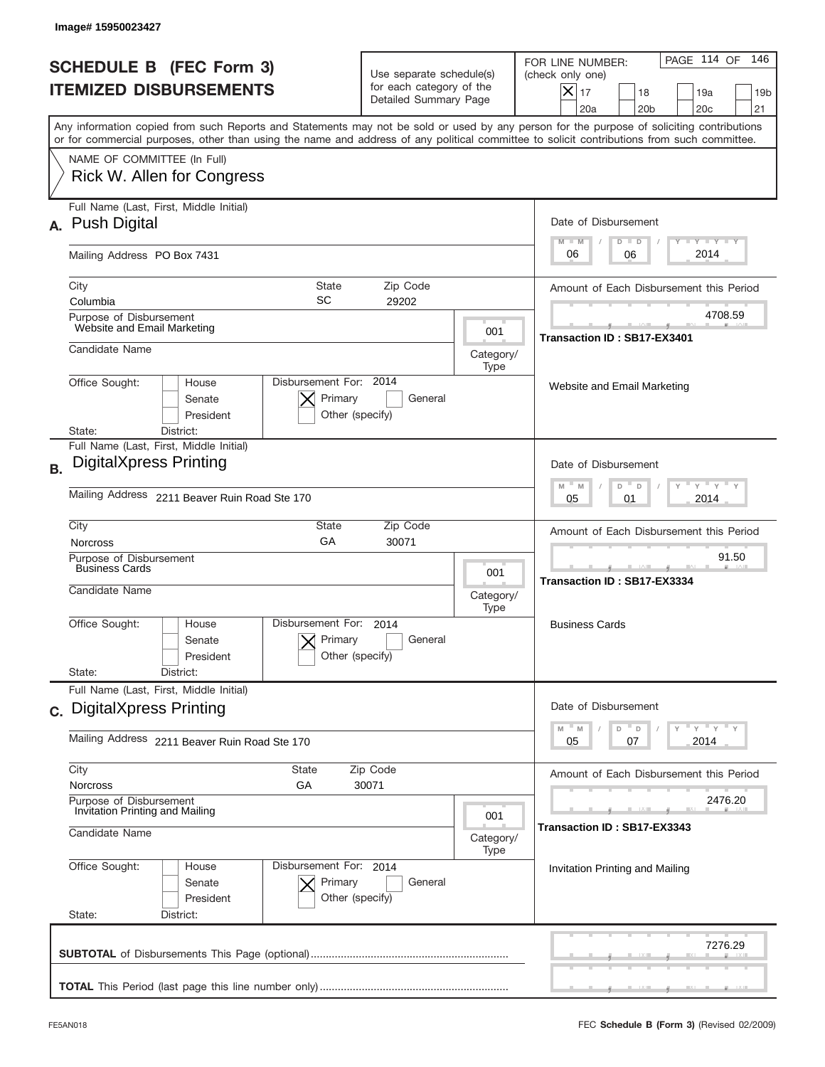| PAGE 114 OF<br>146<br>FOR LINE NUMBER:<br>(check only one)<br>$X _{17}$<br>18<br>19a<br>19 <sub>b</sub><br>20a<br>20 <sub>b</sub><br>20 <sub>c</sub><br>21                                                                                                                              |
|-----------------------------------------------------------------------------------------------------------------------------------------------------------------------------------------------------------------------------------------------------------------------------------------|
| Any information copied from such Reports and Statements may not be sold or used by any person for the purpose of soliciting contributions<br>or for commercial purposes, other than using the name and address of any political committee to solicit contributions from such committee. |
|                                                                                                                                                                                                                                                                                         |
| Date of Disbursement<br>Y TY TY TY<br>$M - M$<br>$D$ $D$                                                                                                                                                                                                                                |
| 2014<br>06<br>06                                                                                                                                                                                                                                                                        |
| Amount of Each Disbursement this Period                                                                                                                                                                                                                                                 |
| 4708.59<br>Transaction ID: SB17-EX3401                                                                                                                                                                                                                                                  |
|                                                                                                                                                                                                                                                                                         |
| Website and Email Marketing                                                                                                                                                                                                                                                             |
|                                                                                                                                                                                                                                                                                         |
| Date of Disbursement<br>$\cdots$ $\gamma$ $\cdots$ $\gamma$ $\cdots$ $\gamma$<br>$M - M$<br>D<br>D                                                                                                                                                                                      |
| 2014<br>05<br>01                                                                                                                                                                                                                                                                        |
| Amount of Each Disbursement this Period                                                                                                                                                                                                                                                 |
| 91.50<br>Transaction ID: SB17-EX3334                                                                                                                                                                                                                                                    |
| <b>Business Cards</b>                                                                                                                                                                                                                                                                   |
| Date of Disbursement                                                                                                                                                                                                                                                                    |
| $\rightarrow$ $\rightarrow$ $\rightarrow$ $\rightarrow$ $\rightarrow$<br>D<br>M<br>M<br>D<br>2014<br>05<br>07                                                                                                                                                                           |
| Amount of Each Disbursement this Period                                                                                                                                                                                                                                                 |
| 2476.20                                                                                                                                                                                                                                                                                 |
| Transaction ID: SB17-EX3343                                                                                                                                                                                                                                                             |
| Invitation Printing and Mailing                                                                                                                                                                                                                                                         |
| 7276.29                                                                                                                                                                                                                                                                                 |
|                                                                                                                                                                                                                                                                                         |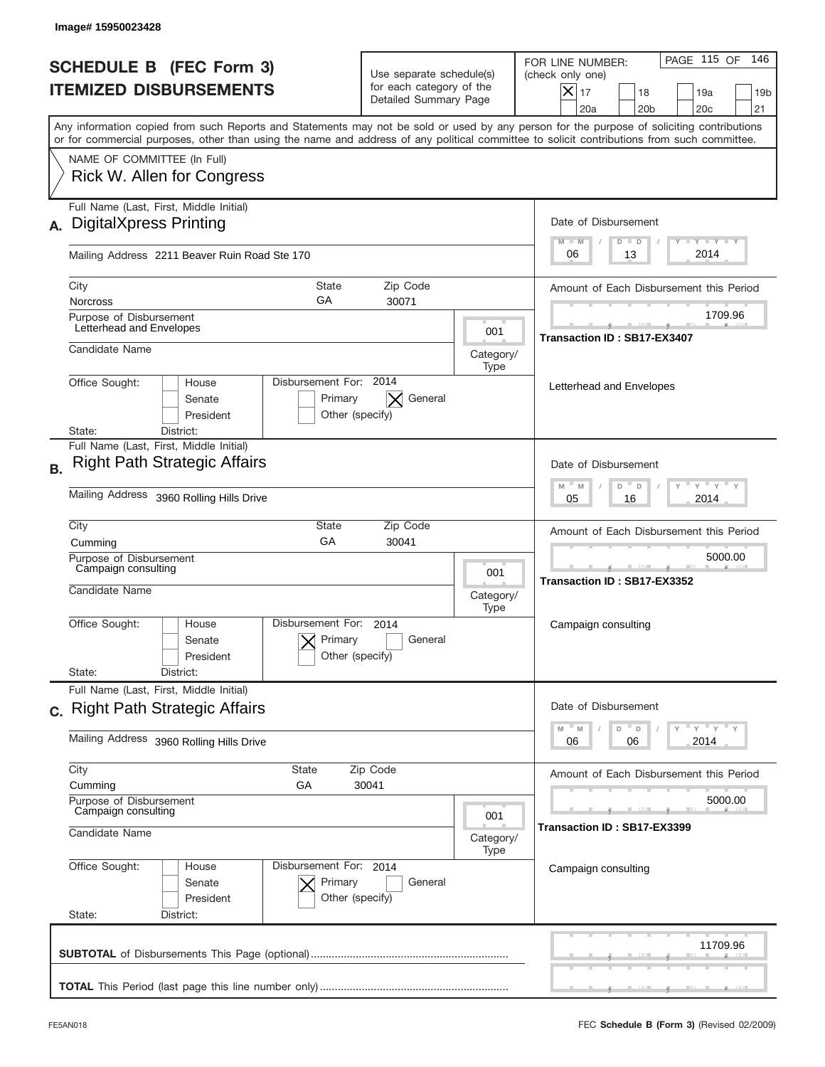| Image#15950023428                                                                                                                                                                                                                                                                       |                                                                               |                          |                                                                                                                                                                      |
|-----------------------------------------------------------------------------------------------------------------------------------------------------------------------------------------------------------------------------------------------------------------------------------------|-------------------------------------------------------------------------------|--------------------------|----------------------------------------------------------------------------------------------------------------------------------------------------------------------|
| <b>SCHEDULE B (FEC Form 3)</b><br><b>ITEMIZED DISBURSEMENTS</b>                                                                                                                                                                                                                         | Use separate schedule(s)<br>for each category of the<br>Detailed Summary Page |                          | PAGE 115 OF<br>146<br>FOR LINE NUMBER:<br>(check only one)<br>$ \mathsf{X} _{17}$<br>18<br>19a<br>19 <sub>b</sub><br>20a<br>20 <sub>b</sub><br>20 <sub>c</sub><br>21 |
| Any information copied from such Reports and Statements may not be sold or used by any person for the purpose of soliciting contributions<br>or for commercial purposes, other than using the name and address of any political committee to solicit contributions from such committee. |                                                                               |                          |                                                                                                                                                                      |
| NAME OF COMMITTEE (In Full)<br>Rick W. Allen for Congress                                                                                                                                                                                                                               |                                                                               |                          |                                                                                                                                                                      |
| Full Name (Last, First, Middle Initial)<br><b>DigitalXpress Printing</b><br>А.                                                                                                                                                                                                          |                                                                               |                          | Date of Disbursement<br><b>TAYLY LY</b><br>$M - M$<br>$D$ $D$                                                                                                        |
| Mailing Address 2211 Beaver Ruin Road Ste 170                                                                                                                                                                                                                                           |                                                                               |                          | 2014<br>06<br>13                                                                                                                                                     |
| City<br><b>Norcross</b>                                                                                                                                                                                                                                                                 | <b>State</b><br>Zip Code<br>GA<br>30071                                       |                          | Amount of Each Disbursement this Period                                                                                                                              |
| Purpose of Disbursement<br>Letterhead and Envelopes                                                                                                                                                                                                                                     |                                                                               | 001                      | 1709.96                                                                                                                                                              |
| Candidate Name                                                                                                                                                                                                                                                                          |                                                                               | Category/<br>Type        | Transaction ID: SB17-EX3407                                                                                                                                          |
| Office Sought:<br>House<br>Senate<br>President<br>District:<br>State:                                                                                                                                                                                                                   | Disbursement For: 2014<br>General<br>Primary<br>Other (specify)               |                          | Letterhead and Envelopes                                                                                                                                             |
| Full Name (Last, First, Middle Initial)<br><b>Right Path Strategic Affairs</b><br><b>B.</b>                                                                                                                                                                                             |                                                                               |                          | Date of Disbursement<br>$\cdots$ $\gamma$ $\cdots$ $\gamma$ $\cdots$<br>$M - M$<br>D<br>D                                                                            |
| Mailing Address 3960 Rolling Hills Drive                                                                                                                                                                                                                                                | 2014<br>05<br>16                                                              |                          |                                                                                                                                                                      |
| City<br>Cumming                                                                                                                                                                                                                                                                         | Zip Code<br>State<br>GA<br>30041                                              |                          | Amount of Each Disbursement this Period                                                                                                                              |
| Purpose of Disbursement<br>Campaign consulting<br>Candidate Name                                                                                                                                                                                                                        |                                                                               | 001<br>Category/<br>Type | 5000.00<br>Transaction ID: SB17-EX3352                                                                                                                               |
| Office Sought:<br>House<br>Senate<br>President<br>State:<br>District:                                                                                                                                                                                                                   | Disbursement For:<br>2014<br>Primary<br>General<br>Other (specify)            |                          | Campaign consulting                                                                                                                                                  |
| Full Name (Last, First, Middle Initial)                                                                                                                                                                                                                                                 |                                                                               |                          |                                                                                                                                                                      |
| c. Right Path Strategic Affairs<br>Mailing Address 3960 Rolling Hills Drive                                                                                                                                                                                                             |                                                                               |                          | Date of Disbursement<br>$=\frac{1}{\gamma}+\frac{1}{\gamma}+\frac{1}{\gamma}+\frac{1}{\gamma}$<br>M<br>D<br>M<br>D<br>2014<br>06<br>06                               |
| City<br>Cumming                                                                                                                                                                                                                                                                         | State<br>Zip Code<br>GА<br>30041                                              |                          | Amount of Each Disbursement this Period                                                                                                                              |
| Purpose of Disbursement<br>Campaign consulting                                                                                                                                                                                                                                          | 001                                                                           |                          |                                                                                                                                                                      |
| Candidate Name                                                                                                                                                                                                                                                                          |                                                                               | Category/<br>Type        | Transaction ID: SB17-EX3399                                                                                                                                          |
| Office Sought:<br>House<br>Senate<br>President<br>State:<br>District:                                                                                                                                                                                                                   | Disbursement For: 2014<br>Primary<br>General<br>Other (specify)               |                          | Campaign consulting                                                                                                                                                  |
|                                                                                                                                                                                                                                                                                         |                                                                               |                          | 11709.96                                                                                                                                                             |
|                                                                                                                                                                                                                                                                                         |                                                                               |                          |                                                                                                                                                                      |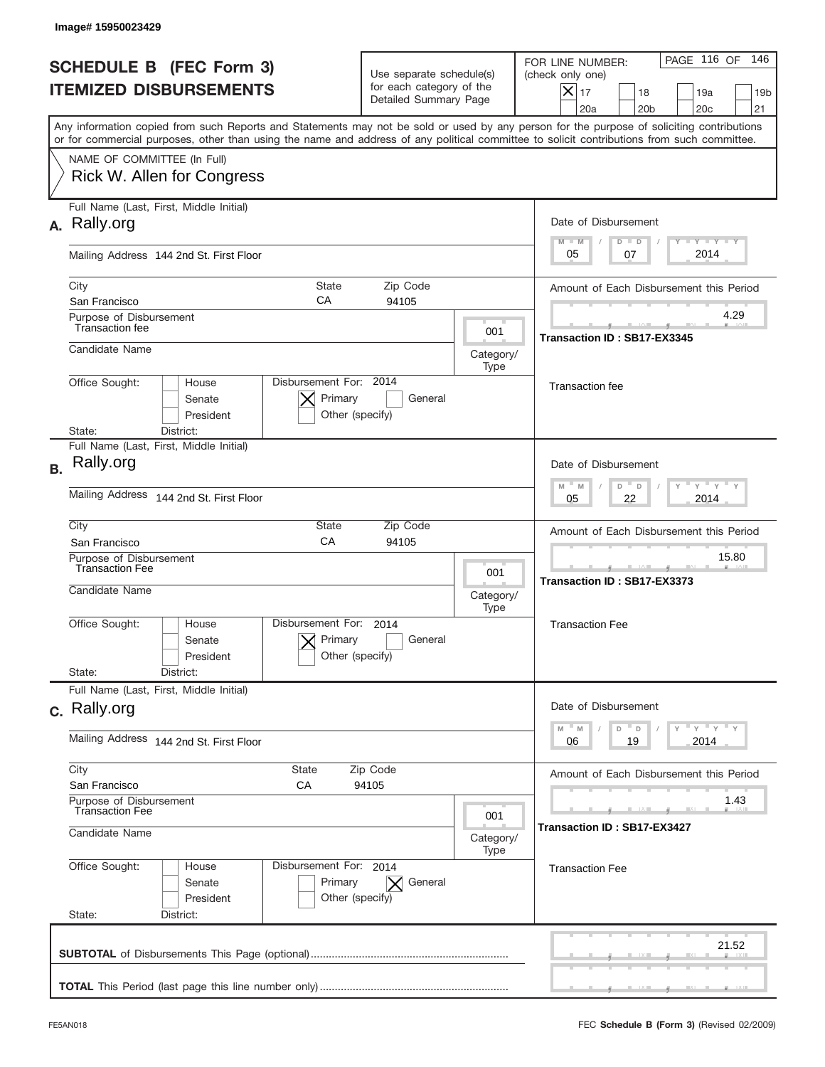|           | Image#15950023429                                                                                                                                                                                                                                                                       |                                                                               |                          |                                                                                                                                                            |
|-----------|-----------------------------------------------------------------------------------------------------------------------------------------------------------------------------------------------------------------------------------------------------------------------------------------|-------------------------------------------------------------------------------|--------------------------|------------------------------------------------------------------------------------------------------------------------------------------------------------|
|           | <b>SCHEDULE B (FEC Form 3)</b><br><b>ITEMIZED DISBURSEMENTS</b>                                                                                                                                                                                                                         | Use separate schedule(s)<br>for each category of the<br>Detailed Summary Page |                          | PAGE 116 OF<br>146<br>FOR LINE NUMBER:<br>(check only one)<br>$X _{17}$<br>18<br>19a<br>19 <sub>b</sub><br>20 <sub>c</sub><br>20a<br>20 <sub>b</sub><br>21 |
|           | Any information copied from such Reports and Statements may not be sold or used by any person for the purpose of soliciting contributions<br>or for commercial purposes, other than using the name and address of any political committee to solicit contributions from such committee. |                                                                               |                          |                                                                                                                                                            |
|           | NAME OF COMMITTEE (In Full)<br><b>Rick W. Allen for Congress</b>                                                                                                                                                                                                                        |                                                                               |                          |                                                                                                                                                            |
|           | Full Name (Last, First, Middle Initial)<br>A. Rally.org                                                                                                                                                                                                                                 |                                                                               |                          | Date of Disbursement<br>$T - Y$ $T - Y$<br>$M - M$<br>$D$ $D$                                                                                              |
|           | Mailing Address 144 2nd St. First Floor                                                                                                                                                                                                                                                 |                                                                               |                          | 2014<br>05<br>07                                                                                                                                           |
|           | City<br>State<br>СA<br>San Francisco<br>Purpose of Disbursement                                                                                                                                                                                                                         | Zip Code<br>94105                                                             |                          | Amount of Each Disbursement this Period<br>4.29                                                                                                            |
|           | <b>Transaction fee</b><br>Candidate Name                                                                                                                                                                                                                                                |                                                                               | 001<br>Category/         | Transaction ID: SB17-EX3345                                                                                                                                |
|           | Disbursement For: 2014<br>Office Sought:<br>House<br>Primary<br>Senate<br>President<br>State:<br>District:                                                                                                                                                                              | General<br>Other (specify)                                                    | Type                     | <b>Transaction</b> fee                                                                                                                                     |
| <b>B.</b> | Full Name (Last, First, Middle Initial)<br>Rally.org                                                                                                                                                                                                                                    |                                                                               |                          | Date of Disbursement<br>$\cdots$ $\gamma$ $\cdots$ $\gamma$ $\cdots$<br>$M - M$<br>D<br>$\Box$                                                             |
|           | Mailing Address<br>144 2nd St. First Floor                                                                                                                                                                                                                                              | 2014<br>05<br>22                                                              |                          |                                                                                                                                                            |
|           | City<br>State<br>CA<br>San Francisco                                                                                                                                                                                                                                                    | Amount of Each Disbursement this Period                                       |                          |                                                                                                                                                            |
|           | Purpose of Disbursement<br><b>Transaction Fee</b><br>Candidate Name                                                                                                                                                                                                                     |                                                                               | 001<br>Category/<br>Type | 15.80<br>--<br>Transaction ID: SB17-EX3373                                                                                                                 |
|           | Disbursement For:<br>Office Sought:<br>House<br>Primary<br>Senate<br>President<br>State:<br>District:                                                                                                                                                                                   | 2014<br>General<br>Other (specify)                                            |                          | <b>Transaction Fee</b>                                                                                                                                     |
|           | Full Name (Last, First, Middle Initial)<br>c. Rally.org                                                                                                                                                                                                                                 |                                                                               |                          | Date of Disbursement                                                                                                                                       |
|           | Mailing Address 144 2nd St. First Floor<br>City<br><b>State</b><br>Zip Code<br>San Francisco<br>СA<br>94105<br>Purpose of Disbursement<br><b>Transaction Fee</b><br>001<br>Candidate Name<br>Category/<br>Type                                                                          |                                                                               |                          | $\vdash$ $\vdash$ $\vdash$ $\vdash$ $\vdash$ $\vdash$ $\vdash$<br>$-M$<br>M<br>D<br>D<br>19<br>2014<br>06                                                  |
|           |                                                                                                                                                                                                                                                                                         |                                                                               |                          | Amount of Each Disbursement this Period                                                                                                                    |
|           |                                                                                                                                                                                                                                                                                         |                                                                               |                          | 1.43<br>Transaction ID : SB17-EX3427                                                                                                                       |
|           | Office Sought:<br>Disbursement For: 2014<br>House<br>Senate<br>Primary<br>President<br>State:<br>District:                                                                                                                                                                              | $\vert \times \vert$ General<br>Other (specify)                               |                          | <b>Transaction Fee</b>                                                                                                                                     |
|           |                                                                                                                                                                                                                                                                                         |                                                                               |                          | 21.52                                                                                                                                                      |
|           |                                                                                                                                                                                                                                                                                         |                                                                               |                          |                                                                                                                                                            |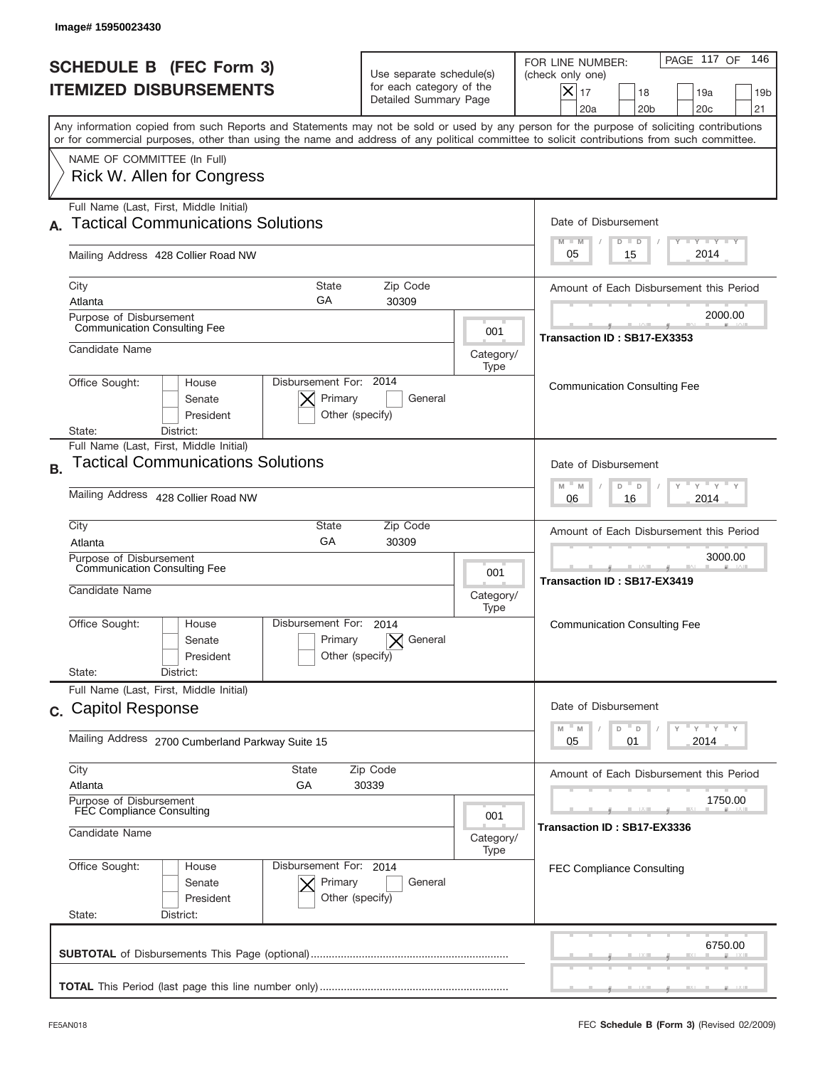| Image#15950023430                                                                                                                                                                                                                                                                       |                                                                                                 |           |                                                                                                                                                                    |  |  |
|-----------------------------------------------------------------------------------------------------------------------------------------------------------------------------------------------------------------------------------------------------------------------------------------|-------------------------------------------------------------------------------------------------|-----------|--------------------------------------------------------------------------------------------------------------------------------------------------------------------|--|--|
| <b>SCHEDULE B (FEC Form 3)</b><br><b>ITEMIZED DISBURSEMENTS</b>                                                                                                                                                                                                                         | Use separate schedule(s)<br>for each category of the<br>Detailed Summary Page                   |           | PAGE 117 OF<br>146<br>FOR LINE NUMBER:<br>(check only one)<br>$ \boldsymbol{\times} $<br>17<br>18<br>19a<br>19 <sub>b</sub><br>20a<br>20 <sub>b</sub><br>20c<br>21 |  |  |
| Any information copied from such Reports and Statements may not be sold or used by any person for the purpose of soliciting contributions<br>or for commercial purposes, other than using the name and address of any political committee to solicit contributions from such committee. |                                                                                                 |           |                                                                                                                                                                    |  |  |
| NAME OF COMMITTEE (In Full)<br>Rick W. Allen for Congress                                                                                                                                                                                                                               |                                                                                                 |           |                                                                                                                                                                    |  |  |
| Full Name (Last, First, Middle Initial)                                                                                                                                                                                                                                                 |                                                                                                 |           |                                                                                                                                                                    |  |  |
| <b>Tactical Communications Solutions</b>                                                                                                                                                                                                                                                |                                                                                                 |           | Date of Disbursement<br>$T$ $Y$ $Y$ $Y$ $Y$<br>$M - M$<br>$D$ $D$                                                                                                  |  |  |
| Mailing Address 428 Collier Road NW                                                                                                                                                                                                                                                     |                                                                                                 |           |                                                                                                                                                                    |  |  |
| <b>State</b><br>City                                                                                                                                                                                                                                                                    | Zip Code                                                                                        |           | Amount of Each Disbursement this Period                                                                                                                            |  |  |
| GA<br>Atlanta                                                                                                                                                                                                                                                                           | 30309                                                                                           |           |                                                                                                                                                                    |  |  |
| Purpose of Disbursement<br><b>Communication Consulting Fee</b>                                                                                                                                                                                                                          |                                                                                                 | 001       | 2000.00                                                                                                                                                            |  |  |
| Candidate Name                                                                                                                                                                                                                                                                          |                                                                                                 | Category/ | Transaction ID: SB17-EX3353                                                                                                                                        |  |  |
|                                                                                                                                                                                                                                                                                         |                                                                                                 | Type      |                                                                                                                                                                    |  |  |
| Disbursement For: 2014<br>Office Sought:<br>House<br>Primary<br>Senate<br>President<br>District:<br>State:                                                                                                                                                                              | General<br>Other (specify)                                                                      |           | <b>Communication Consulting Fee</b>                                                                                                                                |  |  |
| Full Name (Last, First, Middle Initial)                                                                                                                                                                                                                                                 |                                                                                                 |           |                                                                                                                                                                    |  |  |
| <b>Tactical Communications Solutions</b><br><b>B.</b>                                                                                                                                                                                                                                   | Date of Disbursement                                                                            |           |                                                                                                                                                                    |  |  |
| Mailing Address 428 Collier Road NW                                                                                                                                                                                                                                                     | $\cdots$ $\gamma$ $\cdots$ $\gamma$ $\cdots$ $\gamma$<br>D "<br>M<br>M<br>D<br>2014<br>06<br>16 |           |                                                                                                                                                                    |  |  |
| City<br>State                                                                                                                                                                                                                                                                           | Zip Code                                                                                        |           | Amount of Each Disbursement this Period                                                                                                                            |  |  |
| GA<br>Atlanta                                                                                                                                                                                                                                                                           | 30309                                                                                           |           |                                                                                                                                                                    |  |  |
| Purpose of Disbursement<br><b>Communication Consulting Fee</b><br>001<br>Candidate Name<br>Category/                                                                                                                                                                                    |                                                                                                 |           | 3000.00<br>Transaction ID: SB17-EX3419                                                                                                                             |  |  |
| Disbursement For:<br>Office Sought:<br>House<br>Primary<br>Senate<br>President<br>State:<br>District:                                                                                                                                                                                   | 2014<br>General<br>Other (specify)                                                              | Type      | <b>Communication Consulting Fee</b>                                                                                                                                |  |  |
| Full Name (Last, First, Middle Initial)                                                                                                                                                                                                                                                 |                                                                                                 |           |                                                                                                                                                                    |  |  |
| c. Capitol Response                                                                                                                                                                                                                                                                     |                                                                                                 |           |                                                                                                                                                                    |  |  |
| Mailing Address 2700 Cumberland Parkway Suite 15                                                                                                                                                                                                                                        |                                                                                                 |           | $\overline{Y}$ $\overline{Y}$ $\overline{Y}$ $\overline{Y}$ $\overline{Y}$<br>$-M$<br>$\overline{\phantom{a}}$ D<br>D<br>M<br>2014<br>05<br>01                     |  |  |
| City<br><b>State</b>                                                                                                                                                                                                                                                                    | Zip Code                                                                                        |           | Amount of Each Disbursement this Period                                                                                                                            |  |  |
| Atlanta<br>GА<br>30339<br>Purpose of Disbursement<br><b>FEC Compliance Consulting</b>                                                                                                                                                                                                   |                                                                                                 |           | 1750.00                                                                                                                                                            |  |  |
| Candidate Name                                                                                                                                                                                                                                                                          | 001<br>Category/<br>Type                                                                        |           |                                                                                                                                                                    |  |  |
| Office Sought:<br>Disbursement For: 2014<br>House<br>Senate<br>Primary<br>President<br>State:<br>District:                                                                                                                                                                              | General<br>Other (specify)                                                                      |           | <b>FEC Compliance Consulting</b>                                                                                                                                   |  |  |
|                                                                                                                                                                                                                                                                                         |                                                                                                 |           | 6750.00                                                                                                                                                            |  |  |
|                                                                                                                                                                                                                                                                                         |                                                                                                 |           |                                                                                                                                                                    |  |  |
|                                                                                                                                                                                                                                                                                         |                                                                                                 |           |                                                                                                                                                                    |  |  |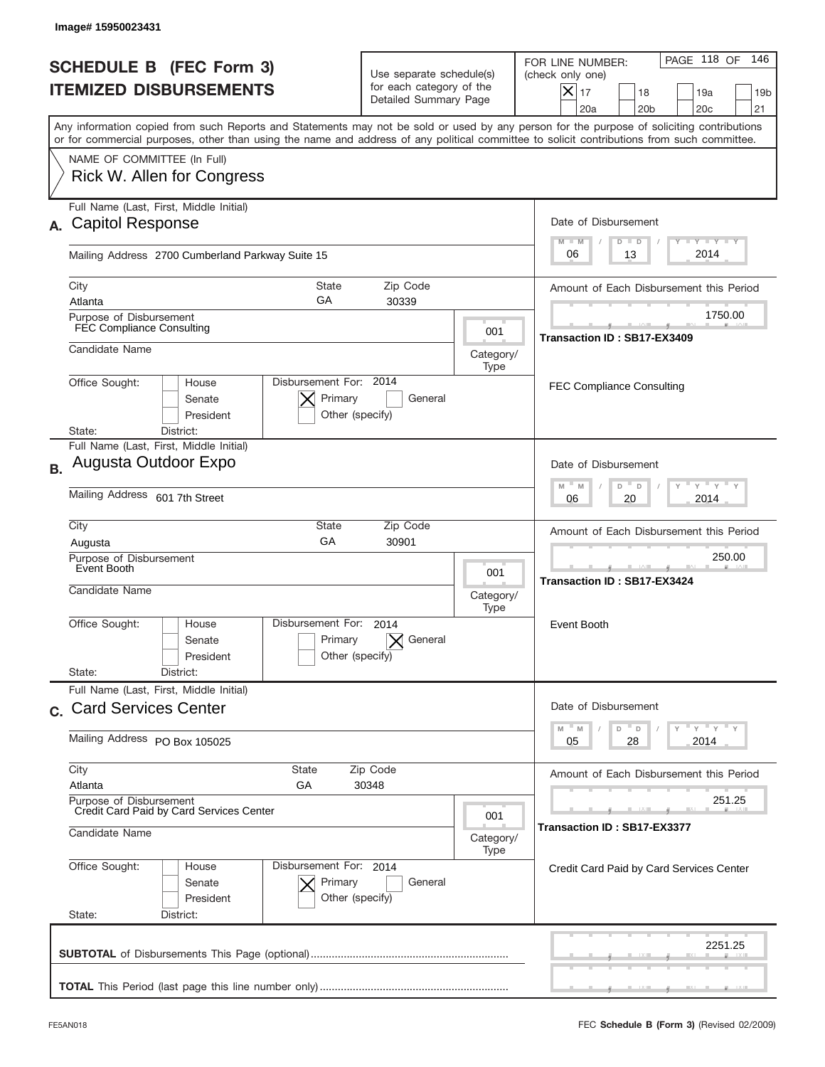| Image#15950023431                                                                                                                                                                                                                                                                       |                                                                                            |                          |                                                                                                                                                                              |  |
|-----------------------------------------------------------------------------------------------------------------------------------------------------------------------------------------------------------------------------------------------------------------------------------------|--------------------------------------------------------------------------------------------|--------------------------|------------------------------------------------------------------------------------------------------------------------------------------------------------------------------|--|
| <b>SCHEDULE B (FEC Form 3)</b><br><b>ITEMIZED DISBURSEMENTS</b>                                                                                                                                                                                                                         | Use separate schedule(s)<br>for each category of the<br>Detailed Summary Page              |                          | PAGE 118 OF<br>146<br>FOR LINE NUMBER:<br>(check only one)<br>$\boldsymbol{\times}$<br>17<br>18<br>19a<br>19 <sub>b</sub><br>20a<br>20 <sub>b</sub><br>20 <sub>c</sub><br>21 |  |
| Any information copied from such Reports and Statements may not be sold or used by any person for the purpose of soliciting contributions<br>or for commercial purposes, other than using the name and address of any political committee to solicit contributions from such committee. |                                                                                            |                          |                                                                                                                                                                              |  |
| NAME OF COMMITTEE (In Full)<br>Rick W. Allen for Congress                                                                                                                                                                                                                               |                                                                                            |                          |                                                                                                                                                                              |  |
| Full Name (Last, First, Middle Initial)<br><b>Capitol Response</b><br>А.                                                                                                                                                                                                                |                                                                                            |                          |                                                                                                                                                                              |  |
| Mailing Address 2700 Cumberland Parkway Suite 15                                                                                                                                                                                                                                        |                                                                                            |                          | <b>TAYLY LY</b><br>$M - M$<br>$D$ $D$<br>2014<br>06<br>13                                                                                                                    |  |
| City<br>Atlanta                                                                                                                                                                                                                                                                         | State<br>Zip Code<br>GA<br>30339                                                           |                          |                                                                                                                                                                              |  |
| Purpose of Disbursement<br><b>FEC Compliance Consulting</b>                                                                                                                                                                                                                             |                                                                                            | 001                      | 1750.00<br>Transaction ID: SB17-EX3409                                                                                                                                       |  |
| Candidate Name                                                                                                                                                                                                                                                                          |                                                                                            | Category/<br>Type        |                                                                                                                                                                              |  |
| Office Sought:<br>House<br>Senate<br>President<br>State:<br>District:                                                                                                                                                                                                                   | Disbursement For: 2014<br>Primary<br>General<br>Other (specify)                            |                          | <b>FEC Compliance Consulting</b>                                                                                                                                             |  |
| Full Name (Last, First, Middle Initial)<br>Augusta Outdoor Expo<br><b>B.</b>                                                                                                                                                                                                            |                                                                                            |                          | Date of Disbursement                                                                                                                                                         |  |
| Mailing Address 601 7th Street                                                                                                                                                                                                                                                          | $\cdots$ $\gamma$ $\cdots$ $\gamma$ $\cdots$<br>$M - M$<br>D<br>$\Box$<br>2014<br>06<br>20 |                          |                                                                                                                                                                              |  |
| City<br>State<br>GA<br>Augusta                                                                                                                                                                                                                                                          | Zip Code<br>30901                                                                          |                          | Amount of Each Disbursement this Period                                                                                                                                      |  |
| Purpose of Disbursement<br>Event Booth<br>Candidate Name                                                                                                                                                                                                                                |                                                                                            | 001<br>Category/<br>Type | 250.00<br>Transaction ID: SB17-EX3424                                                                                                                                        |  |
| Disbursement For:<br>Office Sought:<br>House<br>Senate<br>President<br>State:<br>District:                                                                                                                                                                                              | 2014<br>Primary<br>General<br>Other (specify)                                              |                          | Event Booth                                                                                                                                                                  |  |
| Full Name (Last, First, Middle Initial)<br>c. Card Services Center                                                                                                                                                                                                                      |                                                                                            |                          | Date of Disbursement                                                                                                                                                         |  |
| Mailing Address PO Box 105025                                                                                                                                                                                                                                                           |                                                                                            |                          | $\mathbb{F}$ $\mathsf{y}$ $\mathbb{F}$ $\mathsf{y}$ $\mathbb{F}$ $\mathsf{y}$<br>D<br>M<br>M<br>D<br>2014<br>05<br>28                                                        |  |
| City<br><b>State</b><br>Atlanta<br>GА                                                                                                                                                                                                                                                   | Amount of Each Disbursement this Period                                                    |                          |                                                                                                                                                                              |  |
| Purpose of Disbursement<br>Credit Card Paid by Card Services Center<br>001<br>Candidate Name                                                                                                                                                                                            |                                                                                            |                          | 251.25<br>Transaction ID: SB17-EX3377                                                                                                                                        |  |
| Office Sought:<br>House<br>Senate                                                                                                                                                                                                                                                       | Disbursement For: 2014<br>Primary<br>General                                               | Category/<br>Type        | Credit Card Paid by Card Services Center                                                                                                                                     |  |
| President<br>State:<br>District:                                                                                                                                                                                                                                                        | Other (specify)                                                                            |                          |                                                                                                                                                                              |  |
|                                                                                                                                                                                                                                                                                         |                                                                                            |                          | 2251.25                                                                                                                                                                      |  |
|                                                                                                                                                                                                                                                                                         |                                                                                            |                          |                                                                                                                                                                              |  |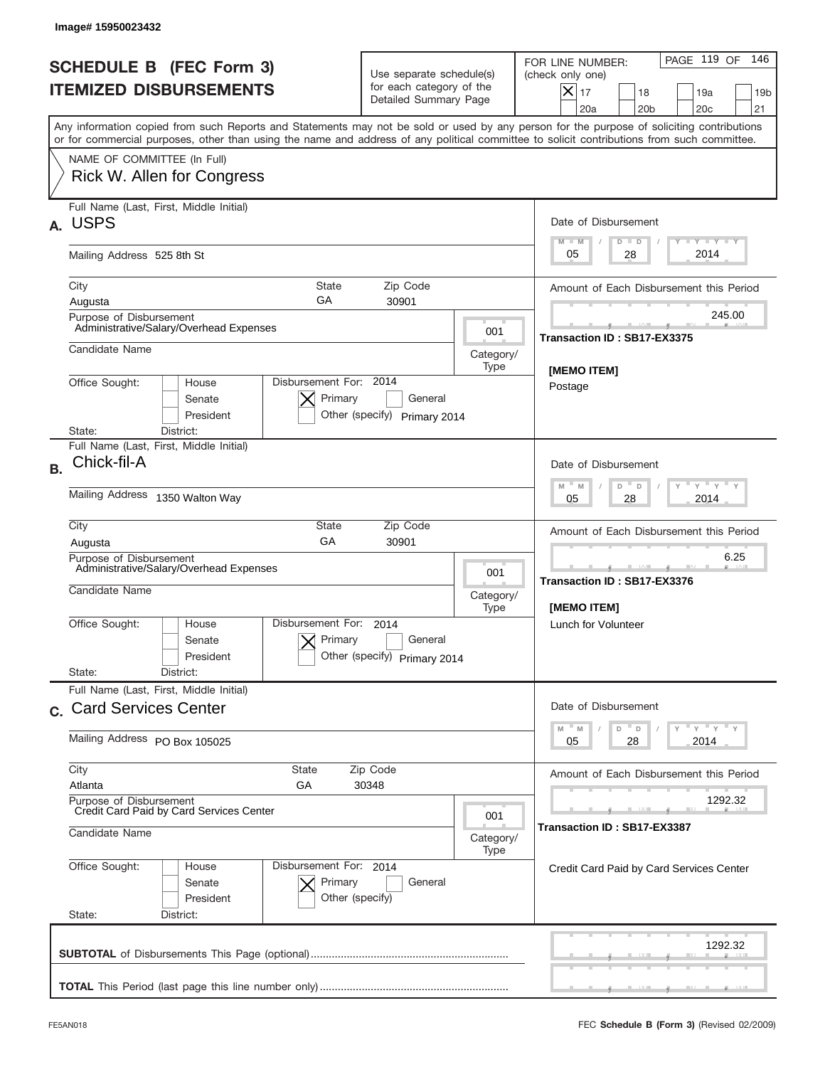|           | Image# 15950023432                                                                                                                         |                                                      |                                                                               |                                                                                             |                                                                                                                                                            |
|-----------|--------------------------------------------------------------------------------------------------------------------------------------------|------------------------------------------------------|-------------------------------------------------------------------------------|---------------------------------------------------------------------------------------------|------------------------------------------------------------------------------------------------------------------------------------------------------------|
|           | <b>SCHEDULE B (FEC Form 3)</b><br><b>ITEMIZED DISBURSEMENTS</b>                                                                            |                                                      | Use separate schedule(s)<br>for each category of the<br>Detailed Summary Page |                                                                                             | PAGE 119 OF<br>146<br>FOR LINE NUMBER:<br>(check only one)<br>$X _{17}$<br>18<br>19a<br>19 <sub>b</sub><br>20 <sub>c</sub><br>20a<br>20 <sub>b</sub><br>21 |
|           | or for commercial purposes, other than using the name and address of any political committee to solicit contributions from such committee. |                                                      |                                                                               |                                                                                             | Any information copied from such Reports and Statements may not be sold or used by any person for the purpose of soliciting contributions                  |
|           | NAME OF COMMITTEE (In Full)<br>Rick W. Allen for Congress                                                                                  |                                                      |                                                                               |                                                                                             |                                                                                                                                                            |
| А.        | Full Name (Last, First, Middle Initial)<br><b>USPS</b>                                                                                     |                                                      |                                                                               |                                                                                             | Date of Disbursement<br>$T - Y$ $T - Y$ $T - Y$<br>$M - M$<br>$D$ $D$                                                                                      |
|           | Mailing Address 525 8th St                                                                                                                 |                                                      |                                                                               |                                                                                             | 2014<br>05<br>28                                                                                                                                           |
|           | City<br>Augusta<br>Purpose of Disbursement                                                                                                 | State<br>GA                                          | Zip Code<br>30901                                                             |                                                                                             | Amount of Each Disbursement this Period<br>245.00                                                                                                          |
|           | Administrative/Salary/Overhead Expenses<br>Candidate Name                                                                                  |                                                      |                                                                               | 001<br>Category/<br>Type                                                                    | Transaction ID: SB17-EX3375                                                                                                                                |
|           | Office Sought:<br>House<br>Senate<br>President<br>State:<br>District:                                                                      | Disbursement For: 2014<br>Primary                    | General<br>Other (specify) Primary 2014                                       |                                                                                             | [MEMO ITEM]<br>Postage                                                                                                                                     |
| <b>B.</b> | Full Name (Last, First, Middle Initial)<br>Chick-fil-A                                                                                     |                                                      |                                                                               | Date of Disbursement                                                                        |                                                                                                                                                            |
|           | <b>Mailing Address</b><br>1350 Walton Way                                                                                                  |                                                      |                                                                               |                                                                                             | $-M$<br>≡ γ ≡ γ ≡<br>M<br>D<br>D<br>2014<br>05<br>28                                                                                                       |
|           | City<br>Augusta                                                                                                                            | Amount of Each Disbursement this Period              |                                                                               |                                                                                             |                                                                                                                                                            |
|           | Purpose of Disbursement<br>Administrative/Salary/Overhead Expenses<br>Candidate Name                                                       |                                                      |                                                                               | 001<br>Category/<br>Type                                                                    | 6.25<br>Transaction ID: SB17-EX3376<br>[MEMO ITEM]                                                                                                         |
|           | Office Sought:<br>House<br>Senate<br>President<br>State:<br>District:                                                                      | Disbursement For:<br>Primary                         | 2014<br>General<br>Other (specify) Primary 2014                               |                                                                                             | Lunch for Volunteer                                                                                                                                        |
|           | Full Name (Last, First, Middle Initial)<br>c. Card Services Center                                                                         |                                                      |                                                                               |                                                                                             | Date of Disbursement                                                                                                                                       |
|           | Mailing Address PO Box 105025                                                                                                              |                                                      |                                                                               | $\mathsf{Y}$ $\mathsf{Y}$ $\mathsf{Y}$ $\mathsf{Y}$<br>D<br>M<br>M<br>D<br>28<br>2014<br>05 |                                                                                                                                                            |
|           | City<br><b>State</b><br>Zip Code<br>Atlanta<br>GА<br>30348                                                                                 |                                                      |                                                                               | Amount of Each Disbursement this Period                                                     |                                                                                                                                                            |
|           | Purpose of Disbursement<br>Credit Card Paid by Card Services Center<br>001<br>Candidate Name                                               |                                                      |                                                                               | 1292.32<br>Transaction ID : SB17-EX3387                                                     |                                                                                                                                                            |
|           | Office Sought:<br>House<br>Senate<br>President<br>State:<br>District:                                                                      | Disbursement For: 2014<br>Primary<br>Other (specify) | General                                                                       | Category/<br>Type                                                                           | Credit Card Paid by Card Services Center                                                                                                                   |
|           |                                                                                                                                            |                                                      |                                                                               |                                                                                             | 1292.32                                                                                                                                                    |
|           |                                                                                                                                            |                                                      |                                                                               |                                                                                             |                                                                                                                                                            |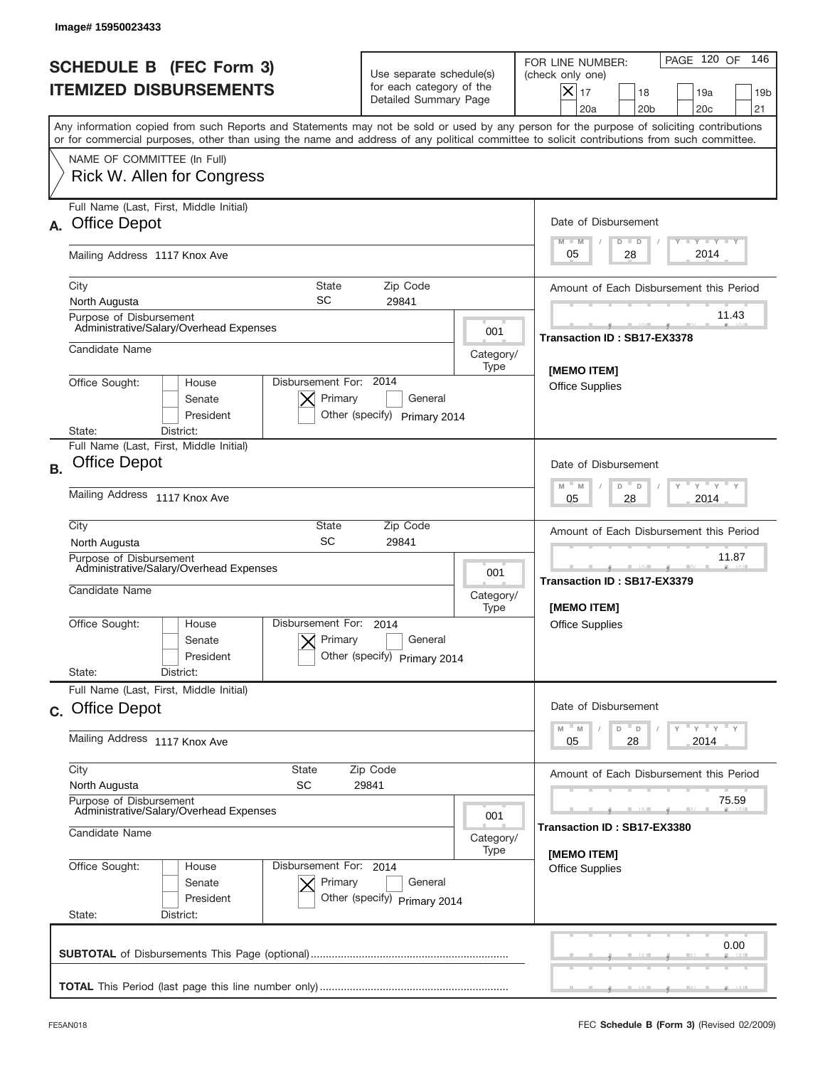|           | Image# 15950023433                                                                                                                                                                                                                                                                      |                                                                                    |                   |                                                                                                                                                                              |
|-----------|-----------------------------------------------------------------------------------------------------------------------------------------------------------------------------------------------------------------------------------------------------------------------------------------|------------------------------------------------------------------------------------|-------------------|------------------------------------------------------------------------------------------------------------------------------------------------------------------------------|
|           | <b>SCHEDULE B (FEC Form 3)</b><br><b>ITEMIZED DISBURSEMENTS</b>                                                                                                                                                                                                                         | Use separate schedule(s)<br>for each category of the<br>Detailed Summary Page      |                   | PAGE 120 OF<br>146<br>FOR LINE NUMBER:<br>(check only one)<br>$\boldsymbol{\times}$<br>17<br>18<br>19a<br>19 <sub>b</sub><br>20a<br>20 <sub>b</sub><br>20 <sub>c</sub><br>21 |
|           | Any information copied from such Reports and Statements may not be sold or used by any person for the purpose of soliciting contributions<br>or for commercial purposes, other than using the name and address of any political committee to solicit contributions from such committee. |                                                                                    |                   |                                                                                                                                                                              |
|           | NAME OF COMMITTEE (In Full)<br>Rick W. Allen for Congress                                                                                                                                                                                                                               |                                                                                    |                   |                                                                                                                                                                              |
| А.        | Full Name (Last, First, Middle Initial)<br><b>Office Depot</b>                                                                                                                                                                                                                          |                                                                                    |                   | Date of Disbursement<br><b>TAYLY LY</b><br>$M - M$<br>$D$ $D$                                                                                                                |
|           | Mailing Address 1117 Knox Ave                                                                                                                                                                                                                                                           |                                                                                    |                   | 2014<br>05<br>28                                                                                                                                                             |
|           | State<br>City<br>SC<br>North Augusta                                                                                                                                                                                                                                                    | Zip Code<br>29841                                                                  |                   | Amount of Each Disbursement this Period                                                                                                                                      |
|           | Purpose of Disbursement<br>Administrative/Salary/Overhead Expenses                                                                                                                                                                                                                      |                                                                                    | 001               | 11.43<br>Transaction ID: SB17-EX3378                                                                                                                                         |
|           | Candidate Name                                                                                                                                                                                                                                                                          |                                                                                    | Category/<br>Type | [MEMO ITEM]                                                                                                                                                                  |
|           | Office Sought:<br>House<br>Senate<br>President<br>State:<br>District:                                                                                                                                                                                                                   | Disbursement For: 2014<br>Primary<br>General<br>Other (specify) Primary 2014       |                   | <b>Office Supplies</b>                                                                                                                                                       |
| <b>B.</b> | Full Name (Last, First, Middle Initial)<br><b>Office Depot</b>                                                                                                                                                                                                                          |                                                                                    |                   | Date of Disbursement                                                                                                                                                         |
|           | Mailing Address 1117 Knox Ave                                                                                                                                                                                                                                                           | $Y$ $Y$ $Y$<br>$M - M$<br>D<br>$\Box$<br>2014<br>05<br>28                          |                   |                                                                                                                                                                              |
|           | City<br>State<br>SC<br>North Augusta                                                                                                                                                                                                                                                    | Amount of Each Disbursement this Period                                            |                   |                                                                                                                                                                              |
|           | Purpose of Disbursement<br>Administrative/Salary/Overhead Expenses<br>Candidate Name                                                                                                                                                                                                    | 11.87<br><u> 12 Martin 19</u><br>Transaction ID: SB17-EX3379<br><b>IMEMO ITEMI</b> |                   |                                                                                                                                                                              |
|           | Disbursement For:<br>Office Sought:<br>House<br>Senate<br>President                                                                                                                                                                                                                     | 2014<br>Primary<br>General<br>Other (specify) Primary 2014                         | Type              | Office Supplies                                                                                                                                                              |
|           | State:<br>District:<br>Full Name (Last, First, Middle Initial)                                                                                                                                                                                                                          |                                                                                    |                   |                                                                                                                                                                              |
|           | c. Office Depot                                                                                                                                                                                                                                                                         |                                                                                    |                   |                                                                                                                                                                              |
|           | Mailing Address 1117 Knox Ave                                                                                                                                                                                                                                                           | M<br>D<br>M<br>D<br>2014<br>05<br>28                                               |                   |                                                                                                                                                                              |
|           | City<br>State<br>SC<br>North Augusta                                                                                                                                                                                                                                                    | Amount of Each Disbursement this Period                                            |                   |                                                                                                                                                                              |
|           | Purpose of Disbursement<br>Administrative/Salary/Overhead Expenses<br>Candidate Name                                                                                                                                                                                                    | 75.59<br>Transaction ID: SB17-EX3380                                               |                   |                                                                                                                                                                              |
|           | Office Sought:<br>Disbursement For: 2014<br>House                                                                                                                                                                                                                                       | Category/<br>[MEMO ITEM]<br><b>Office Supplies</b>                                 |                   |                                                                                                                                                                              |
|           | Senate<br>President<br>State:<br>District:                                                                                                                                                                                                                                              | Primary<br>General<br>Other (specify) Primary 2014                                 |                   |                                                                                                                                                                              |
|           |                                                                                                                                                                                                                                                                                         |                                                                                    |                   | 0.00                                                                                                                                                                         |
|           |                                                                                                                                                                                                                                                                                         |                                                                                    |                   |                                                                                                                                                                              |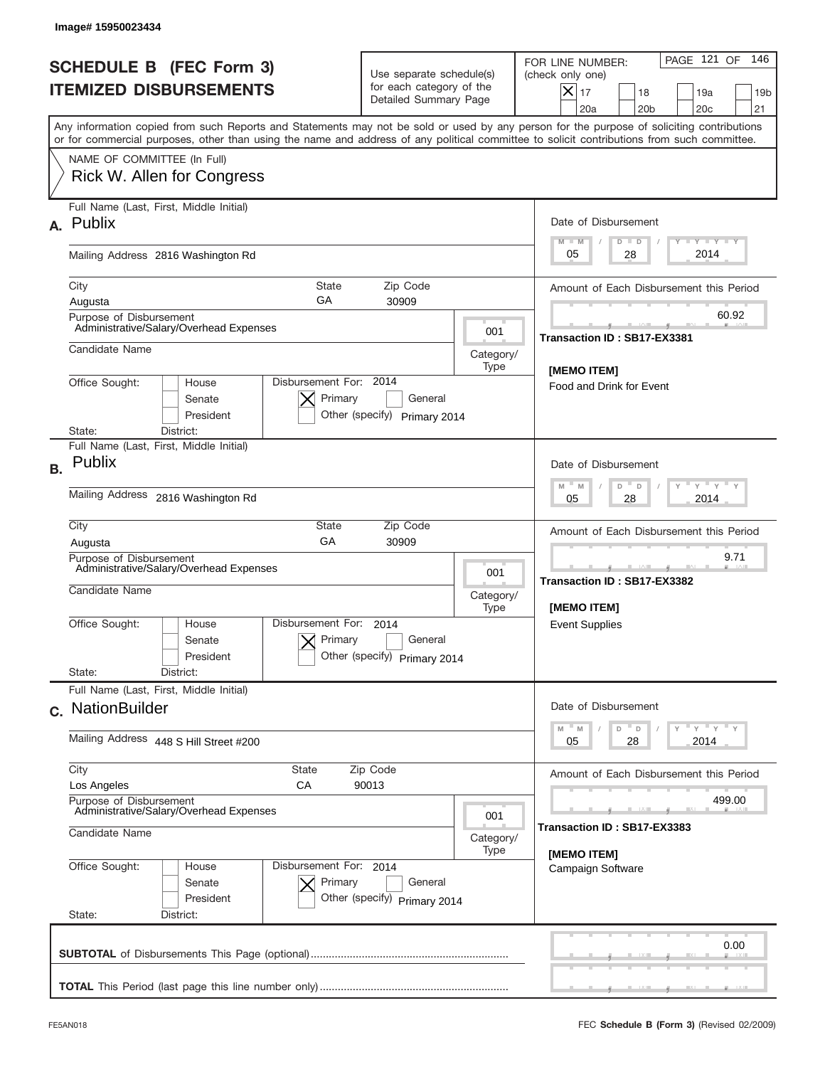| Image# 15950023434                                                                                                                                                                                                                                                                      |                                                                                                                                                         |                                                                                                                                                          |
|-----------------------------------------------------------------------------------------------------------------------------------------------------------------------------------------------------------------------------------------------------------------------------------------|---------------------------------------------------------------------------------------------------------------------------------------------------------|----------------------------------------------------------------------------------------------------------------------------------------------------------|
| <b>SCHEDULE B (FEC Form 3)</b><br><b>ITEMIZED DISBURSEMENTS</b>                                                                                                                                                                                                                         | Use separate schedule(s)<br>for each category of the<br>Detailed Summary Page                                                                           | PAGE 121 OF<br>146<br>FOR LINE NUMBER:<br>(check only one)<br>$ \mathsf{X} _{17}$<br>18<br>19a<br>19 <sub>b</sub><br>20a<br>20 <sub>b</sub><br>20c<br>21 |
| Any information copied from such Reports and Statements may not be sold or used by any person for the purpose of soliciting contributions<br>or for commercial purposes, other than using the name and address of any political committee to solicit contributions from such committee. |                                                                                                                                                         |                                                                                                                                                          |
| NAME OF COMMITTEE (In Full)<br>Rick W. Allen for Congress                                                                                                                                                                                                                               |                                                                                                                                                         |                                                                                                                                                          |
| Full Name (Last, First, Middle Initial)<br>A. Publix                                                                                                                                                                                                                                    |                                                                                                                                                         | Date of Disbursement<br>$T$ $Y$ $Y$ $Y$ $Y$<br>$M - M$<br>$D$ $D$                                                                                        |
| Mailing Address 2816 Washington Rd                                                                                                                                                                                                                                                      |                                                                                                                                                         | 2014<br>05<br>28                                                                                                                                         |
| <b>State</b><br>City<br>GА<br>Augusta                                                                                                                                                                                                                                                   | Zip Code<br>30909                                                                                                                                       | Amount of Each Disbursement this Period                                                                                                                  |
| Purpose of Disbursement<br>Administrative/Salary/Overhead Expenses                                                                                                                                                                                                                      |                                                                                                                                                         | 60.92<br>001<br>Transaction ID: SB17-EX3381                                                                                                              |
| Candidate Name<br>Category/<br>Type                                                                                                                                                                                                                                                     |                                                                                                                                                         | [MEMO ITEM]                                                                                                                                              |
| Disbursement For: 2014<br>Office Sought:<br>House<br>Senate<br>President<br>State:<br>District:                                                                                                                                                                                         | Primary<br>General<br>Other (specify) Primary 2014                                                                                                      | Food and Drink for Event                                                                                                                                 |
| Full Name (Last, First, Middle Initial)<br>Publix<br><b>B.</b>                                                                                                                                                                                                                          |                                                                                                                                                         | Date of Disbursement                                                                                                                                     |
| Mailing Address 2816 Washington Rd                                                                                                                                                                                                                                                      | $\cdots$ $\gamma$ $\cdots$ $\gamma$ $\cdots$ $\gamma$<br>D<br>M<br>M<br>D<br>28<br>2014<br>05                                                           |                                                                                                                                                          |
| City<br><b>State</b><br>GA<br>Augusta                                                                                                                                                                                                                                                   | Zip Code<br>30909                                                                                                                                       | Amount of Each Disbursement this Period                                                                                                                  |
| Purpose of Disbursement<br>Administrative/Salary/Overhead Expenses<br>Candidate Name                                                                                                                                                                                                    |                                                                                                                                                         | 9.71<br>001<br>Transaction ID: SB17-EX3382<br>Category/<br>[MEMO ITEM]<br>Type                                                                           |
| Disbursement For:<br>Office Sought:<br>House<br>Senate<br>President<br>State:<br>District:                                                                                                                                                                                              | 2014<br>Primary<br>General<br>Other (specify)<br>Primary 2014                                                                                           | <b>Event Supplies</b>                                                                                                                                    |
| Full Name (Last, First, Middle Initial)<br>c. NationBuilder                                                                                                                                                                                                                             |                                                                                                                                                         | Date of Disbursement                                                                                                                                     |
| Mailing Address 448 S Hill Street #200                                                                                                                                                                                                                                                  | $\rightarrow$ $\rightarrow$ $\rightarrow$ $\rightarrow$ $\rightarrow$ $\rightarrow$<br>$-M$<br>$\overline{\phantom{a}}$ D<br>M<br>D<br>2014<br>05<br>28 |                                                                                                                                                          |
| City<br>State<br>Los Angeles<br>СA                                                                                                                                                                                                                                                      | Amount of Each Disbursement this Period                                                                                                                 |                                                                                                                                                          |
| Purpose of Disbursement<br>Administrative/Salary/Overhead Expenses<br>001<br>Candidate Name<br>Category/                                                                                                                                                                                |                                                                                                                                                         | 499.00<br>Transaction ID: SB17-EX3383<br>Type                                                                                                            |
| Office Sought:<br>Disbursement For: 2014<br>House<br>Senate<br>President<br>State:<br>District:                                                                                                                                                                                         | Primary<br>General<br>Other (specify) Primary 2014                                                                                                      | [MEMO ITEM]<br>Campaign Software                                                                                                                         |
|                                                                                                                                                                                                                                                                                         |                                                                                                                                                         | 0.00                                                                                                                                                     |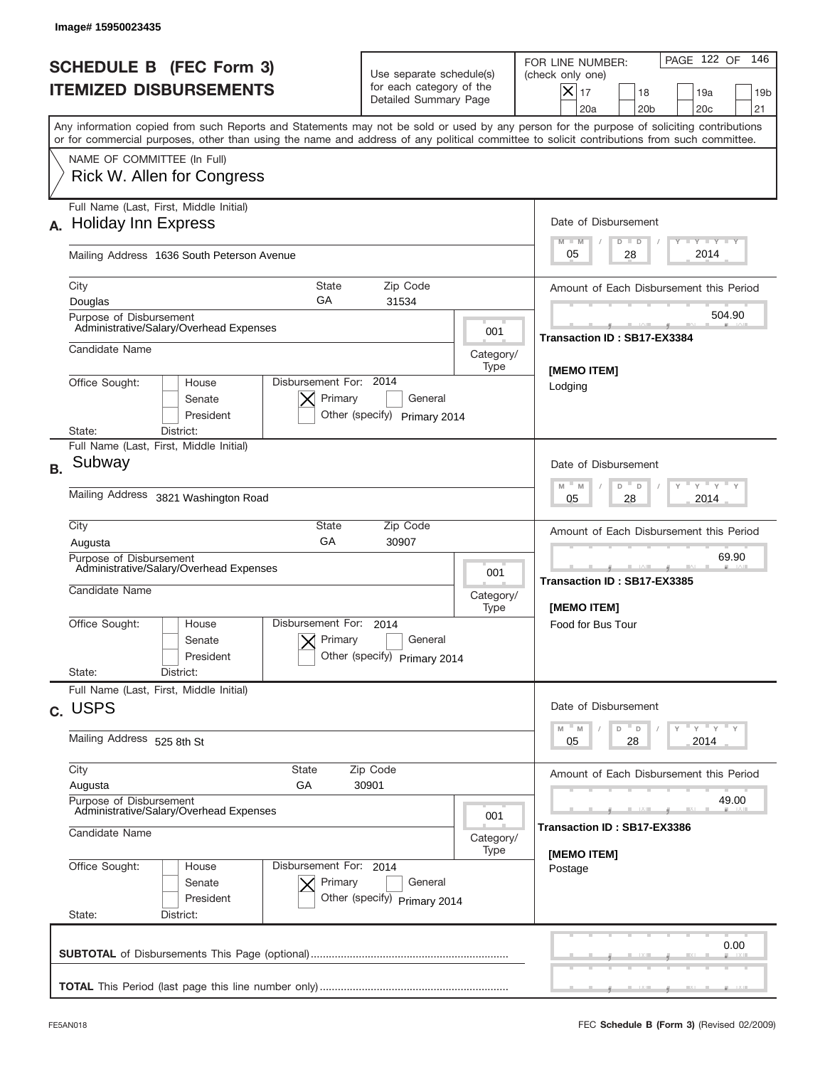|                                                                    | Image# 15950023435                                                                                                                                                                                                                                                                      |                                                                               |                             |                                                                                                                                                                 |  |
|--------------------------------------------------------------------|-----------------------------------------------------------------------------------------------------------------------------------------------------------------------------------------------------------------------------------------------------------------------------------------|-------------------------------------------------------------------------------|-----------------------------|-----------------------------------------------------------------------------------------------------------------------------------------------------------------|--|
|                                                                    | <b>SCHEDULE B</b> (FEC Form 3)<br><b>ITEMIZED DISBURSEMENTS</b>                                                                                                                                                                                                                         | Use separate schedule(s)<br>for each category of the<br>Detailed Summary Page |                             | 146<br>PAGE 122 OF<br>FOR LINE NUMBER:<br>(check only one)<br>$\times$<br>17<br>18<br>19a<br>19 <sub>b</sub><br>20a<br>20 <sub>b</sub><br>20 <sub>c</sub><br>21 |  |
|                                                                    | Any information copied from such Reports and Statements may not be sold or used by any person for the purpose of soliciting contributions<br>or for commercial purposes, other than using the name and address of any political committee to solicit contributions from such committee. |                                                                               |                             |                                                                                                                                                                 |  |
|                                                                    | NAME OF COMMITTEE (In Full)<br>Rick W. Allen for Congress                                                                                                                                                                                                                               |                                                                               |                             |                                                                                                                                                                 |  |
| А.                                                                 | Full Name (Last, First, Middle Initial)<br><b>Holiday Inn Express</b>                                                                                                                                                                                                                   |                                                                               |                             | Date of Disbursement<br>$T - Y$ $T - Y$<br>$M - M$<br>$D$ $D$                                                                                                   |  |
|                                                                    | Mailing Address 1636 South Peterson Avenue                                                                                                                                                                                                                                              |                                                                               |                             | 2014<br>05<br>28                                                                                                                                                |  |
|                                                                    | City<br><b>State</b><br>GA<br>Douglas                                                                                                                                                                                                                                                   | Zip Code<br>31534                                                             |                             | Amount of Each Disbursement this Period                                                                                                                         |  |
|                                                                    | Purpose of Disbursement<br>Administrative/Salary/Overhead Expenses                                                                                                                                                                                                                      |                                                                               | 001                         | 504.90                                                                                                                                                          |  |
| Candidate Name                                                     |                                                                                                                                                                                                                                                                                         |                                                                               | Category/<br>Type           | Transaction ID: SB17-EX3384                                                                                                                                     |  |
|                                                                    | Office Sought:<br>House<br>Senate<br>X<br>President<br>District:<br>State:                                                                                                                                                                                                              | Disbursement For: 2014<br>Primary<br>General<br>Other (specify) Primary 2014  |                             | [MEMO ITEM]<br>Lodging                                                                                                                                          |  |
| <b>B.</b>                                                          | Full Name (Last, First, Middle Initial)<br>Subway                                                                                                                                                                                                                                       |                                                                               |                             | Date of Disbursement<br>$Y = Y$<br>M<br>$-M$<br>D<br>D                                                                                                          |  |
|                                                                    | <b>Mailing Address</b><br>3821 Washington Road                                                                                                                                                                                                                                          |                                                                               |                             | 2014<br>05<br>28                                                                                                                                                |  |
|                                                                    | City<br>State<br>GA<br>Augusta                                                                                                                                                                                                                                                          | Zip Code<br>30907                                                             |                             | Amount of Each Disbursement this Period                                                                                                                         |  |
|                                                                    | Purpose of Disbursement<br>Administrative/Salary/Overhead Expenses<br>Candidate Name                                                                                                                                                                                                    |                                                                               | 001<br>Category/<br>Type    | 69.90<br>Transaction ID: SB17-EX3385<br>[MEMO ITEM]                                                                                                             |  |
|                                                                    | Disbursement For:<br>Office Sought:<br>House<br>Senate<br>President                                                                                                                                                                                                                     | 2014<br>Primary<br>General<br>Other (specity)<br>Primary 2014                 |                             | Food for Bus Tour                                                                                                                                               |  |
|                                                                    | State:<br>District:<br>Full Name (Last, First, Middle Initial)                                                                                                                                                                                                                          |                                                                               |                             |                                                                                                                                                                 |  |
|                                                                    | c. USPS                                                                                                                                                                                                                                                                                 |                                                                               |                             | Date of Disbursement                                                                                                                                            |  |
|                                                                    | Mailing Address 525 8th St                                                                                                                                                                                                                                                              |                                                                               |                             | $-\gamma + \gamma + \gamma$<br>M<br>M<br>D<br>D<br>28<br>2014<br>05                                                                                             |  |
|                                                                    | City<br>State<br>Zip Code<br>GА<br>30901<br>Augusta                                                                                                                                                                                                                                     |                                                                               |                             | Amount of Each Disbursement this Period                                                                                                                         |  |
| Purpose of Disbursement<br>Administrative/Salary/Overhead Expenses |                                                                                                                                                                                                                                                                                         |                                                                               | 001                         | 49.00                                                                                                                                                           |  |
|                                                                    | Candidate Name<br>Category/<br>Type                                                                                                                                                                                                                                                     |                                                                               | Transaction ID: SB17-EX3386 |                                                                                                                                                                 |  |
|                                                                    | Office Sought:<br>House<br>Senate<br>President<br>State:<br>District:                                                                                                                                                                                                                   | Disbursement For: 2014<br>Primary<br>General<br>Other (specify) Primary 2014  |                             | [MEMO ITEM]<br>Postage                                                                                                                                          |  |
|                                                                    |                                                                                                                                                                                                                                                                                         |                                                                               |                             | 0.00                                                                                                                                                            |  |
|                                                                    |                                                                                                                                                                                                                                                                                         |                                                                               |                             |                                                                                                                                                                 |  |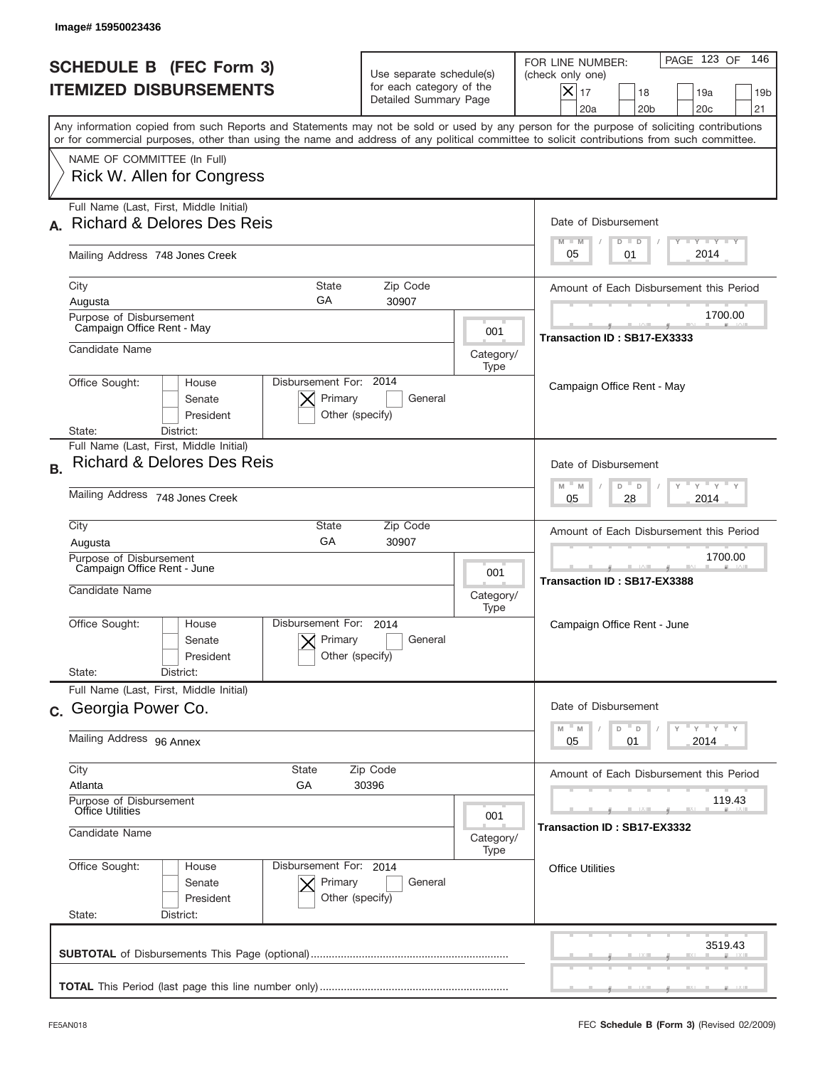|                                                                      | Image# 15950023436                                                                                                                                                                                                                                                                      |                                                                               |                          |                                                                                                                                                          |
|----------------------------------------------------------------------|-----------------------------------------------------------------------------------------------------------------------------------------------------------------------------------------------------------------------------------------------------------------------------------------|-------------------------------------------------------------------------------|--------------------------|----------------------------------------------------------------------------------------------------------------------------------------------------------|
|                                                                      | <b>SCHEDULE B (FEC Form 3)</b><br><b>ITEMIZED DISBURSEMENTS</b>                                                                                                                                                                                                                         | Use separate schedule(s)<br>for each category of the<br>Detailed Summary Page |                          | PAGE 123 OF<br>146<br>FOR LINE NUMBER:<br>(check only one)<br>$ \mathsf{X} _{17}$<br>18<br>19a<br>19 <sub>b</sub><br>20a<br>20 <sub>b</sub><br>20c<br>21 |
|                                                                      | Any information copied from such Reports and Statements may not be sold or used by any person for the purpose of soliciting contributions<br>or for commercial purposes, other than using the name and address of any political committee to solicit contributions from such committee. |                                                                               |                          |                                                                                                                                                          |
|                                                                      | NAME OF COMMITTEE (In Full)<br>Rick W. Allen for Congress                                                                                                                                                                                                                               |                                                                               |                          |                                                                                                                                                          |
|                                                                      | Full Name (Last, First, Middle Initial)<br><b>Richard &amp; Delores Des Reis</b>                                                                                                                                                                                                        |                                                                               |                          | Date of Disbursement                                                                                                                                     |
|                                                                      | Mailing Address 748 Jones Creek                                                                                                                                                                                                                                                         |                                                                               |                          | Y TY TY TY<br>$M - M$<br>$D$ $D$<br>2014<br>05<br>01                                                                                                     |
|                                                                      | City<br><b>State</b><br>GA<br>Augusta                                                                                                                                                                                                                                                   | Zip Code<br>30907                                                             |                          | Amount of Each Disbursement this Period                                                                                                                  |
|                                                                      | Purpose of Disbursement<br>Campaign Office Rent - May                                                                                                                                                                                                                                   |                                                                               | 001                      | 1700.00<br>Transaction ID: SB17-EX3333                                                                                                                   |
| Candidate Name                                                       |                                                                                                                                                                                                                                                                                         | Category/<br>Type                                                             |                          |                                                                                                                                                          |
|                                                                      | Disbursement For: 2014<br>Office Sought:<br>House<br>Primary<br>Senate<br>President<br>Other (specify)<br>District:<br>State:                                                                                                                                                           | General                                                                       |                          | Campaign Office Rent - May                                                                                                                               |
| <b>B.</b>                                                            | Full Name (Last, First, Middle Initial)<br><b>Richard &amp; Delores Des Reis</b>                                                                                                                                                                                                        |                                                                               |                          | Date of Disbursement<br>$-\gamma + \gamma +$<br>$M - M$<br>D<br>D                                                                                        |
|                                                                      | Mailing Address 748 Jones Creek                                                                                                                                                                                                                                                         |                                                                               |                          | 2014<br>05<br>28                                                                                                                                         |
|                                                                      | City<br>State<br>GA<br>Augusta                                                                                                                                                                                                                                                          | Zip Code<br>30907                                                             |                          | Amount of Each Disbursement this Period                                                                                                                  |
|                                                                      | Purpose of Disbursement<br>Campaign Office Rent - June<br>Candidate Name                                                                                                                                                                                                                |                                                                               | 001<br>Category/<br>Type | 1700.00<br>Transaction ID: SB17-EX3388                                                                                                                   |
|                                                                      | Disbursement For:<br>Office Sought:<br>House<br>Primary<br>Senate<br>Other (specify)<br>President                                                                                                                                                                                       | 2014<br>General                                                               |                          | Campaign Office Rent - June                                                                                                                              |
|                                                                      | State:<br>District:<br>Full Name (Last, First, Middle Initial)                                                                                                                                                                                                                          |                                                                               |                          |                                                                                                                                                          |
|                                                                      | c. Georgia Power Co.                                                                                                                                                                                                                                                                    |                                                                               |                          | Date of Disbursement<br>$\cdots$ $\vdots$ $\cdots$ $\vdots$<br>$\mathbb M$<br>M<br>D<br>D                                                                |
|                                                                      | Mailing Address 96 Annex                                                                                                                                                                                                                                                                |                                                                               |                          | 2014<br>05<br>01                                                                                                                                         |
|                                                                      | City<br>State<br>Zip Code<br>Atlanta<br>GА<br>30396                                                                                                                                                                                                                                     |                                                                               |                          | Amount of Each Disbursement this Period<br>119.43                                                                                                        |
| Purpose of Disbursement<br><b>Office Utilities</b><br>Candidate Name |                                                                                                                                                                                                                                                                                         |                                                                               | 001<br>Category/<br>Type | Transaction ID: SB17-EX3332                                                                                                                              |
|                                                                      | Office Sought:<br>Disbursement For: 2014<br>House<br>Senate<br>Primary<br>President<br>Other (specify)<br>State:<br>District:                                                                                                                                                           | General                                                                       |                          | <b>Office Utilities</b>                                                                                                                                  |
|                                                                      |                                                                                                                                                                                                                                                                                         |                                                                               |                          | 3519.43                                                                                                                                                  |
|                                                                      |                                                                                                                                                                                                                                                                                         |                                                                               |                          |                                                                                                                                                          |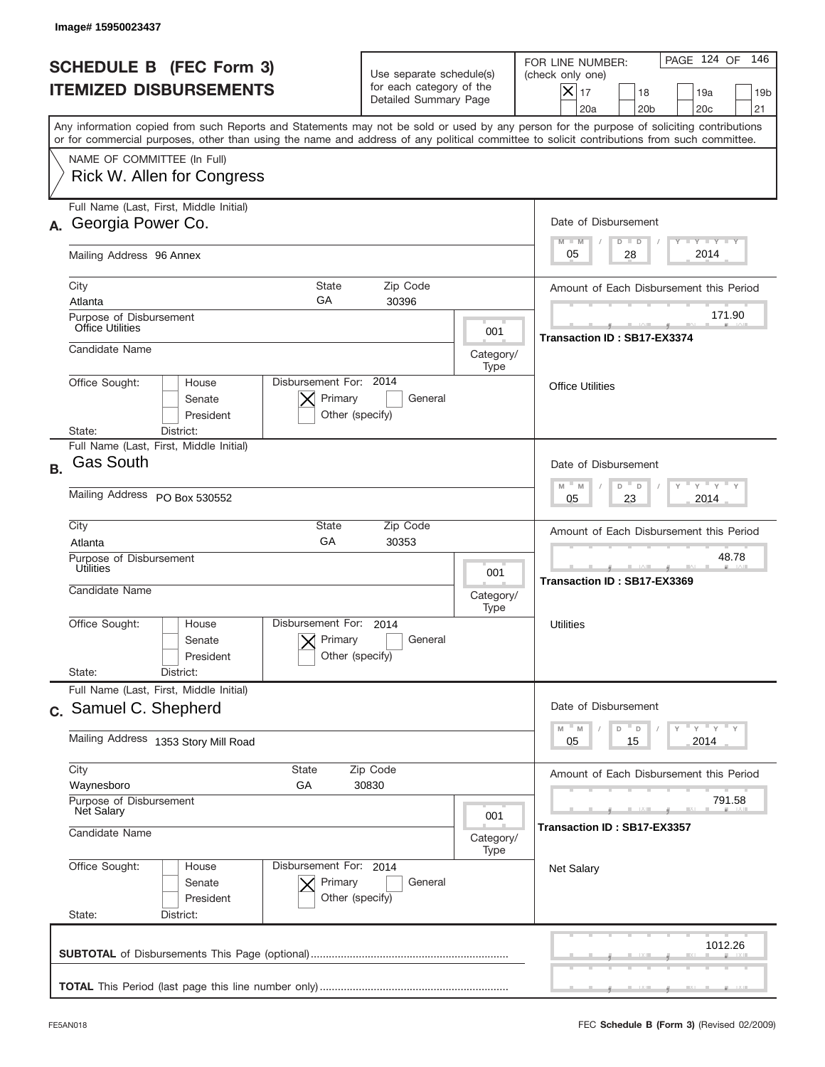|           | Image# 15950023437                                                                                                                                                                                                                                                                      |                                                                               |                                        |                                                                                                                                                            |
|-----------|-----------------------------------------------------------------------------------------------------------------------------------------------------------------------------------------------------------------------------------------------------------------------------------------|-------------------------------------------------------------------------------|----------------------------------------|------------------------------------------------------------------------------------------------------------------------------------------------------------|
|           | <b>SCHEDULE B (FEC Form 3)</b><br><b>ITEMIZED DISBURSEMENTS</b>                                                                                                                                                                                                                         | Use separate schedule(s)<br>for each category of the<br>Detailed Summary Page |                                        | 146<br>PAGE 124 OF<br>FOR LINE NUMBER:<br>(check only one)<br>$X _{17}$<br>18<br>19a<br>19 <sub>b</sub><br>20a<br>20 <sub>b</sub><br>20 <sub>c</sub><br>21 |
|           | Any information copied from such Reports and Statements may not be sold or used by any person for the purpose of soliciting contributions<br>or for commercial purposes, other than using the name and address of any political committee to solicit contributions from such committee. |                                                                               |                                        |                                                                                                                                                            |
|           | NAME OF COMMITTEE (In Full)<br>Rick W. Allen for Congress                                                                                                                                                                                                                               |                                                                               |                                        |                                                                                                                                                            |
| А.        | Full Name (Last, First, Middle Initial)<br>Georgia Power Co.                                                                                                                                                                                                                            |                                                                               |                                        | Date of Disbursement<br>$T - Y$ $T - Y$<br>$M - M$<br>$D$ $D$                                                                                              |
|           | Mailing Address 96 Annex                                                                                                                                                                                                                                                                |                                                                               |                                        | 2014<br>28<br>05                                                                                                                                           |
|           | City<br>State<br>GA<br>Atlanta<br>Purpose of Disbursement                                                                                                                                                                                                                               | Zip Code<br>30396                                                             |                                        | Amount of Each Disbursement this Period<br>171.90                                                                                                          |
|           | <b>Office Utilities</b><br>Candidate Name                                                                                                                                                                                                                                               |                                                                               | 001<br>Category/                       | Transaction ID: SB17-EX3374                                                                                                                                |
|           | Disbursement For: 2014<br>Office Sought:<br>House<br>Primary<br>Senate<br>President<br>State:<br>District:                                                                                                                                                                              | General<br>Other (specify)                                                    | Type                                   | <b>Office Utilities</b>                                                                                                                                    |
| <b>B.</b> | Full Name (Last, First, Middle Initial)<br><b>Gas South</b>                                                                                                                                                                                                                             |                                                                               |                                        | Date of Disbursement                                                                                                                                       |
|           | Mailing Address PO Box 530552                                                                                                                                                                                                                                                           |                                                                               |                                        | $\cdots$ $\gamma$ $\cdots$ $\gamma$ $\cdots$ $\gamma$<br>$M - M$<br>D<br>D<br>2014<br>05<br>23                                                             |
|           | City<br>State<br>GA<br>Atlanta<br>Purpose of Disbursement<br>Utilities                                                                                                                                                                                                                  | Zip Code<br>30353                                                             |                                        | Amount of Each Disbursement this Period<br>48.78                                                                                                           |
|           | Candidate Name                                                                                                                                                                                                                                                                          |                                                                               | 001<br>Category/<br>Type               | Transaction ID: SB17-EX3369                                                                                                                                |
|           | Disbursement For:<br>Office Sought:<br>House<br>Primary<br>Senate<br>President<br>State:<br>District:                                                                                                                                                                                   | 2014<br>General<br>Other (specify)                                            |                                        | Utilities                                                                                                                                                  |
|           | Full Name (Last, First, Middle Initial)<br>c. Samuel C. Shepherd                                                                                                                                                                                                                        |                                                                               |                                        | Date of Disbursement                                                                                                                                       |
|           | Mailing Address 1353 Story Mill Road                                                                                                                                                                                                                                                    |                                                                               |                                        | $=\frac{1}{\gamma}$ $\frac{1}{\gamma}$ $\frac{1}{\gamma}$ $\frac{1}{\gamma}$<br>$-M$<br>$\mathbb M$<br>D<br>D<br>15<br>2014<br>05                          |
|           | City<br><b>State</b><br>Zip Code<br>Waynesboro<br>GА<br>30830                                                                                                                                                                                                                           |                                                                               |                                        | Amount of Each Disbursement this Period                                                                                                                    |
|           | Purpose of Disbursement<br>Net Salary<br>001<br>Candidate Name<br>Category/<br>Type                                                                                                                                                                                                     |                                                                               | 791.58<br>Transaction ID : SB17-EX3357 |                                                                                                                                                            |
|           | Office Sought:<br>Disbursement For: 2014<br>House<br>Senate<br>Primary<br>President<br>State:<br>District:                                                                                                                                                                              | General<br>Other (specify)                                                    |                                        | <b>Net Salary</b>                                                                                                                                          |
|           |                                                                                                                                                                                                                                                                                         |                                                                               |                                        | 1012.26                                                                                                                                                    |
|           |                                                                                                                                                                                                                                                                                         |                                                                               |                                        |                                                                                                                                                            |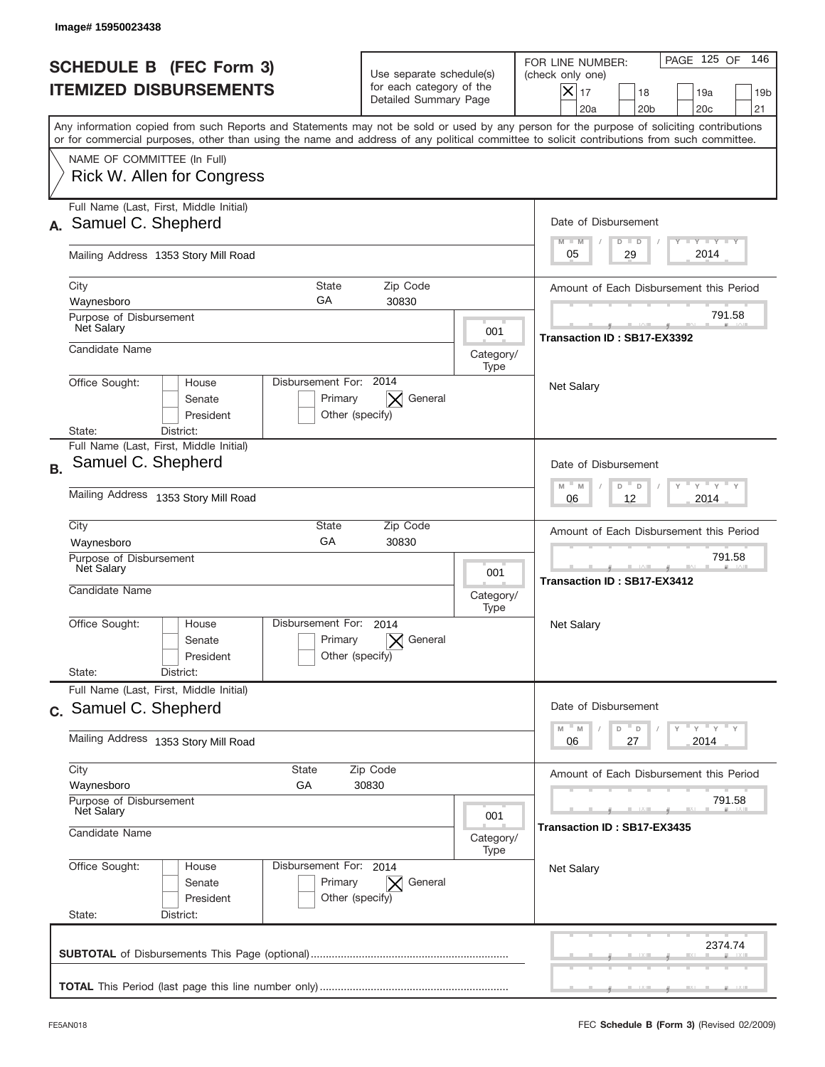| Image#15950023438                                                                                                                                                                                                                                                                       |                                                                               |                          |                                                                                                                                                                      |  |
|-----------------------------------------------------------------------------------------------------------------------------------------------------------------------------------------------------------------------------------------------------------------------------------------|-------------------------------------------------------------------------------|--------------------------|----------------------------------------------------------------------------------------------------------------------------------------------------------------------|--|
| <b>SCHEDULE B (FEC Form 3)</b><br><b>ITEMIZED DISBURSEMENTS</b>                                                                                                                                                                                                                         | Use separate schedule(s)<br>for each category of the<br>Detailed Summary Page |                          | PAGE 125 OF<br>146<br>FOR LINE NUMBER:<br>(check only one)<br>$ \mathsf{X} _{17}$<br>18<br>19a<br>19 <sub>b</sub><br>20a<br>20 <sub>b</sub><br>20 <sub>c</sub><br>21 |  |
| Any information copied from such Reports and Statements may not be sold or used by any person for the purpose of soliciting contributions<br>or for commercial purposes, other than using the name and address of any political committee to solicit contributions from such committee. |                                                                               |                          |                                                                                                                                                                      |  |
| NAME OF COMMITTEE (In Full)<br>Rick W. Allen for Congress                                                                                                                                                                                                                               |                                                                               |                          |                                                                                                                                                                      |  |
| Full Name (Last, First, Middle Initial)<br>Samuel C. Shepherd                                                                                                                                                                                                                           |                                                                               |                          | Date of Disbursement<br><b>TAYLY LY</b>                                                                                                                              |  |
| Mailing Address 1353 Story Mill Road                                                                                                                                                                                                                                                    |                                                                               |                          | $M - M$<br>$D$ $D$<br>2014<br>29<br>05                                                                                                                               |  |
| City<br><b>State</b><br>GA<br>Waynesboro                                                                                                                                                                                                                                                | Zip Code<br>30830                                                             |                          | Amount of Each Disbursement this Period                                                                                                                              |  |
| Purpose of Disbursement<br><b>Net Salary</b>                                                                                                                                                                                                                                            |                                                                               | 001                      | 791.58<br>Transaction ID: SB17-EX3392                                                                                                                                |  |
| Candidate Name                                                                                                                                                                                                                                                                          |                                                                               | Category/<br>Type        |                                                                                                                                                                      |  |
| Disbursement For: 2014<br>Office Sought:<br>House<br>Senate<br>President<br>District:<br>State:                                                                                                                                                                                         | General<br>Primary<br>Other (specify)                                         |                          | <b>Net Salary</b>                                                                                                                                                    |  |
| Full Name (Last, First, Middle Initial)<br>Samuel C. Shepherd<br><b>B.</b>                                                                                                                                                                                                              |                                                                               |                          | Date of Disbursement<br>$-\gamma + \gamma +$<br>$M - M$<br>D<br>D                                                                                                    |  |
| Mailing Address 1353 Story Mill Road                                                                                                                                                                                                                                                    |                                                                               |                          | 2014<br>06<br>12                                                                                                                                                     |  |
| City<br>State<br>GA<br>Waynesboro<br>Purpose of Disbursement                                                                                                                                                                                                                            | Zip Code<br>30830                                                             |                          | Amount of Each Disbursement this Period<br>791.58                                                                                                                    |  |
| Net Salary<br>Candidate Name                                                                                                                                                                                                                                                            |                                                                               | 001<br>Category/<br>Type | Transaction ID: SB17-EX3412                                                                                                                                          |  |
| Disbursement For:<br>Office Sought:<br>House<br>Senate<br>President                                                                                                                                                                                                                     | 2014<br>General<br>Primary<br>Other (specify)                                 |                          | Net Salary                                                                                                                                                           |  |
| State:<br>District:<br>Full Name (Last, First, Middle Initial)                                                                                                                                                                                                                          |                                                                               |                          |                                                                                                                                                                      |  |
| c. Samuel C. Shepherd                                                                                                                                                                                                                                                                   |                                                                               |                          | Date of Disbursement<br>ү "ү "ү "ү<br>M<br>M<br>D<br>$\mathsf D$                                                                                                     |  |
| Mailing Address 1353 Story Mill Road                                                                                                                                                                                                                                                    |                                                                               |                          | 2014<br>06<br>27                                                                                                                                                     |  |
| City<br>State<br>Waynesboro<br>GA                                                                                                                                                                                                                                                       | Zip Code<br>30830                                                             |                          | Amount of Each Disbursement this Period                                                                                                                              |  |
| Purpose of Disbursement<br><b>Net Salary</b><br>Candidate Name                                                                                                                                                                                                                          |                                                                               | 001<br>Category/         | 791.58<br>Transaction ID: SB17-EX3435                                                                                                                                |  |
| Office Sought:<br>Disbursement For: 2014<br>House<br>Senate<br>President<br>State:<br>District:                                                                                                                                                                                         | Primary<br>General<br>$\bowtie$<br>Other (specify)                            | Type                     | <b>Net Salary</b>                                                                                                                                                    |  |
|                                                                                                                                                                                                                                                                                         |                                                                               |                          | 2374.74                                                                                                                                                              |  |
|                                                                                                                                                                                                                                                                                         |                                                                               |                          |                                                                                                                                                                      |  |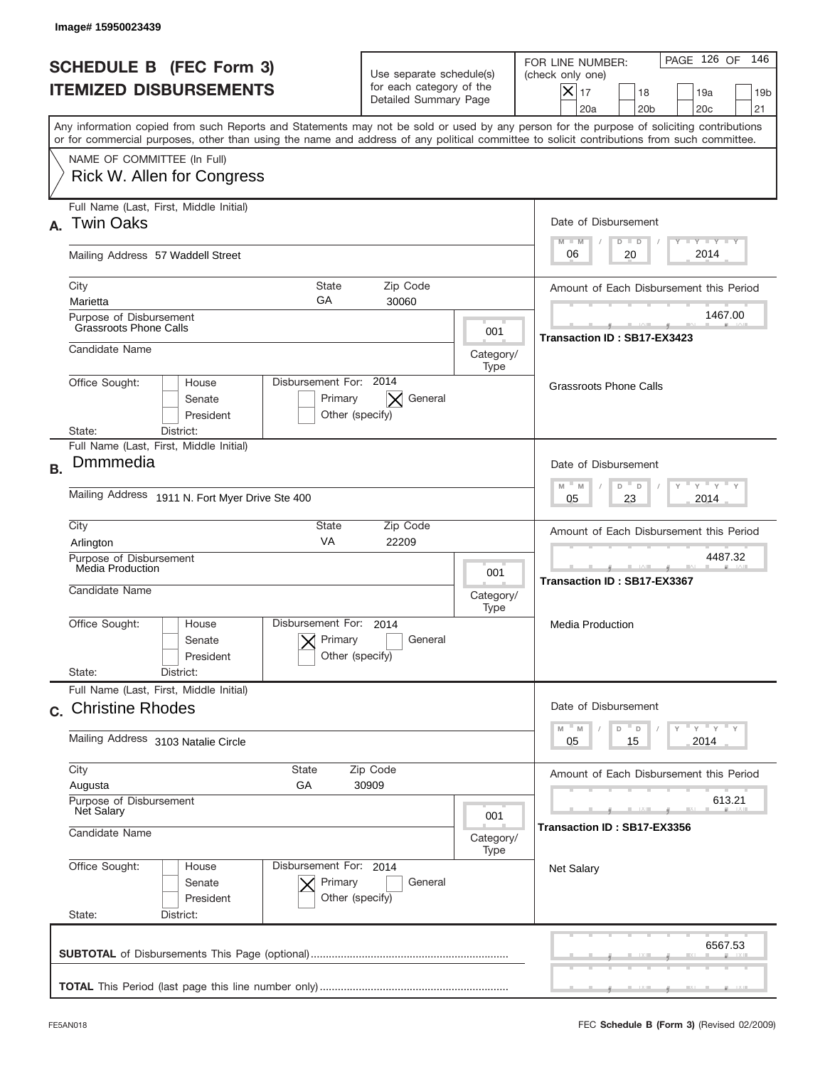| Image# 15950023439                                                                                                                                                                                                                                                                      |                                                                               |                          |                                                                                                                                                |
|-----------------------------------------------------------------------------------------------------------------------------------------------------------------------------------------------------------------------------------------------------------------------------------------|-------------------------------------------------------------------------------|--------------------------|------------------------------------------------------------------------------------------------------------------------------------------------|
| <b>SCHEDULE B (FEC Form 3)</b><br><b>ITEMIZED DISBURSEMENTS</b>                                                                                                                                                                                                                         | Use separate schedule(s)<br>for each category of the<br>Detailed Summary Page |                          | PAGE 126 OF<br>146<br>FOR LINE NUMBER:<br>(check only one)<br>$X _{17}$<br>18<br>19a<br>19 <sub>b</sub><br>20a<br>20 <sub>b</sub><br>20c<br>21 |
| Any information copied from such Reports and Statements may not be sold or used by any person for the purpose of soliciting contributions<br>or for commercial purposes, other than using the name and address of any political committee to solicit contributions from such committee. |                                                                               |                          |                                                                                                                                                |
| NAME OF COMMITTEE (In Full)<br>Rick W. Allen for Congress                                                                                                                                                                                                                               |                                                                               |                          |                                                                                                                                                |
| Full Name (Last, First, Middle Initial)<br><b>Twin Oaks</b><br>А.                                                                                                                                                                                                                       |                                                                               |                          | Date of Disbursement<br>Y TY TY TY                                                                                                             |
| Mailing Address 57 Waddell Street                                                                                                                                                                                                                                                       |                                                                               |                          | $M - M$<br>$D$ $D$<br>2014<br>06<br>20                                                                                                         |
| City<br>GA<br>Marietta                                                                                                                                                                                                                                                                  | State<br>Zip Code<br>30060                                                    |                          | Amount of Each Disbursement this Period                                                                                                        |
| Purpose of Disbursement<br><b>Grassroots Phone Calls</b>                                                                                                                                                                                                                                |                                                                               | 001                      | 1467.00                                                                                                                                        |
| Candidate Name                                                                                                                                                                                                                                                                          |                                                                               | Category/<br>Type        | Transaction ID: SB17-EX3423                                                                                                                    |
| Office Sought:<br>House<br>Senate<br>President<br>District:<br>State:                                                                                                                                                                                                                   | Disbursement For: 2014<br>General<br>Primary<br>Other (specify)               |                          | <b>Grassroots Phone Calls</b>                                                                                                                  |
| Full Name (Last, First, Middle Initial)<br>Dmmmedia<br><b>B.</b>                                                                                                                                                                                                                        |                                                                               |                          | Date of Disbursement<br>$\cdots$ $\gamma$ $\cdots$ $\gamma$ $\cdots$<br>$M - M$<br>D<br>D                                                      |
| Mailing Address 1911 N. Fort Myer Drive Ste 400                                                                                                                                                                                                                                         |                                                                               |                          | 2014<br>05<br>23                                                                                                                               |
| City<br>Arlington                                                                                                                                                                                                                                                                       | State<br>Zip Code<br>VA<br>22209                                              |                          | Amount of Each Disbursement this Period                                                                                                        |
| Purpose of Disbursement<br>Media Production<br>Candidate Name                                                                                                                                                                                                                           |                                                                               | 001<br>Category/<br>Type | 4487.32<br>Transaction ID: SB17-EX3367                                                                                                         |
| Disbursement For:<br>Office Sought:<br>House<br>Senate<br>President                                                                                                                                                                                                                     | 2014<br>Primary<br>General<br>Other (specify)                                 |                          | Media Production                                                                                                                               |
| State:<br>District:<br>Full Name (Last, First, Middle Initial)                                                                                                                                                                                                                          |                                                                               |                          |                                                                                                                                                |
| c. Christine Rhodes                                                                                                                                                                                                                                                                     |                                                                               |                          | Date of Disbursement<br>$\overline{y}$ $\overline{y}$ $\overline{y}$ $\overline{y}$ $\overline{y}$<br>$-M$<br>M<br>D<br>D                      |
| Mailing Address 3103 Natalie Circle                                                                                                                                                                                                                                                     |                                                                               |                          | 2014<br>05<br>15                                                                                                                               |
| City<br><b>State</b><br>Zip Code<br>GА<br>30909<br>Augusta                                                                                                                                                                                                                              |                                                                               |                          | Amount of Each Disbursement this Period                                                                                                        |
| Purpose of Disbursement<br><b>Net Salary</b><br>Candidate Name                                                                                                                                                                                                                          |                                                                               | 001<br>Category/         | 613.21<br>Transaction ID: SB17-EX3356                                                                                                          |
| Office Sought:<br>House<br>Senate<br>President<br>State:<br>District:                                                                                                                                                                                                                   | Disbursement For: 2014<br>Primary<br>General<br>Other (specify)               | Type                     | <b>Net Salary</b>                                                                                                                              |
|                                                                                                                                                                                                                                                                                         |                                                                               |                          | 6567.53                                                                                                                                        |
|                                                                                                                                                                                                                                                                                         |                                                                               |                          |                                                                                                                                                |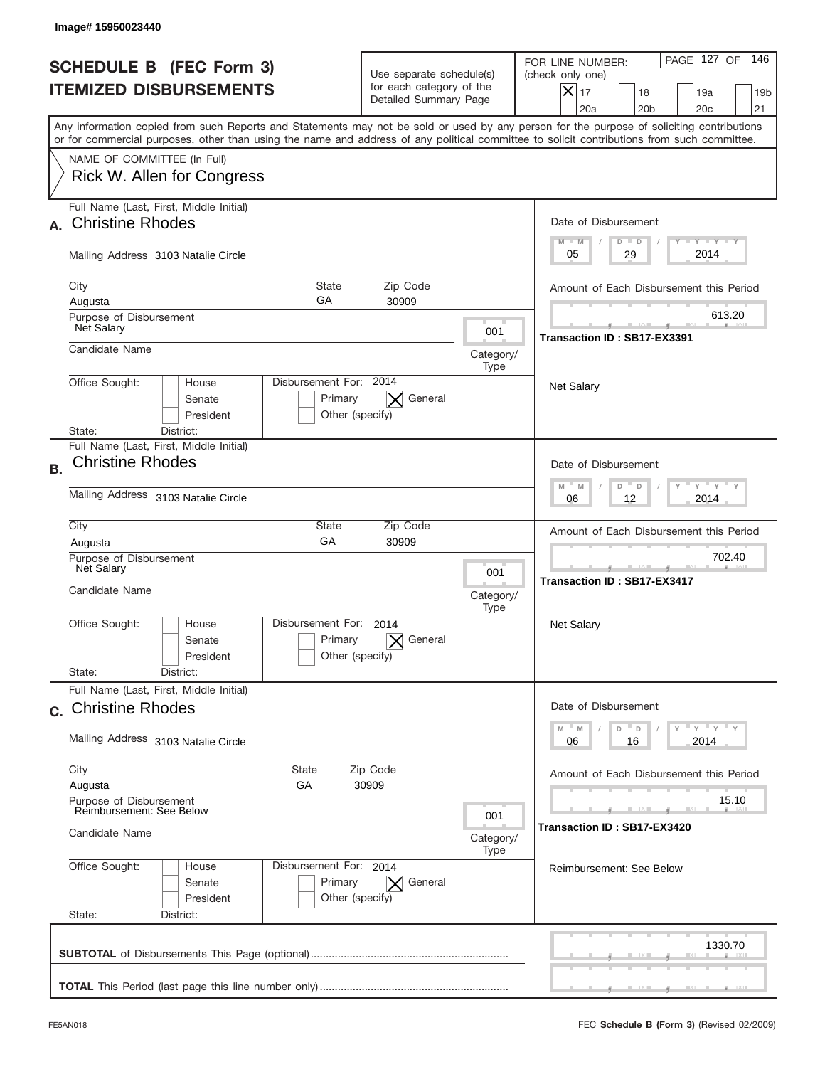|                                                                              | Image#15950023440                                                                                                                                                                                                                                                                       |                                                                               |                          |                                                                                                                                                            |
|------------------------------------------------------------------------------|-----------------------------------------------------------------------------------------------------------------------------------------------------------------------------------------------------------------------------------------------------------------------------------------|-------------------------------------------------------------------------------|--------------------------|------------------------------------------------------------------------------------------------------------------------------------------------------------|
|                                                                              | <b>SCHEDULE B (FEC Form 3)</b><br><b>ITEMIZED DISBURSEMENTS</b>                                                                                                                                                                                                                         | Use separate schedule(s)<br>for each category of the<br>Detailed Summary Page |                          | 146<br>PAGE 127 OF<br>FOR LINE NUMBER:<br>(check only one)<br>$X _{17}$<br>18<br>19a<br>19 <sub>b</sub><br>20 <sub>c</sub><br>20a<br>20 <sub>b</sub><br>21 |
|                                                                              | Any information copied from such Reports and Statements may not be sold or used by any person for the purpose of soliciting contributions<br>or for commercial purposes, other than using the name and address of any political committee to solicit contributions from such committee. |                                                                               |                          |                                                                                                                                                            |
|                                                                              | NAME OF COMMITTEE (In Full)<br>Rick W. Allen for Congress                                                                                                                                                                                                                               |                                                                               |                          |                                                                                                                                                            |
|                                                                              | Full Name (Last, First, Middle Initial)<br><b>Christine Rhodes</b>                                                                                                                                                                                                                      |                                                                               |                          | Date of Disbursement<br>$T - Y$ $T - Y$<br>$M - M$<br>$D$ $D$                                                                                              |
|                                                                              | Mailing Address 3103 Natalie Circle                                                                                                                                                                                                                                                     |                                                                               |                          | 2014<br>29<br>05                                                                                                                                           |
|                                                                              | City<br>State<br>GA<br>Augusta                                                                                                                                                                                                                                                          | Zip Code<br>30909                                                             |                          | Amount of Each Disbursement this Period                                                                                                                    |
| Purpose of Disbursement<br>Net Salary                                        |                                                                                                                                                                                                                                                                                         |                                                                               | 001                      | 613.20<br>Transaction ID: SB17-EX3391                                                                                                                      |
|                                                                              | Candidate Name                                                                                                                                                                                                                                                                          |                                                                               | Category/<br>Type        |                                                                                                                                                            |
|                                                                              | Disbursement For: 2014<br>Office Sought:<br>House<br>Senate<br>Primary<br>President<br>Other (specify)<br>State:<br>District:                                                                                                                                                           | General<br>$\times$                                                           |                          | <b>Net Salary</b>                                                                                                                                          |
| <b>B.</b>                                                                    | Full Name (Last, First, Middle Initial)<br><b>Christine Rhodes</b>                                                                                                                                                                                                                      |                                                                               |                          | Date of Disbursement<br>$\cdots$ $\gamma$ $\cdots$ $\gamma$ $\cdots$<br>$M$ M<br>D<br>$\Box$                                                               |
|                                                                              | Mailing Address 3103 Natalie Circle                                                                                                                                                                                                                                                     |                                                                               |                          | 12<br>2014<br>06                                                                                                                                           |
|                                                                              | City<br>State<br>GA<br>Augusta<br>Purpose of Disbursement<br>Net Salary                                                                                                                                                                                                                 | Zip Code<br>30909                                                             |                          | Amount of Each Disbursement this Period<br>702.40                                                                                                          |
|                                                                              | Candidate Name                                                                                                                                                                                                                                                                          |                                                                               | 001<br>Category/<br>Type | Transaction ID: SB17-EX3417                                                                                                                                |
|                                                                              | Disbursement For:<br>Office Sought:<br>House<br>Primary<br>Senate<br>Other (specify)<br>President                                                                                                                                                                                       | 2014<br>General                                                               |                          | <b>Net Salary</b>                                                                                                                                          |
|                                                                              | State:<br>District:<br>Full Name (Last, First, Middle Initial)                                                                                                                                                                                                                          |                                                                               |                          |                                                                                                                                                            |
|                                                                              | c. Christine Rhodes                                                                                                                                                                                                                                                                     |                                                                               |                          | Date of Disbursement                                                                                                                                       |
| Mailing Address 3103 Natalie Circle                                          |                                                                                                                                                                                                                                                                                         |                                                                               |                          | $Y$ $Y$ $Y$ $Y$ $Y$<br>$M - M$<br>D<br>D<br>2014<br>06<br>16                                                                                               |
|                                                                              | City<br><b>State</b><br>GА<br>Augusta                                                                                                                                                                                                                                                   | Zip Code<br>30909                                                             |                          | Amount of Each Disbursement this Period                                                                                                                    |
| Purpose of Disbursement<br><b>Reimbursement: See Below</b><br>Candidate Name |                                                                                                                                                                                                                                                                                         | 001<br>Category/                                                              |                          | 15.10<br>Transaction ID : SB17-EX3420                                                                                                                      |
|                                                                              | Office Sought:<br>Disbursement For: 2014<br>House<br>Senate<br>Primary<br>President<br>Other (specify)<br>State:<br>District:                                                                                                                                                           | $ \times $ General                                                            | Type                     | <b>Reimbursement: See Below</b>                                                                                                                            |
|                                                                              |                                                                                                                                                                                                                                                                                         |                                                                               |                          | 1330.70                                                                                                                                                    |
|                                                                              |                                                                                                                                                                                                                                                                                         |                                                                               |                          |                                                                                                                                                            |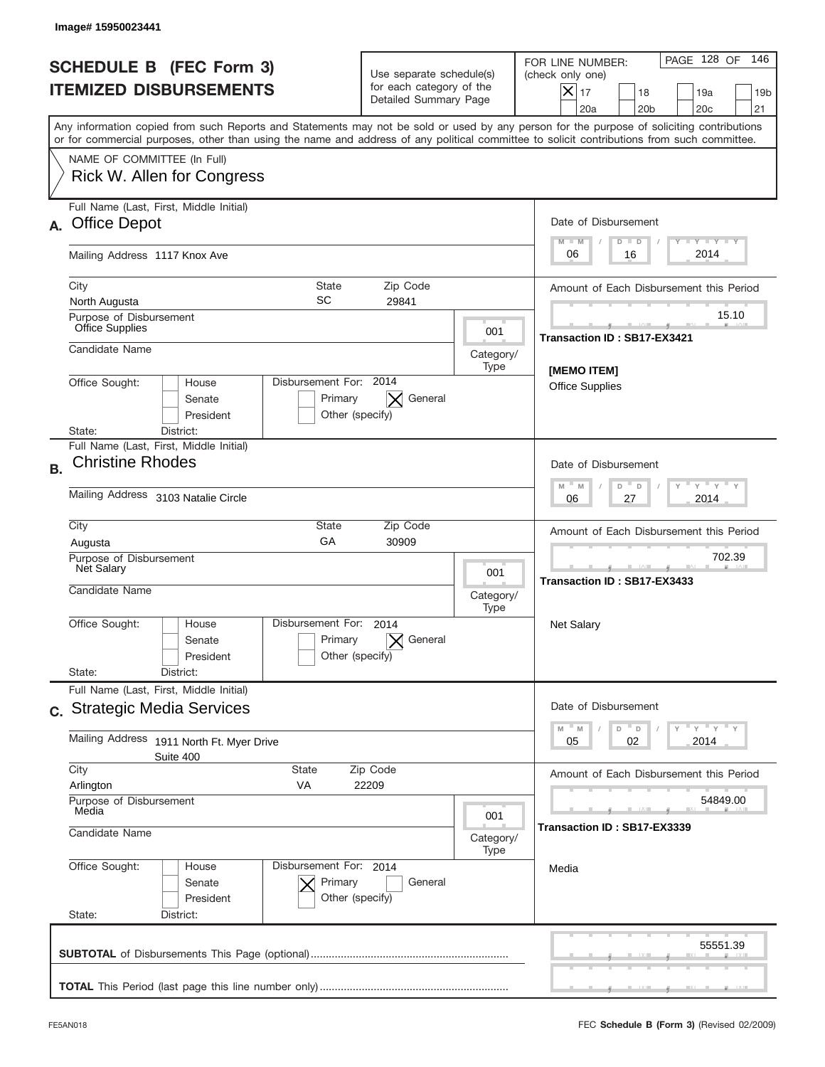|           | Image#15950023441                                                                                                                                                                                                                                                                       |                                                                               |                   |                                                                                                                                                            |
|-----------|-----------------------------------------------------------------------------------------------------------------------------------------------------------------------------------------------------------------------------------------------------------------------------------------|-------------------------------------------------------------------------------|-------------------|------------------------------------------------------------------------------------------------------------------------------------------------------------|
|           | <b>SCHEDULE B (FEC Form 3)</b><br><b>ITEMIZED DISBURSEMENTS</b>                                                                                                                                                                                                                         | Use separate schedule(s)<br>for each category of the<br>Detailed Summary Page |                   | 146<br>PAGE 128 OF<br>FOR LINE NUMBER:<br>(check only one)<br>$X _{17}$<br>18<br>19a<br>19 <sub>b</sub><br>20 <sub>c</sub><br>20a<br>20 <sub>b</sub><br>21 |
|           | Any information copied from such Reports and Statements may not be sold or used by any person for the purpose of soliciting contributions<br>or for commercial purposes, other than using the name and address of any political committee to solicit contributions from such committee. |                                                                               |                   |                                                                                                                                                            |
|           | NAME OF COMMITTEE (In Full)<br>Rick W. Allen for Congress                                                                                                                                                                                                                               |                                                                               |                   |                                                                                                                                                            |
| А.        | Full Name (Last, First, Middle Initial)<br><b>Office Depot</b>                                                                                                                                                                                                                          |                                                                               |                   | Date of Disbursement<br>$T - Y$ $T - Y$<br>$M - M$<br>$D$ $D$                                                                                              |
|           | Mailing Address 1117 Knox Ave                                                                                                                                                                                                                                                           |                                                                               |                   | 2014<br>06<br>16                                                                                                                                           |
|           | State<br>City<br>SC<br>North Augusta                                                                                                                                                                                                                                                    | Zip Code<br>29841                                                             |                   | Amount of Each Disbursement this Period<br>15.10                                                                                                           |
|           | Purpose of Disbursement<br>Office Supplies<br>Candidate Name                                                                                                                                                                                                                            |                                                                               | 001               | Transaction ID: SB17-EX3421                                                                                                                                |
|           | Disbursement For: 2014<br>Office Sought:<br>House<br>Senate<br>Primary<br>President                                                                                                                                                                                                     | General<br>$\times$<br>Other (specify)                                        | Category/<br>Type | [MEMO ITEM]<br><b>Office Supplies</b>                                                                                                                      |
|           | State:<br>District:<br>Full Name (Last, First, Middle Initial)<br><b>Christine Rhodes</b>                                                                                                                                                                                               |                                                                               |                   | Date of Disbursement                                                                                                                                       |
| <b>B.</b> | Mailing Address 3103 Natalie Circle                                                                                                                                                                                                                                                     |                                                                               |                   | $\mathbb{F}$ $\mathbb{Y}$ $\mathbb{F}$ $\mathbb{Y}$ $\mathbb{F}$<br>$M$ M<br>D<br>$\Box$<br>2014<br>06<br>27                                               |
|           | City<br>State<br>GA<br>Augusta<br>Purpose of Disbursement<br>Net Salary                                                                                                                                                                                                                 | Zip Code<br>30909                                                             | 001               | Amount of Each Disbursement this Period<br>702.39<br>Transaction ID: SB17-EX3433                                                                           |
|           | Candidate Name<br>Disbursement For:<br>Office Sought:<br>House<br>Primary<br>Senate<br>President<br>State:<br>District:                                                                                                                                                                 | 2014<br>General<br>Other (specify)                                            | Category/<br>Type | <b>Net Salary</b>                                                                                                                                          |
|           | Full Name (Last, First, Middle Initial)<br>c. Strategic Media Services                                                                                                                                                                                                                  |                                                                               |                   | Date of Disbursement                                                                                                                                       |
|           | Mailing Address<br>1911 North Ft. Myer Drive<br>Suite 400                                                                                                                                                                                                                               |                                                                               |                   | $=\frac{1}{\gamma}+\frac{1}{\gamma}+\frac{1}{\gamma}+\frac{1}{\gamma}$<br>$-M$<br>D<br>M<br>D<br>Y<br>02<br>2014<br>05                                     |
|           | City<br>State<br>Zip Code<br>Arlington<br>VA<br>22209                                                                                                                                                                                                                                   |                                                                               |                   | Amount of Each Disbursement this Period                                                                                                                    |
|           | Purpose of Disbursement<br>Media<br>001<br>Candidate Name                                                                                                                                                                                                                               |                                                                               | Category/         | 54849.00<br>Transaction ID : SB17-EX3339                                                                                                                   |
|           | Office Sought:<br>Disbursement For: 2014<br>House<br>Senate<br>Primary<br>President<br>State:<br>District:                                                                                                                                                                              | General<br>Other (specify)                                                    | Type              | Media                                                                                                                                                      |
|           |                                                                                                                                                                                                                                                                                         |                                                                               |                   | 55551.39                                                                                                                                                   |
|           |                                                                                                                                                                                                                                                                                         |                                                                               |                   |                                                                                                                                                            |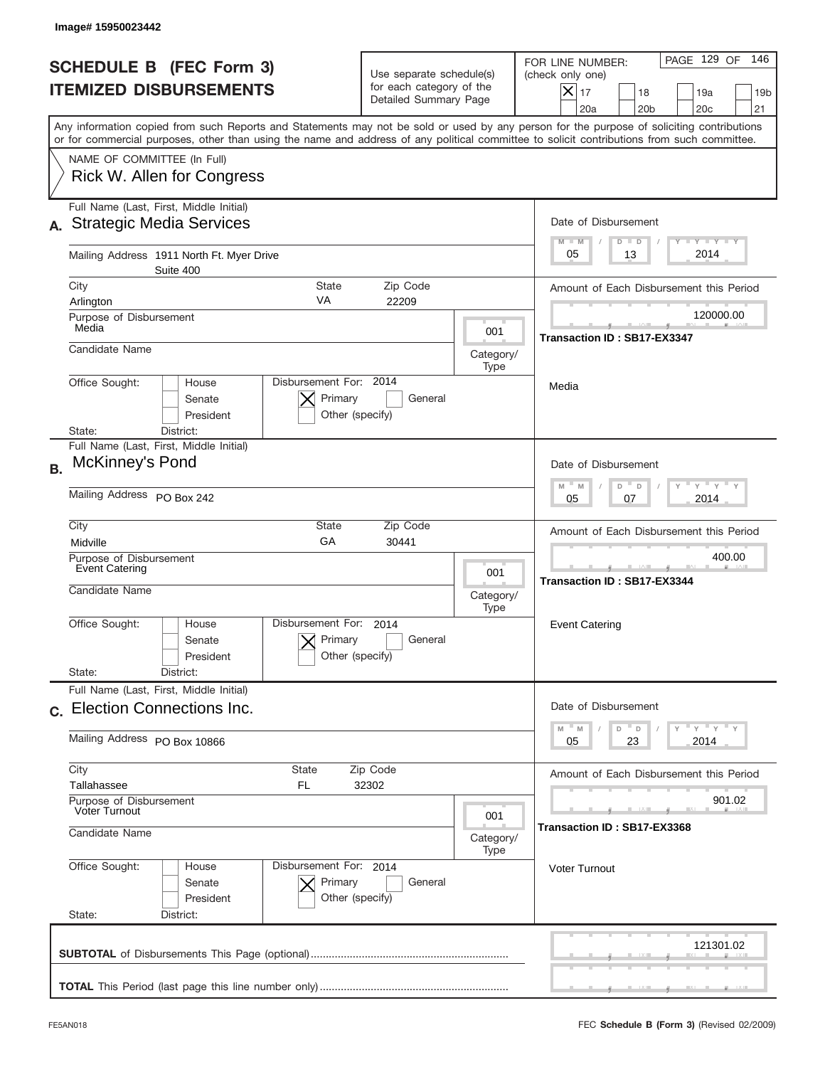|           | Image# 15950023442                                                                                                                                                                                                                                                                      |                                                                               |                   |                                                                                                                                                            |
|-----------|-----------------------------------------------------------------------------------------------------------------------------------------------------------------------------------------------------------------------------------------------------------------------------------------|-------------------------------------------------------------------------------|-------------------|------------------------------------------------------------------------------------------------------------------------------------------------------------|
|           | <b>SCHEDULE B</b> (FEC Form 3)<br><b>ITEMIZED DISBURSEMENTS</b>                                                                                                                                                                                                                         | Use separate schedule(s)<br>for each category of the<br>Detailed Summary Page |                   | 146<br>PAGE 129 OF<br>FOR LINE NUMBER:<br>(check only one)<br>$X _{17}$<br>18<br>19a<br>19 <sub>b</sub><br>20a<br>20 <sub>b</sub><br>20 <sub>c</sub><br>21 |
|           | Any information copied from such Reports and Statements may not be sold or used by any person for the purpose of soliciting contributions<br>or for commercial purposes, other than using the name and address of any political committee to solicit contributions from such committee. |                                                                               |                   |                                                                                                                                                            |
|           | NAME OF COMMITTEE (In Full)<br>Rick W. Allen for Congress                                                                                                                                                                                                                               |                                                                               |                   |                                                                                                                                                            |
|           | Full Name (Last, First, Middle Initial)<br><b>Strategic Media Services</b>                                                                                                                                                                                                              |                                                                               |                   | Date of Disbursement<br>$T - Y$ $T - Y$<br>$M - M$<br>$D$ $D$                                                                                              |
|           | Mailing Address 1911 North Ft. Myer Drive<br>Suite 400                                                                                                                                                                                                                                  |                                                                               |                   | 2014<br>05<br>13                                                                                                                                           |
|           | City<br><b>State</b><br>VA<br>Arlington                                                                                                                                                                                                                                                 | Zip Code<br>22209                                                             |                   | Amount of Each Disbursement this Period                                                                                                                    |
|           | Purpose of Disbursement<br>Media                                                                                                                                                                                                                                                        |                                                                               | 001               | 120000.00                                                                                                                                                  |
|           | Candidate Name                                                                                                                                                                                                                                                                          |                                                                               | Category/<br>Type | Transaction ID: SB17-EX3347                                                                                                                                |
|           | Disbursement For: 2014<br>Office Sought:<br>House<br>Primary<br>Senate<br>President<br>District:<br>State:                                                                                                                                                                              | General<br>Other (specify)                                                    |                   | Media                                                                                                                                                      |
| <b>B.</b> | Full Name (Last, First, Middle Initial)<br>McKinney's Pond                                                                                                                                                                                                                              |                                                                               |                   | Date of Disbursement                                                                                                                                       |
|           | Mailing Address PO Box 242                                                                                                                                                                                                                                                              |                                                                               |                   | $M - M$<br>$Y = Y$<br>D<br>D<br>2014<br>05<br>07                                                                                                           |
|           | City<br>State<br>GA<br>Midville                                                                                                                                                                                                                                                         | Zip Code<br>30441                                                             |                   | Amount of Each Disbursement this Period                                                                                                                    |
|           | Purpose of Disbursement<br><b>Event Catering</b><br>Candidate Name                                                                                                                                                                                                                      |                                                                               | 001<br>Category/  | 400.00<br>Transaction ID: SB17-EX3344                                                                                                                      |
|           | Disbursement For:<br>Office Sought:<br>House<br>Primary<br>Senate<br>President<br>State:<br>District:                                                                                                                                                                                   | 2014<br>General<br>Other (specify)                                            | Type              | <b>Event Catering</b>                                                                                                                                      |
|           | Full Name (Last, First, Middle Initial)<br>c. Election Connections Inc.                                                                                                                                                                                                                 |                                                                               |                   | Date of Disbursement                                                                                                                                       |
|           | Mailing Address PO Box 10866                                                                                                                                                                                                                                                            |                                                                               |                   | ≡ γ ≡ γ ≡ γ<br>$M - M$<br>D<br>D<br>23<br>2014<br>05                                                                                                       |
|           | City<br>State<br>Zip Code<br>Tallahassee<br>FL<br>32302                                                                                                                                                                                                                                 |                                                                               |                   | Amount of Each Disbursement this Period                                                                                                                    |
|           | Purpose of Disbursement<br>Voter Turnout<br>001<br>Candidate Name<br>Category/<br>Type                                                                                                                                                                                                  |                                                                               |                   | 901.02<br>Transaction ID: SB17-EX3368                                                                                                                      |
|           |                                                                                                                                                                                                                                                                                         |                                                                               |                   |                                                                                                                                                            |
|           | Office Sought:<br>Disbursement For: 2014<br>House<br>Senate<br>Primary<br>President<br>State:<br>District:                                                                                                                                                                              | General<br>Other (specify)                                                    |                   | <b>Voter Turnout</b>                                                                                                                                       |
|           |                                                                                                                                                                                                                                                                                         |                                                                               |                   | 121301.02                                                                                                                                                  |
|           |                                                                                                                                                                                                                                                                                         |                                                                               |                   |                                                                                                                                                            |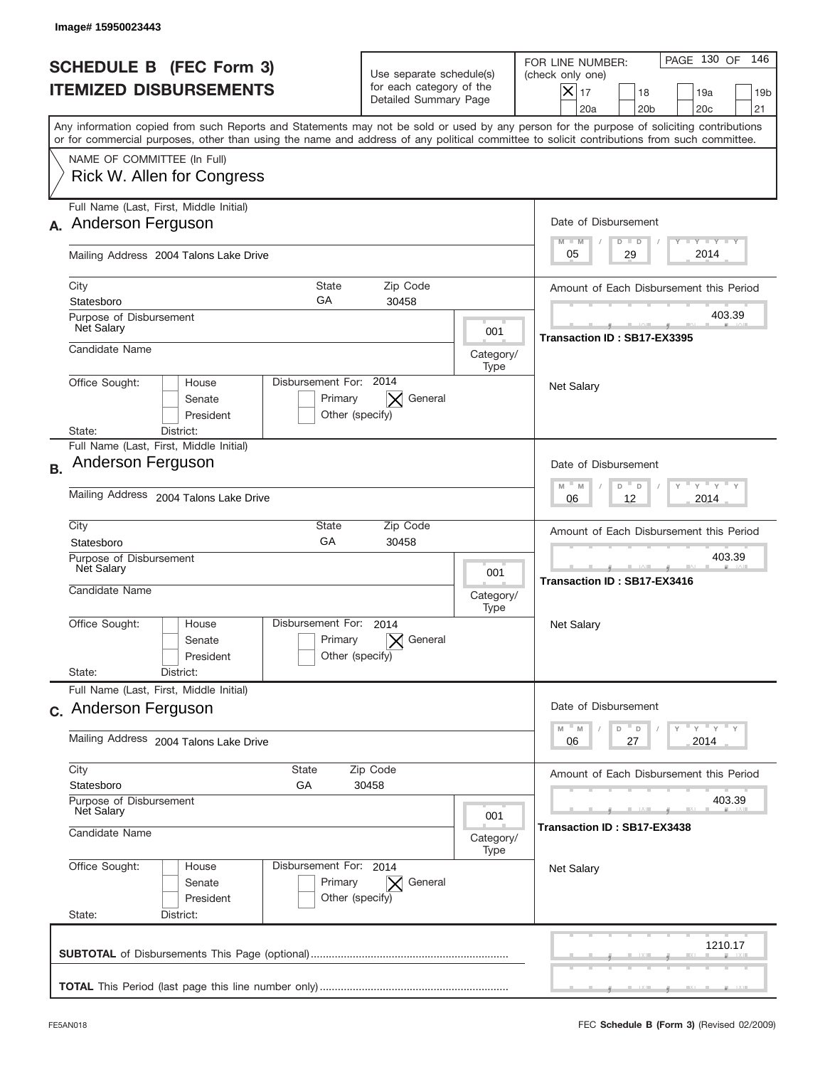| PAGE 130 OF<br>146<br>FOR LINE NUMBER:<br>(check only one)<br>$X _{17}$<br>18<br>19a<br>19 <sub>b</sub><br>20a<br>20 <sub>b</sub><br>20 <sub>c</sub><br>21<br>Any information copied from such Reports and Statements may not be sold or used by any person for the purpose of soliciting contributions<br>or for commercial purposes, other than using the name and address of any political committee to solicit contributions from such committee.<br>Date of Disbursement<br>$T - Y$ $T - Y$<br>$M - M$<br>$D$ $D$<br>2014<br>29<br>05<br>Amount of Each Disbursement this Period<br>403.39<br>Transaction ID: SB17-EX3395<br><b>Net Salary</b> |
|-----------------------------------------------------------------------------------------------------------------------------------------------------------------------------------------------------------------------------------------------------------------------------------------------------------------------------------------------------------------------------------------------------------------------------------------------------------------------------------------------------------------------------------------------------------------------------------------------------------------------------------------------------|
|                                                                                                                                                                                                                                                                                                                                                                                                                                                                                                                                                                                                                                                     |
|                                                                                                                                                                                                                                                                                                                                                                                                                                                                                                                                                                                                                                                     |
|                                                                                                                                                                                                                                                                                                                                                                                                                                                                                                                                                                                                                                                     |
|                                                                                                                                                                                                                                                                                                                                                                                                                                                                                                                                                                                                                                                     |
|                                                                                                                                                                                                                                                                                                                                                                                                                                                                                                                                                                                                                                                     |
|                                                                                                                                                                                                                                                                                                                                                                                                                                                                                                                                                                                                                                                     |
|                                                                                                                                                                                                                                                                                                                                                                                                                                                                                                                                                                                                                                                     |
|                                                                                                                                                                                                                                                                                                                                                                                                                                                                                                                                                                                                                                                     |
|                                                                                                                                                                                                                                                                                                                                                                                                                                                                                                                                                                                                                                                     |
| Date of Disbursement<br>$\cdots$ $\gamma$ $\cdots$ $\gamma$ $\cdots$ $\gamma$<br>$M - M$<br>D<br>D                                                                                                                                                                                                                                                                                                                                                                                                                                                                                                                                                  |
| 2014<br>06<br>12                                                                                                                                                                                                                                                                                                                                                                                                                                                                                                                                                                                                                                    |
| Amount of Each Disbursement this Period                                                                                                                                                                                                                                                                                                                                                                                                                                                                                                                                                                                                             |
| 403.39<br>Transaction ID: SB17-EX3416                                                                                                                                                                                                                                                                                                                                                                                                                                                                                                                                                                                                               |
| Net Salary                                                                                                                                                                                                                                                                                                                                                                                                                                                                                                                                                                                                                                          |
|                                                                                                                                                                                                                                                                                                                                                                                                                                                                                                                                                                                                                                                     |
| Date of Disbursement<br>$Y$ $Y$ $Y$ $Y$ $Y$<br>$-M$<br>D                                                                                                                                                                                                                                                                                                                                                                                                                                                                                                                                                                                            |
| M<br>D<br>2014<br>06<br>27                                                                                                                                                                                                                                                                                                                                                                                                                                                                                                                                                                                                                          |
| Amount of Each Disbursement this Period                                                                                                                                                                                                                                                                                                                                                                                                                                                                                                                                                                                                             |
| 403.39<br>Transaction ID: SB17-EX3438                                                                                                                                                                                                                                                                                                                                                                                                                                                                                                                                                                                                               |
|                                                                                                                                                                                                                                                                                                                                                                                                                                                                                                                                                                                                                                                     |
| <b>Net Salary</b>                                                                                                                                                                                                                                                                                                                                                                                                                                                                                                                                                                                                                                   |
|                                                                                                                                                                                                                                                                                                                                                                                                                                                                                                                                                                                                                                                     |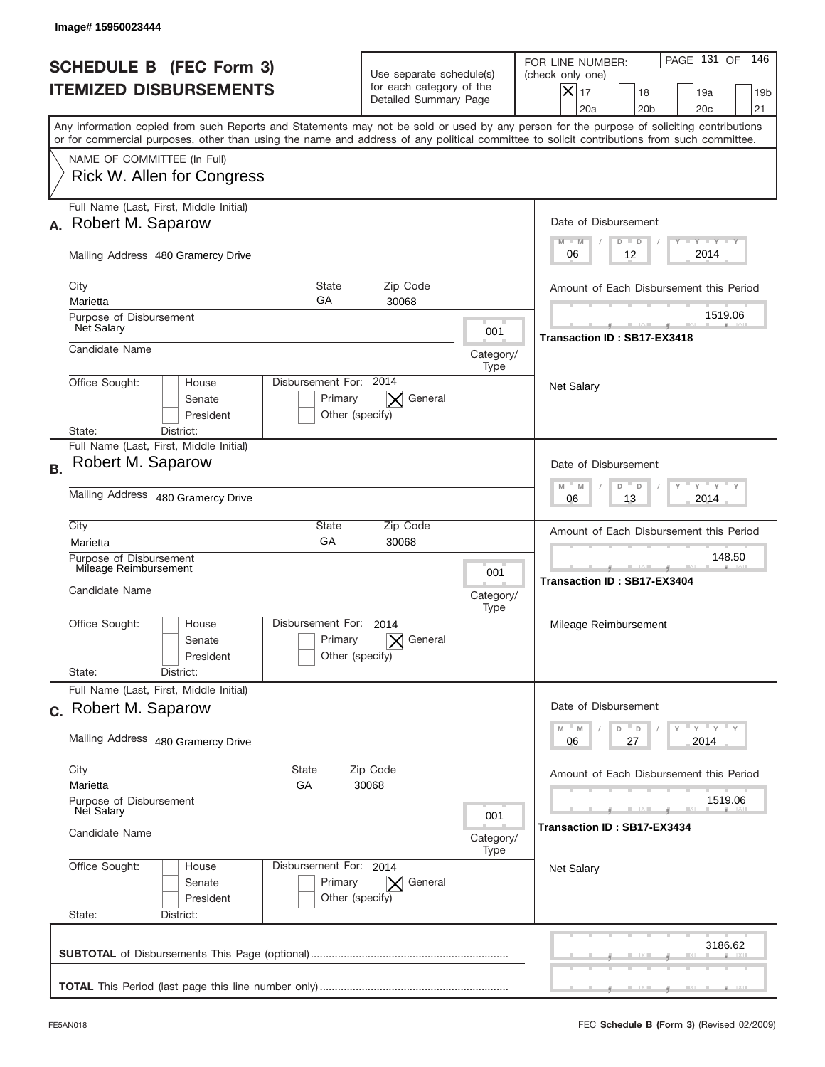|           | Image#15950023444                                                                                                                                                                                                                                                                       |                                                                               |                             |                                                                                                                                                                                  |
|-----------|-----------------------------------------------------------------------------------------------------------------------------------------------------------------------------------------------------------------------------------------------------------------------------------------|-------------------------------------------------------------------------------|-----------------------------|----------------------------------------------------------------------------------------------------------------------------------------------------------------------------------|
|           | <b>SCHEDULE B (FEC Form 3)</b><br><b>ITEMIZED DISBURSEMENTS</b>                                                                                                                                                                                                                         | Use separate schedule(s)<br>for each category of the<br>Detailed Summary Page |                             | PAGE 131 OF<br>146<br>FOR LINE NUMBER:<br>(check only one)<br>$\boldsymbol{\mathsf{X}}$<br>17<br>18<br>19a<br>19 <sub>b</sub><br>20a<br>20 <sub>b</sub><br>20 <sub>c</sub><br>21 |
|           | Any information copied from such Reports and Statements may not be sold or used by any person for the purpose of soliciting contributions<br>or for commercial purposes, other than using the name and address of any political committee to solicit contributions from such committee. |                                                                               |                             |                                                                                                                                                                                  |
|           | NAME OF COMMITTEE (In Full)<br>Rick W. Allen for Congress                                                                                                                                                                                                                               |                                                                               |                             |                                                                                                                                                                                  |
| А.        | Full Name (Last, First, Middle Initial)<br>Robert M. Saparow                                                                                                                                                                                                                            |                                                                               |                             | Date of Disbursement<br>Y TY TY TY<br>$M - M$<br>$D$ $D$                                                                                                                         |
|           | Mailing Address 480 Gramercy Drive                                                                                                                                                                                                                                                      |                                                                               |                             | 2014<br>12<br>06                                                                                                                                                                 |
|           | City<br><b>State</b><br>GA<br>Marietta                                                                                                                                                                                                                                                  | Zip Code<br>30068                                                             |                             | Amount of Each Disbursement this Period                                                                                                                                          |
|           | Purpose of Disbursement<br><b>Net Salary</b>                                                                                                                                                                                                                                            |                                                                               | 001                         | 1519.06<br>Transaction ID: SB17-EX3418                                                                                                                                           |
|           | Candidate Name                                                                                                                                                                                                                                                                          |                                                                               | Category/<br>Type           |                                                                                                                                                                                  |
|           | Disbursement For: 2014<br>Office Sought:<br>House<br>Senate<br>Primary<br>President<br>State:<br>District:                                                                                                                                                                              | General<br>Other (specify)                                                    |                             | <b>Net Salary</b>                                                                                                                                                                |
| <b>B.</b> | Full Name (Last, First, Middle Initial)<br>Robert M. Saparow                                                                                                                                                                                                                            |                                                                               |                             | Date of Disbursement<br>$\cdots$ $\gamma$ $\cdots$ $\gamma$ $\cdots$                                                                                                             |
|           | Mailing Address 480 Gramercy Drive                                                                                                                                                                                                                                                      |                                                                               |                             | $M - M$<br>D<br>$\Box$<br>2014<br>06<br>13                                                                                                                                       |
|           | City<br>State<br>GA<br>Marietta                                                                                                                                                                                                                                                         | Zip Code<br>30068                                                             |                             | Amount of Each Disbursement this Period                                                                                                                                          |
|           | Purpose of Disbursement<br>Mileage Reimbursement<br>Candidate Name                                                                                                                                                                                                                      |                                                                               | 001<br>Category/<br>Type    | 148.50<br>Transaction ID: SB17-EX3404                                                                                                                                            |
|           | Disbursement For:<br>Office Sought:<br>House<br>Primary<br>Senate<br>President<br>State:<br>District:                                                                                                                                                                                   | 2014<br>General<br>Other (specify)                                            |                             | Mileage Reimbursement                                                                                                                                                            |
|           | Full Name (Last, First, Middle Initial)                                                                                                                                                                                                                                                 |                                                                               |                             |                                                                                                                                                                                  |
|           | c. Robert M. Saparow<br>Mailing Address 480 Gramercy Drive                                                                                                                                                                                                                              |                                                                               |                             | Date of Disbursement<br>$\gamma$ = $\gamma$ = $\gamma$ = $\gamma$<br>$-M$<br>M<br>D<br>D<br>2014<br>06<br>27                                                                     |
|           | City<br><b>State</b><br>Zip Code                                                                                                                                                                                                                                                        |                                                                               |                             | Amount of Each Disbursement this Period                                                                                                                                          |
|           | Marietta<br>GА<br>30068<br>Purpose of Disbursement<br><b>Net Salary</b><br>001<br>Candidate Name<br>Category/<br>Type                                                                                                                                                                   |                                                                               | 1519.06                     |                                                                                                                                                                                  |
|           |                                                                                                                                                                                                                                                                                         |                                                                               | Transaction ID: SB17-EX3434 |                                                                                                                                                                                  |
|           | Office Sought:<br>Disbursement For: 2014<br>House<br>Senate<br>Primary<br>President<br>State:<br>District:                                                                                                                                                                              | General<br>$\times$<br>Other (specify)                                        |                             | <b>Net Salary</b>                                                                                                                                                                |
|           |                                                                                                                                                                                                                                                                                         |                                                                               |                             | 3186.62                                                                                                                                                                          |
|           |                                                                                                                                                                                                                                                                                         |                                                                               |                             |                                                                                                                                                                                  |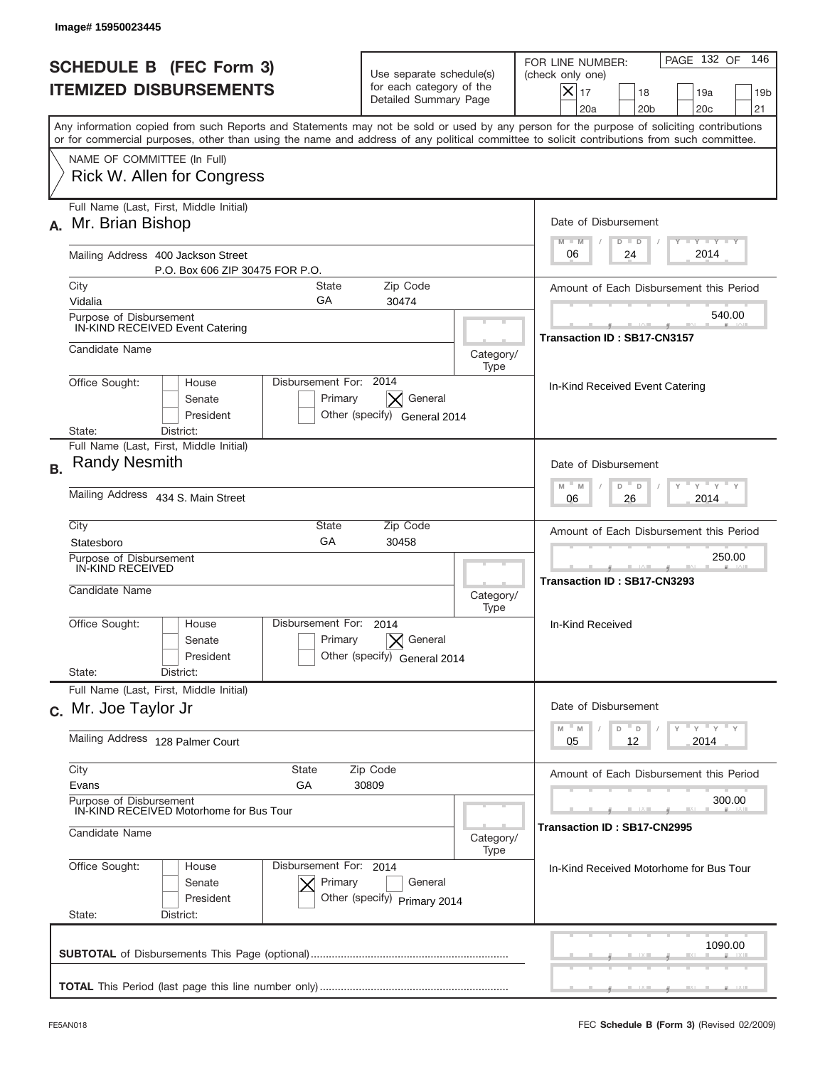|                                                                       | Image# 15950023445                                                                                                                                                                                                                                                                      |                                                                               |                                                                                                                    |                                                                                                                                                            |
|-----------------------------------------------------------------------|-----------------------------------------------------------------------------------------------------------------------------------------------------------------------------------------------------------------------------------------------------------------------------------------|-------------------------------------------------------------------------------|--------------------------------------------------------------------------------------------------------------------|------------------------------------------------------------------------------------------------------------------------------------------------------------|
|                                                                       | <b>SCHEDULE B (FEC Form 3)</b><br><b>ITEMIZED DISBURSEMENTS</b>                                                                                                                                                                                                                         | Use separate schedule(s)<br>for each category of the<br>Detailed Summary Page |                                                                                                                    | PAGE 132 OF<br>146<br>FOR LINE NUMBER:<br>(check only one)<br>$X _{17}$<br>18<br>19a<br>19 <sub>b</sub><br>20a<br>20 <sub>b</sub><br>20 <sub>c</sub><br>21 |
|                                                                       | Any information copied from such Reports and Statements may not be sold or used by any person for the purpose of soliciting contributions<br>or for commercial purposes, other than using the name and address of any political committee to solicit contributions from such committee. |                                                                               |                                                                                                                    |                                                                                                                                                            |
|                                                                       | NAME OF COMMITTEE (In Full)<br>Rick W. Allen for Congress                                                                                                                                                                                                                               |                                                                               |                                                                                                                    |                                                                                                                                                            |
| А.                                                                    | Full Name (Last, First, Middle Initial)<br>Mr. Brian Bishop                                                                                                                                                                                                                             |                                                                               |                                                                                                                    | Date of Disbursement<br>$T - Y$ $T - Y$<br>$M - M$<br>$D$ $D$                                                                                              |
| Mailing Address 400 Jackson Street<br>P.O. Box 606 ZIP 30475 FOR P.O. |                                                                                                                                                                                                                                                                                         |                                                                               |                                                                                                                    | 2014<br>06<br>24                                                                                                                                           |
|                                                                       | City<br>State<br>GA<br>Vidalia                                                                                                                                                                                                                                                          | Zip Code<br>30474                                                             |                                                                                                                    | Amount of Each Disbursement this Period                                                                                                                    |
|                                                                       | Purpose of Disbursement<br>IN-KIND RECEIVED Event Catering                                                                                                                                                                                                                              |                                                                               |                                                                                                                    | 540.00                                                                                                                                                     |
| Candidate Name                                                        |                                                                                                                                                                                                                                                                                         | Category/<br>Type                                                             | Transaction ID: SB17-CN3157                                                                                        |                                                                                                                                                            |
|                                                                       | Disbursement For: 2014<br>Office Sought:<br>House<br>Senate<br>Primary<br>President<br>District:<br>State:                                                                                                                                                                              | General<br>Other (specify) General 2014                                       |                                                                                                                    | In-Kind Received Event Catering                                                                                                                            |
| <b>B.</b>                                                             | Full Name (Last, First, Middle Initial)<br><b>Randy Nesmith</b><br>Mailing Address 434 S. Main Street                                                                                                                                                                                   |                                                                               |                                                                                                                    | Date of Disbursement<br>$-\gamma + \gamma$<br>$M - M$<br>D<br>D                                                                                            |
|                                                                       | City<br>State<br>Zip Code                                                                                                                                                                                                                                                               |                                                                               |                                                                                                                    | 2014<br>06<br>26                                                                                                                                           |
|                                                                       | GA<br>30458<br>Statesboro                                                                                                                                                                                                                                                               |                                                                               |                                                                                                                    | Amount of Each Disbursement this Period<br>250.00                                                                                                          |
|                                                                       | Purpose of Disbursement<br>IN-KIND RECEIVED<br>Candidate Name                                                                                                                                                                                                                           | Category/<br>Type                                                             |                                                                                                                    | <b>Transaction ID: SB17-CN3293</b>                                                                                                                         |
|                                                                       | Disbursement For:<br>Office Sought:<br>House<br>Primary<br>Senate<br>President                                                                                                                                                                                                          | 2014<br>General<br>Other (specify) General 2014                               |                                                                                                                    | In-Kind Received                                                                                                                                           |
|                                                                       | State:<br>District:<br>Full Name (Last, First, Middle Initial)                                                                                                                                                                                                                          |                                                                               |                                                                                                                    |                                                                                                                                                            |
|                                                                       | c. Mr. Joe Taylor Jr                                                                                                                                                                                                                                                                    |                                                                               |                                                                                                                    | Date of Disbursement                                                                                                                                       |
|                                                                       | Mailing Address 128 Palmer Court                                                                                                                                                                                                                                                        |                                                                               | $\overline{Y}$ $\overline{Y}$ $\overline{Y}$ $\overline{Y}$ $\overline{Y}$<br>D<br>M<br>M<br>D<br>2014<br>05<br>12 |                                                                                                                                                            |
|                                                                       | City<br>State<br>Zip Code<br>Evans<br>GА<br>30809                                                                                                                                                                                                                                       |                                                                               |                                                                                                                    | Amount of Each Disbursement this Period                                                                                                                    |
|                                                                       | Purpose of Disbursement<br>IN-KIND RECEIVED Motorhome for Bus Tour                                                                                                                                                                                                                      |                                                                               |                                                                                                                    | 300.00<br>Transaction ID: SB17-CN2995                                                                                                                      |
|                                                                       | Candidate Name<br>Category/<br>Type                                                                                                                                                                                                                                                     |                                                                               |                                                                                                                    |                                                                                                                                                            |
|                                                                       | Office Sought:<br>Disbursement For: 2014<br>House<br>Primary<br>Senate<br>President<br>State:<br>District:                                                                                                                                                                              | General<br>Other (specify) Primary 2014                                       |                                                                                                                    | In-Kind Received Motorhome for Bus Tour                                                                                                                    |
|                                                                       |                                                                                                                                                                                                                                                                                         |                                                                               |                                                                                                                    | 1090.00                                                                                                                                                    |
|                                                                       |                                                                                                                                                                                                                                                                                         |                                                                               |                                                                                                                    |                                                                                                                                                            |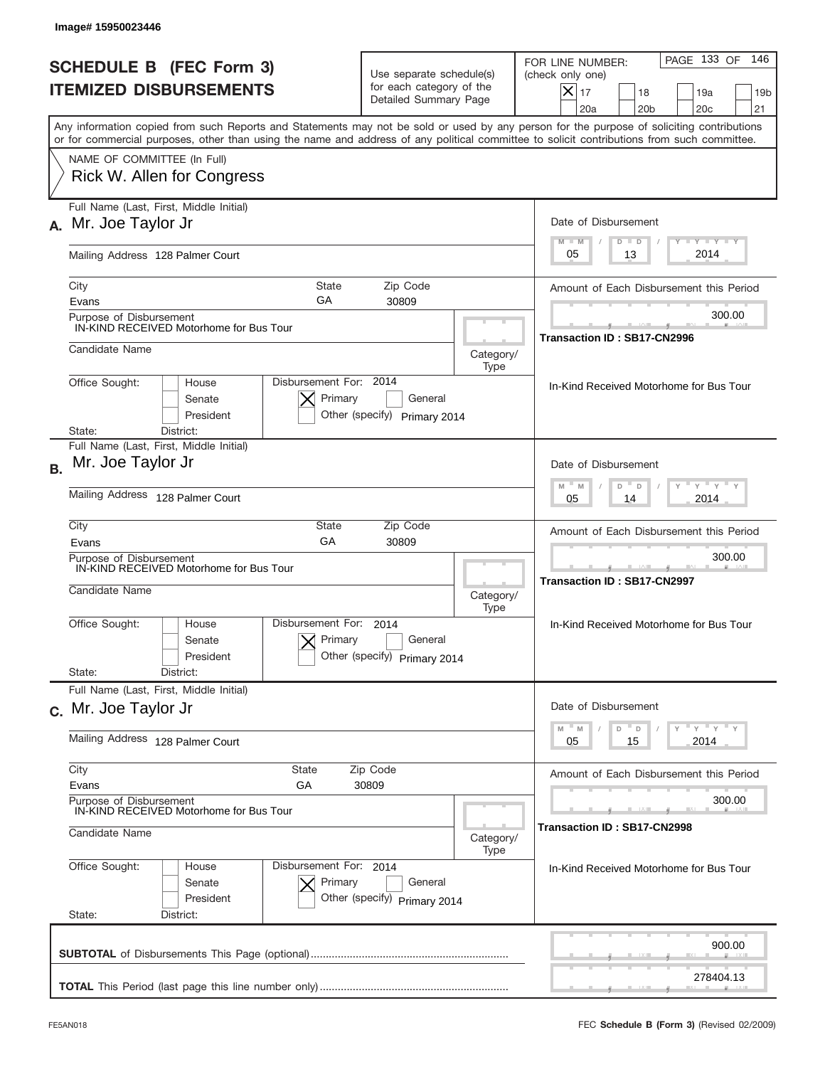| <b>SCHEDULE B (FEC Form 3)</b><br><b>ITEMIZED DISBURSEMENTS</b>                                                                                                                                                                                                                         | Use separate schedule(s)<br>for each category of the<br>Detailed Summary Page | PAGE 133 OF<br>146<br>FOR LINE NUMBER:<br>(check only one)<br>$X _{17}$<br>18<br>19a<br>19 <sub>b</sub><br>20a<br>20 <sub>b</sub><br>20 <sub>c</sub><br>21 |
|-----------------------------------------------------------------------------------------------------------------------------------------------------------------------------------------------------------------------------------------------------------------------------------------|-------------------------------------------------------------------------------|------------------------------------------------------------------------------------------------------------------------------------------------------------|
| Any information copied from such Reports and Statements may not be sold or used by any person for the purpose of soliciting contributions<br>or for commercial purposes, other than using the name and address of any political committee to solicit contributions from such committee. |                                                                               |                                                                                                                                                            |
| NAME OF COMMITTEE (In Full)<br>Rick W. Allen for Congress                                                                                                                                                                                                                               |                                                                               |                                                                                                                                                            |
| Full Name (Last, First, Middle Initial)<br>Mr. Joe Taylor Jr<br>А.                                                                                                                                                                                                                      |                                                                               | Date of Disbursement<br>Y TY TY TY                                                                                                                         |
| Mailing Address 128 Palmer Court                                                                                                                                                                                                                                                        |                                                                               | $M - M$<br>$D$ $D$<br>2014<br>05<br>13                                                                                                                     |
| State<br>City<br>GA<br>Evans                                                                                                                                                                                                                                                            | Zip Code<br>30809                                                             | Amount of Each Disbursement this Period                                                                                                                    |
| Purpose of Disbursement<br>IN-KIND RECEIVED Motorhome for Bus Tour                                                                                                                                                                                                                      |                                                                               | 300.00<br>Transaction ID: SB17-CN2996                                                                                                                      |
| Candidate Name                                                                                                                                                                                                                                                                          | Category/<br>Type                                                             |                                                                                                                                                            |
| Disbursement For: 2014<br>Office Sought:<br>House<br>Primary<br>Senate<br>President<br>State:<br>District:                                                                                                                                                                              | General<br>Other (specify) Primary 2014                                       | In-Kind Received Motorhome for Bus Tour                                                                                                                    |
| Full Name (Last, First, Middle Initial)<br>Mr. Joe Taylor Jr<br><b>B.</b>                                                                                                                                                                                                               |                                                                               | Date of Disbursement<br>$\cdots$ $\gamma$ $\cdots$ $\gamma$ $\cdots$ $\gamma$<br>$M - M$                                                                   |
| Mailing Address 128 Palmer Court                                                                                                                                                                                                                                                        |                                                                               | D<br>D<br>2014<br>05<br>14                                                                                                                                 |
| City<br>State<br>GA<br>Evans                                                                                                                                                                                                                                                            | Zip Code<br>30809                                                             | Amount of Each Disbursement this Period                                                                                                                    |
| Purpose of Disbursement<br>IN-KIND RECEIVED Motorhome for Bus Tour<br>Candidate Name                                                                                                                                                                                                    | Category/<br>Type                                                             | 300.00<br><b>Transaction ID: SB17-CN2997</b>                                                                                                               |
| Disbursement For:<br>Office Sought:<br>House<br>Primary<br>Senate<br>President                                                                                                                                                                                                          | 2014<br>General<br>Other (specify) Primary 2014                               | In-Kind Received Motorhome for Bus Tour                                                                                                                    |
| State:<br>District:<br>Full Name (Last, First, Middle Initial)                                                                                                                                                                                                                          |                                                                               |                                                                                                                                                            |
| c. Mr. Joe Taylor Jr                                                                                                                                                                                                                                                                    |                                                                               | Date of Disbursement<br>$=\frac{1}{\gamma}+\frac{1}{\gamma}+\frac{1}{\gamma}+\frac{1}{\gamma}$<br>D<br>M<br>M<br>D                                         |
| Mailing Address 128 Palmer Court                                                                                                                                                                                                                                                        |                                                                               | 2014<br>05<br>15                                                                                                                                           |
| City<br>State<br>Evans<br>GА                                                                                                                                                                                                                                                            | Zip Code<br>30809                                                             | Amount of Each Disbursement this Period                                                                                                                    |
| Purpose of Disbursement<br>IN-KIND RECEIVED Motorhome for Bus Tour<br>Candidate Name                                                                                                                                                                                                    | Category/                                                                     | 300.00<br>Transaction ID: SB17-CN2998                                                                                                                      |
| Office Sought:<br>Disbursement For: 2014<br>House<br>Primary<br>Senate                                                                                                                                                                                                                  | Type<br>General                                                               | In-Kind Received Motorhome for Bus Tour                                                                                                                    |
| President<br>State:<br>District:                                                                                                                                                                                                                                                        | Other (specify) Primary 2014                                                  |                                                                                                                                                            |
|                                                                                                                                                                                                                                                                                         |                                                                               | 900.00                                                                                                                                                     |
|                                                                                                                                                                                                                                                                                         |                                                                               | 278404.13                                                                                                                                                  |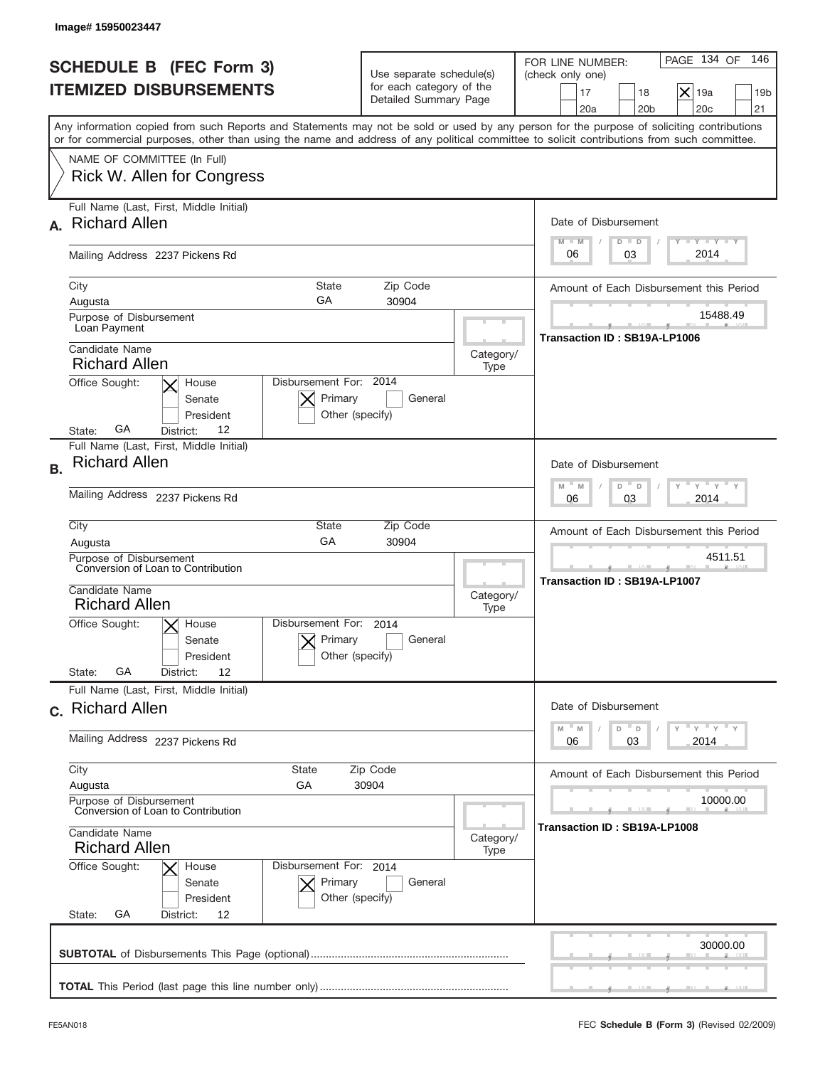|           | Image# 15950023447                                                                                                                                                                                                                                                                      |                                                                               |                   |                                                                                                                                                                                                                                                                                                                                             |
|-----------|-----------------------------------------------------------------------------------------------------------------------------------------------------------------------------------------------------------------------------------------------------------------------------------------|-------------------------------------------------------------------------------|-------------------|---------------------------------------------------------------------------------------------------------------------------------------------------------------------------------------------------------------------------------------------------------------------------------------------------------------------------------------------|
|           | <b>SCHEDULE B (FEC Form 3)</b><br><b>ITEMIZED DISBURSEMENTS</b>                                                                                                                                                                                                                         | Use separate schedule(s)<br>for each category of the<br>Detailed Summary Page |                   | PAGE 134 OF<br>146<br>FOR LINE NUMBER:<br>(check only one)<br>$\vert\mathsf{x}\vert$<br>19a<br>17<br>18<br>19 <sub>b</sub><br>20a<br>20 <sub>b</sub><br>20 <sub>c</sub><br>21                                                                                                                                                               |
|           | Any information copied from such Reports and Statements may not be sold or used by any person for the purpose of soliciting contributions<br>or for commercial purposes, other than using the name and address of any political committee to solicit contributions from such committee. |                                                                               |                   |                                                                                                                                                                                                                                                                                                                                             |
|           | NAME OF COMMITTEE (In Full)<br><b>Rick W. Allen for Congress</b>                                                                                                                                                                                                                        |                                                                               |                   |                                                                                                                                                                                                                                                                                                                                             |
| A.        | Full Name (Last, First, Middle Initial)<br><b>Richard Allen</b>                                                                                                                                                                                                                         |                                                                               |                   | Date of Disbursement<br>Y TY TY TY<br>$M - M$<br>$D$ $D$                                                                                                                                                                                                                                                                                    |
|           | Mailing Address 2237 Pickens Rd                                                                                                                                                                                                                                                         |                                                                               |                   | 2014<br>03<br>06                                                                                                                                                                                                                                                                                                                            |
|           | City<br>State<br>GA<br>Augusta                                                                                                                                                                                                                                                          | Zip Code<br>30904                                                             |                   | Amount of Each Disbursement this Period                                                                                                                                                                                                                                                                                                     |
|           | Purpose of Disbursement<br>Loan Payment                                                                                                                                                                                                                                                 |                                                                               |                   | 15488.49<br>Transaction ID: SB19A-LP1006                                                                                                                                                                                                                                                                                                    |
|           | Candidate Name<br><b>Richard Allen</b>                                                                                                                                                                                                                                                  |                                                                               | Category/<br>Type |                                                                                                                                                                                                                                                                                                                                             |
|           | Disbursement For: 2014<br>Office Sought:<br>House<br>Primary<br>Senate<br>President<br>Other (specify)<br>GА<br>12<br>District:<br>State:                                                                                                                                               | General                                                                       |                   |                                                                                                                                                                                                                                                                                                                                             |
| <b>B.</b> | Full Name (Last, First, Middle Initial)<br><b>Richard Allen</b>                                                                                                                                                                                                                         |                                                                               |                   | Date of Disbursement<br>$\frac{1}{2}$ $\frac{1}{2}$ $\frac{1}{2}$ $\frac{1}{2}$ $\frac{1}{2}$ $\frac{1}{2}$ $\frac{1}{2}$ $\frac{1}{2}$ $\frac{1}{2}$ $\frac{1}{2}$ $\frac{1}{2}$ $\frac{1}{2}$ $\frac{1}{2}$ $\frac{1}{2}$ $\frac{1}{2}$ $\frac{1}{2}$ $\frac{1}{2}$ $\frac{1}{2}$ $\frac{1}{2}$ $\frac{1}{2}$ $\frac{1}{2}$ $\frac{1}{2}$ |
|           | Mailing Address 2237 Pickens Rd                                                                                                                                                                                                                                                         |                                                                               |                   | $M - M$<br>D<br>$\Box$<br>2014<br>06<br>03                                                                                                                                                                                                                                                                                                  |
|           | City<br><b>State</b><br>GA<br>Augusta                                                                                                                                                                                                                                                   | Zip Code<br>30904                                                             |                   | Amount of Each Disbursement this Period                                                                                                                                                                                                                                                                                                     |
|           | Purpose of Disbursement<br>Conversion of Loan to Contribution<br>Candidate Name<br><b>Richard Allen</b>                                                                                                                                                                                 |                                                                               | Category/<br>Type | 4511.51<br>Transaction ID: SB19A-LP1007                                                                                                                                                                                                                                                                                                     |
|           | Disbursement For: 2014<br>Office Sought:<br>$\times$ House<br>Primary<br>Senate<br>Other (specify)<br>President<br>GА<br>12<br>State:<br>District:                                                                                                                                      | General                                                                       |                   |                                                                                                                                                                                                                                                                                                                                             |
|           | Full Name (Last, First, Middle Initial)<br>c. Richard Allen                                                                                                                                                                                                                             |                                                                               |                   | Date of Disbursement                                                                                                                                                                                                                                                                                                                        |
|           | Mailing Address 2237 Pickens Rd                                                                                                                                                                                                                                                         |                                                                               |                   | $=\frac{1}{\gamma}$ $\frac{1}{\gamma}$ $\frac{1}{\gamma}$ $\frac{1}{\gamma}$<br>$-M$<br>M<br>D<br>D<br>03<br>2014<br>06                                                                                                                                                                                                                     |
|           | City<br><b>State</b><br>GА<br>Augusta                                                                                                                                                                                                                                                   | Zip Code<br>30904                                                             |                   | Amount of Each Disbursement this Period                                                                                                                                                                                                                                                                                                     |
|           | Purpose of Disbursement<br>Conversion of Loan to Contribution<br>Candidate Name                                                                                                                                                                                                         |                                                                               |                   | 10000.00<br>Transaction ID: SB19A-LP1008                                                                                                                                                                                                                                                                                                    |
|           | <b>Richard Allen</b><br>Office Sought:<br>Disbursement For: 2014<br>House                                                                                                                                                                                                               |                                                                               | Category/<br>Type |                                                                                                                                                                                                                                                                                                                                             |
|           | Primary<br>Senate<br>President<br>Other (specify)<br>GA<br>State:<br>District:<br>12                                                                                                                                                                                                    | General                                                                       |                   |                                                                                                                                                                                                                                                                                                                                             |
|           |                                                                                                                                                                                                                                                                                         |                                                                               |                   | 30000.00                                                                                                                                                                                                                                                                                                                                    |
|           |                                                                                                                                                                                                                                                                                         |                                                                               |                   |                                                                                                                                                                                                                                                                                                                                             |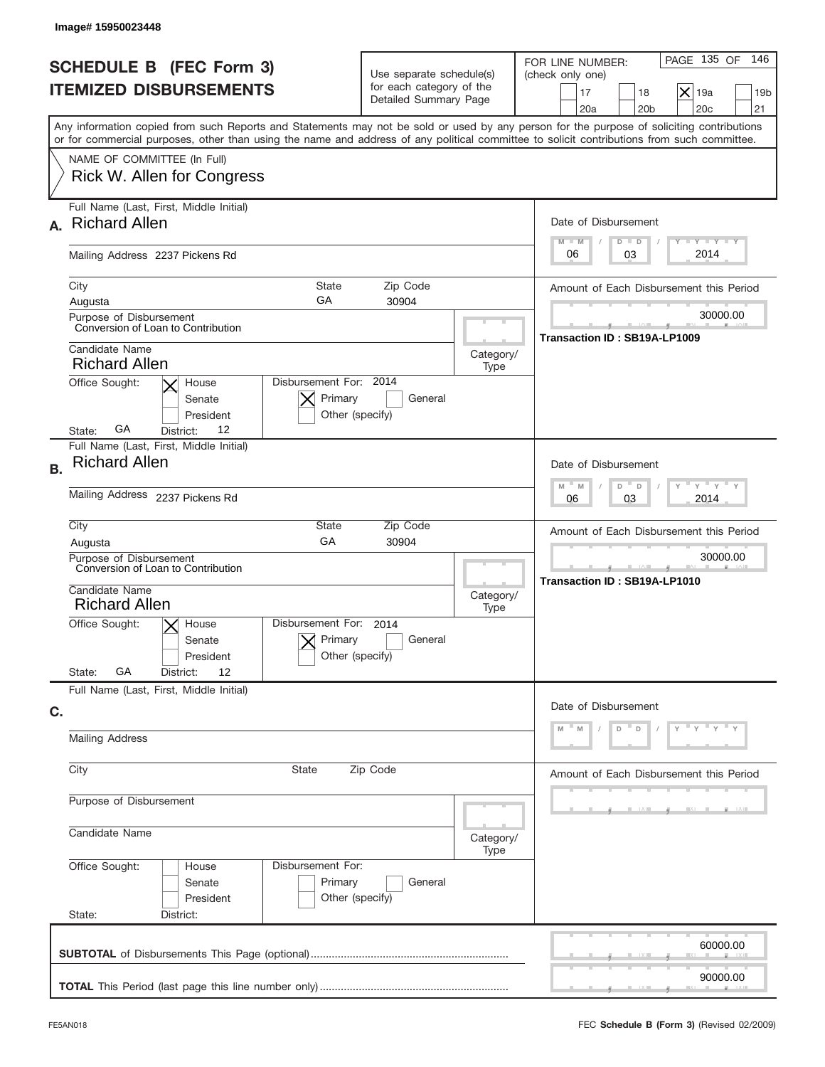| Image# 15950023448                                                                                                                                                                                                                                                                      |                                                                               |                                                                                                                                                     |
|-----------------------------------------------------------------------------------------------------------------------------------------------------------------------------------------------------------------------------------------------------------------------------------------|-------------------------------------------------------------------------------|-----------------------------------------------------------------------------------------------------------------------------------------------------|
| <b>SCHEDULE B (FEC Form 3)</b><br><b>ITEMIZED DISBURSEMENTS</b>                                                                                                                                                                                                                         | Use separate schedule(s)<br>for each category of the<br>Detailed Summary Page | PAGE 135 OF<br>146<br>FOR LINE NUMBER:<br>(check only one)<br>$\times$<br>17<br>18<br>19a<br>19 <sub>b</sub><br>20a<br>20 <sub>b</sub><br>20c<br>21 |
| Any information copied from such Reports and Statements may not be sold or used by any person for the purpose of soliciting contributions<br>or for commercial purposes, other than using the name and address of any political committee to solicit contributions from such committee. |                                                                               |                                                                                                                                                     |
| NAME OF COMMITTEE (In Full)<br>Rick W. Allen for Congress                                                                                                                                                                                                                               |                                                                               |                                                                                                                                                     |
| Full Name (Last, First, Middle Initial)<br><b>Richard Allen</b><br>A.                                                                                                                                                                                                                   |                                                                               | Date of Disbursement                                                                                                                                |
| Mailing Address 2237 Pickens Rd                                                                                                                                                                                                                                                         |                                                                               | Y TY TY TY<br>$M - M$<br>$D$ $D$<br>2014<br>03<br>06                                                                                                |
| City<br><b>State</b><br>GA<br>Augusta                                                                                                                                                                                                                                                   | Zip Code<br>30904                                                             | Amount of Each Disbursement this Period                                                                                                             |
| Purpose of Disbursement<br>Conversion of Loan to Contribution                                                                                                                                                                                                                           |                                                                               | 30000.00<br>Transaction ID: SB19A-LP1009                                                                                                            |
| Candidate Name<br><b>Richard Allen</b>                                                                                                                                                                                                                                                  | Category/<br>Type                                                             |                                                                                                                                                     |
| Disbursement For: 2014<br>Office Sought:<br>House<br>Primary<br>Senate<br>President<br>GА<br>12<br>District:<br>State:                                                                                                                                                                  | General<br>Other (specify)                                                    |                                                                                                                                                     |
| Full Name (Last, First, Middle Initial)<br><b>Richard Allen</b><br><b>B.</b>                                                                                                                                                                                                            |                                                                               | Date of Disbursement<br>ү – ү – ү –<br>$M - M$<br>D<br>D                                                                                            |
| Mailing Address 2237 Pickens Rd                                                                                                                                                                                                                                                         |                                                                               | 2014<br>06<br>03                                                                                                                                    |
| City<br>State<br>GA<br>Augusta                                                                                                                                                                                                                                                          | Zip Code<br>30904                                                             | Amount of Each Disbursement this Period                                                                                                             |
| Purpose of Disbursement<br>Conversion of Loan to Contribution<br>Candidate Name<br><b>Richard Allen</b>                                                                                                                                                                                 | Category/<br>Type                                                             | 30000.00<br>Transaction ID: SB19A-LP1010                                                                                                            |
| Disbursement For: 2014<br>Office Sought:<br>$\times$ House<br>Primary<br>Senate<br>President                                                                                                                                                                                            | General<br>Other (specify)                                                    |                                                                                                                                                     |
| GA<br>State:<br>12<br>District:<br>Full Name (Last, First, Middle Initial)                                                                                                                                                                                                              |                                                                               |                                                                                                                                                     |
| C.<br><b>Mailing Address</b>                                                                                                                                                                                                                                                            |                                                                               | Date of Disbursement<br>$-$ Y<br>D<br>D                                                                                                             |
| City<br><b>State</b>                                                                                                                                                                                                                                                                    | Zip Code                                                                      | Amount of Each Disbursement this Period                                                                                                             |
| Purpose of Disbursement                                                                                                                                                                                                                                                                 |                                                                               |                                                                                                                                                     |
| Candidate Name                                                                                                                                                                                                                                                                          | Category/<br>Type                                                             |                                                                                                                                                     |
| Office Sought:<br>Disbursement For:<br>House<br>Primary<br>Senate<br>President<br>State:<br>District:                                                                                                                                                                                   | General<br>Other (specify)                                                    |                                                                                                                                                     |
|                                                                                                                                                                                                                                                                                         |                                                                               | 60000.00                                                                                                                                            |
|                                                                                                                                                                                                                                                                                         |                                                                               | 90000.00                                                                                                                                            |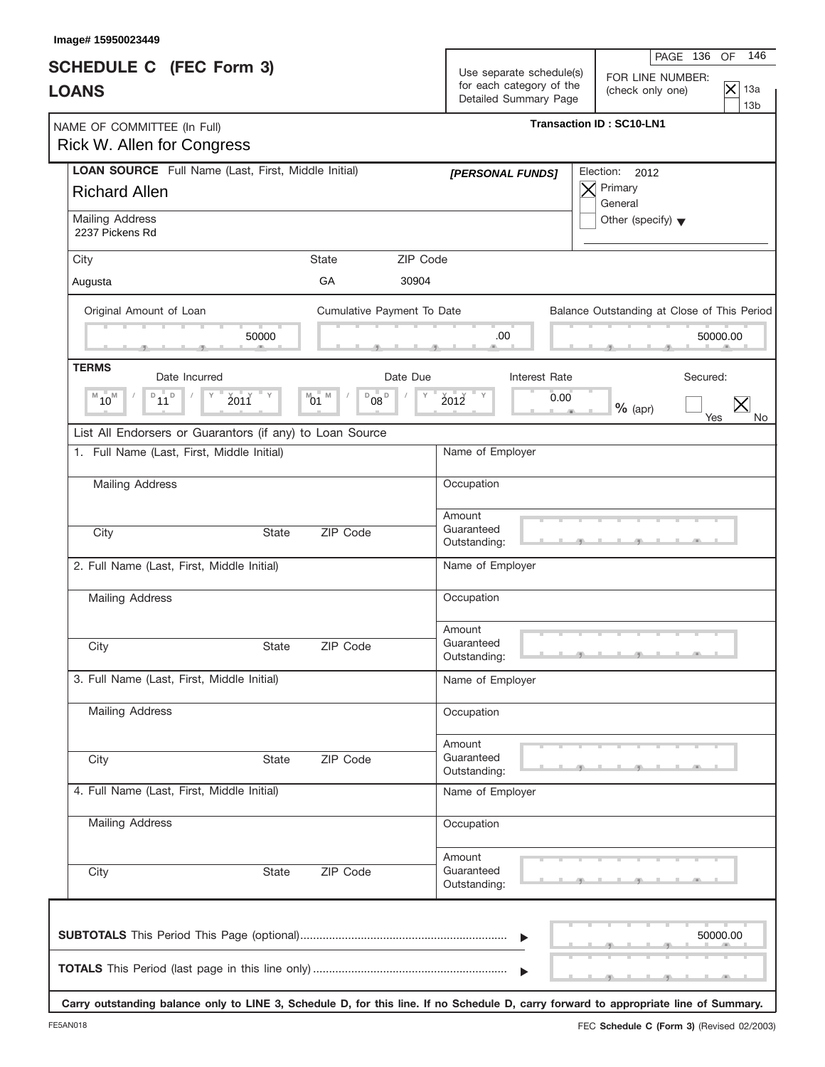| <b>SCHEDULE C</b> (FEC Form 3)<br><b>LOANS</b>                                     |              |                                                        |          | Use separate schedule(s)<br>for each category of the<br>Detailed Summary Page | FOR LINE NUMBER:<br>(check only one)        | $\overline{\times}$<br>13a<br>13 <sub>b</sub> |
|------------------------------------------------------------------------------------|--------------|--------------------------------------------------------|----------|-------------------------------------------------------------------------------|---------------------------------------------|-----------------------------------------------|
| NAME OF COMMITTEE (In Full)<br>Rick W. Allen for Congress                          |              |                                                        |          |                                                                               | <b>Transaction ID: SC10-LN1</b>             |                                               |
| <b>LOAN SOURCE</b> Full Name (Last, First, Middle Initial)<br><b>Richard Allen</b> |              |                                                        |          | [PERSONAL FUNDS]                                                              | Election:<br>2012<br>Primary<br>General     |                                               |
| Mailing Address<br>2237 Pickens Rd                                                 |              |                                                        |          |                                                                               | Other (specify) $\blacktriangledown$        |                                               |
| City                                                                               |              | <b>State</b>                                           | ZIP Code |                                                                               |                                             |                                               |
| Augusta                                                                            |              | GA                                                     | 30904    |                                                                               |                                             |                                               |
| Original Amount of Loan                                                            | 50000        | Cumulative Payment To Date                             |          | .00                                                                           | Balance Outstanding at Close of This Period | 50000.00                                      |
| <b>TERMS</b>                                                                       |              |                                                        |          |                                                                               |                                             |                                               |
| Date Incurred<br>$\overline{P}_{11}$<br>$M_{10}$<br>$\Box$                         | 2011         | Date Due<br>M<br>D<br>$08^{\circ}$<br>$^{\text{M}}$ 01 | Υ        | Interest Rate<br>2012<br>0.00                                                 | Secured:<br>$%$ (apr)<br>Yes                | $\bm{\times}$<br>No                           |
| List All Endorsers or Guarantors (if any) to Loan Source                           |              |                                                        |          |                                                                               |                                             |                                               |
| 1. Full Name (Last, First, Middle Initial)                                         |              |                                                        |          | Name of Employer                                                              |                                             |                                               |
| <b>Mailing Address</b>                                                             |              |                                                        |          | Occupation                                                                    |                                             |                                               |
| City                                                                               | <b>State</b> | ZIP Code                                               |          | Amount<br>Guaranteed<br>Outstanding:                                          |                                             |                                               |
| 2. Full Name (Last, First, Middle Initial)                                         |              |                                                        |          | Name of Employer                                                              |                                             |                                               |
| Mailing Address                                                                    |              |                                                        |          | Occupation                                                                    |                                             |                                               |
| City                                                                               | State        | ZIP Code                                               |          | Amount<br>Guaranteed<br>Outstanding:                                          |                                             |                                               |
| 3. Full Name (Last, First, Middle Initial)                                         |              |                                                        |          | Name of Employer                                                              |                                             |                                               |
| <b>Mailing Address</b>                                                             |              |                                                        |          | Occupation                                                                    |                                             |                                               |
| City                                                                               | <b>State</b> | ZIP Code                                               |          | Amount<br>Guaranteed<br>Outstanding:                                          |                                             |                                               |
| 4. Full Name (Last, First, Middle Initial)                                         |              |                                                        |          | Name of Employer                                                              |                                             |                                               |
| Mailing Address                                                                    |              |                                                        |          | Occupation                                                                    |                                             |                                               |
| City                                                                               | State        | ZIP Code                                               |          | Amount<br>Guaranteed<br>Outstanding:                                          |                                             |                                               |
|                                                                                    |              |                                                        |          | $\blacktriangleright$                                                         |                                             | 50000.00                                      |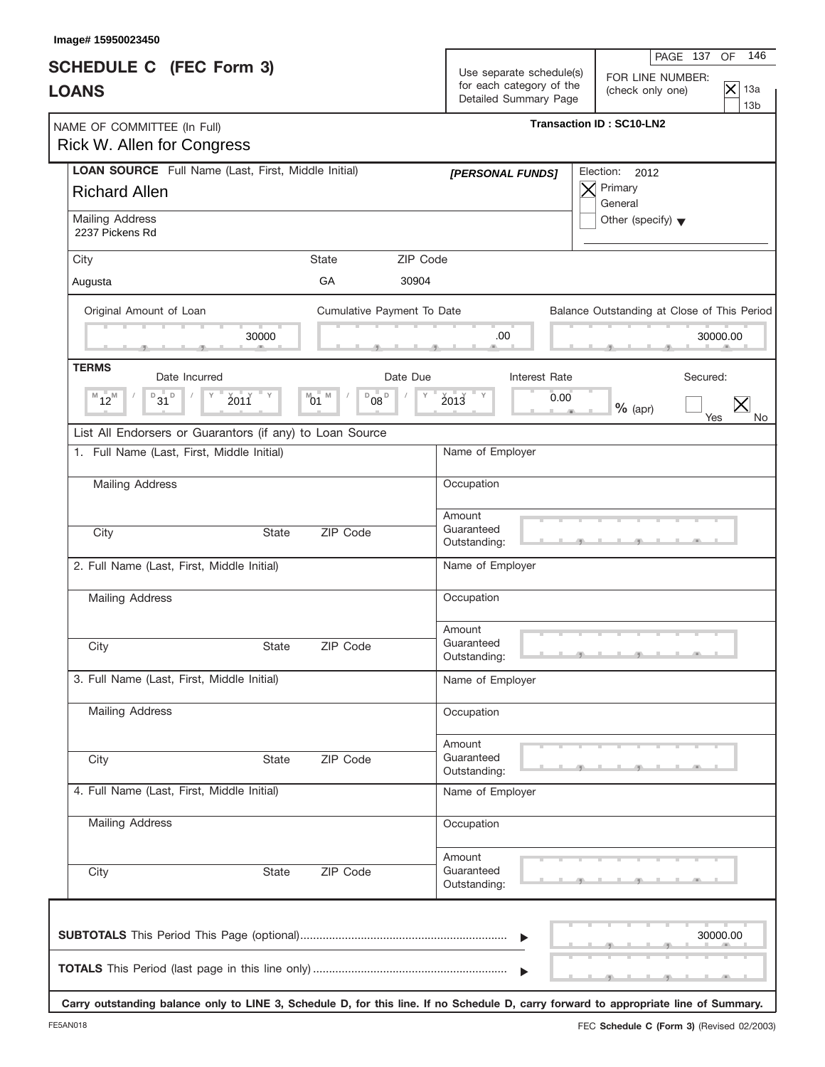| <b>SCHEDULE C</b> (FEC Form 3)<br><b>LOANS</b>                                     |                                                             | Use separate schedule(s)<br>for each category of the<br>Detailed Summary Page | 146<br>PAGE 137<br>OF<br>FOR LINE NUMBER:<br>$\overline{\times}$<br>13a<br>(check only one)<br>13 <sub>b</sub>                                                                                                                       |
|------------------------------------------------------------------------------------|-------------------------------------------------------------|-------------------------------------------------------------------------------|--------------------------------------------------------------------------------------------------------------------------------------------------------------------------------------------------------------------------------------|
| NAME OF COMMITTEE (In Full)<br><b>Rick W. Allen for Congress</b>                   |                                                             |                                                                               | <b>Transaction ID: SC10-LN2</b>                                                                                                                                                                                                      |
| <b>LOAN SOURCE</b> Full Name (Last, First, Middle Initial)<br><b>Richard Allen</b> |                                                             | [PERSONAL FUNDS]                                                              | Election:<br>2012<br>Primary<br>General                                                                                                                                                                                              |
| Mailing Address<br>2237 Pickens Rd                                                 |                                                             |                                                                               | Other (specify) $\blacktriangledown$                                                                                                                                                                                                 |
| City                                                                               | ZIP Code<br><b>State</b>                                    |                                                                               |                                                                                                                                                                                                                                      |
| Augusta                                                                            | GA<br>30904                                                 |                                                                               |                                                                                                                                                                                                                                      |
| Original Amount of Loan<br>30000                                                   | Cumulative Payment To Date                                  | .00                                                                           | Balance Outstanding at Close of This Period<br>30000.00                                                                                                                                                                              |
| <b>TERMS</b>                                                                       |                                                             |                                                                               |                                                                                                                                                                                                                                      |
| Date Incurred<br>$B_{31}$ <sub>D</sub><br>$M_{12}$<br>2011                         | Date Due<br>M<br>D<br>$08^{\circ}$<br>Υ<br>$^{\text{M}}$ 01 | Interest Rate<br>2013                                                         | Secured:<br>0.00<br>$\bm{\times}$<br>$%$ (apr)<br>Yes<br>No                                                                                                                                                                          |
| List All Endorsers or Guarantors (if any) to Loan Source                           |                                                             |                                                                               |                                                                                                                                                                                                                                      |
| 1. Full Name (Last, First, Middle Initial)                                         |                                                             | Name of Employer                                                              |                                                                                                                                                                                                                                      |
| <b>Mailing Address</b>                                                             |                                                             | Occupation                                                                    |                                                                                                                                                                                                                                      |
| City<br><b>State</b>                                                               | ZIP Code                                                    | Amount<br>Guaranteed<br>Outstanding:                                          |                                                                                                                                                                                                                                      |
| 2. Full Name (Last, First, Middle Initial)                                         |                                                             | Name of Employer                                                              |                                                                                                                                                                                                                                      |
| <b>Mailing Address</b>                                                             |                                                             | Occupation                                                                    |                                                                                                                                                                                                                                      |
| City<br>State                                                                      | ZIP Code                                                    | Amount<br>Guaranteed<br>Outstanding:                                          | <u>- Jacques () - Jacques () - Jacques () - Jacques () - Jacques () - Jacques () - Jacques () - Jacques () - Jacques () - Jacques () - Jacques () - Jacques () - Jacques () - Jacques () - Jacques () - Jacques () - Jacques () </u> |
| 3. Full Name (Last, First, Middle Initial)                                         |                                                             | Name of Employer                                                              |                                                                                                                                                                                                                                      |
| <b>Mailing Address</b>                                                             |                                                             | Occupation                                                                    |                                                                                                                                                                                                                                      |
| City<br>State                                                                      | ZIP Code                                                    | Amount<br>Guaranteed<br>Outstanding:                                          |                                                                                                                                                                                                                                      |
| 4. Full Name (Last, First, Middle Initial)                                         |                                                             | Name of Employer                                                              |                                                                                                                                                                                                                                      |
| <b>Mailing Address</b>                                                             |                                                             | Occupation                                                                    |                                                                                                                                                                                                                                      |
| City<br>State                                                                      | ZIP Code                                                    | Amount<br>Guaranteed<br>Outstanding:                                          |                                                                                                                                                                                                                                      |
|                                                                                    |                                                             | $\blacktriangleright$                                                         | 30000.00                                                                                                                                                                                                                             |
|                                                                                    |                                                             |                                                                               |                                                                                                                                                                                                                                      |

**Carry outstanding balance only to LINE 3, Schedule D, for this line. If no Schedule D, carry forward to appropriate line of Summary.**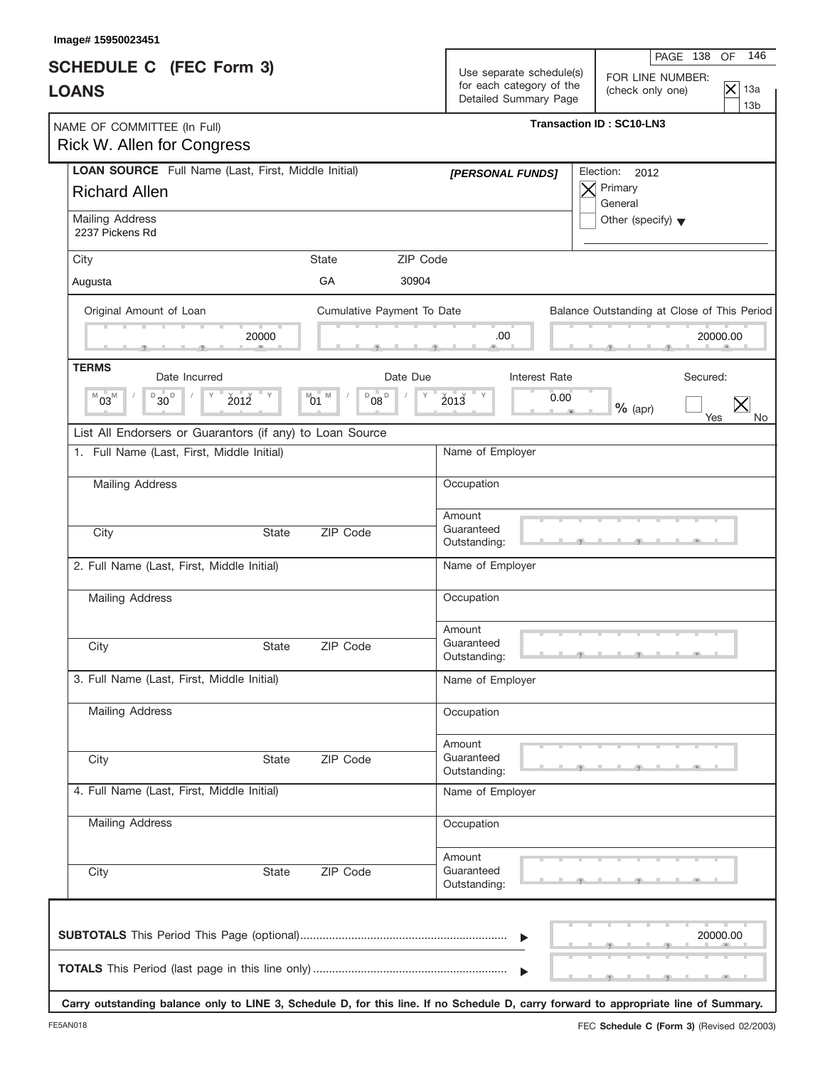| Image# 15950023451                                                                 |              |                                            |          |                                                   |                                                                                                                                      |                   |                        |
|------------------------------------------------------------------------------------|--------------|--------------------------------------------|----------|---------------------------------------------------|--------------------------------------------------------------------------------------------------------------------------------------|-------------------|------------------------|
| <b>SCHEDULE C</b> (FEC Form 3)                                                     |              |                                            |          | Use separate schedule(s)                          | PAGE 138<br>FOR LINE NUMBER:                                                                                                         | OF                | 146                    |
| <b>LOANS</b>                                                                       |              |                                            |          | for each category of the<br>Detailed Summary Page | (check only one)                                                                                                                     | $\mathsf{\times}$ | 13a<br>13 <sub>b</sub> |
| NAME OF COMMITTEE (In Full)<br><b>Rick W. Allen for Congress</b>                   |              |                                            |          |                                                   | <b>Transaction ID: SC10-LN3</b>                                                                                                      |                   |                        |
| <b>LOAN SOURCE</b> Full Name (Last, First, Middle Initial)<br><b>Richard Allen</b> |              |                                            |          | [PERSONAL FUNDS]                                  | Election: 2012<br>Primary                                                                                                            |                   |                        |
| Mailing Address<br>2237 Pickens Rd                                                 |              |                                            |          |                                                   | General<br>Other (specify) $\blacktriangledown$                                                                                      |                   |                        |
| City                                                                               |              | <b>State</b>                               | ZIP Code |                                                   |                                                                                                                                      |                   |                        |
| Augusta                                                                            |              | GA                                         | 30904    |                                                   |                                                                                                                                      |                   |                        |
| Original Amount of Loan                                                            |              | Cumulative Payment To Date                 |          |                                                   | Balance Outstanding at Close of This Period                                                                                          |                   |                        |
|                                                                                    | 20000        |                                            |          | .00                                               |                                                                                                                                      | 20000.00          |                        |
| <b>TERMS</b><br>Date Incurred                                                      |              |                                            | Date Due | Interest Rate                                     | Secured:                                                                                                                             |                   |                        |
| $B_{30}$<br>$M\overset{\text{d}}{\mathbf{03}}$                                     | 2012         | $08^{\circ}$<br>M<br>D<br>$^{\text{M}}$ 01 | Υ        | $2013$ $V$<br>0.00                                | $%$ (apr)                                                                                                                            | Yes               | No.                    |
| List All Endorsers or Guarantors (if any) to Loan Source                           |              |                                            |          |                                                   |                                                                                                                                      |                   |                        |
| 1. Full Name (Last, First, Middle Initial)                                         |              |                                            |          | Name of Employer                                  |                                                                                                                                      |                   |                        |
| Mailing Address                                                                    |              |                                            |          | Occupation                                        |                                                                                                                                      |                   |                        |
| City                                                                               | <b>State</b> | ZIP Code                                   |          | Amount<br>Guaranteed<br>Outstanding:              |                                                                                                                                      |                   |                        |
| 2. Full Name (Last, First, Middle Initial)                                         |              |                                            |          | Name of Employer                                  |                                                                                                                                      |                   |                        |
| <b>Mailing Address</b>                                                             |              |                                            |          | Occupation                                        |                                                                                                                                      |                   |                        |
| City                                                                               | State        | ZIP Code                                   |          | Amount<br>Guaranteed<br>Outstanding:              |                                                                                                                                      |                   |                        |
| 3. Full Name (Last, First, Middle Initial)                                         |              |                                            |          | Name of Employer                                  |                                                                                                                                      |                   |                        |
| <b>Mailing Address</b>                                                             |              |                                            |          | Occupation                                        |                                                                                                                                      |                   |                        |
| City                                                                               | <b>State</b> | ZIP Code                                   |          | Amount<br>Guaranteed<br>Outstanding:              |                                                                                                                                      |                   |                        |
| 4. Full Name (Last, First, Middle Initial)                                         |              |                                            |          | Name of Employer                                  |                                                                                                                                      |                   |                        |
| <b>Mailing Address</b>                                                             |              |                                            |          | Occupation                                        |                                                                                                                                      |                   |                        |
| City                                                                               | State        | ZIP Code                                   |          | Amount<br>Guaranteed<br>Outstanding:              |                                                                                                                                      |                   |                        |
|                                                                                    |              |                                            |          | ▶<br>$\blacktriangleright$                        | Carry outstanding balance only to LINE 3, Schedule D, for this line. If no Schedule D, carry forward to appropriate line of Summary. | 20000.00          |                        |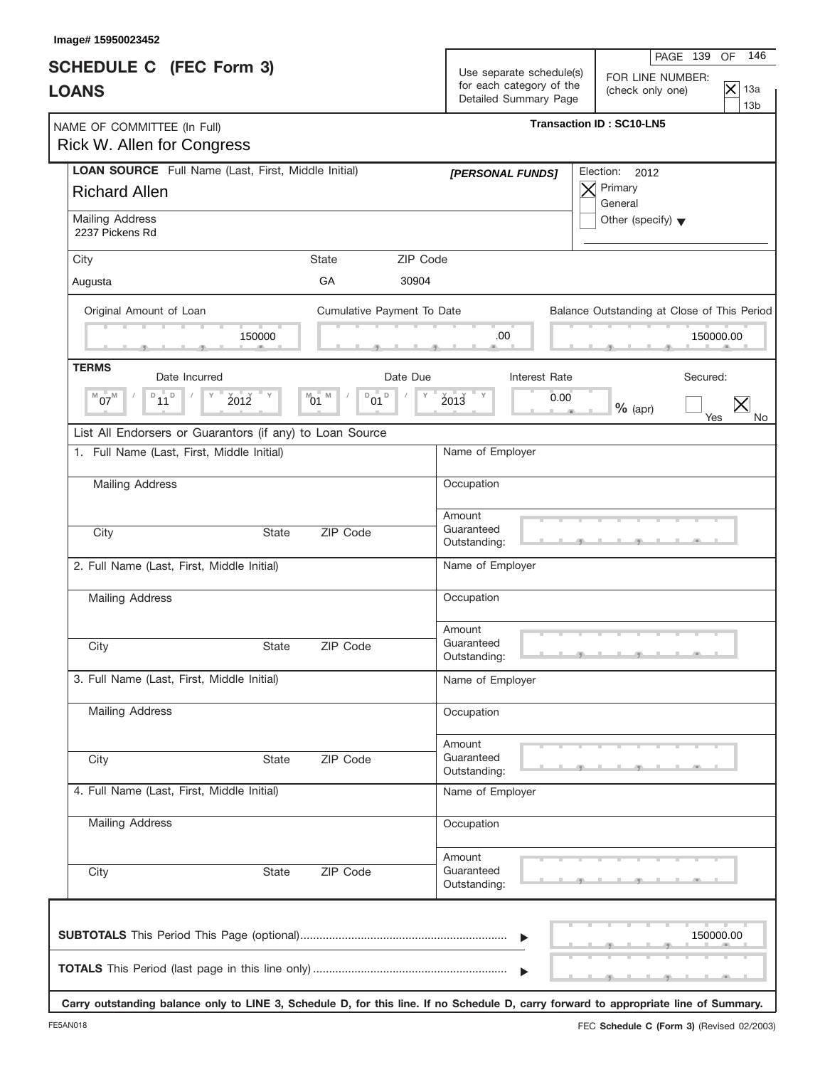| Image# 15950023452                                                          |                  |                             |          |                                                                               |                                                                                                                                      |                               |                               |
|-----------------------------------------------------------------------------|------------------|-----------------------------|----------|-------------------------------------------------------------------------------|--------------------------------------------------------------------------------------------------------------------------------------|-------------------------------|-------------------------------|
| <b>SCHEDULE C</b> (FEC Form 3)<br><b>LOANS</b>                              |                  |                             |          | Use separate schedule(s)<br>for each category of the<br>Detailed Summary Page | PAGE 139<br>FOR LINE NUMBER:<br>(check only one)                                                                                     | OF<br>$\overline{\mathsf{x}}$ | 146<br>13a<br>13 <sub>b</sub> |
| NAME OF COMMITTEE (In Full)<br>Rick W. Allen for Congress                   |                  |                             |          |                                                                               | <b>Transaction ID: SC10-LN5</b>                                                                                                      |                               |                               |
| LOAN SOURCE Full Name (Last, First, Middle Initial)<br><b>Richard Allen</b> |                  |                             |          | [PERSONAL FUNDS]                                                              | Election:<br>2012<br>Primary<br>General                                                                                              |                               |                               |
| Mailing Address<br>2237 Pickens Rd                                          |                  |                             |          |                                                                               | Other (specify) $\blacktriangledown$                                                                                                 |                               |                               |
| City                                                                        |                  | <b>State</b>                | ZIP Code |                                                                               |                                                                                                                                      |                               |                               |
| Augusta                                                                     |                  | GA                          | 30904    |                                                                               |                                                                                                                                      |                               |                               |
| Original Amount of Loan                                                     | 150000           | Cumulative Payment To Date  |          | .00                                                                           | Balance Outstanding at Close of This Period                                                                                          | 150000.00                     |                               |
| <b>TERMS</b>                                                                |                  |                             |          |                                                                               |                                                                                                                                      |                               |                               |
| Date Incurred<br>$D_{11}D$<br>$07^M$<br>2012<br>M                           | $^{\text{M}}$ 01 | M<br>D<br>$\mathsf D$<br>01 | Date Due | Interest Rate<br>ΞY<br>2013<br>0.00                                           | Secured:<br>$%$ (apr)                                                                                                                | Yes                           | No.                           |
| List All Endorsers or Guarantors (if any) to Loan Source                    |                  |                             |          |                                                                               |                                                                                                                                      |                               |                               |
| 1. Full Name (Last, First, Middle Initial)                                  |                  |                             |          | Name of Employer                                                              |                                                                                                                                      |                               |                               |
| <b>Mailing Address</b>                                                      |                  |                             |          | Occupation                                                                    |                                                                                                                                      |                               |                               |
| City                                                                        | <b>State</b>     | ZIP Code                    |          | Amount<br>Guaranteed<br>Outstanding:                                          |                                                                                                                                      |                               |                               |
| 2. Full Name (Last, First, Middle Initial)                                  |                  |                             |          | Name of Employer                                                              |                                                                                                                                      |                               |                               |
| <b>Mailing Address</b>                                                      |                  |                             |          | Occupation                                                                    |                                                                                                                                      |                               |                               |
| City                                                                        | State            | ZIP Code                    |          | Amount<br>Guaranteed<br>Outstanding:                                          |                                                                                                                                      |                               |                               |
| 3. Full Name (Last, First, Middle Initial)                                  |                  |                             |          | Name of Employer                                                              |                                                                                                                                      |                               |                               |
| <b>Mailing Address</b>                                                      |                  |                             |          | Occupation                                                                    |                                                                                                                                      |                               |                               |
| City                                                                        | State            | ZIP Code                    |          | Amount<br>Guaranteed<br>Outstanding:                                          |                                                                                                                                      |                               |                               |
| 4. Full Name (Last, First, Middle Initial)                                  |                  |                             |          | Name of Employer                                                              |                                                                                                                                      |                               |                               |
| Mailing Address                                                             |                  |                             |          | Occupation                                                                    |                                                                                                                                      |                               |                               |
| City                                                                        | State            | ZIP Code                    |          | Amount<br>Guaranteed<br>Outstanding:                                          |                                                                                                                                      |                               |                               |
|                                                                             |                  |                             |          | $\blacktriangleright$<br>$\blacktriangleright$                                | Carry outstanding balance only to LINE 3, Schedule D, for this line. If no Schedule D, carry forward to appropriate line of Summary. | 150000.00                     |                               |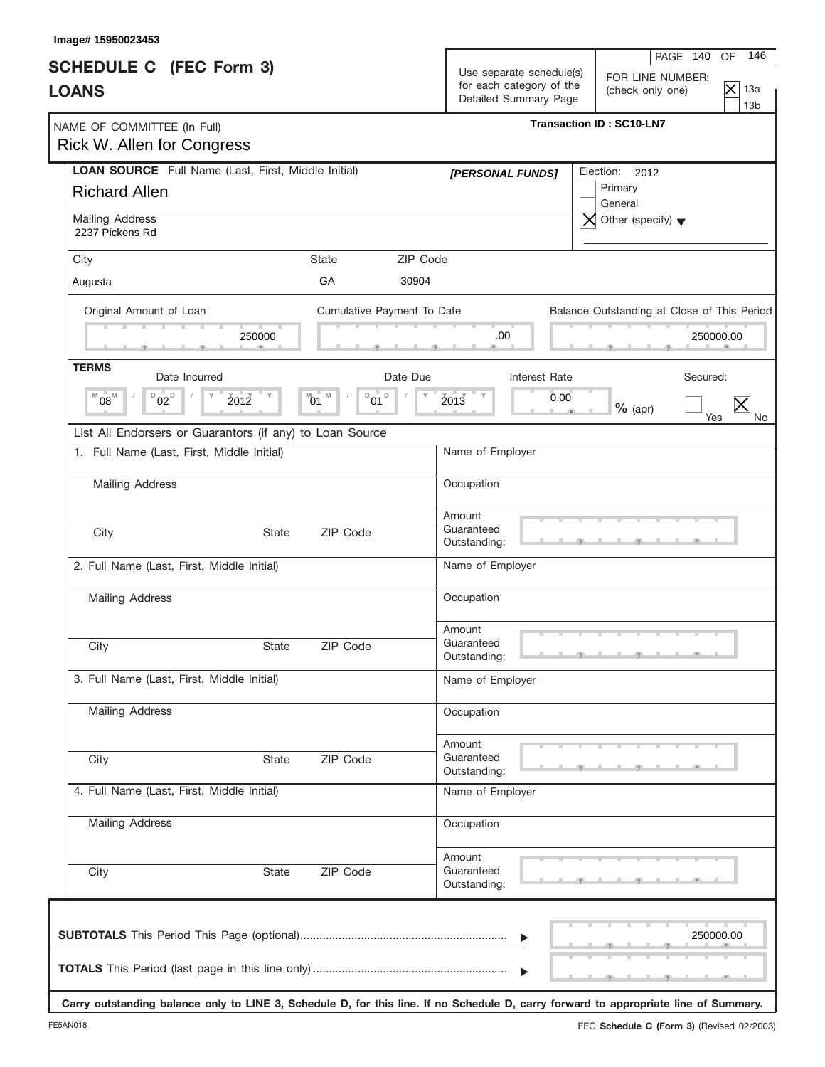| Image# 15950023453                                                          |              |                                                             |                                      |                                                                               |                                                                                                                |
|-----------------------------------------------------------------------------|--------------|-------------------------------------------------------------|--------------------------------------|-------------------------------------------------------------------------------|----------------------------------------------------------------------------------------------------------------|
| <b>SCHEDULE C</b> (FEC Form 3)<br><b>LOANS</b>                              |              |                                                             |                                      | Use separate schedule(s)<br>for each category of the<br>Detailed Summary Page | PAGE 140<br>OF<br>146<br>FOR LINE NUMBER:<br>$\overline{\times}$<br>13a<br>(check only one)<br>13 <sub>b</sub> |
| NAME OF COMMITTEE (In Full)<br><b>Rick W. Allen for Congress</b>            |              |                                                             |                                      |                                                                               | <b>Transaction ID: SC10-LN7</b>                                                                                |
| LOAN SOURCE Full Name (Last, First, Middle Initial)<br><b>Richard Allen</b> |              |                                                             | [PERSONAL FUNDS]                     |                                                                               | Election: 2012<br>Primary<br>General                                                                           |
| Mailing Address<br>2237 Pickens Rd                                          |              |                                                             |                                      |                                                                               | Other (specify) $\blacktriangledown$                                                                           |
| City                                                                        |              | State                                                       | ZIP Code                             |                                                                               |                                                                                                                |
| Augusta                                                                     |              | GA                                                          | 30904                                |                                                                               |                                                                                                                |
| Original Amount of Loan                                                     |              | Cumulative Payment To Date                                  |                                      |                                                                               | Balance Outstanding at Close of This Period                                                                    |
|                                                                             | 250000       |                                                             | .00                                  |                                                                               | 250000.00                                                                                                      |
| <b>TERMS</b><br>Date Incurred                                               |              | Date Due                                                    |                                      | Interest Rate                                                                 | Secured:                                                                                                       |
| $D_{02}D$<br>$08^{\rm M}$<br>M                                              | 2012         | $\mathsf D$<br>M<br>D<br>$^{\text{M}}$ 01<br>$^{\prime}$ 01 | $2013$ $V$<br>Υ                      | 0.00                                                                          | $%$ (apr)<br>Yes<br>No.                                                                                        |
| List All Endorsers or Guarantors (if any) to Loan Source                    |              |                                                             |                                      |                                                                               |                                                                                                                |
| 1. Full Name (Last, First, Middle Initial)                                  |              |                                                             | Name of Employer                     |                                                                               |                                                                                                                |
| <b>Mailing Address</b>                                                      |              |                                                             | Occupation                           |                                                                               |                                                                                                                |
| City                                                                        | <b>State</b> | ZIP Code                                                    | Amount<br>Guaranteed<br>Outstanding: |                                                                               |                                                                                                                |
| 2. Full Name (Last, First, Middle Initial)                                  |              |                                                             | Name of Employer                     |                                                                               |                                                                                                                |
| <b>Mailing Address</b>                                                      |              |                                                             | Occupation                           |                                                                               |                                                                                                                |
| City                                                                        | State        | ZIP Code                                                    | Amount<br>Guaranteed<br>Outstanding: |                                                                               | والمستقبل والمستقبل والمتلقط                                                                                   |
| 3. Full Name (Last, First, Middle Initial)                                  |              |                                                             | Name of Employer                     |                                                                               |                                                                                                                |
| <b>Mailing Address</b>                                                      |              |                                                             | Occupation                           |                                                                               |                                                                                                                |
| City                                                                        | State        | ZIP Code                                                    | Amount<br>Guaranteed<br>Outstanding: |                                                                               |                                                                                                                |
| 4. Full Name (Last, First, Middle Initial)                                  |              |                                                             | Name of Employer                     |                                                                               |                                                                                                                |
| Mailing Address                                                             |              |                                                             | Occupation                           |                                                                               |                                                                                                                |
| City                                                                        | State        | ZIP Code                                                    | Amount<br>Guaranteed<br>Outstanding: |                                                                               |                                                                                                                |
|                                                                             |              |                                                             |                                      |                                                                               | 250000.00                                                                                                      |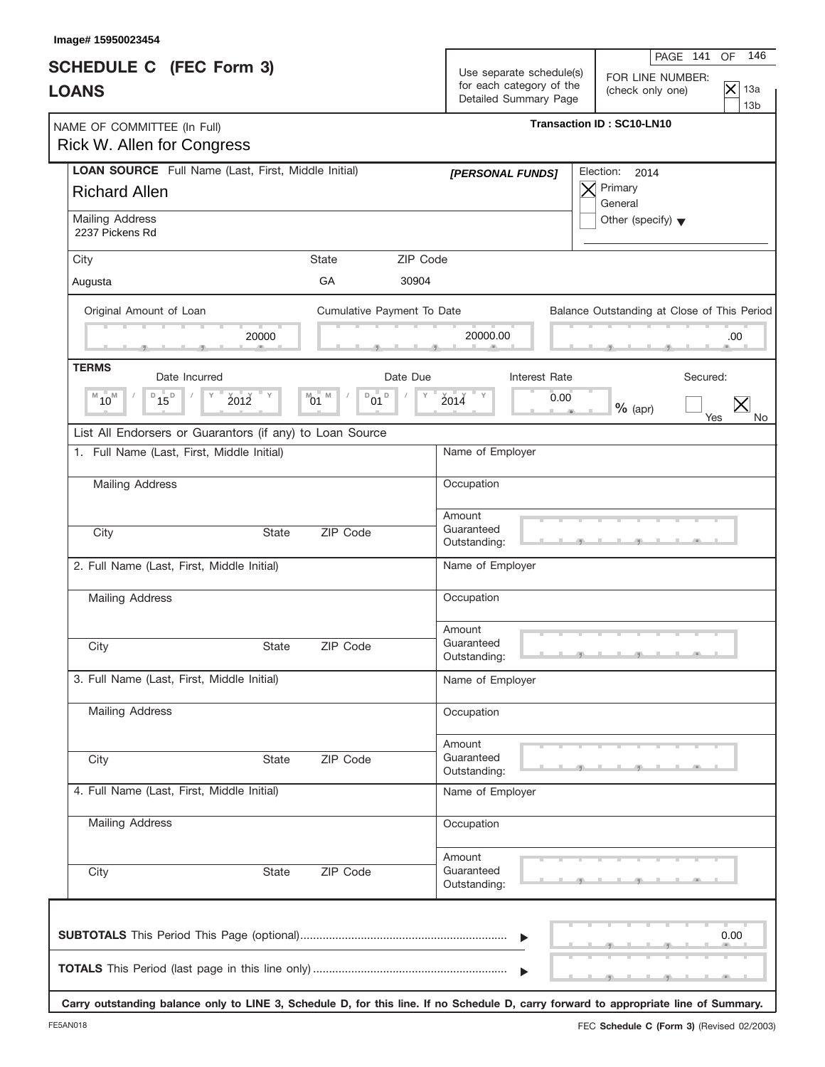| Image# 15950023454                                                          |                                       |                                                                               | 146<br>PAGE 141<br>OF                                                                 |
|-----------------------------------------------------------------------------|---------------------------------------|-------------------------------------------------------------------------------|---------------------------------------------------------------------------------------|
| <b>SCHEDULE C</b> (FEC Form 3)<br><b>LOANS</b>                              |                                       | Use separate schedule(s)<br>for each category of the<br>Detailed Summary Page | FOR LINE NUMBER:<br>$\overline{\times}$<br>13a<br>(check only one)<br>13 <sub>b</sub> |
| NAME OF COMMITTEE (In Full)<br>Rick W. Allen for Congress                   |                                       |                                                                               | <b>Transaction ID: SC10-LN10</b>                                                      |
| LOAN SOURCE Full Name (Last, First, Middle Initial)<br><b>Richard Allen</b> |                                       | [PERSONAL FUNDS]                                                              | Election:<br>2014<br>Primary                                                          |
| Mailing Address<br>2237 Pickens Rd                                          |                                       |                                                                               | General<br>Other (specify) $\blacktriangledown$                                       |
| City                                                                        | ZIP Code<br><b>State</b>              |                                                                               |                                                                                       |
| Augusta                                                                     | GA<br>30904                           |                                                                               |                                                                                       |
| Original Amount of Loan<br>20000                                            | Cumulative Payment To Date            | 20000.00                                                                      | Balance Outstanding at Close of This Period<br>.00                                    |
|                                                                             |                                       |                                                                               |                                                                                       |
| <b>TERMS</b><br>Date Incurred                                               | Date Due                              | Interest Rate                                                                 | Secured:                                                                              |
| $D_{15}D$<br>$M_{10}$<br>2012                                               | M<br>D<br>$^{\text{M}}$ 01<br>D<br>01 | 2014<br>0.00                                                                  | $\bm{\times}$<br>$%$ (apr)<br>Yes<br>No                                               |
| List All Endorsers or Guarantors (if any) to Loan Source                    |                                       |                                                                               |                                                                                       |
| 1. Full Name (Last, First, Middle Initial)                                  |                                       | Name of Employer                                                              |                                                                                       |
| Mailing Address                                                             |                                       | Occupation                                                                    |                                                                                       |
| City<br><b>State</b>                                                        | ZIP Code                              | Amount<br>Guaranteed                                                          |                                                                                       |
|                                                                             |                                       | Outstanding:                                                                  |                                                                                       |
| 2. Full Name (Last, First, Middle Initial)                                  |                                       | Name of Employer                                                              |                                                                                       |
| <b>Mailing Address</b>                                                      |                                       | Occupation                                                                    |                                                                                       |
|                                                                             |                                       | Amount                                                                        |                                                                                       |
| City<br>State                                                               | ZIP Code                              | Guaranteed<br>Outstanding:                                                    |                                                                                       |
| 3. Full Name (Last, First, Middle Initial)                                  |                                       | Name of Employer                                                              |                                                                                       |
| <b>Mailing Address</b>                                                      |                                       | Occupation                                                                    |                                                                                       |
| City<br><b>State</b>                                                        | ZIP Code                              | Amount<br>Guaranteed<br>Outstanding:                                          |                                                                                       |
| 4. Full Name (Last, First, Middle Initial)                                  |                                       | Name of Employer                                                              |                                                                                       |
| Mailing Address                                                             |                                       | Occupation                                                                    |                                                                                       |
| City<br>State                                                               | ZIP Code                              | Amount<br>Guaranteed<br>Outstanding:                                          |                                                                                       |
|                                                                             |                                       | $\blacktriangleright$                                                         | 0.00                                                                                  |
|                                                                             |                                       |                                                                               |                                                                                       |

**Carry outstanding balance only to LINE 3, Schedule D, for this line. If no Schedule D, carry forward to appropriate line of Summary.**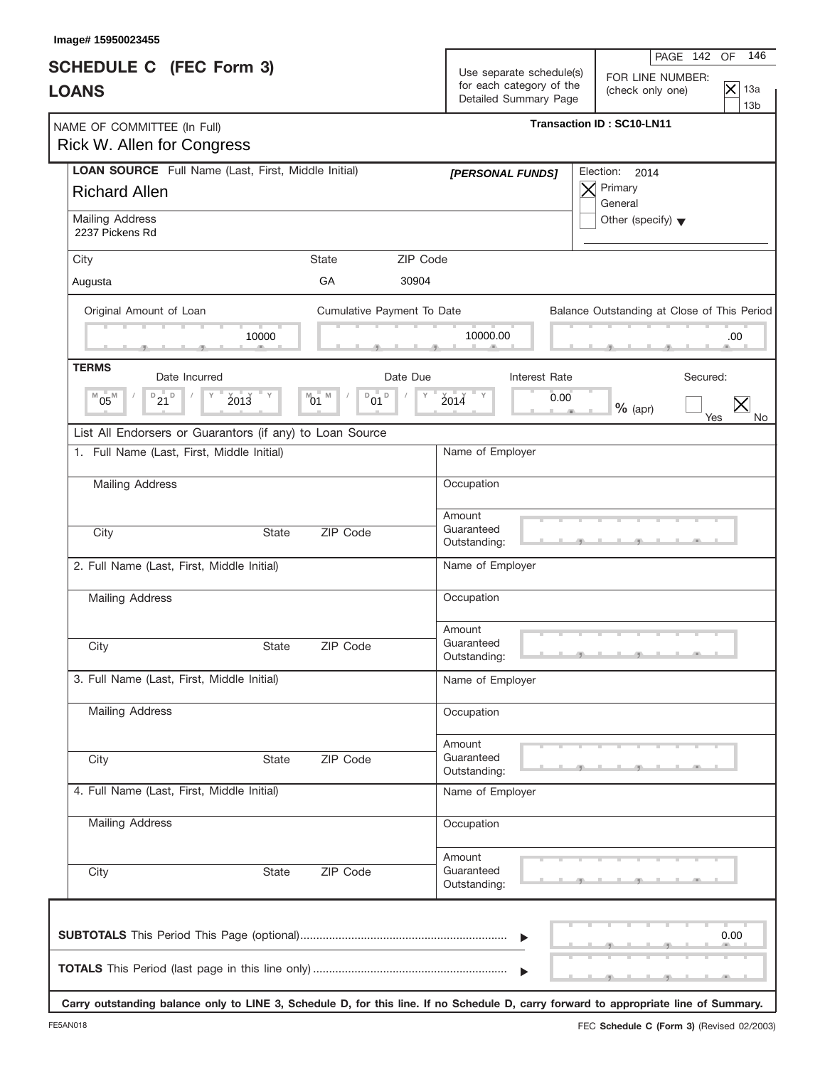| Image# 15950023455<br><b>SCHEDULE C</b> (FEC Form 3)<br><b>LOANS</b>        |                                                 | 146<br>PAGE 142<br>OF<br>Use separate schedule(s)<br>FOR LINE NUMBER:<br>for each category of the<br>$\overline{\mathsf{x}}$<br>13a<br>(check only one) |
|-----------------------------------------------------------------------------|-------------------------------------------------|---------------------------------------------------------------------------------------------------------------------------------------------------------|
| NAME OF COMMITTEE (In Full)<br>Rick W. Allen for Congress                   |                                                 | Detailed Summary Page<br>13 <sub>b</sub><br><b>Transaction ID: SC10-LN11</b>                                                                            |
| LOAN SOURCE Full Name (Last, First, Middle Initial)<br><b>Richard Allen</b> |                                                 | Election:<br>2014<br>[PERSONAL FUNDS]<br>Primary<br>General                                                                                             |
| Mailing Address<br>2237 Pickens Rd                                          |                                                 | Other (specify) $\blacktriangledown$                                                                                                                    |
| City                                                                        | <b>State</b><br>GA<br>30904                     | ZIP Code                                                                                                                                                |
| Augusta                                                                     |                                                 |                                                                                                                                                         |
| Original Amount of Loan                                                     | Cumulative Payment To Date<br>10000             | Balance Outstanding at Close of This Period<br>10000.00<br>.00                                                                                          |
| <b>TERMS</b><br>Date Incurred                                               | Date Due                                        | Interest Rate<br>Secured:                                                                                                                               |
| $D_{21}D$<br>$^{M}05^{M}$<br>2013                                           | M<br>D<br>$\mathsf D$<br>$^{\text{M}}$ 01<br>01 | $2014$ $V$<br>0.00<br>$%$ (apr)<br>Yes<br>No.                                                                                                           |
| List All Endorsers or Guarantors (if any) to Loan Source                    |                                                 |                                                                                                                                                         |
| 1. Full Name (Last, First, Middle Initial)                                  |                                                 | Name of Employer                                                                                                                                        |
| Mailing Address                                                             |                                                 | Occupation                                                                                                                                              |
| City                                                                        | ZIP Code<br><b>State</b>                        | Amount<br>Guaranteed<br>Outstanding:                                                                                                                    |
| 2. Full Name (Last, First, Middle Initial)                                  |                                                 | Name of Employer                                                                                                                                        |
| Mailing Address                                                             |                                                 | Occupation                                                                                                                                              |
| City                                                                        | ZIP Code<br>State                               | Amount<br>Guaranteed<br>Outstanding:                                                                                                                    |
| 3. Full Name (Last, First, Middle Initial)                                  |                                                 | Name of Employer                                                                                                                                        |
| <b>Mailing Address</b>                                                      |                                                 | Occupation                                                                                                                                              |
| City                                                                        | ZIP Code<br>State                               | Amount<br>Guaranteed<br>Outstanding:                                                                                                                    |
| 4. Full Name (Last, First, Middle Initial)                                  |                                                 | Name of Employer                                                                                                                                        |
| <b>Mailing Address</b>                                                      |                                                 | Occupation                                                                                                                                              |
| City                                                                        | ZIP Code<br>State                               | Amount<br>Guaranteed<br>Outstanding:                                                                                                                    |
|                                                                             |                                                 | 0.00<br>▶                                                                                                                                               |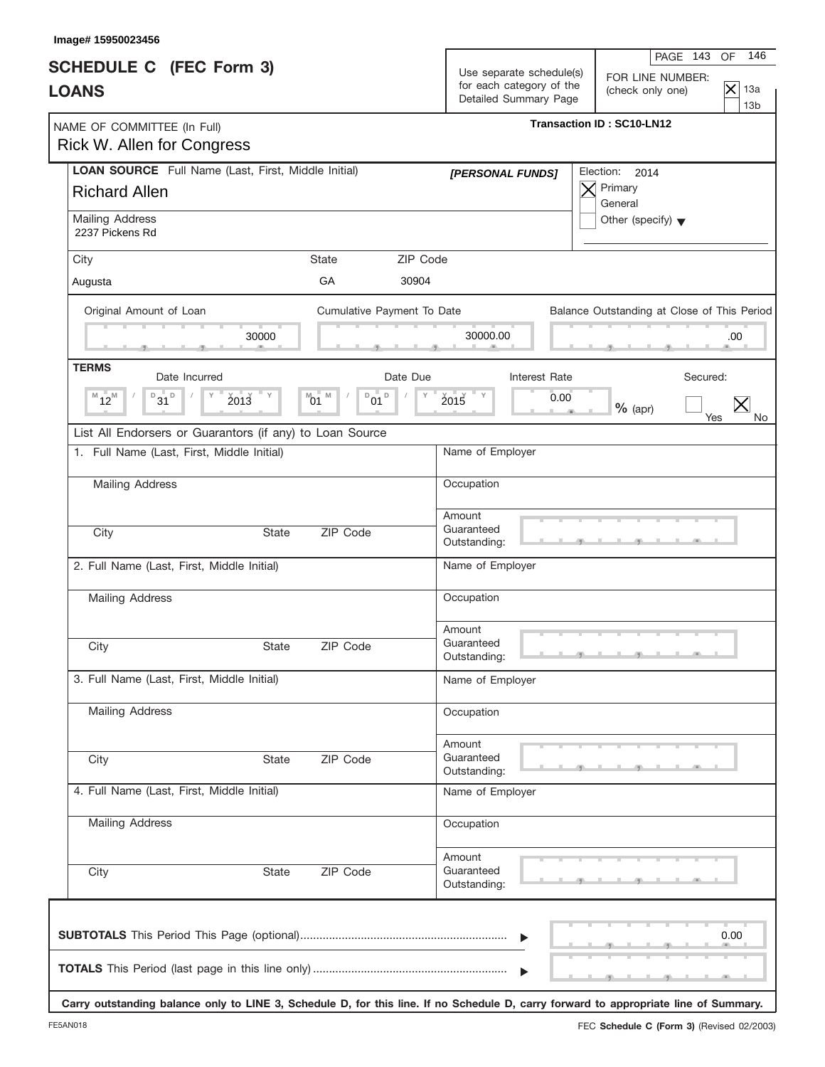| <b>SCHEDULE C</b> (FEC Form 3)<br><b>LOANS</b>                              |              |                                       |                   | Use separate schedule(s)<br>for each category of the<br>Detailed Summary Page | PAGE 143<br>FOR LINE NUMBER:<br>(check only one) | 146<br>OF<br>$\overline{\times}$<br>13a<br>13 <sub>b</sub> |
|-----------------------------------------------------------------------------|--------------|---------------------------------------|-------------------|-------------------------------------------------------------------------------|--------------------------------------------------|------------------------------------------------------------|
| NAME OF COMMITTEE (In Full)<br>Rick W. Allen for Congress                   |              |                                       |                   |                                                                               | <b>Transaction ID: SC10-LN12</b>                 |                                                            |
| LOAN SOURCE Full Name (Last, First, Middle Initial)<br><b>Richard Allen</b> |              |                                       |                   | [PERSONAL FUNDS]                                                              | Election:<br>2014<br>Primary<br>General          |                                                            |
| Mailing Address<br>2237 Pickens Rd                                          |              |                                       |                   |                                                                               | Other (specify) $\blacktriangledown$             |                                                            |
| City                                                                        |              | <b>State</b><br>GA                    | ZIP Code<br>30904 |                                                                               |                                                  |                                                            |
| Augusta                                                                     |              |                                       |                   |                                                                               |                                                  |                                                            |
| Original Amount of Loan                                                     | 30000        | Cumulative Payment To Date            |                   | 30000.00                                                                      | Balance Outstanding at Close of This Period      | .00                                                        |
| <b>TERMS</b><br>Date Incurred                                               |              | Date Due                              |                   | Interest Rate                                                                 | Secured:                                         |                                                            |
| $\overline{31}$<br>$M_{12}$<br>D                                            | 2013         | M<br>D<br>$^{\text{M}}$ 01<br>D<br>01 |                   | 2015<br>0.00                                                                  | $%$ (apr)<br>Yes                                 | $\bm{\times}$<br>No                                        |
| List All Endorsers or Guarantors (if any) to Loan Source                    |              |                                       |                   |                                                                               |                                                  |                                                            |
| 1. Full Name (Last, First, Middle Initial)                                  |              |                                       |                   | Name of Employer                                                              |                                                  |                                                            |
| Mailing Address                                                             |              |                                       |                   | Occupation                                                                    |                                                  |                                                            |
|                                                                             |              |                                       |                   | Amount                                                                        |                                                  |                                                            |
| City                                                                        | <b>State</b> | ZIP Code                              |                   | Guaranteed<br>Outstanding:                                                    |                                                  |                                                            |
| 2. Full Name (Last, First, Middle Initial)                                  |              |                                       |                   | Name of Employer                                                              |                                                  |                                                            |
| <b>Mailing Address</b>                                                      |              |                                       |                   | Occupation                                                                    |                                                  |                                                            |
|                                                                             |              |                                       |                   | Amount                                                                        |                                                  |                                                            |
| City                                                                        | State        | ZIP Code                              |                   | Guaranteed<br>Outstanding:                                                    |                                                  |                                                            |
| 3. Full Name (Last, First, Middle Initial)                                  |              |                                       |                   | Name of Employer                                                              |                                                  |                                                            |
| <b>Mailing Address</b>                                                      |              |                                       |                   | Occupation                                                                    |                                                  |                                                            |
| City                                                                        | <b>State</b> | ZIP Code                              |                   | Amount<br>Guaranteed                                                          |                                                  |                                                            |
| 4. Full Name (Last, First, Middle Initial)                                  |              |                                       |                   | Outstanding:                                                                  |                                                  |                                                            |
|                                                                             |              |                                       |                   | Name of Employer                                                              |                                                  |                                                            |
| Mailing Address                                                             |              |                                       |                   | Occupation                                                                    |                                                  |                                                            |
| City                                                                        | State        | ZIP Code                              |                   | Amount<br>Guaranteed<br>Outstanding:                                          |                                                  |                                                            |
|                                                                             |              |                                       |                   | $\blacktriangleright$                                                         |                                                  | 0.00                                                       |

**Carry outstanding balance only to LINE 3, Schedule D, for this line. If no Schedule D, carry forward to appropriate line of Summary.**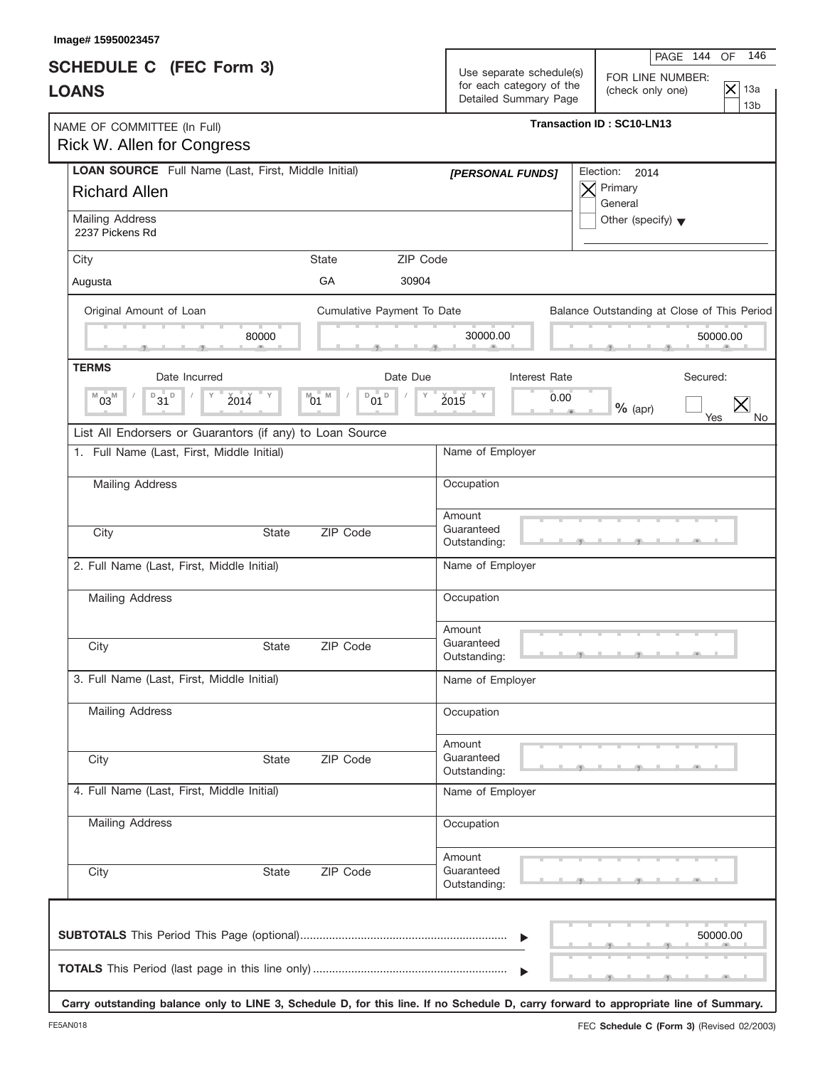| Image# 15950023457                                                          |              |                                                             |                                                   |      |                                             |                                               |
|-----------------------------------------------------------------------------|--------------|-------------------------------------------------------------|---------------------------------------------------|------|---------------------------------------------|-----------------------------------------------|
| <b>SCHEDULE C</b> (FEC Form 3)                                              |              |                                                             | Use separate schedule(s)                          |      | PAGE 144<br>FOR LINE NUMBER:                | OF<br>146                                     |
| <b>LOANS</b>                                                                |              |                                                             | for each category of the<br>Detailed Summary Page |      | (check only one)                            | $\overline{\times}$<br>13a<br>13 <sub>b</sub> |
| NAME OF COMMITTEE (In Full)<br><b>Rick W. Allen for Congress</b>            |              |                                                             |                                                   |      | <b>Transaction ID: SC10-LN13</b>            |                                               |
| LOAN SOURCE Full Name (Last, First, Middle Initial)<br><b>Richard Allen</b> |              |                                                             | [PERSONAL FUNDS]                                  | Х    | Election: 2014<br>Primary<br>General        |                                               |
| Mailing Address<br>2237 Pickens Rd                                          |              |                                                             |                                                   |      | Other (specify) $\blacktriangledown$        |                                               |
| City                                                                        |              | State                                                       | ZIP Code                                          |      |                                             |                                               |
| Augusta                                                                     |              | GA<br>30904                                                 |                                                   |      |                                             |                                               |
| Original Amount of Loan                                                     |              | Cumulative Payment To Date                                  |                                                   |      | Balance Outstanding at Close of This Period |                                               |
|                                                                             | 80000        |                                                             | 30000.00                                          |      |                                             | 50000.00                                      |
| <b>TERMS</b><br>Date Incurred                                               |              | Date Due                                                    | Interest Rate                                     |      | Secured:                                    |                                               |
| $B_{31}$ <sub>D</sub><br>$03^{\rm M}$<br>M                                  | 2014         | $\mathsf D$<br>M<br>D<br>$^{\text{M}}$ 01<br>$^{\prime}$ 01 | 2015<br>Υ                                         | 0.00 | $%$ (apr)<br>Yes                            | No.                                           |
| List All Endorsers or Guarantors (if any) to Loan Source                    |              |                                                             |                                                   |      |                                             |                                               |
| 1. Full Name (Last, First, Middle Initial)                                  |              |                                                             | Name of Employer                                  |      |                                             |                                               |
| Mailing Address                                                             |              |                                                             | Occupation                                        |      |                                             |                                               |
| City                                                                        | <b>State</b> | ZIP Code                                                    | Amount<br>Guaranteed<br>Outstanding:              |      |                                             |                                               |
| 2. Full Name (Last, First, Middle Initial)                                  |              |                                                             | Name of Employer                                  |      |                                             |                                               |
| <b>Mailing Address</b>                                                      |              |                                                             | Occupation                                        |      |                                             |                                               |
| City                                                                        | State        | ZIP Code                                                    | Amount<br>Guaranteed<br>Outstanding:              |      | والمستقبل والمستقبل والمتلقط                |                                               |
| 3. Full Name (Last, First, Middle Initial)                                  |              |                                                             | Name of Employer                                  |      |                                             |                                               |
| <b>Mailing Address</b>                                                      |              |                                                             | Occupation                                        |      |                                             |                                               |
| City                                                                        | State        | ZIP Code                                                    | Amount<br>Guaranteed<br>Outstanding:              |      |                                             |                                               |
| 4. Full Name (Last, First, Middle Initial)                                  |              |                                                             | Name of Employer                                  |      |                                             |                                               |
| <b>Mailing Address</b>                                                      |              |                                                             | Occupation                                        |      |                                             |                                               |
| City                                                                        | State        | ZIP Code                                                    | Amount<br>Guaranteed<br>Outstanding:              |      |                                             |                                               |
|                                                                             |              |                                                             |                                                   |      |                                             | 50000.00                                      |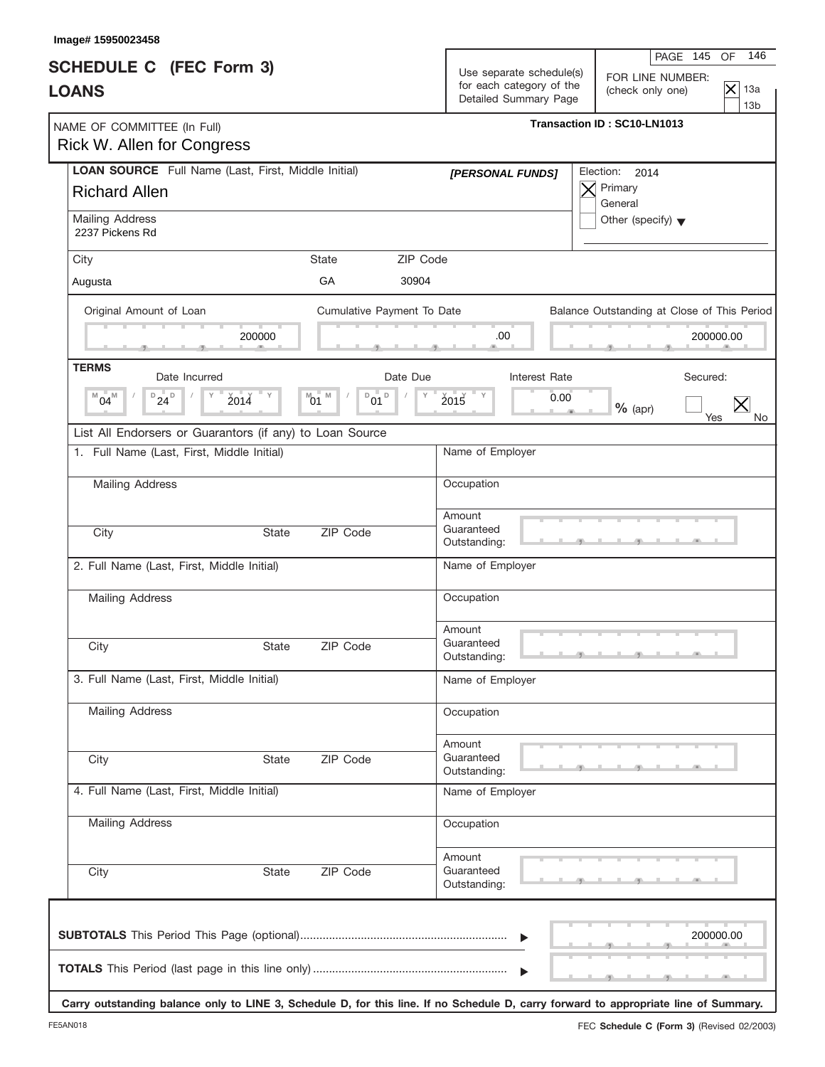| <b>SCHEDULE C</b> (FEC Form 3)<br><b>LOANS</b>                                                         |                                       | Use separate schedule(s)<br>for each category of the<br>Detailed Summary Page | FOR LINE NUMBER:<br>$\overline{\times}$<br>13a<br>(check only one)<br>13 <sub>b</sub> |
|--------------------------------------------------------------------------------------------------------|---------------------------------------|-------------------------------------------------------------------------------|---------------------------------------------------------------------------------------|
| NAME OF COMMITTEE (In Full)<br>Rick W. Allen for Congress                                              |                                       |                                                                               | Transaction ID: SC10-LN1013                                                           |
| LOAN SOURCE Full Name (Last, First, Middle Initial)<br><b>Richard Allen</b>                            |                                       | [PERSONAL FUNDS]                                                              | Election:<br>2014<br>Primary<br>General                                               |
| <b>Mailing Address</b><br>2237 Pickens Rd                                                              |                                       |                                                                               | Other (specify) $\blacktriangledown$                                                  |
| City<br>Augusta                                                                                        | <b>State</b><br>GA<br>30904           | ZIP Code                                                                      |                                                                                       |
| Original Amount of Loan                                                                                | Cumulative Payment To Date            |                                                                               | Balance Outstanding at Close of This Period                                           |
| 200000                                                                                                 |                                       | .00                                                                           | 200000.00                                                                             |
| <b>TERMS</b><br>Date Incurred                                                                          | Date Due                              | Interest Rate                                                                 | Secured:                                                                              |
| $D_{24}D$<br>$^{M}04^{M}$<br>2014                                                                      | M<br>D<br>D<br>$^{\text{M}}$ 01<br>01 | 2015<br><b>T</b> Y<br>Y                                                       | 0.00<br>$\bm{\mathsf{X}}$<br>$%$ (apr)<br>Yes<br>No                                   |
| List All Endorsers or Guarantors (if any) to Loan Source<br>1. Full Name (Last, First, Middle Initial) |                                       | Name of Employer                                                              |                                                                                       |
| <b>Mailing Address</b>                                                                                 |                                       | Occupation                                                                    |                                                                                       |
|                                                                                                        |                                       | Amount                                                                        |                                                                                       |
| City                                                                                                   | ZIP Code<br><b>State</b>              | Guaranteed<br>Outstanding:                                                    |                                                                                       |
| 2. Full Name (Last, First, Middle Initial)                                                             |                                       | Name of Employer                                                              |                                                                                       |
| Mailing Address                                                                                        |                                       | Occupation                                                                    |                                                                                       |
| City                                                                                                   | ZIP Code<br>State                     | Amount<br>Guaranteed<br>Outstanding:                                          |                                                                                       |
| 3. Full Name (Last, First, Middle Initial)                                                             |                                       | Name of Employer                                                              |                                                                                       |
| Mailing Address                                                                                        |                                       | Occupation                                                                    |                                                                                       |
| City                                                                                                   | ZIP Code<br>State                     | Amount<br>Guaranteed<br>Outstanding:                                          |                                                                                       |
| 4. Full Name (Last, First, Middle Initial)                                                             |                                       | Name of Employer                                                              |                                                                                       |
| Mailing Address                                                                                        |                                       | Occupation                                                                    |                                                                                       |
| City                                                                                                   | ZIP Code<br>State                     | Amount<br>Guaranteed<br>Outstanding:                                          |                                                                                       |
|                                                                                                        |                                       | ▶<br>ь                                                                        | 200000.00                                                                             |